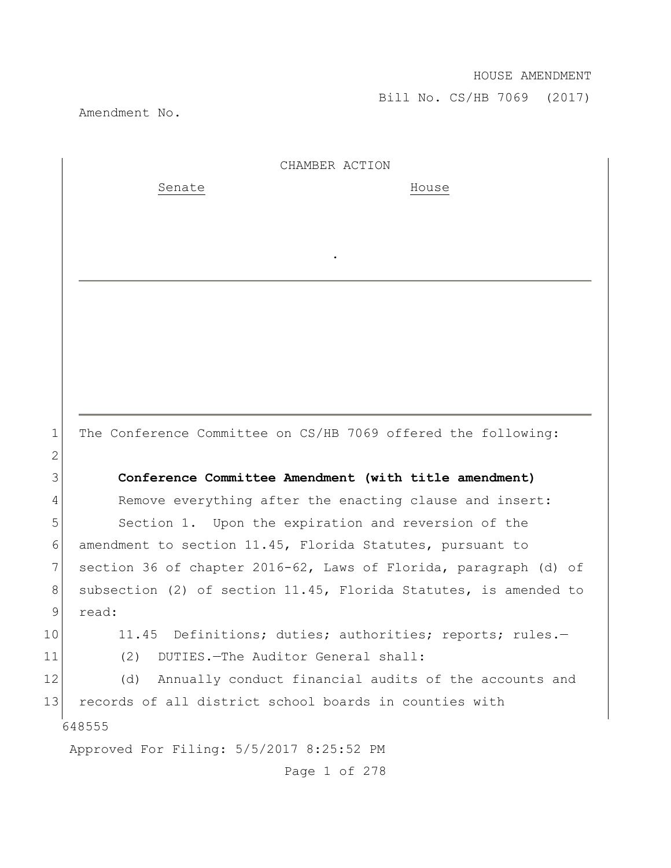Bill No. CS/HB 7069 (2017)

Amendment No.

|              | CHAMBER ACTION                                                   |
|--------------|------------------------------------------------------------------|
|              | Senate<br>House                                                  |
|              |                                                                  |
|              |                                                                  |
|              |                                                                  |
|              |                                                                  |
|              |                                                                  |
|              |                                                                  |
|              |                                                                  |
|              |                                                                  |
|              |                                                                  |
| $\mathbf 1$  | The Conference Committee on CS/HB 7069 offered the following:    |
| $\mathbf{2}$ |                                                                  |
| 3            | Conference Committee Amendment (with title amendment)            |
| 4            | Remove everything after the enacting clause and insert:          |
| 5            | Section 1. Upon the expiration and reversion of the              |
| 6            | amendment to section 11.45, Florida Statutes, pursuant to        |
| 7            | section 36 of chapter 2016-62, Laws of Florida, paragraph (d) of |
| 8            | subsection (2) of section 11.45, Florida Statutes, is amended to |
| 9            | read:                                                            |
| 10           | 11.45 Definitions; duties; authorities; reports; rules.-         |
| 11           | DUTIES. - The Auditor General shall:<br>(2)                      |
| 12           | Annually conduct financial audits of the accounts and<br>(d)     |
| 13           | records of all district school boards in counties with           |
|              | 648555                                                           |
|              | Approved For Filing: 5/5/2017 8:25:52 PM                         |
|              | Page 1 of 278                                                    |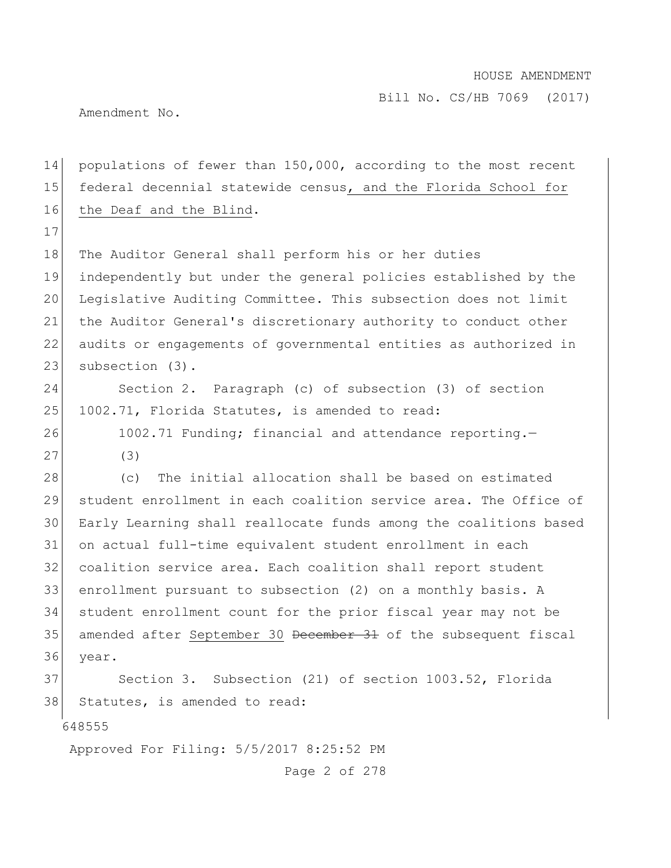Amendment No.

17

14 populations of fewer than 150,000, according to the most recent 15 federal decennial statewide census, and the Florida School for 16 the Deaf and the Blind.

18 The Auditor General shall perform his or her duties independently but under the general policies established by the Legislative Auditing Committee. This subsection does not limit the Auditor General's discretionary authority to conduct other audits or engagements of governmental entities as authorized in 23 subsection (3).

24 Section 2. Paragraph (c) of subsection (3) of section 25 1002.71, Florida Statutes, is amended to read:

26 1002.71 Funding; financial and attendance reporting. 27 (3)

28 (c) The initial allocation shall be based on estimated student enrollment in each coalition service area. The Office of Early Learning shall reallocate funds among the coalitions based on actual full-time equivalent student enrollment in each coalition service area. Each coalition shall report student enrollment pursuant to subsection (2) on a monthly basis. A student enrollment count for the prior fiscal year may not be 35 amended after September 30 December 31 of the subsequent fiscal 36 year.

37 Section 3. Subsection (21) of section 1003.52, Florida 38 Statutes, is amended to read:

648555

Approved For Filing: 5/5/2017 8:25:52 PM

Page 2 of 278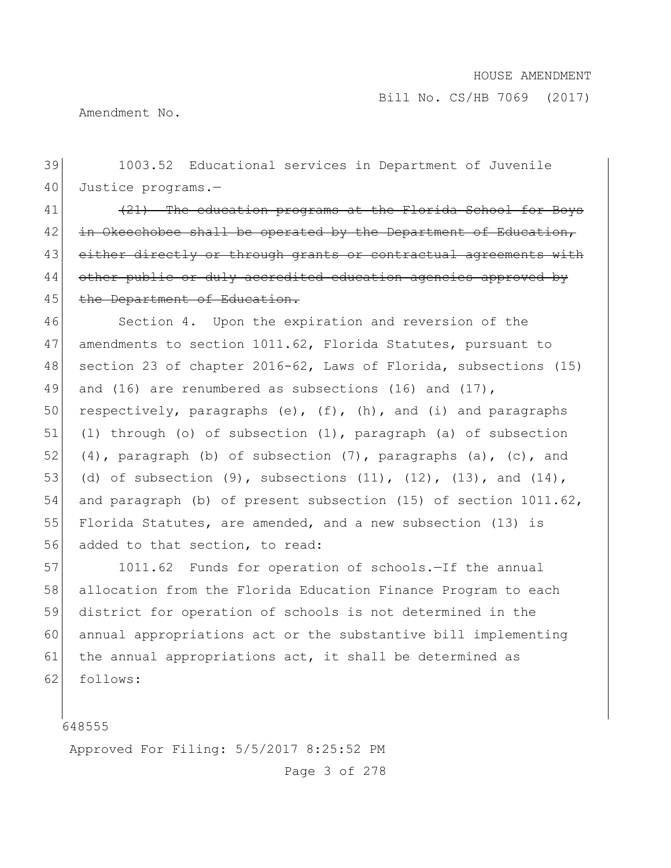Amendment No.

39 1003.52 Educational services in Department of Juvenile 40 Justice programs.—  $|41|$  (21) The education programs at the Florida School for Boys  $42$  in Okeechobee shall be operated by the Department of Education, 43 either directly or through grants or contractual agreements with 44 other public or duly accredited education agencies approved by 45 the Department of Education. 46 Section 4. Upon the expiration and reversion of the 47 amendments to section 1011.62, Florida Statutes, pursuant to 48 section 23 of chapter 2016-62, Laws of Florida, subsections (15) 49 and (16) are renumbered as subsections (16) and (17), 50 respectively, paragraphs (e),  $(f)$ ,  $(h)$ , and  $(i)$  and paragraphs 51 (l) through (o) of subsection (1), paragraph (a) of subsection 52 (4), paragraph (b) of subsection  $(7)$ , paragraphs (a), (c), and 53 (d) of subsection  $(9)$ , subsections  $(11)$ ,  $(12)$ ,  $(13)$ , and  $(14)$ , 54 and paragraph (b) of present subsection (15) of section 1011.62, 55 Florida Statutes, are amended, and a new subsection (13) is 56 added to that section, to read: 57 1011.62 Funds for operation of schools. - If the annual 58 allocation from the Florida Education Finance Program to each

59 district for operation of schools is not determined in the 60 annual appropriations act or the substantive bill implementing 61 the annual appropriations act, it shall be determined as 62 follows:

648555

Approved For Filing: 5/5/2017 8:25:52 PM

Page 3 of 278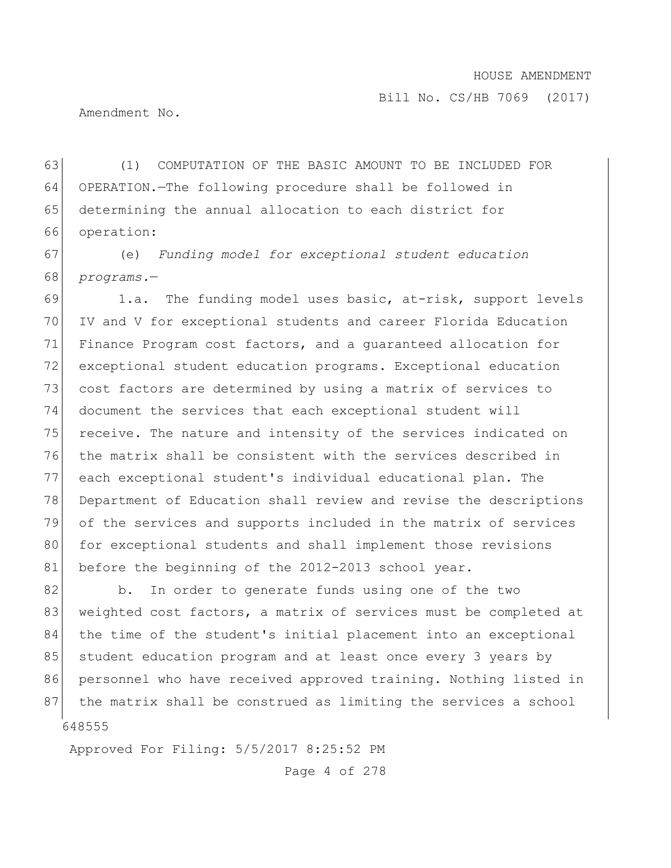Bill No. CS/HB 7069 (2017)

Amendment No.

 (1) COMPUTATION OF THE BASIC AMOUNT TO BE INCLUDED FOR OPERATION.—The following procedure shall be followed in determining the annual allocation to each district for operation:

67 (e) *Funding model for exceptional student education*  68 *programs.*—

69 1.a. The funding model uses basic, at-risk, support levels IV and V for exceptional students and career Florida Education Finance Program cost factors, and a guaranteed allocation for exceptional student education programs. Exceptional education 73 cost factors are determined by using a matrix of services to document the services that each exceptional student will 75 receive. The nature and intensity of the services indicated on the matrix shall be consistent with the services described in each exceptional student's individual educational plan. The Department of Education shall review and revise the descriptions of the services and supports included in the matrix of services 80 for exceptional students and shall implement those revisions 81 before the beginning of the 2012-2013 school year.

648555 82 b. In order to generate funds using one of the two 83 weighted cost factors, a matrix of services must be completed at 84 the time of the student's initial placement into an exceptional 85 student education program and at least once every 3 years by 86 personnel who have received approved training. Nothing listed in 87 the matrix shall be construed as limiting the services a school

Approved For Filing: 5/5/2017 8:25:52 PM

Page 4 of 278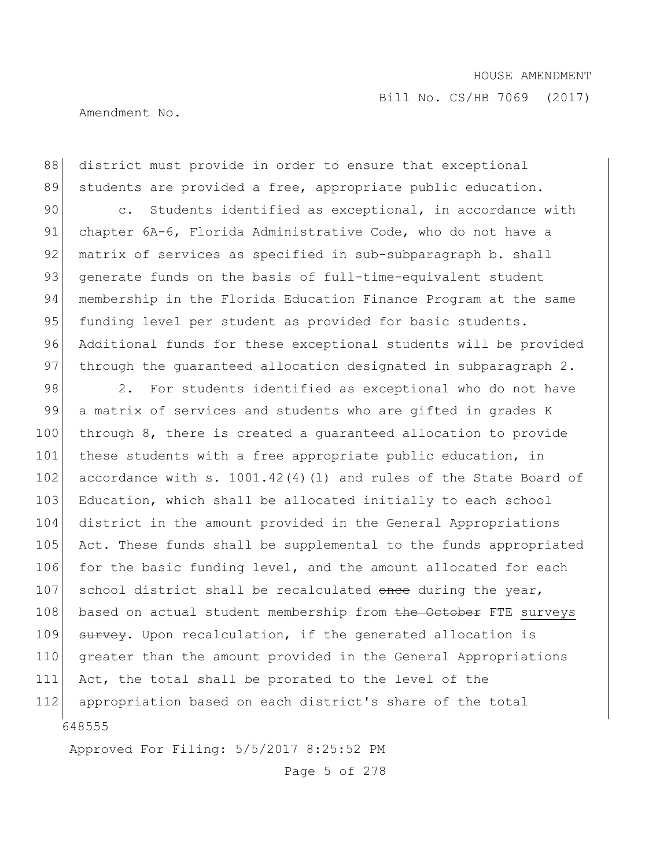Bill No. CS/HB 7069 (2017)

Amendment No.

88 district must provide in order to ensure that exceptional 89 students are provided a free, appropriate public education. 90 c. Students identified as exceptional, in accordance with 91 chapter 6A-6, Florida Administrative Code, who do not have a 92 matrix of services as specified in sub-subparagraph b. shall 93 generate funds on the basis of full-time-equivalent student 94 membership in the Florida Education Finance Program at the same 95 funding level per student as provided for basic students. 96 Additional funds for these exceptional students will be provided 97 through the quaranteed allocation designated in subparagraph 2.

648555 98 2. For students identified as exceptional who do not have 99 a matrix of services and students who are gifted in grades K 100 through 8, there is created a guaranteed allocation to provide 101 these students with a free appropriate public education, in 102 accordance with s. 1001.42(4)(1) and rules of the State Board of 103 Education, which shall be allocated initially to each school 104 district in the amount provided in the General Appropriations 105 Act. These funds shall be supplemental to the funds appropriated 106 for the basic funding level, and the amount allocated for each 107 school district shall be recalculated once during the year, 108 based on actual student membership from the October FTE surveys 109 survey. Upon recalculation, if the generated allocation is 110 greater than the amount provided in the General Appropriations 111 Act, the total shall be prorated to the level of the 112 appropriation based on each district's share of the total

Approved For Filing: 5/5/2017 8:25:52 PM

Page 5 of 278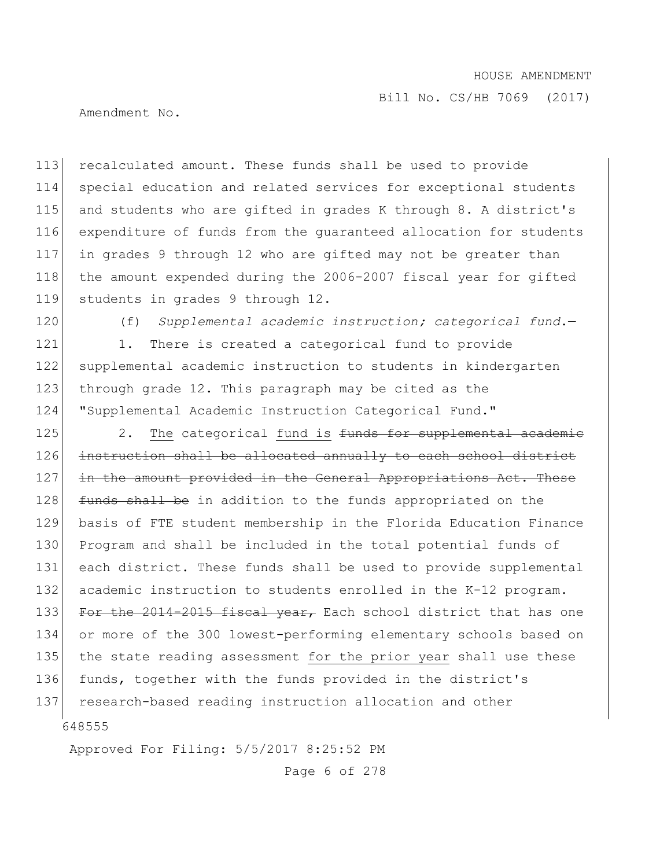Bill No. CS/HB 7069 (2017)

Amendment No.

 recalculated amount. These funds shall be used to provide special education and related services for exceptional students and students who are gifted in grades K through 8. A district's expenditure of funds from the guaranteed allocation for students in grades 9 through 12 who are gifted may not be greater than 118 | the amount expended during the 2006-2007 fiscal year for gifted 119 students in grades 9 through 12.

120 (f) *Supplemental academic instruction; categorical fund*.—

121 1. There is created a categorical fund to provide 122 supplemental academic instruction to students in kindergarten 123 through grade 12. This paragraph may be cited as the 124 "Supplemental Academic Instruction Categorical Fund."

648555 125 2. The categorical fund is funds for supplemental academic 126 instruction shall be allocated annually to each school district 127 in the amount provided in the General Appropriations Act. These 128 funds shall be in addition to the funds appropriated on the 129 basis of FTE student membership in the Florida Education Finance 130 Program and shall be included in the total potential funds of 131 each district. These funds shall be used to provide supplemental 132 academic instruction to students enrolled in the K-12 program. 133 For the 2014-2015 fiscal year, Each school district that has one 134 or more of the 300 lowest-performing elementary schools based on 135 the state reading assessment for the prior year shall use these 136 funds, together with the funds provided in the district's 137 research-based reading instruction allocation and other

Approved For Filing: 5/5/2017 8:25:52 PM

Page 6 of 278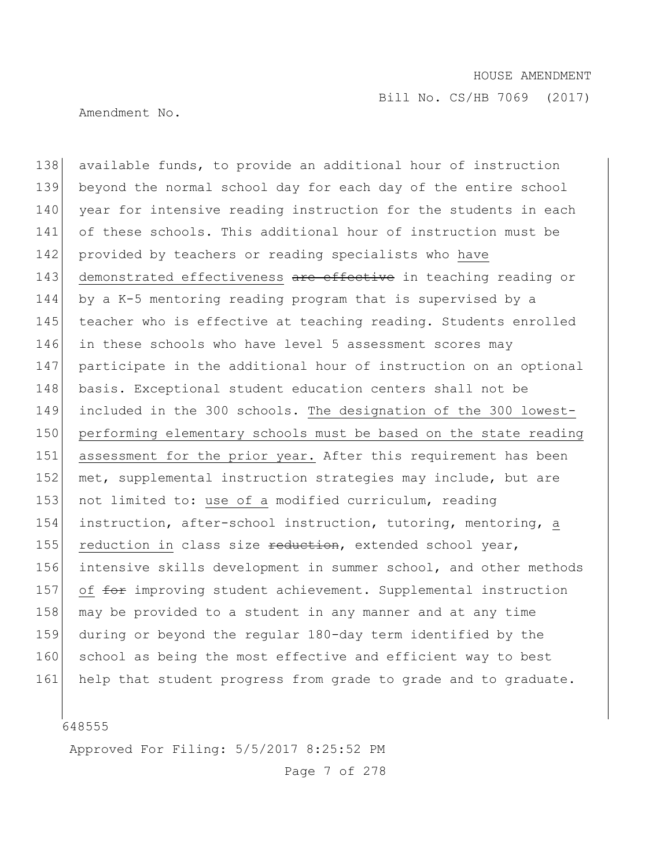Bill No. CS/HB 7069 (2017)

Amendment No.

138 available funds, to provide an additional hour of instruction 139 beyond the normal school day for each day of the entire school 140 year for intensive reading instruction for the students in each 141 of these schools. This additional hour of instruction must be 142 provided by teachers or reading specialists who have 143 demonstrated effectiveness are effective in teaching reading or 144 by a K-5 mentoring reading program that is supervised by a 145 teacher who is effective at teaching reading. Students enrolled 146 in these schools who have level 5 assessment scores may 147 participate in the additional hour of instruction on an optional 148 basis. Exceptional student education centers shall not be 149 included in the 300 schools. The designation of the 300 lowest-150 performing elementary schools must be based on the state reading 151 assessment for the prior year. After this requirement has been 152 met, supplemental instruction strategies may include, but are 153 not limited to: use of a modified curriculum, reading 154 instruction, after-school instruction, tutoring, mentoring, a 155 reduction in class size reduction, extended school year, 156 intensive skills development in summer school, and other methods 157 of for improving student achievement. Supplemental instruction 158 may be provided to a student in any manner and at any time 159 during or beyond the regular 180-day term identified by the 160 school as being the most effective and efficient way to best 161 help that student progress from grade to grade and to graduate.

648555

Approved For Filing: 5/5/2017 8:25:52 PM

Page 7 of 278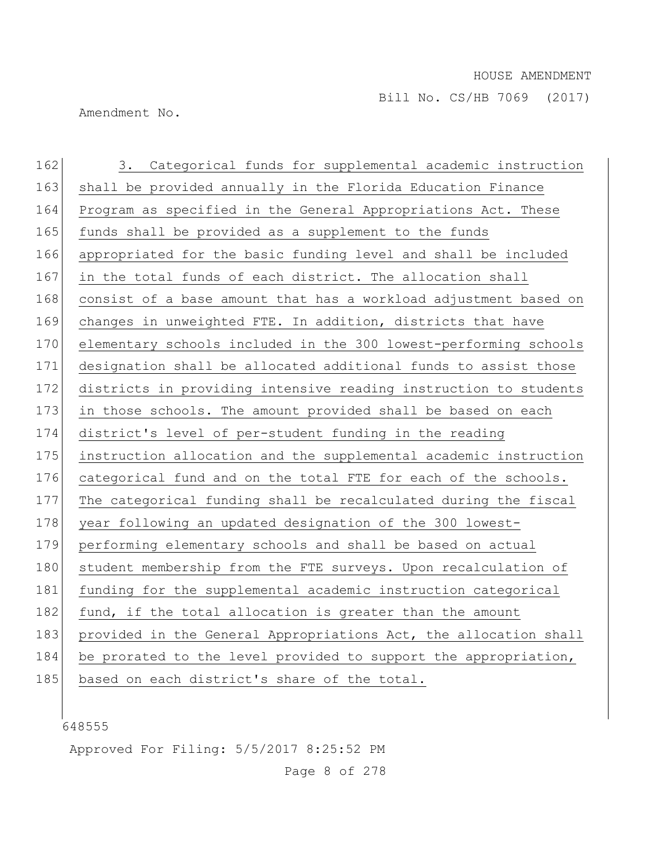Amendment No.

| 162 | Categorical funds for supplemental academic instruction<br>3.    |
|-----|------------------------------------------------------------------|
| 163 | shall be provided annually in the Florida Education Finance      |
| 164 | Program as specified in the General Appropriations Act. These    |
| 165 | funds shall be provided as a supplement to the funds             |
| 166 | appropriated for the basic funding level and shall be included   |
| 167 | in the total funds of each district. The allocation shall        |
| 168 | consist of a base amount that has a workload adjustment based on |
| 169 | changes in unweighted FTE. In addition, districts that have      |
| 170 | elementary schools included in the 300 lowest-performing schools |
| 171 | designation shall be allocated additional funds to assist those  |
| 172 | districts in providing intensive reading instruction to students |
| 173 | in those schools. The amount provided shall be based on each     |
| 174 | district's level of per-student funding in the reading           |
| 175 | instruction allocation and the supplemental academic instruction |
| 176 | categorical fund and on the total FTE for each of the schools.   |
| 177 | The categorical funding shall be recalculated during the fiscal  |
| 178 | year following an updated designation of the 300 lowest-         |
| 179 | performing elementary schools and shall be based on actual       |
| 180 | student membership from the FTE surveys. Upon recalculation of   |
| 181 | funding for the supplemental academic instruction categorical    |
| 182 | fund, if the total allocation is greater than the amount         |
| 183 | provided in the General Appropriations Act, the allocation shall |
| 184 | be prorated to the level provided to support the appropriation,  |
| 185 | based on each district's share of the total.                     |

Approved For Filing: 5/5/2017 8:25:52 PM

Page 8 of 278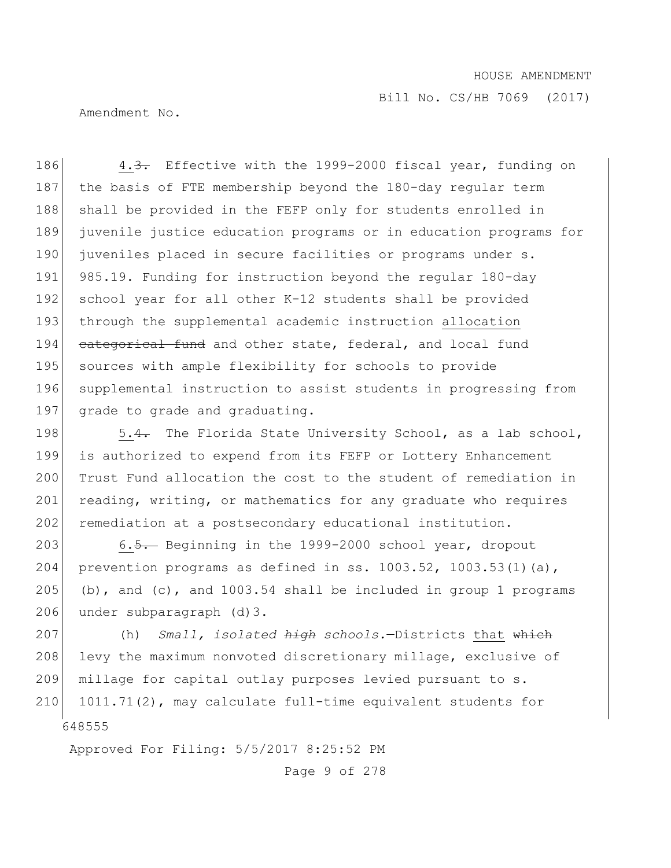Bill No. CS/HB 7069 (2017)

Amendment No.

186 4.3. Effective with the 1999-2000 fiscal year, funding on 187 the basis of FTE membership beyond the 180-day regular term 188 shall be provided in the FEFP only for students enrolled in 189 juvenile justice education programs or in education programs for 190 juveniles placed in secure facilities or programs under s. 191 985.19. Funding for instruction beyond the regular 180-day 192 school year for all other K-12 students shall be provided 193 through the supplemental academic instruction allocation 194 categorical fund and other state, federal, and local fund 195 sources with ample flexibility for schools to provide 196 supplemental instruction to assist students in progressing from 197 grade to grade and graduating.

198 5.4. The Florida State University School, as a lab school, 199 is authorized to expend from its FEFP or Lottery Enhancement 200 Trust Fund allocation the cost to the student of remediation in 201 reading, writing, or mathematics for any graduate who requires 202 remediation at a postsecondary educational institution.

203 6.5. Beginning in the 1999-2000 school year, dropout 204 prevention programs as defined in ss. 1003.52, 1003.53(1)(a), 205 (b), and (c), and  $1003.54$  shall be included in group 1 programs 206 under subparagraph (d) 3.

648555 207 (h) *Small, isolated high schools.*—Districts that which 208 levy the maximum nonvoted discretionary millage, exclusive of 209 millage for capital outlay purposes levied pursuant to s. 210 1011.71(2), may calculate full-time equivalent students for

Approved For Filing: 5/5/2017 8:25:52 PM

Page 9 of 278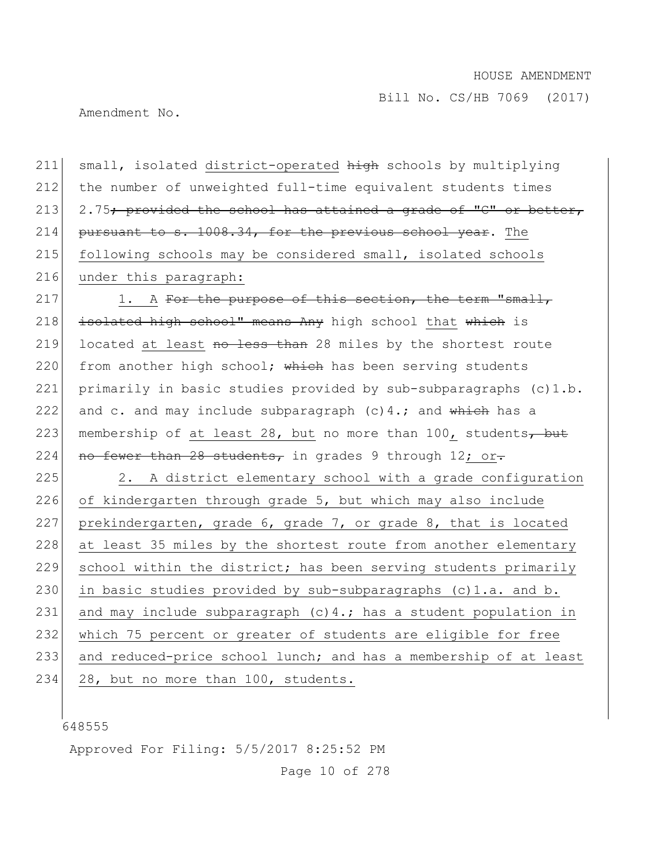Amendment No.

211 small, isolated district-operated high schools by multiplying 212 the number of unweighted full-time equivalent students times 213 2.75; provided the school has attained a grade of "C" or better, 214 pursuant to s.  $1008.34$ , for the previous school year. The 215 following schools may be considered small, isolated schools 216 under this paragraph: 217 1. A For the purpose of this section, the term "small, 218 isolated high school" means Any high school that which is 219 located at least no less than 28 miles by the shortest route 220 from another high school; which has been serving students 221 primarily in basic studies provided by sub-subparagraphs (c)1.b. 222 and c. and may include subparagraph  $(c)$  4.; and which has a

223 membership of at least 28, but no more than 100, students $\frac{1}{2}$ 224 no fewer than 28 students, in grades 9 through 12; or.

 $225$  2. A district elementary school with a grade configuration 226 of kindergarten through grade 5, but which may also include 227 prekindergarten, grade 6, grade 7, or grade 8, that is located 228 at least 35 miles by the shortest route from another elementary 229 school within the district; has been serving students primarily 230 in basic studies provided by sub-subparagraphs  $(c)$ 1.a. and b. 231 and may include subparagraph (c) 4.; has a student population in 232 which 75 percent or greater of students are eligible for free 233 and reduced-price school lunch; and has a membership of at least 234 28, but no more than 100, students.

648555

Approved For Filing: 5/5/2017 8:25:52 PM

Page 10 of 278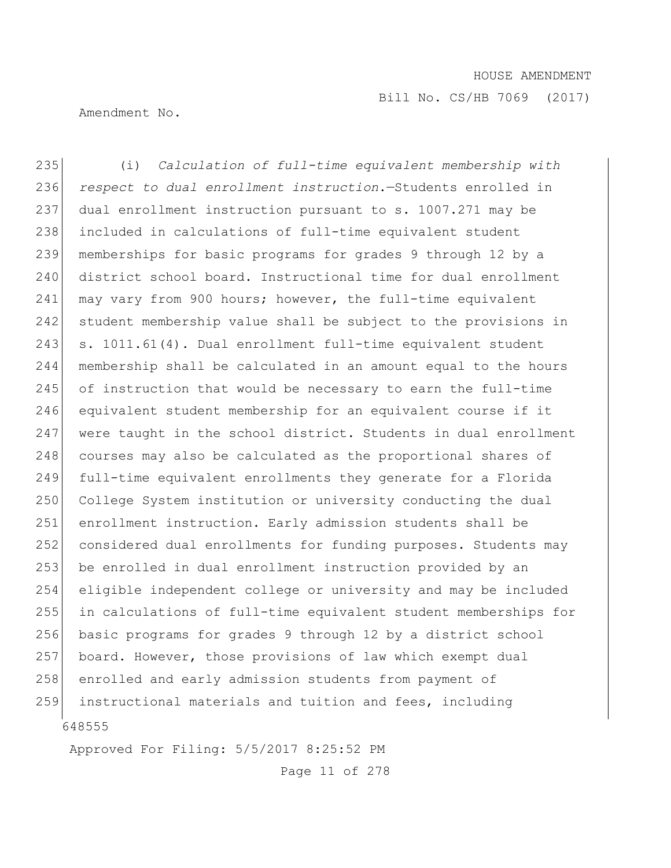Amendment No.

648555 235 (i) *Calculation of full-time equivalent membership with*  236 *respect to dual enrollment instruction*.—Students enrolled in 237 dual enrollment instruction pursuant to s. 1007.271 may be 238 included in calculations of full-time equivalent student 239 memberships for basic programs for grades 9 through 12 by a 240 district school board. Instructional time for dual enrollment 241 may vary from 900 hours; however, the full-time equivalent 242 student membership value shall be subject to the provisions in 243 s. 1011.61(4). Dual enrollment full-time equivalent student 244 membership shall be calculated in an amount equal to the hours  $245$  of instruction that would be necessary to earn the full-time 246 equivalent student membership for an equivalent course if it 247 were taught in the school district. Students in dual enrollment 248 courses may also be calculated as the proportional shares of 249 full-time equivalent enrollments they generate for a Florida 250 College System institution or university conducting the dual 251 enrollment instruction. Early admission students shall be 252 considered dual enrollments for funding purposes. Students may 253 be enrolled in dual enrollment instruction provided by an 254 eligible independent college or university and may be included 255 in calculations of full-time equivalent student memberships for 256 basic programs for grades 9 through 12 by a district school 257 board. However, those provisions of law which exempt dual 258 enrolled and early admission students from payment of 259 instructional materials and tuition and fees, including

Approved For Filing: 5/5/2017 8:25:52 PM

Page 11 of 278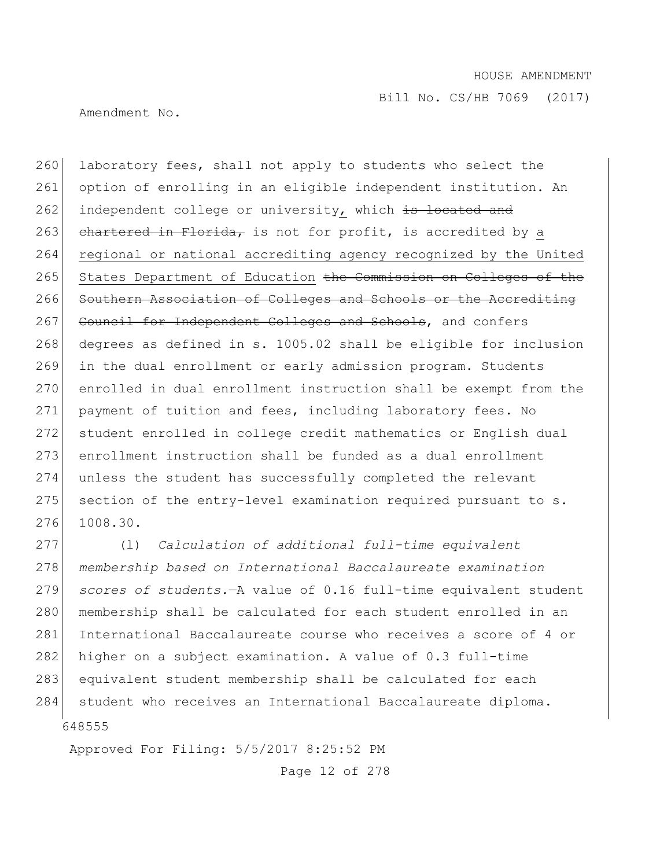Amendment No.

260 laboratory fees, shall not apply to students who select the 261 option of enrolling in an eligible independent institution. An 262 independent college or university, which is located and 263 chartered in Florida, is not for profit, is accredited by a 264 regional or national accrediting agency recognized by the United 265 States Department of Education the Commission on Colleges of the 266 Southern Association of Colleges and Schools or the Accrediting 267 Council for Independent Colleges and Schools, and confers 268 degrees as defined in s. 1005.02 shall be eligible for inclusion 269 in the dual enrollment or early admission program. Students 270 enrolled in dual enrollment instruction shall be exempt from the 271 payment of tuition and fees, including laboratory fees. No 272 student enrolled in college credit mathematics or English dual 273 enrollment instruction shall be funded as a dual enrollment 274 unless the student has successfully completed the relevant  $275$  section of the entry-level examination required pursuant to s. 276 1008.30.

648555 277 (l) *Calculation of additional full-time equivalent*  278 *membership based on International Baccalaureate examination*  279 *scores of students.*—A value of 0.16 full-time equivalent student 280 membership shall be calculated for each student enrolled in an 281 International Baccalaureate course who receives a score of 4 or 282 higher on a subject examination. A value of 0.3 full-time 283 equivalent student membership shall be calculated for each 284 student who receives an International Baccalaureate diploma.

Approved For Filing: 5/5/2017 8:25:52 PM

Page 12 of 278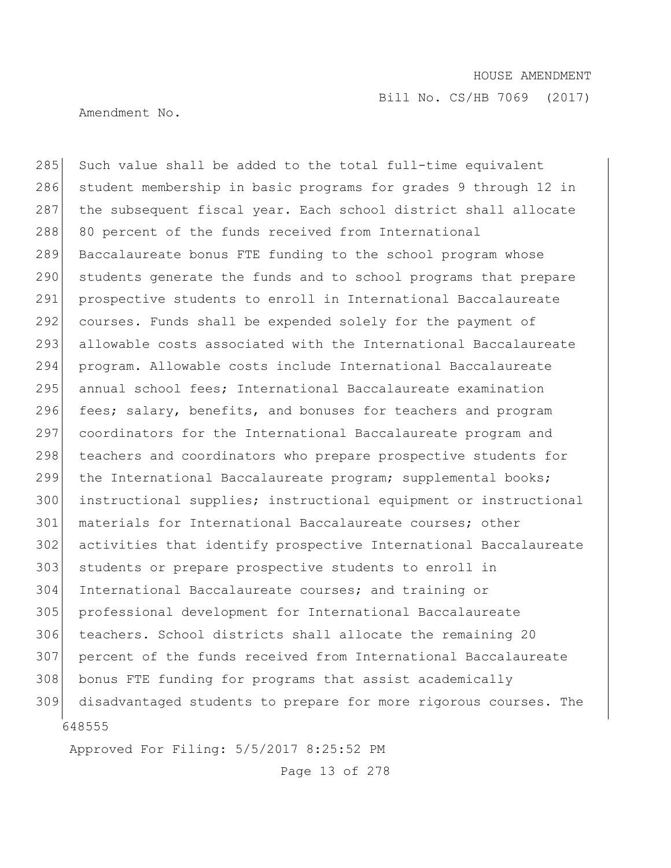Amendment No.

648555 285 Such value shall be added to the total full-time equivalent 286 student membership in basic programs for grades 9 through 12 in 287 the subsequent fiscal year. Each school district shall allocate 288 80 percent of the funds received from International 289 Baccalaureate bonus FTE funding to the school program whose 290 students generate the funds and to school programs that prepare 291 prospective students to enroll in International Baccalaureate 292 courses. Funds shall be expended solely for the payment of 293 allowable costs associated with the International Baccalaureate 294 program. Allowable costs include International Baccalaureate 295 annual school fees; International Baccalaureate examination 296 fees; salary, benefits, and bonuses for teachers and program 297 coordinators for the International Baccalaureate program and 298 teachers and coordinators who prepare prospective students for 299 the International Baccalaureate program; supplemental books; 300 instructional supplies; instructional equipment or instructional 301 materials for International Baccalaureate courses; other 302 activities that identify prospective International Baccalaureate 303 students or prepare prospective students to enroll in 304 International Baccalaureate courses; and training or 305 professional development for International Baccalaureate 306 teachers. School districts shall allocate the remaining 20 307 percent of the funds received from International Baccalaureate 308 bonus FTE funding for programs that assist academically 309 disadvantaged students to prepare for more rigorous courses. The

Approved For Filing: 5/5/2017 8:25:52 PM

Page 13 of 278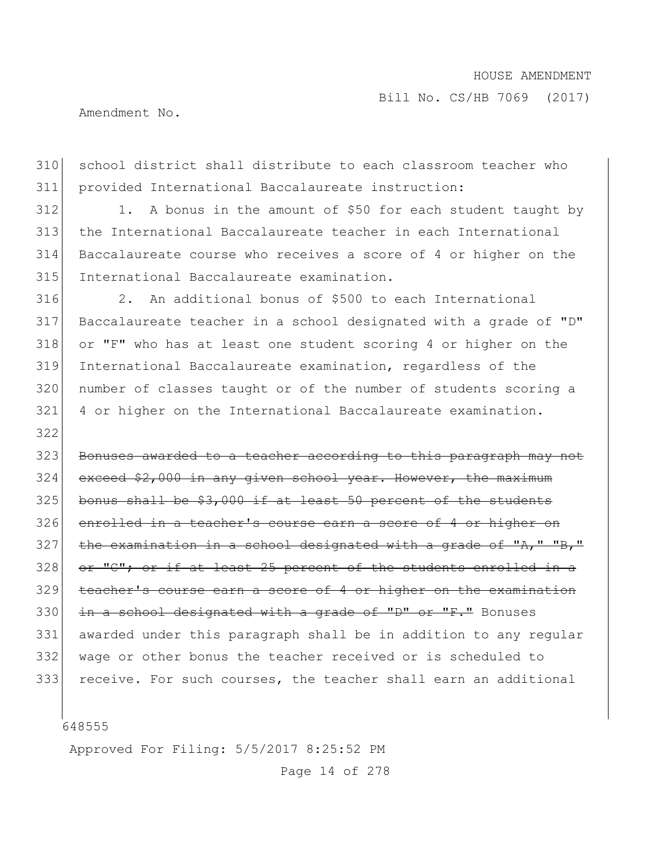Amendment No.

310 school district shall distribute to each classroom teacher who provided International Baccalaureate instruction:

312 1. A bonus in the amount of \$50 for each student taught by the International Baccalaureate teacher in each International Baccalaureate course who receives a score of 4 or higher on the 315 International Baccalaureate examination.

 2. An additional bonus of \$500 to each International Baccalaureate teacher in a school designated with a grade of "D" or "F" who has at least one student scoring 4 or higher on the International Baccalaureate examination, regardless of the number of classes taught or of the number of students scoring a 4 or higher on the International Baccalaureate examination.

 Bonuses awarded to a teacher according to this paragraph may not exceed \$2,000 in any given school year. However, the maximum bonus shall be  $$3,000$  if at least 50 percent of the students 326 enrolled in a teacher's course earn a score of 4 or higher the examination in a school designated with a grade of "A," "B," or "C"; or if at least 25 percent of the students enrolled in a teacher's course earn a score of 4 or higher on the examination  $\frac{1}{2}$  in a school designated with a grade of "D" or "F." Bonuses awarded under this paragraph shall be in addition to any regular 332 | wage or other bonus the teacher received or is scheduled to receive. For such courses, the teacher shall earn an additional

Approved For Filing: 5/5/2017 8:25:52 PM

Page 14 of 278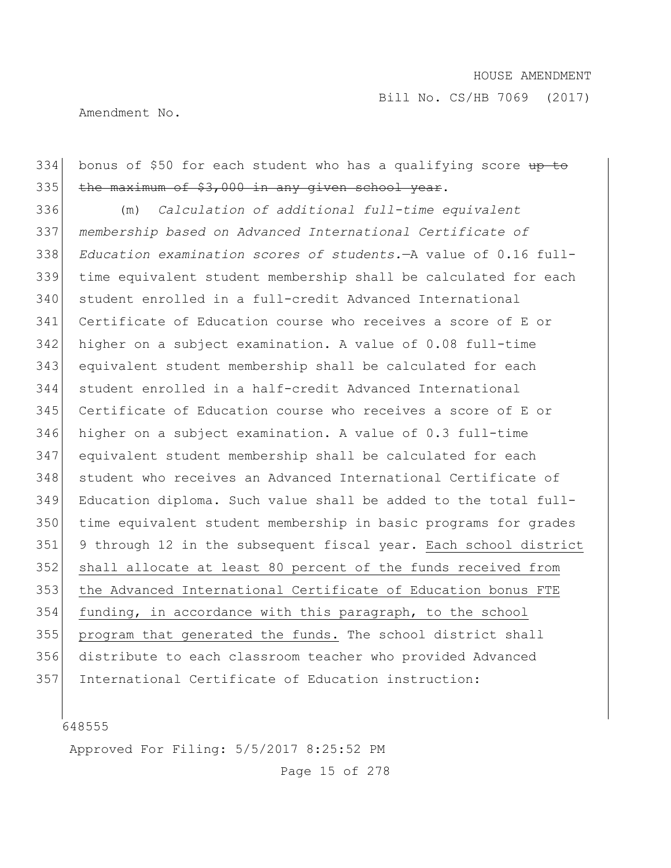Bill No. CS/HB 7069 (2017)

Amendment No.

334 bonus of \$50 for each student who has a qualifying score up to the maximum of \$3,000 in any given school year. (m) *Calculation of additional full-time equivalent membership based on Advanced International Certificate of Education examination scores of students.*—A value of 0.16 full- time equivalent student membership shall be calculated for each student enrolled in a full-credit Advanced International Certificate of Education course who receives a score of E or higher on a subject examination. A value of 0.08 full-time equivalent student membership shall be calculated for each student enrolled in a half-credit Advanced International Certificate of Education course who receives a score of E or higher on a subject examination. A value of 0.3 full-time equivalent student membership shall be calculated for each student who receives an Advanced International Certificate of

 Education diploma. Such value shall be added to the total full- time equivalent student membership in basic programs for grades 9 through 12 in the subsequent fiscal year. Each school district shall allocate at least 80 percent of the funds received from the Advanced International Certificate of Education bonus FTE funding, in accordance with this paragraph, to the school program that generated the funds. The school district shall distribute to each classroom teacher who provided Advanced

International Certificate of Education instruction:

Approved For Filing: 5/5/2017 8:25:52 PM

Page 15 of 278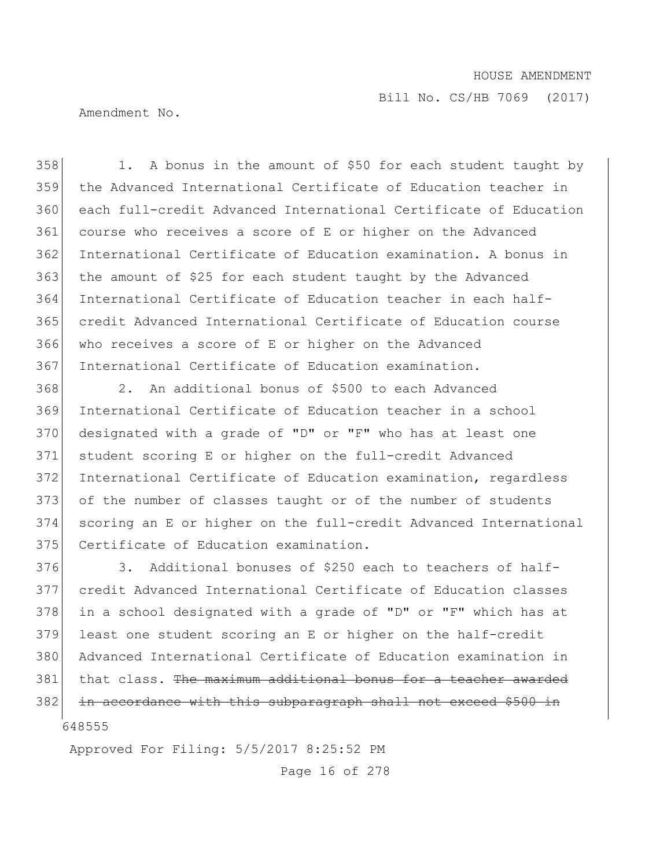Bill No. CS/HB 7069 (2017)

Amendment No.

358 1. A bonus in the amount of \$50 for each student taught by the Advanced International Certificate of Education teacher in each full-credit Advanced International Certificate of Education course who receives a score of E or higher on the Advanced International Certificate of Education examination. A bonus in 363 the amount of \$25 for each student taught by the Advanced International Certificate of Education teacher in each half- credit Advanced International Certificate of Education course who receives a score of E or higher on the Advanced International Certificate of Education examination.

 2. An additional bonus of \$500 to each Advanced International Certificate of Education teacher in a school designated with a grade of "D" or "F" who has at least one student scoring E or higher on the full-credit Advanced 372 International Certificate of Education examination, regardless 373 of the number of classes taught or of the number of students scoring an E or higher on the full-credit Advanced International 375 Certificate of Education examination.

 3. Additional bonuses of \$250 each to teachers of half- credit Advanced International Certificate of Education classes 378 in a school designated with a grade of "D" or "F" which has at least one student scoring an E or higher on the half-credit Advanced International Certificate of Education examination in that class. The maximum additional bonus for a teacher awarded 382 in accordance with this subparagraph shall not exceed \$500 in

Approved For Filing: 5/5/2017 8:25:52 PM

Page 16 of 278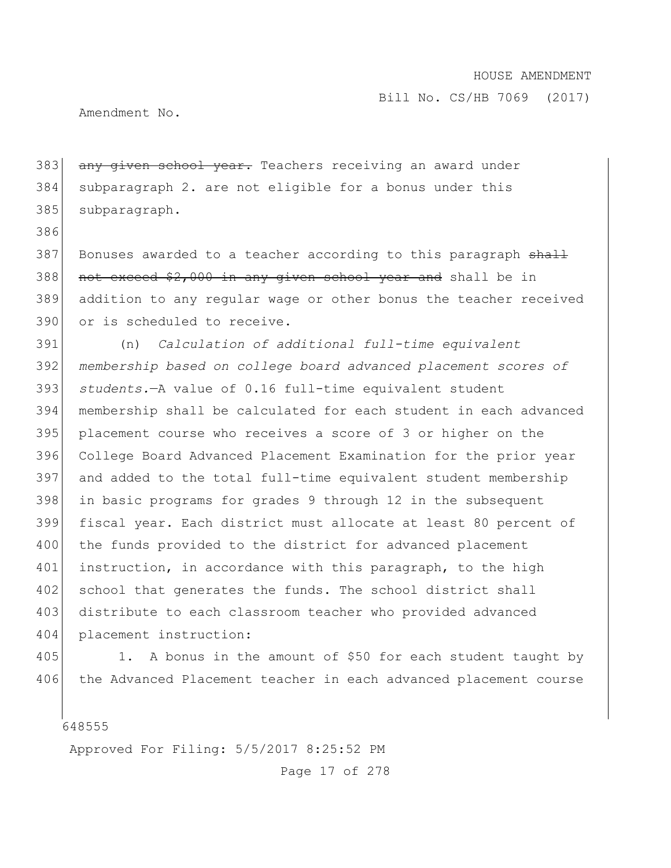Amendment No.

386

383 any given school year. Teachers receiving an award under 384 subparagraph 2. are not eligible for a bonus under this 385 subparagraph.

387 Bonuses awarded to a teacher according to this paragraph shall 388 not exceed \$2,000 in any given school year and shall be in 389 addition to any regular wage or other bonus the teacher received 390 or is scheduled to receive.

 (n) *Calculation of additional full-time equivalent membership based on college board advanced placement scores of students.*—A value of 0.16 full-time equivalent student membership shall be calculated for each student in each advanced placement course who receives a score of 3 or higher on the College Board Advanced Placement Examination for the prior year and added to the total full-time equivalent student membership 398 in basic programs for grades 9 through 12 in the subsequent fiscal year. Each district must allocate at least 80 percent of 400 the funds provided to the district for advanced placement 401 instruction, in accordance with this paragraph, to the high 402 school that generates the funds. The school district shall 403 distribute to each classroom teacher who provided advanced placement instruction:

405 1. A bonus in the amount of \$50 for each student taught by 406 the Advanced Placement teacher in each advanced placement course

648555

Approved For Filing: 5/5/2017 8:25:52 PM

Page 17 of 278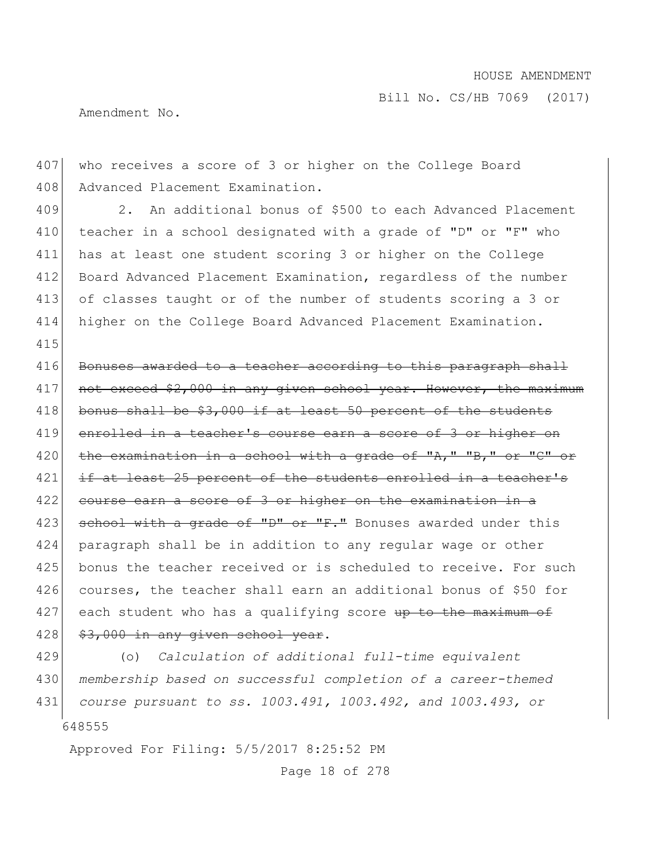Amendment No.

407 who receives a score of 3 or higher on the College Board 408 Advanced Placement Examination.

409 2. An additional bonus of \$500 to each Advanced Placement 410 teacher in a school designated with a grade of "D" or "F" who 411 has at least one student scoring 3 or higher on the College 412 Board Advanced Placement Examination, regardless of the number 413 of classes taught or of the number of students scoring a 3 or 414 higher on the College Board Advanced Placement Examination. 415

416 Bonuses awarded to a teacher according to this paragraph shall 417 not exceed \$2,000 in any given school year. However, the maximum 418 bonus shall be \$3,000 if at least 50 percent of the students 419 enrolled in a teacher's course earn a score of 3 or higher on 420 the examination in a school with a grade of " $\lambda$ ," "B," or "C" or  $421$  if at least 25 percent of the students enrolled in a teacher's 422 course earn a score of 3 or higher on the examination in a 423 school with a grade of "D" or "F." Bonuses awarded under this 424 paragraph shall be in addition to any regular wage or other 425 bonus the teacher received or is scheduled to receive. For such 426 courses, the teacher shall earn an additional bonus of \$50 for  $427$  each student who has a qualifying score up to the maximum of  $428$   $$3,000$  in any given school year.

648555 (o) *Calculation of additional full-time equivalent membership based on successful completion of a career-themed course pursuant to ss. 1003.491, 1003.492, and 1003.493, or* 

Approved For Filing: 5/5/2017 8:25:52 PM

Page 18 of 278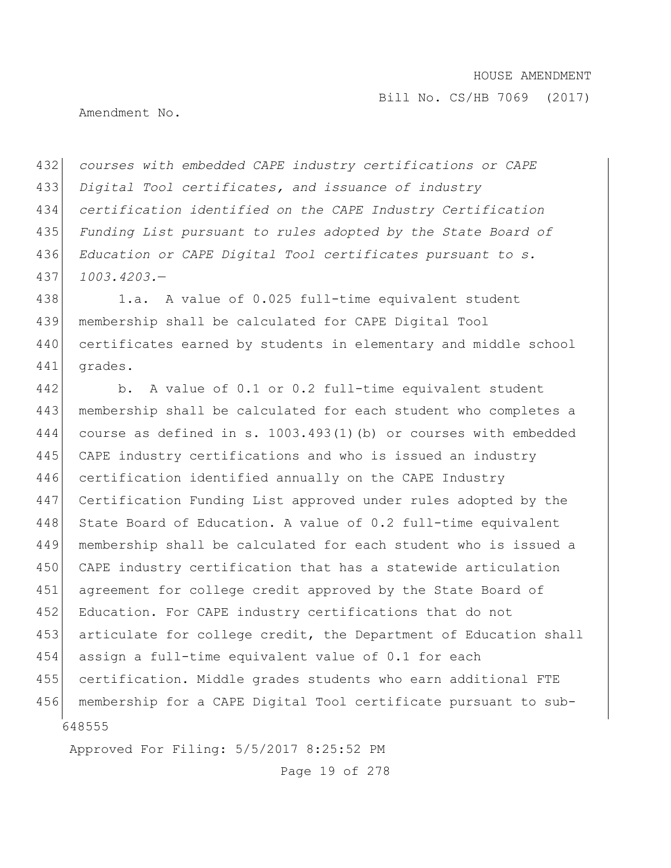Amendment No.

 *courses with embedded CAPE industry certifications or CAPE Digital Tool certificates, and issuance of industry certification identified on the CAPE Industry Certification Funding List pursuant to rules adopted by the State Board of Education or CAPE Digital Tool certificates pursuant to s. 1003.4203.*—

438 1.a. A value of 0.025 full-time equivalent student 439 membership shall be calculated for CAPE Digital Tool 440 certificates earned by students in elementary and middle school 441 grades.

648555 442 b. A value of 0.1 or 0.2 full-time equivalent student 443 membership shall be calculated for each student who completes a 444 course as defined in s. 1003.493(1)(b) or courses with embedded 445 CAPE industry certifications and who is issued an industry 446 certification identified annually on the CAPE Industry 447 Certification Funding List approved under rules adopted by the 448 State Board of Education. A value of 0.2 full-time equivalent 449 membership shall be calculated for each student who is issued a 450 CAPE industry certification that has a statewide articulation 451 agreement for college credit approved by the State Board of 452 Education. For CAPE industry certifications that do not 453 articulate for college credit, the Department of Education shall 454 assign a full-time equivalent value of 0.1 for each 455 certification. Middle grades students who earn additional FTE 456 membership for a CAPE Digital Tool certificate pursuant to sub-

Approved For Filing: 5/5/2017 8:25:52 PM

Page 19 of 278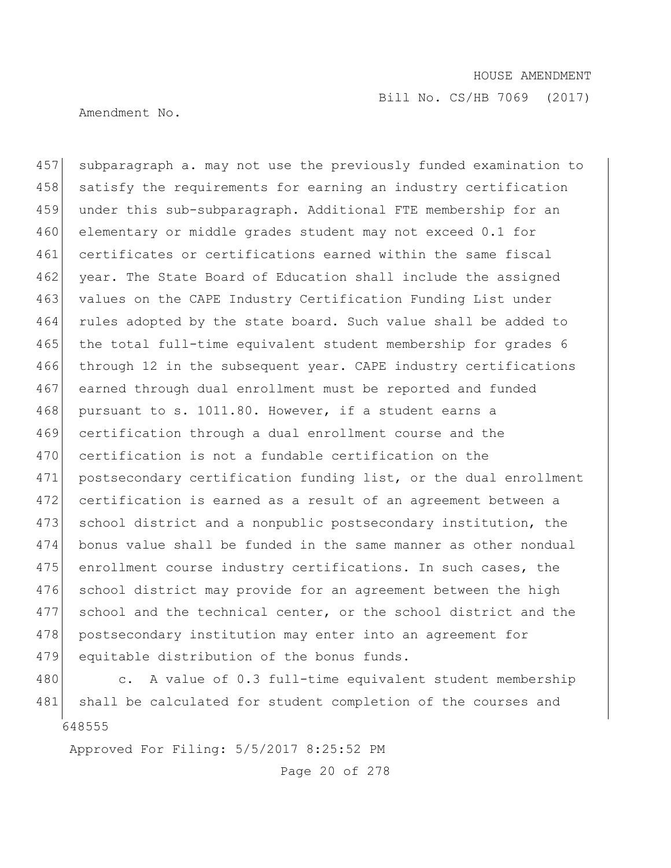Bill No. CS/HB 7069 (2017)

Amendment No.

457 subparagraph a. may not use the previously funded examination to 458 satisfy the requirements for earning an industry certification 459 under this sub-subparagraph. Additional FTE membership for an 460 elementary or middle grades student may not exceed 0.1 for 461 certificates or certifications earned within the same fiscal 462 year. The State Board of Education shall include the assigned 463 values on the CAPE Industry Certification Funding List under 464 rules adopted by the state board. Such value shall be added to 465 the total full-time equivalent student membership for grades 6 466 through 12 in the subsequent year. CAPE industry certifications 467 earned through dual enrollment must be reported and funded 468 pursuant to s. 1011.80. However, if a student earns a 469 certification through a dual enrollment course and the 470 certification is not a fundable certification on the 471 postsecondary certification funding list, or the dual enrollment 472 certification is earned as a result of an agreement between a 473 school district and a nonpublic postsecondary institution, the 474 bonus value shall be funded in the same manner as other nondual 475 enrollment course industry certifications. In such cases, the 476 school district may provide for an agreement between the high 477 school and the technical center, or the school district and the 478 postsecondary institution may enter into an agreement for 479 equitable distribution of the bonus funds.

648555 480 c. A value of 0.3 full-time equivalent student membership 481 shall be calculated for student completion of the courses and

Approved For Filing: 5/5/2017 8:25:52 PM

Page 20 of 278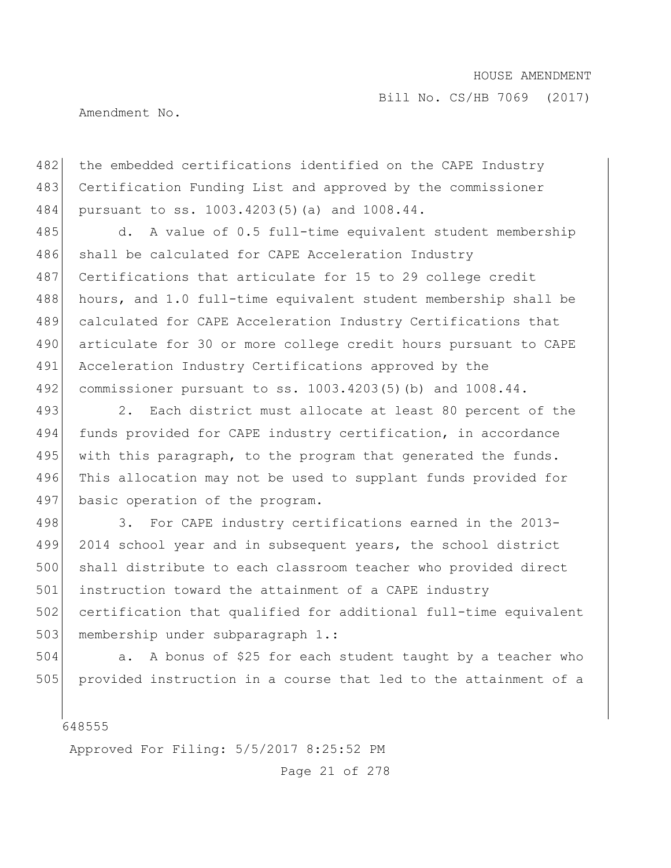Bill No. CS/HB 7069 (2017)

Amendment No.

482 the embedded certifications identified on the CAPE Industry 483 Certification Funding List and approved by the commissioner 484 pursuant to ss. 1003.4203(5)(a) and 1008.44.

485 d. A value of 0.5 full-time equivalent student membership 486 shall be calculated for CAPE Acceleration Industry 487 Certifications that articulate for 15 to 29 college credit 488 hours, and 1.0 full-time equivalent student membership shall be 489 calculated for CAPE Acceleration Industry Certifications that 490 articulate for 30 or more college credit hours pursuant to CAPE 491 Acceleration Industry Certifications approved by the 492 commissioner pursuant to ss. 1003.4203(5)(b) and 1008.44.

493 2. Each district must allocate at least 80 percent of the 494 funds provided for CAPE industry certification, in accordance 495 with this paragraph, to the program that generated the funds. 496 This allocation may not be used to supplant funds provided for 497 basic operation of the program.

498 3. For CAPE industry certifications earned in the 2013-499 2014 school year and in subsequent years, the school district 500 shall distribute to each classroom teacher who provided direct 501 instruction toward the attainment of a CAPE industry 502 certification that qualified for additional full-time equivalent 503 membership under subparagraph 1.:

504 a. A bonus of \$25 for each student taught by a teacher who 505 provided instruction in a course that led to the attainment of a

648555

Approved For Filing: 5/5/2017 8:25:52 PM

Page 21 of 278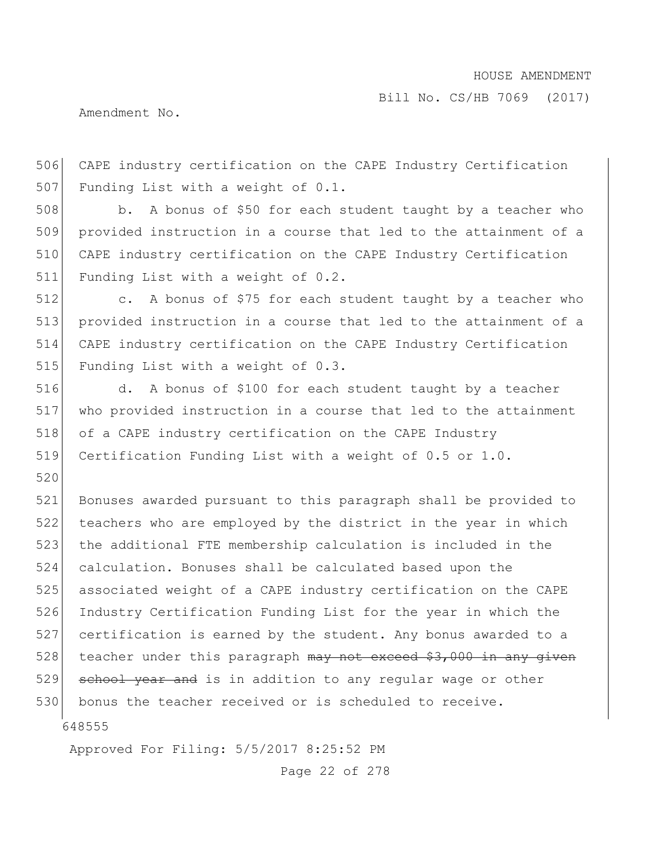Amendment No.

506 CAPE industry certification on the CAPE Industry Certification 507 Funding List with a weight of 0.1.

508 b. A bonus of \$50 for each student taught by a teacher who provided instruction in a course that led to the attainment of a CAPE industry certification on the CAPE Industry Certification Funding List with a weight of 0.2.

512 c. A bonus of \$75 for each student taught by a teacher who 513 provided instruction in a course that led to the attainment of a 514 CAPE industry certification on the CAPE Industry Certification 515 Funding List with a weight of 0.3.

 d. A bonus of \$100 for each student taught by a teacher who provided instruction in a course that led to the attainment 518 of a CAPE industry certification on the CAPE Industry Certification Funding List with a weight of 0.5 or 1.0.

521 Bonuses awarded pursuant to this paragraph shall be provided to 522 teachers who are employed by the district in the year in which 523 the additional FTE membership calculation is included in the 524 calculation. Bonuses shall be calculated based upon the 525 associated weight of a CAPE industry certification on the CAPE 526 Industry Certification Funding List for the year in which the 527 certification is earned by the student. Any bonus awarded to a 528 teacher under this paragraph  $\frac{m}{w}$  not exceed \$3,000 in any given 529 school year and is in addition to any regular wage or other 530 bonus the teacher received or is scheduled to receive.

648555

520

Approved For Filing: 5/5/2017 8:25:52 PM

Page 22 of 278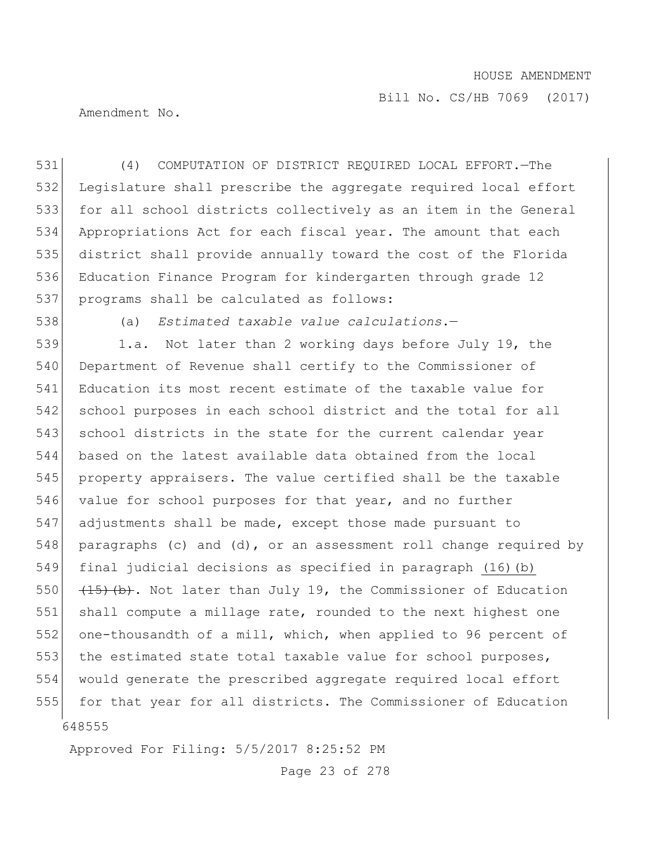Bill No. CS/HB 7069 (2017)

Amendment No.

 (4) COMPUTATION OF DISTRICT REQUIRED LOCAL EFFORT.—The Legislature shall prescribe the aggregate required local effort 533 for all school districts collectively as an item in the General Appropriations Act for each fiscal year. The amount that each district shall provide annually toward the cost of the Florida Education Finance Program for kindergarten through grade 12 programs shall be calculated as follows:

538 (a) *Estimated taxable value calculations*.—

648555 539 1.a. Not later than 2 working days before July 19, the 540 Department of Revenue shall certify to the Commissioner of 541 Education its most recent estimate of the taxable value for 542 school purposes in each school district and the total for all 543 school districts in the state for the current calendar year 544 based on the latest available data obtained from the local 545 property appraisers. The value certified shall be the taxable 546 value for school purposes for that year, and no further 547 adjustments shall be made, except those made pursuant to 548 paragraphs (c) and (d), or an assessment roll change required by 549 final judicial decisions as specified in paragraph (16)(b) 550  $(15)$  (b). Not later than July 19, the Commissioner of Education 551 shall compute a millage rate, rounded to the next highest one 552 one-thousandth of a mill, which, when applied to 96 percent of 553 the estimated state total taxable value for school purposes, 554 would generate the prescribed aggregate required local effort 555 for that year for all districts. The Commissioner of Education

Approved For Filing: 5/5/2017 8:25:52 PM

Page 23 of 278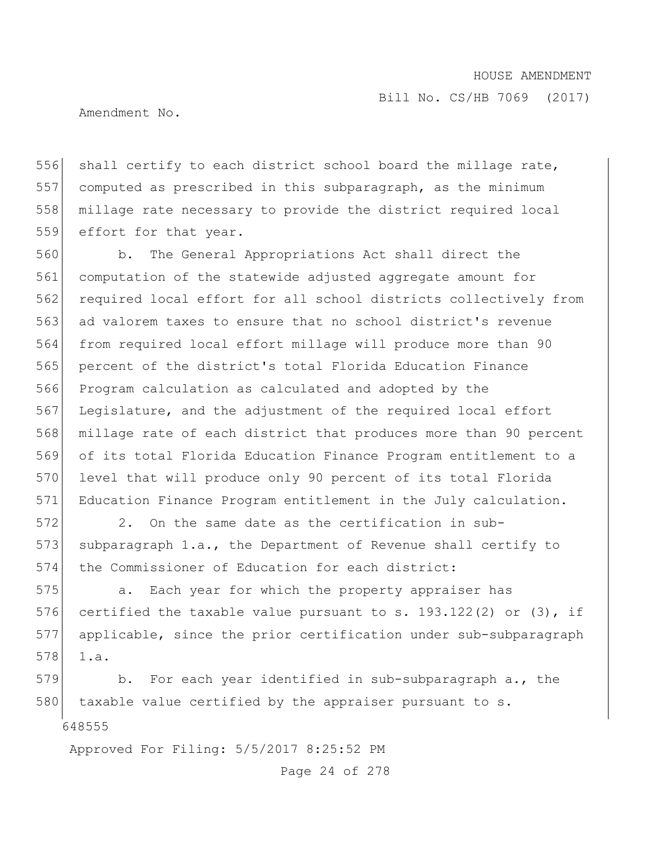Amendment No.

556 shall certify to each district school board the millage rate, 557 computed as prescribed in this subparagraph, as the minimum 558 millage rate necessary to provide the district required local 559 effort for that year.

560 b. The General Appropriations Act shall direct the 561 computation of the statewide adjusted aggregate amount for 562 required local effort for all school districts collectively from 563 ad valorem taxes to ensure that no school district's revenue 564 from required local effort millage will produce more than 90 565 percent of the district's total Florida Education Finance 566 Program calculation as calculated and adopted by the 567 Legislature, and the adjustment of the required local effort 568 millage rate of each district that produces more than 90 percent 569 of its total Florida Education Finance Program entitlement to a 570 level that will produce only 90 percent of its total Florida 571 Education Finance Program entitlement in the July calculation.

572 2. On the same date as the certification in sub-573 subparagraph 1.a., the Department of Revenue shall certify to 574 the Commissioner of Education for each district:

575 **a.** Each year for which the property appraiser has 576 certified the taxable value pursuant to s. 193.122(2) or (3), if 577 applicable, since the prior certification under sub-subparagraph  $578$  1.a.

648555 579 b. For each year identified in sub-subparagraph a., the 580 taxable value certified by the appraiser pursuant to s.

Approved For Filing: 5/5/2017 8:25:52 PM

Page 24 of 278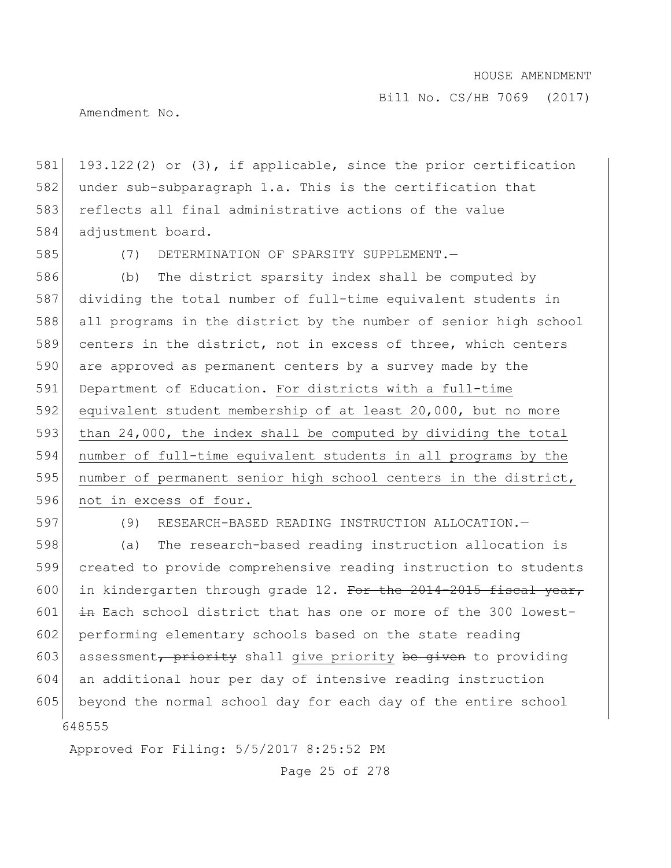Amendment No.

581 193.122(2) or (3), if applicable, since the prior certification 582 under sub-subparagraph 1.a. This is the certification that 583 reflects all final administrative actions of the value 584 adjustment board.

585 (7) DETERMINATION OF SPARSITY SUPPLEMENT.—

586 (b) The district sparsity index shall be computed by 587 dividing the total number of full-time equivalent students in 588 all programs in the district by the number of senior high school 589 centers in the district, not in excess of three, which centers 590 are approved as permanent centers by a survey made by the 591 Department of Education. For districts with a full-time 592 equivalent student membership of at least 20,000, but no more 593 than 24,000, the index shall be computed by dividing the total 594 number of full-time equivalent students in all programs by the 595 number of permanent senior high school centers in the district, 596 not in excess of four.

597 (9) RESEARCH-BASED READING INSTRUCTION ALLOCATION.—

648555 598 (a) The research-based reading instruction allocation is 599 created to provide comprehensive reading instruction to students 600 in kindergarten through grade 12. For the  $2014-2015$  fiscal year, 601  $\frac{1}{10}$  in Each school district that has one or more of the 300 lowest-602 performing elementary schools based on the state reading 603 assessment, priority shall give priority be given to providing 604 an additional hour per day of intensive reading instruction 605 beyond the normal school day for each day of the entire school

Approved For Filing: 5/5/2017 8:25:52 PM

Page 25 of 278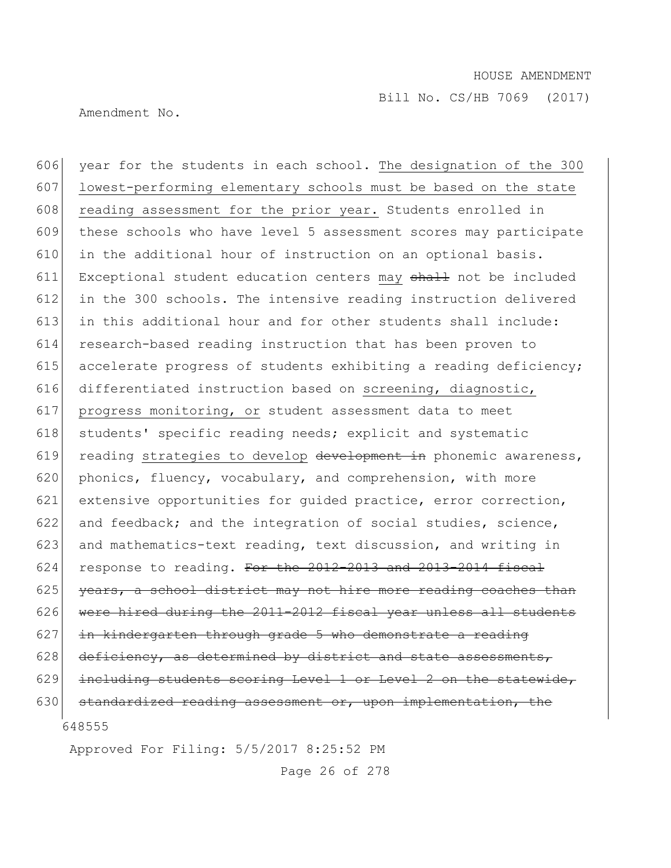Amendment No.

648555 606 year for the students in each school. The designation of the 300 607 lowest-performing elementary schools must be based on the state 608 reading assessment for the prior year. Students enrolled in 609 these schools who have level 5 assessment scores may participate  $610$  in the additional hour of instruction on an optional basis. 611 Exceptional student education centers may shall not be included 612 in the 300 schools. The intensive reading instruction delivered 613 in this additional hour and for other students shall include: 614 research-based reading instruction that has been proven to 615 accelerate progress of students exhibiting a reading deficiency; 616 differentiated instruction based on screening, diagnostic, 617 progress monitoring, or student assessment data to meet 618 students' specific reading needs; explicit and systematic 619 reading strategies to develop development in phonemic awareness, 620 phonics, fluency, vocabulary, and comprehension, with more 621 extensive opportunities for guided practice, error correction, 622 and feedback; and the integration of social studies, science, 623 and mathematics-text reading, text discussion, and writing in  $624$  response to reading. For the  $2012-2013$  and  $2013-2014$  fiscal 625 years, a school district may not hire more reading coaches than  $626$  were hired during the 2011-2012 fiscal year unless all students  $627$  in kindergarten through grade 5 who demonstrate a reading  $628$  deficiency, as determined by district and state assessments,  $629$  including students scoring Level 1 or Level 2 on the statewide, 630 standardized reading assessment or, upon implementation, the

Approved For Filing: 5/5/2017 8:25:52 PM

Page 26 of 278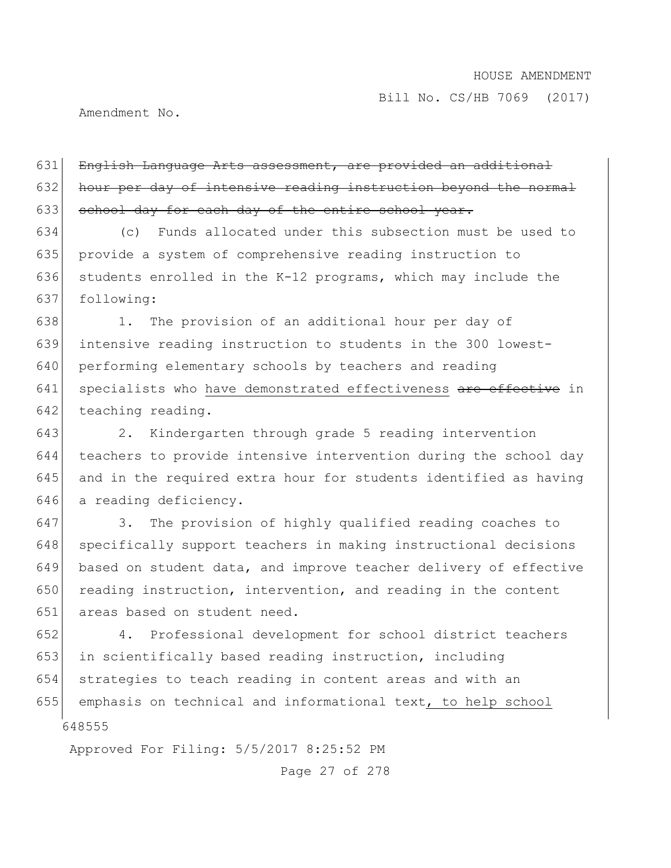Amendment No.

631 English Language Arts assessment, are provided an additional 632 hour per day of intensive reading instruction beyond the normal 633 school day for each day of the entire school year.

 (c) Funds allocated under this subsection must be used to provide a system of comprehensive reading instruction to 636 students enrolled in the K-12 programs, which may include the following:

638 1. The provision of an additional hour per day of 639 intensive reading instruction to students in the 300 lowest-640 performing elementary schools by teachers and reading 641 specialists who have demonstrated effectiveness are effective in 642 teaching reading.

 2. Kindergarten through grade 5 reading intervention teachers to provide intensive intervention during the school day and in the required extra hour for students identified as having 646 a reading deficiency.

647 3. The provision of highly qualified reading coaches to 648 specifically support teachers in making instructional decisions 649 based on student data, and improve teacher delivery of effective 650 reading instruction, intervention, and reading in the content 651 areas based on student need.

648555 652 4. Professional development for school district teachers 653 in scientifically based reading instruction, including 654 strategies to teach reading in content areas and with an 655 emphasis on technical and informational text, to help school

Approved For Filing: 5/5/2017 8:25:52 PM

Page 27 of 278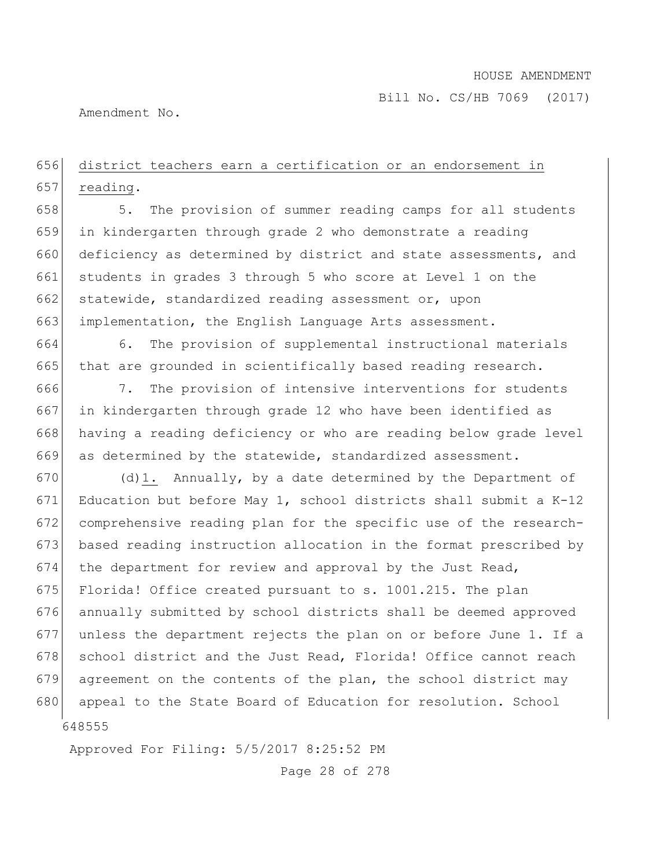Amendment No.

# 656 district teachers earn a certification or an endorsement in 657 reading.

658 5. The provision of summer reading camps for all students 659 in kindergarten through grade 2 who demonstrate a reading 660 deficiency as determined by district and state assessments, and 661 students in grades 3 through 5 who score at Level 1 on the 662 statewide, standardized reading assessment or, upon 663 implementation, the English Language Arts assessment.

664 6. The provision of supplemental instructional materials 665 that are grounded in scientifically based reading research.

666 7. The provision of intensive interventions for students 667 in kindergarten through grade 12 who have been identified as 668 having a reading deficiency or who are reading below grade level 669 as determined by the statewide, standardized assessment.

648555 670 (d)1. Annually, by a date determined by the Department of 671 Education but before May 1, school districts shall submit a  $K-12$ 672 comprehensive reading plan for the specific use of the research-673 based reading instruction allocation in the format prescribed by 674 the department for review and approval by the Just Read, 675 Florida! Office created pursuant to s. 1001.215. The plan 676 annually submitted by school districts shall be deemed approved 677 unless the department rejects the plan on or before June 1. If a 678 school district and the Just Read, Florida! Office cannot reach 679 agreement on the contents of the plan, the school district may 680 appeal to the State Board of Education for resolution. School

Approved For Filing: 5/5/2017 8:25:52 PM

Page 28 of 278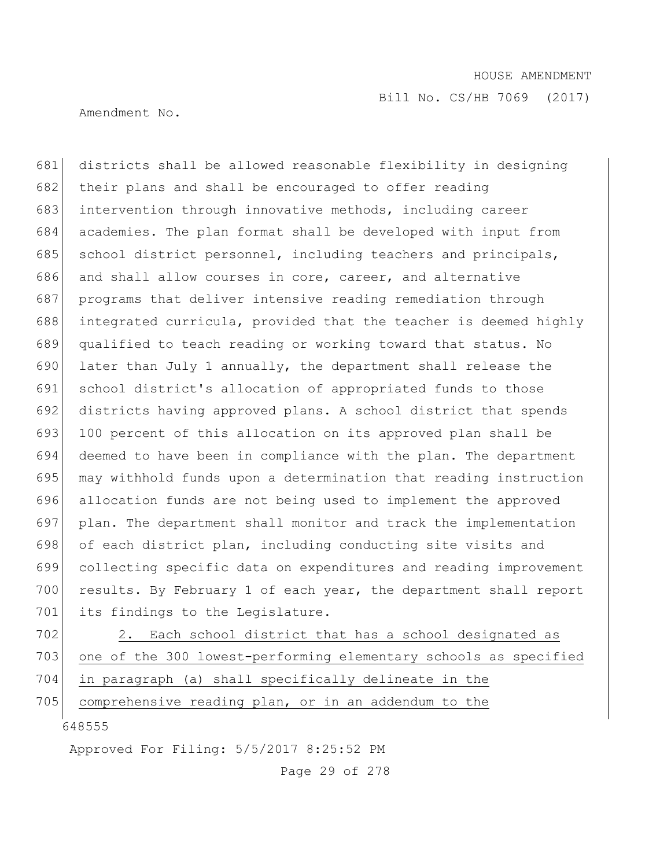Amendment No.

681 districts shall be allowed reasonable flexibility in designing 682 their plans and shall be encouraged to offer reading 683 intervention through innovative methods, including career 684 academies. The plan format shall be developed with input from 685 school district personnel, including teachers and principals, 686 and shall allow courses in core, career, and alternative 687 programs that deliver intensive reading remediation through 688 integrated curricula, provided that the teacher is deemed highly 689 qualified to teach reading or working toward that status. No 690 later than July 1 annually, the department shall release the 691 school district's allocation of appropriated funds to those 692 districts having approved plans. A school district that spends 693 100 percent of this allocation on its approved plan shall be 694 deemed to have been in compliance with the plan. The department 695 may withhold funds upon a determination that reading instruction 696 allocation funds are not being used to implement the approved 697 plan. The department shall monitor and track the implementation 698 of each district plan, including conducting site visits and 699 collecting specific data on expenditures and reading improvement 700 results. By February 1 of each year, the department shall report 701 its findings to the Legislature.

702 2. Each school district that has a school designated as 703 one of the 300 lowest-performing elementary schools as specified 704 in paragraph (a) shall specifically delineate in the

705 comprehensive reading plan, or in an addendum to the

648555

Approved For Filing: 5/5/2017 8:25:52 PM

Page 29 of 278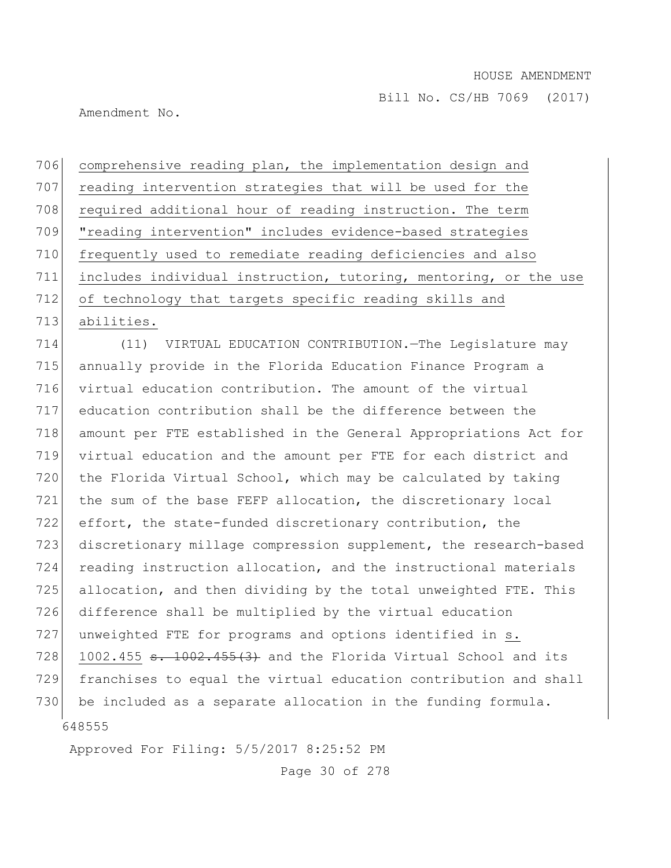Amendment No.

706 comprehensive reading plan, the implementation design and 707 reading intervention strategies that will be used for the 708 required additional hour of reading instruction. The term 709 "reading intervention" includes evidence-based strategies 710 frequently used to remediate reading deficiencies and also 711 includes individual instruction, tutoring, mentoring, or the use 712 of technology that targets specific reading skills and 713 abilities.

648555 (11) VIRTUAL EDUCATION CONTRIBUTION.—The Legislature may annually provide in the Florida Education Finance Program a virtual education contribution. The amount of the virtual education contribution shall be the difference between the amount per FTE established in the General Appropriations Act for virtual education and the amount per FTE for each district and the Florida Virtual School, which may be calculated by taking the sum of the base FEFP allocation, the discretionary local effort, the state-funded discretionary contribution, the 723 discretionary millage compression supplement, the research-based reading instruction allocation, and the instructional materials allocation, and then dividing by the total unweighted FTE. This difference shall be multiplied by the virtual education 727 unweighted FTE for programs and options identified in s. 728 1002.455  $\textbf{s. } 1002.455(3)$  and the Florida Virtual School and its franchises to equal the virtual education contribution and shall 730 be included as a separate allocation in the funding formula.

Approved For Filing: 5/5/2017 8:25:52 PM

Page 30 of 278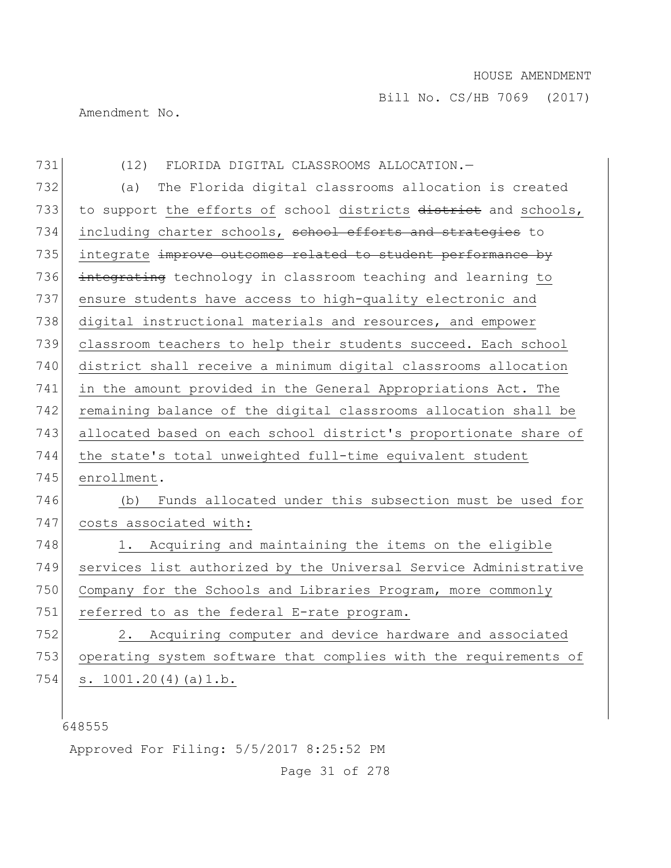Amendment No.

| 731 | (12)<br>FLORIDA DIGITAL CLASSROOMS ALLOCATION.-                  |
|-----|------------------------------------------------------------------|
| 732 | The Florida digital classrooms allocation is created<br>(a)      |
| 733 | to support the efforts of school districts district and schools, |
| 734 | including charter schools, school efforts and strategies to      |
| 735 | integrate improve outcomes related to student performance by     |
| 736 | integrating technology in classroom teaching and learning to     |
| 737 | ensure students have access to high-quality electronic and       |
| 738 | digital instructional materials and resources, and empower       |
| 739 | classroom teachers to help their students succeed. Each school   |
| 740 | district shall receive a minimum digital classrooms allocation   |
| 741 | in the amount provided in the General Appropriations Act. The    |
| 742 | remaining balance of the digital classrooms allocation shall be  |
| 743 | allocated based on each school district's proportionate share of |
| 744 | the state's total unweighted full-time equivalent student        |
| 745 | enrollment.                                                      |
| 746 | Funds allocated under this subsection must be used for<br>(b)    |
| 747 | costs associated with:                                           |
| 748 | Acquiring and maintaining the items on the eligible<br>1. .      |
| 749 | services list authorized by the Universal Service Administrative |
| 750 | Company for the Schools and Libraries Program, more commonly     |
| 751 | referred to as the federal E-rate program.                       |
| 752 | 2. Acquiring computer and device hardware and associated         |
| 753 | operating system software that complies with the requirements of |
| 754 | s. $1001.20(4)(a)1.b.$                                           |
|     |                                                                  |

Approved For Filing: 5/5/2017 8:25:52 PM

Page 31 of 278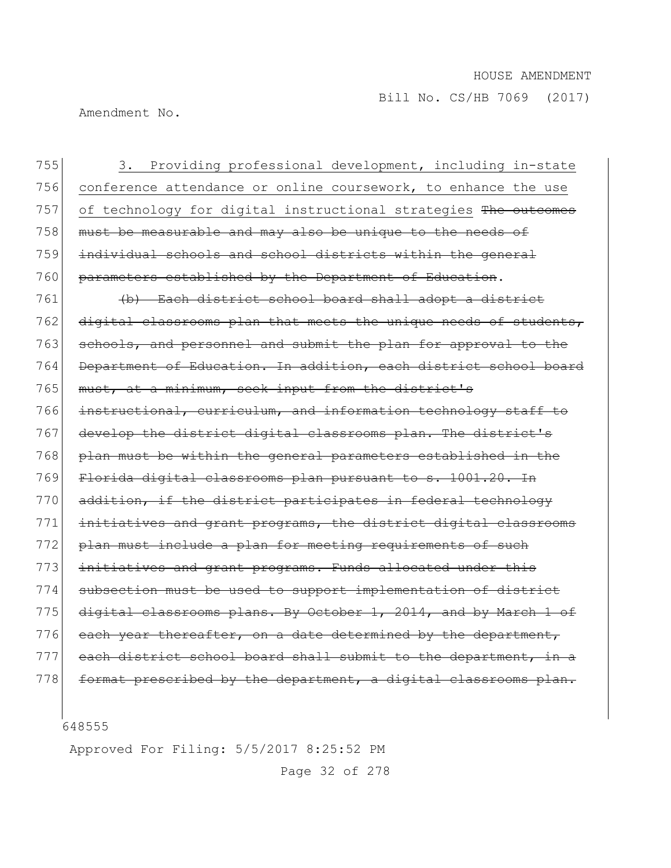Amendment No.

755 3. Providing professional development, including in-state 756 conference attendance or online coursework, to enhance the use 757 of technology for digital instructional strategies The outcomes 758 must be measurable and may also be unique to the needs of 759 individual schools and school districts within the general 760 parameters established by the Department of Education. 761 (b) Each district school board shall adopt a district 762 digital classrooms plan that meets the unique needs of students, 763 schools, and personnel and submit the plan for approval to the 764 Department of Education. In addition, each district school board 765 must, at a minimum, seek input from the district's 766 instructional, curriculum, and information technology staff to 767 develop the district digital classrooms plan. The district's 768 plan must be within the general parameters established in the 769 Florida digital classrooms plan pursuant to s. 1001.20. In 770 addition, if the district participates in federal technology 771 initiatives and grant programs, the district digital classrooms 772 plan must include a plan for meeting requirements of such 773 initiatives and grant programs. Funds allocated under this 774 subsection must be used to support implementation of district 775 digital classrooms plans. By October 1, 2014, and by March 1 of 776 each year thereafter, on a date determined by the department, 777 each district school board shall submit to the department, in a 778 format prescribed by the department, a digital classrooms plan.

648555

Approved For Filing: 5/5/2017 8:25:52 PM

Page 32 of 278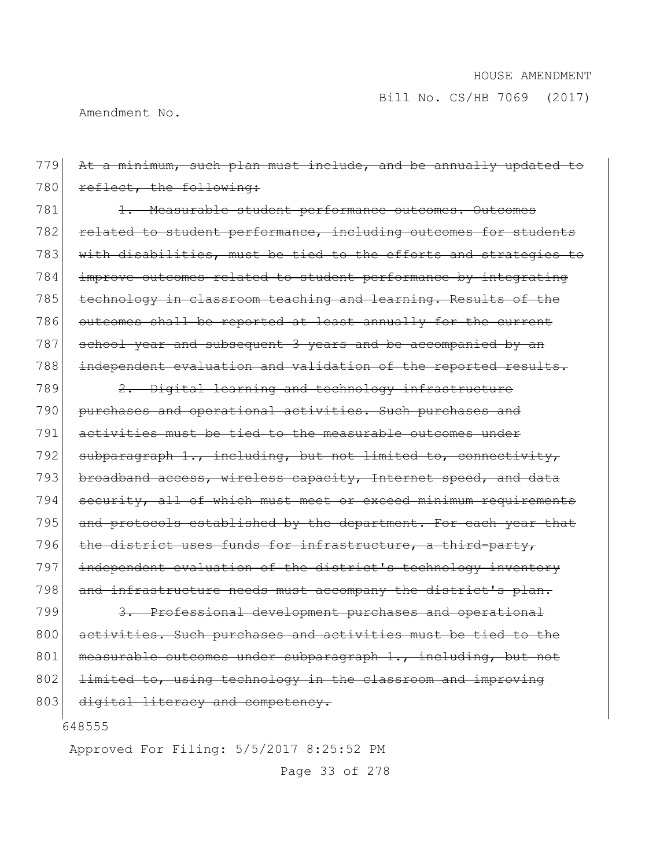Amendment No.

648555 Approved For Filing: 5/5/2017 8:25:52 PM 779 At a minimum, such plan must include, and be annually updated to 780 reflect, the following: 781 1. Measurable student performance outcomes. Outcomes 782 related to student performance, including outcomes for students 783 with disabilities, must be tied to the efforts and strategies to 784 improve outcomes related to student performance by integrating 785 technology in classroom teaching and learning. Results of the 786 outcomes shall be reported at least annually for the current 787 school year and subsequent 3 years and be accompanied by an 788 independent evaluation and validation of the reported results.  $789$   $2.$  Digital learning and technology infrastructure 790 purchases and operational activities. Such purchases and 791 activities must be tied to the measurable outcomes under 792 subparagraph 1., including, but not limited to, connectivity, 793 broadband access, wireless capacity, Internet speed, and data 794 security, all of which must meet or exceed minimum requirements 795 and protocols established by the department. For each year that 796 the district uses funds for infrastructure, a third-party, 797 independent evaluation of the district's technology inventory 798 and infrastructure needs must accompany the district's plan. 799 3. Professional development purchases and operational 800 activities. Such purchases and activities must be tied to the 801 measurable outcomes under subparagraph 1., including, but not 802 <del>limited to, using technology in the classroom and improving</del> 803 digital literacy and competency.

Page 33 of 278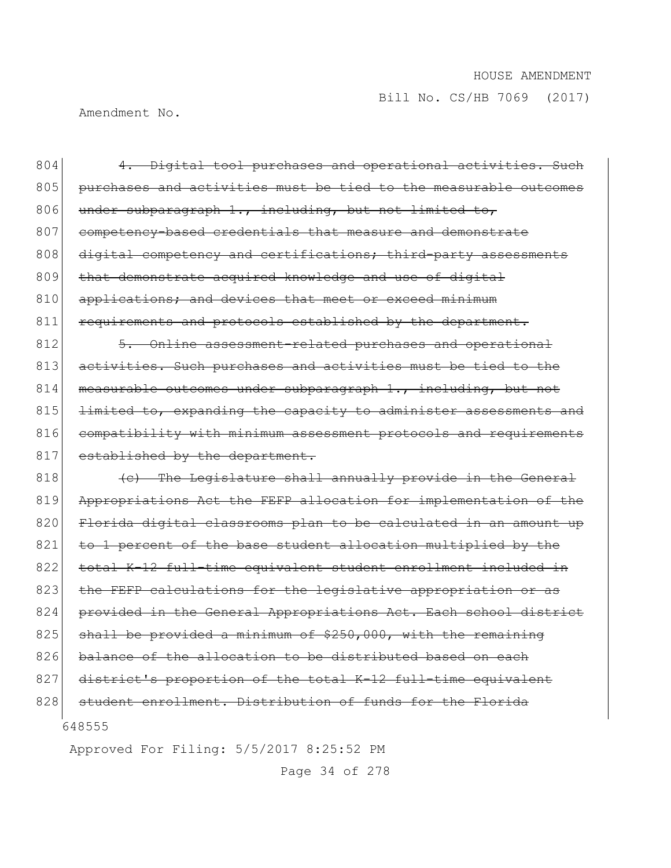Amendment No.

| 804 | 4. Digital tool purchases and operational activities. Such       |
|-----|------------------------------------------------------------------|
| 805 | purchases and activities must be tied to the measurable outcomes |
| 806 | under subparagraph 1., including, but not limited to,            |
| 807 | competency-based credentials that measure and demonstrate        |
| 808 | digital competency and certifications; third-party assessments   |
| 809 | that demonstrate acquired knowledge and use of digital           |
| 810 | applications; and devices that meet or exceed minimum            |
| 811 | requirements and protocols established by the department.        |
| 812 | 5. Online assessment-related purchases and operational           |
| 813 | activities. Such purchases and activities must be tied to the    |
| 814 | measurable outcomes under subparagraph 1., including, but not    |
| 815 | limited to, expanding the capacity to administer assessments and |
| 816 | compatibility with minimum assessment protocols and requirements |
| 817 | established by the department.                                   |
| 818 | (c) The Legislature shall annually provide in the General        |
| 819 | Appropriations Act the FEFP allocation for implementation of the |
| 820 | Florida digital classrooms plan to be calculated in an amount up |
| 821 | to 1 percent of the base student allocation multiplied by the    |
| 822 | total K-12 full-time equivalent student enrollment included in   |
| 823 | the FEFP calculations for the legislative appropriation or as    |
| 824 | provided in the General Appropriations Act. Each school district |
| 825 | shall be provided a minimum of \$250,000, with the remaining     |
| 826 | balance of the allocation to be distributed based on each        |
| 827 | district's proportion of the total K-12 full-time equivalent     |
| 828 | student enrollment. Distribution of funds for the Florida        |
|     | 648555                                                           |

Approved For Filing: 5/5/2017 8:25:52 PM

Page 34 of 278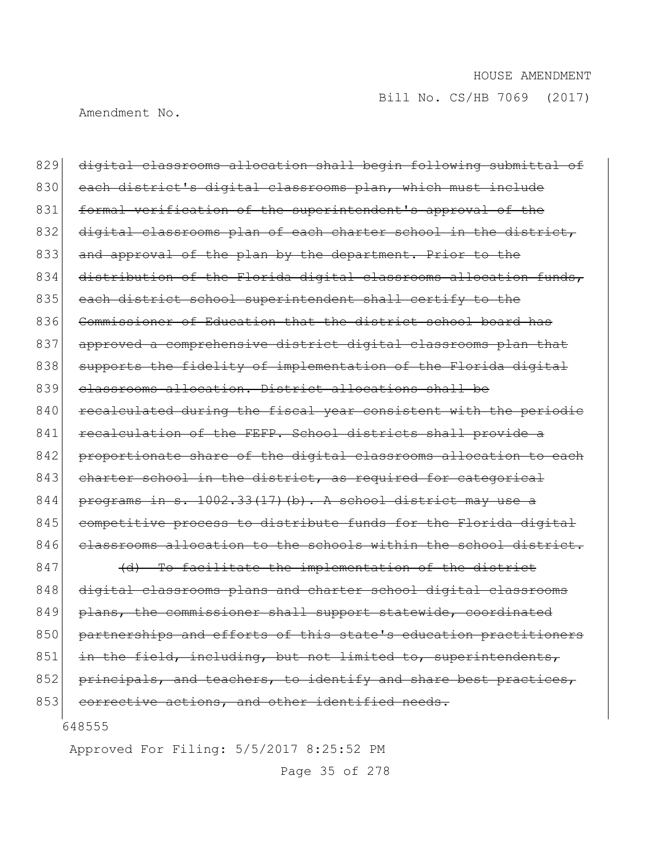Amendment No.

829 digital classrooms allocation shall begin following submittal of 830 each district's digital classrooms plan, which must include 831 formal verification of the superintendent's approval of the 832 digital classrooms plan of each charter school in the district, 833 and approval of the plan by the department. Prior to the 834 distribution of the Florida digital classrooms allocation funds, 835 each district school superintendent shall certify to the 836 Commissioner of Education that the district school board has 837 approved a comprehensive district digital classrooms plan that 838 supports the fidelity of implementation of the Florida digital 839 classrooms allocation. District allocations shall be 840 recalculated during the fiscal year consistent with the periodic 841 recalculation of the FEFP. School districts shall provide a 842 proportionate share of the digital classrooms allocation to each 843 charter school in the district, as required for categorical 844 programs in s.  $1002.33(17)$  (b). A school district may use a 845 competitive process to distribute funds for the Florida digital 846 classrooms allocation to the schools within the school district.  $847$  (d) To facilitate the implementation of the district 848 digital classrooms plans and charter school digital classrooms 849 plans, the commissioner shall support statewide, coordinated 850 partnerships and efforts of this state's education practitioners 851 in the field, including, but not limited to, superintendents,

852 principals, and teachers, to identify and share best practices,

853 corrective actions, and other identified needs.

648555

Approved For Filing: 5/5/2017 8:25:52 PM

Page 35 of 278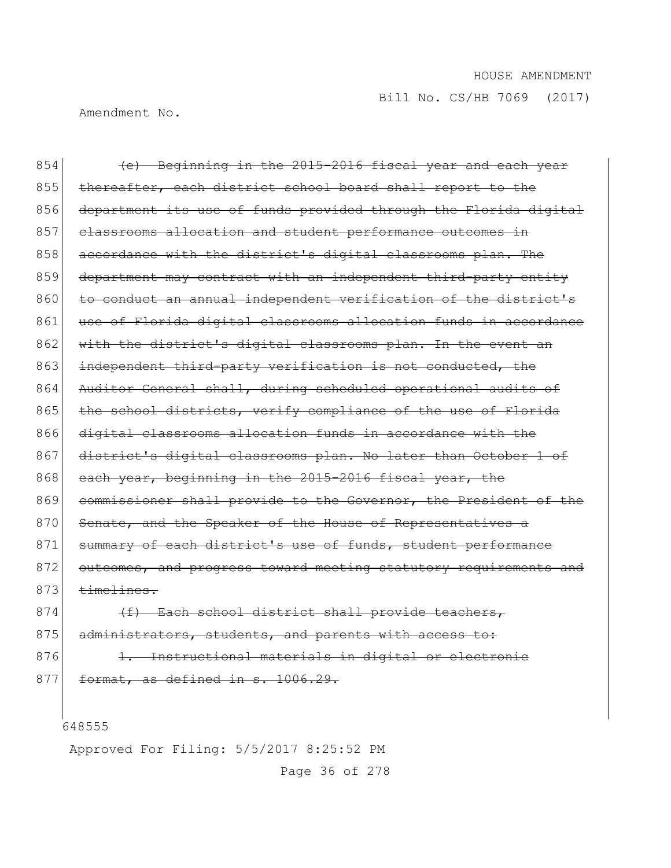Amendment No.

854 (e) Beginning in the 2015-2016 fiscal year and each year 855 thereafter, each district school board shall report to the 856 department its use of funds provided through the Florida digital 857 classrooms allocation and student performance outcomes in 858 accordance with the district's digital classrooms plan. The 859 department may contract with an independent third-party entity 860 to conduct an annual independent verification of the district's 861 use of Florida digital classrooms allocation funds in accordance 862 with the district's digital classrooms plan. In the event an 863 independent third-party verification is not conducted, the 864 Auditor General shall, during scheduled operational audits of 865 the school districts, verify compliance of the use of Florida 866 digital classrooms allocation funds in accordance with the 867 district's digital classrooms plan. No later than October 1 of 868 each year, beginning in the 2015-2016 fiscal year, the 869 commissioner shall provide to the Governor, the President of the 870 Senate, and the Speaker of the House of Representatives a 871 summary of each district's use of funds, student performance 872 outcomes, and progress toward meeting statutory requirements and  $873$   $\times$   $\overline{\phantom{a}}$ 874 (f) Each school district shall provide teachers,

875 administrators, students, and parents with access to:

876 1. Instructional materials in digital or electronic  $877$  format, as defined in s. 1006.29.

648555

Approved For Filing: 5/5/2017 8:25:52 PM

Page 36 of 278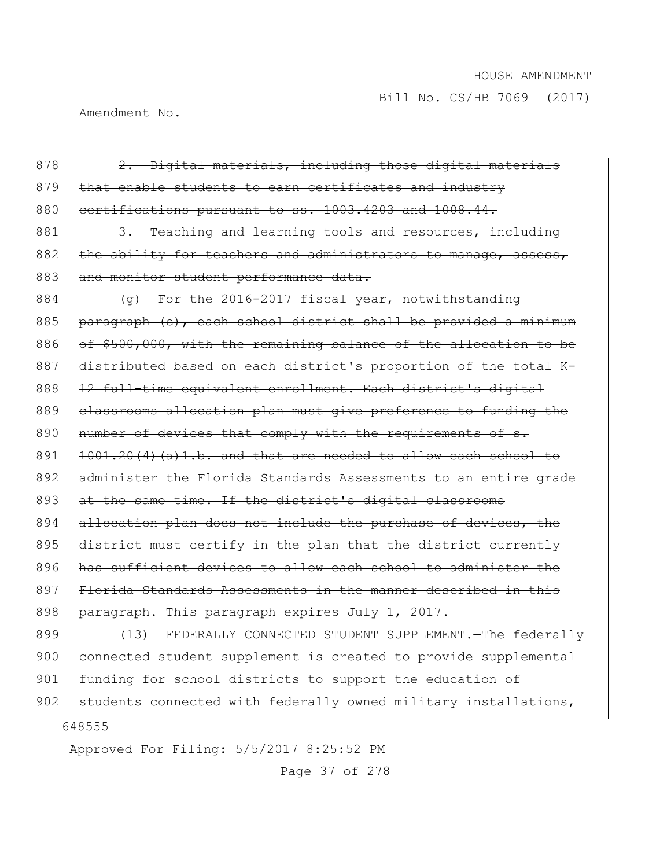Amendment No.

| 878 | 2. Digital materials, including those digital materials          |
|-----|------------------------------------------------------------------|
| 879 | that enable students to earn certificates and industry           |
| 880 | certifications pursuant to ss. 1003.4203 and 1008.44.            |
| 881 | 3. Teaching and learning tools and resources, including          |
| 882 | the ability for teachers and administrators to manage, assess,   |
| 883 | and monitor student performance data.                            |
| 884 | (g) For the 2016-2017 fiscal year, notwithstanding               |
| 885 | paragraph (c), each school district shall be provided a minimum  |
| 886 | of \$500,000, with the remaining balance of the allocation to be |
| 887 | distributed based on each district's proportion of the total K-  |
| 888 | 12 full-time equivalent enrollment. Each district's digital      |
| 889 | classrooms allocation plan must give preference to funding the   |
| 890 | number of devices that comply with the requirements of s.        |
| 891 | 1001.20(4)(a)1.b. and that are needed to allow each school to    |
| 892 | administer the Florida Standards Assessments to an entire grade  |
| 893 | at the same time. If the district's digital classrooms           |
| 894 | allocation plan does not include the purchase of devices, the    |
| 895 | district must certify in the plan that the district currently    |
| 896 | has sufficient devices to allow each school to administer the    |
| 897 | Florida Standards Assessments in the manner described in this    |
| 898 | paragraph. This paragraph expires July 1, 2017.                  |
| 899 | FEDERALLY CONNECTED STUDENT SUPPLEMENT. - The federally<br>(13)  |

 900 connected student supplement is created to provide supplemental 901 funding for school districts to support the education of 902 students connected with federally owned military installations,

Approved For Filing: 5/5/2017 8:25:52 PM

Page 37 of 278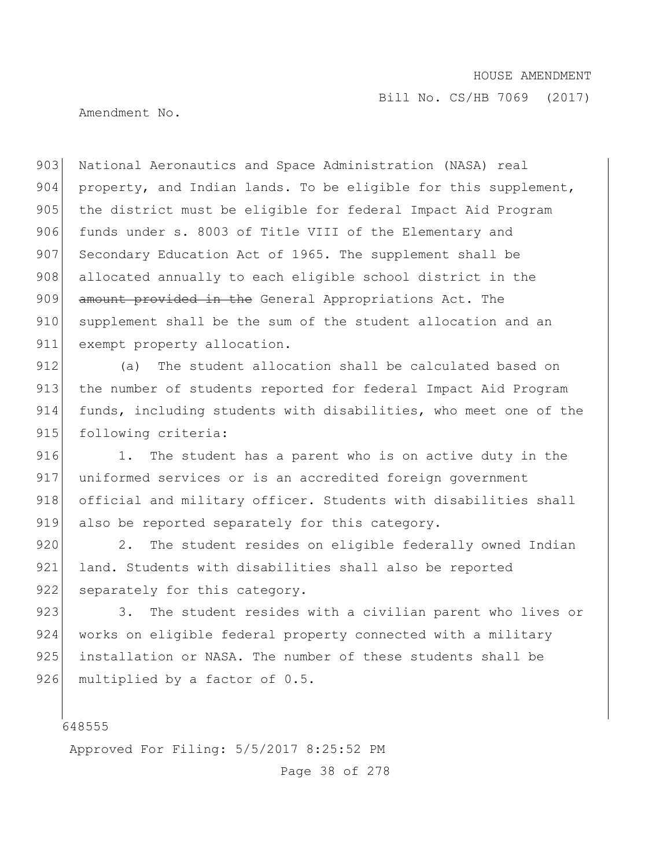Bill No. CS/HB 7069 (2017)

Amendment No.

903 National Aeronautics and Space Administration (NASA) real 904 property, and Indian lands. To be eligible for this supplement, 905 the district must be eligible for federal Impact Aid Program 906 funds under s. 8003 of Title VIII of the Elementary and 907 Secondary Education Act of 1965. The supplement shall be 908 allocated annually to each eligible school district in the 909 amount provided in the General Appropriations Act. The 910 supplement shall be the sum of the student allocation and an 911 exempt property allocation.

912 (a) The student allocation shall be calculated based on 913 the number of students reported for federal Impact Aid Program 914 funds, including students with disabilities, who meet one of the 915 following criteria:

916 1. The student has a parent who is on active duty in the 917 uniformed services or is an accredited foreign government 918 official and military officer. Students with disabilities shall 919 also be reported separately for this category.

920 2. The student resides on eligible federally owned Indian 921 land. Students with disabilities shall also be reported 922 separately for this category.

923 3. The student resides with a civilian parent who lives or 924 works on eligible federal property connected with a military 925 installation or NASA. The number of these students shall be 926 multiplied by a factor of 0.5.

648555

Approved For Filing: 5/5/2017 8:25:52 PM

Page 38 of 278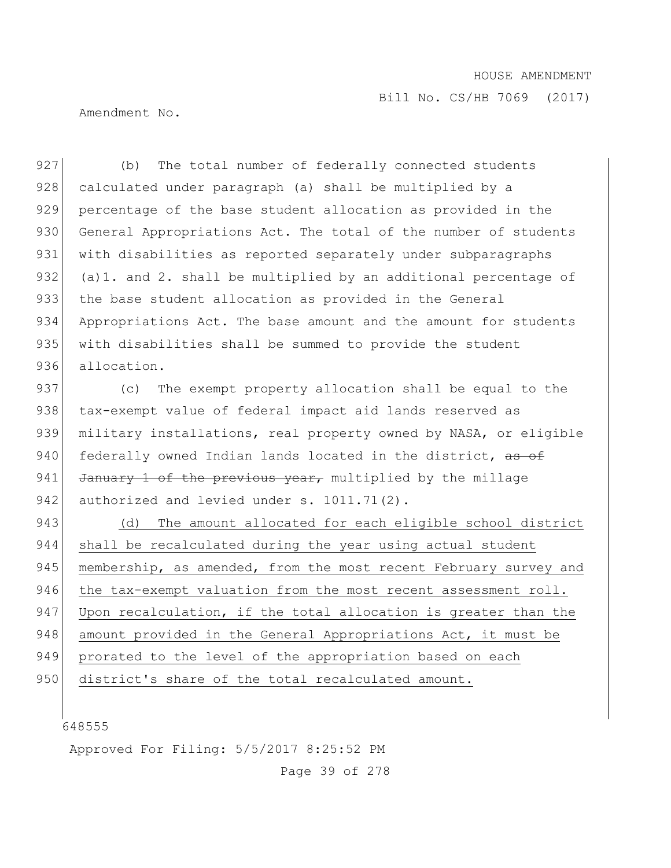Bill No. CS/HB 7069 (2017)

Amendment No.

927 (b) The total number of federally connected students 928 calculated under paragraph (a) shall be multiplied by a 929 percentage of the base student allocation as provided in the 930 General Appropriations Act. The total of the number of students 931 with disabilities as reported separately under subparagraphs 932 (a) 1. and 2. shall be multiplied by an additional percentage of 933 the base student allocation as provided in the General 934 Appropriations Act. The base amount and the amount for students 935 with disabilities shall be summed to provide the student 936 allocation.

937 (c) The exempt property allocation shall be equal to the 938 tax-exempt value of federal impact aid lands reserved as 939 military installations, real property owned by NASA, or eligible 940 federally owned Indian lands located in the district, as of 941 January 1 of the previous year, multiplied by the millage 942 authorized and levied under  $s. 1011.71(2)$ .

943 (d) The amount allocated for each eligible school district 944 shall be recalculated during the year using actual student 945 membership, as amended, from the most recent February survey and 946 the tax-exempt valuation from the most recent assessment roll. 947 Upon recalculation, if the total allocation is greater than the 948 amount provided in the General Appropriations Act, it must be 949 prorated to the level of the appropriation based on each 950 district's share of the total recalculated amount.

648555

Approved For Filing: 5/5/2017 8:25:52 PM

Page 39 of 278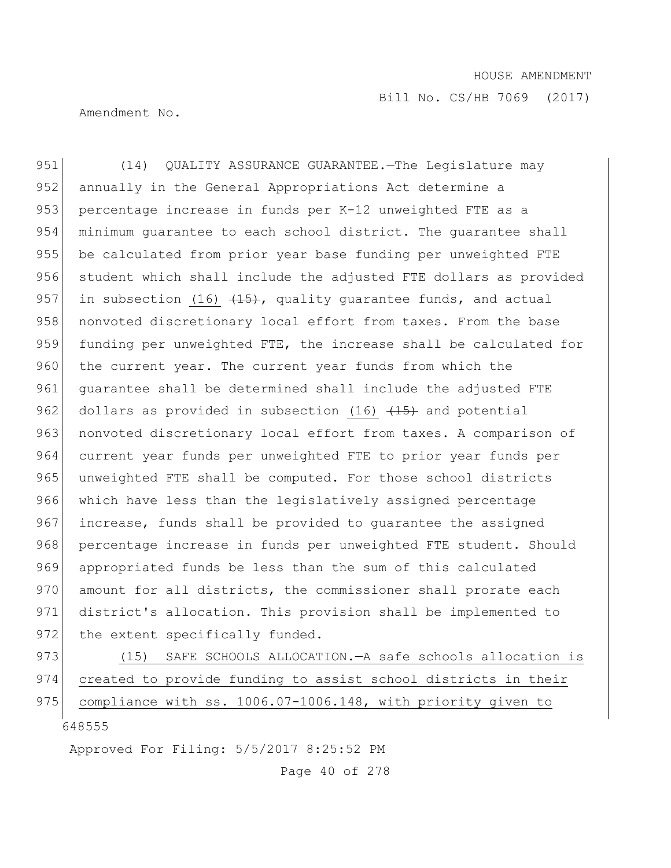Amendment No.

951 (14) QUALITY ASSURANCE GUARANTEE.—The Legislature may 952 annually in the General Appropriations Act determine a 953 percentage increase in funds per K-12 unweighted FTE as a 954 minimum guarantee to each school district. The guarantee shall 955 be calculated from prior year base funding per unweighted FTE 956 student which shall include the adjusted FTE dollars as provided 957 in subsection (16)  $\left( \frac{15}{15} \right)$ , quality quarantee funds, and actual 958 nonvoted discretionary local effort from taxes. From the base 959 funding per unweighted FTE, the increase shall be calculated for 960 the current year. The current year funds from which the 961 guarantee shall be determined shall include the adjusted FTE 962 dollars as provided in subsection  $(16)$   $(15)$  and potential 963 nonvoted discretionary local effort from taxes. A comparison of 964 current year funds per unweighted FTE to prior year funds per 965 unweighted FTE shall be computed. For those school districts 966 which have less than the legislatively assigned percentage 967 increase, funds shall be provided to guarantee the assigned 968 percentage increase in funds per unweighted FTE student. Should 969 appropriated funds be less than the sum of this calculated 970 amount for all districts, the commissioner shall prorate each 971 district's allocation. This provision shall be implemented to 972 the extent specifically funded.

973 (15) SAFE SCHOOLS ALLOCATION.—A safe schools allocation is 974 created to provide funding to assist school districts in their 975 compliance with ss. 1006.07-1006.148, with priority given to

648555

Approved For Filing: 5/5/2017 8:25:52 PM

Page 40 of 278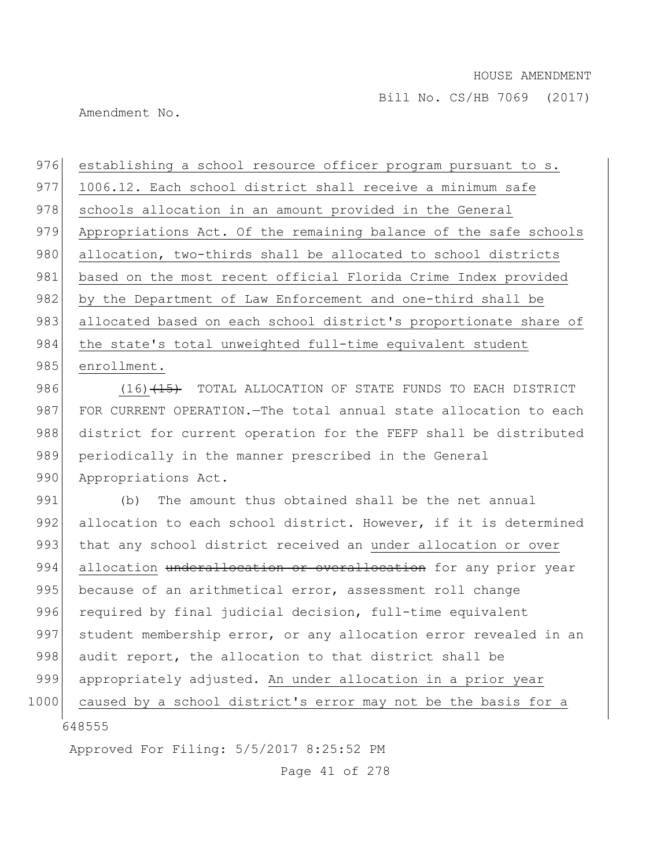Amendment No.

976 establishing a school resource officer program pursuant to s. 977 1006.12. Each school district shall receive a minimum safe 978 schools allocation in an amount provided in the General 979 Appropriations Act. Of the remaining balance of the safe schools 980 allocation, two-thirds shall be allocated to school districts 981 based on the most recent official Florida Crime Index provided 982 by the Department of Law Enforcement and one-third shall be 983 allocated based on each school district's proportionate share of 984 the state's total unweighted full-time equivalent student 985 enrollment.

986 (16)<del>(15)</del> TOTAL ALLOCATION OF STATE FUNDS TO EACH DISTRICT 987 FOR CURRENT OPERATION.—The total annual state allocation to each 988 district for current operation for the FEFP shall be distributed 989 periodically in the manner prescribed in the General 990 Appropriations Act.

991 (b) The amount thus obtained shall be the net annual 992 allocation to each school district. However, if it is determined 993 that any school district received an under allocation or over 994 allocation underallocation or overallocation for any prior year 995 because of an arithmetical error, assessment roll change 996 required by final judicial decision, full-time equivalent 997 student membership error, or any allocation error revealed in an 998 audit report, the allocation to that district shall be 999 appropriately adjusted. An under allocation in a prior year 1000 caused by a school district's error may not be the basis for a

648555

Approved For Filing: 5/5/2017 8:25:52 PM

Page 41 of 278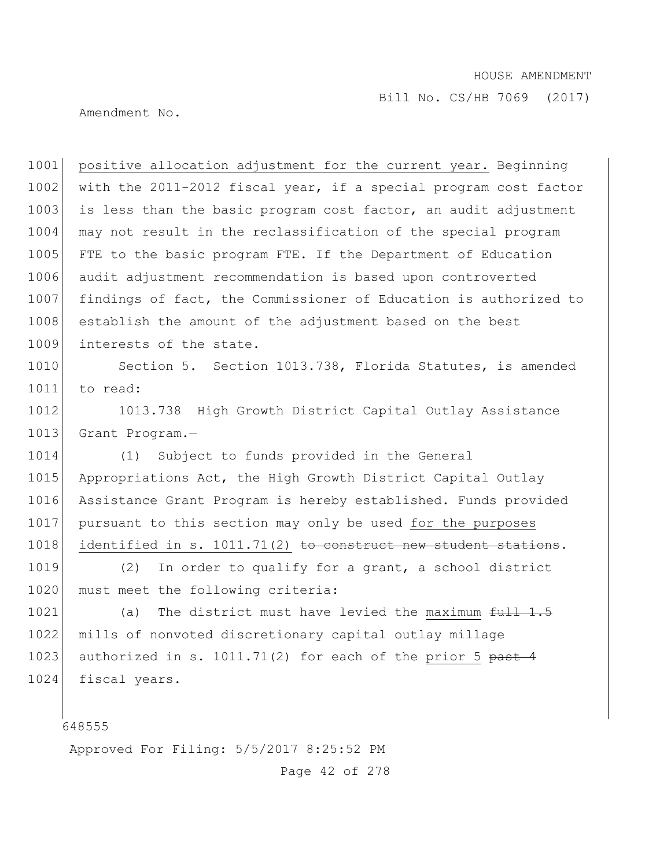Bill No. CS/HB 7069 (2017)

Amendment No.

1001 positive allocation adjustment for the current year. Beginning 1002 with the 2011-2012 fiscal year, if a special program cost factor 1003 is less than the basic program cost factor, an audit adjustment 1004 may not result in the reclassification of the special program 1005 FTE to the basic program FTE. If the Department of Education 1006 audit adjustment recommendation is based upon controverted 1007 findings of fact, the Commissioner of Education is authorized to 1008 establish the amount of the adjustment based on the best 1009 interests of the state.

1010 Section 5. Section 1013.738, Florida Statutes, is amended 1011 to read:

1012 1013.738 High Growth District Capital Outlay Assistance 1013 Grant Program.-

 (1) Subject to funds provided in the General 1015 Appropriations Act, the High Growth District Capital Outlay Assistance Grant Program is hereby established. Funds provided pursuant to this section may only be used for the purposes identified in s.  $1011.71(2)$  to construct new student stations.

1019 (2) In order to qualify for a grant, a school district 1020 must meet the following criteria:

1021 (a) The district must have levied the maximum full 1.5 1022 mills of nonvoted discretionary capital outlay millage 1023 authorized in s. 1011.71(2) for each of the prior 5  $<sub>past</sub>$  4</sub> 1024 fiscal years.

648555

Approved For Filing: 5/5/2017 8:25:52 PM

Page 42 of 278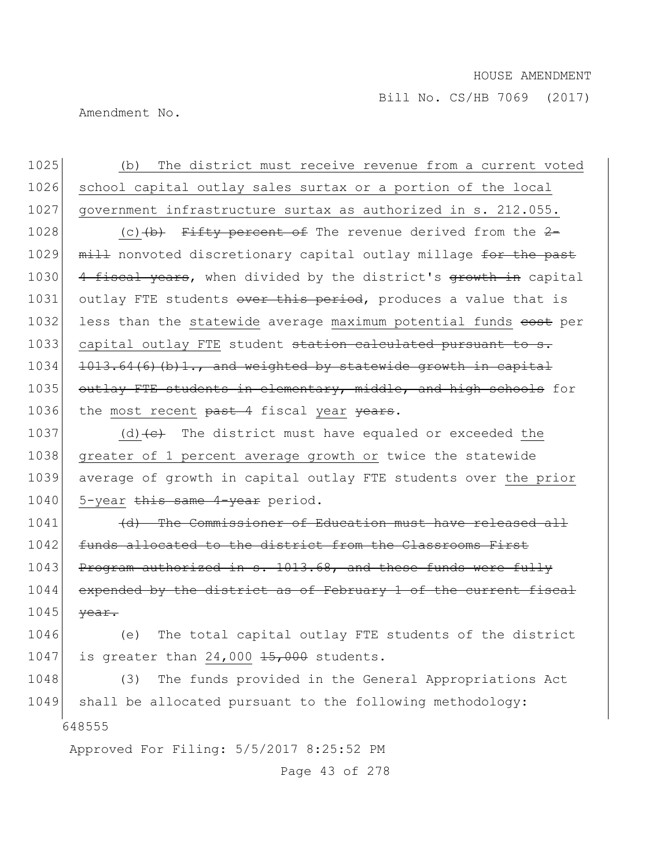Bill No. CS/HB 7069 (2017)

Amendment No.

1025 (b) The district must receive revenue from a current voted 1026 school capital outlay sales surtax or a portion of the local 1027 government infrastructure surtax as authorized in s. 212.055.

1028 (c) $(b)$  Fifty percent of The revenue derived from the 2-1029 mill nonvoted discretionary capital outlay millage for the past 1030 4 fiscal years, when divided by the district's growth in capital 1031 outlay FTE students over this period, produces a value that is 1032 less than the statewide average maximum potential funds eost per 1033 capital outlay FTE student station calculated pursuant to s.  $1034$  1013.64(6)(b)1., and weighted by statewide growth in capital 1035 outlay FTE students in elementary, middle, and high schools for 1036 the most recent past 4 fiscal year years.

1037 (d)  $\left(\frac{c}{c}\right)$  The district must have equaled or exceeded the 1038 greater of 1 percent average growth or twice the statewide 1039 average of growth in capital outlay FTE students over the prior 1040 5-year this same 4-year period.

1041 (d) The Commissioner of Education must have released all 1042 funds allocated to the district from the Classrooms First 1043 Program authorized in s. 1013.68, and these funds were fully 1044 expended by the district as of February 1 of the current fiscal  $1045$  <del>year.</del>

1046 (e) The total capital outlay FTE students of the district 1047 is greater than 24,000  $15,000$  students.

648555 1048 (3) The funds provided in the General Appropriations Act 1049 shall be allocated pursuant to the following methodology:

Approved For Filing: 5/5/2017 8:25:52 PM

Page 43 of 278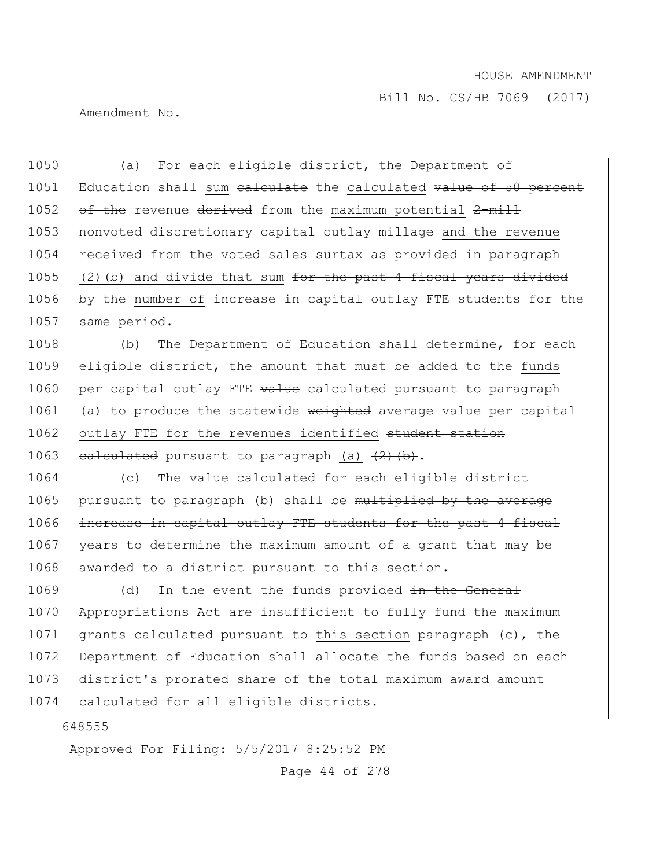Bill No. CS/HB 7069 (2017)

Amendment No.

1050 (a) For each eligible district, the Department of 1051 Education shall sum ealculate the calculated value of 50 percent 1052  $\sigma f$  the revenue derived from the maximum potential 2-mill 1053 nonvoted discretionary capital outlay millage and the revenue 1054 received from the voted sales surtax as provided in paragraph 1055 (2)(b) and divide that sum for the past 4 fiscal years divided 1056 by the number of increase in capital outlay FTE students for the 1057 same period.

1058 (b) The Department of Education shall determine, for each 1059 eligible district, the amount that must be added to the funds 1060 per capital outlay FTE value calculated pursuant to paragraph 1061 (a) to produce the statewide weighted average value per capital 1062 outlay FTE for the revenues identified student station 1063 calculated pursuant to paragraph (a)  $(2)$   $(b)$ .

1064 (c) The value calculated for each eligible district 1065 pursuant to paragraph (b) shall be multiplied by the average 1066 increase in capital outlay FTE students for the past 4 fiscal 1067 years to determine the maximum amount of a grant that may be 1068 awarded to a district pursuant to this section.

1069 (d) In the event the funds provided in the General 1070 Appropriations Act are insufficient to fully fund the maximum 1071 grants calculated pursuant to this section paragraph (e), the 1072 Department of Education shall allocate the funds based on each 1073 district's prorated share of the total maximum award amount 1074 calculated for all eligible districts.

648555

Approved For Filing: 5/5/2017 8:25:52 PM

Page 44 of 278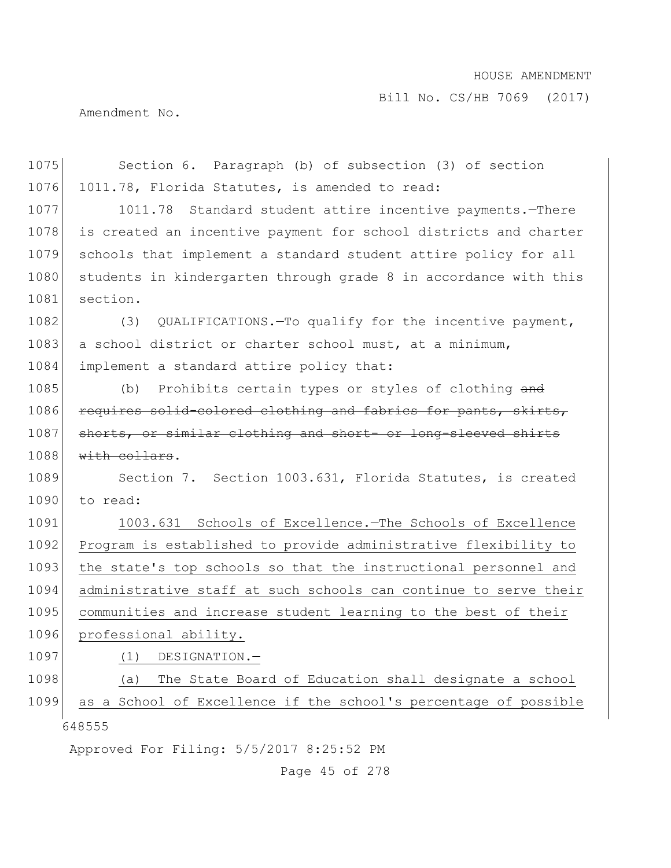Bill No. CS/HB 7069 (2017)

Amendment No.

| 1075 | Section 6. Paragraph (b) of subsection (3) of section            |
|------|------------------------------------------------------------------|
| 1076 | 1011.78, Florida Statutes, is amended to read:                   |
| 1077 | 1011.78 Standard student attire incentive payments. - There      |
| 1078 | is created an incentive payment for school districts and charter |
| 1079 | schools that implement a standard student attire policy for all  |
| 1080 | students in kindergarten through grade 8 in accordance with this |
| 1081 | section.                                                         |
| 1082 | QUALIFICATIONS. To qualify for the incentive payment,<br>(3)     |
| 1083 | a school district or charter school must, at a minimum,          |
| 1084 | implement a standard attire policy that:                         |
| 1085 | Prohibits certain types or styles of clothing and<br>(b)         |
| 1086 | requires solid-colored clothing and fabrics for pants, skirts,   |
| 1087 | shorts, or similar clothing and short- or long-sleeved shirts    |
| 1088 | with collars.                                                    |
| 1089 | Section 7. Section 1003.631, Florida Statutes, is created        |
| 1090 | to read:                                                         |
| 1091 | 1003.631 Schools of Excellence. The Schools of Excellence        |
| 1092 | Program is established to provide administrative flexibility to  |
| 1093 | the state's top schools so that the instructional personnel and  |
| 1094 | administrative staff at such schools can continue to serve their |
| 1095 | communities and increase student learning to the best of their   |
| 1096 | professional ability.                                            |
| 1097 | DESIGNATION.-<br>(1)                                             |
| 1098 | The State Board of Education shall designate a school<br>(a)     |
| 1099 | as a School of Excellence if the school's percentage of possible |
|      | 648555                                                           |
|      | Approved For Filing: 5/5/2017 8:25:52 PM                         |

Page 45 of 278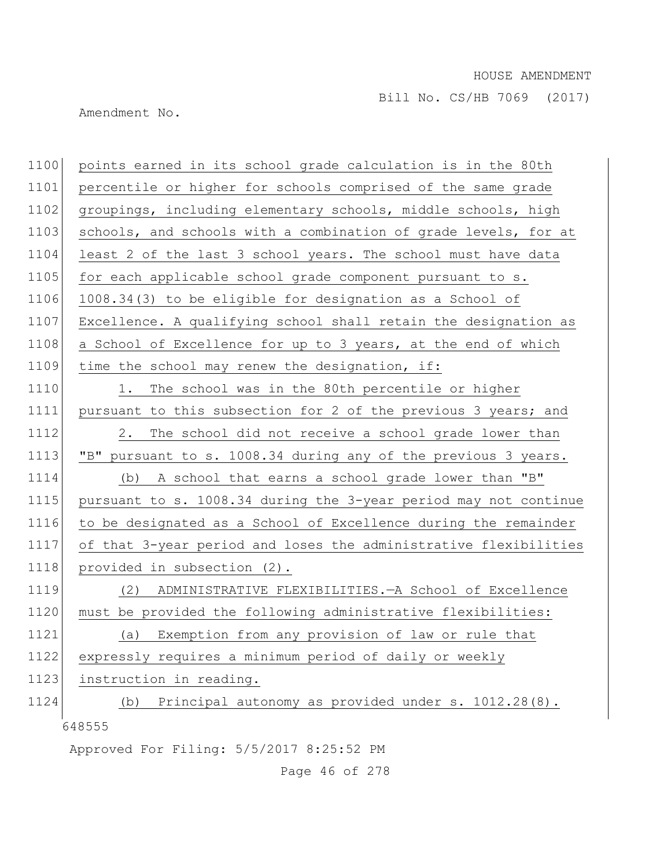Amendment No.

| 1100 | points earned in its school grade calculation is in the 80th     |
|------|------------------------------------------------------------------|
| 1101 | percentile or higher for schools comprised of the same grade     |
| 1102 | groupings, including elementary schools, middle schools, high    |
| 1103 | schools, and schools with a combination of grade levels, for at  |
| 1104 | least 2 of the last 3 school years. The school must have data    |
| 1105 | for each applicable school grade component pursuant to s.        |
| 1106 | 1008.34(3) to be eligible for designation as a School of         |
| 1107 | Excellence. A qualifying school shall retain the designation as  |
| 1108 | a School of Excellence for up to 3 years, at the end of which    |
| 1109 | time the school may renew the designation, if:                   |
| 1110 | 1. The school was in the 80th percentile or higher               |
| 1111 | pursuant to this subsection for 2 of the previous 3 years; and   |
| 1112 | The school did not receive a school grade lower than<br>2.       |
| 1113 | "B" pursuant to s. 1008.34 during any of the previous 3 years.   |
| 1114 | A school that earns a school grade lower than "B"<br>(b)         |
| 1115 | pursuant to s. 1008.34 during the 3-year period may not continue |
| 1116 | to be designated as a School of Excellence during the remainder  |
| 1117 | of that 3-year period and loses the administrative flexibilities |
| 1118 | provided in subsection (2).                                      |
| 1119 | ADMINISTRATIVE FLEXIBILITIES. - A School of Excellence<br>(2)    |
| 1120 | must be provided the following administrative flexibilities:     |
| 1121 | Exemption from any provision of law or rule that<br>(a)          |
| 1122 | expressly requires a minimum period of daily or weekly           |
| 1123 | instruction in reading.                                          |
| 1124 | Principal autonomy as provided under s. 1012.28(8).<br>(b)       |
|      | 648555                                                           |
|      | Approved For Filing: 5/5/2017 8:25:52 PM                         |

Page 46 of 278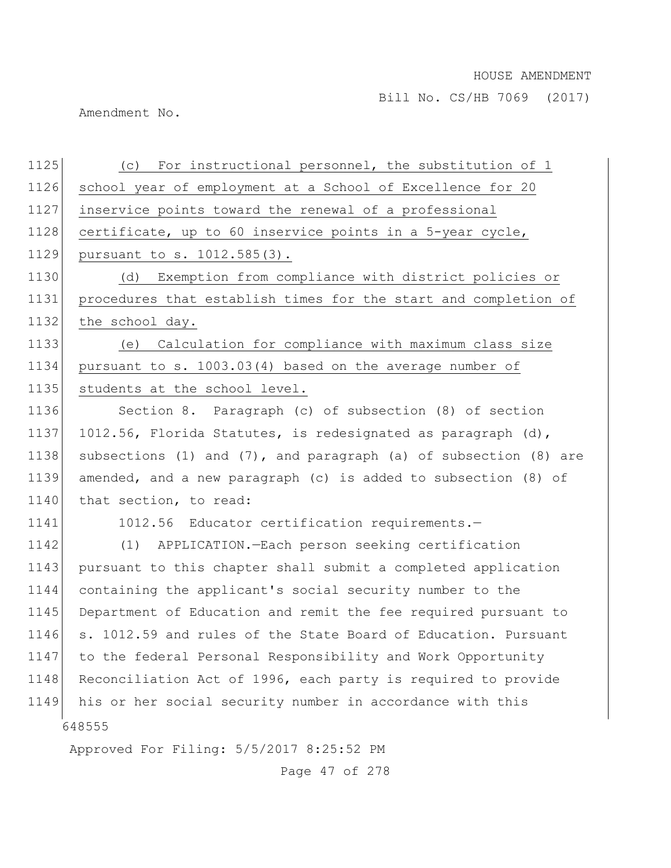Amendment No.

| 1125 | (c) For instructional personnel, the substitution of 1                    |
|------|---------------------------------------------------------------------------|
| 1126 | school year of employment at a School of Excellence for 20                |
| 1127 | inservice points toward the renewal of a professional                     |
| 1128 | certificate, up to 60 inservice points in a 5-year cycle,                 |
| 1129 | pursuant to s. 1012.585(3).                                               |
| 1130 | Exemption from compliance with district policies or<br>(d)                |
| 1131 | procedures that establish times for the start and completion of           |
| 1132 | the school day.                                                           |
| 1133 | (e) Calculation for compliance with maximum class size                    |
| 1134 | pursuant to s. 1003.03(4) based on the average number of                  |
| 1135 | students at the school level.                                             |
| 1136 | Section 8. Paragraph (c) of subsection (8) of section                     |
| 1137 | 1012.56, Florida Statutes, is redesignated as paragraph (d),              |
| 1138 | subsections $(1)$ and $(7)$ , and paragraph $(a)$ of subsection $(8)$ are |
| 1139 | amended, and a new paragraph (c) is added to subsection (8) of            |
| 1140 | that section, to read:                                                    |
| 1141 | 1012.56 Educator certification requirements.-                             |
| 1142 | APPLICATION.-Each person seeking certification<br>(1)                     |
| 1143 | pursuant to this chapter shall submit a completed application             |
| 1144 | containing the applicant's social security number to the                  |
| 1145 | Department of Education and remit the fee required pursuant to            |
| 1146 | s. 1012.59 and rules of the State Board of Education. Pursuant            |
| 1147 | to the federal Personal Responsibility and Work Opportunity               |
| 1148 | Reconciliation Act of 1996, each party is required to provide             |
| 1149 | his or her social security number in accordance with this                 |
|      | 648555                                                                    |
|      | Approved For Filing: 5/5/2017 8:25:52 PM                                  |

Page 47 of 278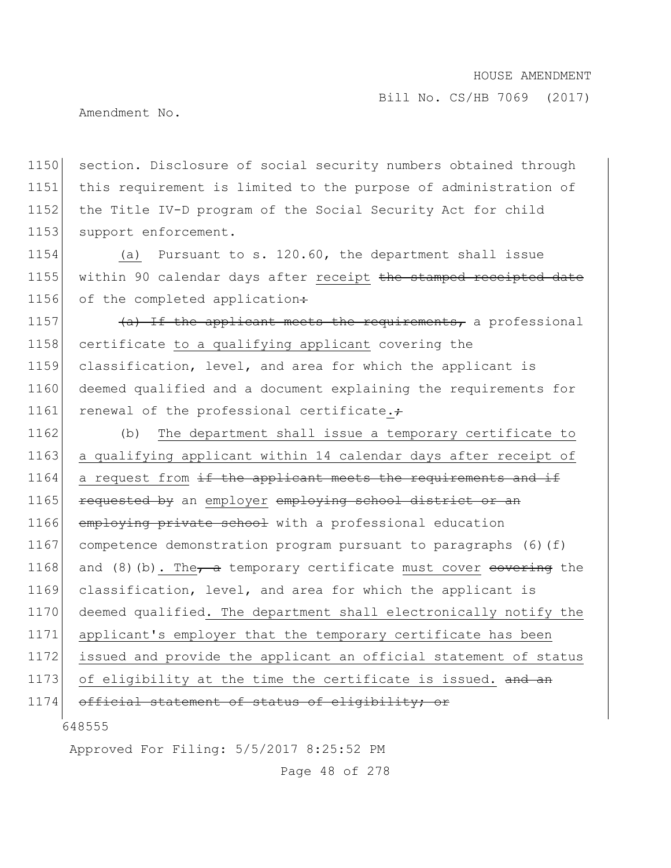Bill No. CS/HB 7069 (2017)

Amendment No.

1150 section. Disclosure of social security numbers obtained through 1151 this requirement is limited to the purpose of administration of 1152 the Title IV-D program of the Social Security Act for child 1153 support enforcement.

1154 (a) Pursuant to s. 120.60, the department shall issue 1155 within 90 calendar days after receipt the stamped receipted date 1156 of the completed application:

1157  $\left( \frac{a}{b} \right)$  If the applicant meets the requirements, a professional 1158 certificate to a qualifying applicant covering the 1159 classification, level, and area for which the applicant is 1160 deemed qualified and a document explaining the requirements for 1161 renewal of the professional certificate. $\div$ 

 (b) The department shall issue a temporary certificate to a qualifying applicant within 14 calendar days after receipt of a request from  $\pm f$  the applicant meets the requirements and  $\pm f$ 1165 requested by an employer employing school district or an 1166 employing private school with a professional education competence demonstration program pursuant to paragraphs (6)(f) 1168 and (8)(b). The a temporary certificate must cover  $\epsilon$ overing the classification, level, and area for which the applicant is deemed qualified. The department shall electronically notify the applicant's employer that the temporary certificate has been issued and provide the applicant an official statement of status 1173 of eligibility at the time the certificate is issued. and an 1174 official statement of status of eligibility; or

648555

Approved For Filing: 5/5/2017 8:25:52 PM

Page 48 of 278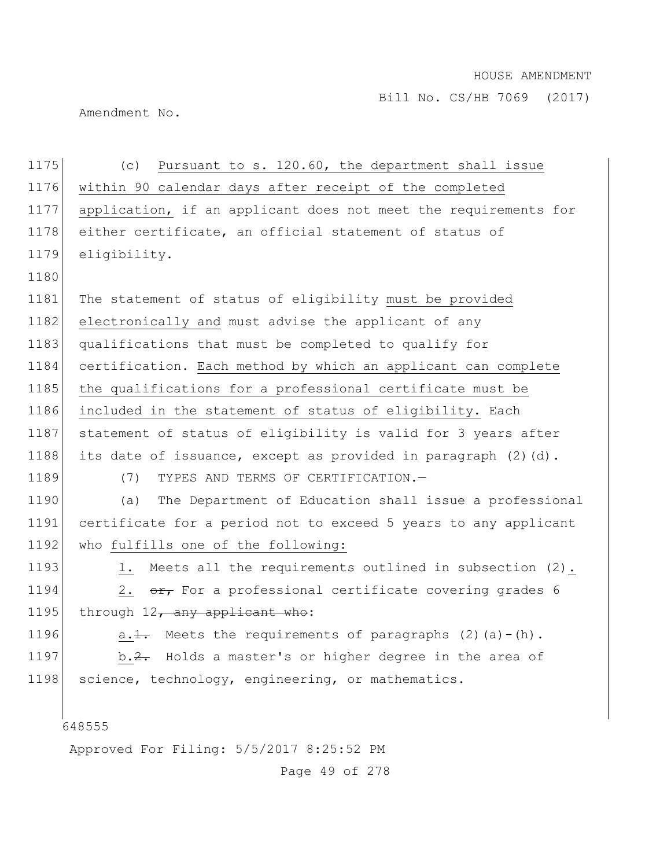Amendment No.

648555 Approved For Filing: 5/5/2017 8:25:52 PM 1175 (c) Pursuant to s. 120.60, the department shall issue 1176 within 90 calendar days after receipt of the completed 1177 application, if an applicant does not meet the requirements for 1178 either certificate, an official statement of status of 1179 eligibility. 1180 1181 The statement of status of eligibility must be provided 1182 electronically and must advise the applicant of any 1183 qualifications that must be completed to qualify for 1184 certification. Each method by which an applicant can complete 1185 the qualifications for a professional certificate must be 1186 included in the statement of status of eligibility. Each 1187 statement of status of eligibility is valid for 3 years after 1188 its date of issuance, except as provided in paragraph  $(2)(d)$ . 1189 (7) TYPES AND TERMS OF CERTIFICATION.-1190 (a) The Department of Education shall issue a professional 1191 certificate for a period not to exceed 5 years to any applicant 1192 who fulfills one of the following: 1193 1. Meets all the requirements outlined in subsection (2). 1194 2.  $\sigma$  For a professional certificate covering grades 6 1195 through  $12$ , any applicant who: 1196  $a.1.$  Meets the requirements of paragraphs (2)(a)-(h). 1197 b.  $2$ . Holds a master's or higher degree in the area of 1198 science, technology, engineering, or mathematics.

Page 49 of 278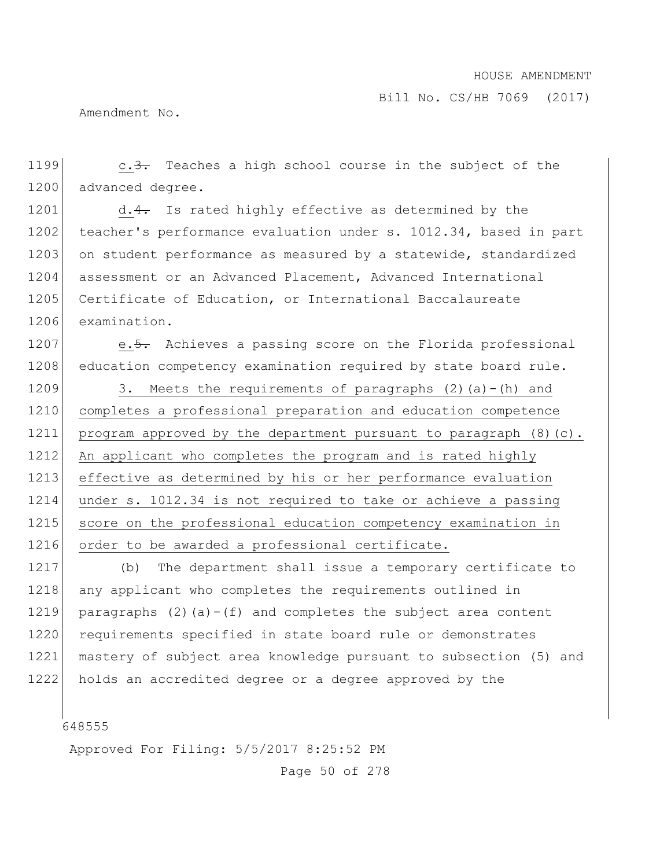Amendment No.

1199 c.3. Teaches a high school course in the subject of the 1200 advanced degree.

1201 d.4. Is rated highly effective as determined by the 1202 teacher's performance evaluation under s. 1012.34, based in part 1203 on student performance as measured by a statewide, standardized 1204 assessment or an Advanced Placement, Advanced International 1205 Certificate of Education, or International Baccalaureate 1206 examination.

1207 e.5. Achieves a passing score on the Florida professional 1208 education competency examination required by state board rule.

1209 3. Meets the requirements of paragraphs  $(2)$  (a)-(h) and 1210 completes a professional preparation and education competence 1211 program approved by the department pursuant to paragraph (8)(c). 1212 An applicant who completes the program and is rated highly 1213 effective as determined by his or her performance evaluation 1214 under s. 1012.34 is not required to take or achieve a passing 1215 score on the professional education competency examination in 1216 order to be awarded a professional certificate.

1217 (b) The department shall issue a temporary certificate to 1218 any applicant who completes the requirements outlined in 1219 paragraphs (2)(a)-(f) and completes the subject area content 1220 requirements specified in state board rule or demonstrates 1221 mastery of subject area knowledge pursuant to subsection (5) and 1222 holds an accredited degree or a degree approved by the

648555

Approved For Filing: 5/5/2017 8:25:52 PM

Page 50 of 278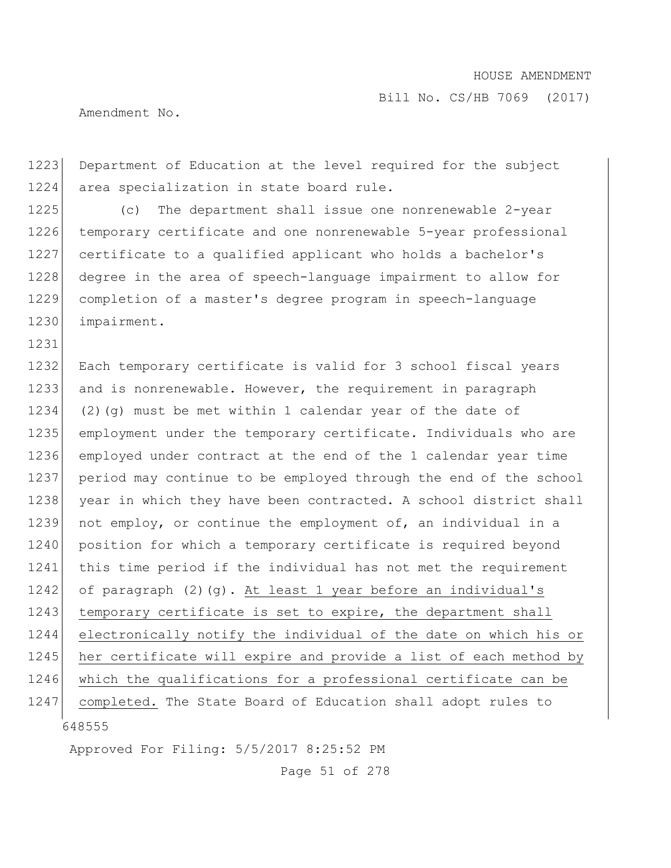Amendment No.

1231

1223 Department of Education at the level required for the subject 1224 area specialization in state board rule.

1225 (c) The department shall issue one nonrenewable 2-year 1226 temporary certificate and one nonrenewable 5-year professional 1227 certificate to a qualified applicant who holds a bachelor's 1228 degree in the area of speech-language impairment to allow for 1229 completion of a master's degree program in speech-language 1230 impairment.

648555 1232 Each temporary certificate is valid for 3 school fiscal years 1233 and is nonrenewable. However, the requirement in paragraph 1234 (2)(q) must be met within 1 calendar year of the date of 1235 employment under the temporary certificate. Individuals who are 1236 employed under contract at the end of the 1 calendar year time 1237 period may continue to be employed through the end of the school 1238 year in which they have been contracted. A school district shall 1239 not employ, or continue the employment of, an individual in a 1240 position for which a temporary certificate is required beyond 1241 this time period if the individual has not met the requirement 1242 of paragraph (2)(g). At least 1 year before an individual's 1243 temporary certificate is set to expire, the department shall 1244 electronically notify the individual of the date on which his or 1245 her certificate will expire and provide a list of each method by 1246 which the qualifications for a professional certificate can be 1247 completed. The State Board of Education shall adopt rules to

Approved For Filing: 5/5/2017 8:25:52 PM

Page 51 of 278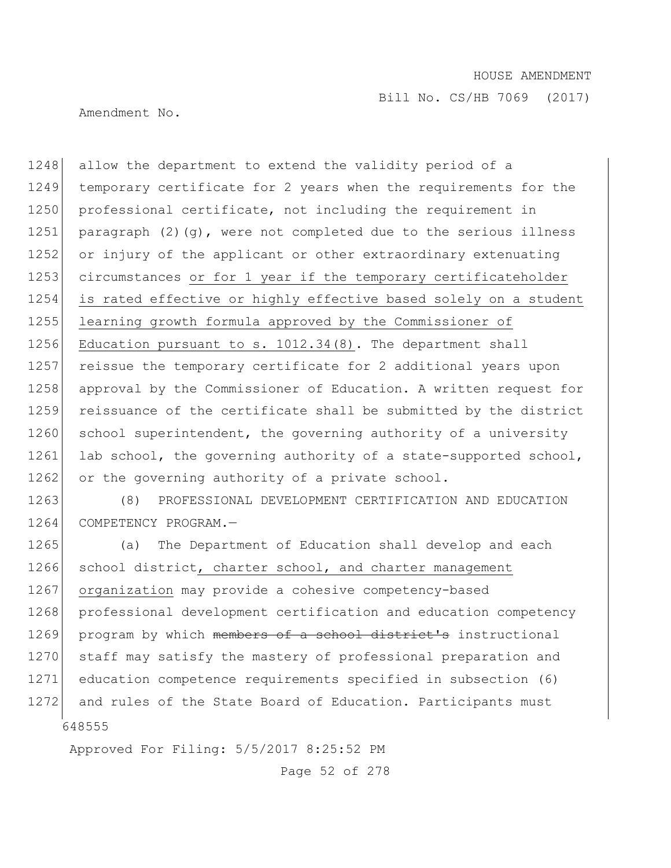Bill No. CS/HB 7069 (2017)

Amendment No.

1248 allow the department to extend the validity period of a 1249 temporary certificate for 2 years when the requirements for the 1250 professional certificate, not including the requirement in 1251 paragraph  $(2)(q)$ , were not completed due to the serious illness 1252 or injury of the applicant or other extraordinary extenuating 1253 circumstances or for 1 year if the temporary certificateholder 1254 is rated effective or highly effective based solely on a student 1255 learning growth formula approved by the Commissioner of 1256 Education pursuant to s. 1012.34(8). The department shall 1257 reissue the temporary certificate for 2 additional years upon 1258 approval by the Commissioner of Education. A written request for 1259 reissuance of the certificate shall be submitted by the district 1260 school superintendent, the governing authority of a university 1261 lab school, the governing authority of a state-supported school, 1262 or the governing authority of a private school.

1263 (8) PROFESSIONAL DEVELOPMENT CERTIFICATION AND EDUCATION 1264 COMPETENCY PROGRAM.-

648555 1265 (a) The Department of Education shall develop and each 1266 school district, charter school, and charter management 1267 organization may provide a cohesive competency-based 1268 professional development certification and education competency 1269 program by which members of a school district's instructional 1270 staff may satisfy the mastery of professional preparation and 1271 education competence requirements specified in subsection (6) 1272 and rules of the State Board of Education. Participants must

Approved For Filing: 5/5/2017 8:25:52 PM

Page 52 of 278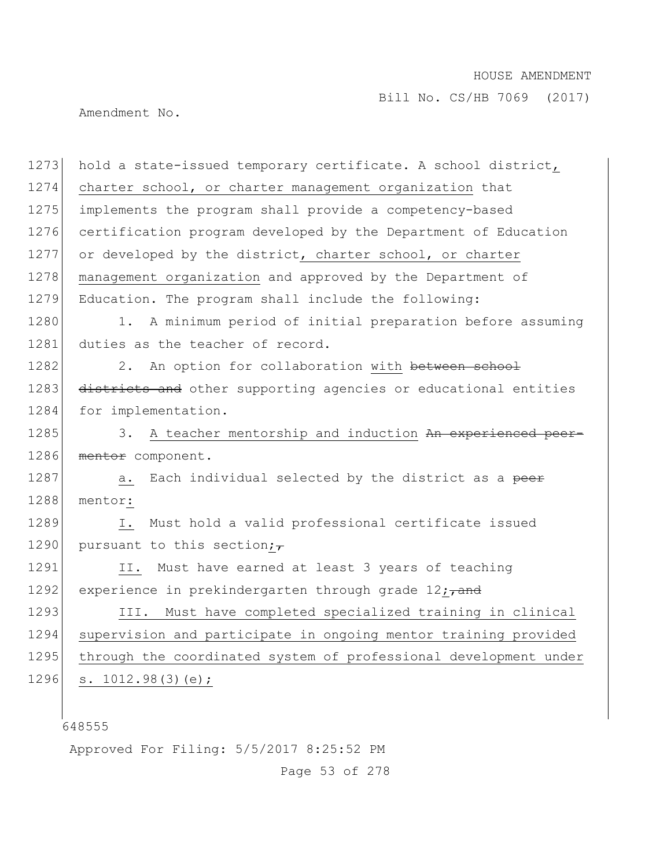Bill No. CS/HB 7069 (2017)

Amendment No.

1273 hold a state-issued temporary certificate. A school district, 1274 charter school, or charter management organization that 1275 implements the program shall provide a competency-based 1276 certification program developed by the Department of Education 1277 or developed by the district, charter school, or charter 1278 management organization and approved by the Department of 1279 Education. The program shall include the following: 1280 1. A minimum period of initial preparation before assuming 1281 duties as the teacher of record. 1282 2. An option for collaboration with between school 1283 districts and other supporting agencies or educational entities 1284 for implementation. 1285 3. A teacher mentorship and induction An experienced peer-1286 mentor component. 1287 a. Each individual selected by the district as a peer 1288 mentor: 1289 I. Must hold a valid professional certificate issued 1290 pursuant to this section; $\overline{z}$ 1291 II. Must have earned at least 3 years of teaching 1292 experience in prekindergarten through grade  $12$ ; and 1293 III. Must have completed specialized training in clinical 1294 supervision and participate in ongoing mentor training provided 1295 through the coordinated system of professional development under 1296 s. 1012.98(3)(e);

648555

Approved For Filing: 5/5/2017 8:25:52 PM

Page 53 of 278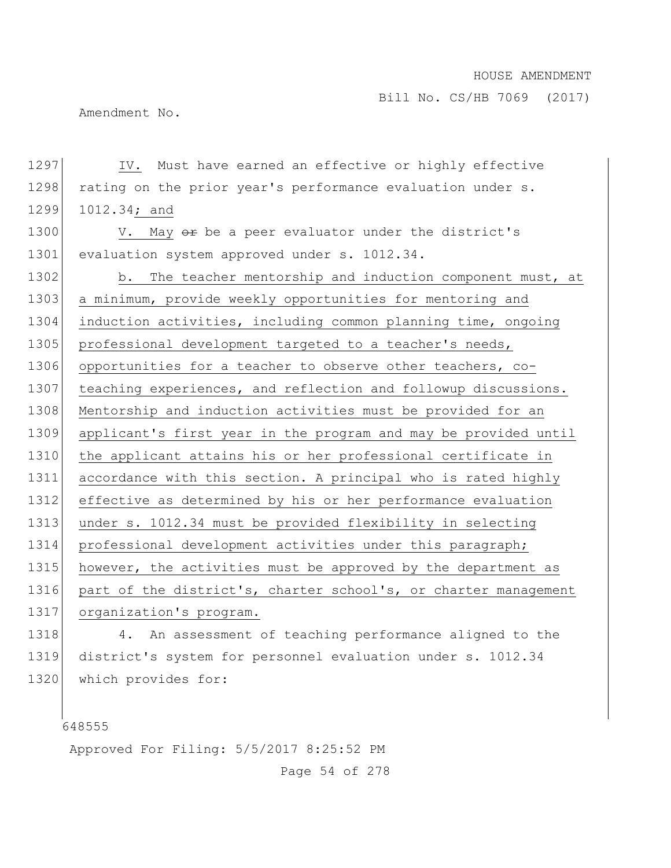Bill No. CS/HB 7069 (2017)

Amendment No.

1297 IV. Must have earned an effective or highly effective 1298 rating on the prior year's performance evaluation under s. 1299 1012.34; and

1300 V. May  $\Theta$  be a peer evaluator under the district's 1301 evaluation system approved under s. 1012.34.

1302 b. The teacher mentorship and induction component must, at 1303 a minimum, provide weekly opportunities for mentoring and 1304 induction activities, including common planning time, ongoing 1305 professional development targeted to a teacher's needs, 1306 opportunities for a teacher to observe other teachers, co-1307 teaching experiences, and reflection and followup discussions. 1308 Mentorship and induction activities must be provided for an 1309 applicant's first year in the program and may be provided until 1310 the applicant attains his or her professional certificate in 1311 accordance with this section. A principal who is rated highly 1312 effective as determined by his or her performance evaluation 1313 under s. 1012.34 must be provided flexibility in selecting 1314 professional development activities under this paragraph; 1315 however, the activities must be approved by the department as 1316 part of the district's, charter school's, or charter management 1317 organization's program.

1318 4. An assessment of teaching performance aligned to the 1319 district's system for personnel evaluation under s. 1012.34 1320 which provides for:

648555

Approved For Filing: 5/5/2017 8:25:52 PM

Page 54 of 278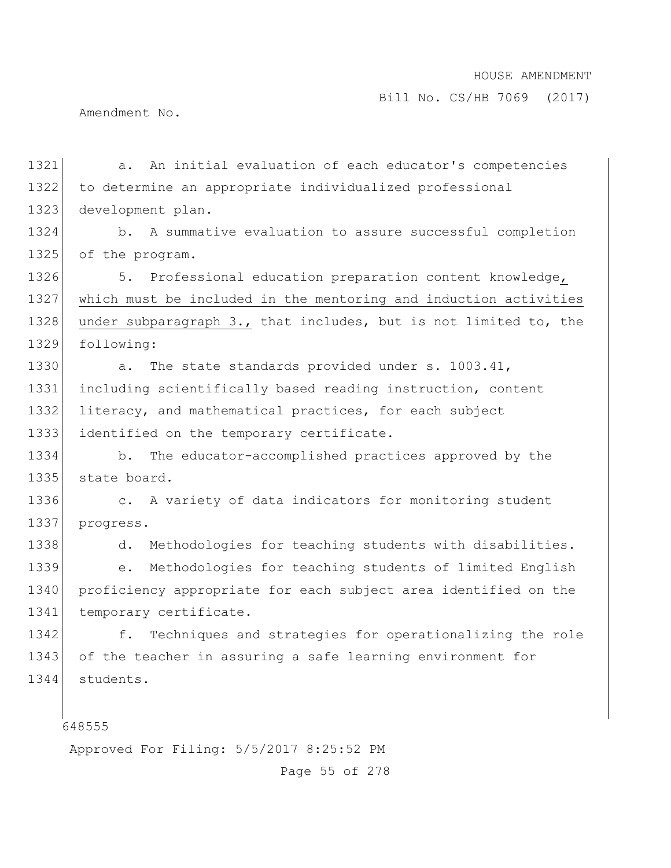Amendment No.

| 1321 | An initial evaluation of each educator's competencies<br>a.           |
|------|-----------------------------------------------------------------------|
| 1322 | to determine an appropriate individualized professional               |
| 1323 | development plan.                                                     |
| 1324 | A summative evaluation to assure successful completion<br>b.          |
| 1325 | of the program.                                                       |
| 1326 | Professional education preparation content knowledge,<br>5.           |
| 1327 | which must be included in the mentoring and induction activities      |
| 1328 | under subparagraph 3., that includes, but is not limited to, the      |
| 1329 | following:                                                            |
| 1330 | The state standards provided under s. 1003.41,<br>$a$ .               |
| 1331 | including scientifically based reading instruction, content           |
| 1332 | literacy, and mathematical practices, for each subject                |
| 1333 | identified on the temporary certificate.                              |
| 1334 | The educator-accomplished practices approved by the<br>b.             |
| 1335 | state board.                                                          |
| 1336 | A variety of data indicators for monitoring student<br>$\mathsf{C}$ . |
| 1337 | progress.                                                             |
| 1338 | Methodologies for teaching students with disabilities.<br>d.          |
| 1339 | Methodologies for teaching students of limited English<br>е.          |
| 1340 | proficiency appropriate for each subject area identified on the       |
| 1341 | temporary certificate.                                                |
| 1342 | Techniques and strategies for operationalizing the role<br>f.         |
| 1343 | of the teacher in assuring a safe learning environment for            |
| 1344 | students.                                                             |
|      |                                                                       |
|      | 648555                                                                |

Approved For Filing: 5/5/2017 8:25:52 PM

Page 55 of 278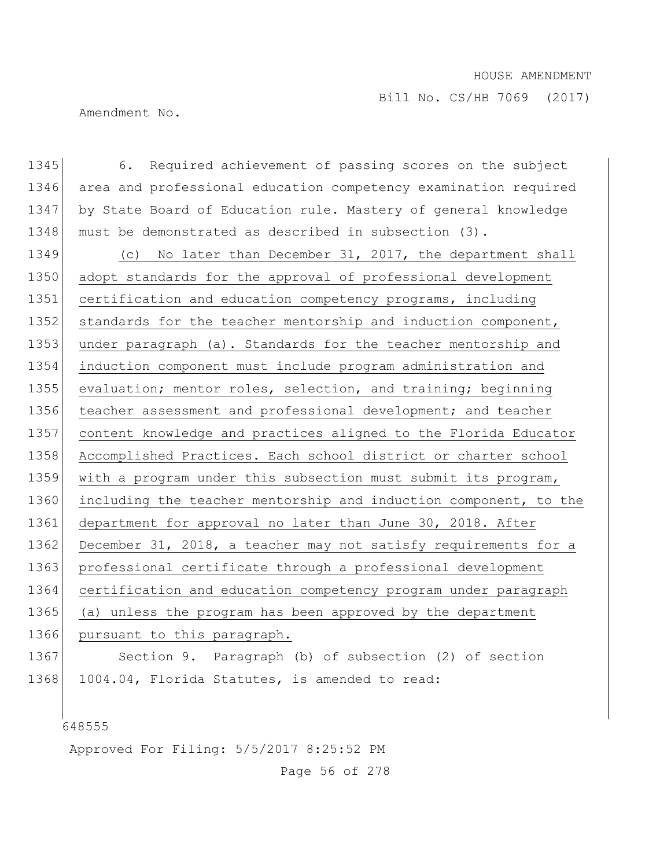Bill No. CS/HB 7069 (2017)

Amendment No.

1345 6. Required achievement of passing scores on the subject 1346 area and professional education competency examination required 1347 by State Board of Education rule. Mastery of general knowledge 1348 must be demonstrated as described in subsection (3). 1349 (c) No later than December 31, 2017, the department shall 1350 adopt standards for the approval of professional development 1351 certification and education competency programs, including 1352 standards for the teacher mentorship and induction component, 1353 under paragraph (a). Standards for the teacher mentorship and 1354 induction component must include program administration and 1355 evaluation; mentor roles, selection, and training; beginning 1356 teacher assessment and professional development; and teacher 1357 content knowledge and practices aligned to the Florida Educator 1358 Accomplished Practices. Each school district or charter school 1359 with a program under this subsection must submit its program, 1360 including the teacher mentorship and induction component, to the 1361 department for approval no later than June 30, 2018. After 1362 December 31, 2018, a teacher may not satisfy requirements for a 1363 professional certificate through a professional development 1364 certification and education competency program under paragraph 1365 (a) unless the program has been approved by the department 1366 pursuant to this paragraph. 1367 Section 9. Paragraph (b) of subsection (2) of section 1368 1004.04, Florida Statutes, is amended to read:

648555

Approved For Filing: 5/5/2017 8:25:52 PM

Page 56 of 278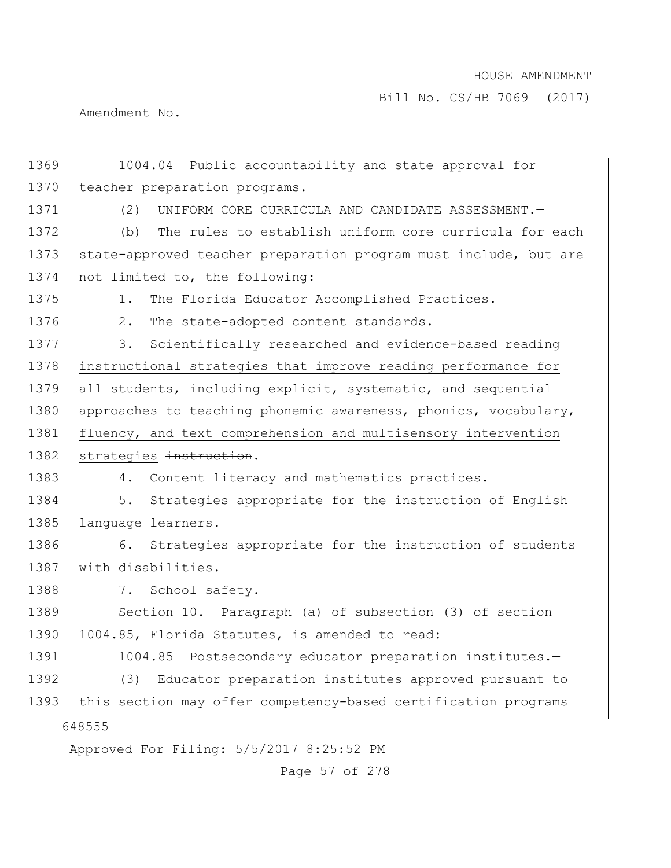Bill No. CS/HB 7069 (2017)

Amendment No.

| 1369 | 1004.04 Public accountability and state approval for             |
|------|------------------------------------------------------------------|
| 1370 | teacher preparation programs.-                                   |
| 1371 | UNIFORM CORE CURRICULA AND CANDIDATE ASSESSMENT.-<br>(2)         |
| 1372 | The rules to establish uniform core curricula for each<br>(b)    |
| 1373 | state-approved teacher preparation program must include, but are |
| 1374 | not limited to, the following:                                   |
| 1375 | The Florida Educator Accomplished Practices.<br>1.               |
| 1376 | 2.<br>The state-adopted content standards.                       |
| 1377 | Scientifically researched and evidence-based reading<br>3.       |
| 1378 | instructional strategies that improve reading performance for    |
| 1379 | all students, including explicit, systematic, and sequential     |
| 1380 | approaches to teaching phonemic awareness, phonics, vocabulary,  |
| 1381 | fluency, and text comprehension and multisensory intervention    |
| 1382 | strategies instruction.                                          |
| 1383 | 4. Content literacy and mathematics practices.                   |
| 1384 | Strategies appropriate for the instruction of English<br>5.      |
| 1385 | language learners.                                               |
| 1386 | Strategies appropriate for the instruction of students<br>6.     |
| 1387 | with disabilities.                                               |
| 1388 | 7. School safety.                                                |
| 1389 | Section 10. Paragraph (a) of subsection (3) of section           |
| 1390 | 1004.85, Florida Statutes, is amended to read:                   |
| 1391 | 1004.85 Postsecondary educator preparation institutes.-          |
| 1392 | Educator preparation institutes approved pursuant to<br>(3)      |
| 1393 | this section may offer competency-based certification programs   |
|      | 648555                                                           |
|      | Approved For Filing: 5/5/2017 8:25:52 PM                         |
|      | Page 57 of 278                                                   |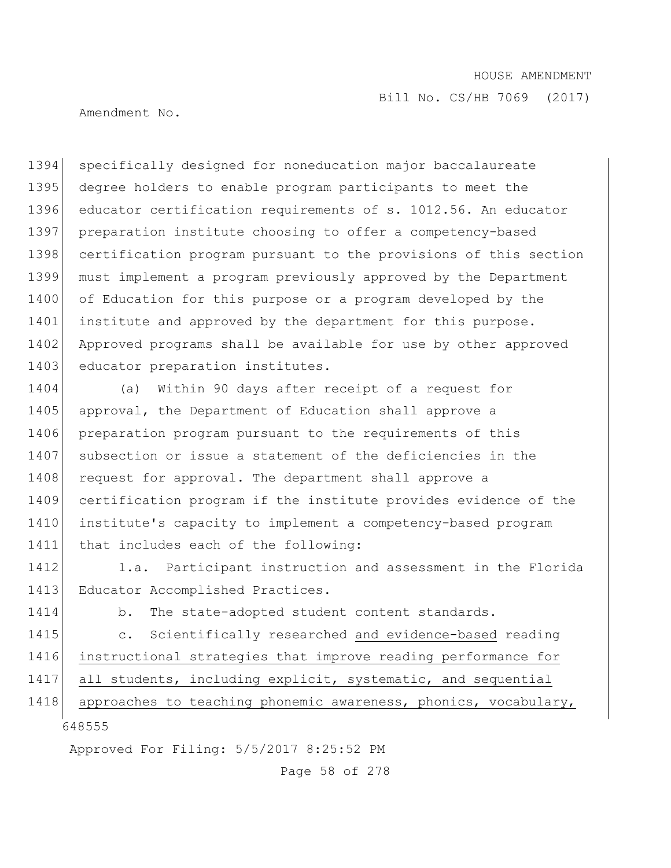Amendment No.

1394 specifically designed for noneducation major baccalaureate 1395 degree holders to enable program participants to meet the 1396 educator certification requirements of s. 1012.56. An educator 1397 preparation institute choosing to offer a competency-based 1398 certification program pursuant to the provisions of this section 1399 must implement a program previously approved by the Department 1400 of Education for this purpose or a program developed by the 1401 institute and approved by the department for this purpose. 1402 Approved programs shall be available for use by other approved 1403 educator preparation institutes.

1404 (a) Within 90 days after receipt of a request for 1405 approval, the Department of Education shall approve a 1406 preparation program pursuant to the requirements of this 1407 subsection or issue a statement of the deficiencies in the 1408 request for approval. The department shall approve a 1409 certification program if the institute provides evidence of the 1410 institute's capacity to implement a competency-based program 1411 that includes each of the following:

1412 1.a. Participant instruction and assessment in the Florida 1413 Educator Accomplished Practices.

1414 b. The state-adopted student content standards.

1415 c. Scientifically researched and evidence-based reading 1416 instructional strategies that improve reading performance for

1417 all students, including explicit, systematic, and sequential

648555 1418 approaches to teaching phonemic awareness, phonics, vocabulary,

Approved For Filing: 5/5/2017 8:25:52 PM

Page 58 of 278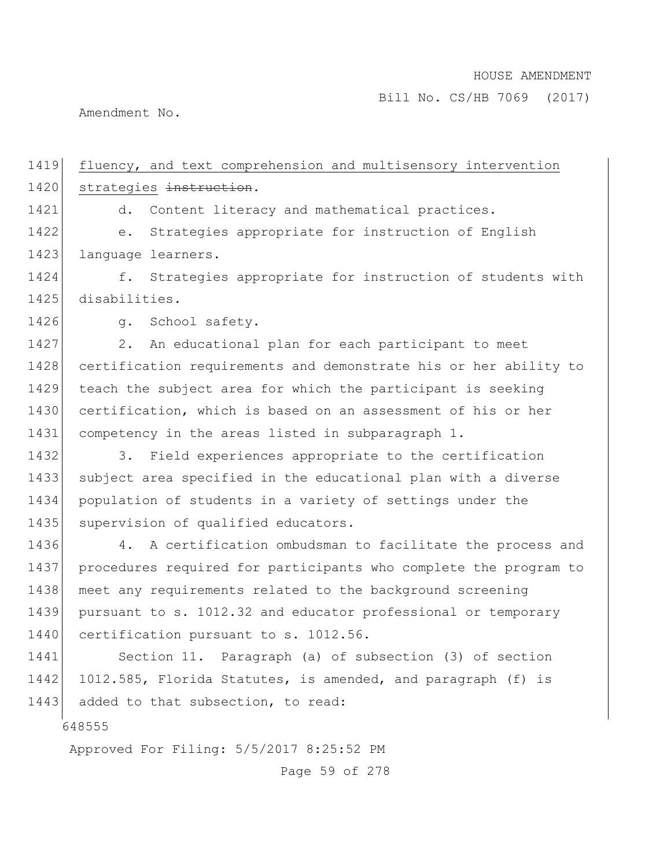Amendment No.

648555 Approved For Filing: 5/5/2017 8:25:52 PM 1419 fluency, and text comprehension and multisensory intervention 1420 strategies instruction. 1421 d. Content literacy and mathematical practices. 1422 e. Strategies appropriate for instruction of English 1423 language learners. 1424 f. Strategies appropriate for instruction of students with 1425 disabilities. 1426 g. School safety. 1427 2. An educational plan for each participant to meet 1428 certification requirements and demonstrate his or her ability to 1429 teach the subject area for which the participant is seeking 1430 certification, which is based on an assessment of his or her 1431 competency in the areas listed in subparagraph 1. 1432 3. Field experiences appropriate to the certification 1433 subject area specified in the educational plan with a diverse 1434 population of students in a variety of settings under the 1435 supervision of qualified educators. 1436 4. A certification ombudsman to facilitate the process and 1437 procedures required for participants who complete the program to 1438 meet any requirements related to the background screening 1439 pursuant to s. 1012.32 and educator professional or temporary 1440 certification pursuant to s. 1012.56. 1441 Section 11. Paragraph (a) of subsection (3) of section 1442 1012.585, Florida Statutes, is amended, and paragraph (f) is 1443 added to that subsection, to read:

Page 59 of 278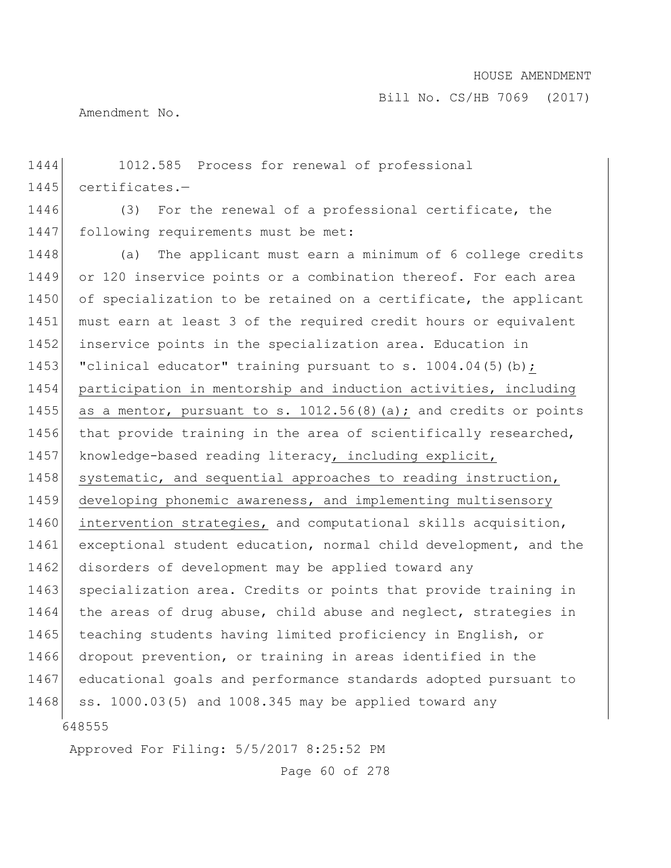Amendment No.

648555 1444 1012.585 Process for renewal of professional 1445 certificates.-1446 (3) For the renewal of a professional certificate, the 1447 following requirements must be met: 1448 (a) The applicant must earn a minimum of 6 college credits 1449 or 120 inservice points or a combination thereof. For each area 1450 of specialization to be retained on a certificate, the applicant 1451 must earn at least 3 of the required credit hours or equivalent 1452 inservice points in the specialization area. Education in 1453 "clinical educator" training pursuant to s.  $1004.04(5)(b)$ ; 1454 participation in mentorship and induction activities, including 1455 as a mentor, pursuant to s.  $1012.56(8)$  (a); and credits or points 1456 that provide training in the area of scientifically researched, 1457 knowledge-based reading literacy, including explicit, 1458 systematic, and sequential approaches to reading instruction, 1459 developing phonemic awareness, and implementing multisensory 1460 intervention strategies, and computational skills acquisition, 1461 exceptional student education, normal child development, and the 1462 disorders of development may be applied toward any 1463 specialization area. Credits or points that provide training in 1464 the areas of drug abuse, child abuse and neglect, strategies in 1465 teaching students having limited proficiency in English, or 1466 dropout prevention, or training in areas identified in the 1467 educational goals and performance standards adopted pursuant to 1468 ss. 1000.03(5) and 1008.345 may be applied toward any

Approved For Filing: 5/5/2017 8:25:52 PM

Page 60 of 278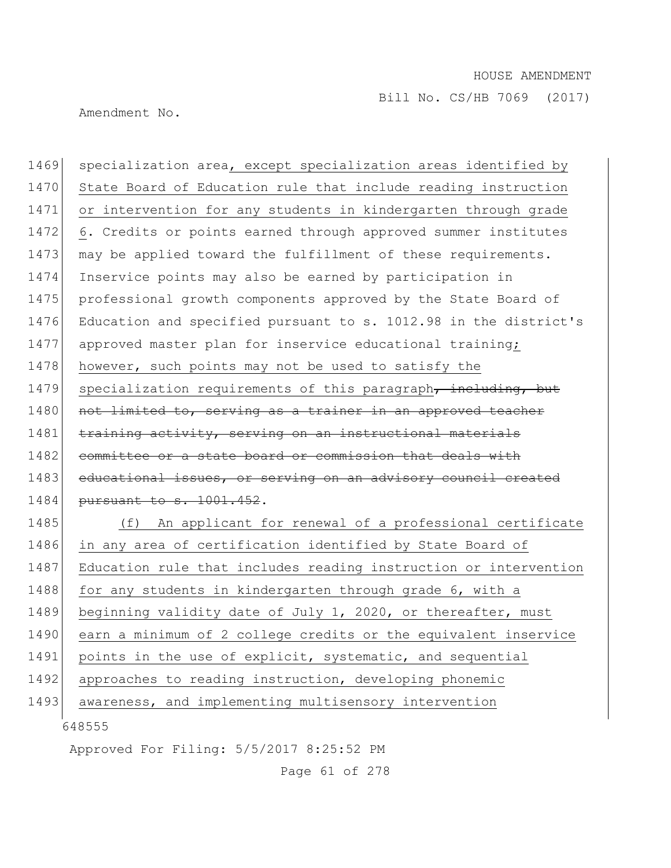Amendment No.

1469 specialization area, except specialization areas identified by 1470 State Board of Education rule that include reading instruction 1471 or intervention for any students in kindergarten through grade 1472 6. Credits or points earned through approved summer institutes 1473 | may be applied toward the fulfillment of these requirements. 1474 Inservice points may also be earned by participation in 1475 professional growth components approved by the State Board of 1476 Education and specified pursuant to s. 1012.98 in the district's 1477 approved master plan for inservice educational training; 1478 however, such points may not be used to satisfy the 1479 specialization requirements of this paragraph, including, but 1480 not limited to, serving as a trainer in an approved teacher 1481 training activity, serving on an instructional materials 1482 committee or a state board or commission that deals with 1483 educational issues, or serving on an advisory council created 1484 pursuant to s. 1001.452. 1485 (f) An applicant for renewal of a professional certificate

648555 1486 in any area of certification identified by State Board of 1487 Education rule that includes reading instruction or intervention 1488 for any students in kindergarten through grade 6, with a 1489 beginning validity date of July 1, 2020, or thereafter, must 1490 earn a minimum of 2 college credits or the equivalent inservice 1491 points in the use of explicit, systematic, and sequential 1492 approaches to reading instruction, developing phonemic 1493 awareness, and implementing multisensory intervention

Approved For Filing: 5/5/2017 8:25:52 PM

Page 61 of 278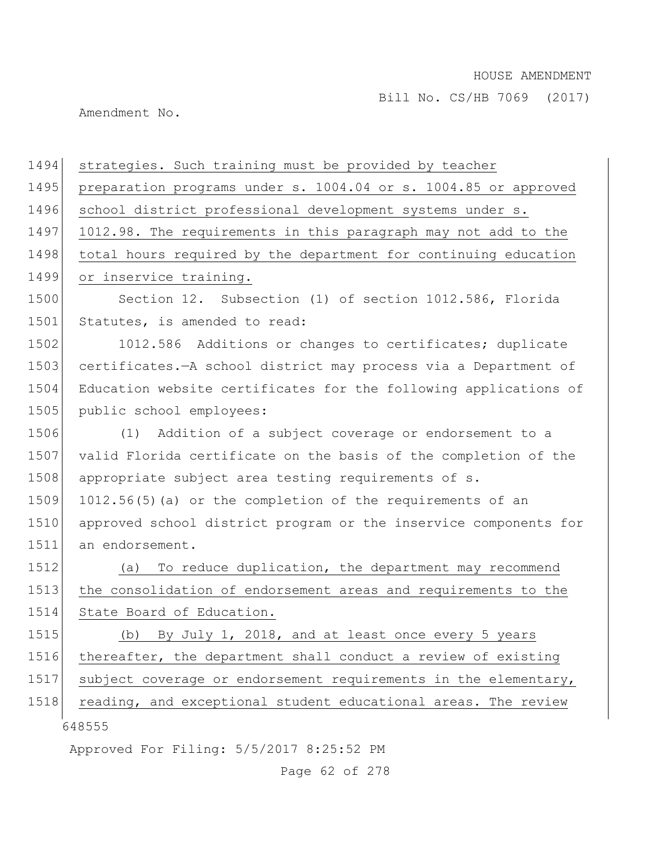Amendment No.

| 1494 | strategies. Such training must be provided by teacher            |
|------|------------------------------------------------------------------|
| 1495 | preparation programs under s. 1004.04 or s. 1004.85 or approved  |
| 1496 | school district professional development systems under s.        |
| 1497 | 1012.98. The requirements in this paragraph may not add to the   |
| 1498 | total hours required by the department for continuing education  |
| 1499 | or inservice training.                                           |
| 1500 | Section 12. Subsection (1) of section 1012.586, Florida          |
| 1501 | Statutes, is amended to read:                                    |
| 1502 | 1012.586 Additions or changes to certificates; duplicate         |
| 1503 | certificates.-A school district may process via a Department of  |
| 1504 | Education website certificates for the following applications of |
| 1505 | public school employees:                                         |
| 1506 | (1) Addition of a subject coverage or endorsement to a           |
| 1507 | valid Florida certificate on the basis of the completion of the  |
| 1508 | appropriate subject area testing requirements of s.              |
| 1509 | 1012.56(5)(a) or the completion of the requirements of an        |
| 1510 | approved school district program or the inservice components for |
| 1511 | an endorsement.                                                  |
| 1512 | To reduce duplication, the department may recommend<br>(a)       |
| 1513 | the consolidation of endorsement areas and requirements to the   |
| 1514 | State Board of Education.                                        |
| 1515 | By July 1, 2018, and at least once every 5 years<br>(b)          |
| 1516 | thereafter, the department shall conduct a review of existing    |
| 1517 | subject coverage or endorsement requirements in the elementary,  |
| 1518 | reading, and exceptional student educational areas. The review   |
|      | 648555                                                           |
|      | Approved For Filing: 5/5/2017 8:25:52 PM                         |

Page 62 of 278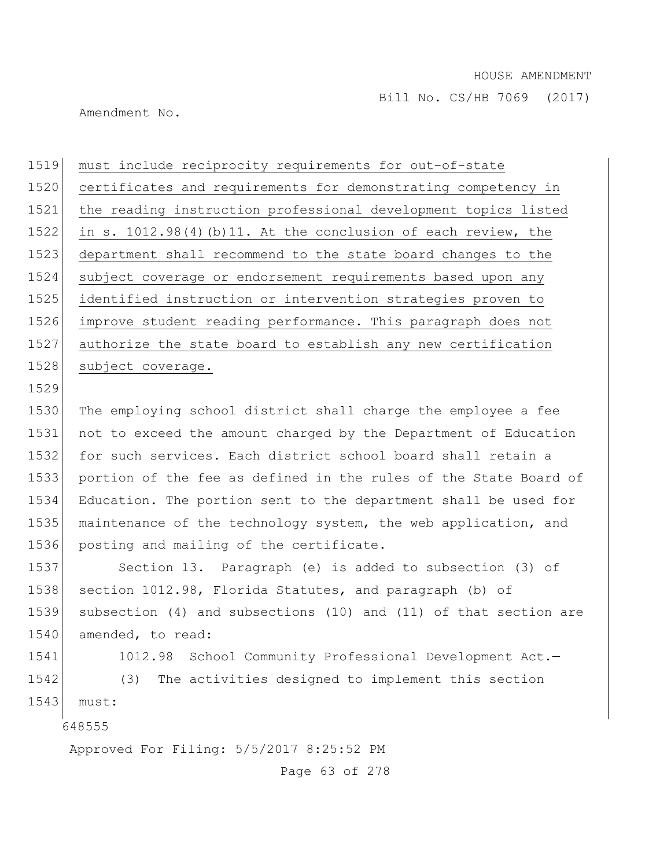Amendment No.

 must include reciprocity requirements for out-of-state certificates and requirements for demonstrating competency in the reading instruction professional development topics listed in s. 1012.98(4)(b)11. At the conclusion of each review, the department shall recommend to the state board changes to the subject coverage or endorsement requirements based upon any identified instruction or intervention strategies proven to improve student reading performance. This paragraph does not authorize the state board to establish any new certification 1528 subject coverage.

1530 The employing school district shall charge the employee a fee 1531 not to exceed the amount charged by the Department of Education 1532 for such services. Each district school board shall retain a 1533 portion of the fee as defined in the rules of the State Board of 1534 Education. The portion sent to the department shall be used for 1535 maintenance of the technology system, the web application, and 1536 posting and mailing of the certificate.

1537 Section 13. Paragraph (e) is added to subsection (3) of 1538 section 1012.98, Florida Statutes, and paragraph (b) of 1539 subsection (4) and subsections (10) and (11) of that section are 1540 amended, to read:

1541 1012.98 School Community Professional Development Act.-1542 (3) The activities designed to implement this section 1543 must:

648555

1529

Approved For Filing: 5/5/2017 8:25:52 PM

Page 63 of 278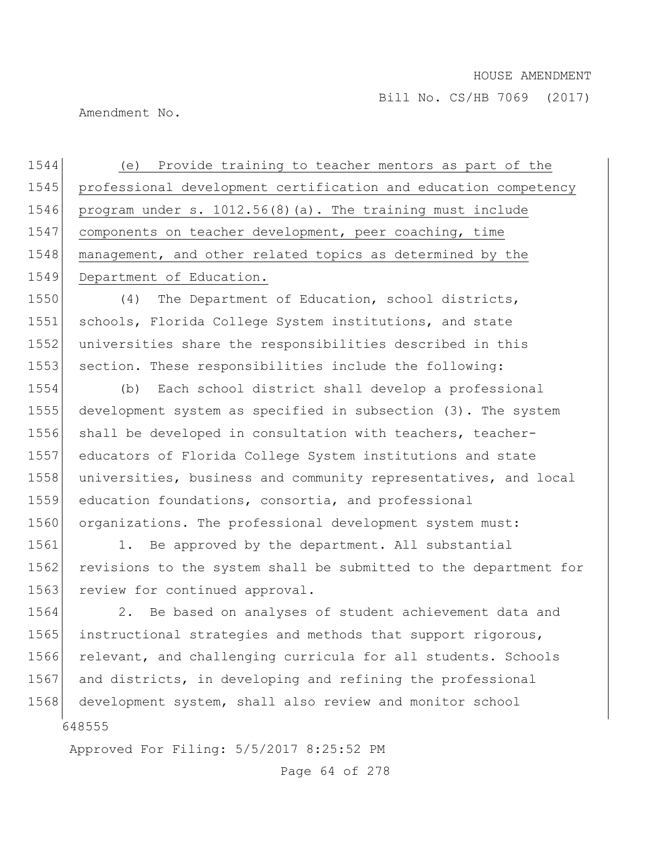Amendment No.

 (e) Provide training to teacher mentors as part of the professional development certification and education competency program under s. 1012.56(8)(a). The training must include components on teacher development, peer coaching, time 1548 management, and other related topics as determined by the 1549 Department of Education.

1550 (4) The Department of Education, school districts, 1551 schools, Florida College System institutions, and state 1552 universities share the responsibilities described in this 1553 section. These responsibilities include the following:

 (b) Each school district shall develop a professional development system as specified in subsection (3). The system 1556 shall be developed in consultation with teachers, teacher- educators of Florida College System institutions and state universities, business and community representatives, and local education foundations, consortia, and professional 1560 organizations. The professional development system must:

1561 1. Be approved by the department. All substantial 1562 revisions to the system shall be submitted to the department for 1563 review for continued approval.

648555 1564 2. Be based on analyses of student achievement data and 1565 instructional strategies and methods that support rigorous, 1566 relevant, and challenging curricula for all students. Schools 1567 and districts, in developing and refining the professional 1568 development system, shall also review and monitor school

Approved For Filing: 5/5/2017 8:25:52 PM

Page 64 of 278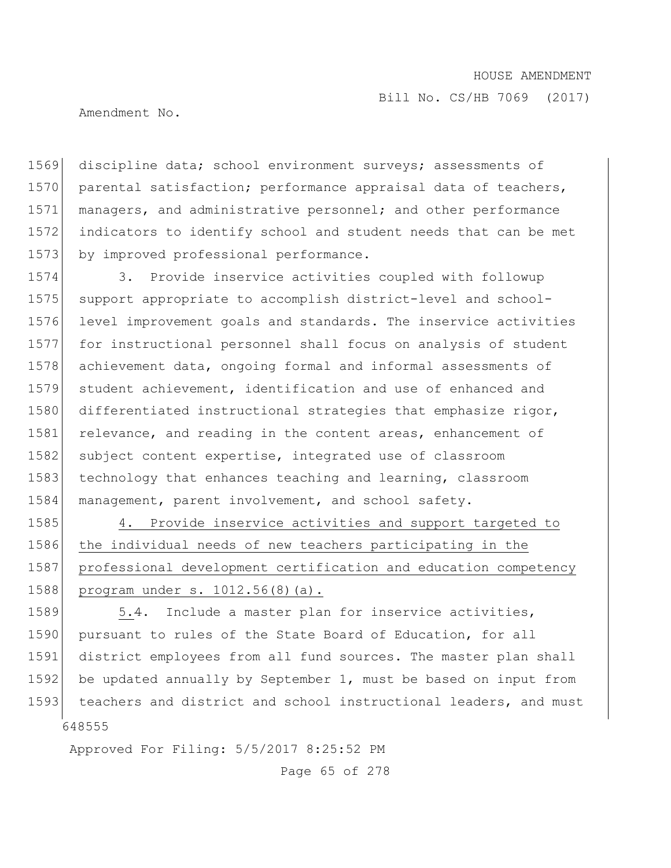Amendment No.

1569 discipline data; school environment surveys; assessments of 1570 parental satisfaction; performance appraisal data of teachers, 1571 managers, and administrative personnel; and other performance 1572 indicators to identify school and student needs that can be met 1573 by improved professional performance.

1574 3. Provide inservice activities coupled with followup 1575 support appropriate to accomplish district-level and school-1576 level improvement goals and standards. The inservice activities 1577 for instructional personnel shall focus on analysis of student 1578 achievement data, ongoing formal and informal assessments of 1579 student achievement, identification and use of enhanced and 1580 differentiated instructional strategies that emphasize rigor, 1581 relevance, and reading in the content areas, enhancement of 1582 subject content expertise, integrated use of classroom 1583 technology that enhances teaching and learning, classroom 1584 management, parent involvement, and school safety.

1585 4. Provide inservice activities and support targeted to 1586 the individual needs of new teachers participating in the 1587 professional development certification and education competency 1588 program under s. 1012.56(8)(a).

648555 1589 5.4. Include a master plan for inservice activities, 1590 pursuant to rules of the State Board of Education, for all 1591 district employees from all fund sources. The master plan shall 1592 be updated annually by September 1, must be based on input from 1593 teachers and district and school instructional leaders, and must

Approved For Filing: 5/5/2017 8:25:52 PM

Page 65 of 278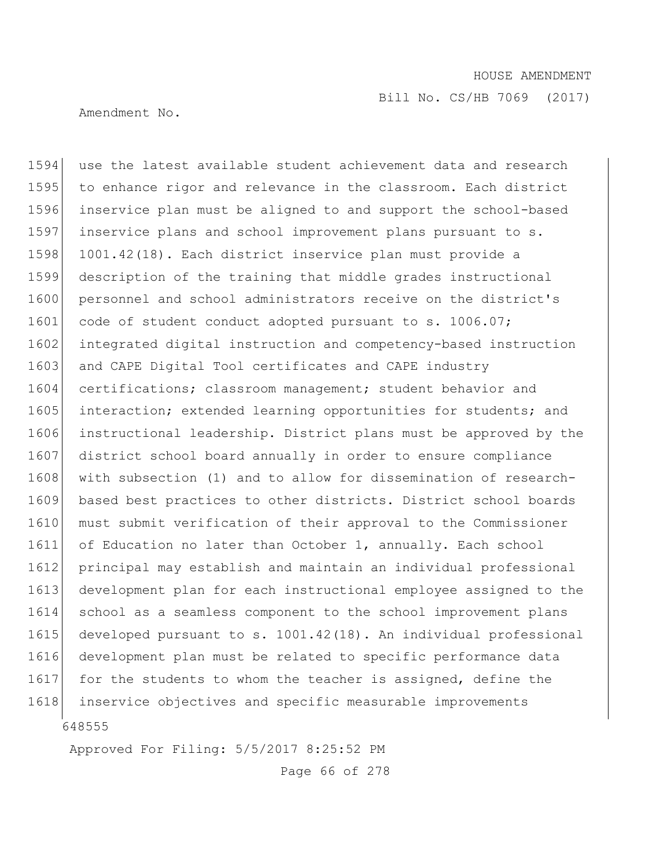Bill No. CS/HB 7069 (2017)

Amendment No.

648555 1594 use the latest available student achievement data and research 1595 to enhance rigor and relevance in the classroom. Each district 1596 inservice plan must be aligned to and support the school-based 1597 inservice plans and school improvement plans pursuant to s. 1598 1001.42(18). Each district inservice plan must provide a 1599 description of the training that middle grades instructional 1600 personnel and school administrators receive on the district's 1601 code of student conduct adopted pursuant to s. 1006.07; 1602 integrated digital instruction and competency-based instruction 1603 and CAPE Digital Tool certificates and CAPE industry 1604 certifications; classroom management; student behavior and 1605 interaction; extended learning opportunities for students; and 1606 instructional leadership. District plans must be approved by the 1607 district school board annually in order to ensure compliance 1608 | with subsection (1) and to allow for dissemination of research-1609 based best practices to other districts. District school boards 1610 must submit verification of their approval to the Commissioner 1611 of Education no later than October 1, annually. Each school 1612 principal may establish and maintain an individual professional 1613 development plan for each instructional employee assigned to the 1614 school as a seamless component to the school improvement plans 1615 developed pursuant to s. 1001.42(18). An individual professional 1616 development plan must be related to specific performance data 1617 for the students to whom the teacher is assigned, define the 1618 inservice objectives and specific measurable improvements

Approved For Filing: 5/5/2017 8:25:52 PM

Page 66 of 278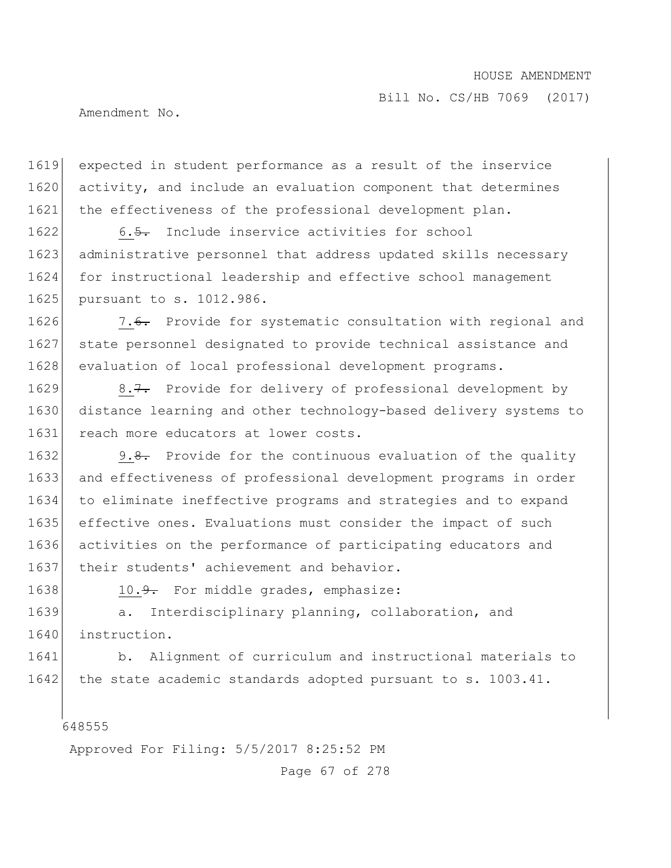Amendment No.

1619 expected in student performance as a result of the inservice 1620 activity, and include an evaluation component that determines 1621 the effectiveness of the professional development plan.

1622 6.5. Include inservice activities for school 1623 administrative personnel that address updated skills necessary 1624 for instructional leadership and effective school management 1625 pursuant to s. 1012.986.

1626 7.6. Provide for systematic consultation with regional and 1627 state personnel designated to provide technical assistance and 1628 evaluation of local professional development programs.

1629 8.7. Provide for delivery of professional development by 1630 distance learning and other technology-based delivery systems to 1631 reach more educators at lower costs.

1632 9.8. Provide for the continuous evaluation of the quality 1633 and effectiveness of professional development programs in order 1634 to eliminate ineffective programs and strategies and to expand 1635 effective ones. Evaluations must consider the impact of such 1636 activities on the performance of participating educators and 1637 their students' achievement and behavior.

1638 10.<del>9.</del> For middle grades, emphasize:

1639 a. Interdisciplinary planning, collaboration, and 1640 instruction.

1641 b. Alignment of curriculum and instructional materials to 1642 the state academic standards adopted pursuant to s. 1003.41.

648555

Approved For Filing: 5/5/2017 8:25:52 PM

Page 67 of 278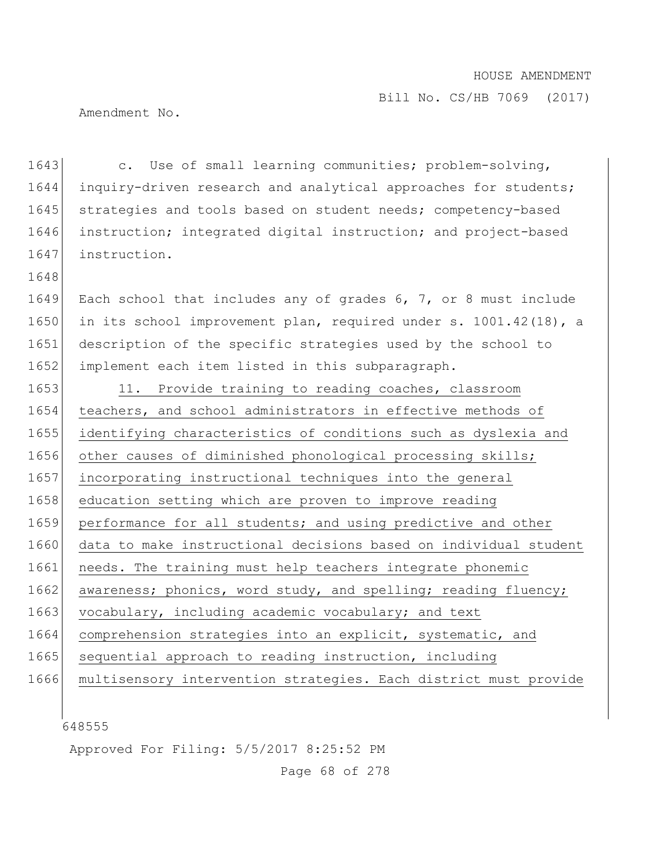Amendment No.

1648

1643 c. Use of small learning communities; problem-solving, 1644 inquiry-driven research and analytical approaches for students; 1645 strategies and tools based on student needs; competency-based 1646 instruction; integrated digital instruction; and project-based 1647 instruction.

 Each school that includes any of grades 6, 7, or 8 must include in its school improvement plan, required under s. 1001.42(18), a 1651 description of the specific strategies used by the school to implement each item listed in this subparagraph.

1653 11. Provide training to reading coaches, classroom 1654 teachers, and school administrators in effective methods of 1655 identifying characteristics of conditions such as dyslexia and 1656 other causes of diminished phonological processing skills; 1657 incorporating instructional techniques into the general 1658 education setting which are proven to improve reading 1659 performance for all students; and using predictive and other 1660 data to make instructional decisions based on individual student 1661 needs. The training must help teachers integrate phonemic 1662 awareness; phonics, word study, and spelling; reading fluency; 1663 vocabulary, including academic vocabulary; and text 1664 comprehension strategies into an explicit, systematic, and 1665 sequential approach to reading instruction, including 1666 multisensory intervention strategies. Each district must provide

648555

Approved For Filing: 5/5/2017 8:25:52 PM

Page 68 of 278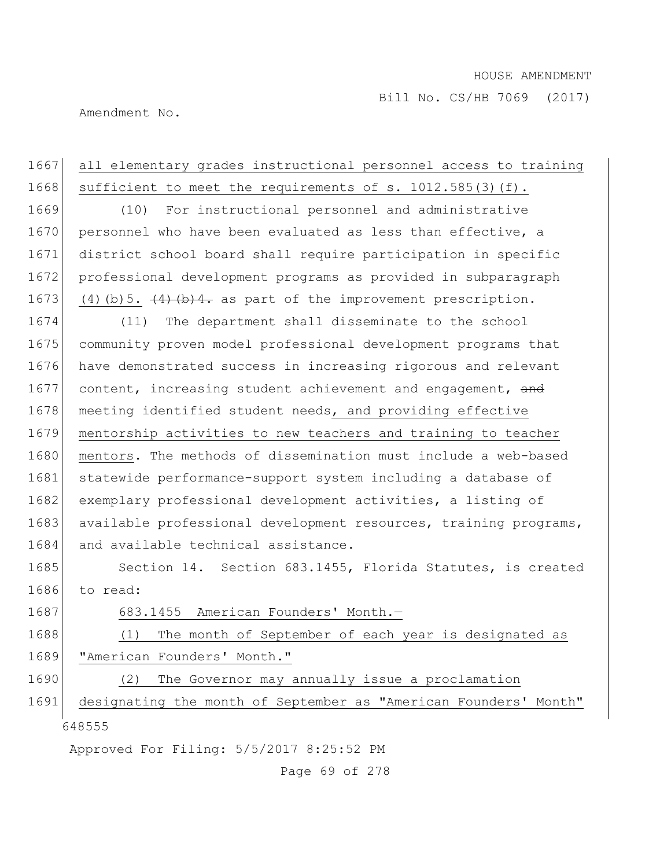Bill No. CS/HB 7069 (2017)

Amendment No.

| 1667 | all elementary grades instructional personnel access to training   |
|------|--------------------------------------------------------------------|
| 1668 | sufficient to meet the requirements of s. 1012.585(3)(f).          |
| 1669 | (10)<br>For instructional personnel and administrative             |
| 1670 | personnel who have been evaluated as less than effective, a        |
| 1671 | district school board shall require participation in specific      |
| 1672 | professional development programs as provided in subparagraph      |
| 1673 | $(4)$ (b) 5. $(4)$ (b) 4. as part of the improvement prescription. |
| 1674 | The department shall disseminate to the school<br>(11)             |
| 1675 | community proven model professional development programs that      |
| 1676 | have demonstrated success in increasing rigorous and relevant      |
| 1677 | content, increasing student achievement and engagement, and        |
| 1678 | meeting identified student needs, and providing effective          |
| 1679 | mentorship activities to new teachers and training to teacher      |
| 1680 | mentors. The methods of dissemination must include a web-based     |
| 1681 | statewide performance-support system including a database of       |
| 1682 | exemplary professional development activities, a listing of        |
| 1683 | available professional development resources, training programs,   |
| 1684 | and available technical assistance.                                |
| 1685 | Section 14. Section 683.1455, Florida Statutes, is created         |
| 1686 | to read:                                                           |
| 1687 | 683.1455 American Founders' Month.-                                |
| 1688 | (1)<br>The month of September of each year is designated as        |
| 1689 | "American Founders' Month."                                        |
| 1690 | The Governor may annually issue a proclamation<br>(2)              |
| 1691 | designating the month of September as "American Founders' Month"   |
|      | 648555                                                             |
|      | Approved For Filing: 5/5/2017 8:25:52 PM                           |
|      | Page 69 of 278                                                     |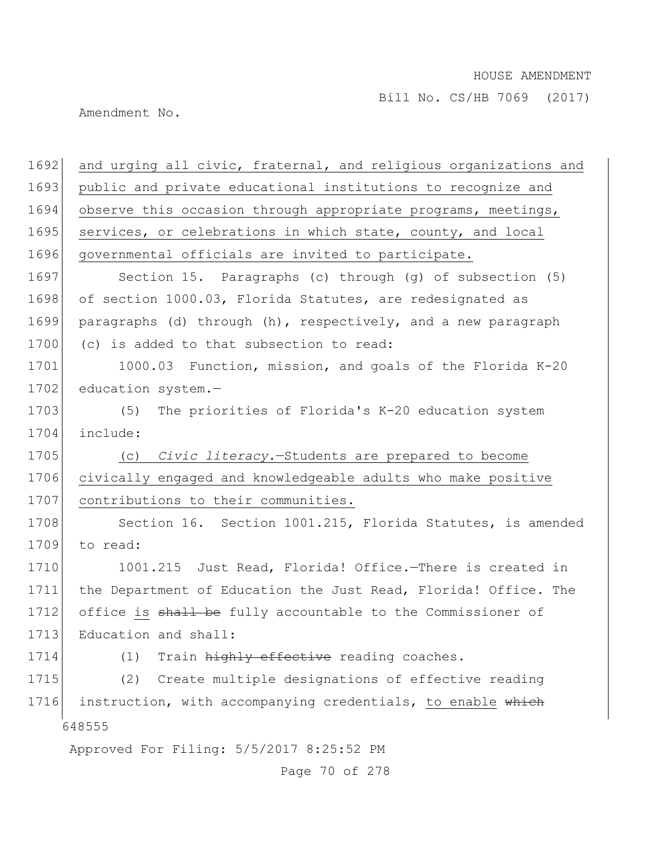Bill No. CS/HB 7069 (2017)

Amendment No.

| 1692 | and urging all civic, fraternal, and religious organizations and |
|------|------------------------------------------------------------------|
| 1693 | public and private educational institutions to recognize and     |
| 1694 | observe this occasion through appropriate programs, meetings,    |
| 1695 | services, or celebrations in which state, county, and local      |
| 1696 | governmental officials are invited to participate.               |
| 1697 | Section 15. Paragraphs (c) through (g) of subsection (5)         |
| 1698 | of section 1000.03, Florida Statutes, are redesignated as        |
| 1699 | paragraphs (d) through (h), respectively, and a new paragraph    |
| 1700 | (c) is added to that subsection to read:                         |
| 1701 | 1000.03 Function, mission, and goals of the Florida K-20         |
| 1702 | education system.-                                               |
| 1703 | The priorities of Florida's K-20 education system<br>(5)         |
| 1704 | include:                                                         |
| 1705 | (c) Civic literacy. - Students are prepared to become            |
| 1706 | civically engaged and knowledgeable adults who make positive     |
| 1707 | contributions to their communities.                              |
| 1708 | Section 16. Section 1001.215, Florida Statutes, is amended       |
| 1709 | to read:                                                         |
| 1710 | 1001.215 Just Read, Florida! Office.-There is created in         |
| 1711 | the Department of Education the Just Read, Florida! Office. The  |
| 1712 | office is shall be fully accountable to the Commissioner of      |
| 1713 | Education and shall:                                             |
| 1714 | Train highly effective reading coaches.<br>(1)                   |
| 1715 | (2)<br>Create multiple designations of effective reading         |
| 1716 | instruction, with accompanying credentials, to enable which      |
|      | 648555                                                           |
|      | Approved For Filing: 5/5/2017 8:25:52 PM                         |
|      |                                                                  |

Page 70 of 278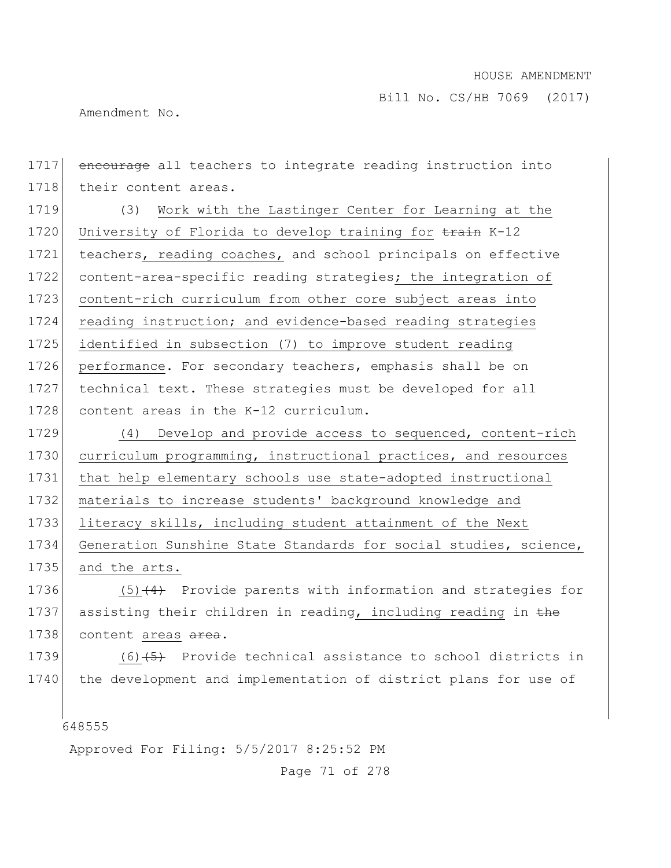Amendment No.

648555 1717 encourage all teachers to integrate reading instruction into 1718 their content areas. 1719 (3) Work with the Lastinger Center for Learning at the 1720 University of Florida to develop training for train K-12 1721 teachers, reading coaches, and school principals on effective 1722 content-area-specific reading strategies; the integration of 1723 content-rich curriculum from other core subject areas into 1724 reading instruction; and evidence-based reading strategies 1725 identified in subsection (7) to improve student reading 1726 performance. For secondary teachers, emphasis shall be on 1727 technical text. These strategies must be developed for all 1728 content areas in the K-12 curriculum. 1729 (4) Develop and provide access to sequenced, content-rich 1730 curriculum programming, instructional practices, and resources 1731 that help elementary schools use state-adopted instructional 1732 materials to increase students' background knowledge and 1733 literacy skills, including student attainment of the Next 1734 Generation Sunshine State Standards for social studies, science, 1735 and the arts. 1736  $(5)$  (4) Provide parents with information and strategies for 1737 assisting their children in reading, including reading in the 1738 content areas area. 1739  $(6)$   $\leftrightarrow$  Provide technical assistance to school districts in 1740 the development and implementation of district plans for use of

Approved For Filing: 5/5/2017 8:25:52 PM

Page 71 of 278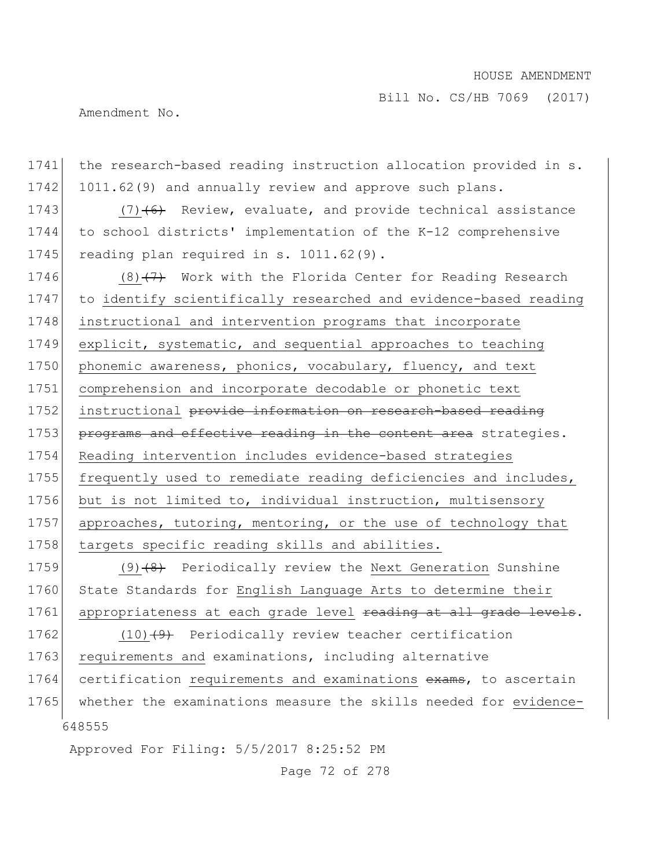Bill No. CS/HB 7069 (2017)

Amendment No.

648555 Approved For Filing: 5/5/2017 8:25:52 PM Page 72 of 278 1741 the research-based reading instruction allocation provided in s. 1742 1011.62(9) and annually review and approve such plans. 1743  $(7)$   $(6)$  Review, evaluate, and provide technical assistance 1744 to school districts' implementation of the K-12 comprehensive 1745 reading plan required in s.  $1011.62(9)$ . 1746 (8) $(7)$  Work with the Florida Center for Reading Research 1747 to identify scientifically researched and evidence-based reading 1748 instructional and intervention programs that incorporate 1749 explicit, systematic, and sequential approaches to teaching 1750 phonemic awareness, phonics, vocabulary, fluency, and text 1751 comprehension and incorporate decodable or phonetic text 1752 instructional provide information on research-based reading 1753 programs and effective reading in the content area strategies. 1754 Reading intervention includes evidence-based strategies 1755 frequently used to remediate reading deficiencies and includes, 1756 but is not limited to, individual instruction, multisensory 1757 approaches, tutoring, mentoring, or the use of technology that 1758 targets specific reading skills and abilities. 1759  $(9)$   $(8)$  Periodically review the Next Generation Sunshine 1760 State Standards for English Language Arts to determine their 1761 appropriateness at each grade level reading at all grade levels. 1762 (10) $(9)$  Periodically review teacher certification 1763 requirements and examinations, including alternative 1764 certification requirements and examinations exams, to ascertain 1765 whether the examinations measure the skills needed for evidence-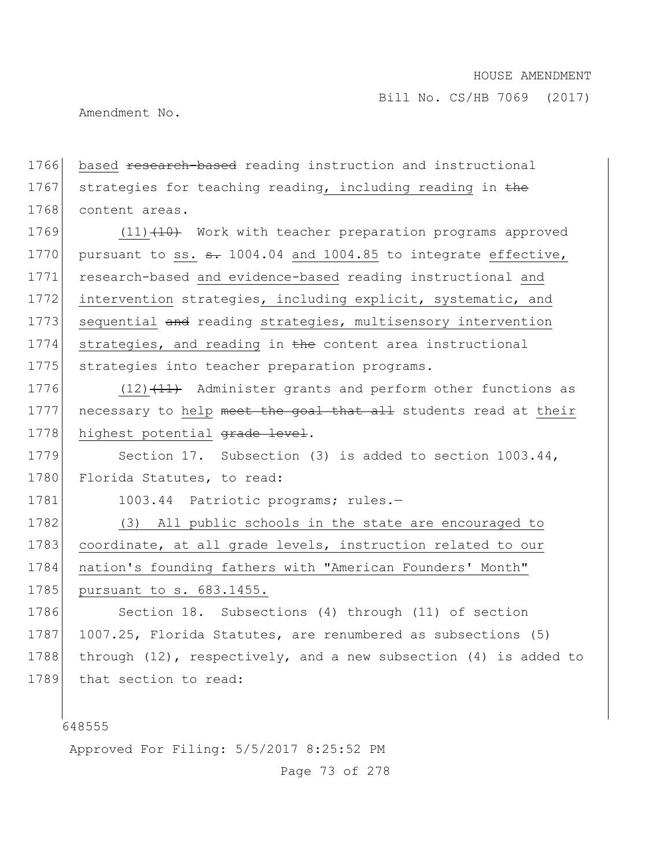Amendment No.

1766 based research-based reading instruction and instructional 1767 strategies for teaching reading, including reading in  $the$ 1768 content areas.

1769 (11) (10) Work with teacher preparation programs approved 1770 | pursuant to ss.  $\theta$ . 1004.04 and 1004.85 to integrate effective, 1771 research-based and evidence-based reading instructional and 1772 intervention strategies, including explicit, systematic, and 1773 sequential and reading strategies, multisensory intervention  $1774$  strategies, and reading in  $\frac{1}{2}$  content area instructional 1775 strategies into teacher preparation programs.

1776  $(12)$   $(11)$  Administer grants and perform other functions as 1777 necessary to help meet the goal that all students read at their 1778 highest potential grade level.

1779 Section 17. Subsection (3) is added to section 1003.44, 1780 Florida Statutes, to read:

1781 1003.44 Patriotic programs; rules.-

1782 (3) All public schools in the state are encouraged to 1783 coordinate, at all grade levels, instruction related to our 1784 nation's founding fathers with "American Founders' Month" 1785 pursuant to s. 683.1455.

1786 Section 18. Subsections (4) through (11) of section 1787 1007.25, Florida Statutes, are renumbered as subsections (5) 1788 through  $(12)$ , respectively, and a new subsection  $(4)$  is added to 1789 that section to read:

648555

Approved For Filing: 5/5/2017 8:25:52 PM

Page 73 of 278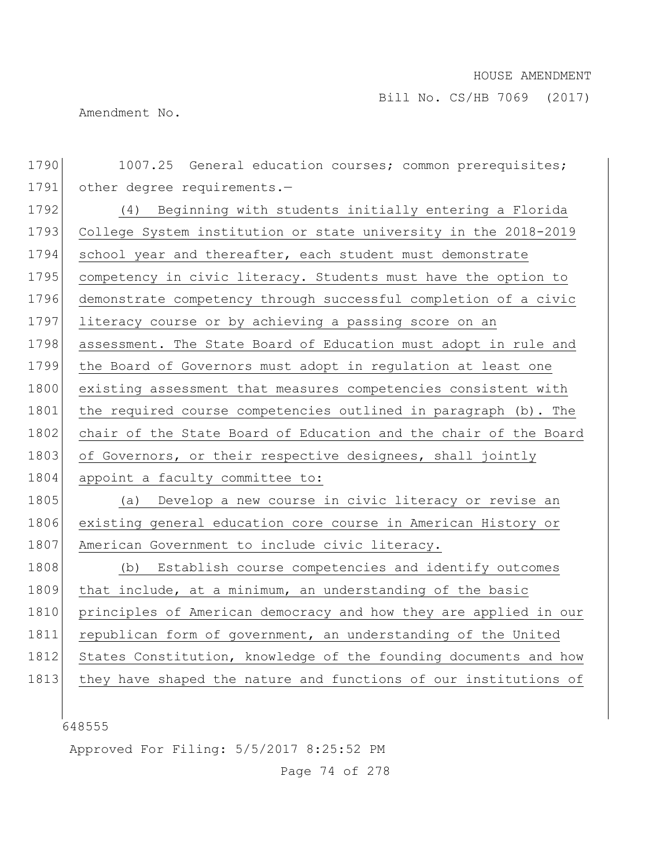Amendment No.

1790 1007.25 General education courses; common prerequisites; 1791 other degree requirements.-1792 (4) Beginning with students initially entering a Florida 1793 College System institution or state university in the 2018-2019 1794 school year and thereafter, each student must demonstrate 1795 competency in civic literacy. Students must have the option to 1796 demonstrate competency through successful completion of a civic 1797 literacy course or by achieving a passing score on an 1798 assessment. The State Board of Education must adopt in rule and 1799 the Board of Governors must adopt in regulation at least one 1800 existing assessment that measures competencies consistent with 1801 the required course competencies outlined in paragraph (b). The 1802 chair of the State Board of Education and the chair of the Board 1803 of Governors, or their respective designees, shall jointly 1804 appoint a faculty committee to: 1805 (a) Develop a new course in civic literacy or revise an 1806 existing general education core course in American History or 1807 American Government to include civic literacy. 1808 (b) Establish course competencies and identify outcomes 1809 that include, at a minimum, an understanding of the basic 1810 principles of American democracy and how they are applied in our 1811 republican form of government, an understanding of the United 1812 States Constitution, knowledge of the founding documents and how 1813 they have shaped the nature and functions of our institutions of

648555

Approved For Filing: 5/5/2017 8:25:52 PM

Page 74 of 278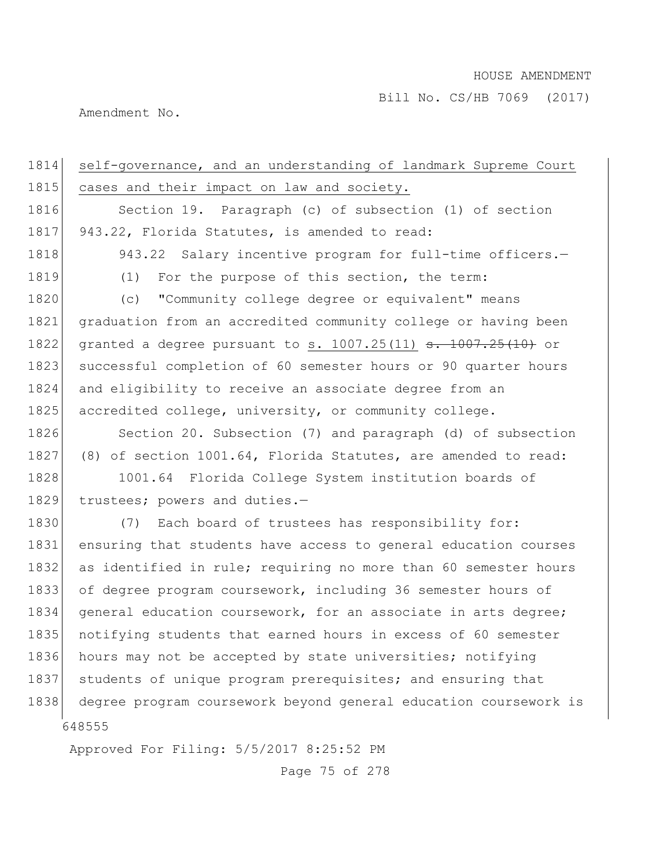Amendment No.

648555 Approved For Filing: 5/5/2017 8:25:52 PM 1814 self-governance, and an understanding of landmark Supreme Court 1815 cases and their impact on law and society. 1816 Section 19. Paragraph (c) of subsection (1) of section 1817 943.22, Florida Statutes, is amended to read: 1818 943.22 Salary incentive program for full-time officers.-1819 (1) For the purpose of this section, the term: 1820 (c) "Community college degree or equivalent" means 1821 graduation from an accredited community college or having been 1822 granted a degree pursuant to s. 1007.25(11) <del>s. 1007.25(10)</del> or 1823 successful completion of 60 semester hours or 90 quarter hours 1824 and eligibility to receive an associate degree from an 1825 accredited college, university, or community college. 1826 Section 20. Subsection (7) and paragraph (d) of subsection 1827 (8) of section 1001.64, Florida Statutes, are amended to read: 1828 1001.64 Florida College System institution boards of 1829 trustees; powers and duties.-1830 (7) Each board of trustees has responsibility for: 1831 ensuring that students have access to general education courses 1832 as identified in rule; requiring no more than 60 semester hours 1833 of degree program coursework, including 36 semester hours of 1834 general education coursework, for an associate in arts degree; 1835 notifying students that earned hours in excess of 60 semester 1836 hours may not be accepted by state universities; notifying 1837 students of unique program prerequisites; and ensuring that 1838 degree program coursework beyond general education coursework is

Page 75 of 278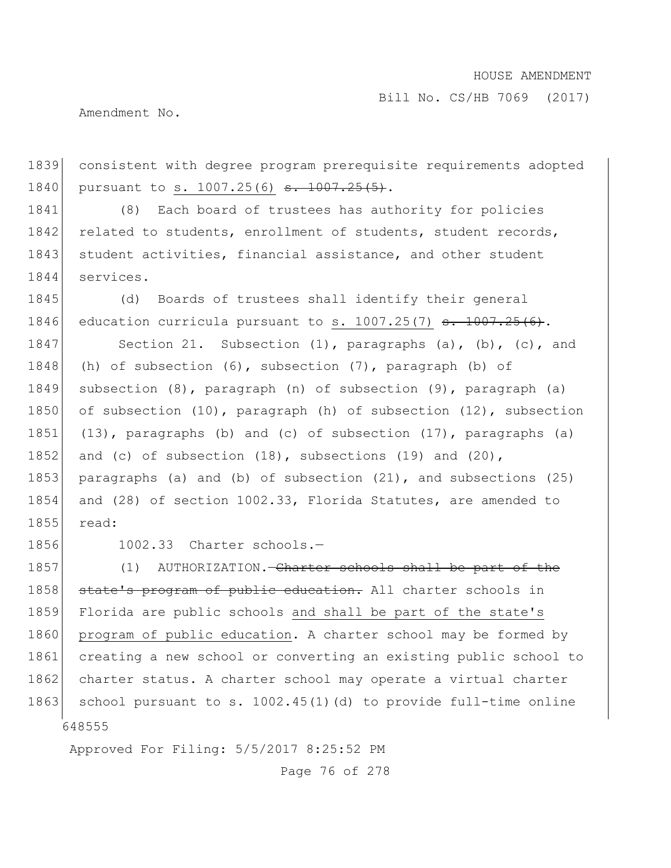Amendment No.

1839 consistent with degree program prerequisite requirements adopted 1840 pursuant to s. 1007.25(6) <del>s. 1007.25(5)</del>.

1841 (8) Each board of trustees has authority for policies 1842 related to students, enrollment of students, student records, 1843 student activities, financial assistance, and other student 1844 services.

1845 (d) Boards of trustees shall identify their general 1846 education curricula pursuant to s.  $1007.25(7)$  s.  $1007.25(6)$ .

1847 Section 21. Subsection (1), paragraphs (a), (b), (c), and 1848 (h) of subsection (6), subsection (7), paragraph (b) of 1849 subsection (8), paragraph (n) of subsection (9), paragraph (a) 1850 of subsection (10), paragraph (h) of subsection (12), subsection 1851 (13), paragraphs (b) and (c) of subsection (17), paragraphs (a) 1852 and (c) of subsection  $(18)$ , subsections  $(19)$  and  $(20)$ , 1853 paragraphs (a) and (b) of subsection (21), and subsections (25) 1854 and (28) of section 1002.33, Florida Statutes, are amended to 1855 read:

1856 1002.33 Charter schools.—

648555 1857 (1) AUTHORIZATION.—Charter schools shall be part of the 1858 state's program of public education. All charter schools in 1859 Florida are public schools and shall be part of the state's 1860 program of public education. A charter school may be formed by 1861 creating a new school or converting an existing public school to 1862 charter status. A charter school may operate a virtual charter 1863 school pursuant to s.  $1002.45(1)$  (d) to provide full-time online

Approved For Filing: 5/5/2017 8:25:52 PM

Page 76 of 278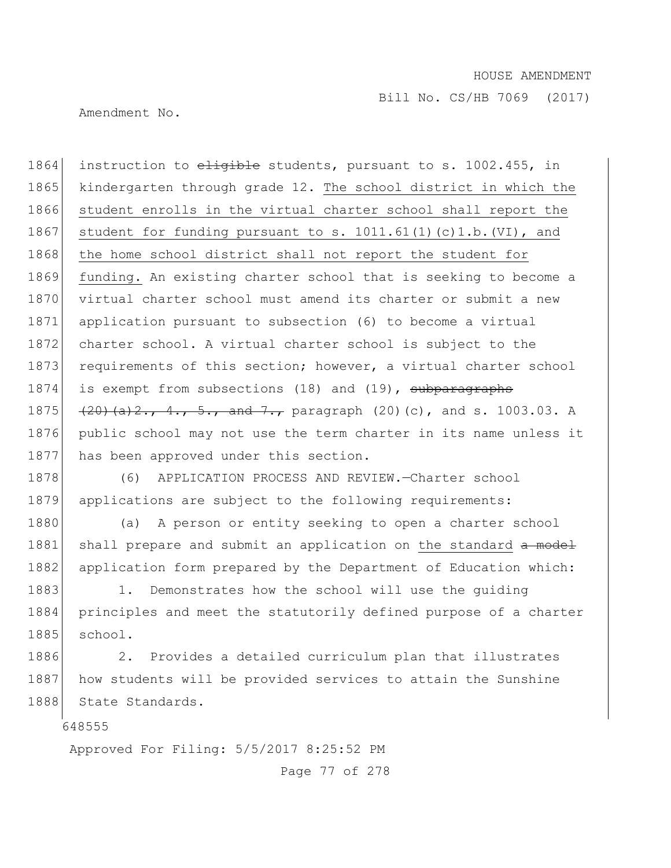Amendment No.

1864 instruction to eligible students, pursuant to s. 1002.455, in 1865 kindergarten through grade 12. The school district in which the 1866 student enrolls in the virtual charter school shall report the 1867 student for funding pursuant to s. 1011.61(1)(c)1.b.(VI), and 1868 the home school district shall not report the student for 1869 funding. An existing charter school that is seeking to become a 1870 virtual charter school must amend its charter or submit a new 1871 application pursuant to subsection (6) to become a virtual 1872 charter school. A virtual charter school is subject to the 1873 requirements of this section; however, a virtual charter school 1874 is exempt from subsections (18) and (19), subparagraphs 1875  $(20)(a)2., 4., 5., and 7., paradigm$  paragraph  $(20)(c)$ , and s. 1003.03. A 1876 public school may not use the term charter in its name unless it 1877 has been approved under this section.

1878 (6) APPLICATION PROCESS AND REVIEW. Charter school 1879 applications are subject to the following requirements:

1880 (a) A person or entity seeking to open a charter school 1881 shall prepare and submit an application on the standard a model 1882 application form prepared by the Department of Education which:

1883 1. Demonstrates how the school will use the quiding 1884 principles and meet the statutorily defined purpose of a charter 1885 school.

1886 2. Provides a detailed curriculum plan that illustrates 1887 how students will be provided services to attain the Sunshine 1888 State Standards.

648555

Approved For Filing: 5/5/2017 8:25:52 PM

Page 77 of 278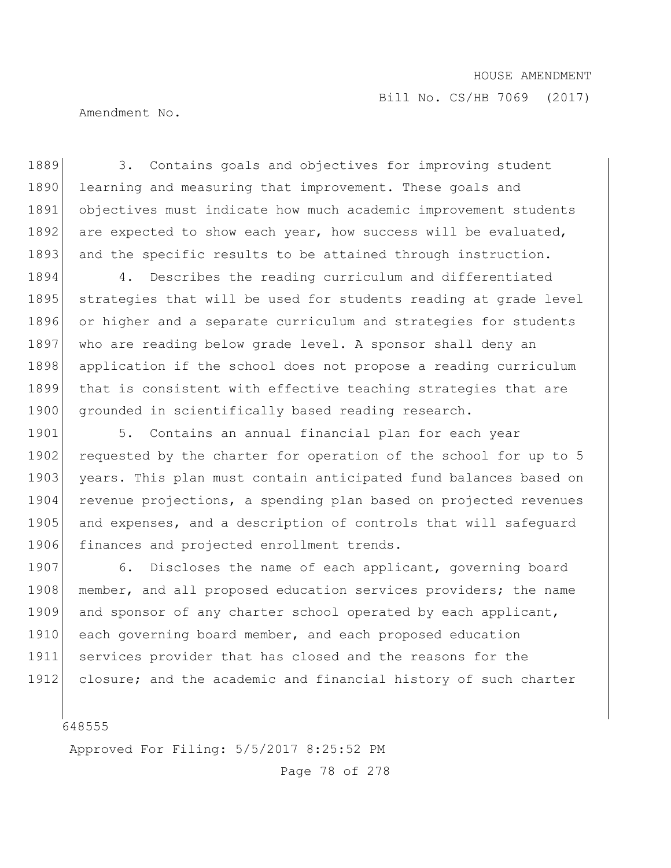Amendment No.

1889 3. Contains goals and objectives for improving student 1890 learning and measuring that improvement. These goals and 1891 objectives must indicate how much academic improvement students 1892 are expected to show each year, how success will be evaluated, 1893 and the specific results to be attained through instruction. 1894 4. Describes the reading curriculum and differentiated 1895 strategies that will be used for students reading at grade level 1896 or higher and a separate curriculum and strategies for students 1897 who are reading below grade level. A sponsor shall deny an 1898 application if the school does not propose a reading curriculum 1899 that is consistent with effective teaching strategies that are 1900 grounded in scientifically based reading research. 1901 5. Contains an annual financial plan for each year

1902 requested by the charter for operation of the school for up to 5 1903 years. This plan must contain anticipated fund balances based on 1904 revenue projections, a spending plan based on projected revenues 1905 and expenses, and a description of controls that will safeguard 1906 finances and projected enrollment trends.

1907 6. Discloses the name of each applicant, governing board 1908 member, and all proposed education services providers; the name 1909 and sponsor of any charter school operated by each applicant, 1910 each governing board member, and each proposed education 1911 services provider that has closed and the reasons for the 1912 closure; and the academic and financial history of such charter

648555

Approved For Filing: 5/5/2017 8:25:52 PM

Page 78 of 278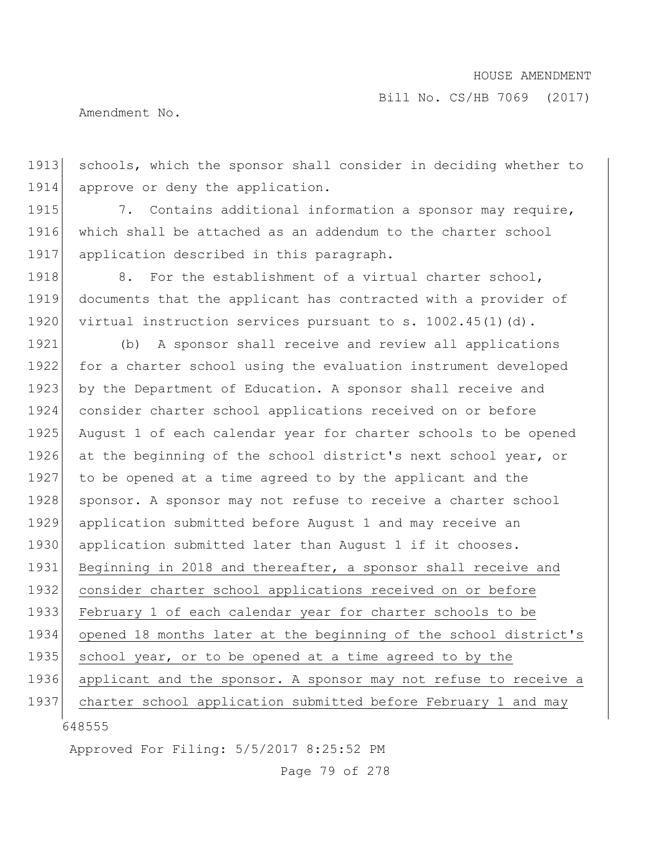Bill No. CS/HB 7069 (2017)

Amendment No.

1913 schools, which the sponsor shall consider in deciding whether to 1914 approve or deny the application.

1915 7. Contains additional information a sponsor may require, 1916 which shall be attached as an addendum to the charter school 1917 application described in this paragraph.

1918 8. For the establishment of a virtual charter school, 1919 documents that the applicant has contracted with a provider of 1920 virtual instruction services pursuant to s. 1002.45(1)(d).

648555 1921 (b) A sponsor shall receive and review all applications 1922 for a charter school using the evaluation instrument developed 1923 by the Department of Education. A sponsor shall receive and 1924 consider charter school applications received on or before 1925 August 1 of each calendar year for charter schools to be opened 1926 at the beginning of the school district's next school year, or 1927 to be opened at a time agreed to by the applicant and the 1928 sponsor. A sponsor may not refuse to receive a charter school 1929 application submitted before August 1 and may receive an 1930 application submitted later than August 1 if it chooses. 1931 Beginning in 2018 and thereafter, a sponsor shall receive and 1932 consider charter school applications received on or before 1933 February 1 of each calendar year for charter schools to be 1934 opened 18 months later at the beginning of the school district's 1935 school year, or to be opened at a time agreed to by the 1936 applicant and the sponsor. A sponsor may not refuse to receive a 1937 charter school application submitted before February 1 and may

Approved For Filing: 5/5/2017 8:25:52 PM

Page 79 of 278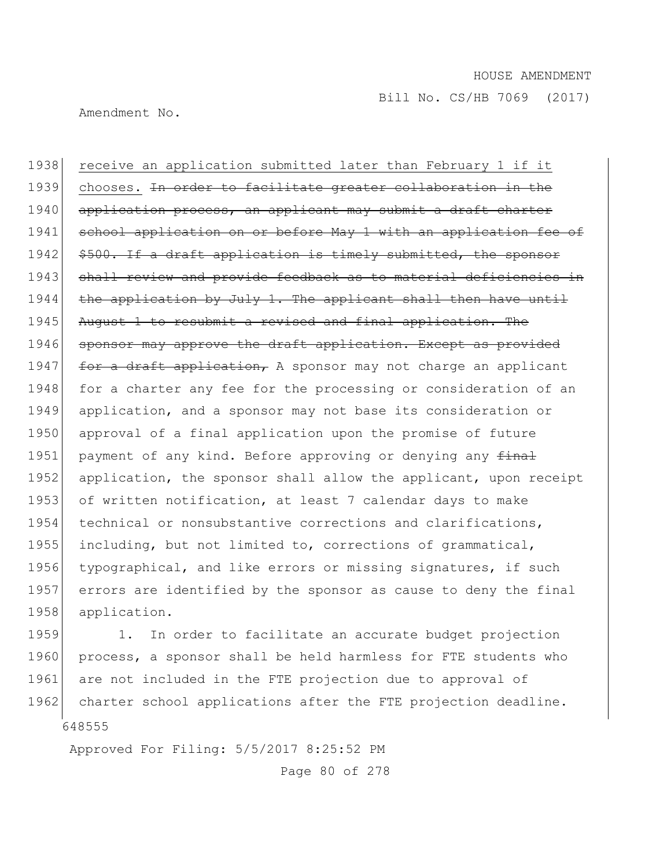Amendment No.

1938 receive an application submitted later than February 1 if it 1939 chooses. In order to facilitate greater collaboration in the 1940 application process, an applicant may submit a draft charter 1941 school application on or before May 1 with an application fee of 1942 \$500. If a draft application is timely submitted, the sponsor 1943 shall review and provide feedback as to material deficiencies in 1944  $\vert$  the application by July 1. The applicant shall then have until 1945 August 1 to resubmit a revised and final application. The 1946 sponsor may approve the draft application. Except as provided 1947 for a draft application, A sponsor may not charge an applicant 1948 for a charter any fee for the processing or consideration of an 1949 application, and a sponsor may not base its consideration or 1950 approval of a final application upon the promise of future 1951 payment of any kind. Before approving or denying any final 1952 application, the sponsor shall allow the applicant, upon receipt 1953 of written notification, at least 7 calendar days to make 1954 technical or nonsubstantive corrections and clarifications, 1955 including, but not limited to, corrections of grammatical, 1956 typographical, and like errors or missing signatures, if such 1957 errors are identified by the sponsor as cause to deny the final 1958 application.

648555 1959 1. In order to facilitate an accurate budget projection 1960 process, a sponsor shall be held harmless for FTE students who 1961 are not included in the FTE projection due to approval of 1962 charter school applications after the FTE projection deadline.

Approved For Filing: 5/5/2017 8:25:52 PM

Page 80 of 278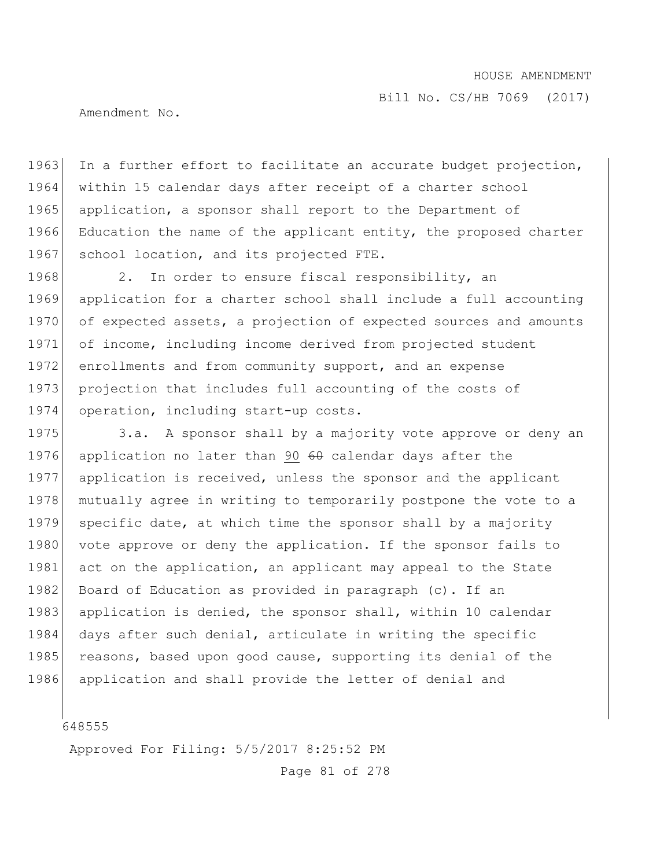Bill No. CS/HB 7069 (2017)

Amendment No.

1963 In a further effort to facilitate an accurate budget projection, 1964 within 15 calendar days after receipt of a charter school 1965 application, a sponsor shall report to the Department of 1966 Education the name of the applicant entity, the proposed charter 1967 school location, and its projected FTE.

1968 2. In order to ensure fiscal responsibility, an 1969 application for a charter school shall include a full accounting 1970 of expected assets, a projection of expected sources and amounts 1971 of income, including income derived from projected student 1972 enrollments and from community support, and an expense 1973 projection that includes full accounting of the costs of 1974 operation, including start-up costs.

1975 3.a. A sponsor shall by a majority vote approve or deny an 1976 application no later than 90 60 calendar days after the 1977 application is received, unless the sponsor and the applicant 1978 mutually agree in writing to temporarily postpone the vote to a 1979 specific date, at which time the sponsor shall by a majority 1980 vote approve or deny the application. If the sponsor fails to 1981 act on the application, an applicant may appeal to the State 1982 Board of Education as provided in paragraph (c). If an 1983 application is denied, the sponsor shall, within 10 calendar 1984 days after such denial, articulate in writing the specific 1985 reasons, based upon good cause, supporting its denial of the 1986 application and shall provide the letter of denial and

648555

Approved For Filing: 5/5/2017 8:25:52 PM

Page 81 of 278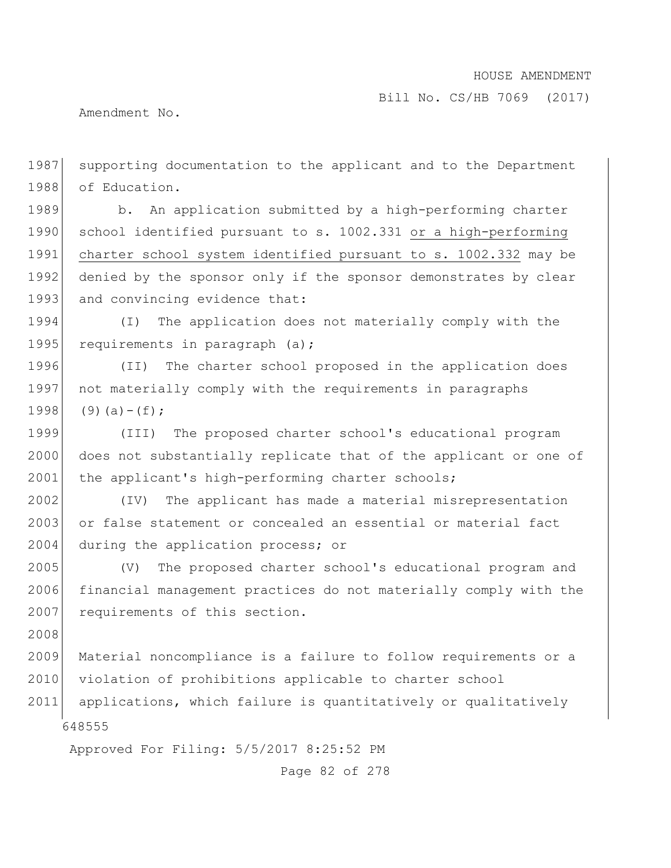Bill No. CS/HB 7069 (2017)

Amendment No.

648555 Approved For Filing: 5/5/2017 8:25:52 PM 1987 supporting documentation to the applicant and to the Department 1988 of Education. 1989 b. An application submitted by a high-performing charter 1990 school identified pursuant to s. 1002.331 or a high-performing 1991 charter school system identified pursuant to s. 1002.332 may be 1992 denied by the sponsor only if the sponsor demonstrates by clear 1993 and convincing evidence that: 1994 (I) The application does not materially comply with the 1995 requirements in paragraph (a); 1996 (II) The charter school proposed in the application does 1997 not materially comply with the requirements in paragraphs 1998  $(9)(a)-(f)$ ; 1999 (III) The proposed charter school's educational program 2000 does not substantially replicate that of the applicant or one of 2001 the applicant's high-performing charter schools; 2002 (IV) The applicant has made a material misrepresentation 2003 or false statement or concealed an essential or material fact 2004 during the application process; or 2005 (V) The proposed charter school's educational program and 2006 financial management practices do not materially comply with the 2007 requirements of this section. 2008 2009 Material noncompliance is a failure to follow requirements or a 2010 violation of prohibitions applicable to charter school 2011 applications, which failure is quantitatively or qualitatively

Page 82 of 278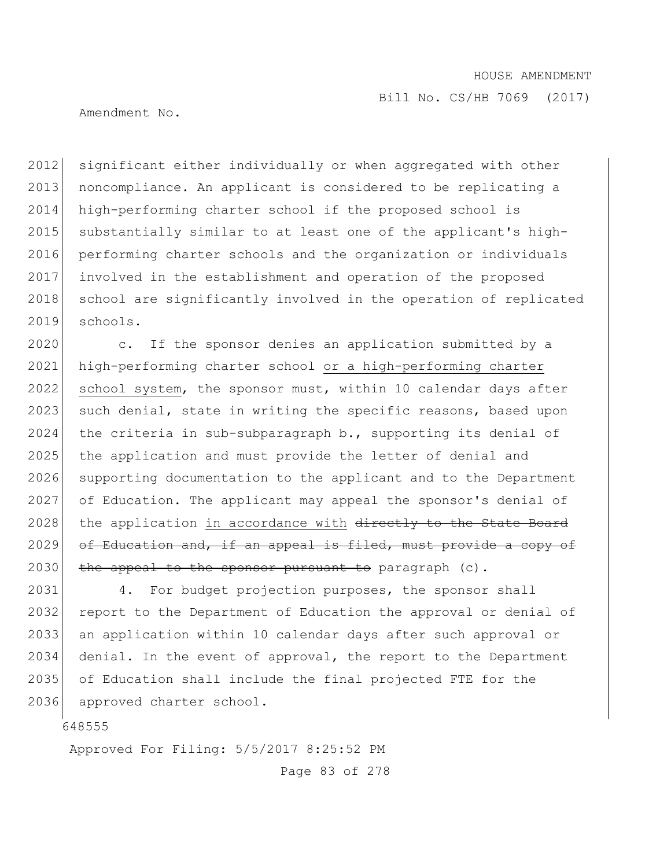Amendment No.

2012 significant either individually or when aggregated with other 2013 noncompliance. An applicant is considered to be replicating a 2014 high-performing charter school if the proposed school is 2015 substantially similar to at least one of the applicant's high-2016 performing charter schools and the organization or individuals 2017 involved in the establishment and operation of the proposed 2018 school are significantly involved in the operation of replicated 2019 schools.

2020 c. If the sponsor denies an application submitted by a 2021 high-performing charter school or a high-performing charter 2022 school system, the sponsor must, within 10 calendar days after 2023 such denial, state in writing the specific reasons, based upon 2024 the criteria in sub-subparagraph b., supporting its denial of 2025 the application and must provide the letter of denial and 2026 supporting documentation to the applicant and to the Department 2027 of Education. The applicant may appeal the sponsor's denial of 2028 the application in accordance with directly to the State Board  $2029$  of Education and, if an appeal is filed, must provide a copy of  $2030$  the appeal to the sponsor pursuant to paragraph (c).

 4. For budget projection purposes, the sponsor shall 2032 report to the Department of Education the approval or denial of an application within 10 calendar days after such approval or denial. In the event of approval, the report to the Department of Education shall include the final projected FTE for the approved charter school.

648555

Approved For Filing: 5/5/2017 8:25:52 PM

Page 83 of 278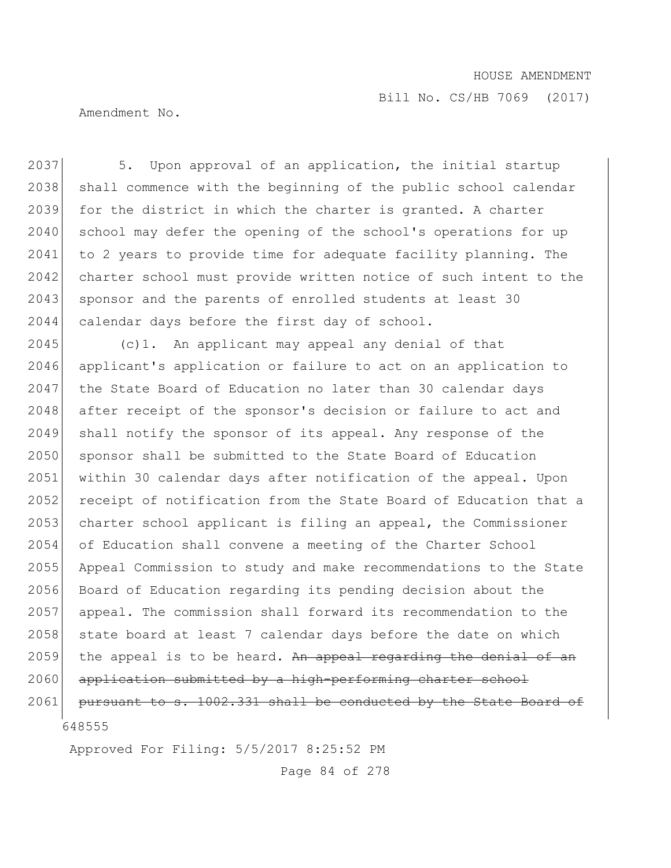Bill No. CS/HB 7069 (2017)

Amendment No.

2037 5. Upon approval of an application, the initial startup 2038 shall commence with the beginning of the public school calendar 2039 for the district in which the charter is granted. A charter 2040 school may defer the opening of the school's operations for up 2041 to 2 years to provide time for adequate facility planning. The 2042 charter school must provide written notice of such intent to the 2043 sponsor and the parents of enrolled students at least 30 2044 calendar days before the first day of school. 2045 (c)1. An applicant may appeal any denial of that 2046 applicant's application or failure to act on an application to 2047 the State Board of Education no later than 30 calendar days 2048 after receipt of the sponsor's decision or failure to act and 2049 shall notify the sponsor of its appeal. Any response of the 2050 sponsor shall be submitted to the State Board of Education 2051 within 30 calendar days after notification of the appeal. Upon 2052 receipt of notification from the State Board of Education that a 2053 charter school applicant is filing an appeal, the Commissioner 2054 of Education shall convene a meeting of the Charter School 2055 Appeal Commission to study and make recommendations to the State 2056 Board of Education regarding its pending decision about the 2057 appeal. The commission shall forward its recommendation to the 2058 state board at least 7 calendar days before the date on which

2059 the appeal is to be heard. An appeal regarding the denial of an

2060 application submitted by a high-performing charter school

648555 2061 pursuant to s. 1002.331 shall be conducted by the State Board of

Approved For Filing: 5/5/2017 8:25:52 PM

Page 84 of 278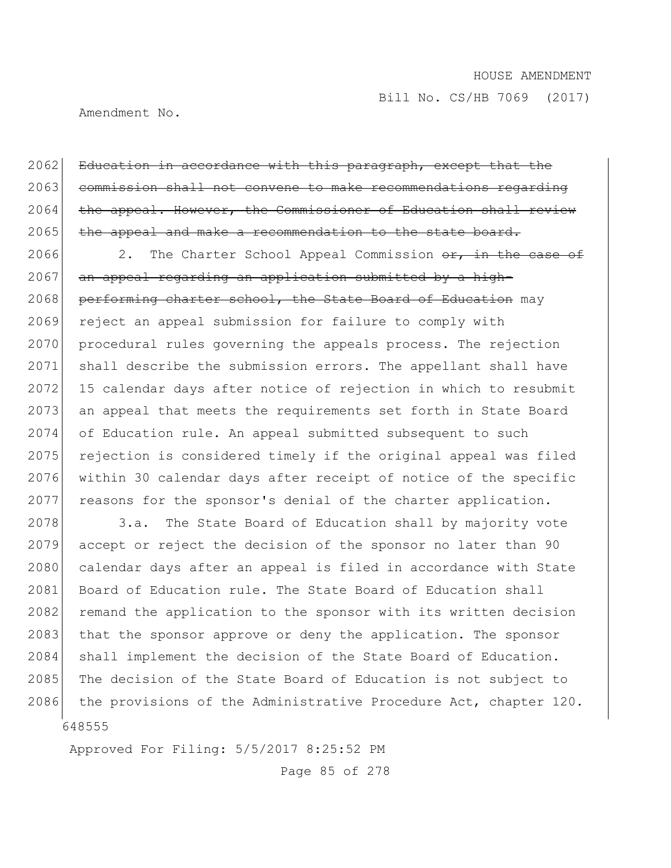Amendment No.

2062 Education in accordance with this paragraph, except that the 2063 commission shall not convene to make recommendations regarding  $2064$  the appeal. However, the Commissioner of Education shall review 2065 the appeal and make a recommendation to the state board.

2066 2. The Charter School Appeal Commission  $\sigma$ , in the case of  $2067$  an appeal regarding an application submitted by a high-2068 performing charter school, the State Board of Education may 2069 reject an appeal submission for failure to comply with 2070 procedural rules governing the appeals process. The rejection 2071 shall describe the submission errors. The appellant shall have 2072 15 calendar days after notice of rejection in which to resubmit 2073 an appeal that meets the requirements set forth in State Board 2074 of Education rule. An appeal submitted subsequent to such 2075 rejection is considered timely if the original appeal was filed 2076 within 30 calendar days after receipt of notice of the specific 2077 reasons for the sponsor's denial of the charter application.

648555 2078 3.a. The State Board of Education shall by majority vote 2079 accept or reject the decision of the sponsor no later than 90 2080 calendar days after an appeal is filed in accordance with State 2081 Board of Education rule. The State Board of Education shall 2082 remand the application to the sponsor with its written decision 2083 that the sponsor approve or deny the application. The sponsor 2084 shall implement the decision of the State Board of Education. 2085 The decision of the State Board of Education is not subject to 2086 the provisions of the Administrative Procedure Act, chapter 120.

Approved For Filing: 5/5/2017 8:25:52 PM

Page 85 of 278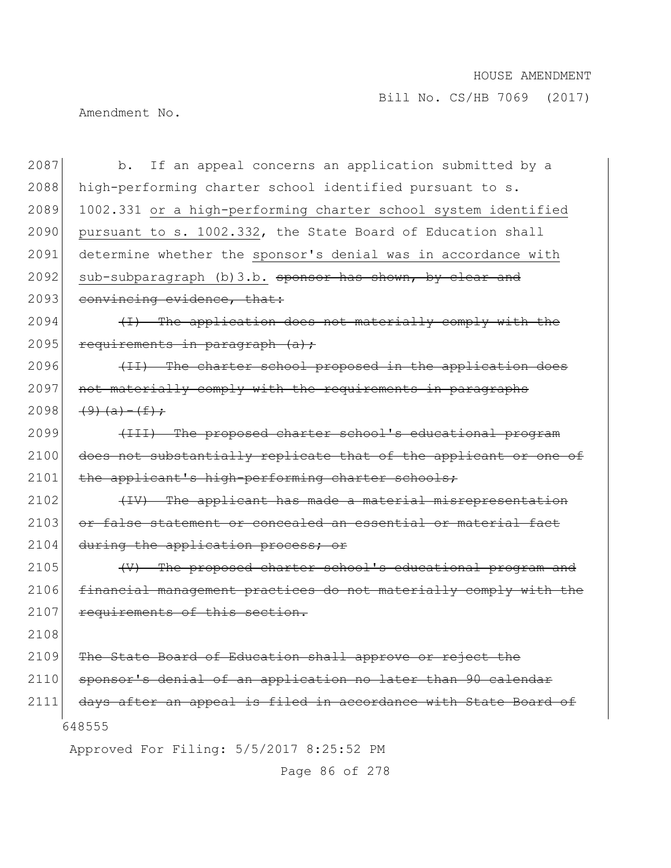Bill No. CS/HB 7069 (2017)

Amendment No.

| 2087 | If an appeal concerns an application submitted by a<br>$b$ .     |
|------|------------------------------------------------------------------|
| 2088 | high-performing charter school identified pursuant to s.         |
| 2089 | 1002.331 or a high-performing charter school system identified   |
| 2090 | pursuant to s. 1002.332, the State Board of Education shall      |
| 2091 | determine whether the sponsor's denial was in accordance with    |
| 2092 | sub-subparagraph (b) 3.b. sponsor has shown, by clear and        |
| 2093 | convincing evidence, that:                                       |
| 2094 | (I) The application does not materially comply with the          |
| 2095 | requirements in paragraph (a) ;                                  |
| 2096 | (II) The charter school proposed in the application does         |
| 2097 | not materially comply with the requirements in paragraphs        |
| 2098 | $(9)$ $(a) - (f)$ ;                                              |
| 2099 | (III) The proposed charter school's educational program          |
| 2100 | does not substantially replicate that of the applicant or one of |
| 2101 | the applicant's high-performing charter schools;                 |
| 2102 | (IV) The applicant has made a material misrepresentation         |
| 2103 | or false statement or concealed an essential or material fact    |
| 2104 | during the application process; or                               |
| 2105 | (V) The proposed charter school's educational program and        |
| 2106 | financial management practices do not materially comply with the |
| 2107 | requirements of this section.                                    |
| 2108 |                                                                  |
| 2109 | The State Board of Education shall approve or reject the         |
| 2110 | sponsor's denial of an application no later than 90 calendar     |
| 2111 | days after an appeal is filed in accordance with State Board of  |
|      | 648555                                                           |
|      | Approved For Filing: 5/5/2017 8:25:52 PM                         |

Page 86 of 278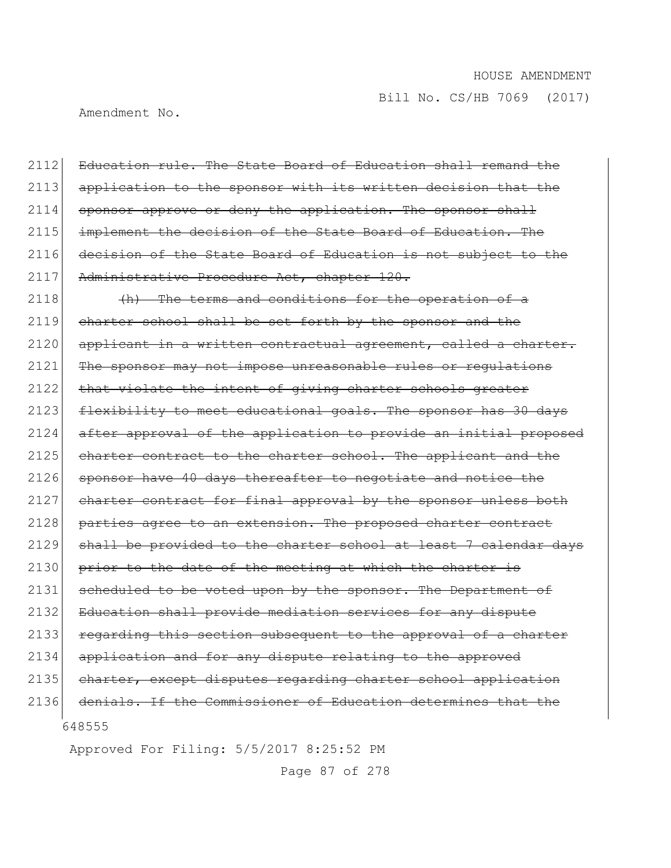Amendment No.

2112 Education rule. The State Board of Education shall remand the 2113 application to the sponsor with its written decision that the  $2114$  sponsor approve or deny the application. The sponsor shall 2115 implement the decision of the State Board of Education. The 2116 decision of the State Board of Education is not subject to the 2117 Administrative Procedure Act, chapter 120.

648555  $2118$  (h) The terms and conditions for the operation of a 2119 charter school shall be set forth by the sponsor and the 2120 applicant in a written contractual agreement, called a charter. 2121 The sponsor may not impose unreasonable rules or regulations 2122 that violate the intent of giving charter schools greater 2123 flexibility to meet educational goals. The sponsor has 30 days 2124 after approval of the application to provide an initial proposed 2125 charter contract to the charter school. The applicant and the 2126 sponsor have 40 days thereafter to negotiate and notice the 2127 charter contract for final approval by the sponsor unless both 2128 parties agree to an extension. The proposed charter contract 2129 shall be provided to the charter school at least 7 calendar days  $2130$  prior to the date of the meeting at which the charter is 2131 scheduled to be voted upon by the sponsor. The Department of 2132 Education shall provide mediation services for any dispute 2133 regarding this section subsequent to the approval of a charter 2134 application and for any dispute relating to the approved 2135 charter, except disputes regarding charter school application 2136 denials. If the Commissioner of Education determines that the

Approved For Filing: 5/5/2017 8:25:52 PM

Page 87 of 278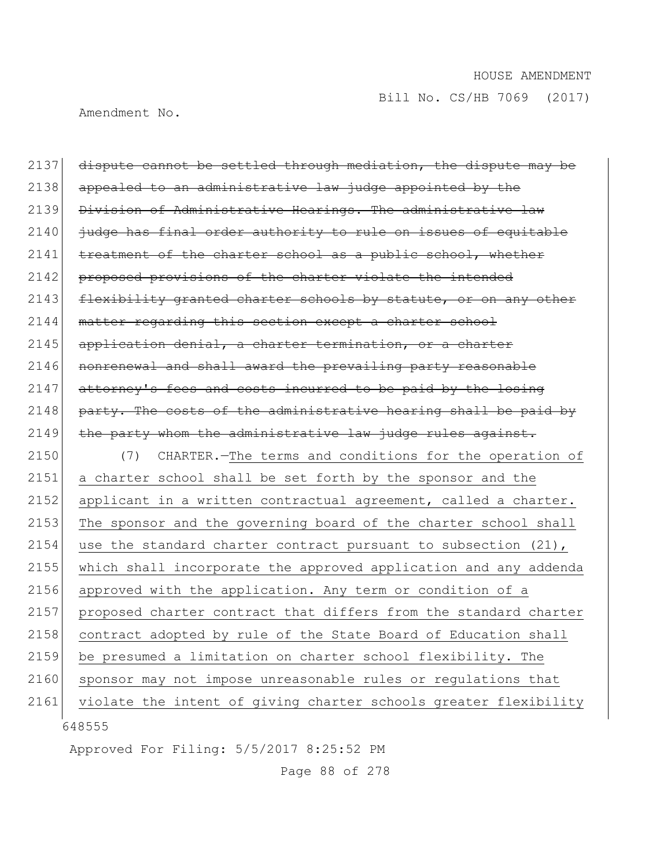Amendment No.

| 2137 | dispute cannot be settled through mediation, the dispute may be   |
|------|-------------------------------------------------------------------|
| 2138 | appealed to an administrative law judge appointed by the          |
| 2139 | Division of Administrative Hearings. The administrative law       |
| 2140 | judge has final order authority to rule on issues of equitable    |
| 2141 | treatment of the charter school as a public school, whether       |
| 2142 | proposed provisions of the charter violate the intended           |
| 2143 | flexibility granted charter schools by statute, or on any other   |
| 2144 | matter regarding this section except a charter school             |
| 2145 | application denial, a charter termination, or a charter           |
| 2146 | nonrenewal and shall award the prevailing party reasonable        |
| 2147 | attorney's fees and costs incurred to be paid by the losing       |
| 2148 | party. The costs of the administrative hearing shall be paid by   |
| 2149 | the party whom the administrative law judge rules against.        |
|      |                                                                   |
| 2150 | (7) CHARTER. - The terms and conditions for the operation of      |
| 2151 | a charter school shall be set forth by the sponsor and the        |
| 2152 | applicant in a written contractual agreement, called a charter.   |
| 2153 | The sponsor and the governing board of the charter school shall   |
| 2154 | use the standard charter contract pursuant to subsection $(21)$ , |
| 2155 | which shall incorporate the approved application and any addenda  |
| 2156 | approved with the application. Any term or condition of a         |
| 2157 | proposed charter contract that differs from the standard charter  |
| 2158 | contract adopted by rule of the State Board of Education shall    |
| 2159 | be presumed a limitation on charter school flexibility. The       |
| 2160 | sponsor may not impose unreasonable rules or regulations that     |
| 2161 | violate the intent of giving charter schools greater flexibility  |

Approved For Filing: 5/5/2017 8:25:52 PM

Page 88 of 278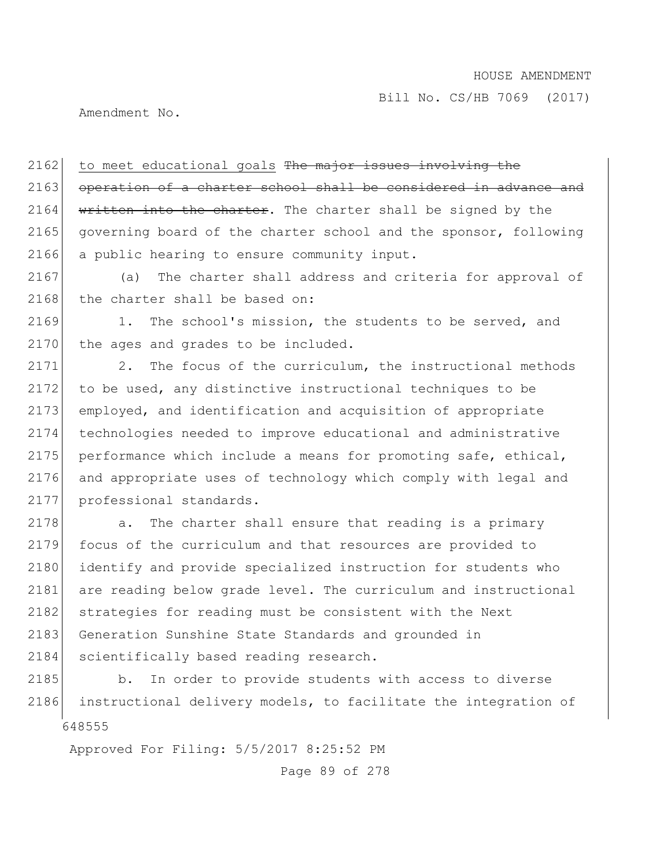Amendment No.

2162 to meet educational goals The major issues involving the 2163 operation of a charter school shall be considered in advance and  $2164$  written into the charter. The charter shall be signed by the 2165 governing board of the charter school and the sponsor, following 2166 a public hearing to ensure community input.

2167 (a) The charter shall address and criteria for approval of 2168 the charter shall be based on:

2169 1. The school's mission, the students to be served, and 2170 the ages and grades to be included.

2171 2. The focus of the curriculum, the instructional methods 2172 to be used, any distinctive instructional techniques to be 2173 employed, and identification and acquisition of appropriate 2174 technologies needed to improve educational and administrative 2175 performance which include a means for promoting safe, ethical, 2176 and appropriate uses of technology which comply with legal and 2177 professional standards.

2178 a. The charter shall ensure that reading is a primary 2179 focus of the curriculum and that resources are provided to 2180 identify and provide specialized instruction for students who 2181 are reading below grade level. The curriculum and instructional 2182 strategies for reading must be consistent with the Next 2183 Generation Sunshine State Standards and grounded in 2184 scientifically based reading research.

648555 2185 b. In order to provide students with access to diverse 2186 instructional delivery models, to facilitate the integration of

Approved For Filing: 5/5/2017 8:25:52 PM

Page 89 of 278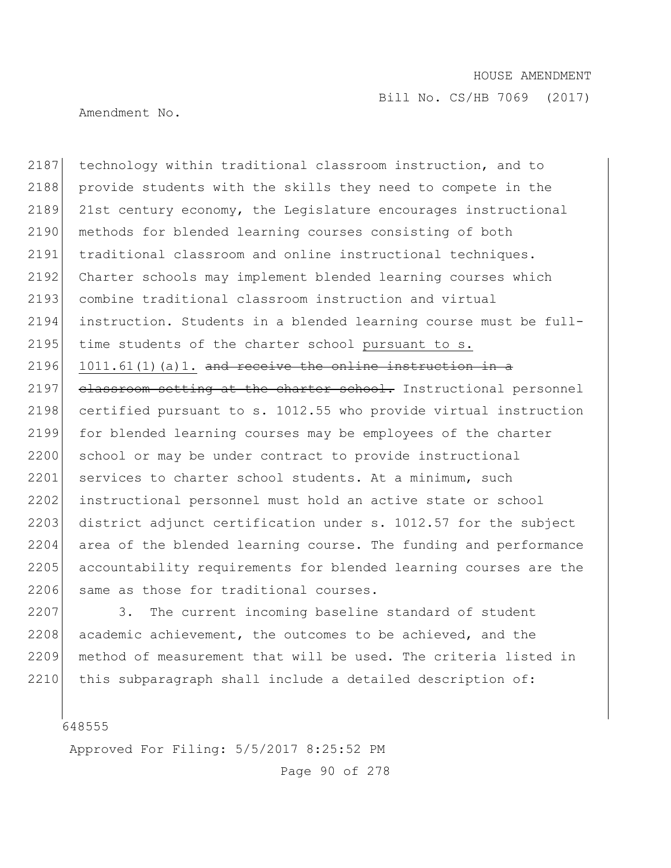Bill No. CS/HB 7069 (2017)

Amendment No.

2187 technology within traditional classroom instruction, and to 2188 provide students with the skills they need to compete in the 2189 21st century economy, the Legislature encourages instructional 2190 methods for blended learning courses consisting of both 2191 traditional classroom and online instructional techniques. 2192 Charter schools may implement blended learning courses which 2193 combine traditional classroom instruction and virtual 2194 instruction. Students in a blended learning course must be full-2195 time students of the charter school pursuant to s. 2196 1011.61(1)(a)1. and receive the online instruction in a 2197 classroom setting at the charter school. Instructional personnel 2198 certified pursuant to s. 1012.55 who provide virtual instruction 2199 for blended learning courses may be employees of the charter 2200 school or may be under contract to provide instructional 2201 services to charter school students. At a minimum, such 2202 instructional personnel must hold an active state or school 2203 district adjunct certification under s. 1012.57 for the subject 2204 area of the blended learning course. The funding and performance 2205 accountability requirements for blended learning courses are the 2206 same as those for traditional courses.

2207 3. The current incoming baseline standard of student 2208 academic achievement, the outcomes to be achieved, and the 2209 method of measurement that will be used. The criteria listed in 2210 this subparagraph shall include a detailed description of:

648555

Approved For Filing: 5/5/2017 8:25:52 PM

Page 90 of 278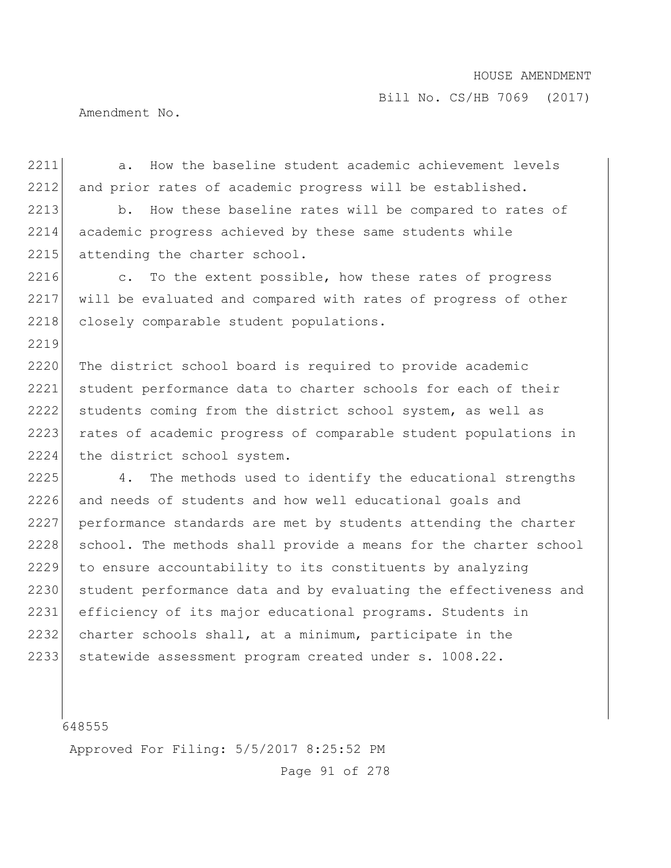Amendment No.

2211 a. How the baseline student academic achievement levels 2212 and prior rates of academic progress will be established. 2213 b. How these baseline rates will be compared to rates of 2214 academic progress achieved by these same students while 2215 attending the charter school. 2216 c. To the extent possible, how these rates of progress 2217 will be evaluated and compared with rates of progress of other 2218 closely comparable student populations. 2219 2220 The district school board is required to provide academic 2221 student performance data to charter schools for each of their 2222 students coming from the district school system, as well as 2223 rates of academic progress of comparable student populations in 2224 the district school system. 2225 4. The methods used to identify the educational strengths 2226 and needs of students and how well educational goals and 2227 performance standards are met by students attending the charter 2228 school. The methods shall provide a means for the charter school 2229 to ensure accountability to its constituents by analyzing 2230 student performance data and by evaluating the effectiveness and 2231 efficiency of its major educational programs. Students in 2232 charter schools shall, at a minimum, participate in the 2233 statewide assessment program created under s. 1008.22.

648555

Approved For Filing: 5/5/2017 8:25:52 PM

Page 91 of 278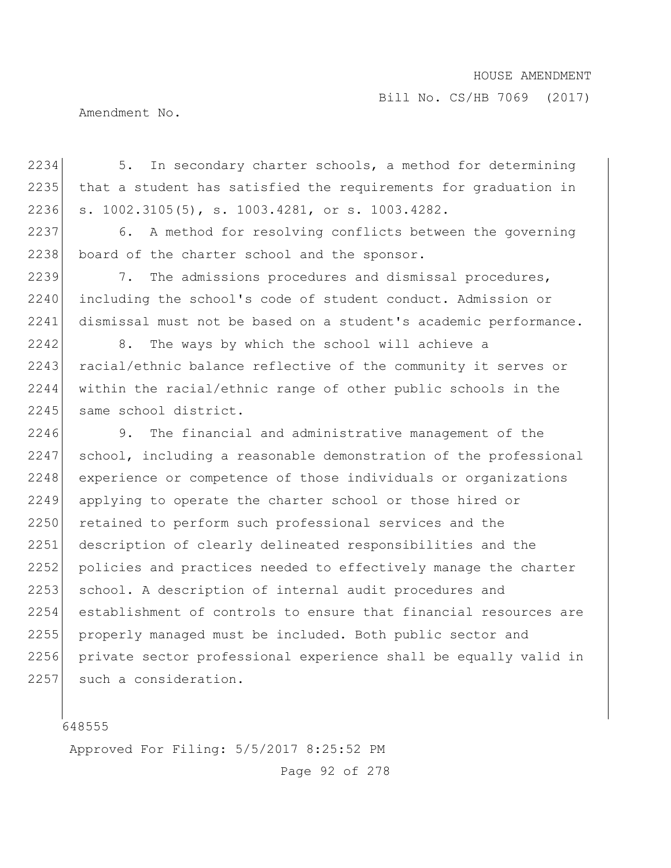Bill No. CS/HB 7069 (2017)

Amendment No.

2234 5. In secondary charter schools, a method for determining 2235 that a student has satisfied the requirements for graduation in 2236 s. 1002.3105(5), s. 1003.4281, or s. 1003.4282.

2237 6. A method for resolving conflicts between the governing 2238 board of the charter school and the sponsor.

2239 7. The admissions procedures and dismissal procedures, 2240 including the school's code of student conduct. Admission or 2241 dismissal must not be based on a student's academic performance.

2242 8. The ways by which the school will achieve a 2243 racial/ethnic balance reflective of the community it serves or 2244 within the racial/ethnic range of other public schools in the 2245 same school district.

2246 9. The financial and administrative management of the 2247 school, including a reasonable demonstration of the professional 2248 experience or competence of those individuals or organizations 2249 applying to operate the charter school or those hired or 2250 retained to perform such professional services and the 2251 description of clearly delineated responsibilities and the 2252 policies and practices needed to effectively manage the charter 2253 school. A description of internal audit procedures and 2254 establishment of controls to ensure that financial resources are 2255 | properly managed must be included. Both public sector and 2256 private sector professional experience shall be equally valid in 2257 such a consideration.

648555

Approved For Filing: 5/5/2017 8:25:52 PM

Page 92 of 278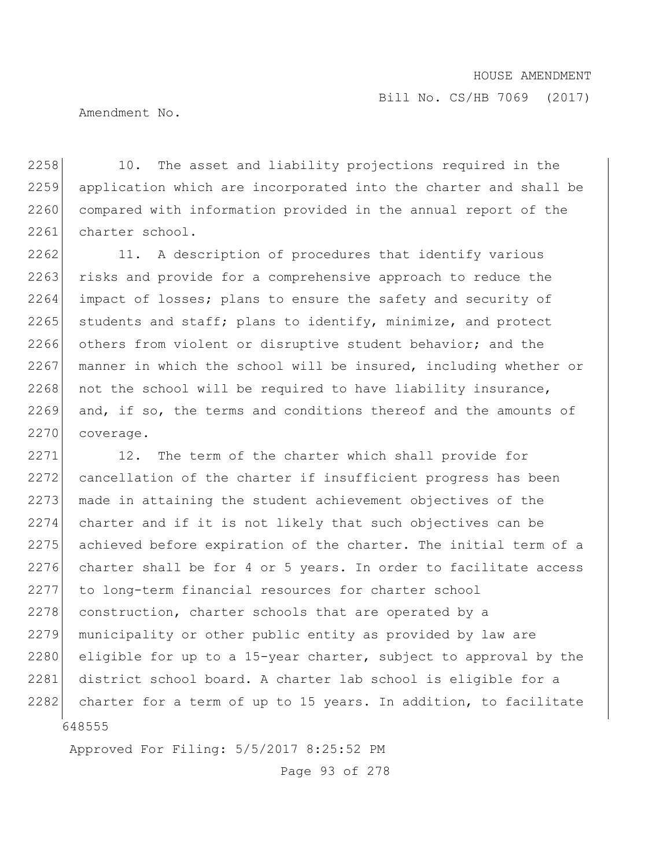Amendment No.

2258 10. The asset and liability projections required in the 2259 application which are incorporated into the charter and shall be 2260 compared with information provided in the annual report of the 2261 charter school.

 $2262$  11. A description of procedures that identify various 2263 risks and provide for a comprehensive approach to reduce the 2264 impact of losses; plans to ensure the safety and security of  $2265$  students and staff; plans to identify, minimize, and protect 2266 others from violent or disruptive student behavior; and the 2267 manner in which the school will be insured, including whether or  $2268$  not the school will be required to have liability insurance, 2269 and, if so, the terms and conditions thereof and the amounts of 2270 coverage.

648555 2271 12. The term of the charter which shall provide for 2272 cancellation of the charter if insufficient progress has been 2273 made in attaining the student achievement objectives of the 2274 charter and if it is not likely that such objectives can be 2275 achieved before expiration of the charter. The initial term of a 2276 charter shall be for 4 or 5 years. In order to facilitate access 2277 to long-term financial resources for charter school 2278 construction, charter schools that are operated by a 2279 municipality or other public entity as provided by law are 2280 eligible for up to a 15-year charter, subject to approval by the 2281 district school board. A charter lab school is eligible for a 2282 charter for a term of up to 15 years. In addition, to facilitate

Approved For Filing: 5/5/2017 8:25:52 PM

Page 93 of 278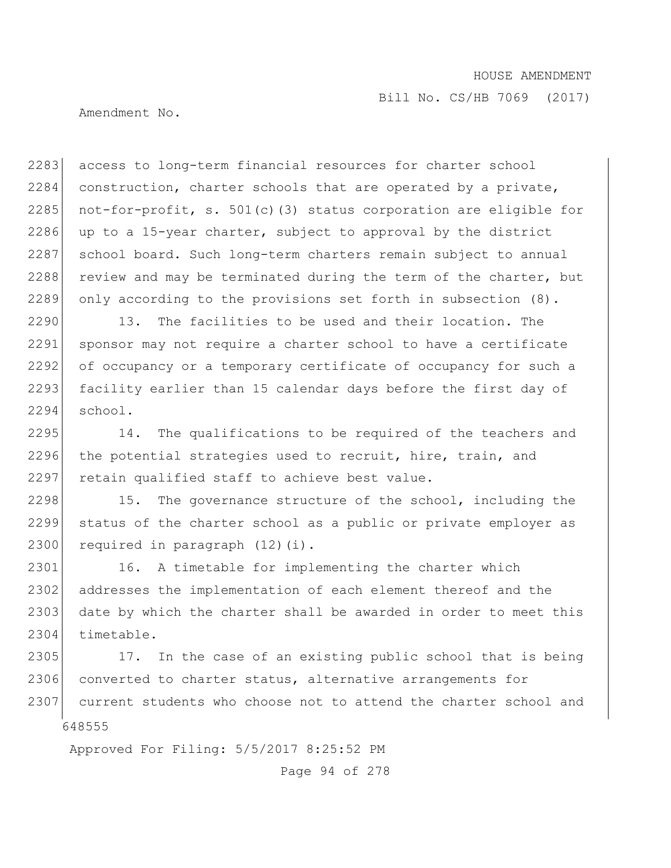Amendment No.

2283 access to long-term financial resources for charter school 2284 construction, charter schools that are operated by a private, 2285 not-for-profit, s. 501(c)(3) status corporation are eligible for 2286 up to a 15-year charter, subject to approval by the district 2287 school board. Such long-term charters remain subject to annual 2288 review and may be terminated during the term of the charter, but 2289 only according to the provisions set forth in subsection (8).

2290 13. The facilities to be used and their location. The 2291 sponsor may not require a charter school to have a certificate 2292 of occupancy or a temporary certificate of occupancy for such a 2293 facility earlier than 15 calendar days before the first day of 2294 school.

2295 14. The qualifications to be required of the teachers and 2296 the potential strategies used to recruit, hire, train, and 2297 retain qualified staff to achieve best value.

2298 15. The governance structure of the school, including the 2299 status of the charter school as a public or private employer as 2300 required in paragraph (12)(i).

2301 16. A timetable for implementing the charter which 2302 addresses the implementation of each element thereof and the 2303 date by which the charter shall be awarded in order to meet this 2304 timetable.

648555 2305 17. In the case of an existing public school that is being 2306 converted to charter status, alternative arrangements for 2307 current students who choose not to attend the charter school and

Approved For Filing: 5/5/2017 8:25:52 PM

Page 94 of 278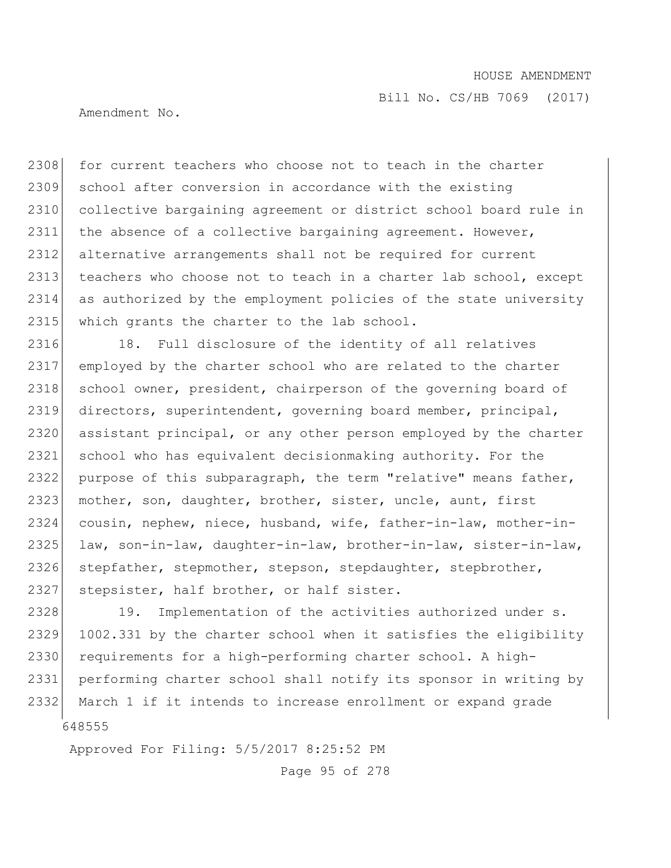Amendment No.

2308 for current teachers who choose not to teach in the charter 2309 school after conversion in accordance with the existing 2310 collective bargaining agreement or district school board rule in 2311 the absence of a collective bargaining agreement. However, 2312 alternative arrangements shall not be required for current 2313 teachers who choose not to teach in a charter lab school, except 2314 as authorized by the employment policies of the state university 2315 which grants the charter to the lab school.

2316 18. Full disclosure of the identity of all relatives 2317 employed by the charter school who are related to the charter 2318 school owner, president, chairperson of the governing board of 2319 directors, superintendent, governing board member, principal, 2320 assistant principal, or any other person employed by the charter 2321 school who has equivalent decisionmaking authority. For the 2322 purpose of this subparagraph, the term "relative" means father, 2323 mother, son, daughter, brother, sister, uncle, aunt, first 2324 cousin, nephew, niece, husband, wife, father-in-law, mother-in-2325 law, son-in-law, daughter-in-law, brother-in-law, sister-in-law, 2326 stepfather, stepmother, stepson, stepdaughter, stepbrother, 2327 stepsister, half brother, or half sister.

648555 2328 19. Implementation of the activities authorized under s. 2329 1002.331 by the charter school when it satisfies the eligibility 2330 requirements for a high-performing charter school. A high-2331 performing charter school shall notify its sponsor in writing by 2332 March 1 if it intends to increase enrollment or expand grade

Approved For Filing: 5/5/2017 8:25:52 PM

Page 95 of 278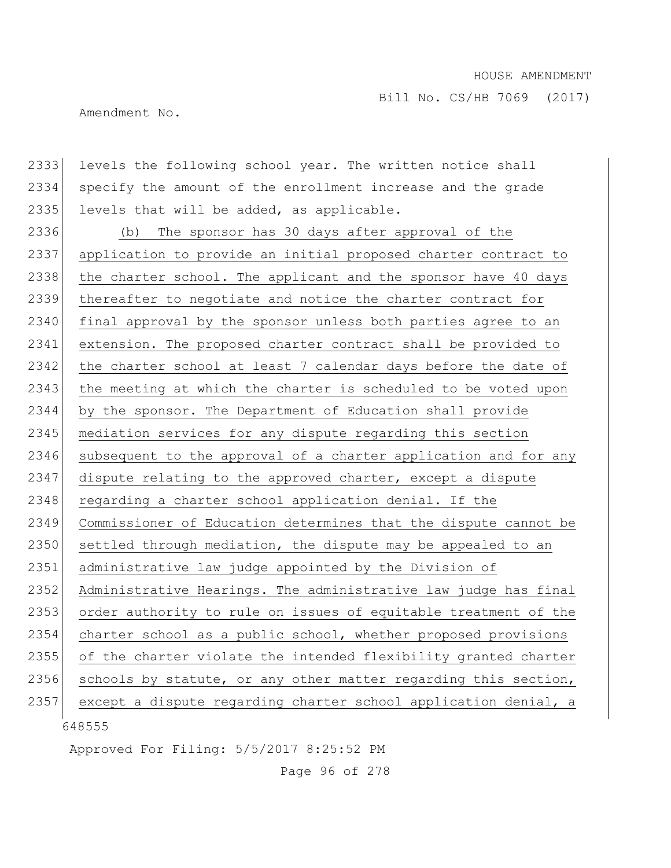Amendment No.

2333 levels the following school year. The written notice shall 2334 specify the amount of the enrollment increase and the grade 2335 levels that will be added, as applicable.

2336 (b) The sponsor has 30 days after approval of the 2337 application to provide an initial proposed charter contract to 2338 the charter school. The applicant and the sponsor have 40 days 2339 thereafter to negotiate and notice the charter contract for 2340 final approval by the sponsor unless both parties agree to an 2341 extension. The proposed charter contract shall be provided to 2342 the charter school at least 7 calendar days before the date of 2343 the meeting at which the charter is scheduled to be voted upon 2344 by the sponsor. The Department of Education shall provide 2345 mediation services for any dispute regarding this section 2346 subsequent to the approval of a charter application and for any 2347 dispute relating to the approved charter, except a dispute 2348 regarding a charter school application denial. If the 2349 Commissioner of Education determines that the dispute cannot be  $2350$  settled through mediation, the dispute may be appealed to an 2351 administrative law judge appointed by the Division of 2352 Administrative Hearings. The administrative law judge has final 2353 order authority to rule on issues of equitable treatment of the 2354 charter school as a public school, whether proposed provisions 2355 of the charter violate the intended flexibility granted charter 2356 schools by statute, or any other matter regarding this section, 2357 except a dispute regarding charter school application denial, a

648555

Approved For Filing: 5/5/2017 8:25:52 PM

Page 96 of 278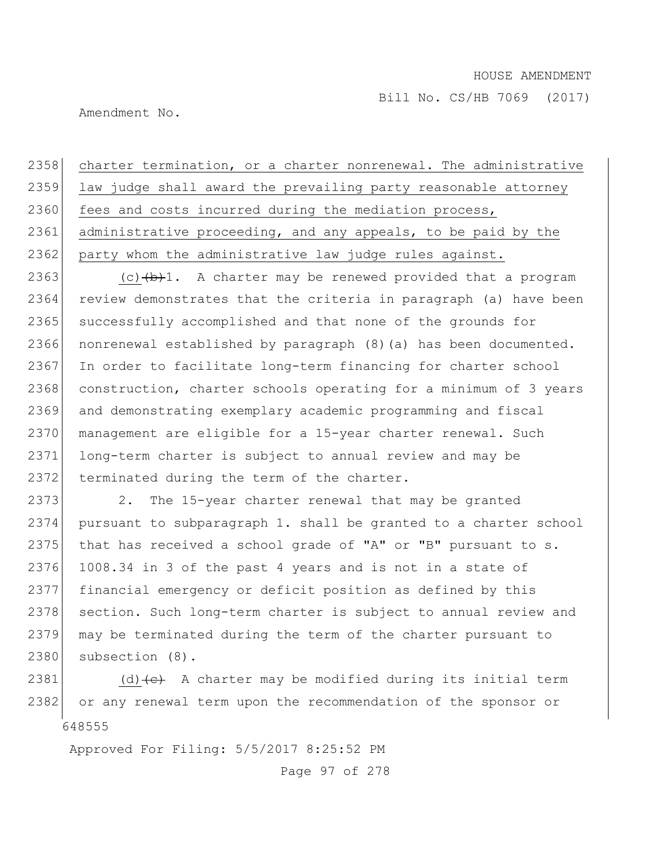Amendment No.

2358 charter termination, or a charter nonrenewal. The administrative 2359 law judge shall award the prevailing party reasonable attorney 2360 fees and costs incurred during the mediation process, 2361 administrative proceeding, and any appeals, to be paid by the 2362 party whom the administrative law judge rules against.

2363 (c) $(b+1)$ . A charter may be renewed provided that a program 2364 review demonstrates that the criteria in paragraph (a) have been 2365 successfully accomplished and that none of the grounds for 2366 nonrenewal established by paragraph (8)(a) has been documented. 2367 In order to facilitate long-term financing for charter school 2368 construction, charter schools operating for a minimum of 3 years 2369 and demonstrating exemplary academic programming and fiscal 2370 management are eligible for a 15-year charter renewal. Such 2371 long-term charter is subject to annual review and may be 2372 terminated during the term of the charter.

2373 2. The 15-year charter renewal that may be granted 2374 pursuant to subparagraph 1. shall be granted to a charter school 2375 that has received a school grade of "A" or "B" pursuant to s. 2376 1008.34 in 3 of the past 4 years and is not in a state of 2377 financial emergency or deficit position as defined by this 2378 section. Such long-term charter is subject to annual review and 2379 may be terminated during the term of the charter pursuant to 2380 subsection (8).

648555 2381 (d)  $\left(\text{e}\right)$  A charter may be modified during its initial term 2382 or any renewal term upon the recommendation of the sponsor or

Approved For Filing: 5/5/2017 8:25:52 PM

Page 97 of 278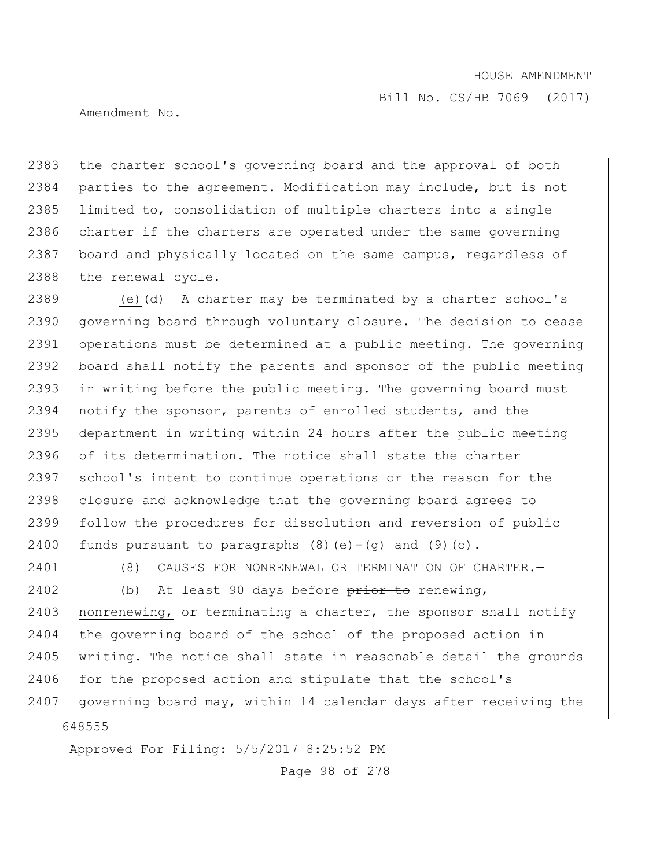Amendment No.

2383 the charter school's governing board and the approval of both 2384 parties to the agreement. Modification may include, but is not 2385 limited to, consolidation of multiple charters into a single 2386 charter if the charters are operated under the same governing 2387 board and physically located on the same campus, regardless of 2388 the renewal cycle.

2389 (e) $\left(\frac{d}{dt}\right)$  A charter may be terminated by a charter school's 2390 governing board through voluntary closure. The decision to cease 2391 operations must be determined at a public meeting. The governing 2392 board shall notify the parents and sponsor of the public meeting 2393 in writing before the public meeting. The governing board must 2394 notify the sponsor, parents of enrolled students, and the 2395 department in writing within 24 hours after the public meeting 2396 of its determination. The notice shall state the charter 2397 school's intent to continue operations or the reason for the 2398 closure and acknowledge that the governing board agrees to 2399 follow the procedures for dissolution and reversion of public 2400 funds pursuant to paragraphs  $(8)(e)-(q)$  and  $(9)(o)$ .

2401 (8) CAUSES FOR NONRENEWAL OR TERMINATION OF CHARTER.

648555  $2402$  (b) At least 90 days before  $\frac{1}{2402}$  to renewing, 2403 nonrenewing, or terminating a charter, the sponsor shall notify 2404 the governing board of the school of the proposed action in  $2405$  writing. The notice shall state in reasonable detail the grounds 2406 for the proposed action and stipulate that the school's 2407 governing board may, within 14 calendar days after receiving the

Approved For Filing: 5/5/2017 8:25:52 PM

Page 98 of 278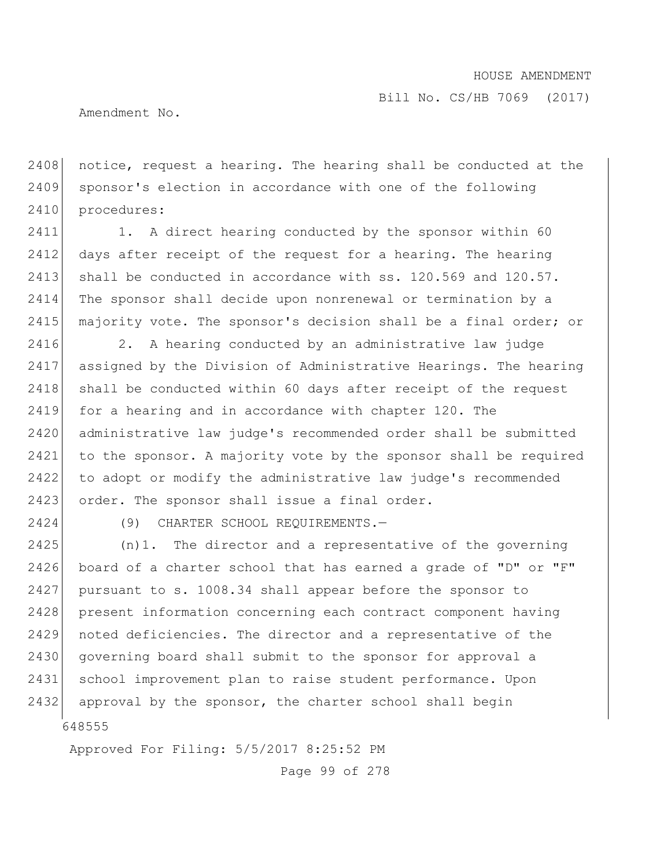Amendment No.

2408 notice, request a hearing. The hearing shall be conducted at the 2409 sponsor's election in accordance with one of the following 2410 procedures:

2411 1. A direct hearing conducted by the sponsor within 60 2412 days after receipt of the request for a hearing. The hearing 2413 shall be conducted in accordance with  $ss. 120.569$  and  $120.57$ . 2414 The sponsor shall decide upon nonrenewal or termination by a 2415 majority vote. The sponsor's decision shall be a final order; or

2416 2. A hearing conducted by an administrative law judge 2417 assigned by the Division of Administrative Hearings. The hearing 2418 shall be conducted within 60 days after receipt of the request 2419 for a hearing and in accordance with chapter 120. The 2420 administrative law judge's recommended order shall be submitted 2421 to the sponsor. A majority vote by the sponsor shall be required 2422 to adopt or modify the administrative law judge's recommended 2423 order. The sponsor shall issue a final order.

2424 (9) CHARTER SCHOOL REQUIREMENTS.—

648555 (n)1. The director and a representative of the governing board of a charter school that has earned a grade of "D" or "F" pursuant to s. 1008.34 shall appear before the sponsor to present information concerning each contract component having noted deficiencies. The director and a representative of the 2430 governing board shall submit to the sponsor for approval a school improvement plan to raise student performance. Upon 2432 approval by the sponsor, the charter school shall begin

Approved For Filing: 5/5/2017 8:25:52 PM

Page 99 of 278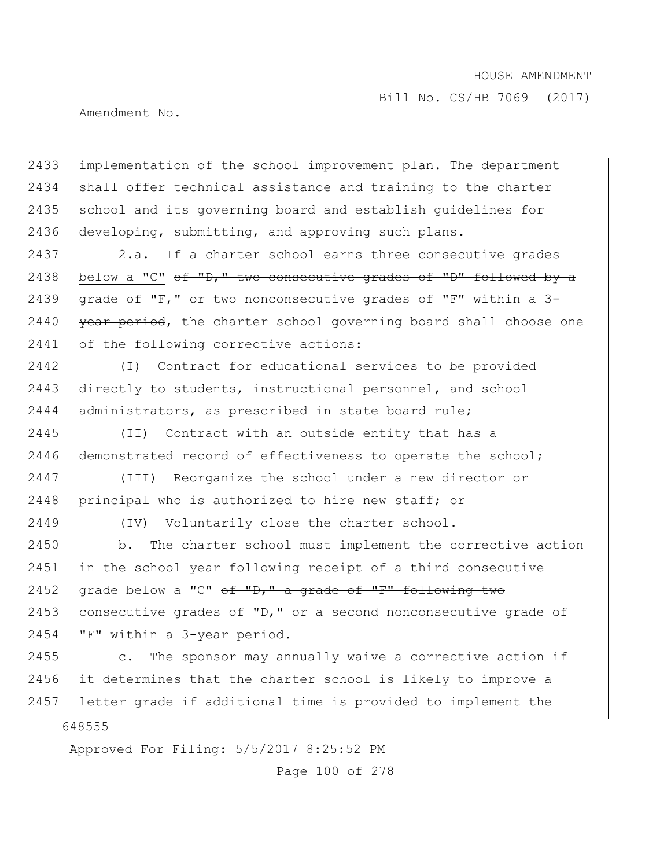Bill No. CS/HB 7069 (2017)

Amendment No.

2433 implementation of the school improvement plan. The department 2434 shall offer technical assistance and training to the charter 2435 school and its governing board and establish guidelines for 2436 developing, submitting, and approving such plans.

2437 2.a. If a charter school earns three consecutive grades 2438 below a "C" of "D," two consecutive grades of "D" followed by a 2439  $\sigma$  grade of "F," or two nonconsecutive grades of "F" within a 3- $2440$  year period, the charter school governing board shall choose one 2441 of the following corrective actions:

2442 (I) Contract for educational services to be provided 2443 directly to students, instructional personnel, and school 2444 administrators, as prescribed in state board rule;

2445 (II) Contract with an outside entity that has a 2446 demonstrated record of effectiveness to operate the school;

2447 (III) Reorganize the school under a new director or 2448 principal who is authorized to hire new staff; or

2449 (IV) Voluntarily close the charter school.

2450 b. The charter school must implement the corrective action 2451 in the school year following receipt of a third consecutive 2452 grade below a "C" of "D," a grade of "F" following two  $2453$  consecutive grades of "D," or a second nonconsecutive grade of 2454 "F" within a 3-year period.

648555 2455 c. The sponsor may annually waive a corrective action if 2456 it determines that the charter school is likely to improve a 2457 letter grade if additional time is provided to implement the

Approved For Filing: 5/5/2017 8:25:52 PM

Page 100 of 278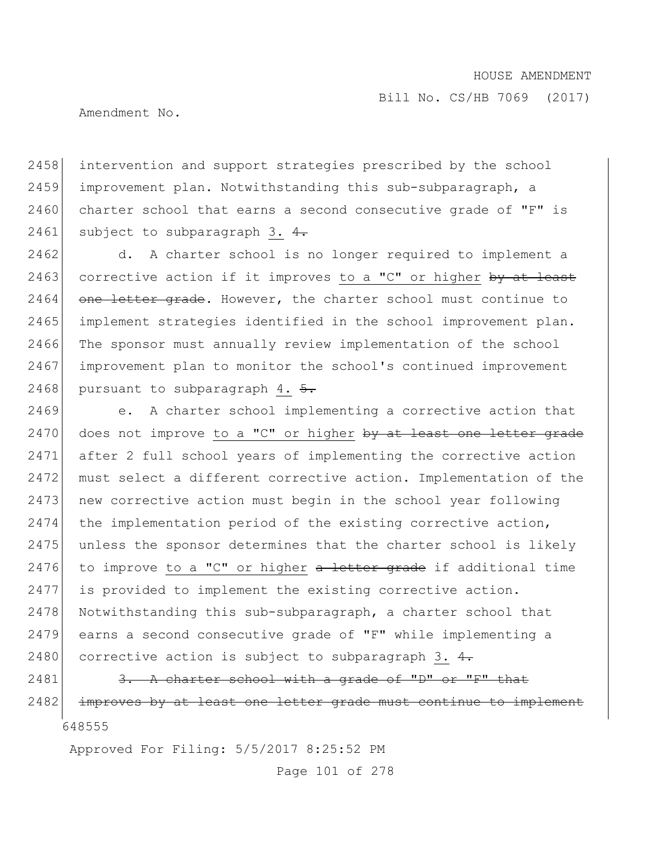Amendment No.

2458 intervention and support strategies prescribed by the school 2459 improvement plan. Notwithstanding this sub-subparagraph, a  $2460$  charter school that earns a second consecutive grade of "F" is 2461 subject to subparagraph 3.  $4.$ 

2462 d. A charter school is no longer required to implement a 2463 corrective action if it improves to a "C" or higher  $by$  at least  $2464$  one letter grade. However, the charter school must continue to 2465 implement strategies identified in the school improvement plan. 2466 The sponsor must annually review implementation of the school 2467 improvement plan to monitor the school's continued improvement 2468 pursuant to subparagraph 4.  $\frac{5}{6}$ .

2469 e. A charter school implementing a corrective action that 2470 does not improve to a "C" or higher  $by$  at least one letter grade 2471 after 2 full school years of implementing the corrective action 2472 must select a different corrective action. Implementation of the 2473 new corrective action must begin in the school year following 2474 the implementation period of the existing corrective action, 2475 unless the sponsor determines that the charter school is likely 2476 to improve to a "C" or higher  $a$  letter grade if additional time 2477 is provided to implement the existing corrective action. 2478 Notwithstanding this sub-subparagraph, a charter school that 2479 earns a second consecutive grade of "F" while implementing a 2480 corrective action is subject to subparagraph 3.  $4$ .

648555  $2481$  3. A charter school with a grade of "D" or "F" that 2482 improves by at least one letter grade must continue to implement

Approved For Filing: 5/5/2017 8:25:52 PM

Page 101 of 278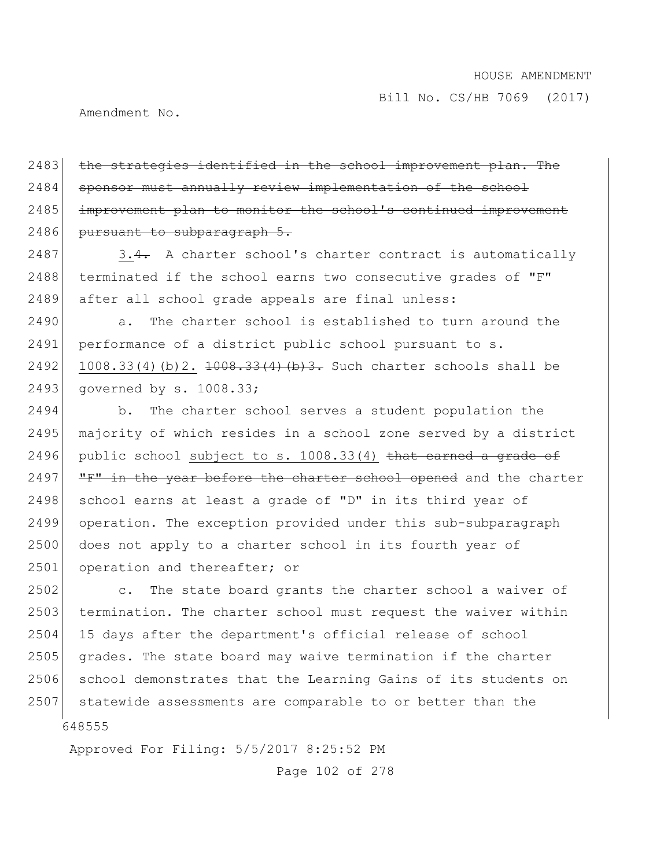Amendment No.

2483 the strategies identified in the school improvement plan. The 2484 sponsor must annually review implementation of the school 2485 improvement plan to monitor the school's continued improvement 2486 pursuant to subparagraph 5.

 $2487$  3.4. A charter school's charter contract is automatically 2488 terminated if the school earns two consecutive grades of "F" 2489 after all school grade appeals are final unless:

2490 a. The charter school is established to turn around the 2491 performance of a district public school pursuant to s. 2492 1008.33(4)(b)2.  $\frac{1008.33(4)}{1008.33(4)}$  (b) 3. Such charter schools shall be 2493 governed by s. 1008.33;

2494 b. The charter school serves a student population the 2495 majority of which resides in a school zone served by a district 2496 public school subject to s.  $1008.33(4)$  that earned a grade of 2497  $|$  "F" in the year before the charter school opened and the charter 2498 school earns at least a grade of "D" in its third year of 2499 operation. The exception provided under this sub-subparagraph 2500 does not apply to a charter school in its fourth year of 2501 operation and thereafter; or

648555 2502 c. The state board grants the charter school a waiver of 2503 termination. The charter school must request the waiver within 2504 15 days after the department's official release of school 2505 grades. The state board may waive termination if the charter 2506 school demonstrates that the Learning Gains of its students on 2507 statewide assessments are comparable to or better than the

Approved For Filing: 5/5/2017 8:25:52 PM

Page 102 of 278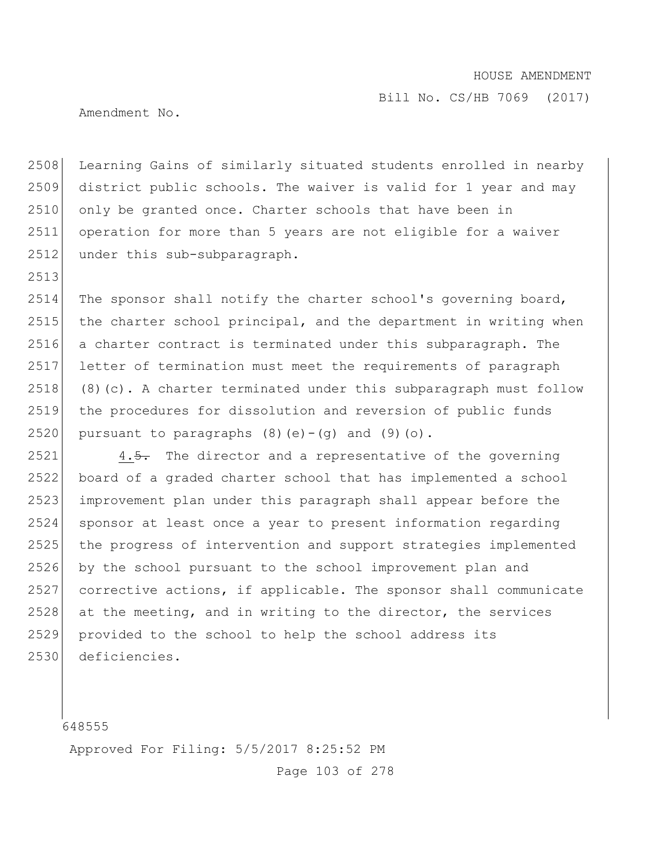Bill No. CS/HB 7069 (2017)

Amendment No.

2508 Learning Gains of similarly situated students enrolled in nearby district public schools. The waiver is valid for 1 year and may 2510 only be granted once. Charter schools that have been in operation for more than 5 years are not eligible for a waiver 2512 under this sub-subparagraph.

 The sponsor shall notify the charter school's governing board, 2515 the charter school principal, and the department in writing when a charter contract is terminated under this subparagraph. The letter of termination must meet the requirements of paragraph (8)(c). A charter terminated under this subparagraph must follow the procedures for dissolution and reversion of public funds 2520 pursuant to paragraphs  $(8)(e)-(q)$  and  $(9)(o)$ .

 4.5. The director and a representative of the governing board of a graded charter school that has implemented a school improvement plan under this paragraph shall appear before the sponsor at least once a year to present information regarding the progress of intervention and support strategies implemented by the school pursuant to the school improvement plan and corrective actions, if applicable. The sponsor shall communicate at the meeting, and in writing to the director, the services provided to the school to help the school address its deficiencies.

Approved For Filing: 5/5/2017 8:25:52 PM

Page 103 of 278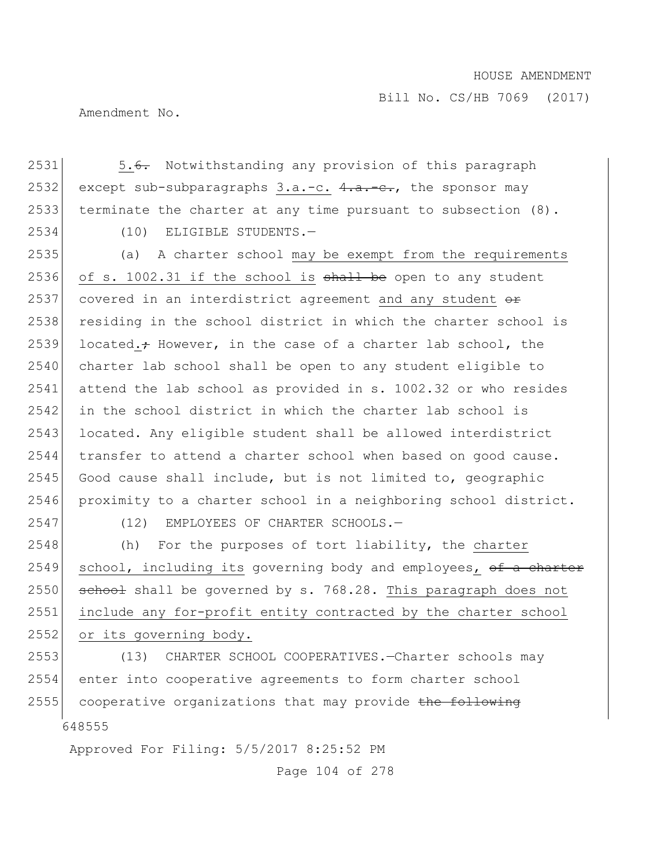Amendment No.

2531 5.6. Notwithstanding any provision of this paragraph 2532 except sub-subparagraphs  $3.a.-c. 4.a.-e.,$  the sponsor may 2533 terminate the charter at any time pursuant to subsection (8). 2534 (10) ELIGIBLE STUDENTS.—

2535 (a) A charter school may be exempt from the requirements 2536 of s. 1002.31 if the school is  $shall$  be open to any student 2537 covered in an interdistrict agreement and any student  $\theta$ 2538 residing in the school district in which the charter school is 2539 located. $\div$  However, in the case of a charter lab school, the 2540 charter lab school shall be open to any student eligible to 2541 attend the lab school as provided in s. 1002.32 or who resides 2542 in the school district in which the charter lab school is 2543 located. Any eligible student shall be allowed interdistrict 2544 transfer to attend a charter school when based on good cause. 2545 Good cause shall include, but is not limited to, geographic 2546 proximity to a charter school in a neighboring school district. 2547 (12) EMPLOYEES OF CHARTER SCHOOLS.—

2548 (h) For the purposes of tort liability, the charter  $2549$  school, including its governing body and employees, of a charter  $2550$  school shall be governed by s. 768.28. This paragraph does not 2551 include any for-profit entity contracted by the charter school 2552 or its governing body.

648555 (13) CHARTER SCHOOL COOPERATIVES.—Charter schools may enter into cooperative agreements to form charter school cooperative organizations that may provide the following

Approved For Filing: 5/5/2017 8:25:52 PM

Page 104 of 278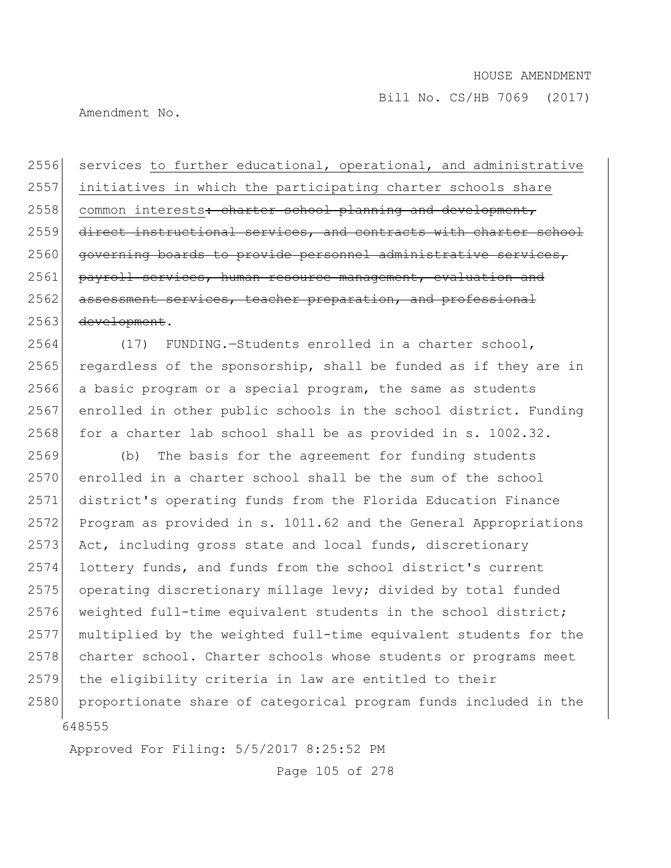Amendment No.

2556 services to further educational, operational, and administrative 2557 initiatives in which the participating charter schools share 2558 common interests: charter school planning and development, 2559 direct instructional services, and contracts with charter school 2560 governing boards to provide personnel administrative services, 2561 payroll services, human resource management, evaluation and 2562 assessment services, teacher preparation, and professional 2563 development.

 (17) FUNDING.—Students enrolled in a charter school, regardless of the sponsorship, shall be funded as if they are in a basic program or a special program, the same as students enrolled in other public schools in the school district. Funding for a charter lab school shall be as provided in s. 1002.32.

648555 (b) The basis for the agreement for funding students enrolled in a charter school shall be the sum of the school district's operating funds from the Florida Education Finance Program as provided in s. 1011.62 and the General Appropriations 2573 Act, including gross state and local funds, discretionary lottery funds, and funds from the school district's current operating discretionary millage levy; divided by total funded 2576 weighted full-time equivalent students in the school district; multiplied by the weighted full-time equivalent students for the 2578 charter school. Charter schools whose students or programs meet the eligibility criteria in law are entitled to their 2580 proportionate share of categorical program funds included in the

Approved For Filing: 5/5/2017 8:25:52 PM

Page 105 of 278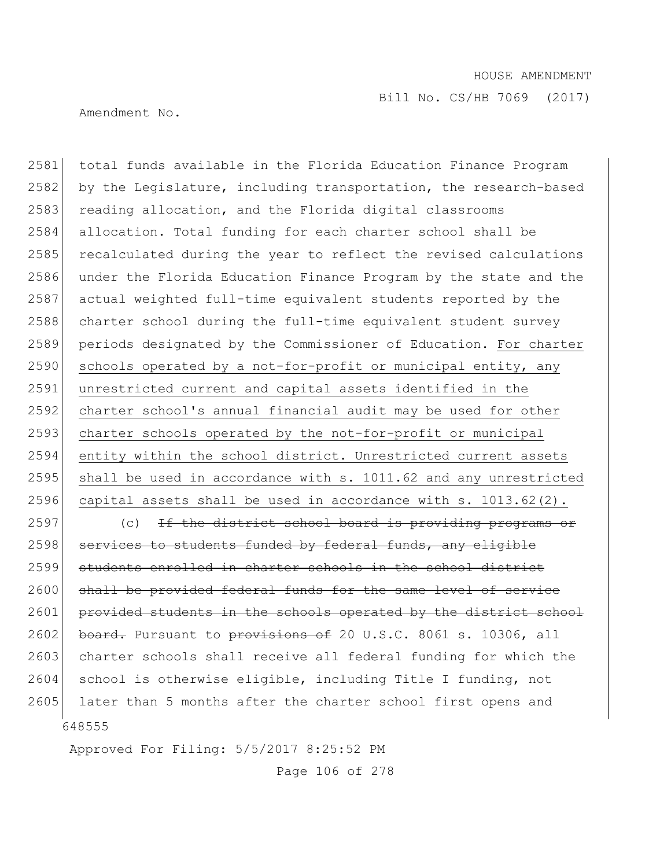Amendment No.

2581 total funds available in the Florida Education Finance Program 2582 by the Legislature, including transportation, the research-based 2583 reading allocation, and the Florida digital classrooms 2584 allocation. Total funding for each charter school shall be 2585 recalculated during the year to reflect the revised calculations 2586 under the Florida Education Finance Program by the state and the 2587 actual weighted full-time equivalent students reported by the 2588 charter school during the full-time equivalent student survey 2589 periods designated by the Commissioner of Education. For charter 2590 schools operated by a not-for-profit or municipal entity, any 2591 unrestricted current and capital assets identified in the 2592 charter school's annual financial audit may be used for other 2593 charter schools operated by the not-for-profit or municipal 2594 entity within the school district. Unrestricted current assets 2595 shall be used in accordance with s. 1011.62 and any unrestricted 2596 capital assets shall be used in accordance with s. 1013.62(2).

648555 2597 (c) If the district school board is providing programs or 2598 services to students funded by federal funds, any eligible 2599 students enrolled in charter schools in the school district 2600 shall be provided federal funds for the same level of service 2601 provided students in the schools operated by the district school 2602 board. Pursuant to provisions of 20 U.S.C. 8061 s. 10306, all 2603 charter schools shall receive all federal funding for which the 2604 school is otherwise eligible, including Title I funding, not 2605 later than 5 months after the charter school first opens and

Approved For Filing: 5/5/2017 8:25:52 PM

Page 106 of 278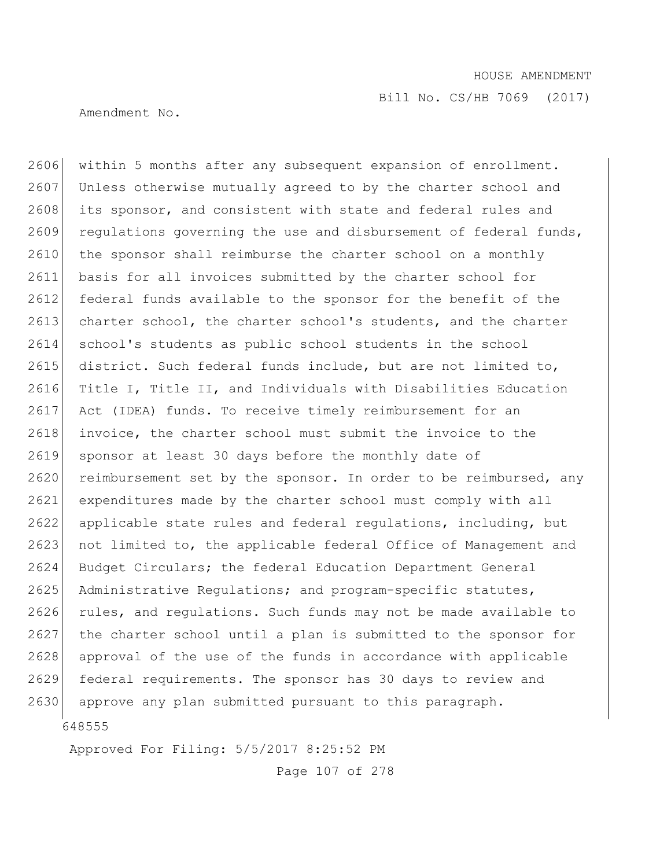Amendment No.

2606 within 5 months after any subsequent expansion of enrollment. 2607 Unless otherwise mutually agreed to by the charter school and 2608 its sponsor, and consistent with state and federal rules and  $2609$  regulations governing the use and disbursement of federal funds,  $2610$  the sponsor shall reimburse the charter school on a monthly 2611 basis for all invoices submitted by the charter school for 2612 federal funds available to the sponsor for the benefit of the 2613 charter school, the charter school's students, and the charter 2614 school's students as public school students in the school 2615 district. Such federal funds include, but are not limited to, 2616 Title I, Title II, and Individuals with Disabilities Education 2617 Act (IDEA) funds. To receive timely reimbursement for an 2618 invoice, the charter school must submit the invoice to the 2619 sponsor at least 30 days before the monthly date of 2620 reimbursement set by the sponsor. In order to be reimbursed, any 2621 expenditures made by the charter school must comply with all 2622 applicable state rules and federal regulations, including, but 2623 not limited to, the applicable federal Office of Management and 2624 Budget Circulars; the federal Education Department General 2625 Administrative Regulations; and program-specific statutes, 2626 rules, and regulations. Such funds may not be made available to 2627 the charter school until a plan is submitted to the sponsor for 2628 approval of the use of the funds in accordance with applicable 2629 federal requirements. The sponsor has 30 days to review and 2630 approve any plan submitted pursuant to this paragraph.

648555

Approved For Filing: 5/5/2017 8:25:52 PM

Page 107 of 278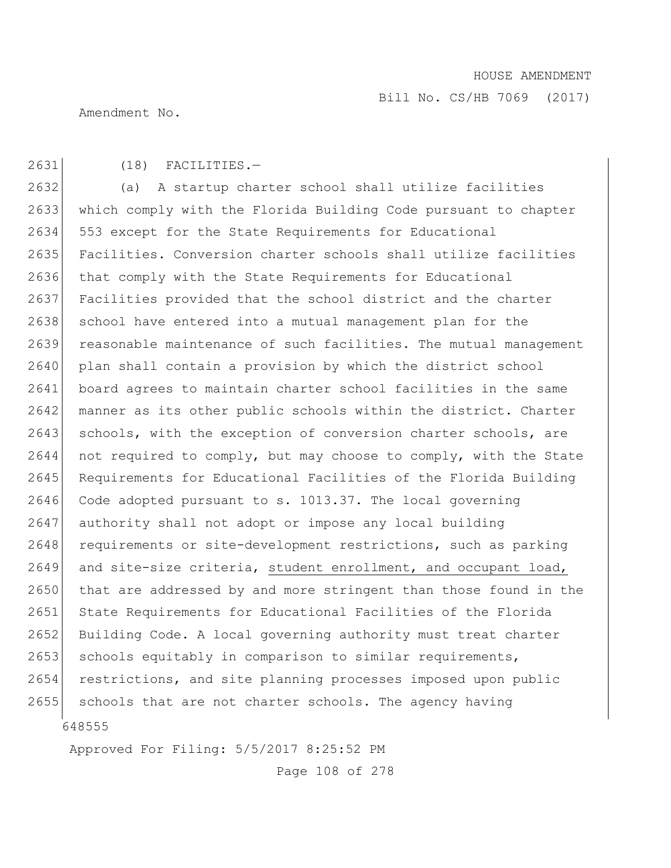Bill No. CS/HB 7069 (2017)

Amendment No.

## 2631 (18) FACILITIES.—

648555 2632 (a) A startup charter school shall utilize facilities 2633 which comply with the Florida Building Code pursuant to chapter 2634 553 except for the State Requirements for Educational 2635 Facilities. Conversion charter schools shall utilize facilities 2636 that comply with the State Requirements for Educational 2637 Facilities provided that the school district and the charter 2638 school have entered into a mutual management plan for the 2639 reasonable maintenance of such facilities. The mutual management 2640 plan shall contain a provision by which the district school 2641 board agrees to maintain charter school facilities in the same 2642 manner as its other public schools within the district. Charter 2643 schools, with the exception of conversion charter schools, are 2644 not required to comply, but may choose to comply, with the State 2645 Requirements for Educational Facilities of the Florida Building 2646 Code adopted pursuant to s. 1013.37. The local governing 2647 authority shall not adopt or impose any local building 2648 requirements or site-development restrictions, such as parking 2649 and site-size criteria, student enrollment, and occupant load, 2650 that are addressed by and more stringent than those found in the 2651 State Requirements for Educational Facilities of the Florida 2652 Building Code. A local governing authority must treat charter 2653 schools equitably in comparison to similar requirements, 2654 restrictions, and site planning processes imposed upon public 2655 schools that are not charter schools. The agency having

Approved For Filing: 5/5/2017 8:25:52 PM

Page 108 of 278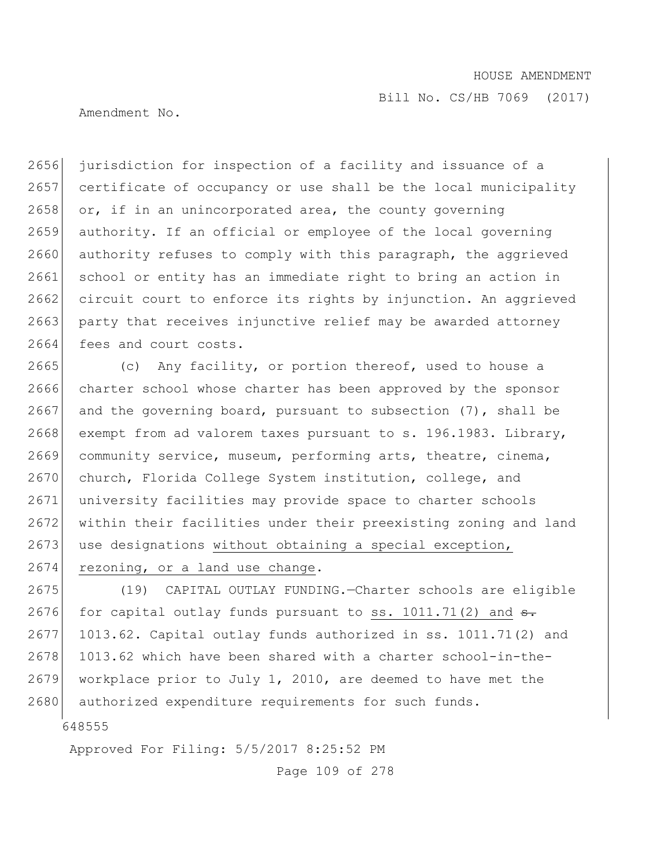Amendment No.

2656 jurisdiction for inspection of a facility and issuance of a 2657 certificate of occupancy or use shall be the local municipality 2658 or, if in an unincorporated area, the county governing 2659 authority. If an official or employee of the local governing 2660 authority refuses to comply with this paragraph, the aggrieved 2661 school or entity has an immediate right to bring an action in 2662 circuit court to enforce its rights by injunction. An aggrieved 2663 party that receives injunctive relief may be awarded attorney 2664 fees and court costs.

2665 (c) Any facility, or portion thereof, used to house a 2666 charter school whose charter has been approved by the sponsor 2667 and the governing board, pursuant to subsection  $(7)$ , shall be 2668 exempt from ad valorem taxes pursuant to s. 196.1983. Library, 2669 community service, museum, performing arts, theatre, cinema, 2670 church, Florida College System institution, college, and 2671 university facilities may provide space to charter schools 2672 within their facilities under their preexisting zoning and land  $2673$  use designations without obtaining a special exception, 2674 rezoning, or a land use change.

2675 (19) CAPITAL OUTLAY FUNDING.—Charter schools are eligible 2676 for capital outlay funds pursuant to ss. 1011.71(2) and  $\frac{1}{100}$ .  $2677$  1013.62. Capital outlay funds authorized in ss. 1011.71(2) and 2678 1013.62 which have been shared with a charter school-in-the-2679 workplace prior to July 1, 2010, are deemed to have met the 2680 authorized expenditure requirements for such funds.

648555

Approved For Filing: 5/5/2017 8:25:52 PM

Page 109 of 278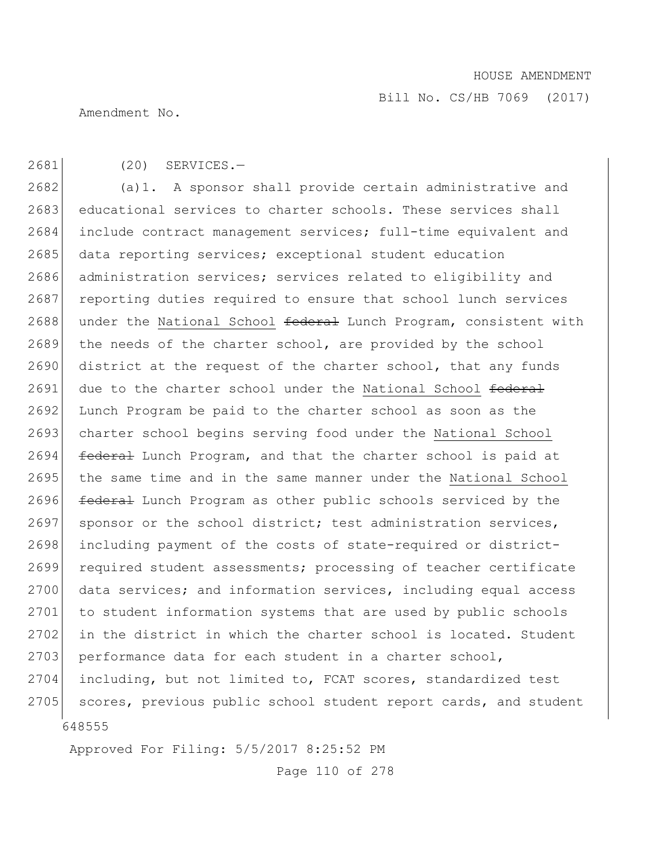Bill No. CS/HB 7069 (2017)

Amendment No.

# 2681 (20) SERVICES.—

648555 2682 (a)1. A sponsor shall provide certain administrative and 2683 educational services to charter schools. These services shall 2684 include contract management services; full-time equivalent and 2685 data reporting services; exceptional student education 2686 administration services; services related to eligibility and 2687 reporting duties required to ensure that school lunch services 2688 under the National School federal Lunch Program, consistent with 2689 the needs of the charter school, are provided by the school 2690 district at the request of the charter school, that any funds 2691 due to the charter school under the National School federal 2692 Lunch Program be paid to the charter school as soon as the 2693 charter school begins serving food under the National School 2694 federal Lunch Program, and that the charter school is paid at 2695 the same time and in the same manner under the National School 2696 federal Lunch Program as other public schools serviced by the 2697 sponsor or the school district; test administration services, 2698 including payment of the costs of state-required or district-2699 required student assessments; processing of teacher certificate 2700 data services; and information services, including equal access 2701 to student information systems that are used by public schools 2702 in the district in which the charter school is located. Student  $2703$  performance data for each student in a charter school, 2704 including, but not limited to, FCAT scores, standardized test 2705 scores, previous public school student report cards, and student

Approved For Filing: 5/5/2017 8:25:52 PM

Page 110 of 278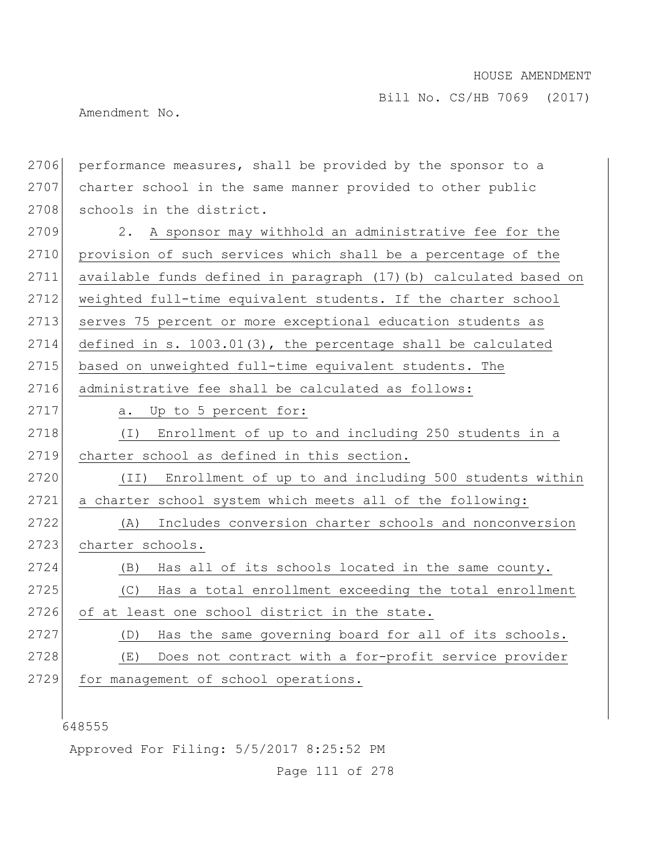Amendment No.

648555 2706 performance measures, shall be provided by the sponsor to a 2707 charter school in the same manner provided to other public 2708 schools in the district. 2709 2. A sponsor may withhold an administrative fee for the 2710 provision of such services which shall be a percentage of the 2711 available funds defined in paragraph (17)(b) calculated based on 2712 weighted full-time equivalent students. If the charter school 2713 serves 75 percent or more exceptional education students as 2714 defined in s. 1003.01(3), the percentage shall be calculated 2715 based on unweighted full-time equivalent students. The 2716 administrative fee shall be calculated as follows: 2717 a. Up to 5 percent for: 2718 (I) Enrollment of up to and including 250 students in a 2719 charter school as defined in this section. 2720 (II) Enrollment of up to and including 500 students within 2721 a charter school system which meets all of the following: 2722 (A) Includes conversion charter schools and nonconversion 2723 charter schools. 2724 (B) Has all of its schools located in the same county. 2725 (C) Has a total enrollment exceeding the total enrollment 2726 of at least one school district in the state. 2727 (D) Has the same governing board for all of its schools. 2728 (E) Does not contract with a for-profit service provider 2729 for management of school operations.

Approved For Filing: 5/5/2017 8:25:52 PM

Page 111 of 278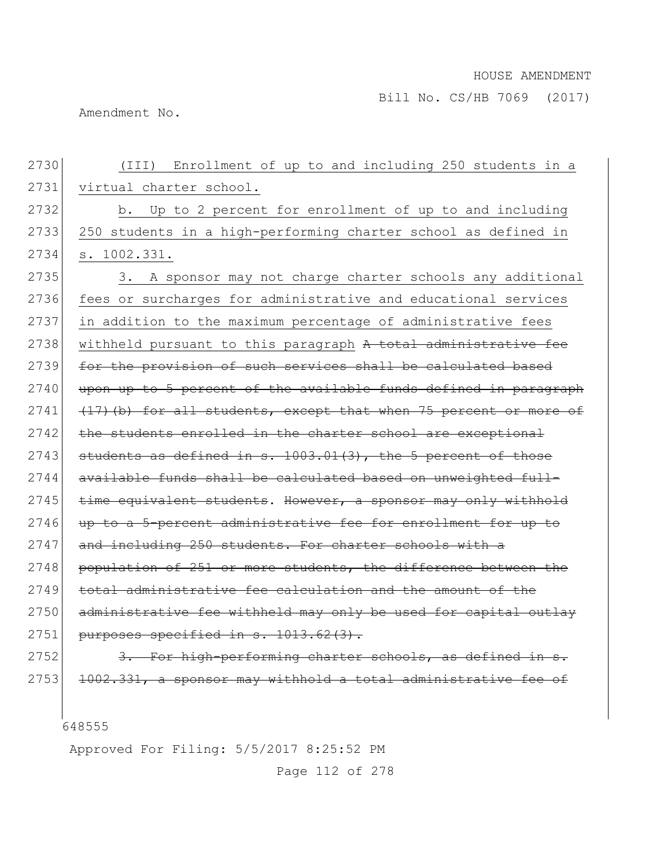Amendment No.

| 2730 | Enrollment of up to and including 250 students in a<br>(III)      |
|------|-------------------------------------------------------------------|
| 2731 | virtual charter school.                                           |
| 2732 | b. Up to 2 percent for enrollment of up to and including          |
| 2733 | 250 students in a high-performing charter school as defined in    |
| 2734 | s. 1002.331.                                                      |
| 2735 | 3. A sponsor may not charge charter schools any additional        |
| 2736 | fees or surcharges for administrative and educational services    |
| 2737 | in addition to the maximum percentage of administrative fees      |
| 2738 | withheld pursuant to this paragraph A total administrative fee    |
| 2739 | for the provision of such services shall be calculated based      |
| 2740 | upon up to 5 percent of the available funds defined in paragraph  |
| 2741 | (17) (b) for all students, except that when 75 percent or more of |
| 2742 | the students enrolled in the charter school are exceptional       |
| 2743 | students as defined in s. 1003.01(3), the 5 percent of those      |
| 2744 | available funds shall be calculated based on unweighted full-     |
| 2745 | time equivalent students. However, a sponsor may only withhold    |
| 2746 | up to a 5-percent administrative fee for enrollment for up to     |
| 2747 | and including 250 students. For charter schools with a            |
| 2748 | population of 251 or more students, the difference between the    |
| 2749 | total administrative fee calculation and the amount of the        |
| 2750 | administrative fee withheld may only be used for capital outlay   |
| 2751 | purposes specified in s. 1013.62(3).                              |
| 2752 | 3. For high-performing charter schools, as defined in s.          |
| 2753 | 1002.331, a sponsor may withhold a total administrative fee of    |

Approved For Filing: 5/5/2017 8:25:52 PM

Page 112 of 278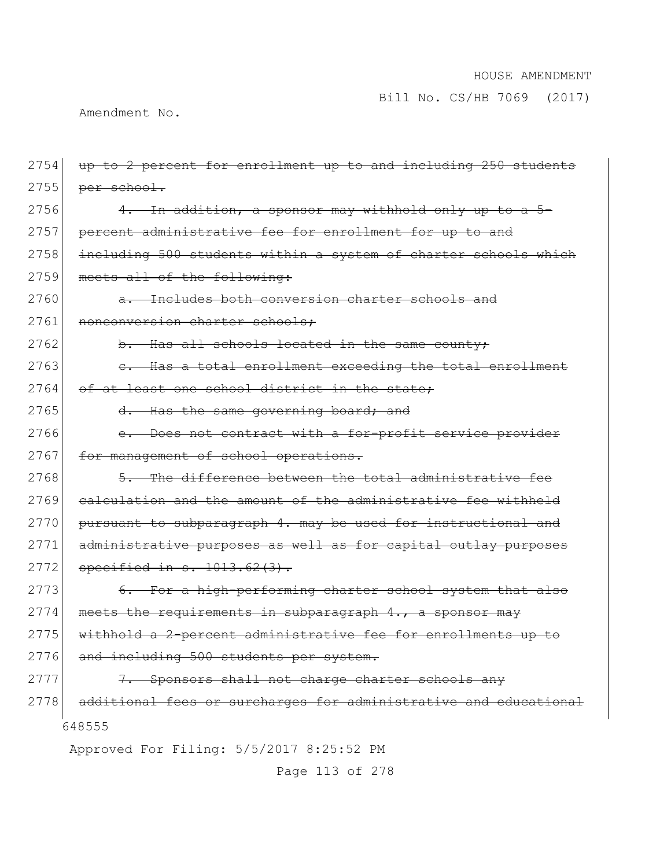Bill No. CS/HB 7069 (2017)

Amendment No.

| 2754 | up to 2 percent for enrollment up to and including 250 students  |
|------|------------------------------------------------------------------|
| 2755 | per school.                                                      |
| 2756 | 4. In addition, a sponsor may withhold only up to a 5-           |
| 2757 | percent administrative fee for enrollment for up to and          |
| 2758 | including 500 students within a system of charter schools which  |
| 2759 | meets all of the following:                                      |
| 2760 | a. Includes both conversion charter schools and                  |
| 2761 | nonconversion charter schools:                                   |
| 2762 | b. Has all schools located in the same county;                   |
| 2763 | e. Has a total enrollment exceeding the total enrollment         |
| 2764 | of at least one school district in the state;                    |
| 2765 | d. Has the same governing board; and                             |
| 2766 | e. Does not contract with a for-profit service provider          |
| 2767 | for management of school operations.                             |
| 2768 | 5. The difference between the total administrative fee           |
| 2769 | calculation and the amount of the administrative fee withheld    |
| 2770 | pursuant to subparagraph 4. may be used for instructional and    |
| 2771 | administrative purposes as well as for capital outlay purposes   |
| 2772 | specified in $s. 1013.62(3)$ .                                   |
| 2773 | 6. For a high-performing charter school system that also         |
| 2774 | meets the requirements in subparagraph 4., a sponsor may         |
| 2775 | withhold a 2-percent administrative fee for enrollments up to    |
| 2776 | and including 500 students per system.                           |
| 2777 | 7. Sponsors shall not charge charter schools any                 |
| 2778 | additional fees or surcharges for administrative and educational |
|      | 648555                                                           |
|      | Approved For Filing: 5/5/2017 8:25:52 PM                         |
|      | Page 113 of 278                                                  |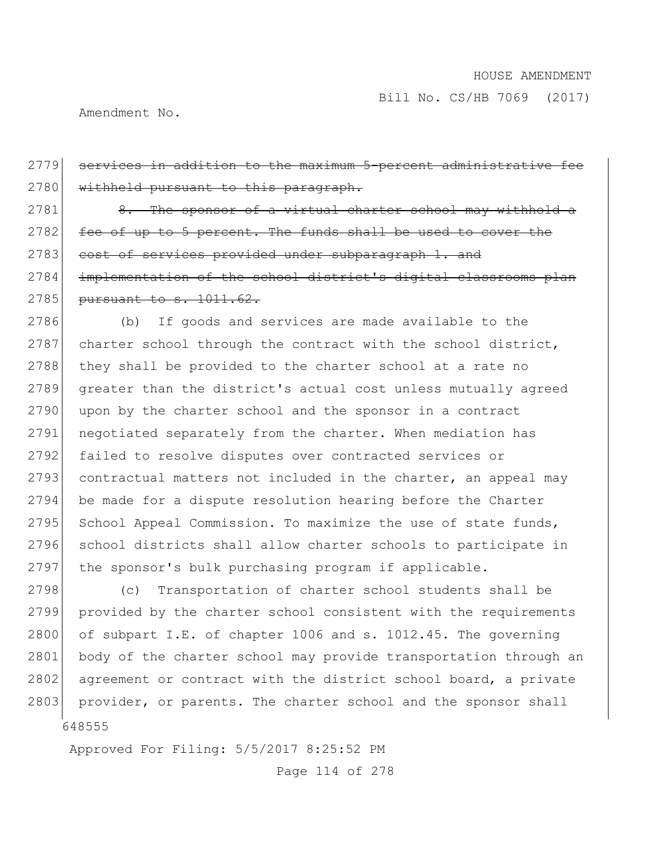Amendment No.

2779 services in addition to the maximum 5-percent administrative fee 2780 withheld pursuant to this paragraph. 2781 8. The sponsor of a virtual charter school may withhold a 2782 fee of up to 5 percent. The funds shall be used to cover the 2783 cost of services provided under subparagraph 1. and 2784 implementation of the school district's digital classrooms plan 2785 pursuant to s. 1011.62. 2786 (b) If goods and services are made available to the 2787 charter school through the contract with the school district, 2788 they shall be provided to the charter school at a rate no 2789 greater than the district's actual cost unless mutually agreed 2790 upon by the charter school and the sponsor in a contract 2791 negotiated separately from the charter. When mediation has 2792 failed to resolve disputes over contracted services or 2793 contractual matters not included in the charter, an appeal may 2794 be made for a dispute resolution hearing before the Charter 2795 School Appeal Commission. To maximize the use of state funds, 2796 school districts shall allow charter schools to participate in

648555 2798 (c) Transportation of charter school students shall be 2799 provided by the charter school consistent with the requirements 2800 of subpart I.E. of chapter 1006 and s. 1012.45. The governing 2801 body of the charter school may provide transportation through an 2802 agreement or contract with the district school board, a private 2803 provider, or parents. The charter school and the sponsor shall

2797 the sponsor's bulk purchasing program if applicable.

Approved For Filing: 5/5/2017 8:25:52 PM

Page 114 of 278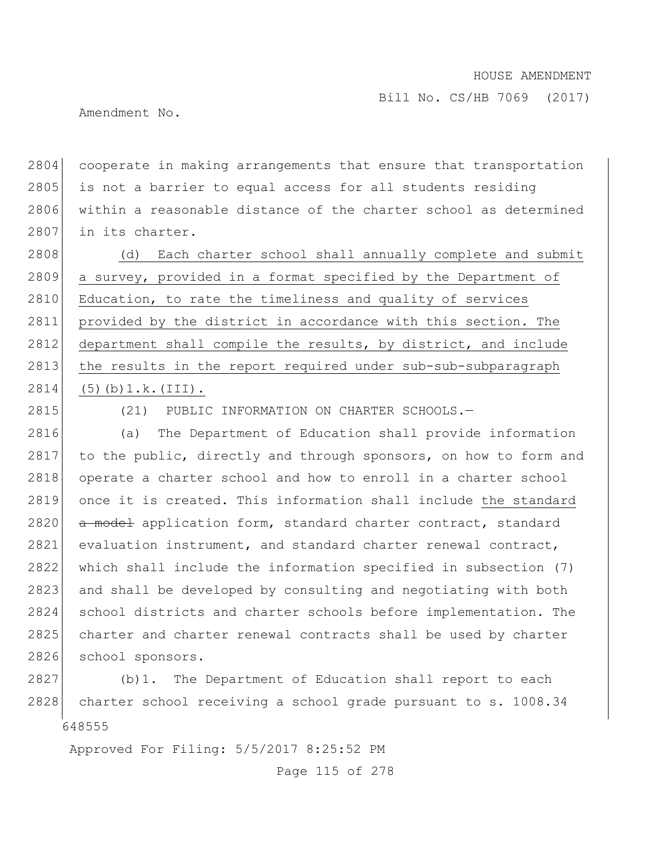Amendment No.

2804 cooperate in making arrangements that ensure that transportation 2805 is not a barrier to equal access for all students residing 2806 within a reasonable distance of the charter school as determined 2807 in its charter.

2808 (d) Each charter school shall annually complete and submit 2809 a survey, provided in a format specified by the Department of 2810 Education, to rate the timeliness and quality of services 2811 provided by the district in accordance with this section. The 2812 department shall compile the results, by district, and include 2813 the results in the report required under sub-sub-subparagraph 2814 (5)(b) 1.k. (III).

2815 (21) PUBLIC INFORMATION ON CHARTER SCHOOLS.

2816 (a) The Department of Education shall provide information 2817 to the public, directly and through sponsors, on how to form and 2818 operate a charter school and how to enroll in a charter school 2819 once it is created. This information shall include the standard 2820 a model application form, standard charter contract, standard 2821 evaluation instrument, and standard charter renewal contract, 2822 which shall include the information specified in subsection (7) 2823 and shall be developed by consulting and negotiating with both 2824 school districts and charter schools before implementation. The 2825 charter and charter renewal contracts shall be used by charter 2826 school sponsors.

648555 2827 (b)1. The Department of Education shall report to each 2828 charter school receiving a school grade pursuant to s. 1008.34

Approved For Filing: 5/5/2017 8:25:52 PM

Page 115 of 278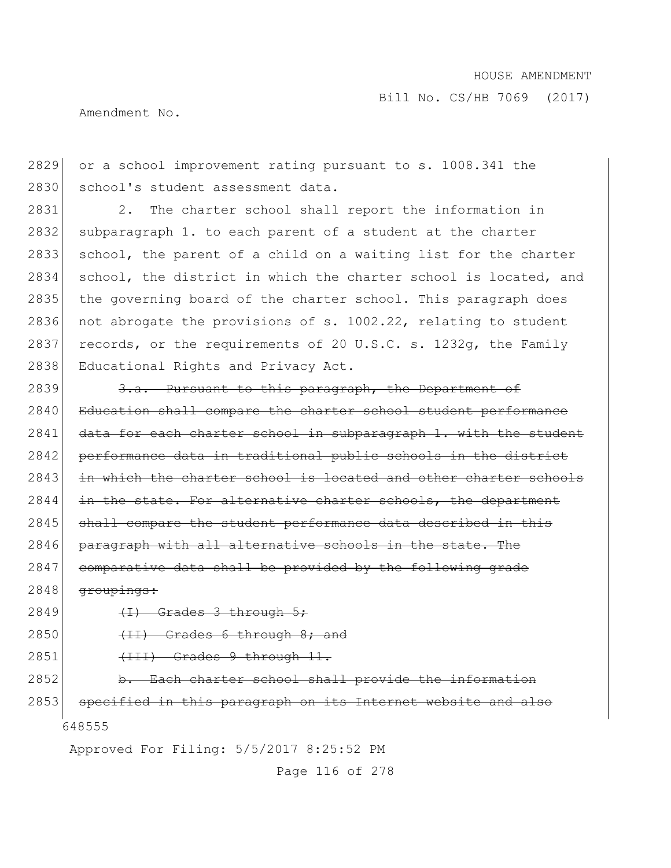Amendment No.

2829 or a school improvement rating pursuant to s. 1008.341 the 2830 school's student assessment data.

2831 2. The charter school shall report the information in 2832 subparagraph 1. to each parent of a student at the charter 2833 school, the parent of a child on a waiting list for the charter 2834 school, the district in which the charter school is located, and 2835 the governing board of the charter school. This paragraph does 2836 not abrogate the provisions of s.  $1002.22$ , relating to student 2837 records, or the requirements of 20 U.S.C. s. 1232q, the Family 2838 Educational Rights and Privacy Act.

2839 3.a. Pursuant to this paragraph, the Department of 2840 Education shall compare the charter school student performance 2841 data for each charter school in subparagraph 1. with the student 2842 performance data in traditional public schools in the district 2843 in which the charter school is located and other charter schools  $2844$  in the state. For alternative charter schools, the department  $2845$  shall compare the student performance data described in this 2846 paragraph with all alternative schools in the state. The 2847 comparative data shall be provided by the following grade  $2848$  groupings:

- $2849$   $(H)$  Grades 3 through 5;
- 2850  $(11)$  Grades 6 through 8; and

 $2851$  (III) Grades 9 through 11.

2852 b. Each charter school shall provide the information

648555 2853 specified in this paragraph on its Internet website and also

Approved For Filing: 5/5/2017 8:25:52 PM

Page 116 of 278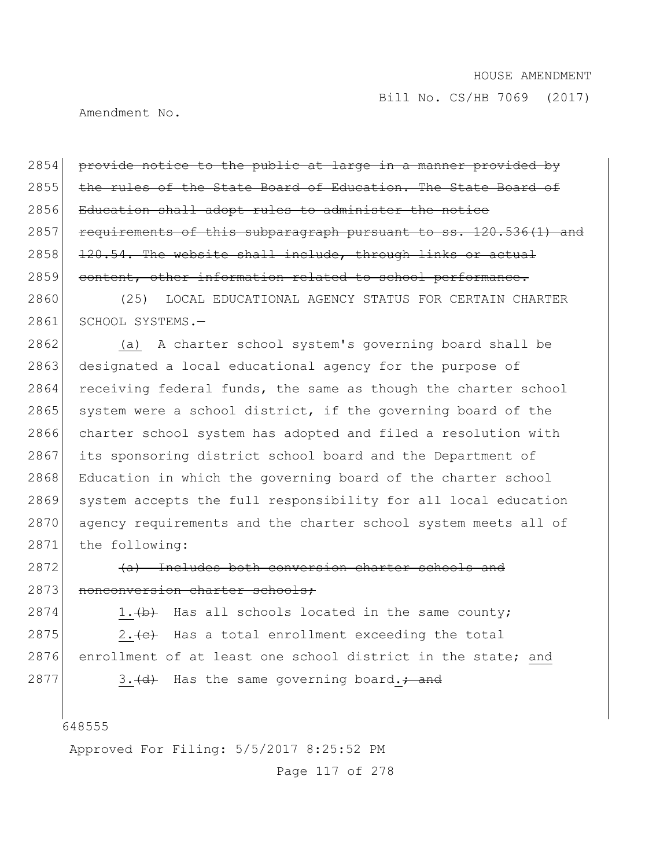Amendment No.

2854 provide notice to the public at large in a manner provided by 2855 the rules of the State Board of Education. The State Board of 2856 Education shall adopt rules to administer the notice 2857 requirements of this subparagraph pursuant to ss. 120.536(1) and 2858 120.54. The website shall include, through links or actual 2859 content, other information related to school performance.

2860 (25) LOCAL EDUCATIONAL AGENCY STATUS FOR CERTAIN CHARTER 2861 SCHOOL SYSTEMS.-

2862 (a) A charter school system's governing board shall be 2863 designated a local educational agency for the purpose of 2864 receiving federal funds, the same as though the charter school  $2865$  system were a school district, if the governing board of the 2866 charter school system has adopted and filed a resolution with 2867 its sponsoring district school board and the Department of 2868 Education in which the governing board of the charter school 2869 system accepts the full responsibility for all local education 2870 agency requirements and the charter school system meets all of 2871 the following:

2872 (a) Includes both conversion charter schools and 2873 nonconversion charter schools:

 $2874$  1. (b) Has all schools located in the same county; 2875 2.  $\leftarrow$  Has a total enrollment exceeding the total 2876 enrollment of at least one school district in the state; and 2877 3.  $(d)$  Has the same governing board.; and

648555

Approved For Filing: 5/5/2017 8:25:52 PM

Page 117 of 278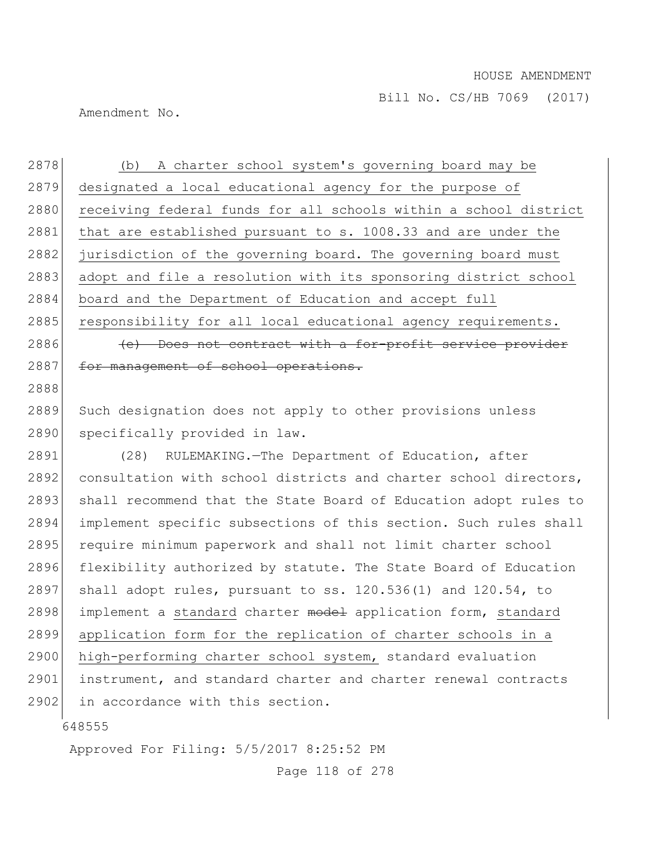Amendment No.

2878 (b) A charter school system's governing board may be 2879 designated a local educational agency for the purpose of 2880 receiving federal funds for all schools within a school district 2881 that are established pursuant to s. 1008.33 and are under the 2882 jurisdiction of the governing board. The governing board must 2883 adopt and file a resolution with its sponsoring district school 2884 board and the Department of Education and accept full 2885 responsibility for all local educational agency requirements. 2886 (e) Does not contract with a for-profit service provider 2887 for management of school operations. 2888

2889 Such designation does not apply to other provisions unless 2890 specifically provided in law.

2891 (28) RULEMAKING.—The Department of Education, after 2892 consultation with school districts and charter school directors, 2893 shall recommend that the State Board of Education adopt rules to 2894 implement specific subsections of this section. Such rules shall 2895 require minimum paperwork and shall not limit charter school 2896 flexibility authorized by statute. The State Board of Education 2897 shall adopt rules, pursuant to ss.  $120.536(1)$  and  $120.54$ , to 2898 implement a standard charter model application form, standard 2899 application form for the replication of charter schools in a 2900 high-performing charter school system, standard evaluation 2901 instrument, and standard charter and charter renewal contracts 2902 in accordance with this section.

648555

Approved For Filing: 5/5/2017 8:25:52 PM

Page 118 of 278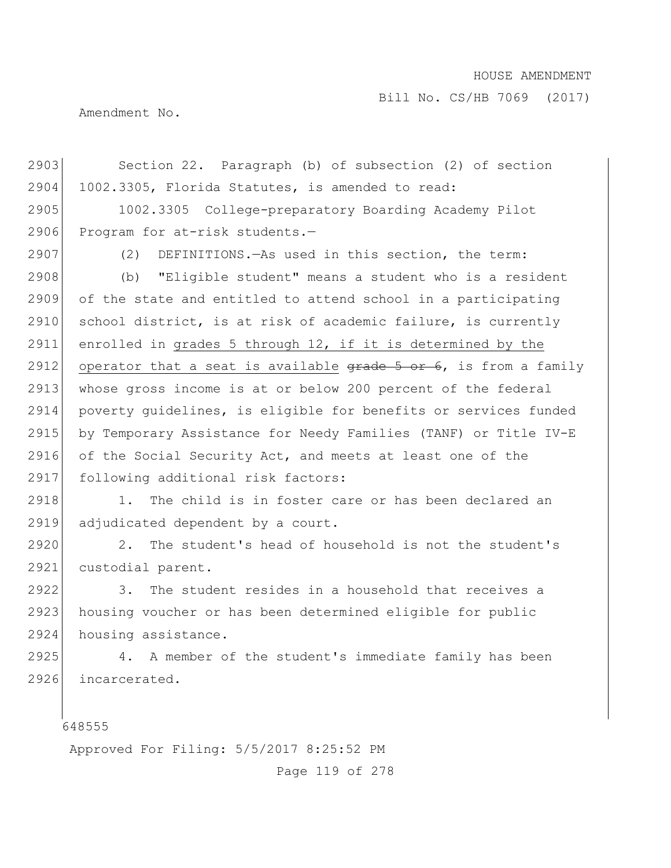Bill No. CS/HB 7069 (2017)

Amendment No.

648555 2903 Section 22. Paragraph (b) of subsection (2) of section 2904 1002.3305, Florida Statutes, is amended to read: 2905 1002.3305 College-preparatory Boarding Academy Pilot 2906 Program for at-risk students.-2907 (2) DEFINITIONS.—As used in this section, the term: 2908 (b) "Eligible student" means a student who is a resident 2909 of the state and entitled to attend school in a participating 2910 school district, is at risk of academic failure, is currently 2911 enrolled in grades 5 through 12, if it is determined by the 2912 operator that a seat is available  $\frac{1}{2}$  or  $\frac{1}{2}$ , is from a family 2913 whose gross income is at or below 200 percent of the federal 2914 poverty guidelines, is eligible for benefits or services funded 2915 by Temporary Assistance for Needy Families (TANF) or Title IV-E 2916 of the Social Security Act, and meets at least one of the 2917 following additional risk factors: 2918 1. The child is in foster care or has been declared an 2919 adjudicated dependent by a court. 2920 2. The student's head of household is not the student's 2921 custodial parent. 2922 3. The student resides in a household that receives a 2923 housing voucher or has been determined eligible for public 2924 housing assistance. 2925 4. A member of the student's immediate family has been 2926 incarcerated.

Approved For Filing: 5/5/2017 8:25:52 PM

Page 119 of 278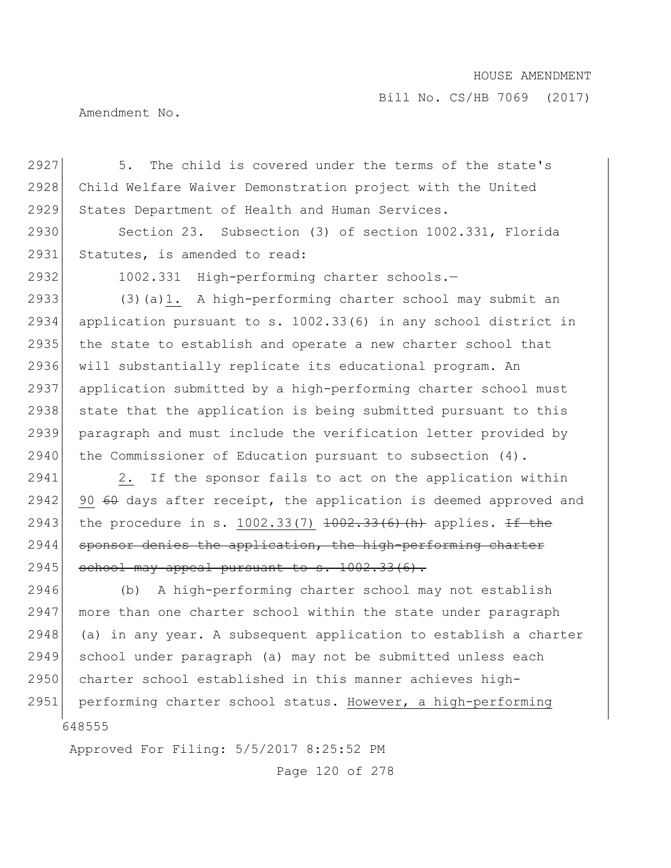Bill No. CS/HB 7069 (2017)

Amendment No.

2927 5. The child is covered under the terms of the state's 2928 Child Welfare Waiver Demonstration project with the United 2929 States Department of Health and Human Services.

2930 Section 23. Subsection (3) of section 1002.331, Florida 2931 Statutes, is amended to read:

2932 1002.331 High-performing charter schools.—

 (3)(a)1. A high-performing charter school may submit an application pursuant to s. 1002.33(6) in any school district in 2935 the state to establish and operate a new charter school that will substantially replicate its educational program. An application submitted by a high-performing charter school must 2938 state that the application is being submitted pursuant to this paragraph and must include the verification letter provided by 2940 the Commissioner of Education pursuant to subsection (4).

2941 2. If the sponsor fails to act on the application within  $2942$  90 60 days after receipt, the application is deemed approved and 2943 the procedure in s. 1002.33(7)  $\frac{1002.33(6)}{h}$  applies. If the 2944 sponsor denies the application, the high-performing charter 2945 school may appeal pursuant to s.  $1002.33(6)$ .

648555 2946 (b) A high-performing charter school may not establish 2947 more than one charter school within the state under paragraph  $2948$  (a) in any year. A subsequent application to establish a charter 2949 school under paragraph (a) may not be submitted unless each 2950 charter school established in this manner achieves high-2951 performing charter school status. However, a high-performing

Approved For Filing: 5/5/2017 8:25:52 PM

Page 120 of 278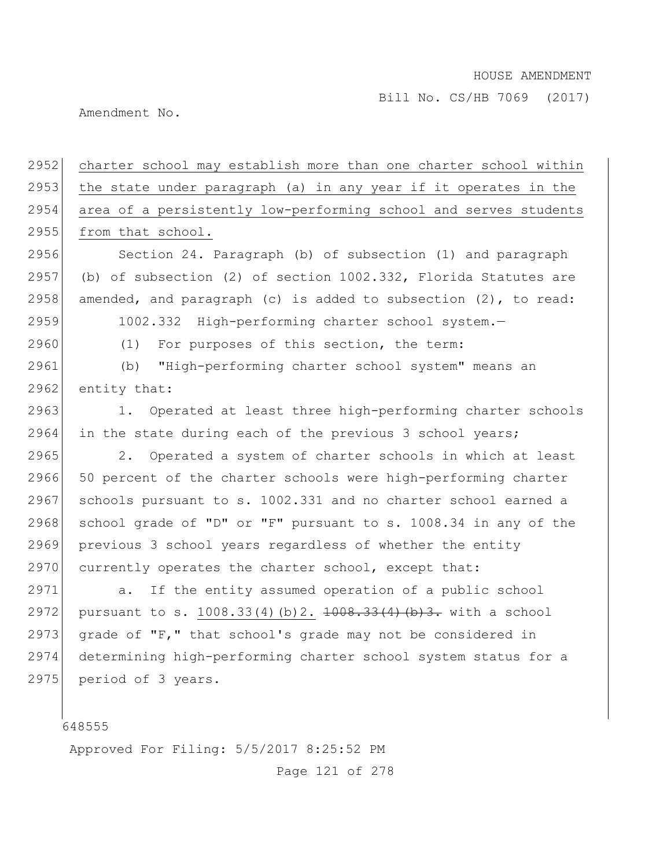Bill No. CS/HB 7069 (2017)

Amendment No.

2952 charter school may establish more than one charter school within 2953 the state under paragraph (a) in any year if it operates in the 2954 area of a persistently low-performing school and serves students 2955 from that school. 2956 Section 24. Paragraph (b) of subsection (1) and paragraph 2957 (b) of subsection (2) of section  $1002.332$ , Florida Statutes are 2958 amended, and paragraph (c) is added to subsection  $(2)$ , to read: 2959 1002.332 High-performing charter school system.— 2960 (1) For purposes of this section, the term: 2961 (b) "High-performing charter school system" means an 2962 entity that: 2963 1. Operated at least three high-performing charter schools 2964 in the state during each of the previous 3 school years; 2965 2. Operated a system of charter schools in which at least 2966 50 percent of the charter schools were high-performing charter 2967 schools pursuant to s. 1002.331 and no charter school earned a 2968 school grade of "D" or "F" pursuant to s. 1008.34 in any of the 2969 previous 3 school years regardless of whether the entity 2970 currently operates the charter school, except that: 2971 a. If the entity assumed operation of a public school 2972 pursuant to s. 1008.33(4)(b)2.  $\frac{1008.33(4)(b)}{2}$ . with a school 2973 grade of "F," that school's grade may not be considered in 2974 determining high-performing charter school system status for a 2975 period of 3 years.

648555

Approved For Filing: 5/5/2017 8:25:52 PM

Page 121 of 278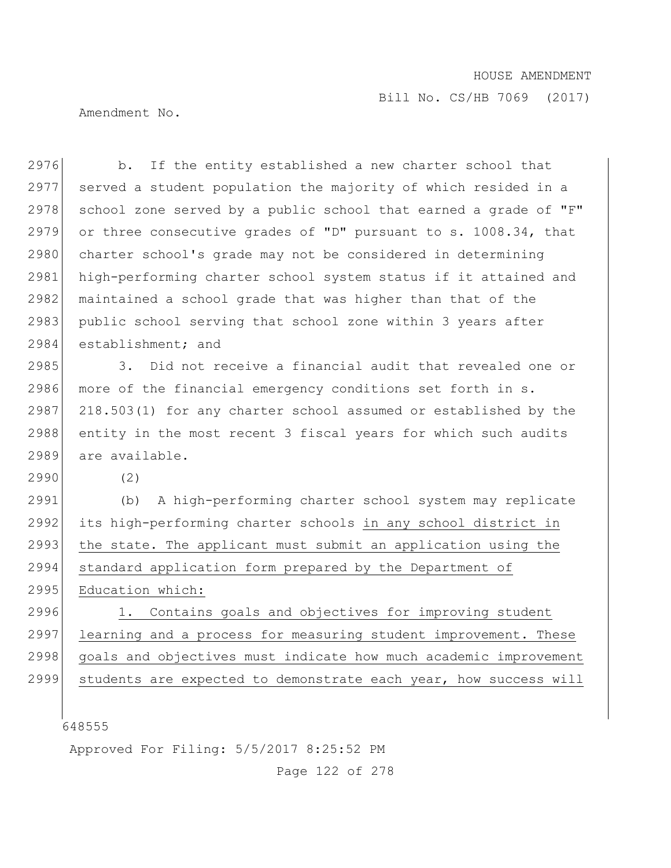Bill No. CS/HB 7069 (2017)

Amendment No.

648555 Approved For Filing: 5/5/2017 8:25:52 PM 2976 b. If the entity established a new charter school that 2977 served a student population the majority of which resided in a 2978 school zone served by a public school that earned a grade of " $F$ " 2979 or three consecutive grades of "D" pursuant to s. 1008.34, that 2980 charter school's grade may not be considered in determining 2981 high-performing charter school system status if it attained and 2982 maintained a school grade that was higher than that of the 2983 public school serving that school zone within 3 years after 2984 establishment; and 2985 3. Did not receive a financial audit that revealed one or 2986 more of the financial emergency conditions set forth in s. 2987 218.503(1) for any charter school assumed or established by the 2988 entity in the most recent 3 fiscal years for which such audits 2989 are available. 2990 (2) 2991 (b) A high-performing charter school system may replicate 2992 its high-performing charter schools in any school district in 2993 the state. The applicant must submit an application using the 2994 standard application form prepared by the Department of 2995 Education which: 2996 1. Contains goals and objectives for improving student 2997 learning and a process for measuring student improvement. These 2998 goals and objectives must indicate how much academic improvement 2999 students are expected to demonstrate each year, how success will

Page 122 of 278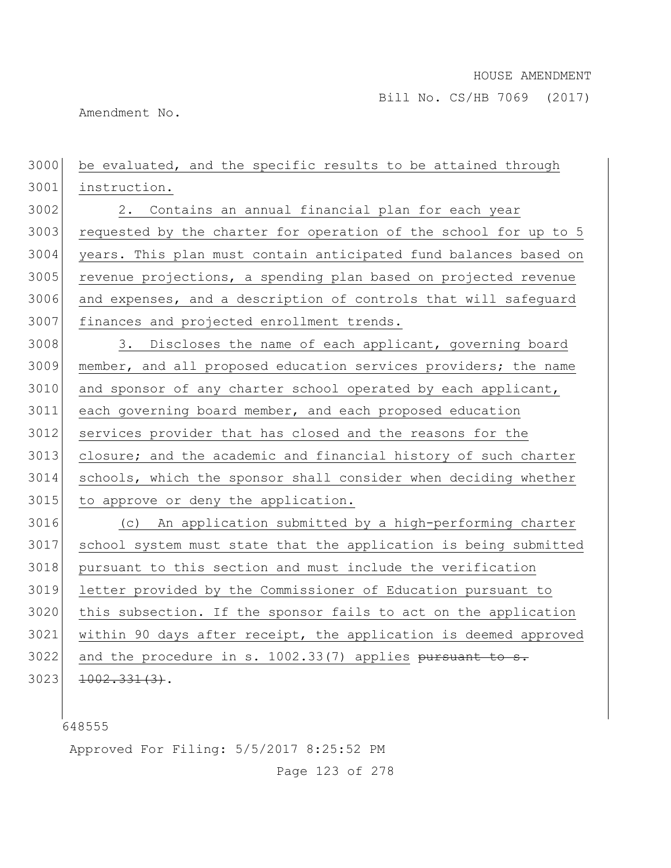Amendment No.

 be evaluated, and the specific results to be attained through instruction. 2. Contains an annual financial plan for each year 3003 requested by the charter for operation of the school for up to 5 years. This plan must contain anticipated fund balances based on 3005 revenue projections, a spending plan based on projected revenue and expenses, and a description of controls that will safeguard 3007 finances and projected enrollment trends. 3008 3. Discloses the name of each applicant, governing board member, and all proposed education services providers; the name 3010 and sponsor of any charter school operated by each applicant, each governing board member, and each proposed education services provider that has closed and the reasons for the 3013 closure; and the academic and financial history of such charter schools, which the sponsor shall consider when deciding whether to approve or deny the application. (c) An application submitted by a high-performing charter school system must state that the application is being submitted pursuant to this section and must include the verification letter provided by the Commissioner of Education pursuant to this subsection. If the sponsor fails to act on the application within 90 days after receipt, the application is deemed approved and the procedure in s. 1002.33(7) applies pursuant to s.  $1002.331(3)$ .

Approved For Filing: 5/5/2017 8:25:52 PM

Page 123 of 278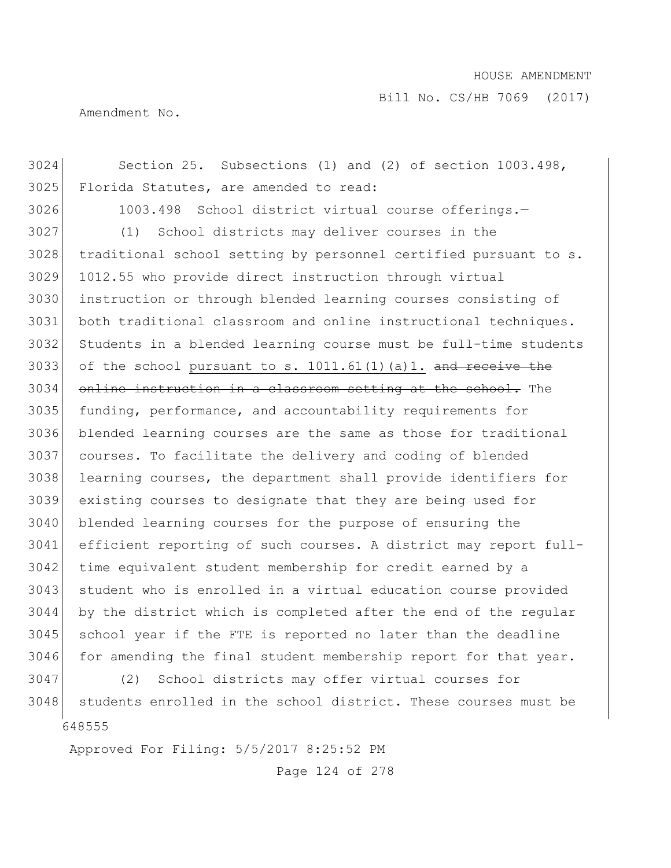Bill No. CS/HB 7069 (2017)

Amendment No.

 Section 25. Subsections (1) and (2) of section 1003.498, Florida Statutes, are amended to read: 1003.498 School district virtual course offerings.— (1) School districts may deliver courses in the traditional school setting by personnel certified pursuant to s. 1012.55 who provide direct instruction through virtual instruction or through blended learning courses consisting of both traditional classroom and online instructional techniques. Students in a blended learning course must be full-time students 3033 of the school pursuant to s.  $1011.61(1)$  (a)1. and receive the 3034 online instruction in a classroom setting at the school. The funding, performance, and accountability requirements for blended learning courses are the same as those for traditional courses. To facilitate the delivery and coding of blended learning courses, the department shall provide identifiers for existing courses to designate that they are being used for 3040 blended learning courses for the purpose of ensuring the efficient reporting of such courses. A district may report full- time equivalent student membership for credit earned by a student who is enrolled in a virtual education course provided by the district which is completed after the end of the regular school year if the FTE is reported no later than the deadline for amending the final student membership report for that year. (2) School districts may offer virtual courses for

 3048 students enrolled in the school district. These courses must be

Approved For Filing: 5/5/2017 8:25:52 PM

Page 124 of 278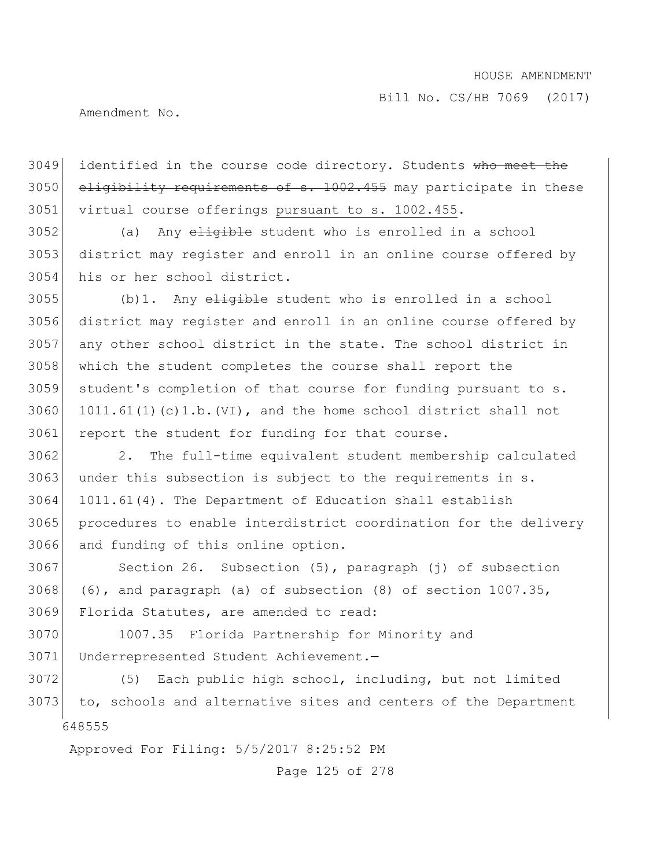Bill No. CS/HB 7069 (2017)

Amendment No.

3049 identified in the course code directory. Students who meet the 3050 eligibility requirements of s. 1002.455 may participate in these 3051 virtual course offerings pursuant to s. 1002.455.

3052 (a) Any eligible student who is enrolled in a school 3053 district may register and enroll in an online course offered by 3054 his or her school district.

 (b)1. Any  $e$ <del>ligible</del> student who is enrolled in a school district may register and enroll in an online course offered by any other school district in the state. The school district in which the student completes the course shall report the student's completion of that course for funding pursuant to s. 1011.61(1)(c)1.b.(VI), and the home school district shall not 3061 report the student for funding for that course.

 2. The full-time equivalent student membership calculated under this subsection is subject to the requirements in s. 1011.61(4). The Department of Education shall establish 3065 procedures to enable interdistrict coordination for the delivery and funding of this online option.

3067 Section 26. Subsection (5), paragraph (j) of subsection 3068 (6), and paragraph (a) of subsection  $(8)$  of section 1007.35, 3069 Florida Statutes, are amended to read:

3070 1007.35 Florida Partnership for Minority and 3071 Underrepresented Student Achievement.—

648555 3072 (5) Each public high school, including, but not limited 3073 to, schools and alternative sites and centers of the Department

Approved For Filing: 5/5/2017 8:25:52 PM

Page 125 of 278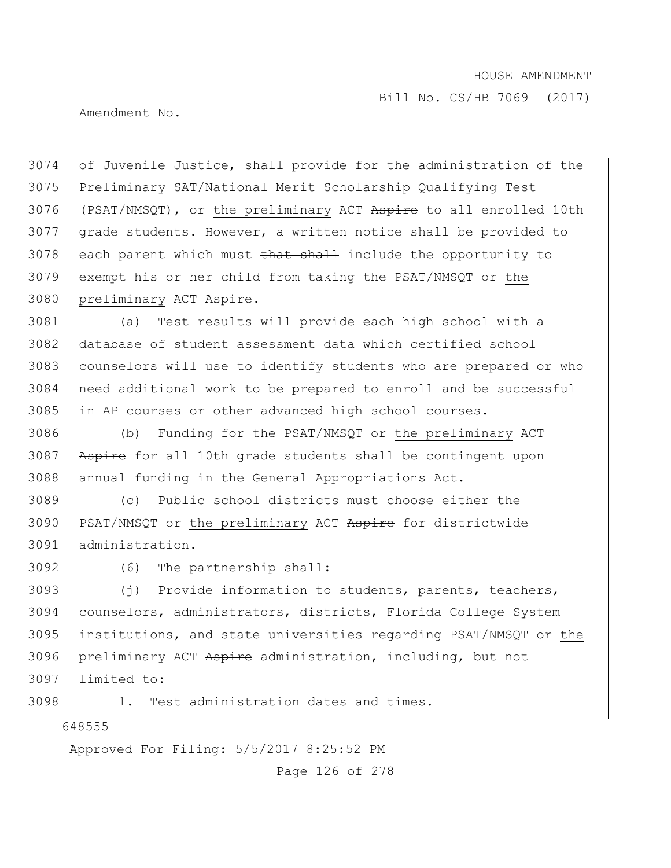Bill No. CS/HB 7069 (2017)

Amendment No.

 of Juvenile Justice, shall provide for the administration of the Preliminary SAT/National Merit Scholarship Qualifying Test 3076 (PSAT/NMSQT), or the preliminary ACT Aspire to all enrolled 10th grade students. However, a written notice shall be provided to each parent which must that shall include the opportunity to exempt his or her child from taking the PSAT/NMSQT or the 3080 preliminary ACT Aspire.

 (a) Test results will provide each high school with a database of student assessment data which certified school counselors will use to identify students who are prepared or who need additional work to be prepared to enroll and be successful 3085 in AP courses or other advanced high school courses.

 (b) Funding for the PSAT/NMSQT or the preliminary ACT 3087 Aspire for all 10th grade students shall be contingent upon annual funding in the General Appropriations Act.

 (c) Public school districts must choose either the 3090 PSAT/NMSQT or the preliminary ACT Aspire for districtwide administration.

(6) The partnership shall:

 (j) Provide information to students, parents, teachers, counselors, administrators, districts, Florida College System institutions, and state universities regarding PSAT/NMSQT or the 3096 preliminary ACT Aspire administration, including, but not limited to:

1. Test administration dates and times.

Approved For Filing: 5/5/2017 8:25:52 PM

Page 126 of 278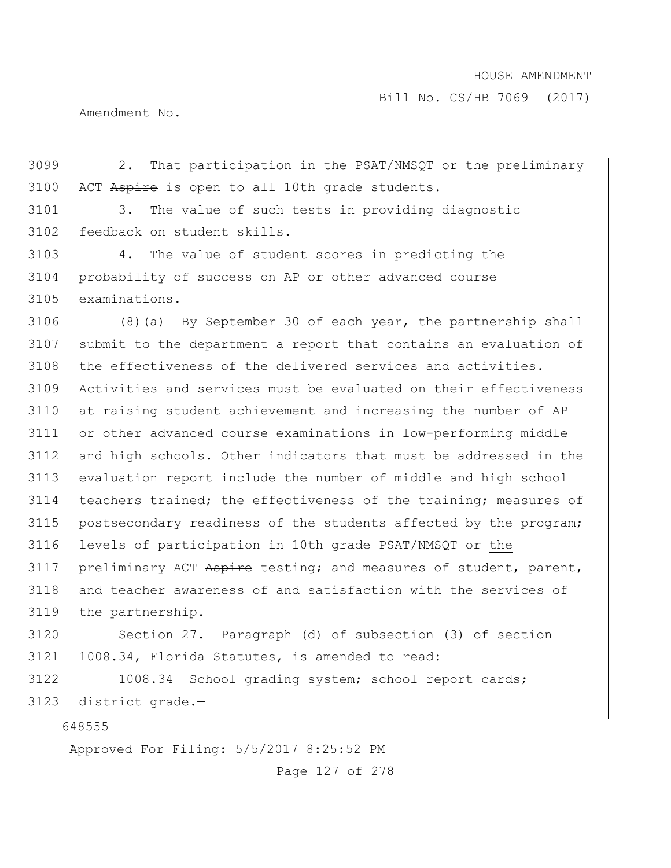Amendment No.

3099 2. That participation in the PSAT/NMSQT or the preliminary 3100 ACT Aspire is open to all 10th grade students.

3101 3. The value of such tests in providing diagnostic 3102 feedback on student skills.

3103 4. The value of student scores in predicting the 3104 probability of success on AP or other advanced course 3105 examinations.

3106 (8)(a) By September 30 of each year, the partnership shall 3107 submit to the department a report that contains an evaluation of 3108 the effectiveness of the delivered services and activities. 3109 Activities and services must be evaluated on their effectiveness 3110 at raising student achievement and increasing the number of AP 3111 or other advanced course examinations in low-performing middle 3112 and high schools. Other indicators that must be addressed in the 3113 evaluation report include the number of middle and high school 3114 teachers trained; the effectiveness of the training; measures of 3115 postsecondary readiness of the students affected by the program; 3116 levels of participation in 10th grade PSAT/NMSQT or the 3117 preliminary ACT Aspire testing; and measures of student, parent, 3118 and teacher awareness of and satisfaction with the services of 3119 the partnership.

3120 Section 27. Paragraph (d) of subsection (3) of section 3121 1008.34, Florida Statutes, is amended to read:

3122 1008.34 School grading system; school report cards; 3123 district grade.—

648555

Approved For Filing: 5/5/2017 8:25:52 PM

Page 127 of 278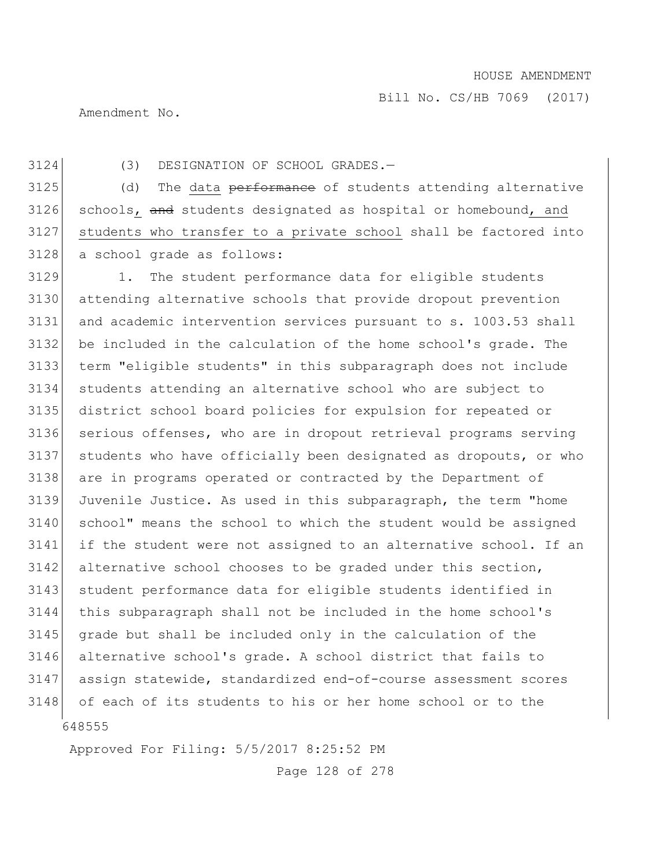Amendment No.

(3) DESIGNATION OF SCHOOL GRADES.—

3125 (d) The data performance of students attending alternative 3126 schools, and students designated as hospital or homebound, and students who transfer to a private school shall be factored into a school grade as follows:

 1. The student performance data for eligible students attending alternative schools that provide dropout prevention and academic intervention services pursuant to s. 1003.53 shall be included in the calculation of the home school's grade. The term "eligible students" in this subparagraph does not include students attending an alternative school who are subject to district school board policies for expulsion for repeated or serious offenses, who are in dropout retrieval programs serving students who have officially been designated as dropouts, or who are in programs operated or contracted by the Department of Juvenile Justice. As used in this subparagraph, the term "home 3140 school" means the school to which the student would be assigned if the student were not assigned to an alternative school. If an 3142 alternative school chooses to be graded under this section, student performance data for eligible students identified in this subparagraph shall not be included in the home school's grade but shall be included only in the calculation of the alternative school's grade. A school district that fails to assign statewide, standardized end-of-course assessment scores 3148 of each of its students to his or her home school or to the

Approved For Filing: 5/5/2017 8:25:52 PM

Page 128 of 278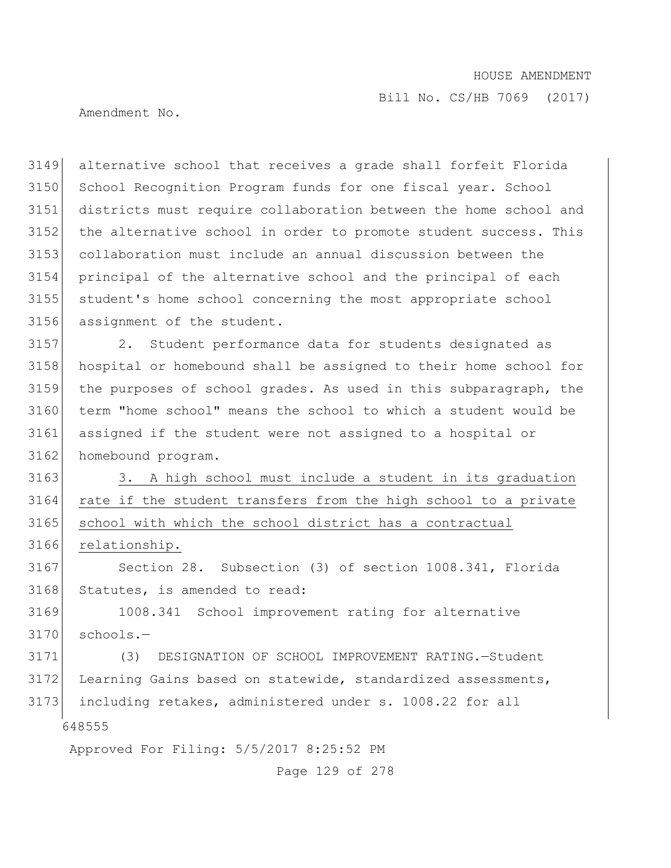Bill No. CS/HB 7069 (2017)

Amendment No.

 alternative school that receives a grade shall forfeit Florida 3150 School Recognition Program funds for one fiscal year. School districts must require collaboration between the home school and 3152 the alternative school in order to promote student success. This collaboration must include an annual discussion between the principal of the alternative school and the principal of each student's home school concerning the most appropriate school assignment of the student.

 2. Student performance data for students designated as hospital or homebound shall be assigned to their home school for the purposes of school grades. As used in this subparagraph, the term "home school" means the school to which a student would be assigned if the student were not assigned to a hospital or 3162 homebound program.

3163 3. A high school must include a student in its graduation 3164 rate if the student transfers from the high school to a private 3165 school with which the school district has a contractual 3166 relationship.

3167 Section 28. Subsection (3) of section 1008.341, Florida 3168 Statutes, is amended to read:

3169 1008.341 School improvement rating for alternative  $3170$  schools.-

648555 3171 (3) DESIGNATION OF SCHOOL IMPROVEMENT RATING.—Student 3172 Learning Gains based on statewide, standardized assessments, 3173 including retakes, administered under s. 1008.22 for all

Approved For Filing: 5/5/2017 8:25:52 PM

Page 129 of 278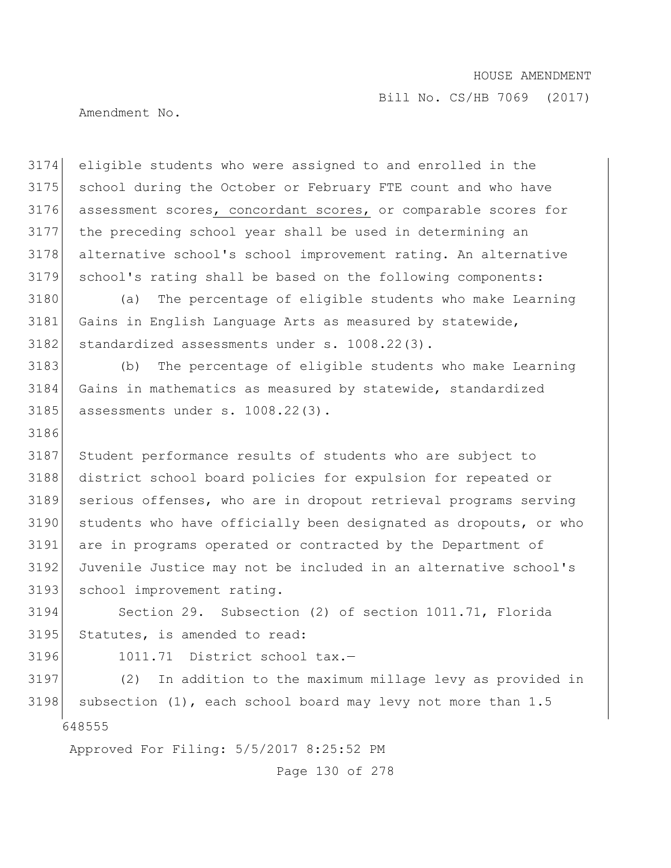Bill No. CS/HB 7069 (2017)

Amendment No.

 eligible students who were assigned to and enrolled in the school during the October or February FTE count and who have assessment scores, concordant scores, or comparable scores for the preceding school year shall be used in determining an alternative school's school improvement rating. An alternative school's rating shall be based on the following components:

 (a) The percentage of eligible students who make Learning 3181 Gains in English Language Arts as measured by statewide, 3182 standardized assessments under s. 1008.22(3).

 (b) The percentage of eligible students who make Learning Gains in mathematics as measured by statewide, standardized 3185 assessments under s. 1008.22(3).

 Student performance results of students who are subject to 3188 district school board policies for expulsion for repeated or serious offenses, who are in dropout retrieval programs serving students who have officially been designated as dropouts, or who are in programs operated or contracted by the Department of Juvenile Justice may not be included in an alternative school's 3193 school improvement rating.

 Section 29. Subsection (2) of section 1011.71, Florida Statutes, is amended to read:

3196 1011.71 District school tax.-

 (2) In addition to the maximum millage levy as provided in 3198 subsection  $(1)$ , each school board may levy not more than 1.5

Approved For Filing: 5/5/2017 8:25:52 PM

Page 130 of 278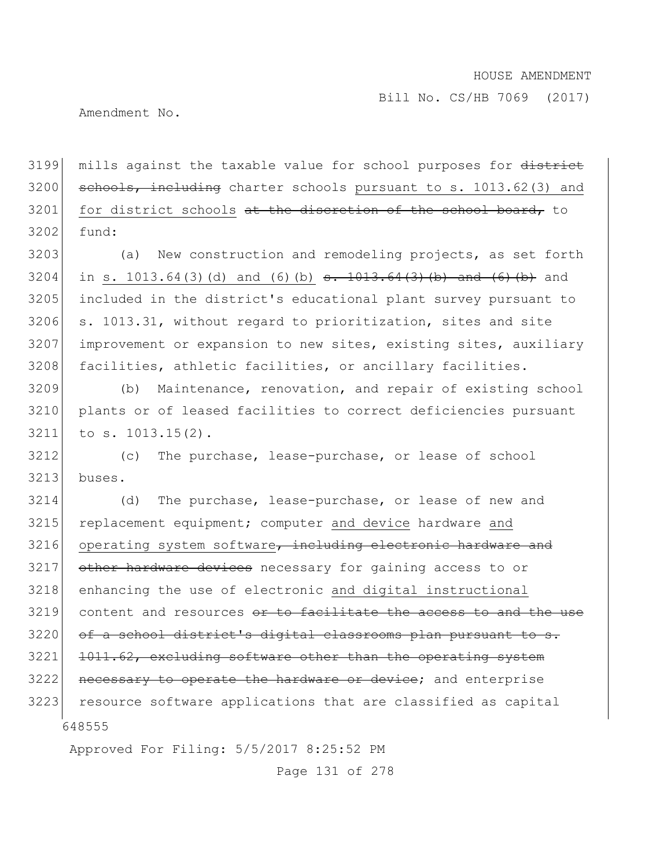Bill No. CS/HB 7069 (2017)

Amendment No.

3199 mills against the taxable value for school purposes for district  $3200$  schools, including charter schools pursuant to s. 1013.62(3) and 3201 for district schools at the discretion of the school board, to  $3202$  fund:

 (a) New construction and remodeling projects, as set forth 3204 in s. 1013.64(3)(d) and (6)(b)  $s. 1013.64(3)(b)$  and (6)(b) and included in the district's educational plant survey pursuant to s. 1013.31, without regard to prioritization, sites and site improvement or expansion to new sites, existing sites, auxiliary 3208 facilities, athletic facilities, or ancillary facilities.

3209 (b) Maintenance, renovation, and repair of existing school 3210 plants or of leased facilities to correct deficiencies pursuant 3211 to s. 1013.15(2).

3212 (c) The purchase, lease-purchase, or lease of school  $3213$  buses.

648555 3214 (d) The purchase, lease-purchase, or lease of new and 3215 replacement equipment; computer and device hardware and  $3216$  operating system software, including electronic hardware and 3217 other hardware devices necessary for gaining access to or 3218 enhancing the use of electronic and digital instructional  $3219$  content and resources  $\sigma$  to facilitate the access to and the use 3220 of a school district's digital classrooms plan pursuant to s. 3221 1011.62, excluding software other than the operating system 3222 necessary to operate the hardware or device; and enterprise 3223 resource software applications that are classified as capital

Approved For Filing: 5/5/2017 8:25:52 PM

Page 131 of 278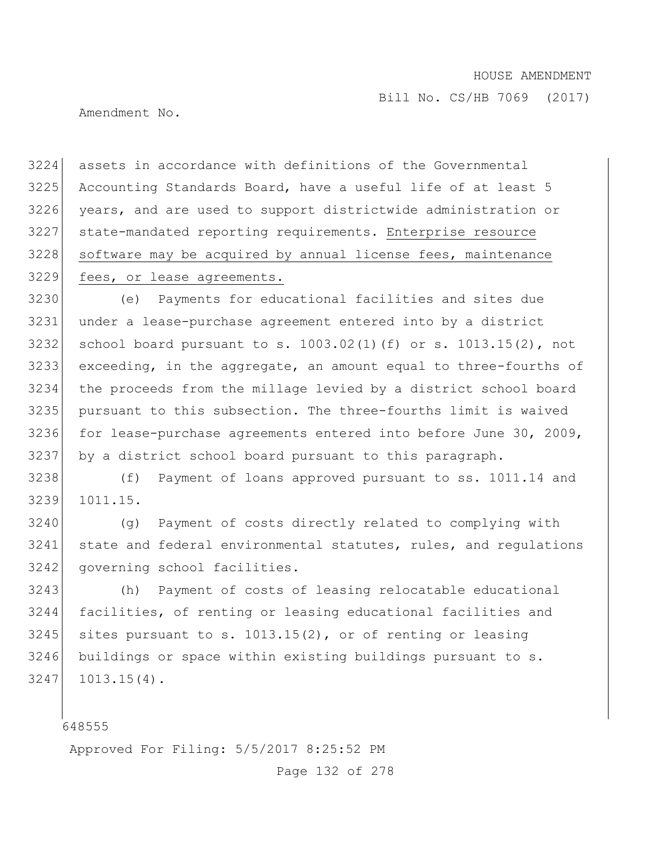Amendment No.

 assets in accordance with definitions of the Governmental Accounting Standards Board, have a useful life of at least 5 years, and are used to support districtwide administration or state-mandated reporting requirements. Enterprise resource 3228 software may be acquired by annual license fees, maintenance fees, or lease agreements.

 (e) Payments for educational facilities and sites due under a lease-purchase agreement entered into by a district school board pursuant to s. 1003.02(1)(f) or s. 1013.15(2), not exceeding, in the aggregate, an amount equal to three-fourths of the proceeds from the millage levied by a district school board pursuant to this subsection. The three-fourths limit is waived 3236 for lease-purchase agreements entered into before June 30, 2009, by a district school board pursuant to this paragraph.

 (f) Payment of loans approved pursuant to ss. 1011.14 and 1011.15.

3240 (g) Payment of costs directly related to complying with state and federal environmental statutes, rules, and regulations 3242 governing school facilities.

 (h) Payment of costs of leasing relocatable educational facilities, of renting or leasing educational facilities and sites pursuant to s. 1013.15(2), or of renting or leasing 3246 buildings or space within existing buildings pursuant to s. 1013.15(4).

Approved For Filing: 5/5/2017 8:25:52 PM

Page 132 of 278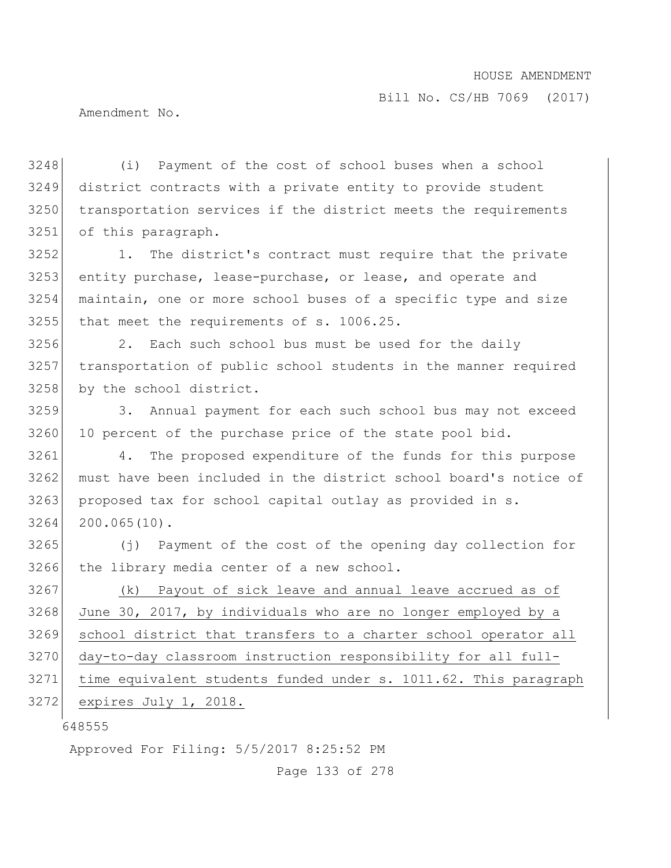Amendment No.

 (i) Payment of the cost of school buses when a school district contracts with a private entity to provide student transportation services if the district meets the requirements of this paragraph.

3252 1. The district's contract must require that the private 3253 entity purchase, lease-purchase, or lease, and operate and 3254 maintain, one or more school buses of a specific type and size 3255 that meet the requirements of s. 1006.25.

3256 2. Each such school bus must be used for the daily 3257 transportation of public school students in the manner required 3258 by the school district.

3259 3. Annual payment for each such school bus may not exceed 3260 10 percent of the purchase price of the state pool bid.

3261 4. The proposed expenditure of the funds for this purpose 3262 must have been included in the district school board's notice of 3263 proposed tax for school capital outlay as provided in s. 3264 200.065(10).

3265 (j) Payment of the cost of the opening day collection for 3266 the library media center of a new school.

 (k) Payout of sick leave and annual leave accrued as of June 30, 2017, by individuals who are no longer employed by a school district that transfers to a charter school operator all 3270 day-to-day classroom instruction responsibility for all full- time equivalent students funded under s. 1011.62. This paragraph expires July 1, 2018.

648555

Approved For Filing: 5/5/2017 8:25:52 PM

Page 133 of 278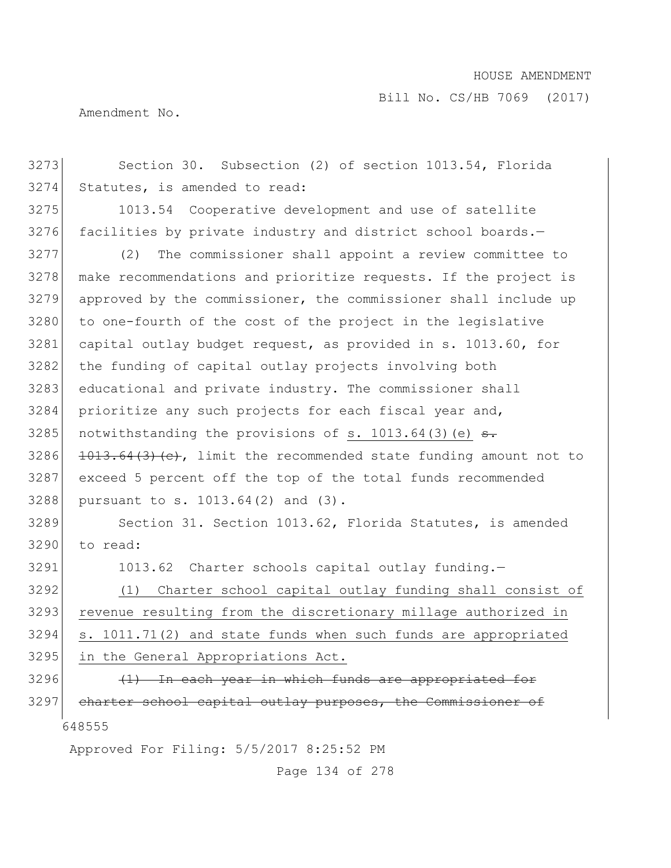Bill No. CS/HB 7069 (2017)

Amendment No.

648555 Approved For Filing: 5/5/2017 8:25:52 PM 3273 Section 30. Subsection (2) of section 1013.54, Florida 3274 Statutes, is amended to read: 3275 1013.54 Cooperative development and use of satellite  $3276$  facilities by private industry and district school boards.-3277 (2) The commissioner shall appoint a review committee to 3278 make recommendations and prioritize requests. If the project is 3279 approved by the commissioner, the commissioner shall include up 3280 to one-fourth of the cost of the project in the legislative 3281 capital outlay budget request, as provided in s. 1013.60, for 3282 the funding of capital outlay projects involving both 3283 educational and private industry. The commissioner shall 3284 prioritize any such projects for each fiscal year and, 3285 notwithstanding the provisions of s. 1013.64(3)(e)  $\frac{1}{3}$ . 3286  $1013.64(3)(e)$ , limit the recommended state funding amount not to 3287 exceed 5 percent off the top of the total funds recommended 3288 pursuant to s. 1013.64(2) and (3). 3289 Section 31. Section 1013.62, Florida Statutes, is amended 3290 to read: 3291 1013.62 Charter schools capital outlay funding. 3292 (1) Charter school capital outlay funding shall consist of 3293 revenue resulting from the discretionary millage authorized in 3294 s. 1011.71(2) and state funds when such funds are appropriated 3295 in the General Appropriations Act.  $3296$  (1) In each year in which funds are appropriated for 3297 charter school capital outlay purposes, the Commissioner of

Page 134 of 278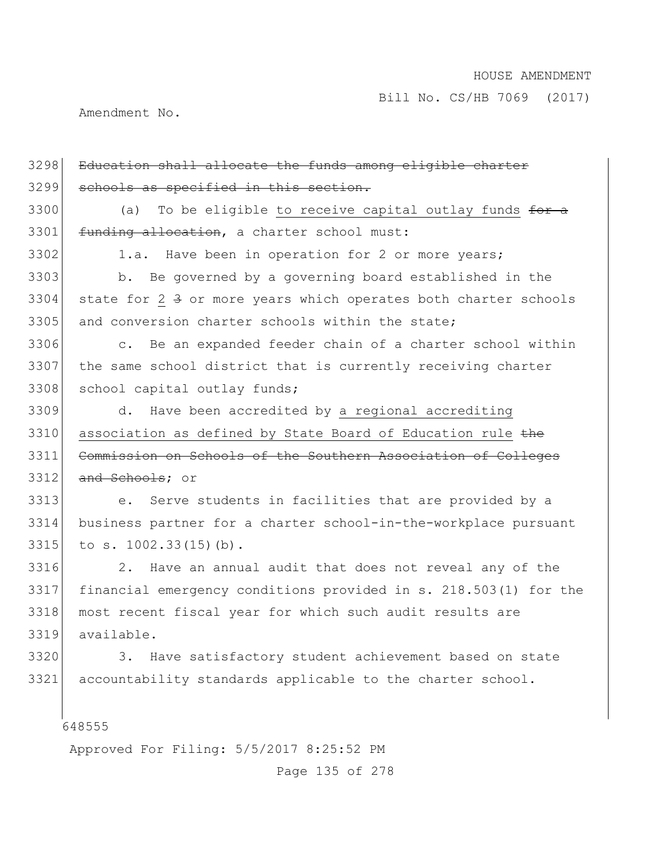Amendment No.

| 3298 | Education shall allocate the funds among eligible charter            |
|------|----------------------------------------------------------------------|
| 3299 | schools as specified in this section.                                |
| 3300 | To be eligible to receive capital outlay funds for a<br>(a)          |
| 3301 | funding allocation, a charter school must:                           |
| 3302 | 1.a. Have been in operation for 2 or more years;                     |
| 3303 | b. Be governed by a governing board established in the               |
| 3304 | state for 2 3 or more years which operates both charter schools      |
| 3305 | and conversion charter schools within the state;                     |
| 3306 | c. Be an expanded feeder chain of a charter school within            |
| 3307 | the same school district that is currently receiving charter         |
| 3308 | school capital outlay funds;                                         |
| 3309 | d. Have been accredited by a regional accrediting                    |
| 3310 | association as defined by State Board of Education rule the          |
|      |                                                                      |
| 3311 | Commission on Schools of the Southern Association of Colleges        |
| 3312 | and Schools; or                                                      |
| 3313 | Serve students in facilities that are provided by a<br>$e_{\bullet}$ |
| 3314 | business partner for a charter school-in-the-workplace pursuant      |
| 3315 | to s. 1002.33(15)(b).                                                |
| 3316 | 2. Have an annual audit that does not reveal any of the              |
| 3317 | financial emergency conditions provided in s. 218.503(1) for the     |
| 3318 | most recent fiscal year for which such audit results are             |
| 3319 | available.                                                           |
| 3320 | Have satisfactory student achievement based on state<br>3.           |
| 3321 | accountability standards applicable to the charter school.           |
|      |                                                                      |

Approved For Filing: 5/5/2017 8:25:52 PM

Page 135 of 278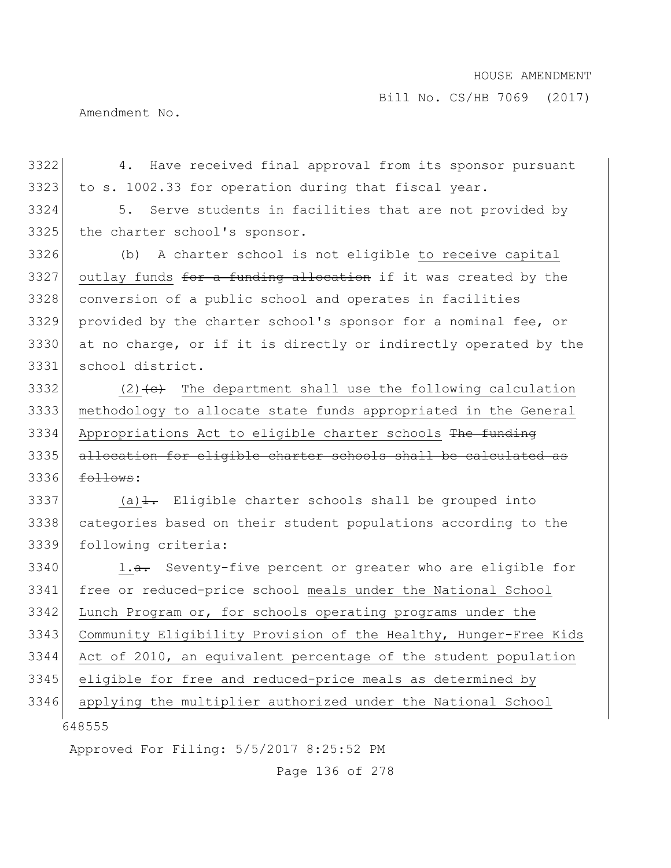Bill No. CS/HB 7069 (2017)

Amendment No.

 4. Have received final approval from its sponsor pursuant to s. 1002.33 for operation during that fiscal year.

 5. Serve students in facilities that are not provided by 3325 the charter school's sponsor.

 (b) A charter school is not eligible to receive capital outlay funds for a funding allocation if it was created by the conversion of a public school and operates in facilities provided by the charter school's sponsor for a nominal fee, or at no charge, or if it is directly or indirectly operated by the school district.

3332 (2) $\left(\text{e}\right)$  The department shall use the following calculation methodology to allocate state funds appropriated in the General 3334 Appropriations Act to eligible charter schools The funding allocation for eligible charter schools shall be calculated as  $f_{\odot}$   $f_{\odot}$ :

3337 (a) $\pm$ . Eligible charter schools shall be grouped into categories based on their student populations according to the following criteria:

 3340 1.a. Seventy-five percent or greater who are eligible for free or reduced-price school meals under the National School Lunch Program or, for schools operating programs under the Community Eligibility Provision of the Healthy, Hunger-Free Kids Act of 2010, an equivalent percentage of the student population eligible for free and reduced-price meals as determined by applying the multiplier authorized under the National School

Approved For Filing: 5/5/2017 8:25:52 PM

Page 136 of 278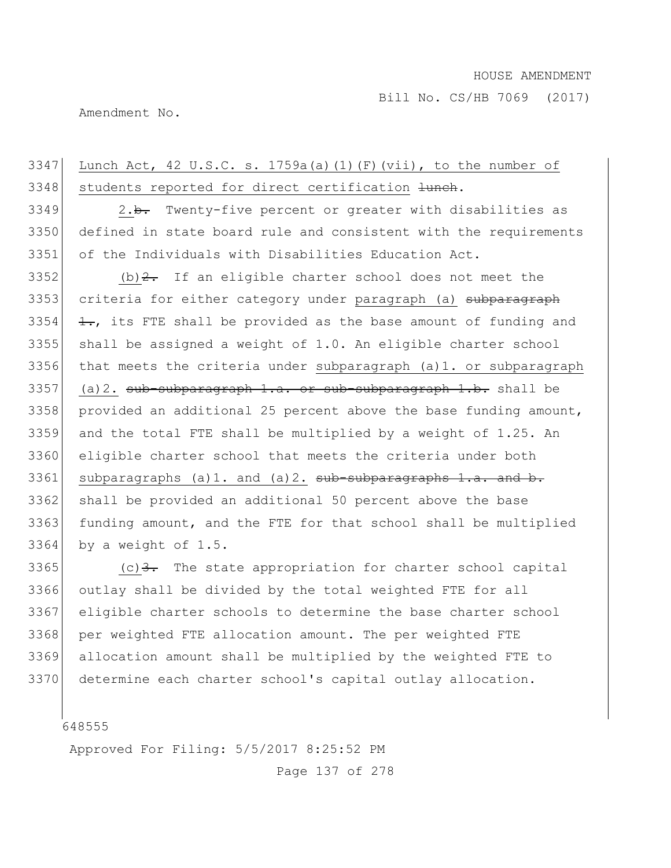Amendment No.

# 3347 Lunch Act, 42 U.S.C. s. 1759a(a)(1)(F)(vii), to the number of 3348 students reported for direct certification  $\frac{1}{2}$ .

3349 2.b. Twenty-five percent or greater with disabilities as 3350 defined in state board rule and consistent with the requirements 3351 of the Individuals with Disabilities Education Act.

3352 (b)  $2$ . If an eligible charter school does not meet the 3353 criteria for either category under paragraph (a) subparagraph  $\leftarrow$ , its FTE shall be provided as the base amount of funding and shall be assigned a weight of 1.0. An eligible charter school that meets the criteria under subparagraph (a)1. or subparagraph (a)2. sub-subparagraph 1.a. or sub-subparagraph 1.b. shall be provided an additional 25 percent above the base funding amount, and the total FTE shall be multiplied by a weight of 1.25. An eligible charter school that meets the criteria under both subparagraphs (a)1. and (a)2. sub-subparagraphs 1.a. and b. 3362 shall be provided an additional 50 percent above the base 3363 funding amount, and the FTE for that school shall be multiplied by a weight of 1.5.

3365 (c)  $\frac{3}{2}$ . The state appropriation for charter school capital outlay shall be divided by the total weighted FTE for all eligible charter schools to determine the base charter school 3368 per weighted FTE allocation amount. The per weighted FTE allocation amount shall be multiplied by the weighted FTE to determine each charter school's capital outlay allocation.

648555

Approved For Filing: 5/5/2017 8:25:52 PM

Page 137 of 278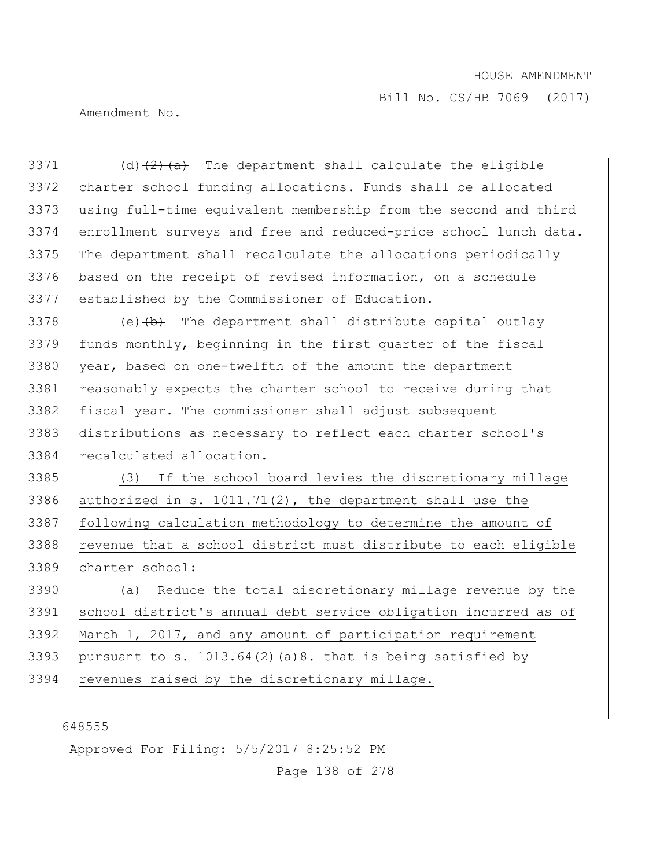Bill No. CS/HB 7069 (2017)

Amendment No.

 (d) $\left(2\right)\left(4\right)$  The department shall calculate the eligible charter school funding allocations. Funds shall be allocated using full-time equivalent membership from the second and third enrollment surveys and free and reduced-price school lunch data. 3375 The department shall recalculate the allocations periodically based on the receipt of revised information, on a schedule established by the Commissioner of Education. (e) $\leftrightarrow$  The department shall distribute capital outlay funds monthly, beginning in the first quarter of the fiscal 3380 year, based on one-twelfth of the amount the department 3381 reasonably expects the charter school to receive during that fiscal year. The commissioner shall adjust subsequent distributions as necessary to reflect each charter school's recalculated allocation. (3) If the school board levies the discretionary millage 3386 authorized in s.  $1011.71(2)$ , the department shall use the following calculation methodology to determine the amount of 3388 revenue that a school district must distribute to each eligible charter school: (a) Reduce the total discretionary millage revenue by the school district's annual debt service obligation incurred as of March 1, 2017, and any amount of participation requirement 3393 pursuant to s. 1013.64(2)(a)8. that is being satisfied by revenues raised by the discretionary millage.

Approved For Filing: 5/5/2017 8:25:52 PM

Page 138 of 278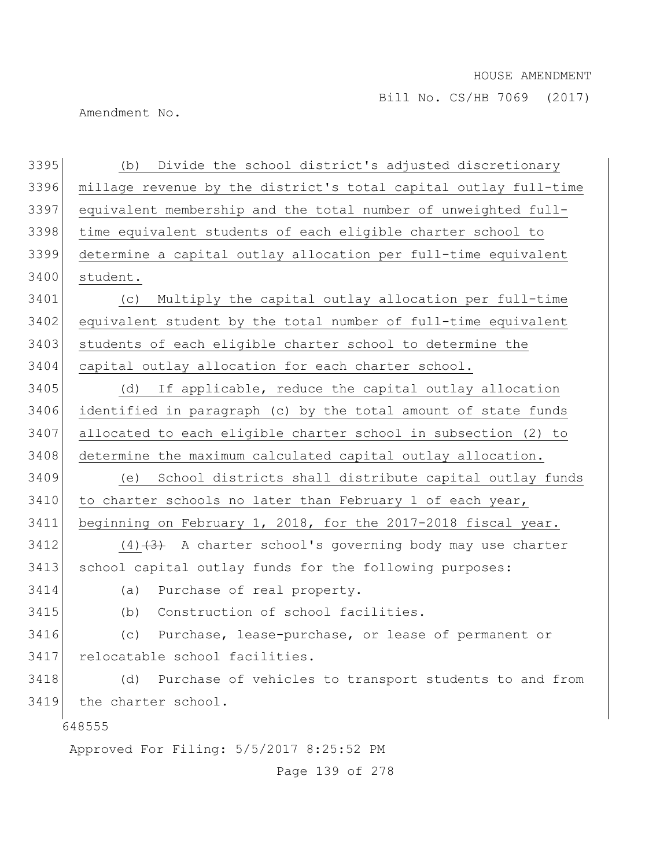Amendment No.

| 3395 | Divide the school district's adjusted discretionary<br>(b)       |
|------|------------------------------------------------------------------|
| 3396 | millage revenue by the district's total capital outlay full-time |
| 3397 | equivalent membership and the total number of unweighted full-   |
| 3398 | time equivalent students of each eligible charter school to      |
| 3399 | determine a capital outlay allocation per full-time equivalent   |
| 3400 | student.                                                         |
| 3401 | Multiply the capital outlay allocation per full-time<br>(C)      |
| 3402 | equivalent student by the total number of full-time equivalent   |
| 3403 | students of each eligible charter school to determine the        |
| 3404 | capital outlay allocation for each charter school.               |
| 3405 | If applicable, reduce the capital outlay allocation<br>(d)       |
| 3406 | identified in paragraph (c) by the total amount of state funds   |
| 3407 | allocated to each eligible charter school in subsection (2) to   |
| 3408 | determine the maximum calculated capital outlay allocation.      |
| 3409 | School districts shall distribute capital outlay funds<br>(e)    |
| 3410 | to charter schools no later than February 1 of each year,        |
| 3411 | beginning on February 1, 2018, for the 2017-2018 fiscal year.    |
| 3412 | $(4)$ +3+ A charter school's governing body may use charter      |
| 3413 | school capital outlay funds for the following purposes:          |
| 3414 | Purchase of real property.<br>(a)                                |
| 3415 | Construction of school facilities.<br>(b)                        |
| 3416 | (c)<br>Purchase, lease-purchase, or lease of permanent or        |
| 3417 | relocatable school facilities.                                   |
| 3418 | Purchase of vehicles to transport students to and from<br>(d)    |
| 3419 | the charter school.                                              |
|      | 648555                                                           |
|      | Approved For Filing: 5/5/2017 8:25:52 PM                         |

Page 139 of 278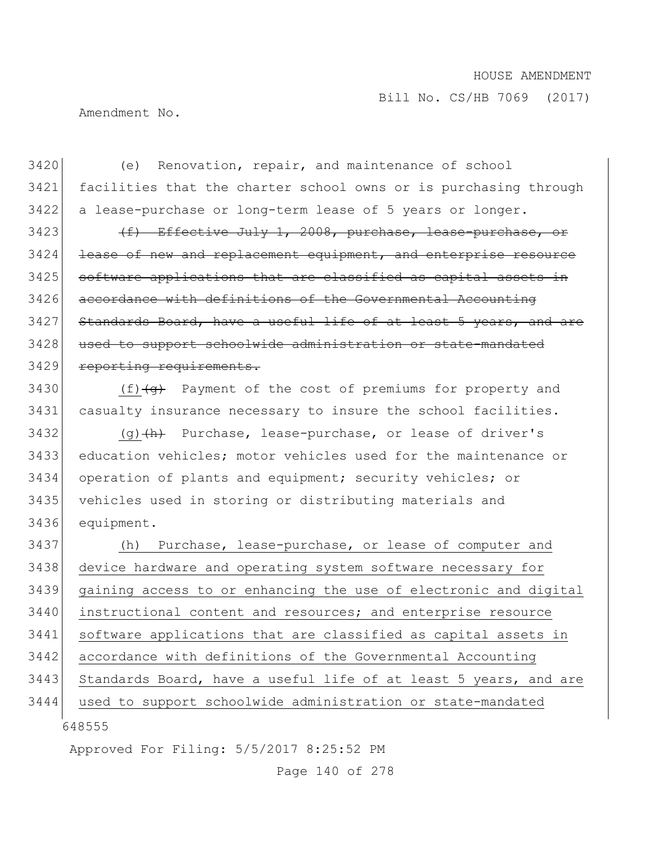Bill No. CS/HB 7069 (2017)

Amendment No.

3420 (e) Renovation, repair, and maintenance of school 3421 facilities that the charter school owns or is purchasing through 3422 a lease-purchase or long-term lease of 5 years or longer. 3423  $(f)$  Effective July 1, 2008, purchase, lease-purchase, or 3424 lease of new and replacement equipment, and enterprise resource 3425 | software applications that are classified as capital assets in 3426 accordance with definitions of the Governmental Accounting 3427 Standards Board, have a useful life of at least 5 years, and are 3428 used to support schoolwide administration or state-mandated 3429 reporting requirements.

3430  $(f)$   $\left(\frac{f}{g}\right)$  Payment of the cost of premiums for property and 3431 casualty insurance necessary to insure the school facilities.

3432 (g) $\left\{\text{h}\right\}$  Purchase, lease-purchase, or lease of driver's 3433 education vehicles; motor vehicles used for the maintenance or 3434 operation of plants and equipment; security vehicles; or 3435 vehicles used in storing or distributing materials and 3436 equipment.

648555 (h) Purchase, lease-purchase, or lease of computer and device hardware and operating system software necessary for gaining access to or enhancing the use of electronic and digital instructional content and resources; and enterprise resource software applications that are classified as capital assets in accordance with definitions of the Governmental Accounting 3443 Standards Board, have a useful life of at least 5 years, and are used to support schoolwide administration or state-mandated

Approved For Filing: 5/5/2017 8:25:52 PM

Page 140 of 278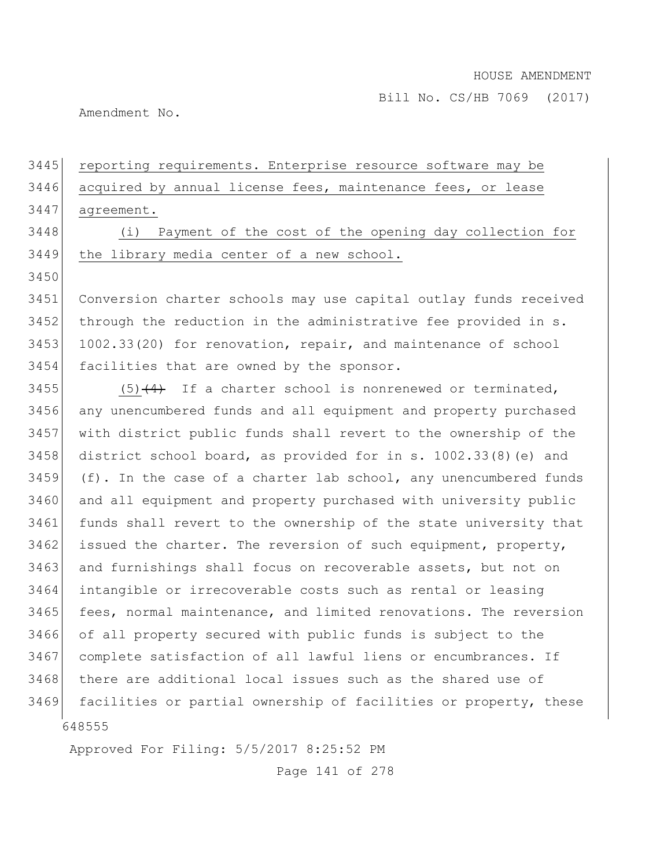Amendment No.

# 3445 reporting requirements. Enterprise resource software may be 3446 acquired by annual license fees, maintenance fees, or lease 3447 agreement. 3448 (i) Payment of the cost of the opening day collection for 3449 the library media center of a new school. 3450 3451 Conversion charter schools may use capital outlay funds received 3452 through the reduction in the administrative fee provided in s. 3453 1002.33(20) for renovation, repair, and maintenance of school 3454 facilities that are owned by the sponsor. 3455  $(5)$   $(4)$  If a charter school is nonrenewed or terminated, 3456 any unencumbered funds and all equipment and property purchased 3457 with district public funds shall revert to the ownership of the 3458 district school board, as provided for in s. 1002.33(8)(e) and  $3459$  (f). In the case of a charter lab school, any unencumbered funds 3460 and all equipment and property purchased with university public 3461 funds shall revert to the ownership of the state university that  $3462$  issued the charter. The reversion of such equipment, property, 3463 and furnishings shall focus on recoverable assets, but not on 3464 intangible or irrecoverable costs such as rental or leasing 3465 fees, normal maintenance, and limited renovations. The reversion 3466 of all property secured with public funds is subject to the 3467 complete satisfaction of all lawful liens or encumbrances. If 3468 there are additional local issues such as the shared use of 3469 facilities or partial ownership of facilities or property, these

648555

Approved For Filing: 5/5/2017 8:25:52 PM

Page 141 of 278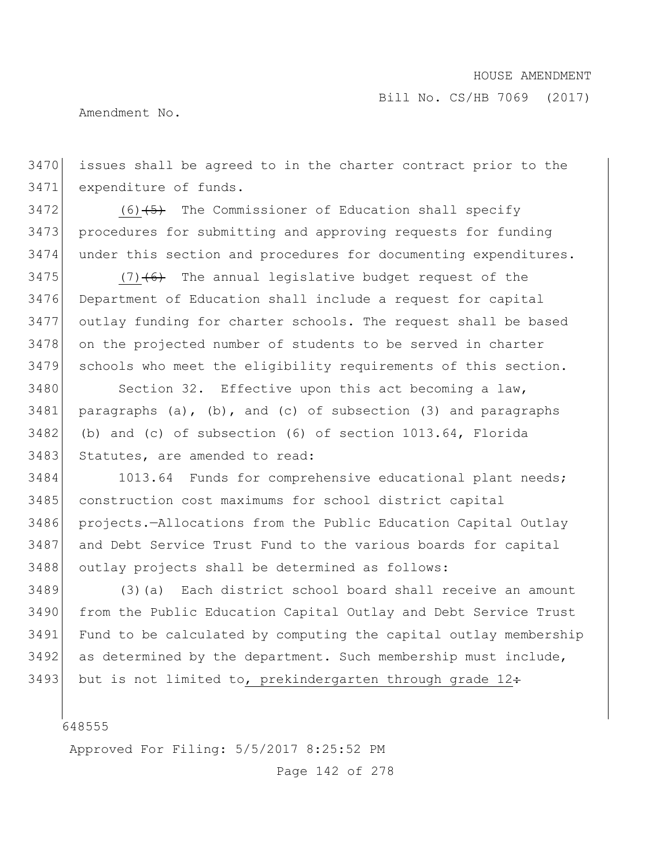Bill No. CS/HB 7069 (2017)

Amendment No.

 issues shall be agreed to in the charter contract prior to the expenditure of funds.

 (6)<del>(5)</del> The Commissioner of Education shall specify procedures for submitting and approving requests for funding under this section and procedures for documenting expenditures.

 $(7)$   $(6)$  The annual legislative budget request of the Department of Education shall include a request for capital outlay funding for charter schools. The request shall be based on the projected number of students to be served in charter schools who meet the eligibility requirements of this section.

3480 Section 32. Effective upon this act becoming a law, paragraphs (a), (b), and (c) of subsection (3) and paragraphs (b) and (c) of subsection (6) of section 1013.64, Florida 3483 Statutes, are amended to read:

 1013.64 Funds for comprehensive educational plant needs; 3485 construction cost maximums for school district capital projects.—Allocations from the Public Education Capital Outlay and Debt Service Trust Fund to the various boards for capital outlay projects shall be determined as follows:

3489 (3)(a) Each district school board shall receive an amount from the Public Education Capital Outlay and Debt Service Trust Fund to be calculated by computing the capital outlay membership as determined by the department. Such membership must include, 3493 but is not limited to, prekindergarten through grade  $12 \div$ 

Approved For Filing: 5/5/2017 8:25:52 PM

Page 142 of 278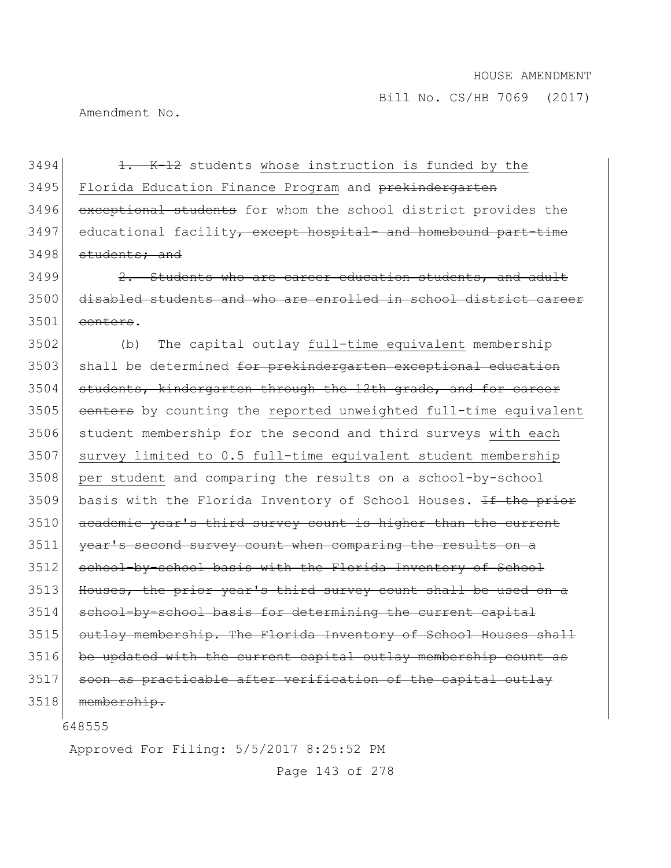Amendment No.

 $3494$  1. K-12 students whose instruction is funded by the 3495 Florida Education Finance Program and prekindergarten 3496 exceptional students for whom the school district provides the 3497 educational facility<del>, except hospital- and homebound part-time</del> 3498 students; and

 $3499$   $\left| \right|$   $2.$  Students who are career education students, and adult 3500 disabled students and who are enrolled in school district career  $3501$  centers.

3502 (b) The capital outlay full-time equivalent membership 3503 shall be determined for prekindergarten exceptional education 3504 students, kindergarten through the 12th grade, and for career 3505 centers by counting the reported unweighted full-time equivalent 3506 student membership for the second and third surveys with each 3507 survey limited to 0.5 full-time equivalent student membership 3508 per student and comparing the results on a school-by-school 3509 basis with the Florida Inventory of School Houses. If the prior 3510 academic year's third survey count is higher than the current 3511 year's second survey count when comparing the results on a 3512 school-by-school basis with the Florida Inventory of School 3513 Houses, the prior year's third survey count shall be used on a 3514 school-by-school basis for determining the current capital 3515 outlay membership. The Florida Inventory of School Houses shall 3516 be updated with the current capital outlay membership count as 3517 soon as practicable after verification of the capital outlay 3518 membership.

648555

Approved For Filing: 5/5/2017 8:25:52 PM

Page 143 of 278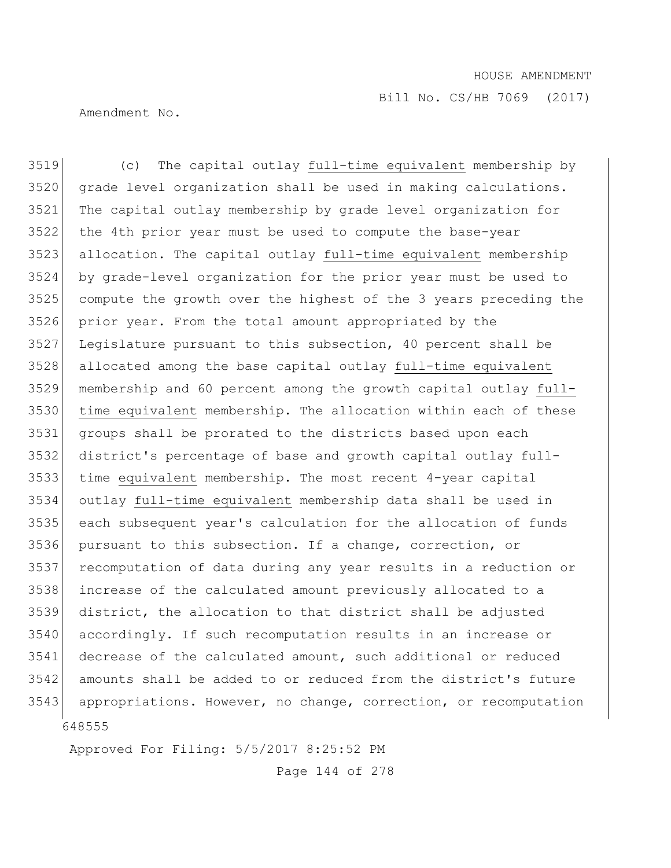Amendment No.

 (c) The capital outlay full-time equivalent membership by grade level organization shall be used in making calculations. The capital outlay membership by grade level organization for the 4th prior year must be used to compute the base-year allocation. The capital outlay full-time equivalent membership by grade-level organization for the prior year must be used to compute the growth over the highest of the 3 years preceding the prior year. From the total amount appropriated by the Legislature pursuant to this subsection, 40 percent shall be allocated among the base capital outlay full-time equivalent membership and 60 percent among the growth capital outlay full- time equivalent membership. The allocation within each of these groups shall be prorated to the districts based upon each district's percentage of base and growth capital outlay full- time equivalent membership. The most recent 4-year capital outlay full-time equivalent membership data shall be used in each subsequent year's calculation for the allocation of funds pursuant to this subsection. If a change, correction, or recomputation of data during any year results in a reduction or increase of the calculated amount previously allocated to a district, the allocation to that district shall be adjusted accordingly. If such recomputation results in an increase or decrease of the calculated amount, such additional or reduced amounts shall be added to or reduced from the district's future appropriations. However, no change, correction, or recomputation

Approved For Filing: 5/5/2017 8:25:52 PM

Page 144 of 278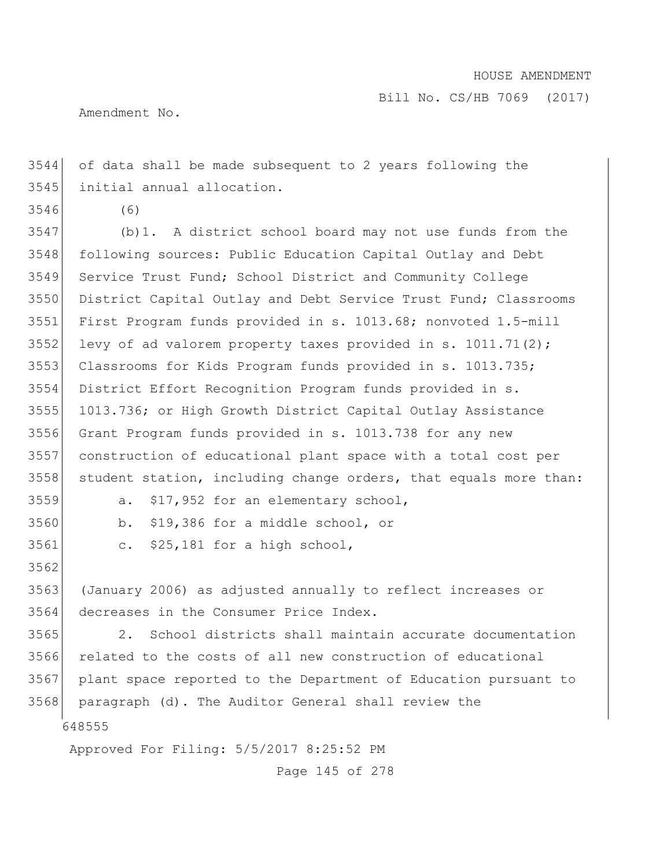Amendment No.

 of data shall be made subsequent to 2 years following the initial annual allocation.

(6)

 (b)1. A district school board may not use funds from the following sources: Public Education Capital Outlay and Debt Service Trust Fund; School District and Community College District Capital Outlay and Debt Service Trust Fund; Classrooms First Program funds provided in s. 1013.68; nonvoted 1.5-mill 3552 levy of ad valorem property taxes provided in s.  $1011.71(2)$ ; Classrooms for Kids Program funds provided in s. 1013.735; District Effort Recognition Program funds provided in s. 1013.736; or High Growth District Capital Outlay Assistance Grant Program funds provided in s. 1013.738 for any new construction of educational plant space with a total cost per 3558 student station, including change orders, that equals more than: a. \$17,952 for an elementary school, b. \$19,386 for a middle school, or

c. \$25,181 for a high school,

 (January 2006) as adjusted annually to reflect increases or decreases in the Consumer Price Index.

 2. School districts shall maintain accurate documentation related to the costs of all new construction of educational plant space reported to the Department of Education pursuant to paragraph (d). The Auditor General shall review the

Approved For Filing: 5/5/2017 8:25:52 PM

Page 145 of 278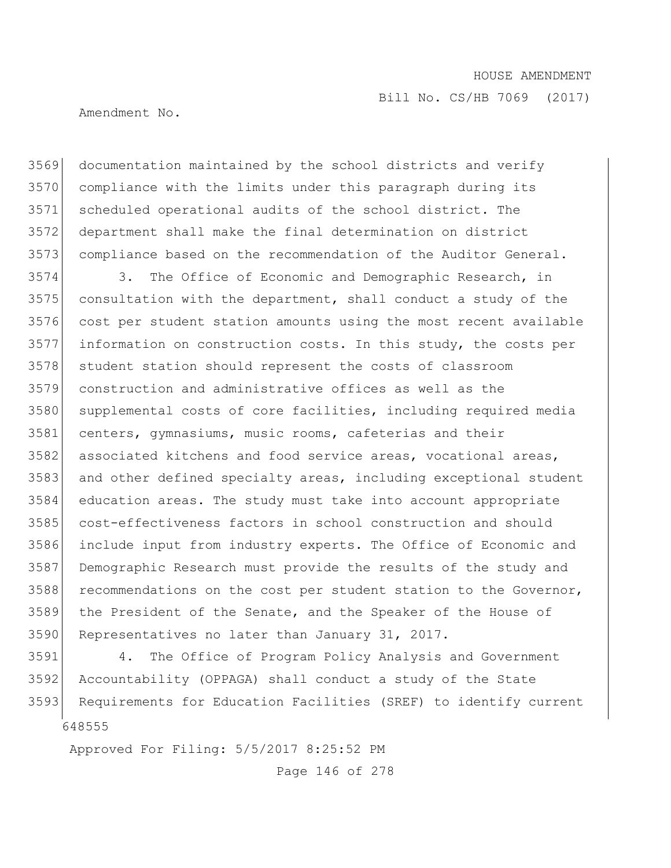Amendment No.

 documentation maintained by the school districts and verify compliance with the limits under this paragraph during its scheduled operational audits of the school district. The department shall make the final determination on district compliance based on the recommendation of the Auditor General.

3574 3. The Office of Economic and Demographic Research, in consultation with the department, shall conduct a study of the cost per student station amounts using the most recent available information on construction costs. In this study, the costs per 3578 student station should represent the costs of classroom construction and administrative offices as well as the supplemental costs of core facilities, including required media centers, gymnasiums, music rooms, cafeterias and their 3582 associated kitchens and food service areas, vocational areas, 3583 and other defined specialty areas, including exceptional student education areas. The study must take into account appropriate cost-effectiveness factors in school construction and should include input from industry experts. The Office of Economic and Demographic Research must provide the results of the study and recommendations on the cost per student station to the Governor, the President of the Senate, and the Speaker of the House of Representatives no later than January 31, 2017.

 4. The Office of Program Policy Analysis and Government Accountability (OPPAGA) shall conduct a study of the State Requirements for Education Facilities (SREF) to identify current

Approved For Filing: 5/5/2017 8:25:52 PM

Page 146 of 278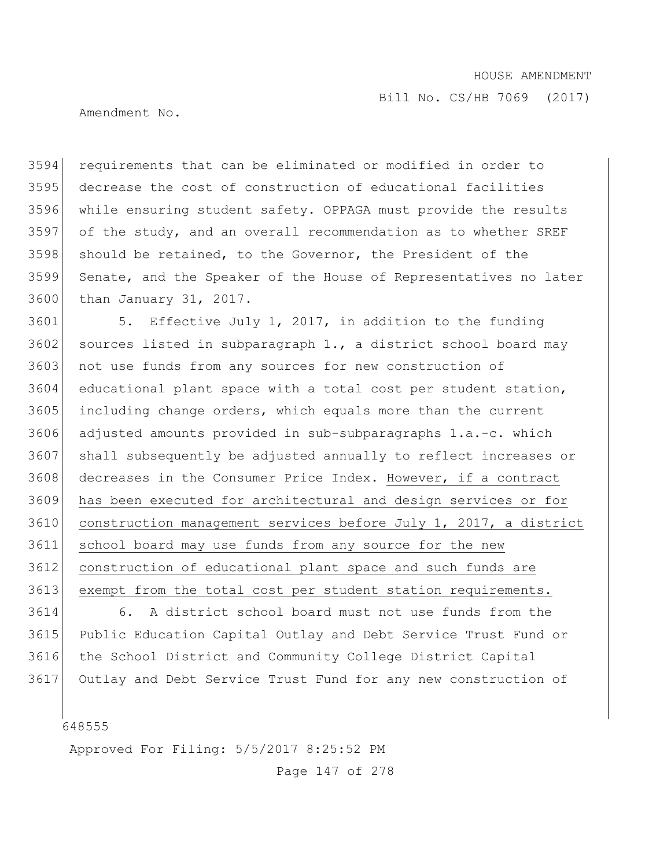Amendment No.

 requirements that can be eliminated or modified in order to decrease the cost of construction of educational facilities while ensuring student safety. OPPAGA must provide the results of the study, and an overall recommendation as to whether SREF should be retained, to the Governor, the President of the Senate, and the Speaker of the House of Representatives no later than January 31, 2017.

 5. Effective July 1, 2017, in addition to the funding 3602 sources listed in subparagraph  $1.,$  a district school board may 3603 not use funds from any sources for new construction of educational plant space with a total cost per student station, including change orders, which equals more than the current adjusted amounts provided in sub-subparagraphs 1.a.-c. which shall subsequently be adjusted annually to reflect increases or decreases in the Consumer Price Index. However, if a contract has been executed for architectural and design services or for construction management services before July 1, 2017, a district school board may use funds from any source for the new construction of educational plant space and such funds are 3613 exempt from the total cost per student station requirements.

 6. A district school board must not use funds from the Public Education Capital Outlay and Debt Service Trust Fund or the School District and Community College District Capital Outlay and Debt Service Trust Fund for any new construction of

Approved For Filing: 5/5/2017 8:25:52 PM

Page 147 of 278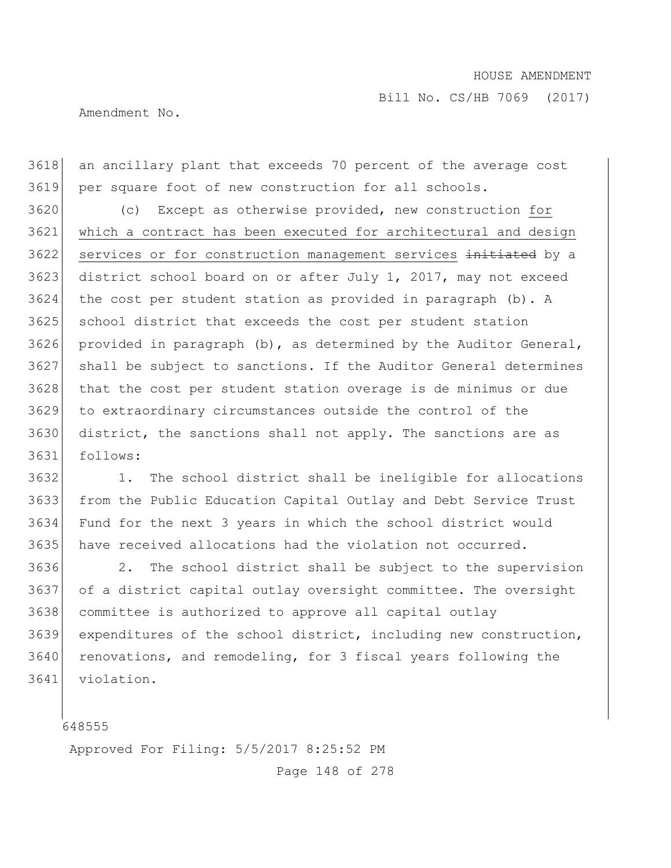Amendment No.

 an ancillary plant that exceeds 70 percent of the average cost per square foot of new construction for all schools.

 (c) Except as otherwise provided, new construction for which a contract has been executed for architectural and design 3622 services or for construction management services initiated by a district school board on or after July 1, 2017, may not exceed the cost per student station as provided in paragraph (b). A school district that exceeds the cost per student station 3626 provided in paragraph (b), as determined by the Auditor General, shall be subject to sanctions. If the Auditor General determines that the cost per student station overage is de minimus or due to extraordinary circumstances outside the control of the district, the sanctions shall not apply. The sanctions are as follows:

 1. The school district shall be ineligible for allocations from the Public Education Capital Outlay and Debt Service Trust Fund for the next 3 years in which the school district would have received allocations had the violation not occurred.

 2. The school district shall be subject to the supervision of a district capital outlay oversight committee. The oversight committee is authorized to approve all capital outlay expenditures of the school district, including new construction, 3640 renovations, and remodeling, for 3 fiscal years following the violation.

Approved For Filing: 5/5/2017 8:25:52 PM

Page 148 of 278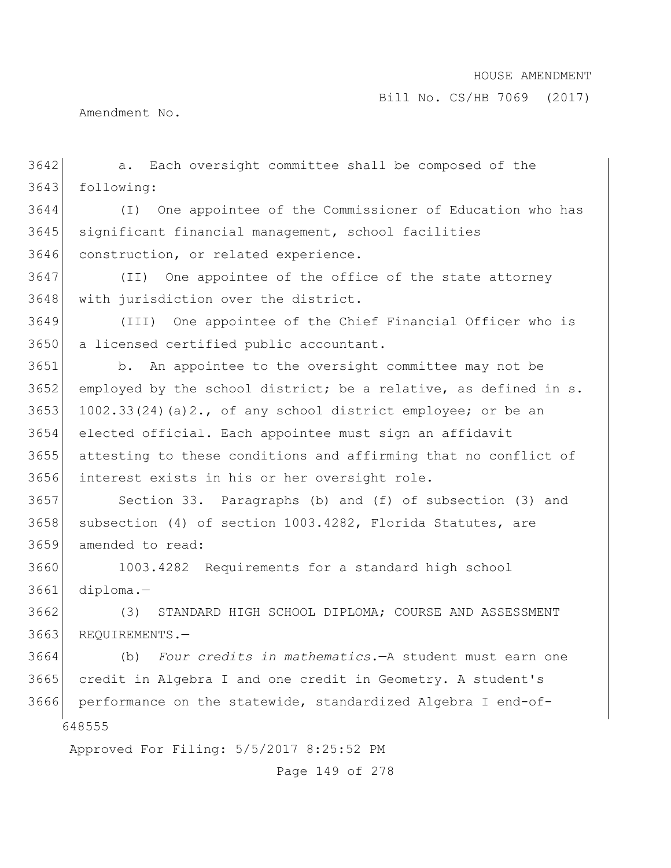Bill No. CS/HB 7069 (2017)

Amendment No.

 a. Each oversight committee shall be composed of the following:

 (I) One appointee of the Commissioner of Education who has significant financial management, school facilities 3646 construction, or related experience.

3647 (II) One appointee of the office of the state attorney 3648 with jurisdiction over the district.

 (III) One appointee of the Chief Financial Officer who is a licensed certified public accountant.

 b. An appointee to the oversight committee may not be 3652 employed by the school district; be a relative, as defined in s.  $|$  1002.33(24)(a)2., of any school district employee; or be an elected official. Each appointee must sign an affidavit attesting to these conditions and affirming that no conflict of interest exists in his or her oversight role.

 Section 33. Paragraphs (b) and (f) of subsection (3) and 3658 subsection (4) of section 1003.4282, Florida Statutes, are amended to read:

 1003.4282 Requirements for a standard high school diploma.—

 (3) STANDARD HIGH SCHOOL DIPLOMA; COURSE AND ASSESSMENT 3663 REQUIREMENTS.-

 (b) *Four credits in mathematics*.—A student must earn one credit in Algebra I and one credit in Geometry. A student's performance on the statewide, standardized Algebra I end-of-

Approved For Filing: 5/5/2017 8:25:52 PM

Page 149 of 278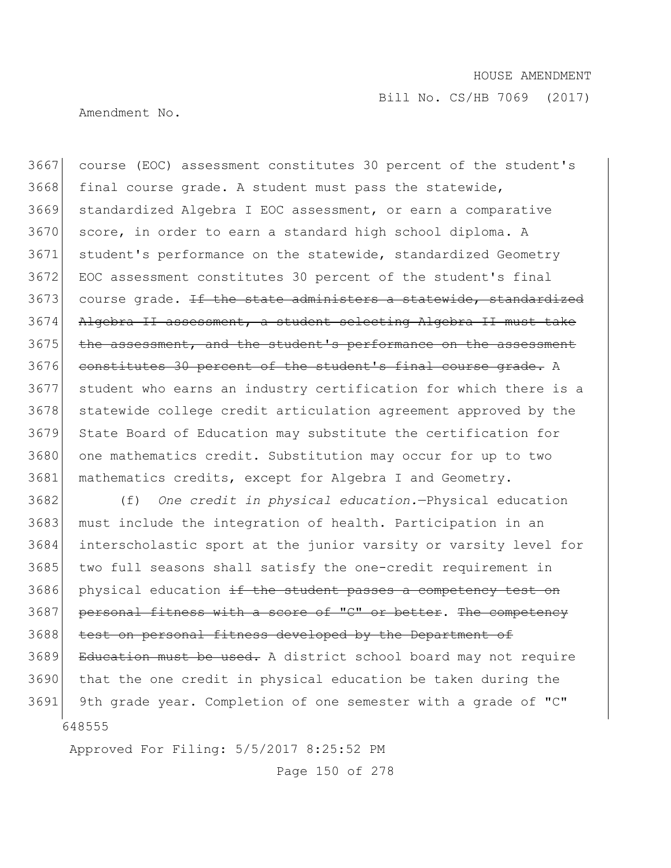Amendment No.

3667 course (EOC) assessment constitutes 30 percent of the student's 3668 final course grade. A student must pass the statewide, 3669 standardized Algebra I EOC assessment, or earn a comparative 3670 score, in order to earn a standard high school diploma. A 3671 student's performance on the statewide, standardized Geometry 3672 EOC assessment constitutes 30 percent of the student's final 3673 course grade. <del>If the state administers a statewide, standardized</del> 3674 Algebra II assessment, a student selecting Algebra II must take 3675 the assessment, and the student's performance on the assessment 3676 constitutes 30 percent of the student's final course grade. A 3677 student who earns an industry certification for which there is a 3678 statewide college credit articulation agreement approved by the 3679 State Board of Education may substitute the certification for 3680 one mathematics credit. Substitution may occur for up to two 3681 mathematics credits, except for Algebra I and Geometry.

648555 3682 (f) *One credit in physical education.*—Physical education 3683 must include the integration of health. Participation in an 3684 interscholastic sport at the junior varsity or varsity level for 3685 two full seasons shall satisfy the one-credit requirement in 3686 physical education if the student passes a competency test on 3687 personal fitness with a score of "C" or better. The competency 3688 test on personal fitness developed by the Department of 3689 Education must be used. A district school board may not require 3690 that the one credit in physical education be taken during the 3691 9th grade year. Completion of one semester with a grade of "C"

Approved For Filing: 5/5/2017 8:25:52 PM

Page 150 of 278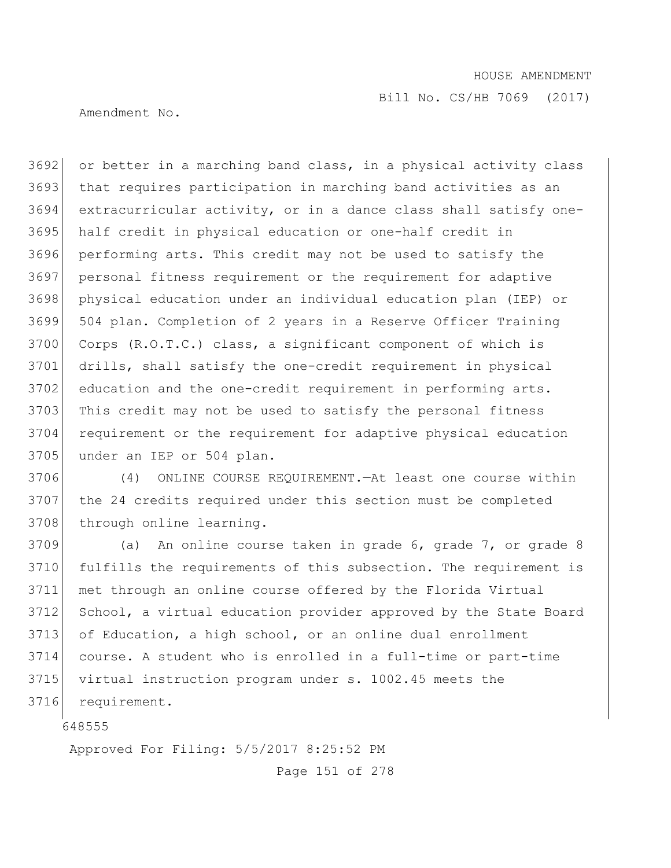Bill No. CS/HB 7069 (2017)

Amendment No.

 or better in a marching band class, in a physical activity class that requires participation in marching band activities as an extracurricular activity, or in a dance class shall satisfy one- half credit in physical education or one-half credit in performing arts. This credit may not be used to satisfy the personal fitness requirement or the requirement for adaptive physical education under an individual education plan (IEP) or 504 plan. Completion of 2 years in a Reserve Officer Training 3700 Corps (R.O.T.C.) class, a significant component of which is drills, shall satisfy the one-credit requirement in physical 3702 education and the one-credit requirement in performing arts. 3703 This credit may not be used to satisfy the personal fitness requirement or the requirement for adaptive physical education 3705 under an IEP or 504 plan.

 (4) ONLINE COURSE REQUIREMENT.—At least one course within the 24 credits required under this section must be completed 3708 through online learning.

3709 (a) An online course taken in grade 6, grade 7, or grade 8 fulfills the requirements of this subsection. The requirement is met through an online course offered by the Florida Virtual School, a virtual education provider approved by the State Board of Education, a high school, or an online dual enrollment course. A student who is enrolled in a full-time or part-time virtual instruction program under s. 1002.45 meets the 3716 requirement.

Approved For Filing: 5/5/2017 8:25:52 PM

Page 151 of 278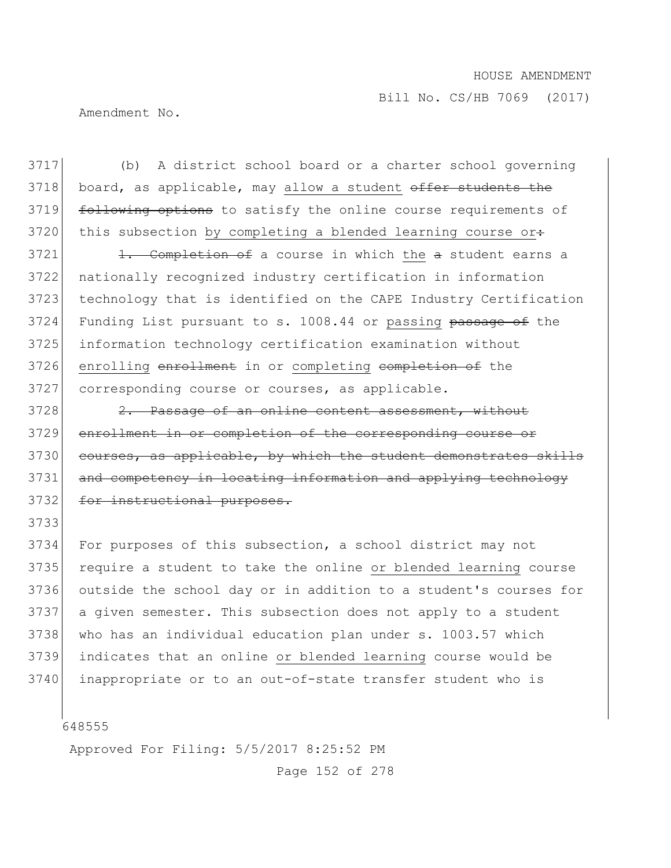Bill No. CS/HB 7069 (2017)

Amendment No.

3717 (b) A district school board or a charter school governing 3718 board, as applicable, may allow a student offer students the 3719 following options to satisfy the online course requirements of 3720 this subsection by completing a blended learning course or:

 1. Completion of a course in which the a student earns a nationally recognized industry certification in information technology that is identified on the CAPE Industry Certification 3724 Funding List pursuant to s. 1008.44 or passing passage of the information technology certification examination without 3726 enrolling enrollment in or completing completion of the corresponding course or courses, as applicable.

3728 2. Passage of an online content assessment, without 3729 enrollment in or completion of the corresponding course or 3730 courses, as applicable, by which the student demonstrates skills 3731 and competency in locating information and applying technology 3732 for instructional purposes.

 For purposes of this subsection, a school district may not require a student to take the online or blended learning course outside the school day or in addition to a student's courses for a given semester. This subsection does not apply to a student 3738 who has an individual education plan under s. 1003.57 which indicates that an online or blended learning course would be inappropriate or to an out-of-state transfer student who is

648555

3733

Approved For Filing: 5/5/2017 8:25:52 PM

Page 152 of 278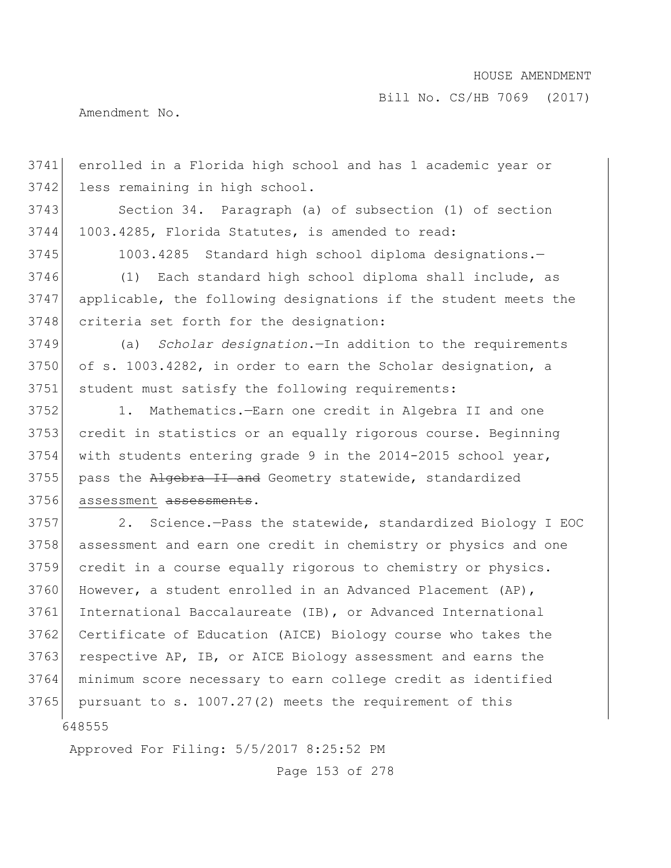Bill No. CS/HB 7069 (2017)

Amendment No.

 less remaining in high school. 3743 Section 34. Paragraph (a) of subsection (1) of section 1003.4285, Florida Statutes, is amended to read: 3745 1003.4285 Standard high school diploma designations.- (1) Each standard high school diploma shall include, as applicable, the following designations if the student meets the 3748 criteria set forth for the designation: (a) *Scholar designation*.—In addition to the requirements of s. 1003.4282, in order to earn the Scholar designation, a student must satisfy the following requirements: 1. Mathematics.—Earn one credit in Algebra II and one credit in statistics or an equally rigorous course. Beginning with students entering grade 9 in the 2014-2015 school year, 3755 pass the Algebra II and Geometry statewide, standardized 3756 assessment assessments. 2. Science.—Pass the statewide, standardized Biology I EOC assessment and earn one credit in chemistry or physics and one credit in a course equally rigorous to chemistry or physics. 3760 However, a student enrolled in an Advanced Placement (AP), International Baccalaureate (IB), or Advanced International 3762 Certificate of Education (AICE) Biology course who takes the

3763 respective AP, IB, or AICE Biology assessment and earns the

3741 enrolled in a Florida high school and has 1 academic year or

3764 minimum score necessary to earn college credit as identified 3765 pursuant to s.  $1007.27(2)$  meets the requirement of this

648555

Approved For Filing: 5/5/2017 8:25:52 PM

Page 153 of 278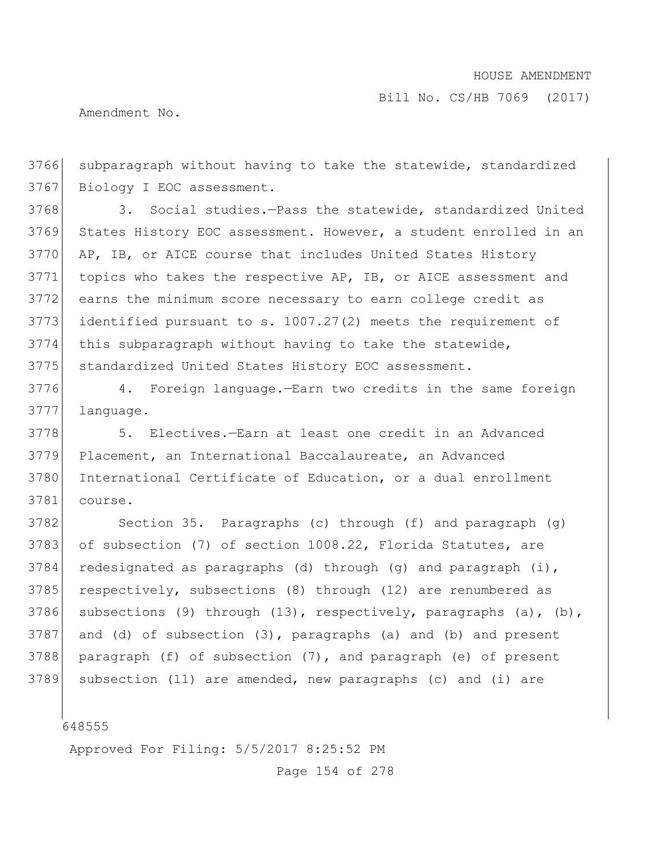Bill No. CS/HB 7069 (2017)

Amendment No.

3766 subparagraph without having to take the statewide, standardized 3767 Biology I EOC assessment.

3768 3. Social studies.—Pass the statewide, standardized United 3769 States History EOC assessment. However, a student enrolled in an 3770 AP, IB, or AICE course that includes United States History 3771 topics who takes the respective AP, IB, or AICE assessment and 3772 earns the minimum score necessary to earn college credit as 3773 identified pursuant to s. 1007.27(2) meets the requirement of 3774 this subparagraph without having to take the statewide, 3775 standardized United States History EOC assessment.

3776 4. Foreign language.—Earn two credits in the same foreign 3777 language.

3778 5. Electives.—Earn at least one credit in an Advanced 3779 Placement, an International Baccalaureate, an Advanced 3780 International Certificate of Education, or a dual enrollment 3781 course.

3782 Section 35. Paragraphs (c) through (f) and paragraph (g) 3783 of subsection (7) of section 1008.22, Florida Statutes, are 3784 redesignated as paragraphs (d) through (g) and paragraph  $(i)$ , 3785 respectively, subsections (8) through (12) are renumbered as 3786 subsections (9) through (13), respectively, paragraphs (a), (b), 3787 and (d) of subsection (3), paragraphs (a) and (b) and present 3788 paragraph (f) of subsection  $(7)$ , and paragraph (e) of present 3789 subsection (11) are amended, new paragraphs (c) and (i) are

648555

Approved For Filing: 5/5/2017 8:25:52 PM

Page 154 of 278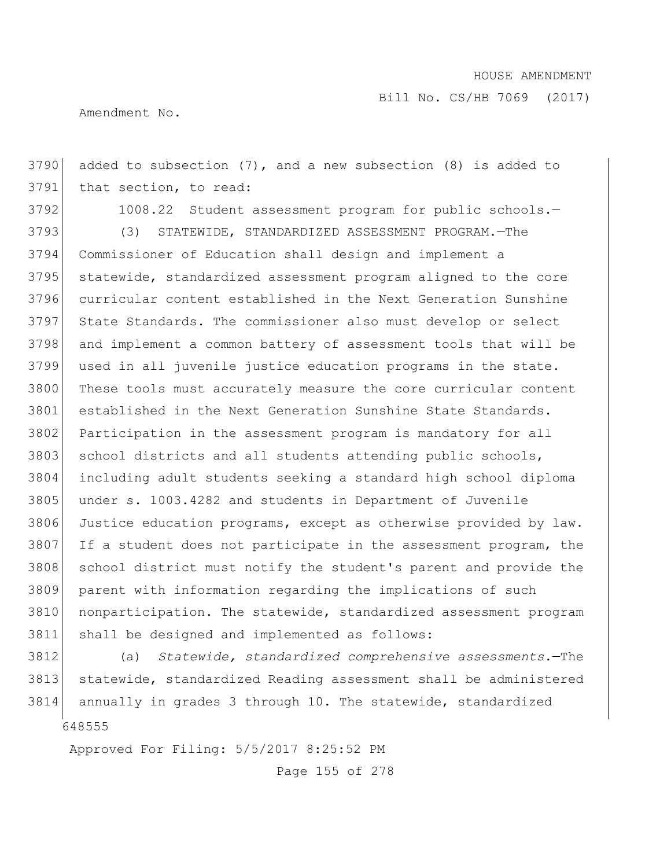Bill No. CS/HB 7069 (2017)

Amendment No.

 added to subsection (7), and a new subsection (8) is added to that section, to read:

3792 1008.22 Student assessment program for public schools.-

 (3) STATEWIDE, STANDARDIZED ASSESSMENT PROGRAM.—The Commissioner of Education shall design and implement a statewide, standardized assessment program aligned to the core curricular content established in the Next Generation Sunshine State Standards. The commissioner also must develop or select and implement a common battery of assessment tools that will be used in all juvenile justice education programs in the state. 3800 These tools must accurately measure the core curricular content 3801 established in the Next Generation Sunshine State Standards. 3802 Participation in the assessment program is mandatory for all 3803 school districts and all students attending public schools, including adult students seeking a standard high school diploma under s. 1003.4282 and students in Department of Juvenile Justice education programs, except as otherwise provided by law. If a student does not participate in the assessment program, the 3808 school district must notify the student's parent and provide the parent with information regarding the implications of such nonparticipation. The statewide, standardized assessment program shall be designed and implemented as follows:

 (a) *Statewide, standardized comprehensive assessments*.—The statewide, standardized Reading assessment shall be administered annually in grades 3 through 10. The statewide, standardized

Approved For Filing: 5/5/2017 8:25:52 PM

Page 155 of 278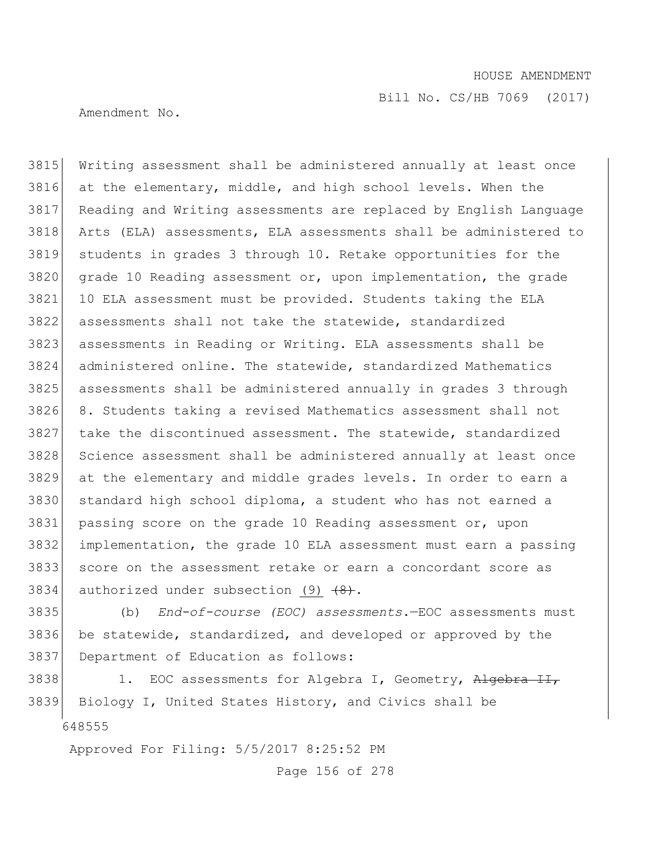Bill No. CS/HB 7069 (2017)

Amendment No.

 Writing assessment shall be administered annually at least once at the elementary, middle, and high school levels. When the Reading and Writing assessments are replaced by English Language Arts (ELA) assessments, ELA assessments shall be administered to students in grades 3 through 10. Retake opportunities for the grade 10 Reading assessment or, upon implementation, the grade 10 ELA assessment must be provided. Students taking the ELA assessments shall not take the statewide, standardized assessments in Reading or Writing. ELA assessments shall be administered online. The statewide, standardized Mathematics assessments shall be administered annually in grades 3 through 8. Students taking a revised Mathematics assessment shall not take the discontinued assessment. The statewide, standardized 3828 Science assessment shall be administered annually at least once at the elementary and middle grades levels. In order to earn a 3830 standard high school diploma, a student who has not earned a passing score on the grade 10 Reading assessment or, upon implementation, the grade 10 ELA assessment must earn a passing score on the assessment retake or earn a concordant score as 3834 authorized under subsection (9)  $\{8\}$ .

 (b) *End-of-course (EOC) assessments*.—EOC assessments must be statewide, standardized, and developed or approved by the Department of Education as follows:

 3838 1. EOC assessments for Algebra I, Geometry, Algebra II, Biology I, United States History, and Civics shall be

Approved For Filing: 5/5/2017 8:25:52 PM

Page 156 of 278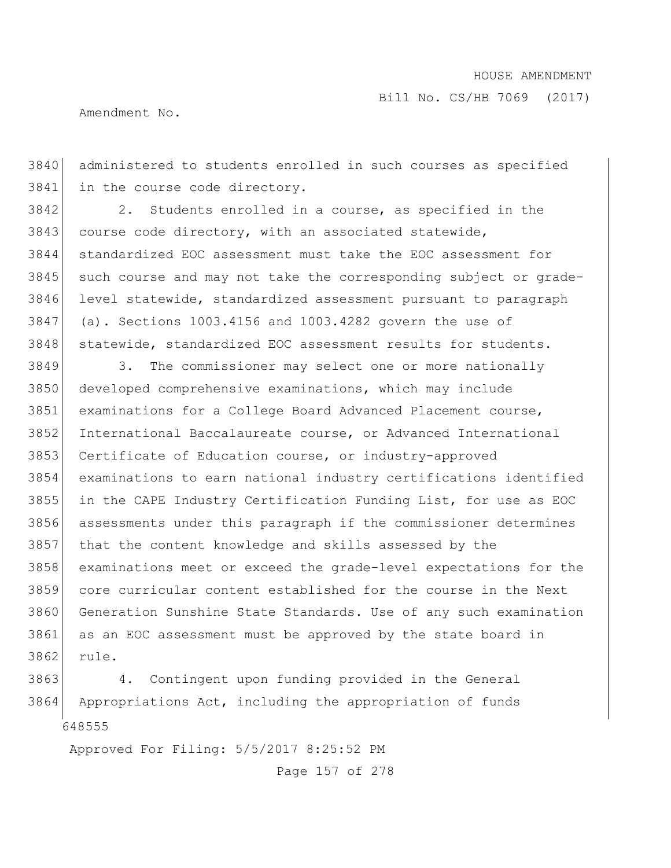Amendment No.

 administered to students enrolled in such courses as specified in the course code directory.

3842 2. Students enrolled in a course, as specified in the 3843 course code directory, with an associated statewide, standardized EOC assessment must take the EOC assessment for 3845 such course and may not take the corresponding subject or grade- level statewide, standardized assessment pursuant to paragraph (a). Sections 1003.4156 and 1003.4282 govern the use of 3848 statewide, standardized EOC assessment results for students.

3849 3. The commissioner may select one or more nationally developed comprehensive examinations, which may include examinations for a College Board Advanced Placement course, International Baccalaureate course, or Advanced International 3853 Certificate of Education course, or industry-approved examinations to earn national industry certifications identified in the CAPE Industry Certification Funding List, for use as EOC assessments under this paragraph if the commissioner determines that the content knowledge and skills assessed by the examinations meet or exceed the grade-level expectations for the core curricular content established for the course in the Next Generation Sunshine State Standards. Use of any such examination as an EOC assessment must be approved by the state board in rule.

 4. Contingent upon funding provided in the General Appropriations Act, including the appropriation of funds

Approved For Filing: 5/5/2017 8:25:52 PM

Page 157 of 278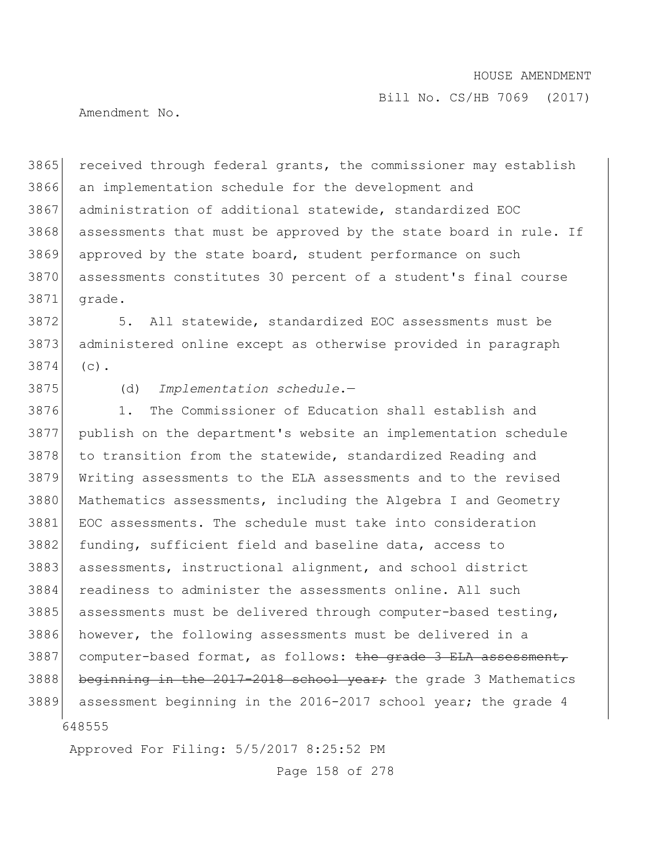Amendment No.

3865 received through federal grants, the commissioner may establish 3866 an implementation schedule for the development and 3867 administration of additional statewide, standardized EOC 3868 assessments that must be approved by the state board in rule. If 3869 approved by the state board, student performance on such 3870 assessments constitutes 30 percent of a student's final course 3871 grade.

3872 5. All statewide, standardized EOC assessments must be 3873 administered online except as otherwise provided in paragraph 3874 (c).

3875 (d) *Implementation schedule*.—

648555 3876 1. The Commissioner of Education shall establish and 3877 publish on the department's website an implementation schedule 3878 to transition from the statewide, standardized Reading and 3879 Writing assessments to the ELA assessments and to the revised 3880 Mathematics assessments, including the Algebra I and Geometry 3881 EOC assessments. The schedule must take into consideration 3882 funding, sufficient field and baseline data, access to 3883 assessments, instructional alignment, and school district 3884 readiness to administer the assessments online. All such 3885 assessments must be delivered through computer-based testing, 3886 however, the following assessments must be delivered in a 3887 computer-based format, as follows: the grade 3 ELA assessment, 3888 beginning in the  $2017 - 2018$  school year; the grade 3 Mathematics 3889 assessment beginning in the 2016-2017 school year; the grade 4

Approved For Filing: 5/5/2017 8:25:52 PM

Page 158 of 278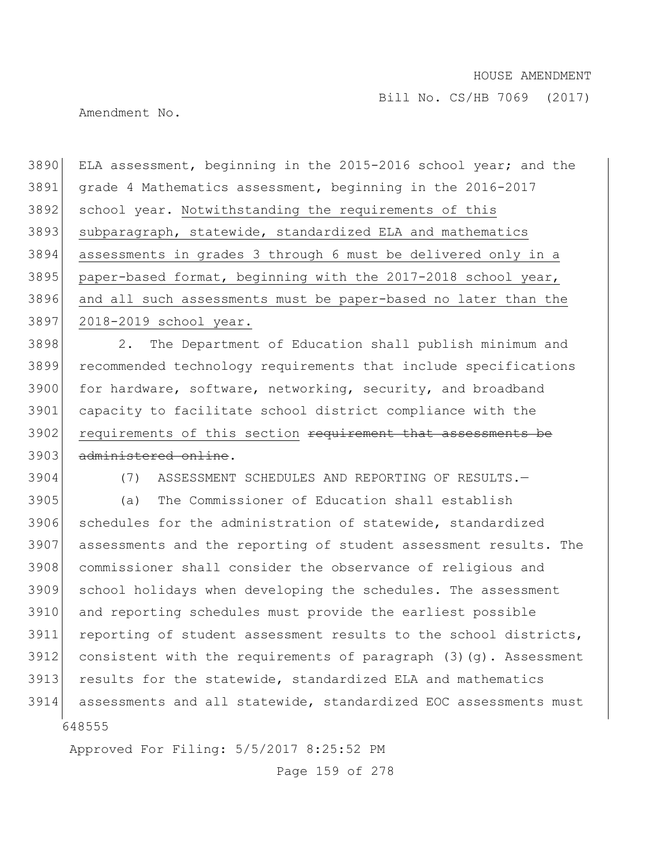Amendment No.

 ELA assessment, beginning in the 2015-2016 school year; and the grade 4 Mathematics assessment, beginning in the 2016-2017 3892 school year. Notwithstanding the requirements of this 3893 subparagraph, statewide, standardized ELA and mathematics assessments in grades 3 through 6 must be delivered only in a paper-based format, beginning with the 2017-2018 school year, and all such assessments must be paper-based no later than the 2018-2019 school year. 2. The Department of Education shall publish minimum and recommended technology requirements that include specifications 3900 for hardware, software, networking, security, and broadband capacity to facilitate school district compliance with the 3902 requirements of this section requirement that assessments be 3903 administered online. (7) ASSESSMENT SCHEDULES AND REPORTING OF RESULTS.— (a) The Commissioner of Education shall establish schedules for the administration of statewide, standardized assessments and the reporting of student assessment results. The 3908 commissioner shall consider the observance of religious and school holidays when developing the schedules. The assessment and reporting schedules must provide the earliest possible 3911 reporting of student assessment results to the school districts, consistent with the requirements of paragraph  $(3)(q)$ . Assessment results for the statewide, standardized ELA and mathematics assessments and all statewide, standardized EOC assessments must

Approved For Filing: 5/5/2017 8:25:52 PM

Page 159 of 278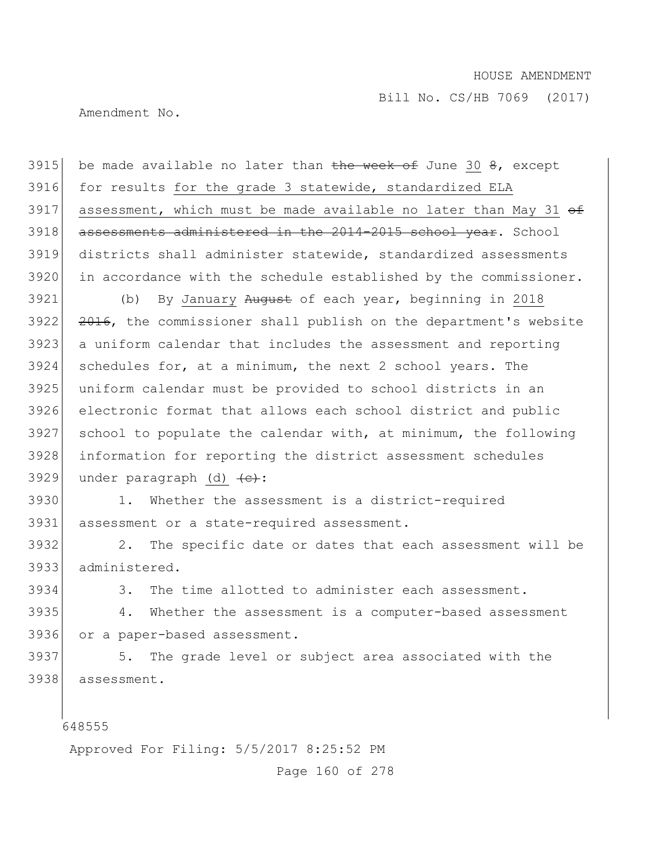Amendment No.

3915 be made available no later than the week of June 30  $\theta$ , except 3916 for results for the grade 3 statewide, standardized ELA 3917 assessment, which must be made available no later than May 31  $\theta$ 3918 assessments administered in the 2014-2015 school year. School 3919 districts shall administer statewide, standardized assessments 3920 in accordance with the schedule established by the commissioner.

3921 (b) By January August of each year, beginning in 2018 3922 <del>2016</del>, the commissioner shall publish on the department's website a uniform calendar that includes the assessment and reporting schedules for, at a minimum, the next 2 school years. The uniform calendar must be provided to school districts in an electronic format that allows each school district and public school to populate the calendar with, at minimum, the following information for reporting the district assessment schedules 3929 under paragraph (d)  $\left\langle e\right\rangle$ :

3930 1. Whether the assessment is a district-required 3931 assessment or a state-required assessment.

3932 2. The specific date or dates that each assessment will be 3933 administered.

3934 3. The time allotted to administer each assessment.

3935 4. Whether the assessment is a computer-based assessment 3936 or a paper-based assessment.

3937 5. The grade level or subject area associated with the 3938 assessment.

648555

Approved For Filing: 5/5/2017 8:25:52 PM

Page 160 of 278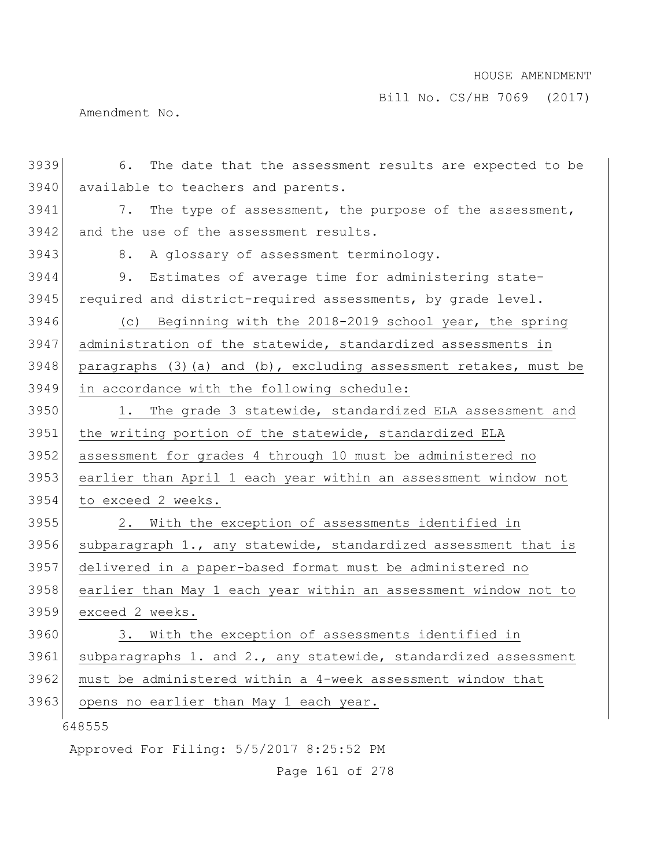Bill No. CS/HB 7069 (2017)

Amendment No.

| 3939 | 6. The date that the assessment results are expected to be        |
|------|-------------------------------------------------------------------|
| 3940 | available to teachers and parents.                                |
| 3941 | 7. The type of assessment, the purpose of the assessment,         |
| 3942 | and the use of the assessment results.                            |
| 3943 | A glossary of assessment terminology.<br>8.                       |
| 3944 | Estimates of average time for administering state-<br>9.          |
| 3945 | required and district-required assessments, by grade level.       |
| 3946 | (c) Beginning with the 2018-2019 school year, the spring          |
| 3947 | administration of the statewide, standardized assessments in      |
| 3948 | paragraphs (3) (a) and (b), excluding assessment retakes, must be |
| 3949 | in accordance with the following schedule:                        |
| 3950 | 1. The grade 3 statewide, standardized ELA assessment and         |
| 3951 | the writing portion of the statewide, standardized ELA            |
| 3952 | assessment for grades 4 through 10 must be administered no        |
| 3953 | earlier than April 1 each year within an assessment window not    |
| 3954 | to exceed 2 weeks.                                                |
| 3955 | 2. With the exception of assessments identified in                |
| 3956 | subparagraph 1., any statewide, standardized assessment that is   |
| 3957 | delivered in a paper-based format must be administered no         |
| 3958 | earlier than May 1 each year within an assessment window not to   |
| 3959 | exceed 2 weeks.                                                   |
| 3960 | 3. With the exception of assessments identified in                |
| 3961 | subparagraphs 1. and 2., any statewide, standardized assessment   |
| 3962 | must be administered within a 4-week assessment window that       |
| 3963 | opens no earlier than May 1 each year.                            |
|      | 648555                                                            |
|      | Approved For Filing: 5/5/2017 8:25:52 PM                          |

Page 161 of 278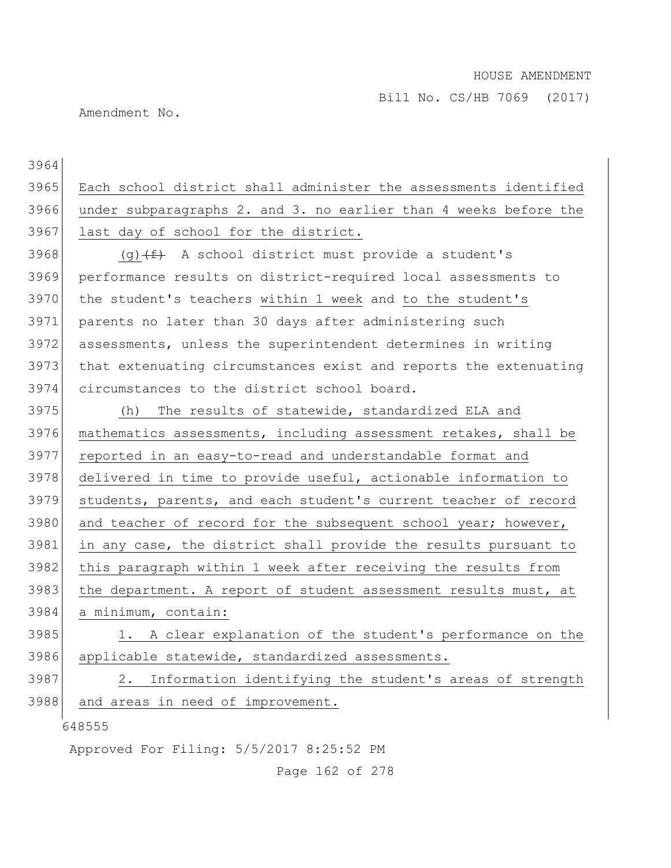Bill No. CS/HB 7069 (2017)

Amendment No.

648555 Approved For Filing: 5/5/2017 8:25:52 PM 3964 3965 Each school district shall administer the assessments identified 3966 under subparagraphs 2. and 3. no earlier than 4 weeks before the 3967 last day of school for the district. 3968 (g)  $(f)$  A school district must provide a student's 3969 performance results on district-required local assessments to 3970 the student's teachers within 1 week and to the student's 3971 parents no later than 30 days after administering such 3972 assessments, unless the superintendent determines in writing 3973 that extenuating circumstances exist and reports the extenuating 3974 circumstances to the district school board. 3975 (h) The results of statewide, standardized ELA and 3976 mathematics assessments, including assessment retakes, shall be 3977 reported in an easy-to-read and understandable format and 3978 delivered in time to provide useful, actionable information to 3979 students, parents, and each student's current teacher of record 3980 and teacher of record for the subsequent school year; however, 3981 in any case, the district shall provide the results pursuant to 3982 this paragraph within 1 week after receiving the results from 3983 the department. A report of student assessment results must, at 3984 a minimum, contain: 3985 1. A clear explanation of the student's performance on the 3986 applicable statewide, standardized assessments. 3987 2. Information identifying the student's areas of strength 3988 and areas in need of improvement.

Page 162 of 278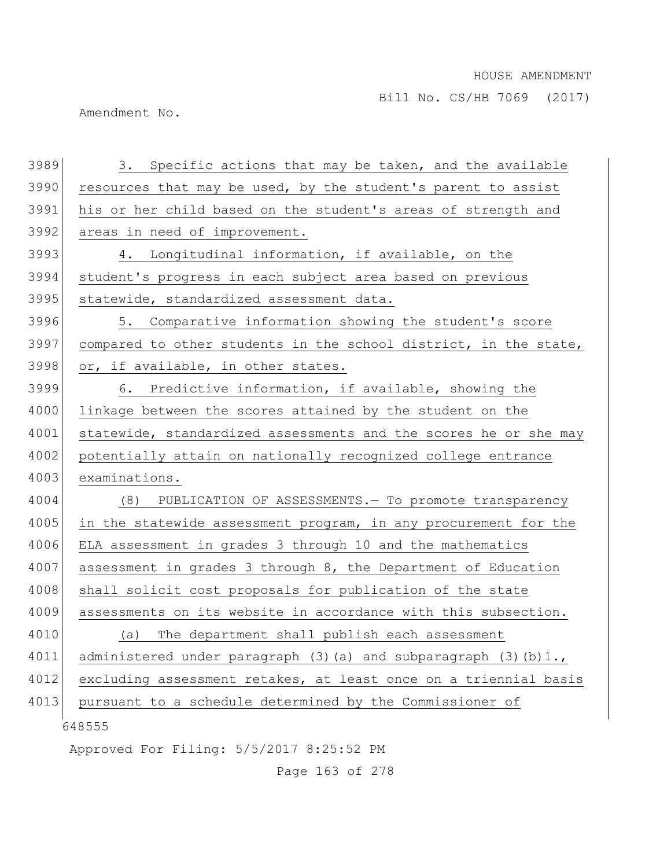Amendment No.

| 3989 | 3. Specific actions that may be taken, and the available                     |
|------|------------------------------------------------------------------------------|
| 3990 | resources that may be used, by the student's parent to assist                |
| 3991 | his or her child based on the student's areas of strength and                |
| 3992 | areas in need of improvement.                                                |
| 3993 | 4. Longitudinal information, if available, on the                            |
| 3994 | student's progress in each subject area based on previous                    |
| 3995 | statewide, standardized assessment data.                                     |
| 3996 | 5. Comparative information showing the student's score                       |
| 3997 | compared to other students in the school district, in the state,             |
| 3998 | or, if available, in other states.                                           |
| 3999 | 6. Predictive information, if available, showing the                         |
| 4000 | linkage between the scores attained by the student on the                    |
| 4001 | statewide, standardized assessments and the scores he or she may             |
| 4002 | potentially attain on nationally recognized college entrance                 |
| 4003 | examinations.                                                                |
| 4004 | (8)<br>PUBLICATION OF ASSESSMENTS. - To promote transparency                 |
| 4005 | in the statewide assessment program, in any procurement for the              |
| 4006 | ELA assessment in grades 3 through 10 and the mathematics                    |
| 4007 | assessment in grades 3 through 8, the Department of Education                |
| 4008 | shall solicit cost proposals for publication of the state                    |
| 4009 | assessments on its website in accordance with this subsection.               |
| 4010 | The department shall publish each assessment<br>(a)                          |
| 4011 | administered under paragraph $(3)$ $(a)$ and subparagraph $(3)$ $(b)$ $1.$ , |
| 4012 | excluding assessment retakes, at least once on a triennial basis             |
| 4013 | pursuant to a schedule determined by the Commissioner of                     |
|      | 648555                                                                       |
|      | Approved For Filing: 5/5/2017 8:25:52 PM                                     |

Page 163 of 278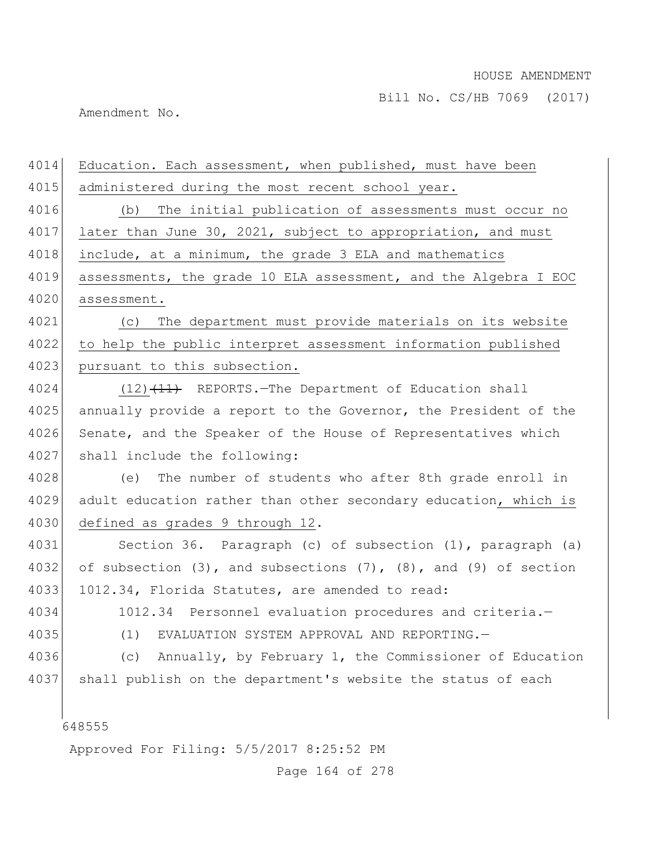Amendment No.

| 4014 | Education. Each assessment, when published, must have been              |
|------|-------------------------------------------------------------------------|
| 4015 | administered during the most recent school year.                        |
| 4016 | (b) The initial publication of assessments must occur no                |
| 4017 | later than June 30, 2021, subject to appropriation, and must            |
| 4018 | include, at a minimum, the grade 3 ELA and mathematics                  |
| 4019 | assessments, the grade 10 ELA assessment, and the Algebra I EOC         |
| 4020 | assessment.                                                             |
| 4021 | The department must provide materials on its website<br>(C)             |
| 4022 | to help the public interpret assessment information published           |
| 4023 | pursuant to this subsection.                                            |
| 4024 | $(12)$ $(11)$ REPORTS. -The Department of Education shall               |
| 4025 | annually provide a report to the Governor, the President of the         |
| 4026 | Senate, and the Speaker of the House of Representatives which           |
| 4027 | shall include the following:                                            |
| 4028 | (e) The number of students who after 8th grade enroll in                |
| 4029 | adult education rather than other secondary education, which is         |
| 4030 | defined as grades 9 through 12.                                         |
| 4031 | Section 36. Paragraph (c) of subsection (1), paragraph (a)              |
| 4032 | of subsection (3), and subsections $(7)$ , $(8)$ , and $(9)$ of section |
| 4033 | 1012.34, Florida Statutes, are amended to read:                         |
| 4034 | 1012.34 Personnel evaluation procedures and criteria.-                  |
| 4035 | (1) EVALUATION SYSTEM APPROVAL AND REPORTING.-                          |
| 4036 | Annually, by February 1, the Commissioner of Education<br>(c)           |
| 4037 | shall publish on the department's website the status of each            |
|      |                                                                         |
|      | 648555                                                                  |
|      | Approved For Filing: 5/5/2017 8:25:52 PM                                |

Page 164 of 278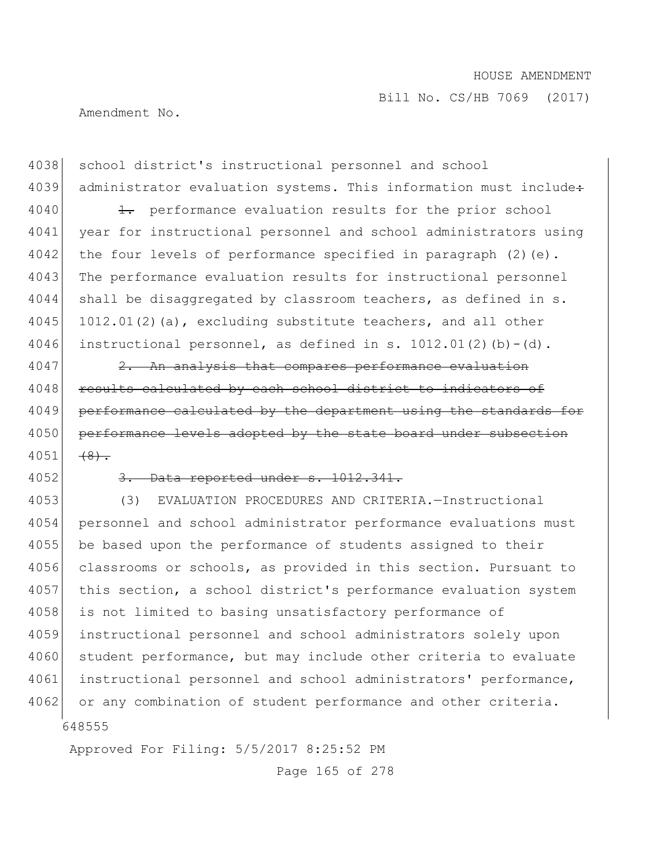Bill No. CS/HB 7069 (2017)

Amendment No.

4038 school district's instructional personnel and school 4039 administrator evaluation systems. This information must include+ 4040 1. performance evaluation results for the prior school 4041 year for instructional personnel and school administrators using 4042 the four levels of performance specified in paragraph  $(2)$  (e). 4043 The performance evaluation results for instructional personnel 4044 shall be disaggregated by classroom teachers, as defined in s.  $4045$  1012.01(2)(a), excluding substitute teachers, and all other 4046 instructional personnel, as defined in s.  $1012.01(2)(b) - (d)$ .

4047 2. An analysis that compares performance evaluation 4048 results calculated by each school district to indicators of 4049 performance calculated by the department using the standards for 4050 performance levels adopted by the state board under subsection  $4051$   $(8)$ .

## $4052$   $3.$  Data reported under  $s.$  1012.341.

648555 4053 (3) EVALUATION PROCEDURES AND CRITERIA.—Instructional 4054 personnel and school administrator performance evaluations must 4055 be based upon the performance of students assigned to their 4056 classrooms or schools, as provided in this section. Pursuant to 4057 this section, a school district's performance evaluation system 4058 is not limited to basing unsatisfactory performance of 4059 instructional personnel and school administrators solely upon 4060 student performance, but may include other criteria to evaluate 4061 instructional personnel and school administrators' performance, 4062 or any combination of student performance and other criteria.

Approved For Filing: 5/5/2017 8:25:52 PM

Page 165 of 278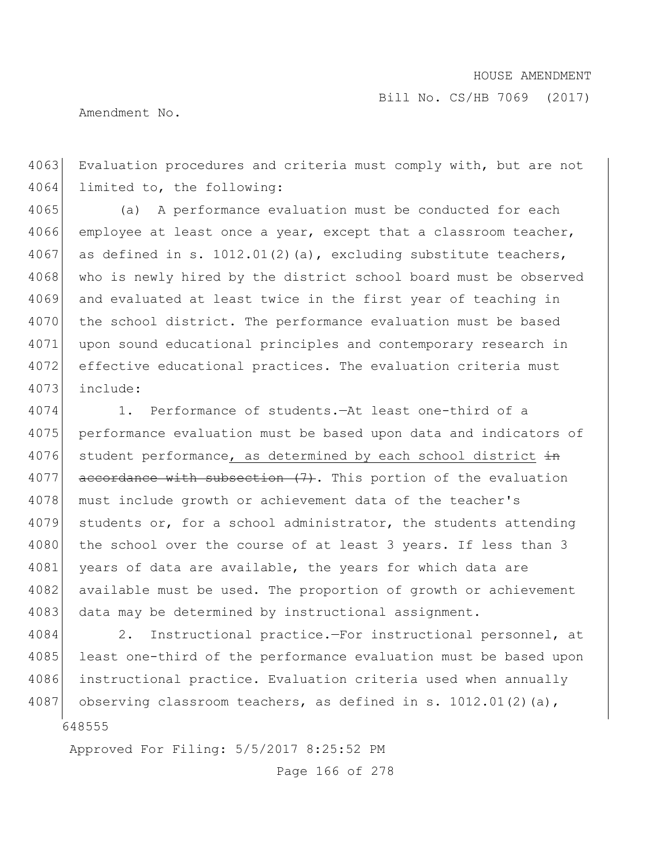Bill No. CS/HB 7069 (2017)

Amendment No.

4063 Evaluation procedures and criteria must comply with, but are not 4064 limited to, the following:

4065 (a) A performance evaluation must be conducted for each 4066 employee at least once a year, except that a classroom teacher, 4067 as defined in s. 1012.01(2)(a), excluding substitute teachers, 4068 who is newly hired by the district school board must be observed 4069 and evaluated at least twice in the first year of teaching in 4070 the school district. The performance evaluation must be based 4071 upon sound educational principles and contemporary research in 4072 effective educational practices. The evaluation criteria must 4073 include:

4074 1. Performance of students.—At least one-third of a 4075 performance evaluation must be based upon data and indicators of 4076 student performance, as determined by each school district  $\frac{1}{2}$  $4077$  accordance with subsection  $(7)$ . This portion of the evaluation 4078 must include growth or achievement data of the teacher's 4079 students or, for a school administrator, the students attending 4080 the school over the course of at least 3 years. If less than 3 4081 years of data are available, the years for which data are 4082 available must be used. The proportion of growth or achievement 4083 data may be determined by instructional assignment.

4084 2. Instructional practice.—For instructional personnel, at 4085 least one-third of the performance evaluation must be based upon 4086 instructional practice. Evaluation criteria used when annually 4087 observing classroom teachers, as defined in s. 1012.01(2)(a),

648555

Approved For Filing: 5/5/2017 8:25:52 PM

Page 166 of 278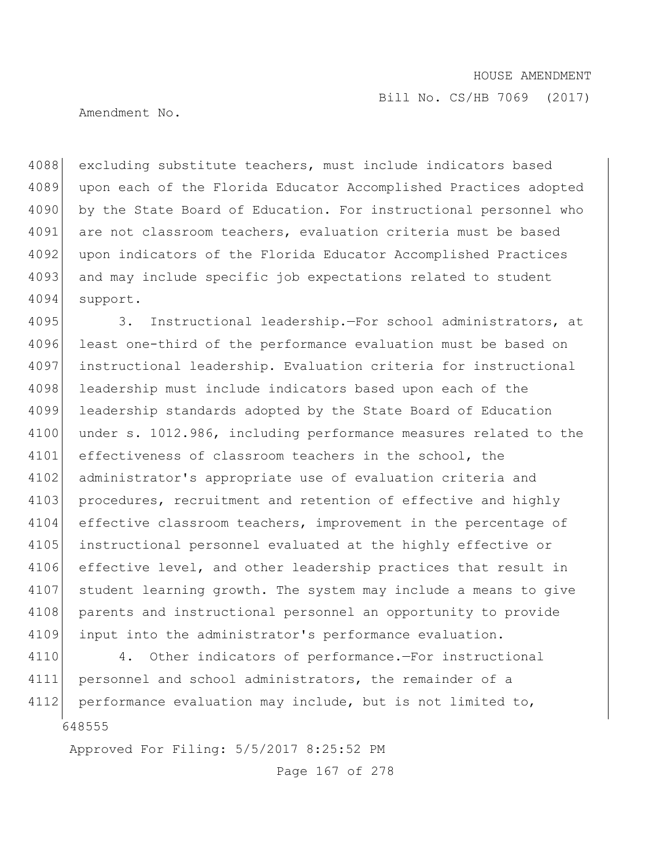Amendment No.

4088 excluding substitute teachers, must include indicators based 4089 upon each of the Florida Educator Accomplished Practices adopted 4090 by the State Board of Education. For instructional personnel who 4091 are not classroom teachers, evaluation criteria must be based 4092 upon indicators of the Florida Educator Accomplished Practices 4093 and may include specific job expectations related to student 4094 support.

4095 3. Instructional leadership.—For school administrators, at 4096 least one-third of the performance evaluation must be based on 4097 instructional leadership. Evaluation criteria for instructional 4098 leadership must include indicators based upon each of the 4099 leadership standards adopted by the State Board of Education 4100 under s. 1012.986, including performance measures related to the 4101 effectiveness of classroom teachers in the school, the 4102 administrator's appropriate use of evaluation criteria and 4103 procedures, recruitment and retention of effective and highly 4104 effective classroom teachers, improvement in the percentage of 4105 instructional personnel evaluated at the highly effective or 4106 effective level, and other leadership practices that result in 4107 student learning growth. The system may include a means to give 4108 parents and instructional personnel an opportunity to provide 4109 input into the administrator's performance evaluation.

648555 4110 4. Other indicators of performance.—For instructional 4111 personnel and school administrators, the remainder of a 4112 performance evaluation may include, but is not limited to,

Approved For Filing: 5/5/2017 8:25:52 PM

Page 167 of 278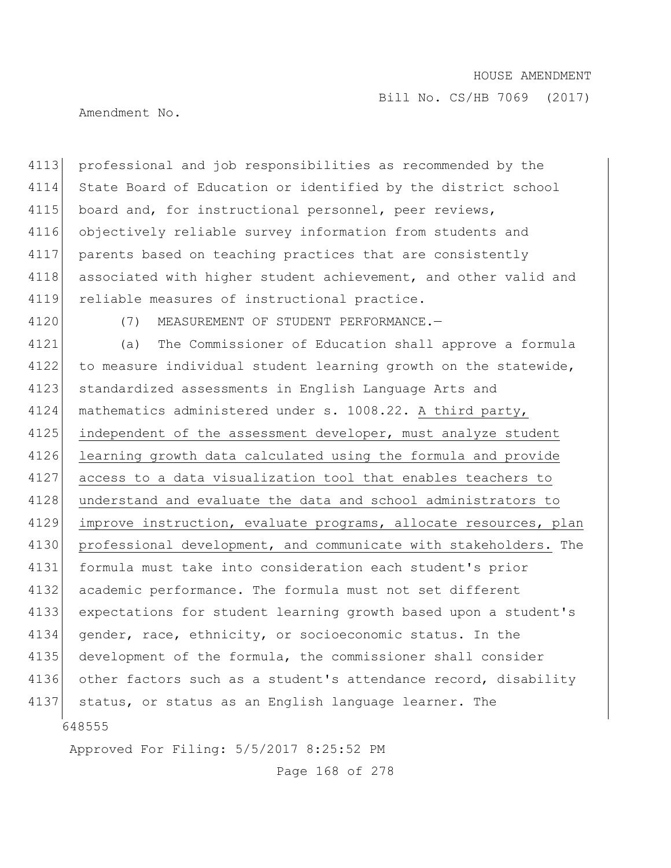Bill No. CS/HB 7069 (2017)

Amendment No.

4113 professional and job responsibilities as recommended by the 4114 State Board of Education or identified by the district school 4115 board and, for instructional personnel, peer reviews, 4116 objectively reliable survey information from students and 4117 parents based on teaching practices that are consistently 4118 associated with higher student achievement, and other valid and 4119 reliable measures of instructional practice.

4120 (7) MEASUREMENT OF STUDENT PERFORMANCE.—

648555 4121 (a) The Commissioner of Education shall approve a formula 4122 to measure individual student learning growth on the statewide, 4123 standardized assessments in English Language Arts and 4124 mathematics administered under s. 1008.22. A third party, 4125 independent of the assessment developer, must analyze student 4126 learning growth data calculated using the formula and provide 4127 access to a data visualization tool that enables teachers to 4128 understand and evaluate the data and school administrators to 4129 improve instruction, evaluate programs, allocate resources, plan 4130 professional development, and communicate with stakeholders. The 4131 formula must take into consideration each student's prior 4132 academic performance. The formula must not set different 4133 expectations for student learning growth based upon a student's 4134 gender, race, ethnicity, or socioeconomic status. In the 4135 development of the formula, the commissioner shall consider 4136 other factors such as a student's attendance record, disability 4137 status, or status as an English language learner. The

Approved For Filing: 5/5/2017 8:25:52 PM

Page 168 of 278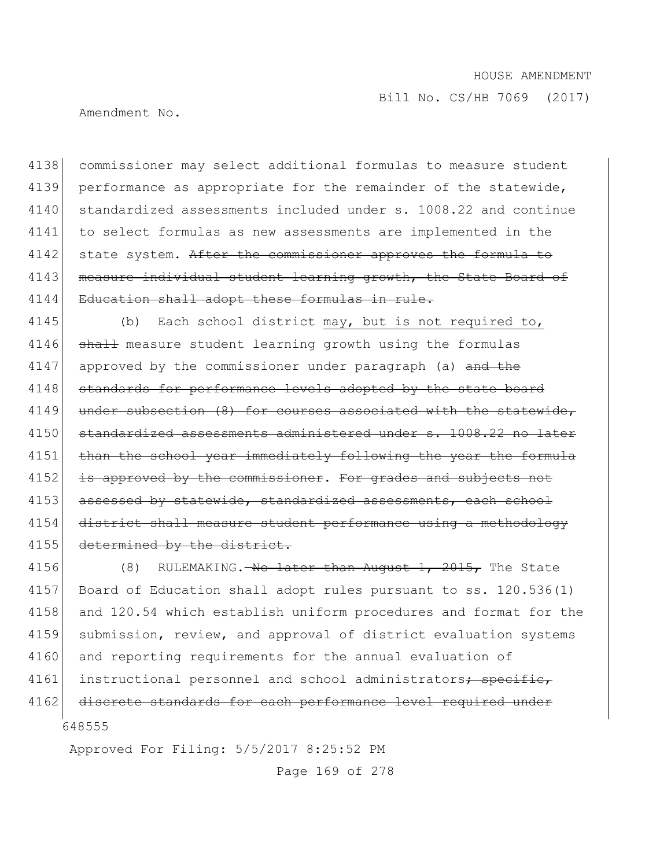Bill No. CS/HB 7069 (2017)

Amendment No.

4138 commissioner may select additional formulas to measure student 4139 performance as appropriate for the remainder of the statewide, 4140 standardized assessments included under s. 1008.22 and continue 4141 to select formulas as new assessments are implemented in the 4142 state system. After the commissioner approves the formula to 4143 measure individual student learning growth, the State Board of 4144 Education shall adopt these formulas in rule.

4145 (b) Each school district may, but is not required to, 4146 shall measure student learning growth using the formulas 4147 approved by the commissioner under paragraph (a) and the 4148 standards for performance levels adopted by the state board 4149 under subsection (8) for courses associated with the statewide, 4150 standardized assessments administered under s. 1008.22 no later 4151 than the school year immediately following the year the formula 4152 is approved by the commissioner. For grades and subjects not 4153 assessed by statewide, standardized assessments, each school 4154 district shall measure student performance using a methodology 4155 determined by the district.

648555 4156 (8) RULEMAKING.—No later than August 1, 2015, The State 4157 Board of Education shall adopt rules pursuant to ss. 120.536(1) 4158 and 120.54 which establish uniform procedures and format for the 4159 submission, review, and approval of district evaluation systems 4160 and reporting requirements for the annual evaluation of 4161 instructional personnel and school administrators; specific, 4162 discrete standards for each performance level required under

Approved For Filing: 5/5/2017 8:25:52 PM

Page 169 of 278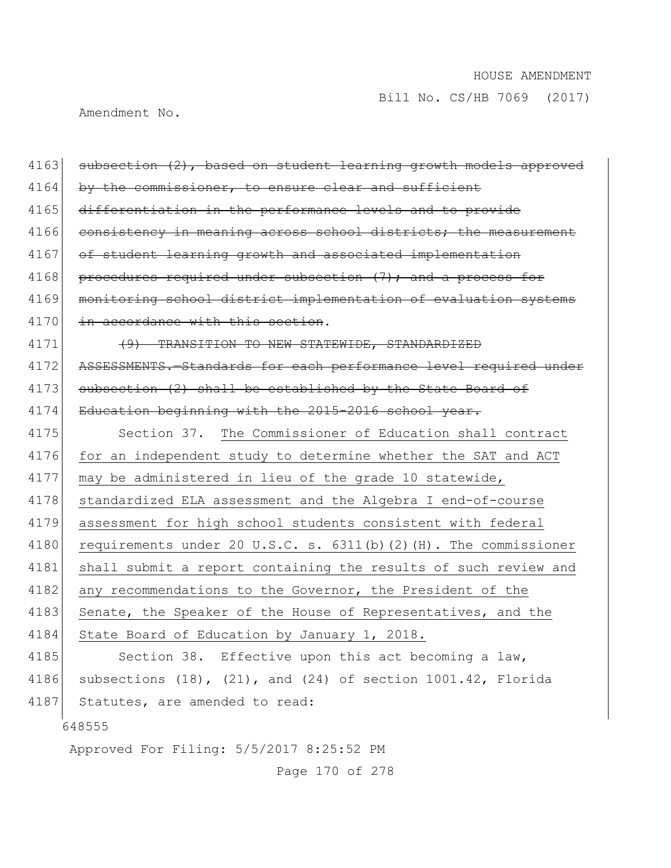Amendment No.

| 4163 | subsection (2), based on student learning growth models approved        |
|------|-------------------------------------------------------------------------|
| 4164 | by the commissioner, to ensure clear and sufficient                     |
| 4165 | differentiation in the performance levels and to provide                |
| 4166 | consistency in meaning across school districts; the measurement         |
| 4167 | of student learning growth and associated implementation                |
| 4168 | procedures required under subsection (7); and a process for             |
| 4169 | monitoring school district implementation of evaluation systems         |
| 4170 | in accordance with this section.                                        |
| 4171 | (9) TRANSITION TO NEW STATEWIDE, STANDARDIZED                           |
| 4172 | ASSESSMENTS. - Standards for each performance level required under      |
| 4173 | subsection (2) shall be established by the State Board of               |
| 4174 | Education beginning with the 2015-2016 school year.                     |
| 4175 | Section 37. The Commissioner of Education shall contract                |
| 4176 | for an independent study to determine whether the SAT and ACT           |
| 4177 | may be administered in lieu of the grade 10 statewide,                  |
| 4178 | standardized ELA assessment and the Algebra I end-of-course             |
| 4179 | assessment for high school students consistent with federal             |
| 4180 | requirements under 20 U.S.C. s. $6311(b)$ (2) (H). The commissioner     |
| 4181 | shall submit a report containing the results of such review and         |
| 4182 | any recommendations to the Governor, the President of the               |
| 4183 | Senate, the Speaker of the House of Representatives, and the            |
| 4184 | State Board of Education by January 1, 2018.                            |
| 4185 | Section 38. Effective upon this act becoming a law,                     |
| 4186 | subsections $(18)$ , $(21)$ , and $(24)$ of section $1001.42$ , Florida |
| 4187 | Statutes, are amended to read:                                          |
|      | 648555                                                                  |
|      | Approved For Filing: 5/5/2017 8:25:52 PM                                |

Page 170 of 278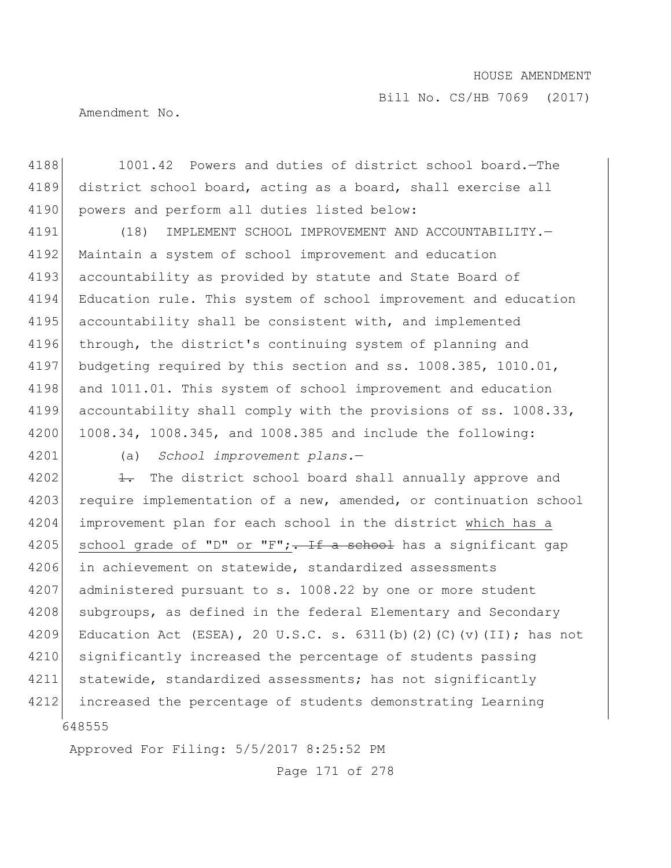Bill No. CS/HB 7069 (2017)

Amendment No.

4188 1001.42 Powers and duties of district school board.—The 4189 district school board, acting as a board, shall exercise all 4190 powers and perform all duties listed below:

4191 (18) IMPLEMENT SCHOOL IMPROVEMENT AND ACCOUNTABILITY.— 4192 Maintain a system of school improvement and education 4193 accountability as provided by statute and State Board of 4194 Education rule. This system of school improvement and education 4195 accountability shall be consistent with, and implemented 4196 through, the district's continuing system of planning and 4197 budgeting required by this section and ss. 1008.385, 1010.01, 4198 and 1011.01. This system of school improvement and education 4199 accountability shall comply with the provisions of ss. 1008.33, 4200 1008.34, 1008.345, and 1008.385 and include the following:

4201 (a) *School improvement plans*.—

648555 4202  $\leftarrow$  The district school board shall annually approve and 4203 require implementation of a new, amended, or continuation school 4204 improvement plan for each school in the district which has a 4205 school grade of "D" or "F";  $\frac{1}{2}$  a school has a significant gap 4206 in achievement on statewide, standardized assessments 4207 administered pursuant to s. 1008.22 by one or more student 4208 subgroups, as defined in the federal Elementary and Secondary 4209 Education Act (ESEA), 20 U.S.C. s.  $6311(b)(2)(c)(v)(II)$ ; has not 4210 significantly increased the percentage of students passing 4211 statewide, standardized assessments; has not significantly 4212 increased the percentage of students demonstrating Learning

Approved For Filing: 5/5/2017 8:25:52 PM

Page 171 of 278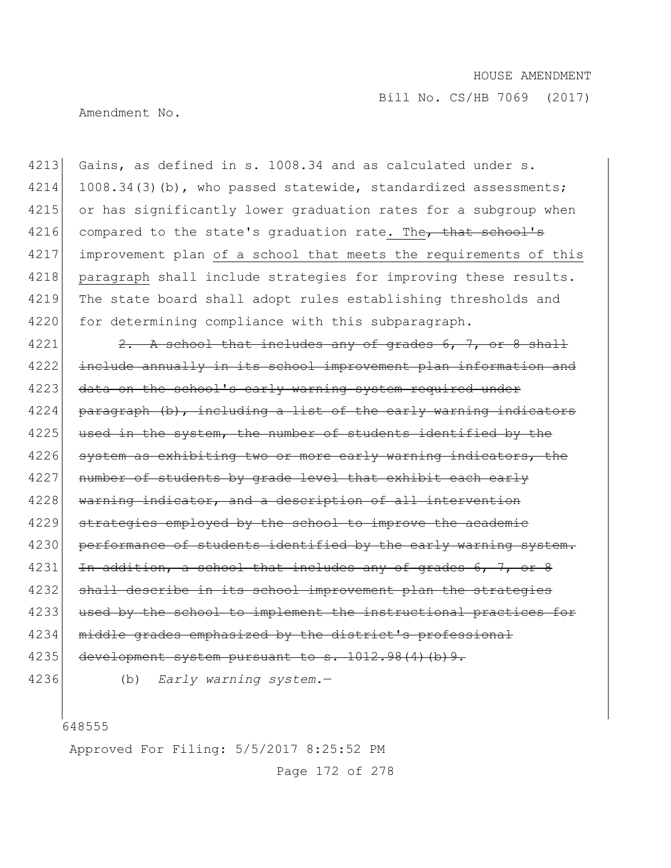Amendment No.

4213 Gains, as defined in s. 1008.34 and as calculated under s. 4214 1008.34(3)(b), who passed statewide, standardized assessments; 4215 or has significantly lower graduation rates for a subgroup when 4216 compared to the state's graduation rate. The that school's 4217 improvement plan of a school that meets the requirements of this 4218 paragraph shall include strategies for improving these results. 4219 The state board shall adopt rules establishing thresholds and 4220 for determining compliance with this subparagraph.

4221  $\vert$  2. A school that includes any of grades 6, 7, or 8 shall 4222 include annually in its school improvement plan information and 4223 data on the school's early warning system required under  $4224$  paragraph (b), including a list of the early warning indicators  $4225$  used in the system, the number of students identified by the 4226 system as exhibiting two or more early warning indicators, the 4227 number of students by grade level that exhibit each early 4228 warning indicator, and a description of all intervention 4229 strategies employed by the school to improve the academic 4230 performance of students identified by the early warning system. 4231 In addition, a school that includes any of grades  $6, 7$ , 4232 shall describe in its school improvement plan the strategies 4233 used by the school to implement the instructional practices for 4234 middle grades emphasized by the district's professional 4235 development system pursuant to s. 1012.98(4)(b)9.

4236 (b) *Early warning system*.—

648555

Approved For Filing: 5/5/2017 8:25:52 PM

Page 172 of 278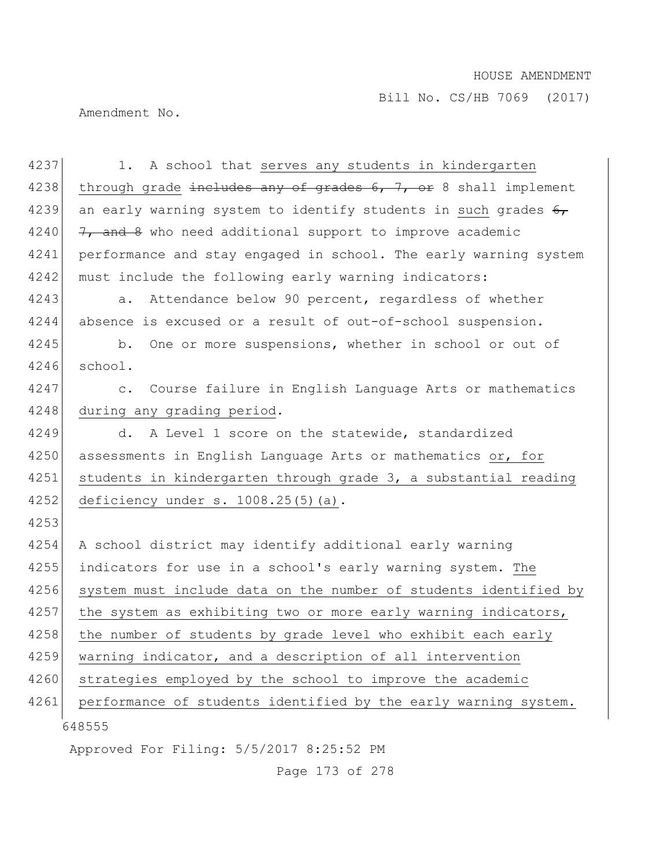Amendment No.

648555 Approved For Filing: 5/5/2017 8:25:52 PM 4237 1. A school that serves any students in kindergarten 4238 through grade includes any of grades  $6, 7,$  or 8 shall implement 4239 an early warning system to identify students in such grades  $6<sub>r</sub>$ 4240  $\left|$  7, and 8 who need additional support to improve academic 4241 performance and stay engaged in school. The early warning system 4242 must include the following early warning indicators: 4243 a. Attendance below 90 percent, regardless of whether 4244 absence is excused or a result of out-of-school suspension. 4245 b. One or more suspensions, whether in school or out of 4246 school. 4247 c. Course failure in English Language Arts or mathematics 4248 during any grading period. 4249 d. A Level 1 score on the statewide, standardized 4250 assessments in English Language Arts or mathematics or, for 4251 students in kindergarten through grade 3, a substantial reading 4252 deficiency under s. 1008.25(5)(a). 4253 4254 A school district may identify additional early warning 4255 indicators for use in a school's early warning system. The 4256 system must include data on the number of students identified by 4257 the system as exhibiting two or more early warning indicators, 4258 the number of students by grade level who exhibit each early 4259 warning indicator, and a description of all intervention 4260 strategies employed by the school to improve the academic 4261 performance of students identified by the early warning system.

Page 173 of 278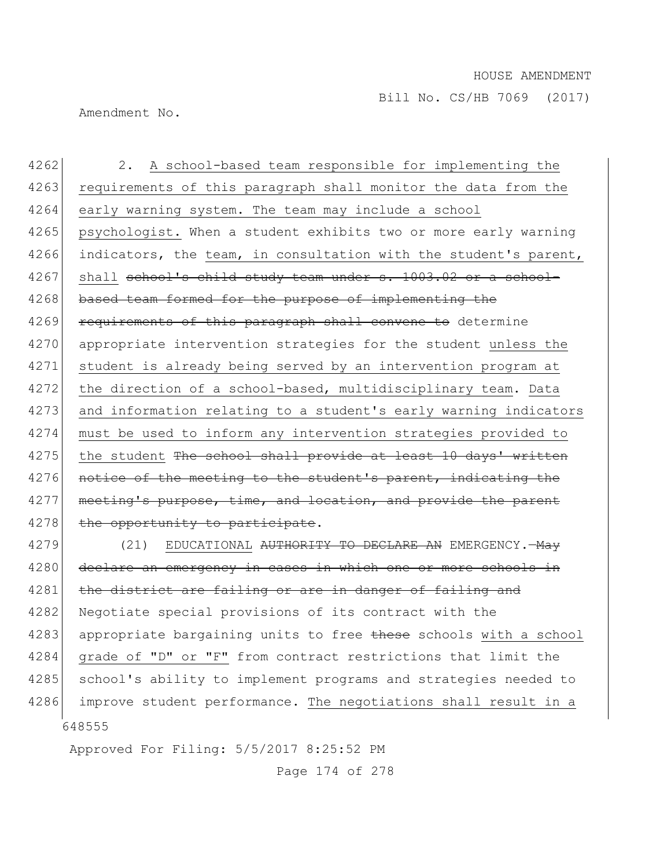Amendment No.

4262 2. A school-based team responsible for implementing the 4263 requirements of this paragraph shall monitor the data from the 4264 early warning system. The team may include a school 4265 psychologist. When a student exhibits two or more early warning 4266 indicators, the team, in consultation with the student's parent,  $4267$  shall school's child study team under s. 1003.02 or a school-4268 based team formed for the purpose of implementing the 4269 requirements of this paragraph shall convene to determine 4270 appropriate intervention strategies for the student unless the 4271 student is already being served by an intervention program at 4272 the direction of a school-based, multidisciplinary team. Data 4273 and information relating to a student's early warning indicators 4274 must be used to inform any intervention strategies provided to 4275 the student The school shall provide at least 10 days' written 4276 notice of the meeting to the student's parent, indicating the 4277 meeting's purpose, time, and location, and provide the parent 4278 the opportunity to participate. 4279 (21) EDUCATIONAL <del>AUTHORITY TO DECLARE AN</del> EMERGENCY.—<del>May</del> 4280 declare an emergency in cases in which one or more schools in

648555 4281 the district are failing or are in danger of failing and 4282 Negotiate special provisions of its contract with the 4283 appropriate bargaining units to free these schools with a school 4284 grade of "D" or "F" from contract restrictions that limit the 4285 school's ability to implement programs and strategies needed to 4286 improve student performance. The negotiations shall result in a

Approved For Filing: 5/5/2017 8:25:52 PM

Page 174 of 278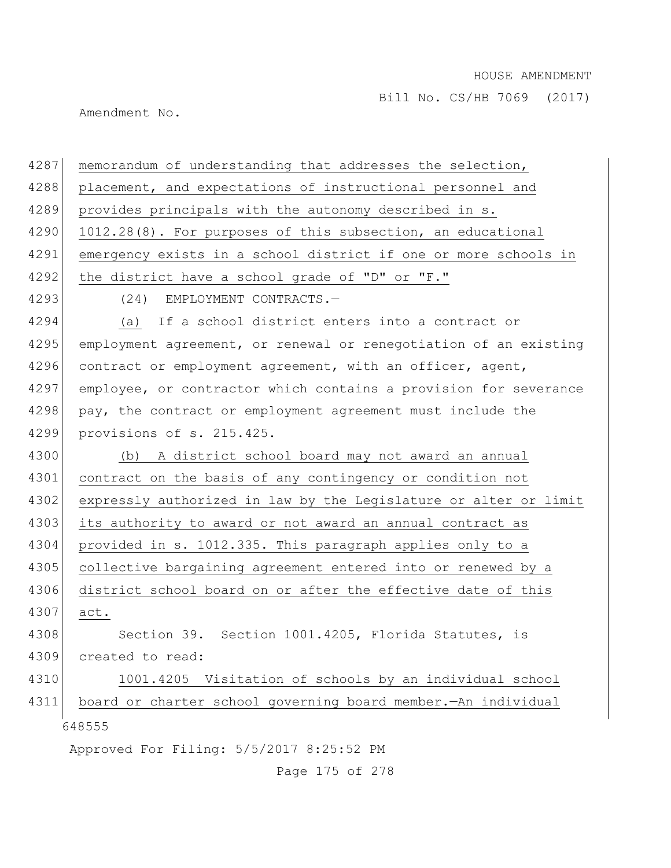Amendment No.

| 4287 | memorandum of understanding that addresses the selection,        |
|------|------------------------------------------------------------------|
| 4288 | placement, and expectations of instructional personnel and       |
| 4289 | provides principals with the autonomy described in s.            |
| 4290 | 1012.28(8). For purposes of this subsection, an educational      |
| 4291 | emergency exists in a school district if one or more schools in  |
| 4292 | the district have a school grade of "D" or "F."                  |
| 4293 | (24) EMPLOYMENT CONTRACTS.-                                      |
| 4294 | (a) If a school district enters into a contract or               |
| 4295 | employment agreement, or renewal or renegotiation of an existing |
| 4296 | contract or employment agreement, with an officer, agent,        |
| 4297 | employee, or contractor which contains a provision for severance |
| 4298 | pay, the contract or employment agreement must include the       |
| 4299 | provisions of s. 215.425.                                        |
| 4300 | (b) A district school board may not award an annual              |
| 4301 | contract on the basis of any contingency or condition not        |
| 4302 | expressly authorized in law by the Legislature or alter or limit |
| 4303 | its authority to award or not award an annual contract as        |
| 4304 | provided in s. 1012.335. This paragraph applies only to a        |
| 4305 | collective bargaining agreement entered into or renewed by a     |
| 4306 | district school board on or after the effective date of this     |
| 4307 | act.                                                             |
| 4308 | Section 39. Section 1001.4205, Florida Statutes, is              |
| 4309 | created to read:                                                 |
| 4310 | Visitation of schools by an individual school<br>1001.4205       |
| 4311 | board or charter school governing board member. - An individual  |
|      | 648555                                                           |
|      | Approved For Filing: 5/5/2017 8:25:52 PM                         |

Page 175 of 278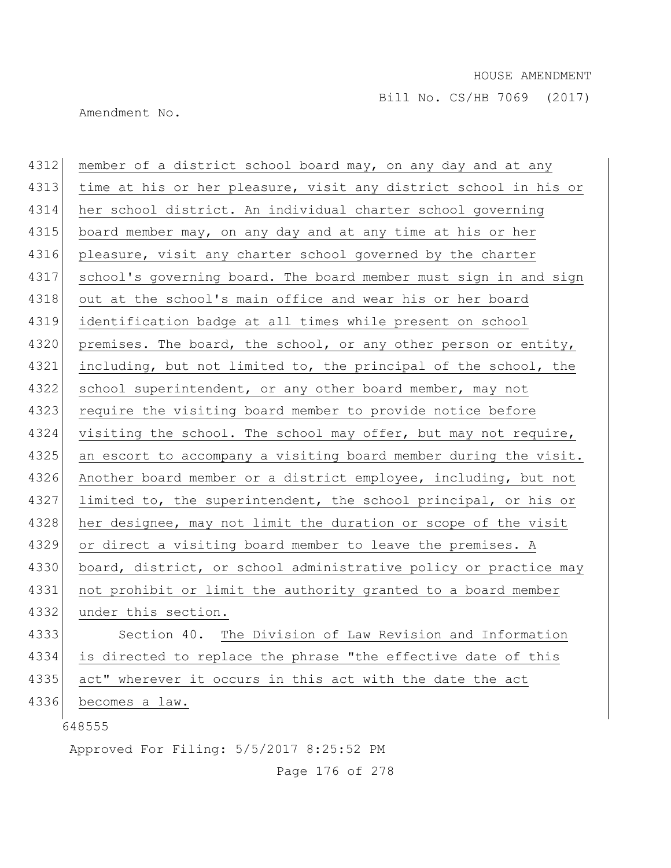Amendment No.

| 4312 | member of a district school board may, on any day and at any     |
|------|------------------------------------------------------------------|
| 4313 | time at his or her pleasure, visit any district school in his or |
| 4314 | her school district. An individual charter school governing      |
| 4315 | board member may, on any day and at any time at his or her       |
| 4316 | pleasure, visit any charter school governed by the charter       |
| 4317 | school's governing board. The board member must sign in and sign |
| 4318 | out at the school's main office and wear his or her board        |
| 4319 | identification badge at all times while present on school        |
| 4320 | premises. The board, the school, or any other person or entity,  |
| 4321 | including, but not limited to, the principal of the school, the  |
| 4322 | school superintendent, or any other board member, may not        |
| 4323 | require the visiting board member to provide notice before       |
| 4324 | visiting the school. The school may offer, but may not require,  |
| 4325 | an escort to accompany a visiting board member during the visit. |
| 4326 | Another board member or a district employee, including, but not  |
| 4327 | limited to, the superintendent, the school principal, or his or  |
| 4328 | her designee, may not limit the duration or scope of the visit   |
| 4329 | or direct a visiting board member to leave the premises. A       |
| 4330 | board, district, or school administrative policy or practice may |
| 4331 | not prohibit or limit the authority granted to a board member    |
| 4332 | under this section.                                              |
| 4333 | Section 40. The Division of Law Revision and Information         |
| 4334 | is directed to replace the phrase "the effective date of this    |
| 4335 | act" wherever it occurs in this act with the date the act        |
| 4336 | becomes a law.                                                   |
|      | 648555                                                           |
|      | Approved For Filing: 5/5/2017 8:25:52 PM                         |

Page 176 of 278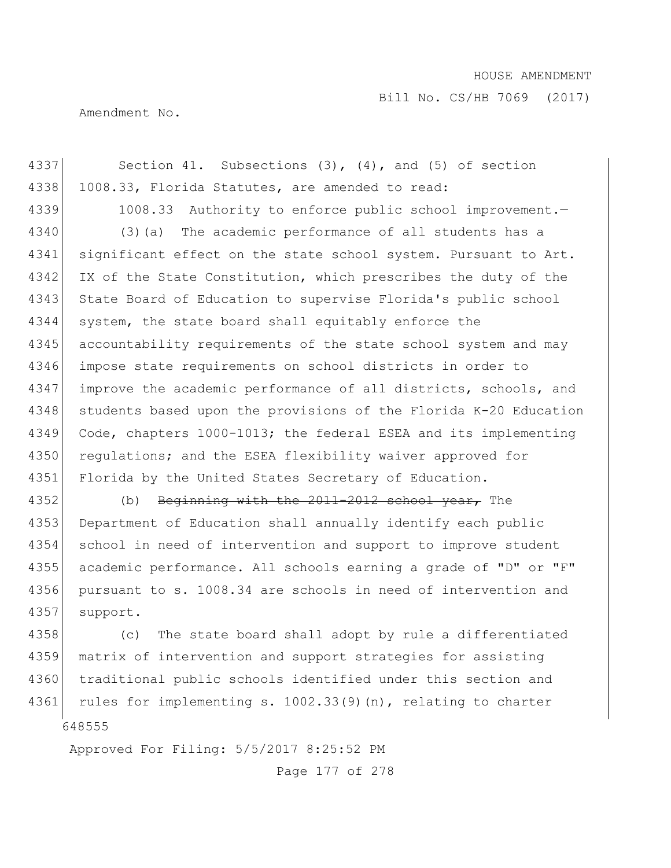Bill No. CS/HB 7069 (2017)

Amendment No.

4337 Section 41. Subsections (3), (4), and (5) of section 4338 1008.33, Florida Statutes, are amended to read: 4339 1008.33 Authority to enforce public school improvement. 4340 (3)(a) The academic performance of all students has a 4341 significant effect on the state school system. Pursuant to Art. 4342 IX of the State Constitution, which prescribes the duty of the 4343 State Board of Education to supervise Florida's public school 4344 system, the state board shall equitably enforce the 4345 accountability requirements of the state school system and may 4346 impose state requirements on school districts in order to 4347 improve the academic performance of all districts, schools, and 4348 students based upon the provisions of the Florida K-20 Education 4349 Code, chapters 1000-1013; the federal ESEA and its implementing 4350 regulations; and the ESEA flexibility waiver approved for 4351 Florida by the United States Secretary of Education. 4352 (b) Beginning with the 2011-2012 school year, The 4353 Department of Education shall annually identify each public 4354 school in need of intervention and support to improve student 4355 academic performance. All schools earning a grade of "D" or "F" 4356 pursuant to s. 1008.34 are schools in need of intervention and 4357 support. 4358 (c) The state board shall adopt by rule a differentiated 4359 matrix of intervention and support strategies for assisting

648555 4360 traditional public schools identified under this section and 4361 rules for implementing s. 1002.33(9)(n), relating to charter

Approved For Filing: 5/5/2017 8:25:52 PM

Page 177 of 278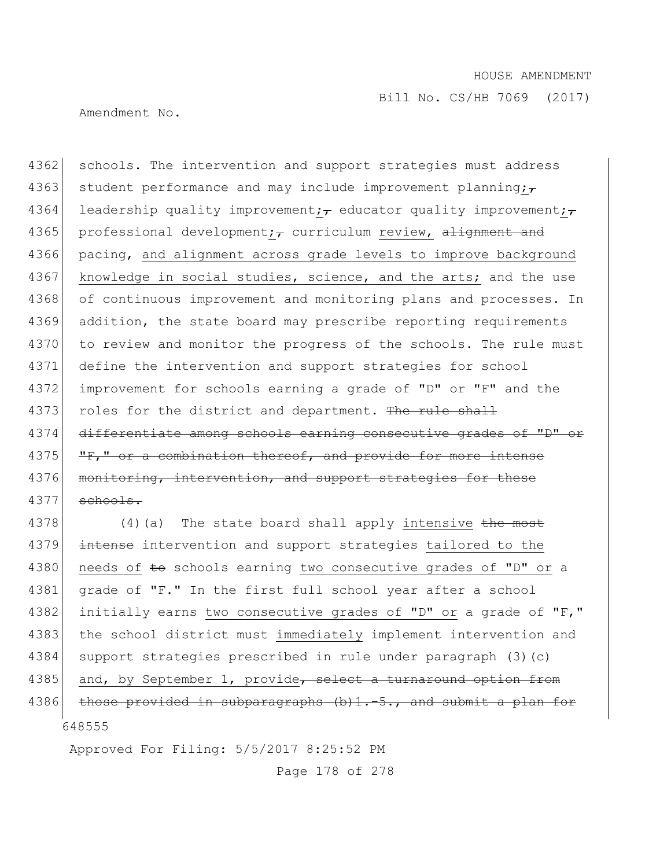Amendment No.

4362 schools. The intervention and support strategies must address 4363 student performance and may include improvement planning; $\tau$ 4364 leadership quality improvement; educator quality improvement; 4365 professional development;  $\tau$  curriculum review, alignment and 4366 pacing, and alignment across grade levels to improve background 4367 knowledge in social studies, science, and the arts; and the use 4368 of continuous improvement and monitoring plans and processes. In 4369 addition, the state board may prescribe reporting requirements 4370 to review and monitor the progress of the schools. The rule must 4371 define the intervention and support strategies for school 4372 improvement for schools earning a grade of "D" or "F" and the 4373 roles for the district and department. The rule shall 4374 differentiate among schools earning consecutive grades of "D" or 4375 **"F,"** or a combination thereof, and provide for more intense 4376 monitoring, intervention, and support strategies for these 4377 schools.

648555 4378 (4)(a) The state board shall apply intensive the most 4379 intense intervention and support strategies tailored to the 4380 needs of to schools earning two consecutive grades of "D" or a 4381 grade of "F." In the first full school year after a school 4382 initially earns two consecutive grades of "D" or a grade of "F," 4383 | the school district must immediately implement intervention and 4384 support strategies prescribed in rule under paragraph (3)(c) 4385 and, by September 1, provide, select a turnaround option from 4386 those provided in subparagraphs (b)1.-5., and submit a plan for

Approved For Filing: 5/5/2017 8:25:52 PM

Page 178 of 278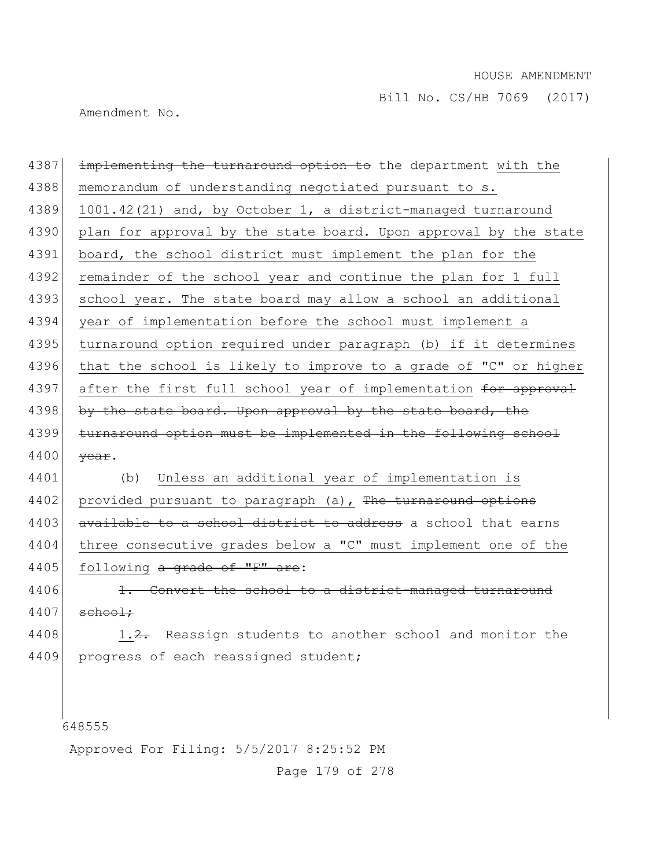Amendment No.

4387 implementing the turnaround option to the department with the 4388 memorandum of understanding negotiated pursuant to s. 4389 1001.42(21) and, by October 1, a district-managed turnaround 4390 plan for approval by the state board. Upon approval by the state 4391 board, the school district must implement the plan for the 4392 remainder of the school year and continue the plan for 1 full 4393 school year. The state board may allow a school an additional 4394 year of implementation before the school must implement a 4395 turnaround option required under paragraph (b) if it determines 4396 that the school is likely to improve to a grade of "C" or higher 4397 after the first full school year of implementation for approval 4398 by the state board. Upon approval by the state board, the 4399 turnaround option must be implemented in the following school 4400 <del>year</del>. 4401 (b) Unless an additional year of implementation is 4402 provided pursuant to paragraph (a), The turnaround options 4403 available to a school district to address a school that earns 4404 three consecutive grades below a "C" must implement one of the 4405 following a grade of "F" are:

4406 1. Convert the school to a district-managed turnaround  $4407$  school:

4408 1.2. Reassign students to another school and monitor the 4409 progress of each reassigned student;

648555

Approved For Filing: 5/5/2017 8:25:52 PM

Page 179 of 278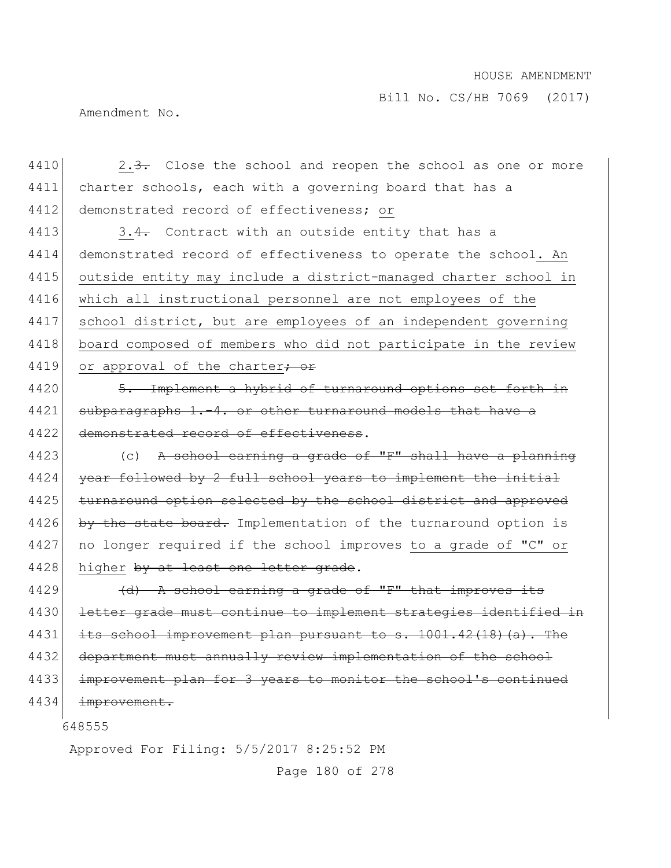Bill No. CS/HB 7069 (2017)

Amendment No.

4410 2.3. Close the school and reopen the school as one or more 4411 charter schools, each with a governing board that has a 4412 demonstrated record of effectiveness; or

4413  $\vert$  3.4. Contract with an outside entity that has a 4414 demonstrated record of effectiveness to operate the school. An 4415 outside entity may include a district-managed charter school in 4416 which all instructional personnel are not employees of the 4417 school district, but are employees of an independent governing 4418 board composed of members who did not participate in the review 4419 or approval of the charter<del>; or</del>

4420 5. Implement a hybrid of turnaround options set forth in 4421 subparagraphs 1.-4. or other turnaround models that have a 4422 demonstrated record of effectiveness.

4423 (c) A school earning a grade of "F" shall have a planning  $4424$  year followed by 2 full school years to implement the initial 4425 turnaround option selected by the school district and approved 4426 by the state board. Implementation of the turnaround option is 4427 | no longer required if the school improves to a grade of "C" or 4428 higher by at least one letter grade.

4429  $\left( d \right)$  A school earning a grade of "F" that improves its 4430 letter grade must continue to implement strategies identified in 4431 its school improvement plan pursuant to s. 1001.42(18)(a). The 4432 department must annually review implementation of the school 4433 improvement plan for 3 years to monitor the school's continued 4434 improvement.

648555

Approved For Filing: 5/5/2017 8:25:52 PM

Page 180 of 278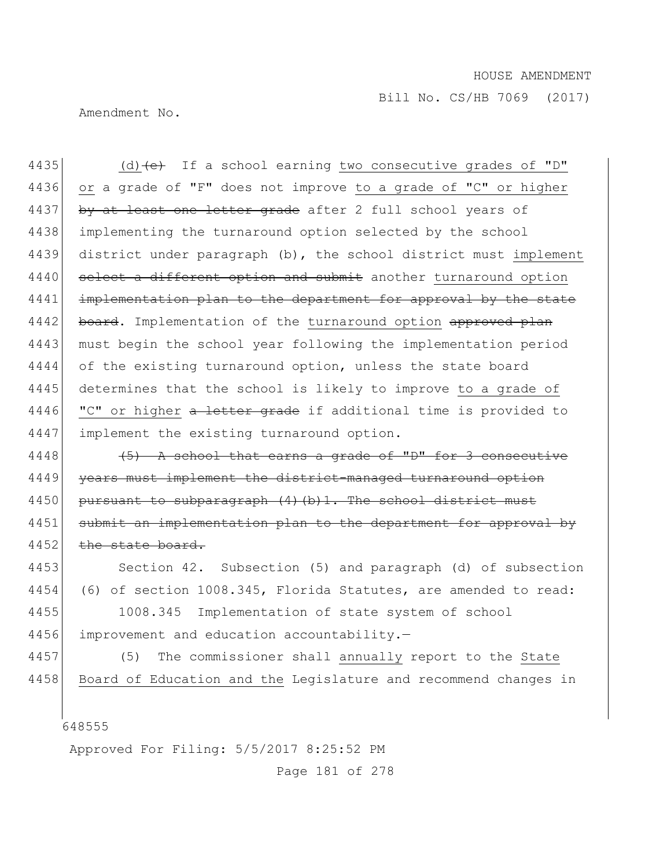Amendment No.

4435 (d)  $\left(e\right)$  If a school earning two consecutive grades of "D" 4436 or a grade of "F" does not improve to a grade of "C" or higher 4437 by at least one letter grade after 2 full school years of 4438 implementing the turnaround option selected by the school 4439 district under paragraph (b), the school district must implement 4440 select a different option and submit another turnaround option 4441 implementation plan to the department for approval by the state 4442 board. Implementation of the turnaround option approved plan 4443 must begin the school year following the implementation period 4444 of the existing turnaround option, unless the state board 4445 determines that the school is likely to improve to a grade of 4446 "C" or higher a letter grade if additional time is provided to 4447 implement the existing turnaround option.

4448  $(5)$  A school that earns a grade of "D" for 3 consecutive 4449 vears must implement the district-managed turnaround option 4450 pursuant to subparagraph (4) (b) 1. The school district must 4451 submit an implementation plan to the department for approval by 4452 the state board.

4453 Section 42. Subsection (5) and paragraph (d) of subsection 4454 (6) of section 1008.345, Florida Statutes, are amended to read: 4455 1008.345 Implementation of state system of school

4456 improvement and education accountability.-

4457 (5) The commissioner shall annually report to the State 4458 Board of Education and the Legislature and recommend changes in

648555

Approved For Filing: 5/5/2017 8:25:52 PM

Page 181 of 278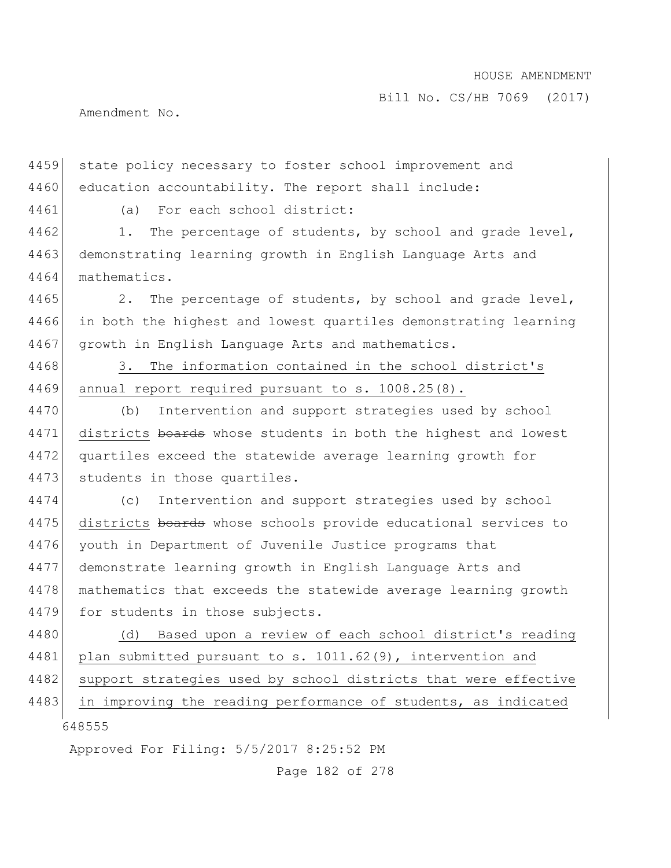Amendment No.

4459 state policy necessary to foster school improvement and 4460 education accountability. The report shall include:

4461 (a) For each school district:

4462 1. The percentage of students, by school and grade level, 4463 demonstrating learning growth in English Language Arts and 4464 mathematics.

4465 2. The percentage of students, by school and grade level, 4466 in both the highest and lowest quartiles demonstrating learning 4467 growth in English Language Arts and mathematics.

4468 3. The information contained in the school district's 4469 annual report required pursuant to s. 1008.25(8).

4470 (b) Intervention and support strategies used by school 4471 districts boards whose students in both the highest and lowest 4472 quartiles exceed the statewide average learning growth for 4473 students in those quartiles.

4474 (c) Intervention and support strategies used by school 4475 districts boards whose schools provide educational services to 4476 youth in Department of Juvenile Justice programs that 4477 demonstrate learning growth in English Language Arts and 4478 mathematics that exceeds the statewide average learning growth 4479 for students in those subjects.

4480 (d) Based upon a review of each school district's reading 4481 plan submitted pursuant to s. 1011.62(9), intervention and 4482 support strategies used by school districts that were effective 4483 in improving the reading performance of students, as indicated

648555

Approved For Filing: 5/5/2017 8:25:52 PM

Page 182 of 278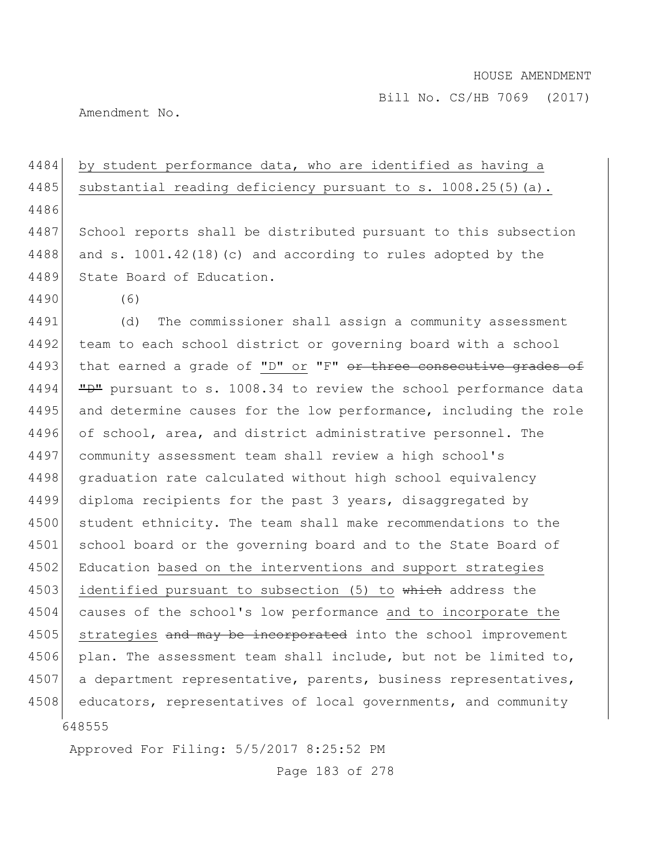Bill No. CS/HB 7069 (2017)

Amendment No.

| 4484 | by student performance data, who are identified as having a      |
|------|------------------------------------------------------------------|
| 4485 | substantial reading deficiency pursuant to s. 1008.25(5)(a).     |
| 4486 |                                                                  |
| 4487 | School reports shall be distributed pursuant to this subsection  |
| 4488 | and s. $1001.42(18)$ (c) and according to rules adopted by the   |
| 4489 | State Board of Education.                                        |
| 4490 | (6)                                                              |
| 4491 | The commissioner shall assign a community assessment<br>(d)      |
| 4492 | team to each school district or governing board with a school    |
| 4493 | that earned a grade of "D" or "F" or three consecutive grades of |
| 4494 | "D" pursuant to s. 1008.34 to review the school performance data |
| 4495 | and determine causes for the low performance, including the role |
| 4496 | of school, area, and district administrative personnel. The      |
| 4497 | community assessment team shall review a high school's           |
| 4498 | graduation rate calculated without high school equivalency       |
| 4499 | diploma recipients for the past 3 years, disaggregated by        |
| 4500 | student ethnicity. The team shall make recommendations to the    |
| 4501 | school board or the governing board and to the State Board of    |
| 4502 | Education based on the interventions and support strategies      |
| 4503 | identified pursuant to subsection (5) to which address the       |
| 4504 | causes of the school's low performance and to incorporate the    |
| 4505 | strategies and may be incorporated into the school improvement   |
| 4506 | plan. The assessment team shall include, but not be limited to,  |
| 4507 | a department representative, parents, business representatives,  |
| 4508 | educators, representatives of local governments, and community   |
|      | 648555                                                           |

Approved For Filing: 5/5/2017 8:25:52 PM

Page 183 of 278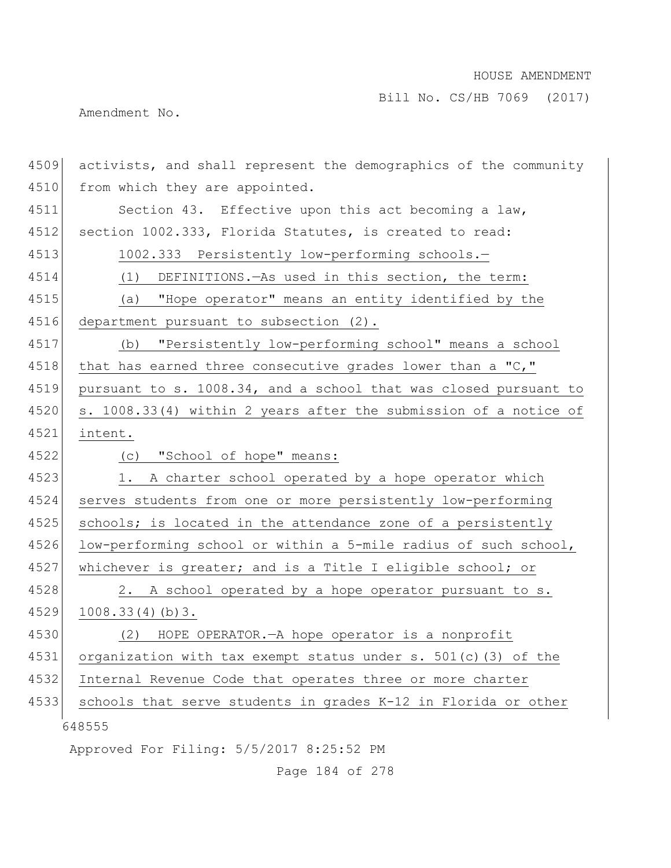Bill No. CS/HB 7069 (2017)

Amendment No.

| 4509 | activists, and shall represent the demographics of the community |
|------|------------------------------------------------------------------|
| 4510 | from which they are appointed.                                   |
| 4511 | Section 43. Effective upon this act becoming a law,              |
| 4512 | section 1002.333, Florida Statutes, is created to read:          |
| 4513 | 1002.333 Persistently low-performing schools.-                   |
| 4514 | DEFINITIONS. - As used in this section, the term:<br>(1)         |
| 4515 | (a) "Hope operator" means an entity identified by the            |
| 4516 | department pursuant to subsection (2).                           |
| 4517 | "Persistently low-performing school" means a school<br>(b)       |
| 4518 | that has earned three consecutive grades lower than a "C,"       |
| 4519 | pursuant to s. 1008.34, and a school that was closed pursuant to |
| 4520 | s. 1008.33(4) within 2 years after the submission of a notice of |
| 4521 | intent.                                                          |
| 4522 | (c) "School of hope" means:                                      |
| 4523 | 1. A charter school operated by a hope operator which            |
| 4524 | serves students from one or more persistently low-performing     |
| 4525 | schools; is located in the attendance zone of a persistently     |
| 4526 | low-performing school or within a 5-mile radius of such school,  |
| 4527 | whichever is greater; and is a Title I eligible school; or       |
| 4528 | 2. A school operated by a hope operator pursuant to s.           |
| 4529 | 1008.33(4)(b)3.                                                  |
| 4530 | (2) HOPE OPERATOR. - A hope operator is a nonprofit              |
| 4531 | organization with tax exempt status under s. 501(c)(3) of the    |
| 4532 | Internal Revenue Code that operates three or more charter        |
| 4533 | schools that serve students in grades K-12 in Florida or other   |
|      | 648555                                                           |
|      | Approved For Filing: 5/5/2017 8:25:52 PM                         |

Page 184 of 278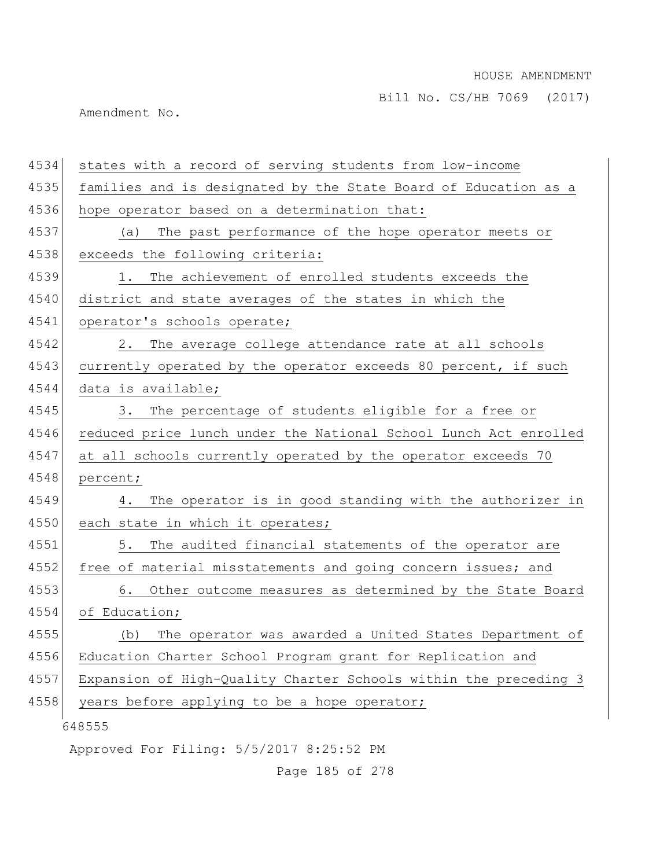Amendment No.

| 4534 | states with a record of serving students from low-income         |
|------|------------------------------------------------------------------|
| 4535 | families and is designated by the State Board of Education as a  |
| 4536 | hope operator based on a determination that:                     |
| 4537 | The past performance of the hope operator meets or<br>(a)        |
| 4538 | exceeds the following criteria:                                  |
| 4539 | The achievement of enrolled students exceeds the<br>1.           |
| 4540 | district and state averages of the states in which the           |
| 4541 | operator's schools operate;                                      |
| 4542 | The average college attendance rate at all schools<br>2.         |
| 4543 | currently operated by the operator exceeds 80 percent, if such   |
| 4544 | data is available;                                               |
| 4545 | 3. The percentage of students eligible for a free or             |
| 4546 | reduced price lunch under the National School Lunch Act enrolled |
| 4547 | at all schools currently operated by the operator exceeds 70     |
| 4548 | percent;                                                         |
| 4549 | The operator is in good standing with the authorizer in<br>4.    |
| 4550 | each state in which it operates;                                 |
| 4551 | 5.<br>The audited financial statements of the operator are       |
| 4552 | free of material misstatements and going concern issues; and     |
| 4553 | Other outcome measures as determined by the State Board<br>6.    |
| 4554 | of Education;                                                    |
| 4555 | The operator was awarded a United States Department of<br>(b)    |
| 4556 | Education Charter School Program grant for Replication and       |
| 4557 | Expansion of High-Quality Charter Schools within the preceding 3 |
| 4558 | years before applying to be a hope operator;                     |
|      | 648555                                                           |
|      | Approved For Filing: 5/5/2017 8:25:52 PM                         |

Page 185 of 278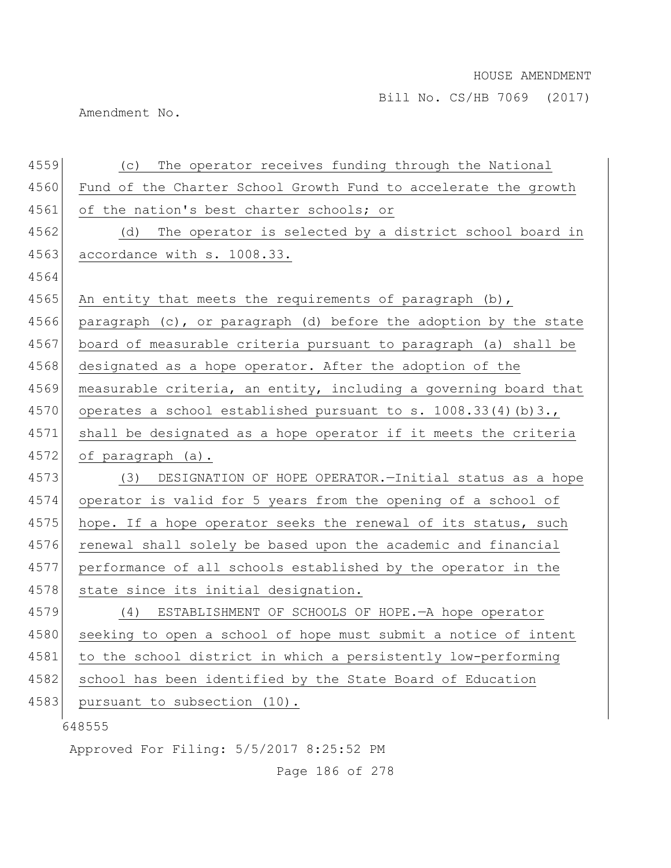Amendment No.

| 4559 | The operator receives funding through the National<br>(C)        |
|------|------------------------------------------------------------------|
| 4560 | Fund of the Charter School Growth Fund to accelerate the growth  |
| 4561 | of the nation's best charter schools; or                         |
| 4562 | The operator is selected by a district school board in<br>(d)    |
| 4563 | accordance with s. 1008.33.                                      |
| 4564 |                                                                  |
| 4565 | An entity that meets the requirements of paragraph (b),          |
| 4566 | paragraph (c), or paragraph (d) before the adoption by the state |
| 4567 | board of measurable criteria pursuant to paragraph (a) shall be  |
| 4568 | designated as a hope operator. After the adoption of the         |
| 4569 | measurable criteria, an entity, including a governing board that |
| 4570 | operates a school established pursuant to s. 1008.33(4)(b)3.,    |
| 4571 | shall be designated as a hope operator if it meets the criteria  |
| 4572 | of paragraph (a).                                                |
| 4573 | (3) DESIGNATION OF HOPE OPERATOR. - Initial status as a hope     |
| 4574 | operator is valid for 5 years from the opening of a school of    |
| 4575 | hope. If a hope operator seeks the renewal of its status, such   |
| 4576 | renewal shall solely be based upon the academic and financial    |
| 4577 | performance of all schools established by the operator in the    |
| 4578 | state since its initial designation.                             |
| 4579 | ESTABLISHMENT OF SCHOOLS OF HOPE. A hope operator<br>(4)         |
| 4580 | seeking to open a school of hope must submit a notice of intent  |
| 4581 | to the school district in which a persistently low-performing    |
| 4582 | school has been identified by the State Board of Education       |
| 4583 | pursuant to subsection (10).                                     |
|      | 648555                                                           |
|      | Approved For Filing: 5/5/2017 8:25:52 PM                         |

Page 186 of 278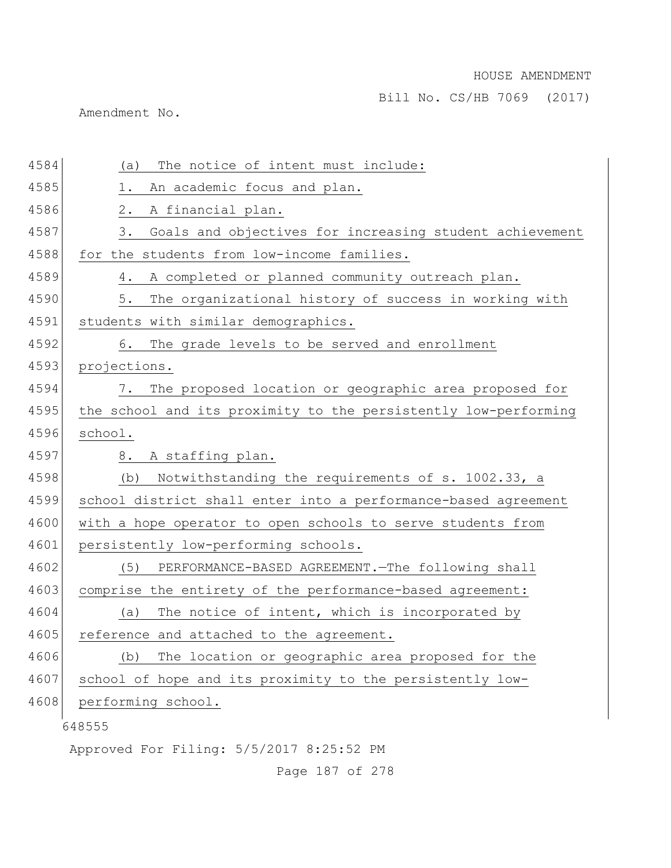Bill No. CS/HB 7069 (2017)

Amendment No.

| 4584 | The notice of intent must include:<br>(a)                       |
|------|-----------------------------------------------------------------|
| 4585 | 1.<br>An academic focus and plan.                               |
| 4586 | 2.<br>A financial plan.                                         |
| 4587 | Goals and objectives for increasing student achievement<br>3.   |
| 4588 | for the students from low-income families.                      |
| 4589 | A completed or planned community outreach plan.<br>4.           |
| 4590 | 5.<br>The organizational history of success in working with     |
| 4591 | students with similar demographics.                             |
| 4592 | The grade levels to be served and enrollment<br>6.              |
| 4593 | projections.                                                    |
| 4594 | The proposed location or geographic area proposed for<br>7.     |
| 4595 | the school and its proximity to the persistently low-performing |
| 4596 | school.                                                         |
| 4597 | 8. A staffing plan.                                             |
| 4598 | Notwithstanding the requirements of s. 1002.33, a<br>(b)        |
| 4599 | school district shall enter into a performance-based agreement  |
| 4600 | with a hope operator to open schools to serve students from     |
| 4601 | persistently low-performing schools.                            |
| 4602 | (5)<br>PERFORMANCE-BASED AGREEMENT. - The following shall       |
| 4603 | comprise the entirety of the performance-based agreement:       |
| 4604 | The notice of intent, which is incorporated by<br>(a)           |
| 4605 | reference and attached to the agreement.                        |
| 4606 | The location or geographic area proposed for the<br>(b)         |
| 4607 | school of hope and its proximity to the persistently low-       |
| 4608 | performing school.                                              |
|      | 648555                                                          |
|      | Approved For Filing: 5/5/2017 8:25:52 PM                        |

Page 187 of 278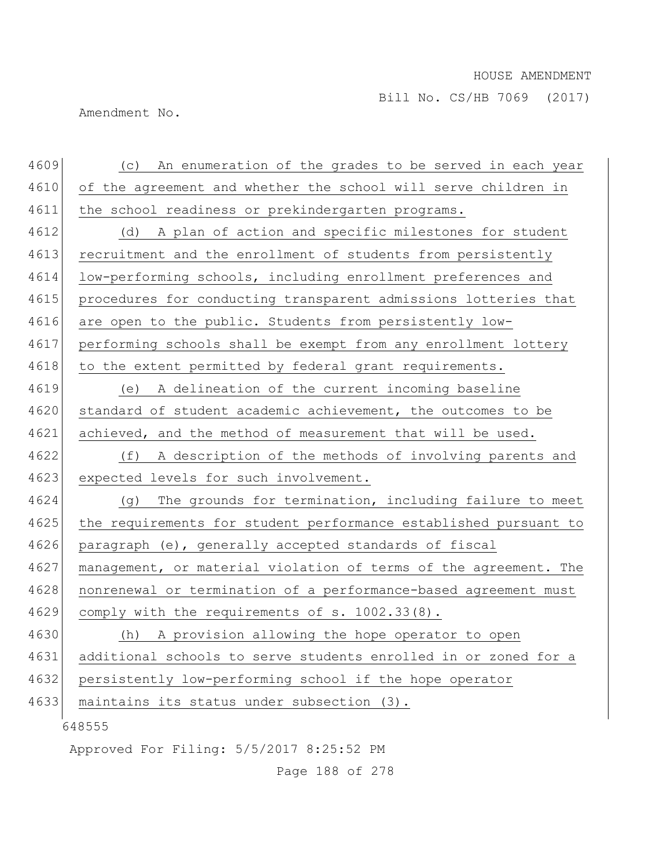Amendment No.

| 4609 | (c) An enumeration of the grades to be served in each year       |
|------|------------------------------------------------------------------|
| 4610 | of the agreement and whether the school will serve children in   |
| 4611 | the school readiness or prekindergarten programs.                |
| 4612 | (d) A plan of action and specific milestones for student         |
| 4613 | recruitment and the enrollment of students from persistently     |
| 4614 | low-performing schools, including enrollment preferences and     |
| 4615 | procedures for conducting transparent admissions lotteries that  |
| 4616 | are open to the public. Students from persistently low-          |
| 4617 | performing schools shall be exempt from any enrollment lottery   |
| 4618 | to the extent permitted by federal grant requirements.           |
| 4619 | A delineation of the current incoming baseline<br>(e)            |
| 4620 | standard of student academic achievement, the outcomes to be     |
| 4621 | achieved, and the method of measurement that will be used.       |
| 4622 | (f)<br>A description of the methods of involving parents and     |
| 4623 | expected levels for such involvement.                            |
| 4624 | The grounds for termination, including failure to meet<br>(q)    |
| 4625 | the requirements for student performance established pursuant to |
| 4626 | paragraph (e), generally accepted standards of fiscal            |
| 4627 | management, or material violation of terms of the agreement. The |
| 4628 | nonrenewal or termination of a performance-based agreement must  |
| 4629 | comply with the requirements of s. 1002.33(8).                   |
| 4630 | A provision allowing the hope operator to open<br>(h)            |
| 4631 | additional schools to serve students enrolled in or zoned for a  |
| 4632 | persistently low-performing school if the hope operator          |
| 4633 | maintains its status under subsection (3).                       |
|      | 648555                                                           |
|      | Approved For Filing: 5/5/2017 8:25:52 PM                         |

Page 188 of 278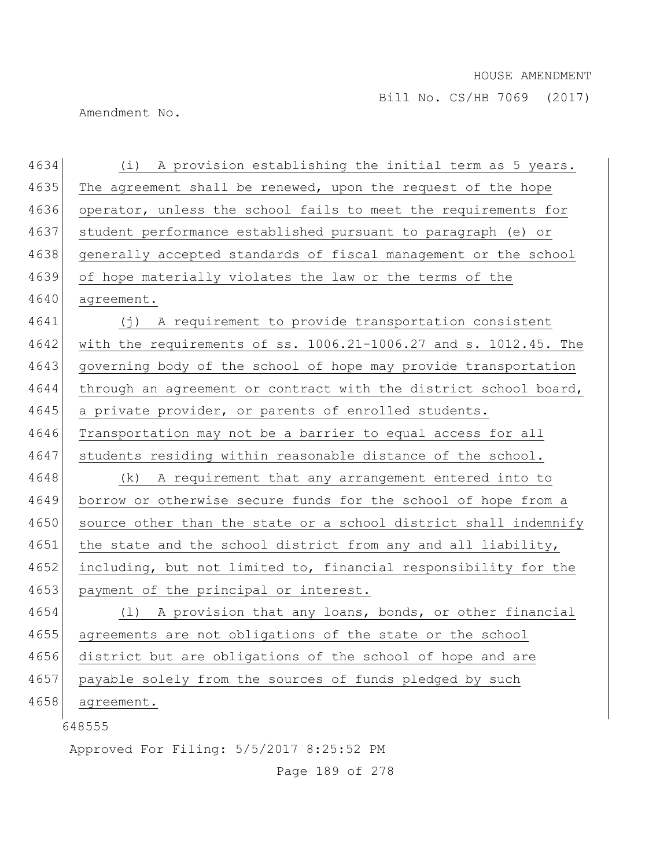Amendment No.

648555 Approved For Filing: 5/5/2017 8:25:52 PM 4634 (i) A provision establishing the initial term as 5 years. 4635 The agreement shall be renewed, upon the request of the hope 4636 operator, unless the school fails to meet the requirements for 4637 student performance established pursuant to paragraph (e) or 4638 generally accepted standards of fiscal management or the school 4639 of hope materially violates the law or the terms of the 4640 agreement. 4641 (j) A requirement to provide transportation consistent 4642 with the requirements of ss. 1006.21-1006.27 and s. 1012.45. The 4643 governing body of the school of hope may provide transportation 4644 through an agreement or contract with the district school board, 4645 a private provider, or parents of enrolled students. 4646 Transportation may not be a barrier to equal access for all 4647 students residing within reasonable distance of the school. 4648 (k) A requirement that any arrangement entered into to 4649 borrow or otherwise secure funds for the school of hope from a 4650 source other than the state or a school district shall indemnify 4651 the state and the school district from any and all liability, 4652 including, but not limited to, financial responsibility for the 4653 payment of the principal or interest. 4654 (1) A provision that any loans, bonds, or other financial 4655 agreements are not obligations of the state or the school 4656 district but are obligations of the school of hope and are 4657 payable solely from the sources of funds pledged by such 4658 agreement.

Page 189 of 278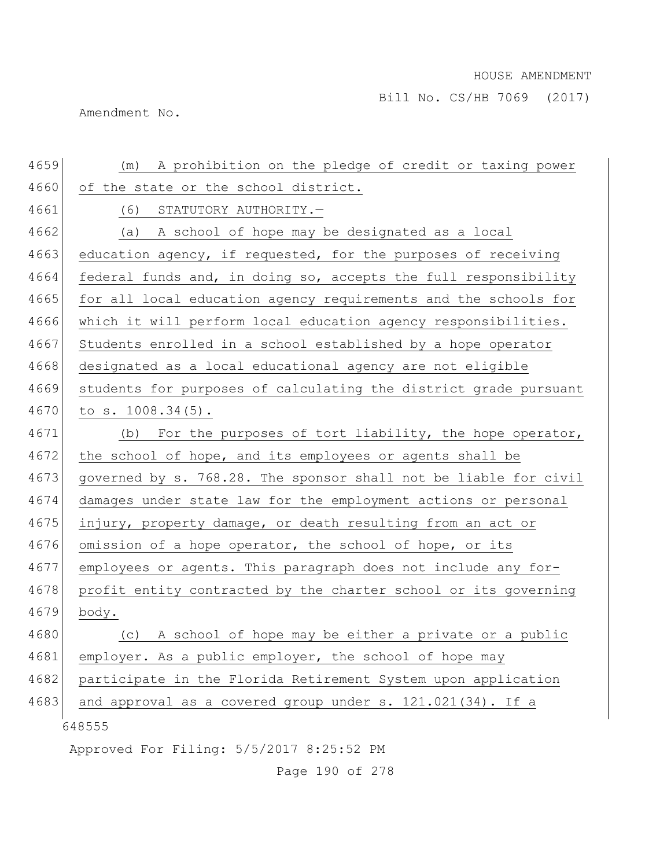Amendment No.

| 4659 | A prohibition on the pledge of credit or taxing power<br>(m)     |
|------|------------------------------------------------------------------|
| 4660 | of the state or the school district.                             |
| 4661 | (6)<br>STATUTORY AUTHORITY.-                                     |
| 4662 | A school of hope may be designated as a local<br>(a)             |
| 4663 | education agency, if requested, for the purposes of receiving    |
| 4664 | federal funds and, in doing so, accepts the full responsibility  |
| 4665 | for all local education agency requirements and the schools for  |
| 4666 | which it will perform local education agency responsibilities.   |
| 4667 | Students enrolled in a school established by a hope operator     |
| 4668 | designated as a local educational agency are not eligible        |
| 4669 | students for purposes of calculating the district grade pursuant |
| 4670 | to $s. 1008.34(5)$ .                                             |
| 4671 | For the purposes of tort liability, the hope operator,<br>(b)    |
| 4672 | the school of hope, and its employees or agents shall be         |
| 4673 | governed by s. 768.28. The sponsor shall not be liable for civil |
| 4674 | damages under state law for the employment actions or personal   |
| 4675 | injury, property damage, or death resulting from an act or       |
| 4676 | omission of a hope operator, the school of hope, or its          |
| 4677 | employees or agents. This paragraph does not include any for-    |
| 4678 | profit entity contracted by the charter school or its governing  |
| 4679 | body.                                                            |
| 4680 | (c) A school of hope may be either a private or a public         |
| 4681 | employer. As a public employer, the school of hope may           |
| 4682 | participate in the Florida Retirement System upon application    |
| 4683 | and approval as a covered group under s. 121.021(34). If a       |
|      | 648555                                                           |
|      | Approved For Filing: 5/5/2017 8:25:52 PM                         |

Page 190 of 278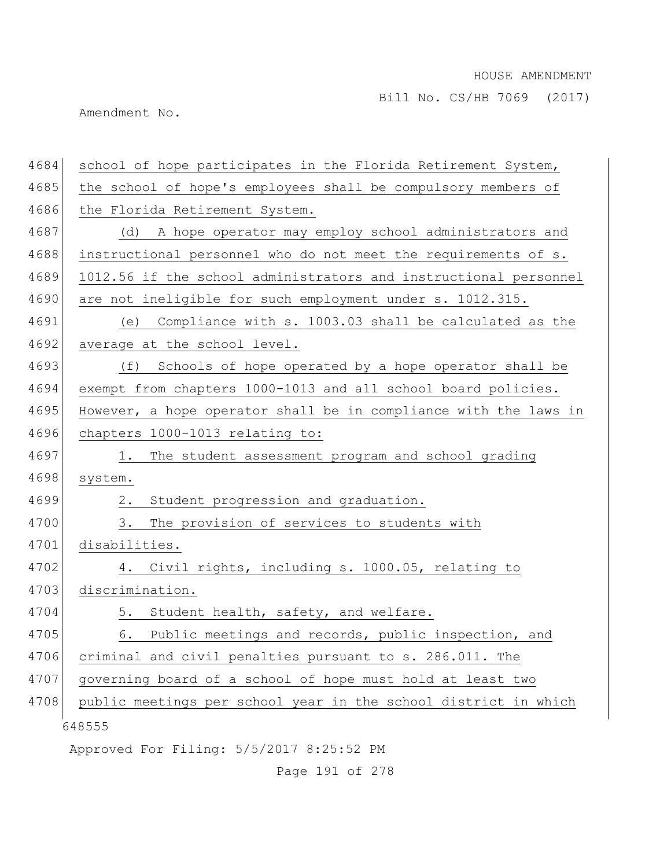Bill No. CS/HB 7069 (2017)

Amendment No.

| 4684 | school of hope participates in the Florida Retirement System,    |
|------|------------------------------------------------------------------|
| 4685 | the school of hope's employees shall be compulsory members of    |
| 4686 | the Florida Retirement System.                                   |
| 4687 | A hope operator may employ school administrators and<br>(d)      |
| 4688 | instructional personnel who do not meet the requirements of s.   |
| 4689 | 1012.56 if the school administrators and instructional personnel |
| 4690 | are not ineligible for such employment under s. 1012.315.        |
| 4691 | Compliance with s. 1003.03 shall be calculated as the<br>(e)     |
| 4692 | average at the school level.                                     |
| 4693 | Schools of hope operated by a hope operator shall be<br>(f)      |
| 4694 | exempt from chapters 1000-1013 and all school board policies.    |
| 4695 | However, a hope operator shall be in compliance with the laws in |
| 4696 | chapters 1000-1013 relating to:                                  |
| 4697 | The student assessment program and school grading<br>1.          |
| 4698 | system.                                                          |
| 4699 | $2$ .<br>Student progression and graduation.                     |
| 4700 | The provision of services to students with<br>3.                 |
| 4701 | disabilities.                                                    |
| 4702 | Civil rights, including s. 1000.05, relating to<br>4.            |
| 4703 | discrimination.                                                  |
| 4704 | 5. Student health, safety, and welfare.                          |
| 4705 | 6. Public meetings and records, public inspection, and           |
| 4706 | criminal and civil penalties pursuant to s. 286.011. The         |
| 4707 | governing board of a school of hope must hold at least two       |
| 4708 | public meetings per school year in the school district in which  |
|      | 648555                                                           |
|      | Approved For Filing: 5/5/2017 8:25:52 PM                         |
|      |                                                                  |

Page 191 of 278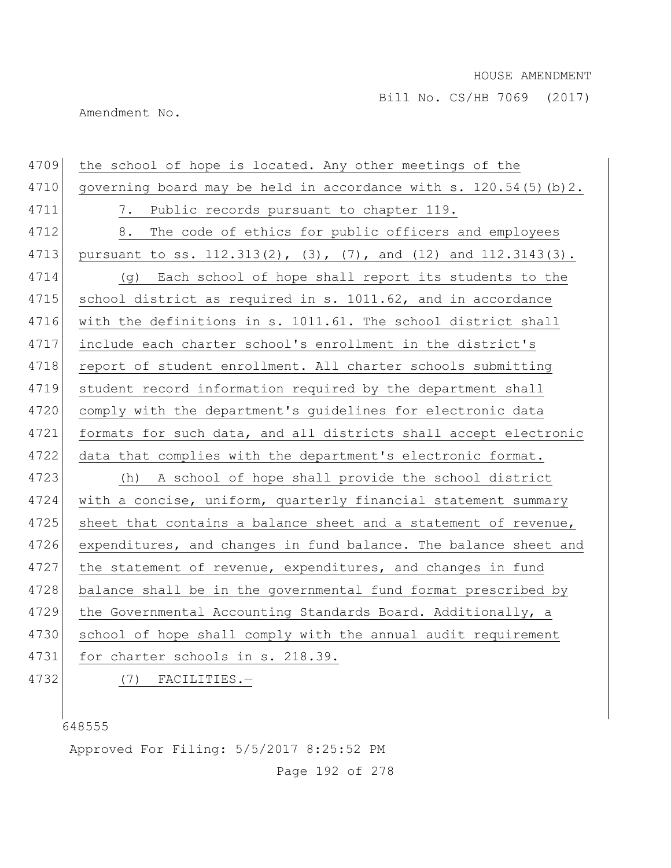Bill No. CS/HB 7069 (2017)

Amendment No.

| 4709 | the school of hope is located. Any other meetings of the                      |
|------|-------------------------------------------------------------------------------|
| 4710 | governing board may be held in accordance with s. 120.54(5) (b) 2.            |
| 4711 | 7. Public records pursuant to chapter 119.                                    |
| 4712 | 8. The code of ethics for public officers and employees                       |
| 4713 | pursuant to ss. $112.313(2)$ , $(3)$ , $(7)$ , and $(12)$ and $112.3143(3)$ . |
| 4714 | (g) Each school of hope shall report its students to the                      |
| 4715 | school district as required in s. 1011.62, and in accordance                  |
| 4716 | with the definitions in s. 1011.61. The school district shall                 |
| 4717 | include each charter school's enrollment in the district's                    |
| 4718 | report of student enrollment. All charter schools submitting                  |
| 4719 | student record information required by the department shall                   |
| 4720 | comply with the department's guidelines for electronic data                   |
| 4721 | formats for such data, and all districts shall accept electronic              |
| 4722 | data that complies with the department's electronic format.                   |
| 4723 | (h) A school of hope shall provide the school district                        |
| 4724 | with a concise, uniform, quarterly financial statement summary                |
| 4725 | sheet that contains a balance sheet and a statement of revenue,               |
| 4726 | expenditures, and changes in fund balance. The balance sheet and              |
| 4727 | the statement of revenue, expenditures, and changes in fund                   |
| 4728 | balance shall be in the governmental fund format prescribed by                |
| 4729 | the Governmental Accounting Standards Board. Additionally, a                  |
| 4730 | school of hope shall comply with the annual audit requirement                 |
| 4731 | for charter schools in s. 218.39.                                             |
| 4732 | $(7)$ FACILITIES. -                                                           |

Approved For Filing: 5/5/2017 8:25:52 PM

Page 192 of 278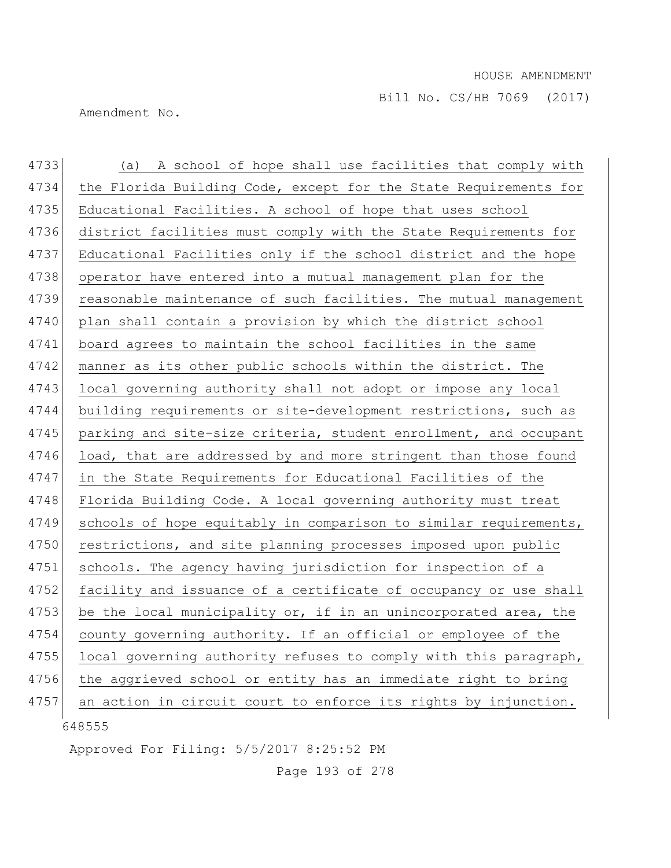Amendment No.

| 4733 | (a) A school of hope shall use facilities that comply with       |
|------|------------------------------------------------------------------|
| 4734 | the Florida Building Code, except for the State Requirements for |
| 4735 | Educational Facilities. A school of hope that uses school        |
| 4736 | district facilities must comply with the State Requirements for  |
| 4737 | Educational Facilities only if the school district and the hope  |
| 4738 | operator have entered into a mutual management plan for the      |
| 4739 | reasonable maintenance of such facilities. The mutual management |
| 4740 | plan shall contain a provision by which the district school      |
| 4741 | board agrees to maintain the school facilities in the same       |
| 4742 | manner as its other public schools within the district. The      |
| 4743 | local governing authority shall not adopt or impose any local    |
| 4744 | building requirements or site-development restrictions, such as  |
| 4745 | parking and site-size criteria, student enrollment, and occupant |
| 4746 | load, that are addressed by and more stringent than those found  |
| 4747 | in the State Requirements for Educational Facilities of the      |
| 4748 | Florida Building Code. A local governing authority must treat    |
| 4749 | schools of hope equitably in comparison to similar requirements, |
| 4750 | restrictions, and site planning processes imposed upon public    |
| 4751 | schools. The agency having jurisdiction for inspection of a      |
| 4752 | facility and issuance of a certificate of occupancy or use shall |
| 4753 | be the local municipality or, if in an unincorporated area, the  |
| 4754 | county governing authority. If an official or employee of the    |
| 4755 | local governing authority refuses to comply with this paragraph, |
| 4756 | the aggrieved school or entity has an immediate right to bring   |
| 4757 | an action in circuit court to enforce its rights by injunction.  |
|      | 648555                                                           |

Approved For Filing: 5/5/2017 8:25:52 PM

Page 193 of 278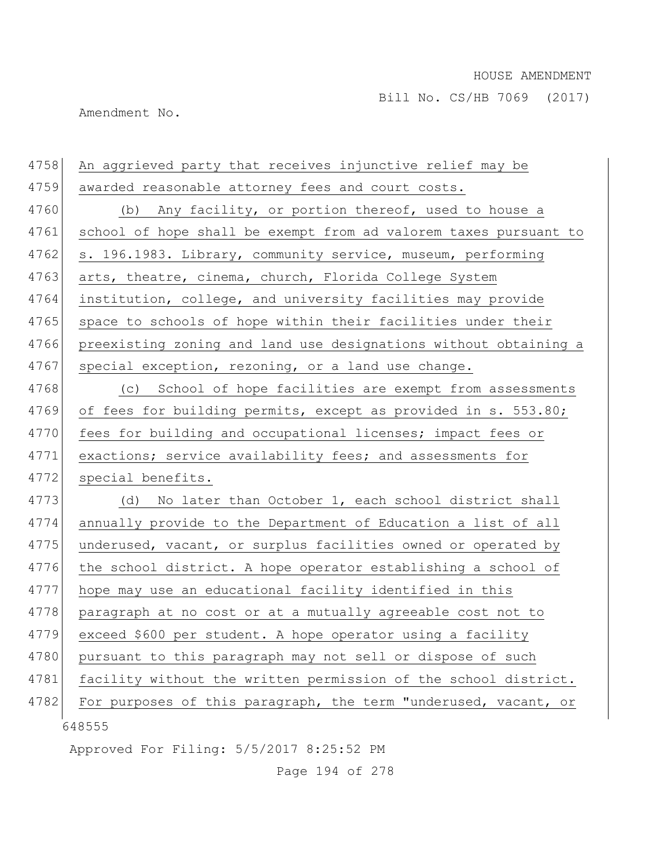Amendment No.

| 4758 | An aggrieved party that receives injunctive relief may be        |
|------|------------------------------------------------------------------|
| 4759 | awarded reasonable attorney fees and court costs.                |
| 4760 | (b) Any facility, or portion thereof, used to house a            |
| 4761 | school of hope shall be exempt from ad valorem taxes pursuant to |
| 4762 | s. 196.1983. Library, community service, museum, performing      |
| 4763 | arts, theatre, cinema, church, Florida College System            |
| 4764 | institution, college, and university facilities may provide      |
| 4765 | space to schools of hope within their facilities under their     |
| 4766 | preexisting zoning and land use designations without obtaining a |
| 4767 | special exception, rezoning, or a land use change.               |
| 4768 | School of hope facilities are exempt from assessments<br>(C)     |
| 4769 | of fees for building permits, except as provided in s. 553.80;   |
| 4770 | fees for building and occupational licenses; impact fees or      |
| 4771 | exactions; service availability fees; and assessments for        |
| 4772 | special benefits.                                                |
| 4773 | No later than October 1, each school district shall<br>(d)       |
| 4774 | annually provide to the Department of Education a list of all    |
| 4775 | underused, vacant, or surplus facilities owned or operated by    |
| 4776 | the school district. A hope operator establishing a school of    |
| 4777 | hope may use an educational facility identified in this          |
| 4778 | paragraph at no cost or at a mutually agreeable cost not to      |
| 4779 | exceed \$600 per student. A hope operator using a facility       |
| 4780 | pursuant to this paragraph may not sell or dispose of such       |
| 4781 | facility without the written permission of the school district.  |
| 4782 | For purposes of this paragraph, the term "underused, vacant, or  |
|      | 648555                                                           |
|      | Approved For Filing: 5/5/2017 8:25:52 PM                         |
|      |                                                                  |

Page 194 of 278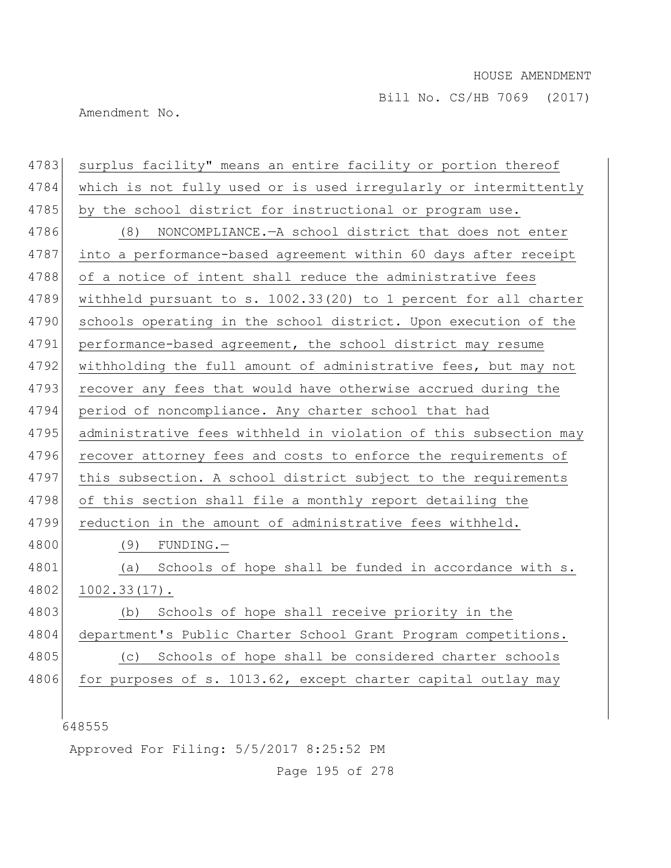Amendment No.

| 4783 | surplus facility" means an entire facility or portion thereof    |
|------|------------------------------------------------------------------|
| 4784 | which is not fully used or is used irregularly or intermittently |
| 4785 | by the school district for instructional or program use.         |
| 4786 | NONCOMPLIANCE. - A school district that does not enter<br>(8)    |
| 4787 | into a performance-based agreement within 60 days after receipt  |
| 4788 | of a notice of intent shall reduce the administrative fees       |
| 4789 | withheld pursuant to s. 1002.33(20) to 1 percent for all charter |
| 4790 | schools operating in the school district. Upon execution of the  |
| 4791 | performance-based agreement, the school district may resume      |
| 4792 | withholding the full amount of administrative fees, but may not  |
| 4793 | recover any fees that would have otherwise accrued during the    |
| 4794 | period of noncompliance. Any charter school that had             |
| 4795 | administrative fees withheld in violation of this subsection may |
| 4796 | recover attorney fees and costs to enforce the requirements of   |
| 4797 | this subsection. A school district subject to the requirements   |
| 4798 | of this section shall file a monthly report detailing the        |
| 4799 | reduction in the amount of administrative fees withheld.         |
| 4800 | (9)<br>$FUNDING.$ -                                              |
| 4801 | Schools of hope shall be funded in accordance with s.<br>(a)     |
| 4802 | $1002.33(17)$ .                                                  |
| 4803 | Schools of hope shall receive priority in the<br>(b)             |
| 4804 | department's Public Charter School Grant Program competitions.   |
| 4805 | Schools of hope shall be considered charter schools<br>(C)       |
| 4806 | for purposes of s. 1013.62, except charter capital outlay may    |
|      |                                                                  |
|      | 648555                                                           |
|      |                                                                  |

Approved For Filing: 5/5/2017 8:25:52 PM

Page 195 of 278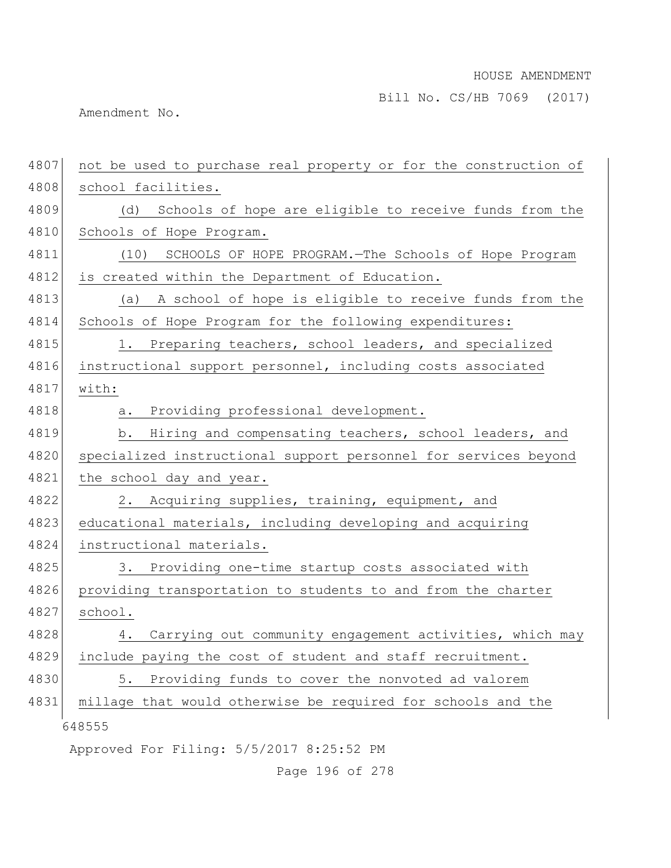Bill No. CS/HB 7069 (2017)

Amendment No.

| 4807 | not be used to purchase real property or for the construction of |
|------|------------------------------------------------------------------|
| 4808 | school facilities.                                               |
| 4809 | (d) Schools of hope are eligible to receive funds from the       |
| 4810 | Schools of Hope Program.                                         |
| 4811 | (10) SCHOOLS OF HOPE PROGRAM. - The Schools of Hope Program      |
| 4812 | is created within the Department of Education.                   |
| 4813 | (a) A school of hope is eligible to receive funds from the       |
| 4814 | Schools of Hope Program for the following expenditures:          |
| 4815 | 1. Preparing teachers, school leaders, and specialized           |
| 4816 | instructional support personnel, including costs associated      |
| 4817 | with:                                                            |
| 4818 | Providing professional development.<br>a.                        |
| 4819 | Hiring and compensating teachers, school leaders, and<br>b.      |
| 4820 | specialized instructional support personnel for services beyond  |
| 4821 | the school day and year.                                         |
| 4822 | 2. Acquiring supplies, training, equipment, and                  |
| 4823 | educational materials, including developing and acquiring        |
| 4824 | instructional materials.                                         |
| 4825 | 3. Providing one-time startup costs associated with              |
| 4826 | providing transportation to students to and from the charter     |
| 4827 | school.                                                          |
| 4828 | Carrying out community engagement activities, which may<br>4.    |
| 4829 | include paying the cost of student and staff recruitment.        |
| 4830 | Providing funds to cover the nonvoted ad valorem<br>5.           |
| 4831 | millage that would otherwise be required for schools and the     |
|      | 648555                                                           |
|      | Approved For Filing: 5/5/2017 8:25:52 PM                         |

Page 196 of 278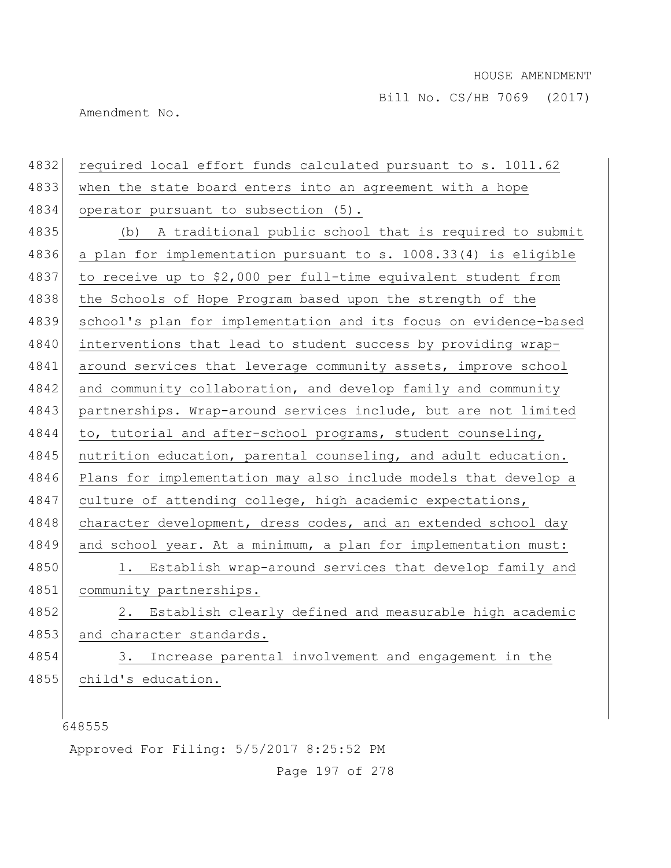Amendment No.

| 4832 | required local effort funds calculated pursuant to s. 1011.62    |
|------|------------------------------------------------------------------|
| 4833 | when the state board enters into an agreement with a hope        |
| 4834 | operator pursuant to subsection (5).                             |
| 4835 | (b) A traditional public school that is required to submit       |
| 4836 | a plan for implementation pursuant to s. 1008.33(4) is eligible  |
| 4837 | to receive up to \$2,000 per full-time equivalent student from   |
| 4838 | the Schools of Hope Program based upon the strength of the       |
| 4839 | school's plan for implementation and its focus on evidence-based |
| 4840 | interventions that lead to student success by providing wrap-    |
| 4841 | around services that leverage community assets, improve school   |
| 4842 | and community collaboration, and develop family and community    |
| 4843 | partnerships. Wrap-around services include, but are not limited  |
| 4844 | to, tutorial and after-school programs, student counseling,      |
| 4845 | nutrition education, parental counseling, and adult education.   |
| 4846 | Plans for implementation may also include models that develop a  |
| 4847 | culture of attending college, high academic expectations,        |
| 4848 | character development, dress codes, and an extended school day   |
| 4849 | and school year. At a minimum, a plan for implementation must:   |
| 4850 | 1. Establish wrap-around services that develop family and        |
| 4851 | community partnerships.                                          |
| 4852 | Establish clearly defined and measurable high academic<br>2.     |
| 4853 | and character standards.                                         |
| 4854 | Increase parental involvement and engagement in the<br>3.        |
| 4855 | child's education.                                               |
|      |                                                                  |

Approved For Filing: 5/5/2017 8:25:52 PM

Page 197 of 278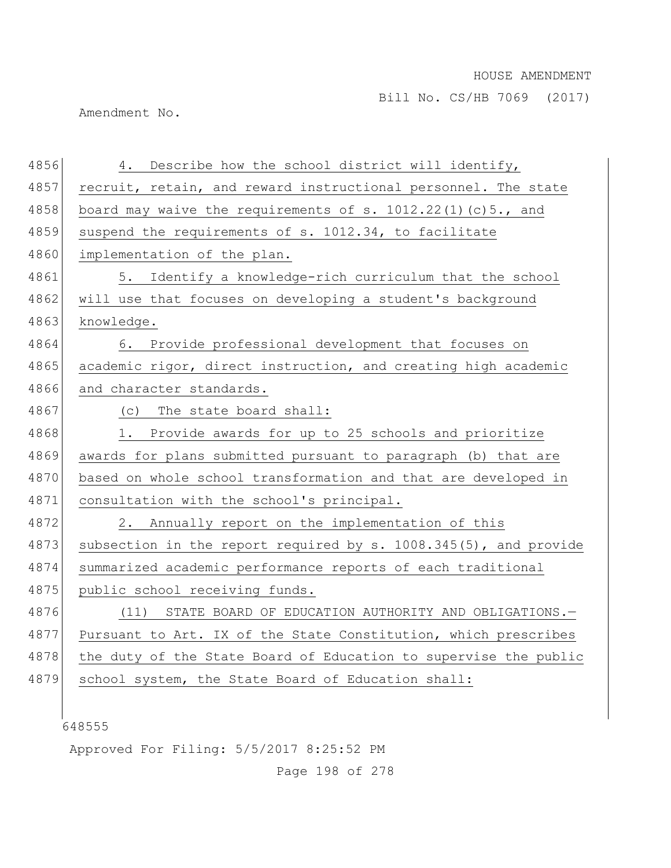Amendment No.

| 4856 | 4. Describe how the school district will identify,               |
|------|------------------------------------------------------------------|
| 4857 | recruit, retain, and reward instructional personnel. The state   |
| 4858 | board may waive the requirements of s. $1012.22(1)(c)5.$ , and   |
| 4859 | suspend the requirements of s. 1012.34, to facilitate            |
| 4860 | implementation of the plan.                                      |
| 4861 | 5. Identify a knowledge-rich curriculum that the school          |
| 4862 | will use that focuses on developing a student's background       |
| 4863 | knowledge.                                                       |
| 4864 | 6. Provide professional development that focuses on              |
| 4865 | academic rigor, direct instruction, and creating high academic   |
| 4866 | and character standards.                                         |
| 4867 | (c) The state board shall:                                       |
| 4868 | 1. Provide awards for up to 25 schools and prioritize            |
| 4869 | awards for plans submitted pursuant to paragraph (b) that are    |
| 4870 | based on whole school transformation and that are developed in   |
| 4871 | consultation with the school's principal.                        |
| 4872 | Annually report on the implementation of this<br>2.              |
| 4873 | subsection in the report required by s. 1008.345(5), and provide |
| 4874 | summarized academic performance reports of each traditional      |
| 4875 | public school receiving funds.                                   |
| 4876 | (11)<br>STATE BOARD OF EDUCATION AUTHORITY AND OBLIGATIONS.-     |
| 4877 | Pursuant to Art. IX of the State Constitution, which prescribes  |
| 4878 | the duty of the State Board of Education to supervise the public |
| 4879 | school system, the State Board of Education shall:               |
|      |                                                                  |
|      | 648555                                                           |

Approved For Filing: 5/5/2017 8:25:52 PM

Page 198 of 278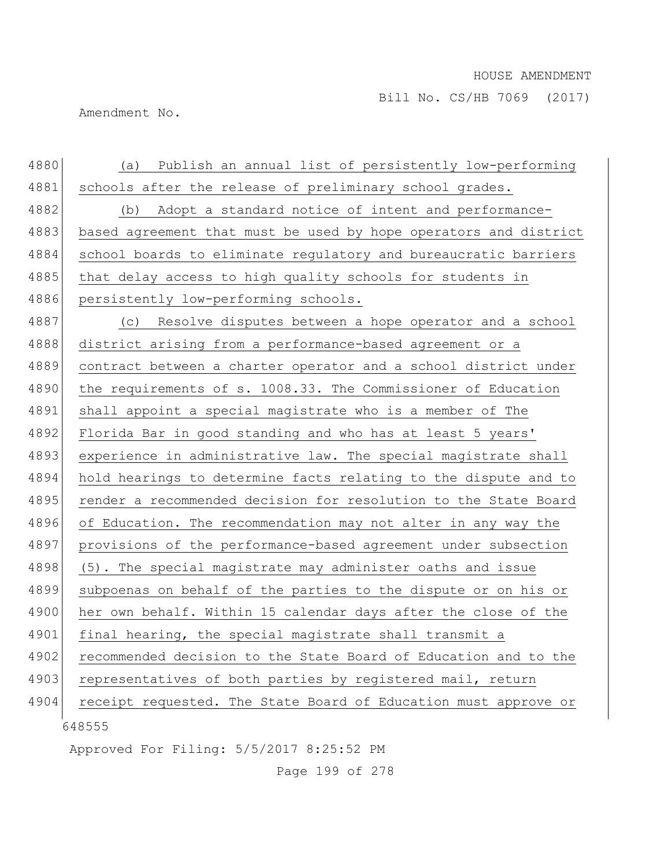Amendment No.

| 4880 | Publish an annual list of persistently low-performing<br>(a)     |
|------|------------------------------------------------------------------|
| 4881 | schools after the release of preliminary school grades.          |
| 4882 | Adopt a standard notice of intent and performance-<br>(b)        |
| 4883 | based agreement that must be used by hope operators and district |
| 4884 | school boards to eliminate regulatory and bureaucratic barriers  |
| 4885 | that delay access to high quality schools for students in        |
| 4886 | persistently low-performing schools.                             |
| 4887 | Resolve disputes between a hope operator and a school<br>(C)     |
| 4888 | district arising from a performance-based agreement or a         |
| 4889 | contract between a charter operator and a school district under  |
| 4890 | the requirements of s. 1008.33. The Commissioner of Education    |
| 4891 | shall appoint a special magistrate who is a member of The        |
| 4892 | Florida Bar in good standing and who has at least 5 years'       |
| 4893 | experience in administrative law. The special magistrate shall   |
| 4894 | hold hearings to determine facts relating to the dispute and to  |
| 4895 | render a recommended decision for resolution to the State Board  |
| 4896 | of Education. The recommendation may not alter in any way the    |
| 4897 | provisions of the performance-based agreement under subsection   |
| 4898 | (5). The special magistrate may administer oaths and issue       |
| 4899 | subpoenas on behalf of the parties to the dispute or on his or   |
| 4900 | her own behalf. Within 15 calendar days after the close of the   |
| 4901 | final hearing, the special magistrate shall transmit a           |
| 4902 | recommended decision to the State Board of Education and to the  |
| 4903 | representatives of both parties by registered mail, return       |
| 4904 | receipt requested. The State Board of Education must approve or  |
|      | 648555                                                           |

Approved For Filing: 5/5/2017 8:25:52 PM

Page 199 of 278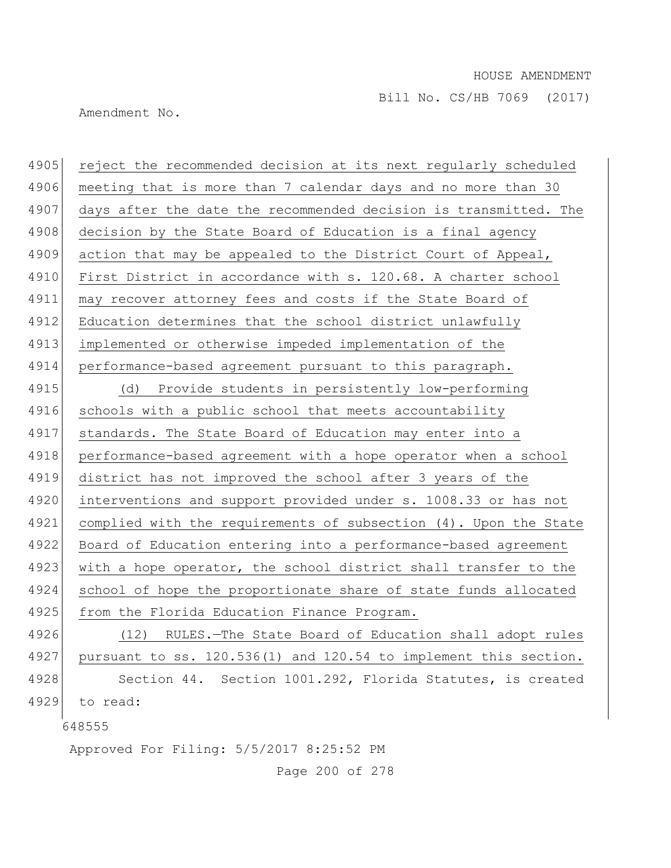Amendment No.

| 4905 | reject the recommended decision at its next regularly scheduled  |
|------|------------------------------------------------------------------|
| 4906 | meeting that is more than 7 calendar days and no more than 30    |
| 4907 | days after the date the recommended decision is transmitted. The |
| 4908 | decision by the State Board of Education is a final agency       |
| 4909 | action that may be appealed to the District Court of Appeal,     |
| 4910 | First District in accordance with s. 120.68. A charter school    |
| 4911 | may recover attorney fees and costs if the State Board of        |
| 4912 | Education determines that the school district unlawfully         |
| 4913 | implemented or otherwise impeded implementation of the           |
| 4914 | performance-based agreement pursuant to this paragraph.          |
| 4915 | Provide students in persistently low-performing<br>(d)           |
| 4916 | schools with a public school that meets accountability           |
| 4917 | standards. The State Board of Education may enter into a         |
| 4918 | performance-based agreement with a hope operator when a school   |
| 4919 | district has not improved the school after 3 years of the        |
| 4920 | interventions and support provided under s. 1008.33 or has not   |
| 4921 | complied with the requirements of subsection (4). Upon the State |
| 4922 | Board of Education entering into a performance-based agreement   |
| 4923 | with a hope operator, the school district shall transfer to the  |
| 4924 | school of hope the proportionate share of state funds allocated  |
| 4925 | from the Florida Education Finance Program.                      |
| 4926 | RULES.-The State Board of Education shall adopt rules<br>(12)    |
| 4927 | pursuant to ss. 120.536(1) and 120.54 to implement this section. |
| 4928 | Section 44. Section 1001.292, Florida Statutes, is created       |
| 4929 | to read:                                                         |
|      | 648555                                                           |
|      |                                                                  |

Approved For Filing: 5/5/2017 8:25:52 PM

Page 200 of 278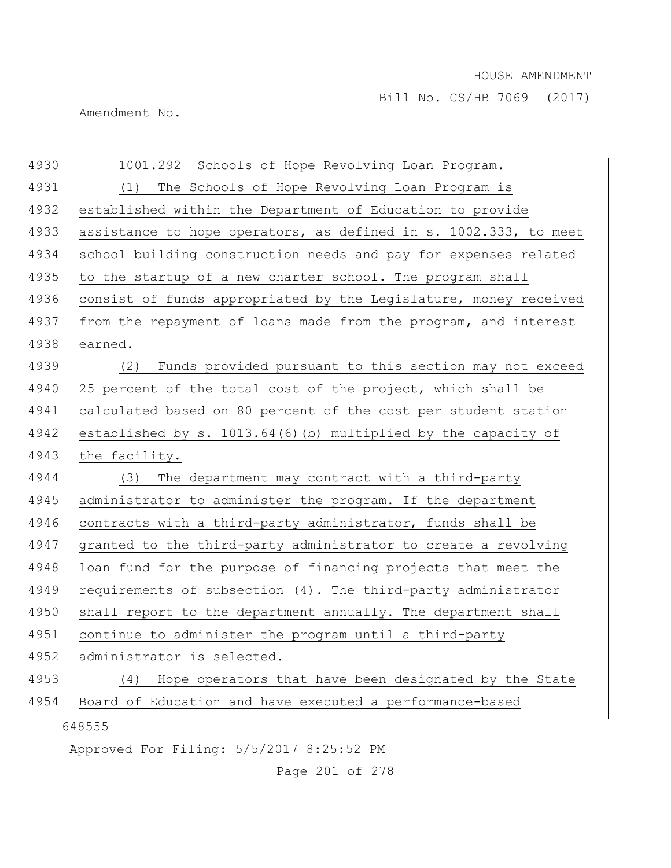Amendment No.

| 4930 | 1001.292 Schools of Hope Revolving Loan Program.-                |
|------|------------------------------------------------------------------|
| 4931 | The Schools of Hope Revolving Loan Program is<br>(1)             |
| 4932 | established within the Department of Education to provide        |
| 4933 | assistance to hope operators, as defined in s. 1002.333, to meet |
| 4934 | school building construction needs and pay for expenses related  |
| 4935 | to the startup of a new charter school. The program shall        |
| 4936 | consist of funds appropriated by the Legislature, money received |
| 4937 | from the repayment of loans made from the program, and interest  |
| 4938 | earned.                                                          |
| 4939 | Funds provided pursuant to this section may not exceed<br>(2)    |
| 4940 | 25 percent of the total cost of the project, which shall be      |
| 4941 | calculated based on 80 percent of the cost per student station   |
| 4942 | established by s. 1013.64(6)(b) multiplied by the capacity of    |
| 4943 | the facility.                                                    |
| 4944 | The department may contract with a third-party<br>(3)            |
| 4945 | administrator to administer the program. If the department       |
| 4946 | contracts with a third-party administrator, funds shall be       |
| 4947 | granted to the third-party administrator to create a revolving   |
| 4948 | loan fund for the purpose of financing projects that meet the    |
| 4949 | requirements of subsection (4). The third-party administrator    |
| 4950 | shall report to the department annually. The department shall    |
| 4951 | continue to administer the program until a third-party           |
| 4952 | administrator is selected.                                       |
| 4953 | Hope operators that have been designated by the State<br>(4)     |
| 4954 | Board of Education and have executed a performance-based         |
|      | 648555                                                           |
|      | Approved For Filing: 5/5/2017 8:25:52 PM                         |

Page 201 of 278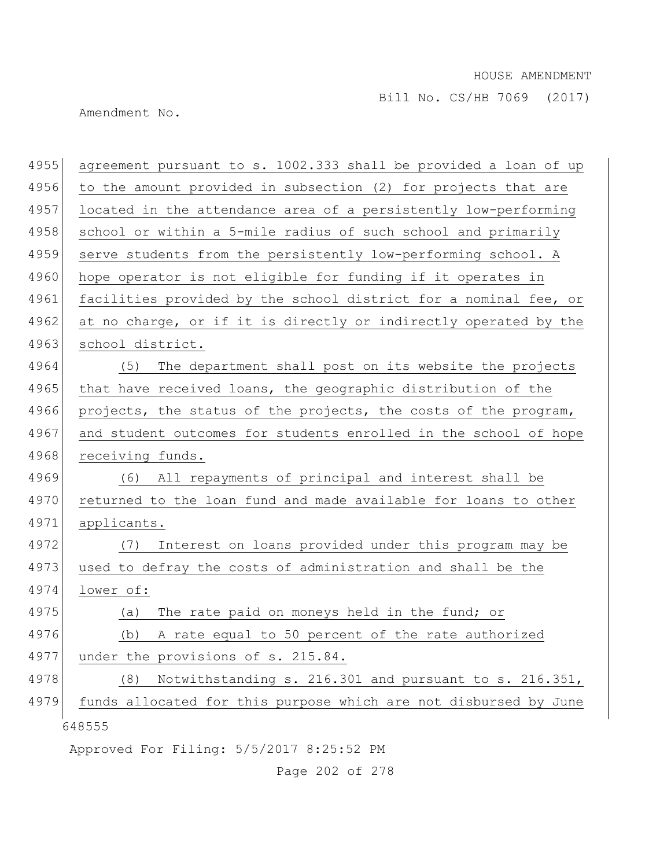Bill No. CS/HB 7069 (2017)

Amendment No.

| 4955 | agreement pursuant to s. 1002.333 shall be provided a loan of up |
|------|------------------------------------------------------------------|
| 4956 | to the amount provided in subsection (2) for projects that are   |
| 4957 | located in the attendance area of a persistently low-performing  |
| 4958 | school or within a 5-mile radius of such school and primarily    |
| 4959 | serve students from the persistently low-performing school. A    |
| 4960 | hope operator is not eligible for funding if it operates in      |
| 4961 | facilities provided by the school district for a nominal fee, or |
| 4962 | at no charge, or if it is directly or indirectly operated by the |
| 4963 | school district.                                                 |
| 4964 | The department shall post on its website the projects<br>(5)     |
| 4965 | that have received loans, the geographic distribution of the     |
| 4966 | projects, the status of the projects, the costs of the program,  |
| 4967 | and student outcomes for students enrolled in the school of hope |
| 4968 | receiving funds.                                                 |
| 4969 | (6) All repayments of principal and interest shall be            |
| 4970 | returned to the loan fund and made available for loans to other  |
| 4971 | applicants.                                                      |
| 4972 | Interest on loans provided under this program may be<br>(7)      |
| 4973 | used to defray the costs of administration and shall be the      |
| 4974 | lower of:                                                        |
| 4975 | The rate paid on moneys held in the fund; or<br>(a)              |
| 4976 | A rate equal to 50 percent of the rate authorized<br>(b)         |
| 4977 | under the provisions of s. 215.84.                               |
| 4978 | Notwithstanding s. 216.301 and pursuant to s. 216.351,<br>(8)    |
| 4979 | funds allocated for this purpose which are not disbursed by June |
|      | 648555                                                           |
|      | Approved For Filing: 5/5/2017 8:25:52 PM                         |

Page 202 of 278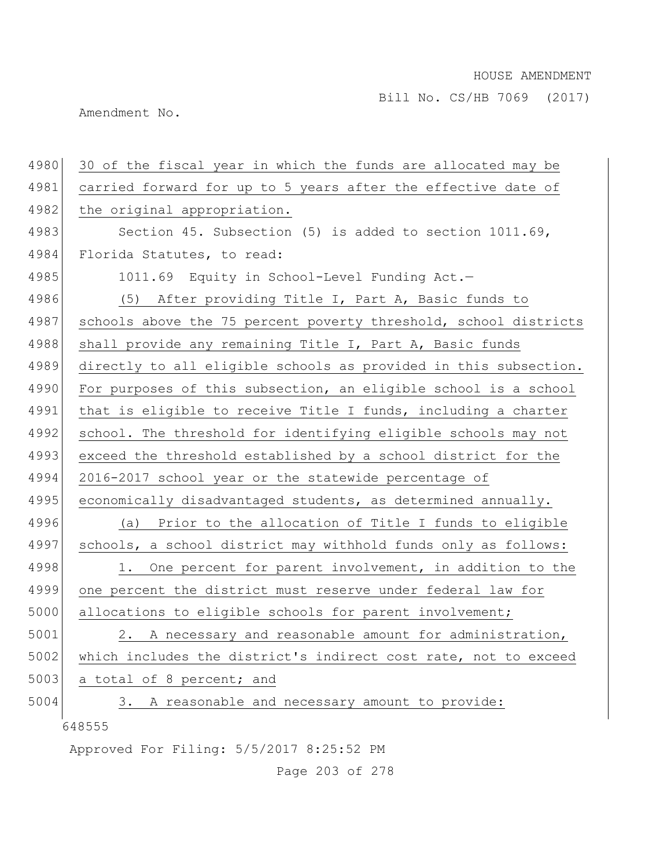Amendment No.

| 4980 | 30 of the fiscal year in which the funds are allocated may be    |
|------|------------------------------------------------------------------|
| 4981 | carried forward for up to 5 years after the effective date of    |
| 4982 | the original appropriation.                                      |
| 4983 | Section 45. Subsection (5) is added to section 1011.69,          |
| 4984 | Florida Statutes, to read:                                       |
| 4985 | 1011.69 Equity in School-Level Funding Act.-                     |
| 4986 | (5) After providing Title I, Part A, Basic funds to              |
| 4987 | schools above the 75 percent poverty threshold, school districts |
| 4988 | shall provide any remaining Title I, Part A, Basic funds         |
| 4989 | directly to all eligible schools as provided in this subsection. |
| 4990 | For purposes of this subsection, an eligible school is a school  |
| 4991 | that is eligible to receive Title I funds, including a charter   |
| 4992 | school. The threshold for identifying eligible schools may not   |
| 4993 | exceed the threshold established by a school district for the    |
| 4994 | 2016-2017 school year or the statewide percentage of             |
| 4995 | economically disadvantaged students, as determined annually.     |
| 4996 | Prior to the allocation of Title I funds to eligible<br>(a)      |
| 4997 | schools, a school district may withhold funds only as follows:   |
| 4998 | One percent for parent involvement, in addition to the<br>1.     |
| 4999 | one percent the district must reserve under federal law for      |
| 5000 | allocations to eligible schools for parent involvement;          |
| 5001 | 2. A necessary and reasonable amount for administration,         |
| 5002 | which includes the district's indirect cost rate, not to exceed  |
| 5003 | a total of 8 percent; and                                        |
| 5004 | A reasonable and necessary amount to provide:<br>3.              |
|      | 648555                                                           |
|      | Approved For Filing: 5/5/2017 8:25:52 PM                         |

Page 203 of 278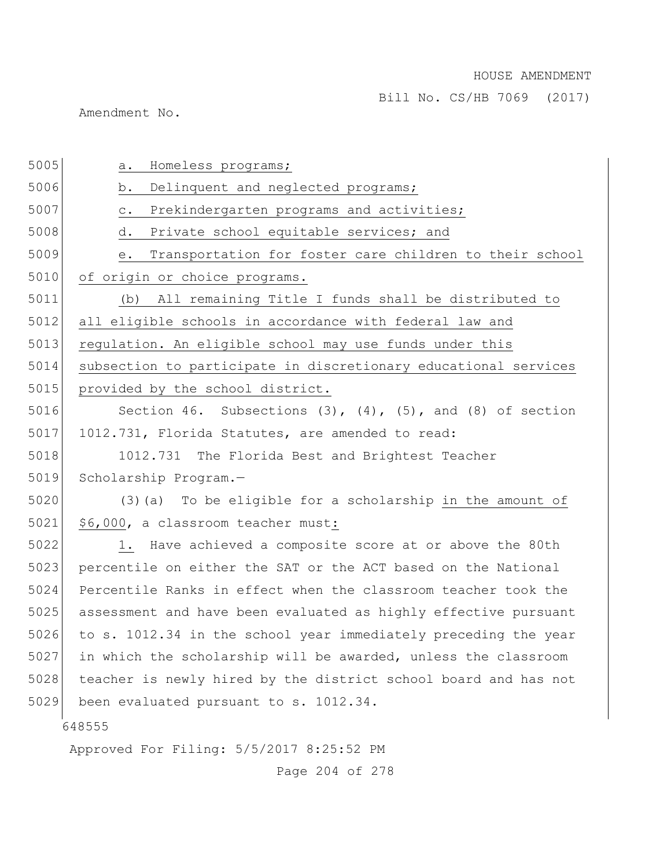Bill No. CS/HB 7069 (2017)

Amendment No.

| 5005 | Homeless programs;<br>a.                                             |
|------|----------------------------------------------------------------------|
| 5006 | Delinquent and neglected programs;<br>b.                             |
| 5007 | Prekindergarten programs and activities;<br>$\circ$ .                |
| 5008 | Private school equitable services; and<br>d.                         |
| 5009 | Transportation for foster care children to their school<br>е.        |
| 5010 | of origin or choice programs.                                        |
| 5011 | (b) All remaining Title I funds shall be distributed to              |
| 5012 | all eligible schools in accordance with federal law and              |
| 5013 | regulation. An eligible school may use funds under this              |
| 5014 | subsection to participate in discretionary educational services      |
| 5015 | provided by the school district.                                     |
| 5016 | Section 46. Subsections $(3)$ , $(4)$ , $(5)$ , and $(8)$ of section |
| 5017 | 1012.731, Florida Statutes, are amended to read:                     |
| 5018 | 1012.731 The Florida Best and Brightest Teacher                      |
| 5019 | Scholarship Program.-                                                |
| 5020 | (3) (a) To be eligible for a scholarship in the amount of            |
| 5021 | \$6,000, a classroom teacher must:                                   |
| 5022 | 1. Have achieved a composite score at or above the 80th              |
| 5023 | percentile on either the SAT or the ACT based on the National        |
| 5024 | Percentile Ranks in effect when the classroom teacher took the       |
| 5025 | assessment and have been evaluated as highly effective pursuant      |
| 5026 | to s. 1012.34 in the school year immediately preceding the year      |
| 5027 | in which the scholarship will be awarded, unless the classroom       |
| 5028 | teacher is newly hired by the district school board and has not      |
| 5029 | been evaluated pursuant to s. 1012.34.                               |
|      | 648555                                                               |
|      | Approved For Filing: 5/5/2017 8:25:52 PM                             |
|      |                                                                      |

Page 204 of 278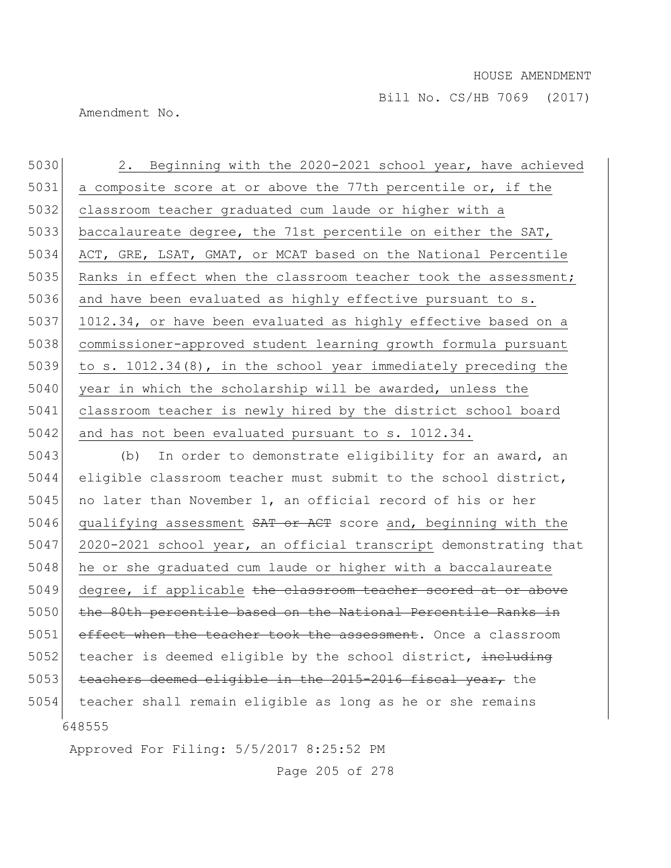Amendment No.

648555 5030 2. Beginning with the 2020-2021 school year, have achieved 5031 a composite score at or above the 77th percentile or, if the 5032 classroom teacher graduated cum laude or higher with a 5033 baccalaureate degree, the 71st percentile on either the SAT, 5034 ACT, GRE, LSAT, GMAT, or MCAT based on the National Percentile 5035 Ranks in effect when the classroom teacher took the assessment; 5036 and have been evaluated as highly effective pursuant to s. 5037 1012.34, or have been evaluated as highly effective based on a 5038 commissioner-approved student learning growth formula pursuant 5039 to s. 1012.34(8), in the school year immediately preceding the 5040 year in which the scholarship will be awarded, unless the 5041 classroom teacher is newly hired by the district school board 5042 and has not been evaluated pursuant to s. 1012.34. 5043 (b) In order to demonstrate eligibility for an award, an 5044 eligible classroom teacher must submit to the school district, 5045 no later than November 1, an official record of his or her 5046 qualifying assessment  $SAT$  or ACT score and, beginning with the 5047 2020-2021 school year, an official transcript demonstrating that 5048 he or she graduated cum laude or higher with a baccalaureate 5049 degree, if applicable the classroom teacher scored at or above 5050 the 80th percentile based on the National Percentile Ranks in 5051 effect when the teacher took the assessment. Once a classroom 5052 teacher is deemed eligible by the school district, including 5053 teachers deemed eligible in the 2015-2016 fiscal year, the 5054 teacher shall remain eligible as long as he or she remains

Approved For Filing: 5/5/2017 8:25:52 PM

Page 205 of 278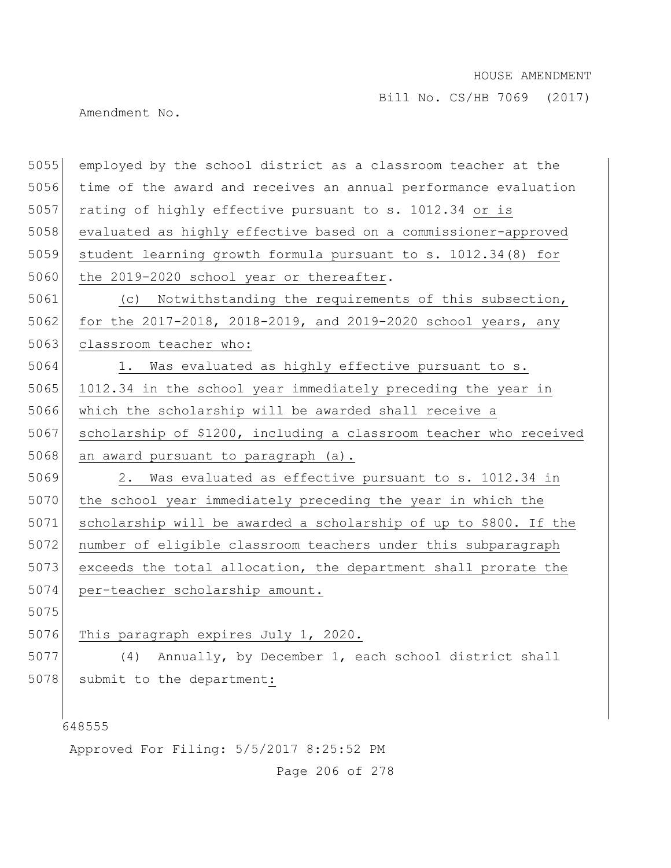Bill No. CS/HB 7069 (2017)

Amendment No.

648555 Approved For Filing: 5/5/2017 8:25:52 PM 5055 employed by the school district as a classroom teacher at the 5056 time of the award and receives an annual performance evaluation 5057 rating of highly effective pursuant to s. 1012.34 or is 5058 evaluated as highly effective based on a commissioner-approved 5059 student learning growth formula pursuant to s. 1012.34(8) for 5060 the 2019-2020 school year or thereafter. 5061 (c) Notwithstanding the requirements of this subsection, 5062 for the 2017-2018, 2018-2019, and 2019-2020 school years, any 5063 classroom teacher who: 5064 1. Was evaluated as highly effective pursuant to s. 5065 1012.34 in the school year immediately preceding the year in 5066 which the scholarship will be awarded shall receive a 5067 scholarship of \$1200, including a classroom teacher who received 5068 an award pursuant to paragraph  $(a)$ . 5069 2. Was evaluated as effective pursuant to s. 1012.34 in 5070 the school year immediately preceding the year in which the 5071 scholarship will be awarded a scholarship of up to \$800. If the 5072 number of eligible classroom teachers under this subparagraph 5073 exceeds the total allocation, the department shall prorate the 5074 per-teacher scholarship amount. 5075 5076 This paragraph expires July 1, 2020. 5077 (4) Annually, by December 1, each school district shall 5078 submit to the department:

Page 206 of 278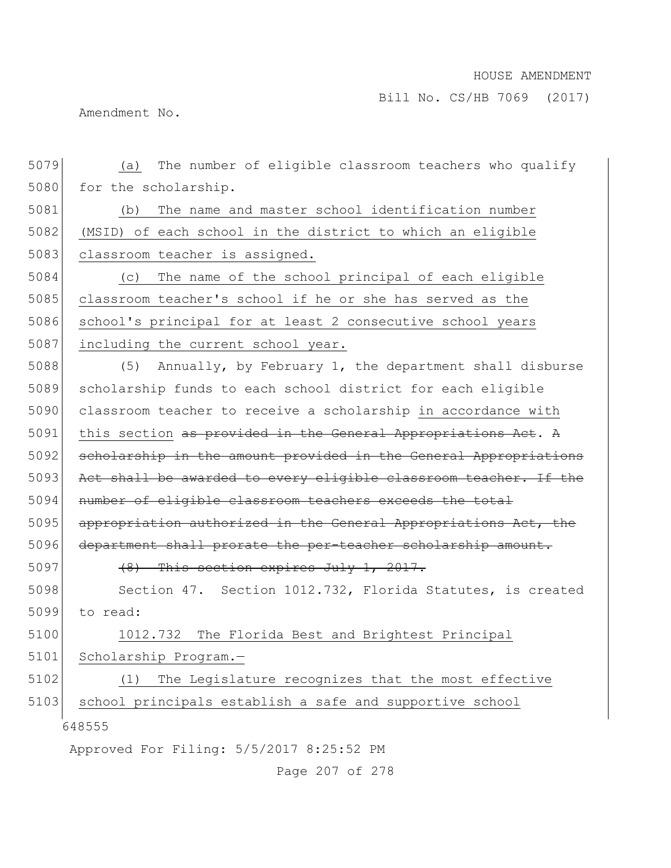Amendment No.

| 5079 | The number of eligible classroom teachers who qualify<br>(a)     |
|------|------------------------------------------------------------------|
| 5080 | for the scholarship.                                             |
| 5081 | The name and master school identification number<br>(b)          |
| 5082 | (MSID) of each school in the district to which an eligible       |
| 5083 | classroom teacher is assigned.                                   |
| 5084 | The name of the school principal of each eligible<br>(C)         |
| 5085 | classroom teacher's school if he or she has served as the        |
| 5086 | school's principal for at least 2 consecutive school years       |
| 5087 | including the current school year.                               |
| 5088 | Annually, by February 1, the department shall disburse<br>(5)    |
| 5089 | scholarship funds to each school district for each eligible      |
| 5090 | classroom teacher to receive a scholarship in accordance with    |
| 5091 | this section as provided in the General Appropriations Act. A    |
| 5092 | scholarship in the amount provided in the General Appropriations |
| 5093 | Act shall be awarded to every eligible classroom teacher. If the |
| 5094 | number of eligible classroom teachers exceeds the total          |
| 5095 | appropriation authorized in the General Appropriations Act, the  |
| 5096 | department shall prorate the per-teacher scholarship amount.     |
| 5097 | $(8)$ This section expires July 1, 2017.                         |
| 5098 | Section 47. Section 1012.732, Florida Statutes, is created       |
| 5099 | to read:                                                         |
| 5100 | 1012.732 The Florida Best and Brightest Principal                |
| 5101 | Scholarship Program.-                                            |
| 5102 | The Legislature recognizes that the most effective<br>(1)        |
| 5103 | school principals establish a safe and supportive school         |
|      | 648555                                                           |
|      | Approved For Filing: 5/5/2017 8:25:52 PM                         |

Page 207 of 278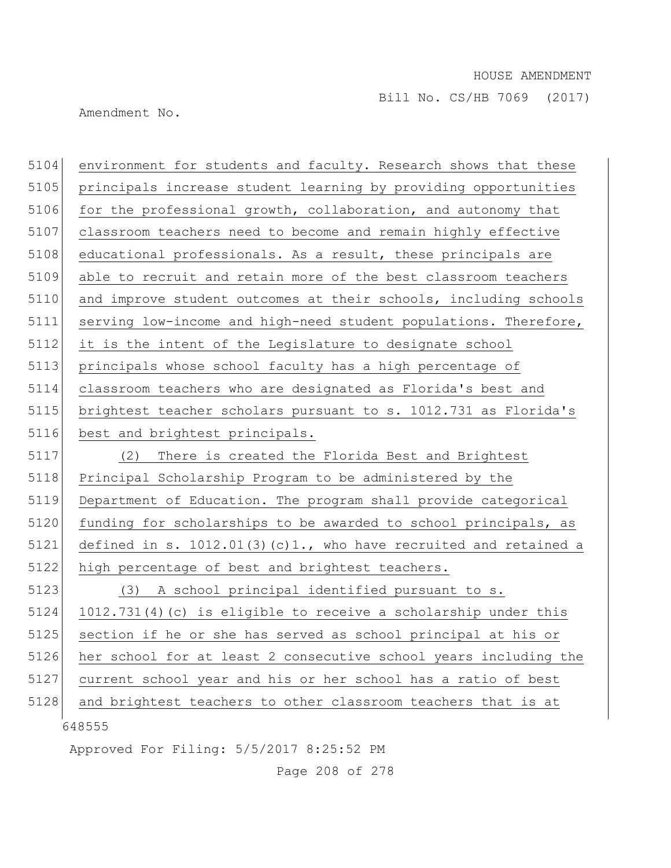Amendment No.

| 5104 | environment for students and faculty. Research shows that these     |
|------|---------------------------------------------------------------------|
| 5105 | principals increase student learning by providing opportunities     |
| 5106 | for the professional growth, collaboration, and autonomy that       |
| 5107 | classroom teachers need to become and remain highly effective       |
|      | educational professionals. As a result, these principals are        |
|      | able to recruit and retain more of the best classroom teachers      |
|      | and improve student outcomes at their schools, including schools    |
|      | serving low-income and high-need student populations. Therefore,    |
|      | it is the intent of the Legislature to designate school             |
|      | principals whose school faculty has a high percentage of            |
|      | classroom teachers who are designated as Florida's best and         |
|      | brightest teacher scholars pursuant to s. 1012.731 as Florida's     |
|      | best and brightest principals.                                      |
|      | There is created the Florida Best and Brightest<br>(2)              |
|      | Principal Scholarship Program to be administered by the             |
|      | Department of Education. The program shall provide categorical      |
|      | funding for scholarships to be awarded to school principals, as     |
|      | defined in s. $1012.01(3)(c)1.$ , who have recruited and retained a |
|      | high percentage of best and brightest teachers.                     |
|      | A school principal identified pursuant to s.<br>(3)                 |
|      | 1012.731(4)(c) is eligible to receive a scholarship under this      |
|      | section if he or she has served as school principal at his or       |
|      | her school for at least 2 consecutive school years including the    |
|      | current school year and his or her school has a ratio of best       |
|      | and brightest teachers to other classroom teachers that is at       |
|      | 648555                                                              |
|      | Approved For Filing: 5/5/2017 8:25:52 PM                            |

Page 208 of 278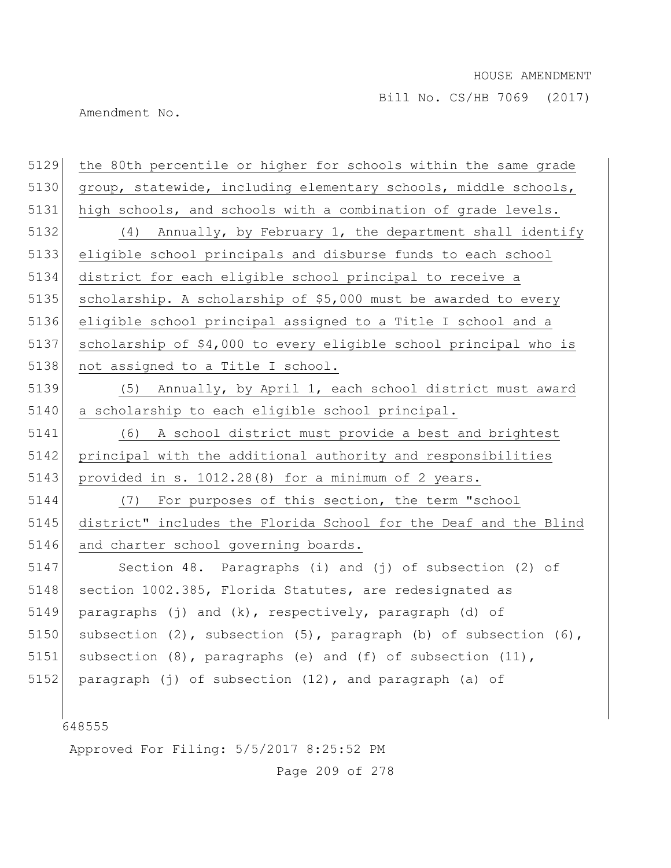Bill No. CS/HB 7069 (2017)

Amendment No.

| 5129 | the 80th percentile or higher for schools within the same grade  |
|------|------------------------------------------------------------------|
| 5130 | group, statewide, including elementary schools, middle schools,  |
| 5131 | high schools, and schools with a combination of grade levels.    |
| 5132 | (4) Annually, by February 1, the department shall identify       |
| 5133 | eligible school principals and disburse funds to each school     |
| 5134 | district for each eligible school principal to receive a         |
| 5135 | scholarship. A scholarship of \$5,000 must be awarded to every   |
| 5136 | eligible school principal assigned to a Title I school and a     |
| 5137 | scholarship of \$4,000 to every eligible school principal who is |
| 5138 | not assigned to a Title I school.                                |
| 5139 | (5) Annually, by April 1, each school district must award        |
| 5140 | a scholarship to each eligible school principal.                 |
| 5141 | (6) A school district must provide a best and brightest          |
| 5142 | principal with the additional authority and responsibilities     |
| 5143 | provided in s. 1012.28(8) for a minimum of 2 years.              |
| 5144 | (7) For purposes of this section, the term "school               |
| 5145 | district" includes the Florida School for the Deaf and the Blind |
| 5146 | and charter school governing boards.                             |
| 5147 | Section 48. Paragraphs (i) and (j) of subsection (2) of          |
| 5148 | section 1002.385, Florida Statutes, are redesignated as          |
| 5149 | paragraphs (j) and (k), respectively, paragraph (d) of           |
| 5150 | subsection (2), subsection (5), paragraph (b) of subsection (6), |
| 5151 | subsection (8), paragraphs (e) and (f) of subsection (11),       |
| 5152 | paragraph (j) of subsection (12), and paragraph (a) of           |
|      |                                                                  |
|      | 648555                                                           |
|      |                                                                  |

Approved For Filing: 5/5/2017 8:25:52 PM

Page 209 of 278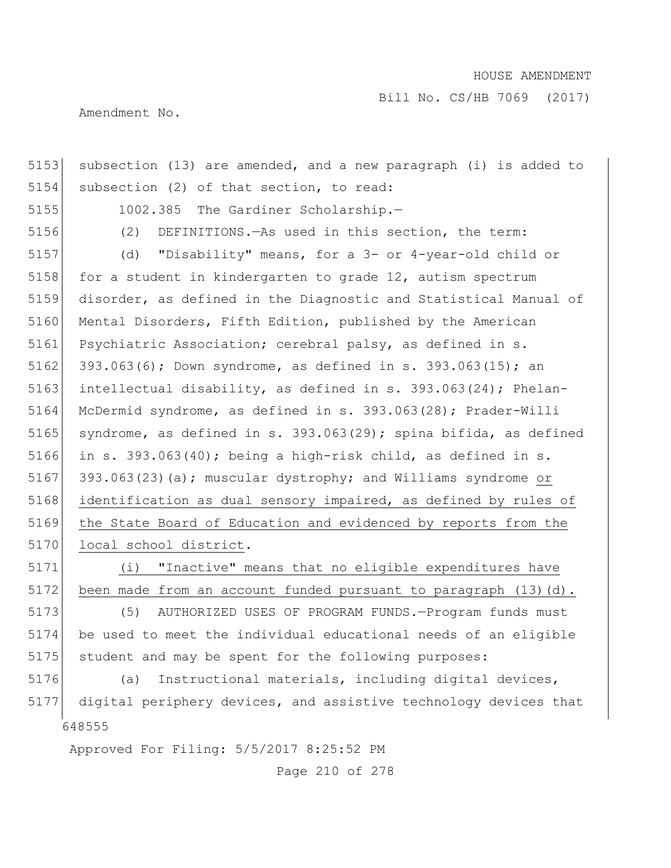Bill No. CS/HB 7069 (2017)

Amendment No.

648555 Approved For Filing: 5/5/2017 8:25:52 PM 5153 subsection (13) are amended, and a new paragraph (i) is added to 5154 subsection (2) of that section, to read: 5155 1002.385 The Gardiner Scholarship.— 5156 (2) DEFINITIONS.—As used in this section, the term: 5157 (d) "Disability" means, for a 3- or 4-year-old child or 5158 for a student in kindergarten to grade 12, autism spectrum 5159 disorder, as defined in the Diagnostic and Statistical Manual of 5160 Mental Disorders, Fifth Edition, published by the American 5161 Psychiatric Association; cerebral palsy, as defined in s. 5162 393.063(6); Down syndrome, as defined in s. 393.063(15); an 5163 intellectual disability, as defined in s. 393.063(24); Phelan-5164 McDermid syndrome, as defined in s. 393.063(28); Prader-Willi 5165 syndrome, as defined in s. 393.063(29); spina bifida, as defined 5166 in s. 393.063(40); being a high-risk child, as defined in s. 5167 393.063(23)(a); muscular dystrophy; and Williams syndrome or 5168 identification as dual sensory impaired, as defined by rules of 5169 the State Board of Education and evidenced by reports from the 5170 local school district. 5171 (i) "Inactive" means that no eligible expenditures have 5172 been made from an account funded pursuant to paragraph (13)(d). 5173 (5) AUTHORIZED USES OF PROGRAM FUNDS. - Program funds must 5174 be used to meet the individual educational needs of an eligible 5175 student and may be spent for the following purposes: 5176 (a) Instructional materials, including digital devices, 5177 digital periphery devices, and assistive technology devices that

Page 210 of 278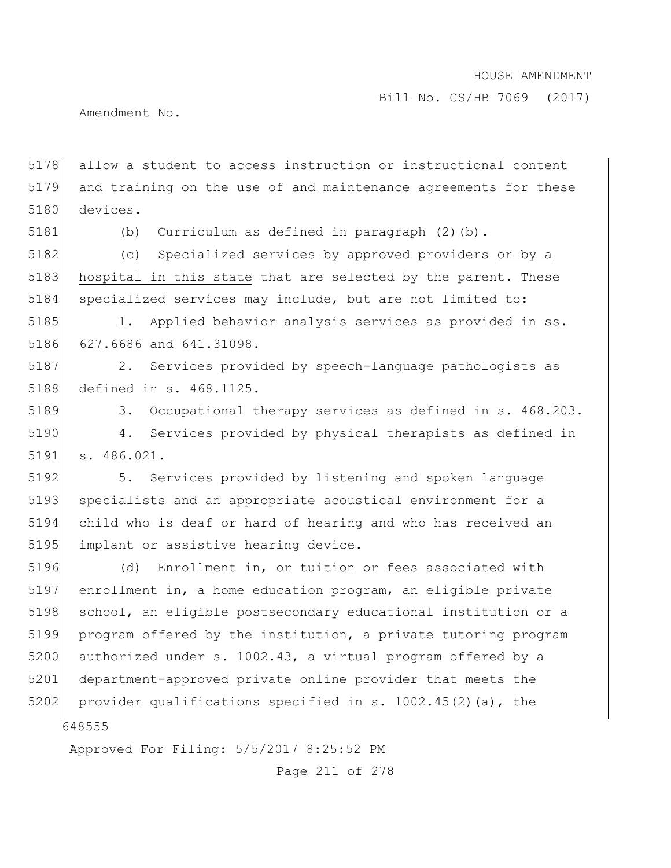Bill No. CS/HB 7069 (2017)

Amendment No.

5178 allow a student to access instruction or instructional content 5179 and training on the use of and maintenance agreements for these 5180 devices.

5181 (b) Curriculum as defined in paragraph (2)(b).

5182 (c) Specialized services by approved providers or by a 5183 hospital in this state that are selected by the parent. These 5184 specialized services may include, but are not limited to:

5185 1. Applied behavior analysis services as provided in ss. 5186 627.6686 and 641.31098.

5187 2. Services provided by speech-language pathologists as 5188 defined in s. 468.1125.

5189 3. Occupational therapy services as defined in s. 468.203. 5190 4. Services provided by physical therapists as defined in 5191 s. 486.021.

5192 5. Services provided by listening and spoken language 5193 specialists and an appropriate acoustical environment for a 5194 child who is deaf or hard of hearing and who has received an 5195 implant or assistive hearing device.

648555 5196 (d) Enrollment in, or tuition or fees associated with 5197 enrollment in, a home education program, an eligible private 5198 school, an eligible postsecondary educational institution or a 5199 program offered by the institution, a private tutoring program 5200 authorized under s. 1002.43, a virtual program offered by a 5201 department-approved private online provider that meets the 5202 provider qualifications specified in s.  $1002.45(2)(a)$ , the

Approved For Filing: 5/5/2017 8:25:52 PM

Page 211 of 278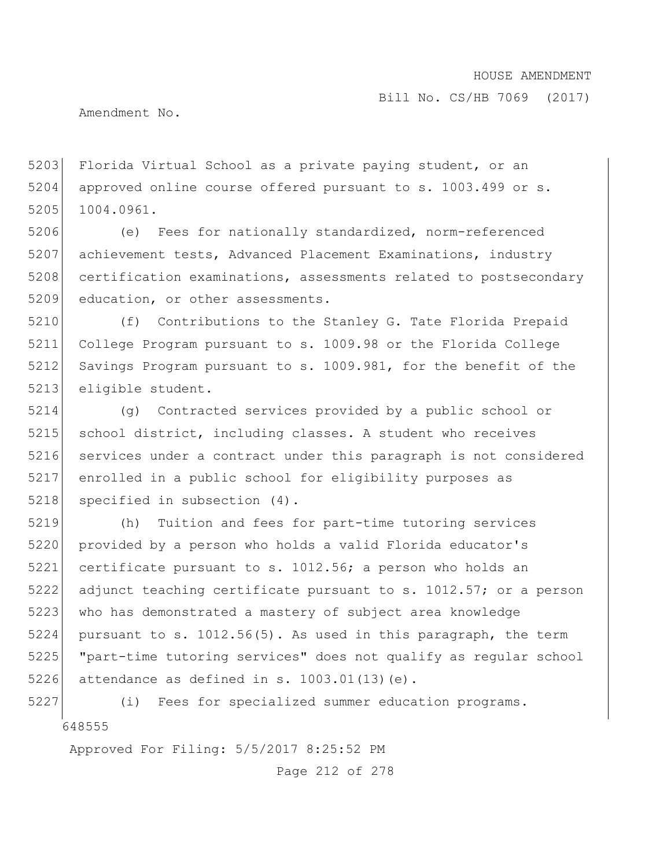Bill No. CS/HB 7069 (2017)

Amendment No.

5203 Florida Virtual School as a private paying student, or an 5204 approved online course offered pursuant to s. 1003.499 or s. 5205 1004.0961.

5206 (e) Fees for nationally standardized, norm-referenced 5207 achievement tests, Advanced Placement Examinations, industry 5208 certification examinations, assessments related to postsecondary 5209 education, or other assessments.

5210 (f) Contributions to the Stanley G. Tate Florida Prepaid 5211 College Program pursuant to s. 1009.98 or the Florida College 5212 Savings Program pursuant to s. 1009.981, for the benefit of the 5213 eligible student.

5214 (g) Contracted services provided by a public school or 5215 school district, including classes. A student who receives 5216 services under a contract under this paragraph is not considered 5217 enrolled in a public school for eligibility purposes as 5218 specified in subsection (4).

5219 (h) Tuition and fees for part-time tutoring services 5220 provided by a person who holds a valid Florida educator's 5221 certificate pursuant to s. 1012.56; a person who holds an 5222 adjunct teaching certificate pursuant to s. 1012.57; or a person 5223 who has demonstrated a mastery of subject area knowledge  $5224$  pursuant to s. 1012.56(5). As used in this paragraph, the term 5225 "part-time tutoring services" does not qualify as regular school 5226 attendance as defined in s.  $1003.01(13)(e)$ .

648555 5227 (i) Fees for specialized summer education programs.

Approved For Filing: 5/5/2017 8:25:52 PM

Page 212 of 278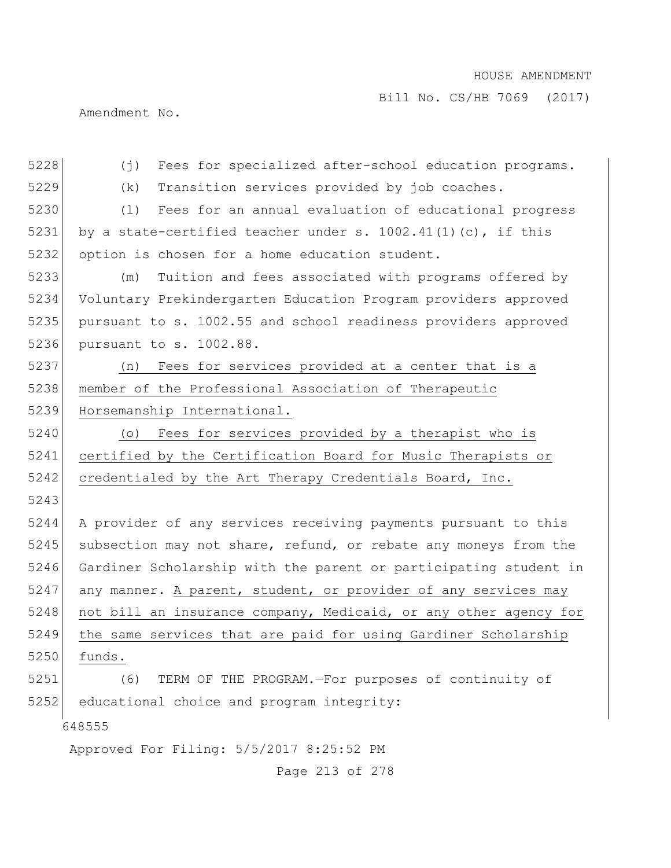Bill No. CS/HB 7069 (2017)

Amendment No.

| 5228                                     | Fees for specialized after-school education programs.<br>(j)     |
|------------------------------------------|------------------------------------------------------------------|
| 5229                                     | Transition services provided by job coaches.<br>(k)              |
| 5230                                     | Fees for an annual evaluation of educational progress<br>(1)     |
| 5231                                     | by a state-certified teacher under s. $1002.41(1)(c)$ , if this  |
| 5232                                     | option is chosen for a home education student.                   |
| 5233                                     | Tuition and fees associated with programs offered by<br>(m)      |
| 5234                                     | Voluntary Prekindergarten Education Program providers approved   |
| 5235                                     | pursuant to s. 1002.55 and school readiness providers approved   |
| 5236                                     | pursuant to s. 1002.88.                                          |
| 5237                                     | (n) Fees for services provided at a center that is a             |
| 5238                                     | member of the Professional Association of Therapeutic            |
| 5239                                     | Horsemanship International.                                      |
| 5240                                     | Fees for services provided by a therapist who is<br>$(\circ)$    |
| 5241                                     | certified by the Certification Board for Music Therapists or     |
| 5242                                     | credentialed by the Art Therapy Credentials Board, Inc.          |
| 5243                                     |                                                                  |
| 5244                                     | A provider of any services receiving payments pursuant to this   |
| 5245                                     | subsection may not share, refund, or rebate any moneys from the  |
| 5246                                     | Gardiner Scholarship with the parent or participating student in |
| 5247                                     | any manner. A parent, student, or provider of any services may   |
| 5248                                     | not bill an insurance company, Medicaid, or any other agency for |
| 5249                                     | the same services that are paid for using Gardiner Scholarship   |
| 5250                                     | funds.                                                           |
| 5251                                     | TERM OF THE PROGRAM. - For purposes of continuity of<br>(6)      |
| 5252                                     | educational choice and program integrity:                        |
| 648555                                   |                                                                  |
| Approved For Filing: 5/5/2017 8:25:52 PM |                                                                  |

Page 213 of 278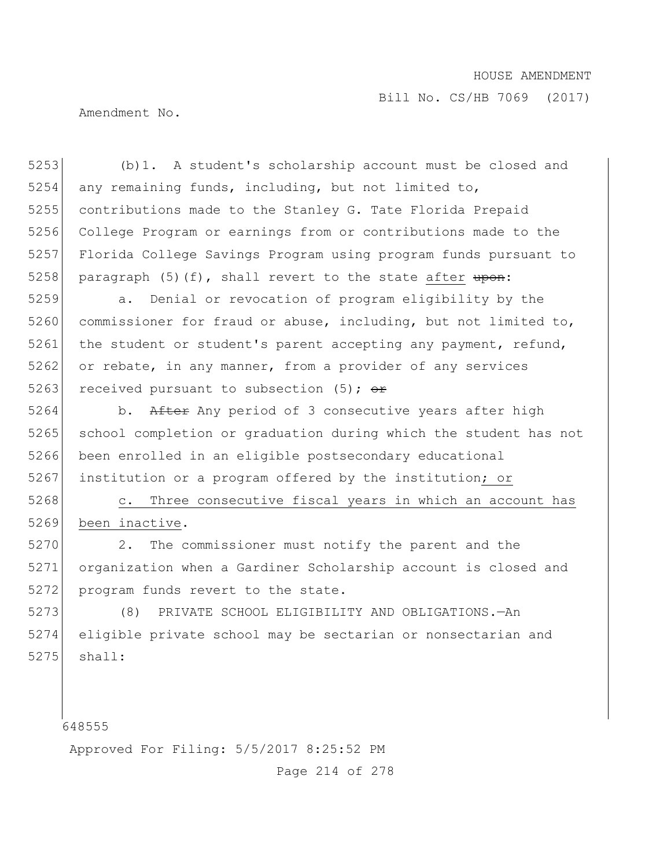Amendment No.

 (b)1. A student's scholarship account must be closed and any remaining funds, including, but not limited to, contributions made to the Stanley G. Tate Florida Prepaid College Program or earnings from or contributions made to the Florida College Savings Program using program funds pursuant to 5258 paragraph (5)(f), shall revert to the state after  $\frac{1}{2}$ .

5259 a. Denial or revocation of program eligibility by the 5260 commissioner for fraud or abuse, including, but not limited to, 5261 the student or student's parent accepting any payment, refund, 5262 or rebate, in any manner, from a provider of any services 5263 received pursuant to subsection (5);  $\Theta$ r

5264 b. After Any period of 3 consecutive years after high 5265 school completion or graduation during which the student has not 5266 been enrolled in an eligible postsecondary educational 5267 institution or a program offered by the institution; or

5268 c. Three consecutive fiscal years in which an account has 5269 been inactive.

5270 2. The commissioner must notify the parent and the 5271 organization when a Gardiner Scholarship account is closed and 5272 program funds revert to the state.

5273 (8) PRIVATE SCHOOL ELIGIBILITY AND OBLIGATIONS.—An 5274 eligible private school may be sectarian or nonsectarian and  $5275$  shall:

648555

Approved For Filing: 5/5/2017 8:25:52 PM

Page 214 of 278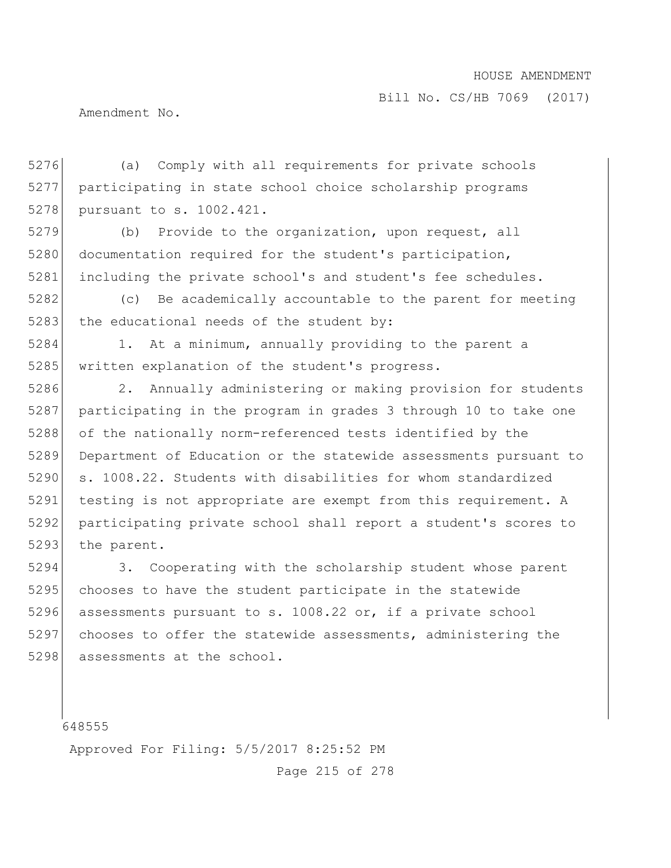Bill No. CS/HB 7069 (2017)

Amendment No.

5276 (a) Comply with all requirements for private schools 5277 participating in state school choice scholarship programs 5278 pursuant to s. 1002.421.

5279 (b) Provide to the organization, upon request, all 5280 documentation required for the student's participation, 5281 including the private school's and student's fee schedules.

5282 (c) Be academically accountable to the parent for meeting 5283 the educational needs of the student by:

5284 1. At a minimum, annually providing to the parent a 5285 written explanation of the student's progress.

5286 2. Annually administering or making provision for students 5287 participating in the program in grades 3 through 10 to take one 5288 of the nationally norm-referenced tests identified by the 5289 Department of Education or the statewide assessments pursuant to 5290 s. 1008.22. Students with disabilities for whom standardized 5291 testing is not appropriate are exempt from this requirement. A 5292 participating private school shall report a student's scores to 5293 the parent.

5294 3. Cooperating with the scholarship student whose parent 5295 chooses to have the student participate in the statewide 5296 assessments pursuant to s. 1008.22 or, if a private school 5297 chooses to offer the statewide assessments, administering the 5298 assessments at the school.

648555

Approved For Filing: 5/5/2017 8:25:52 PM

Page 215 of 278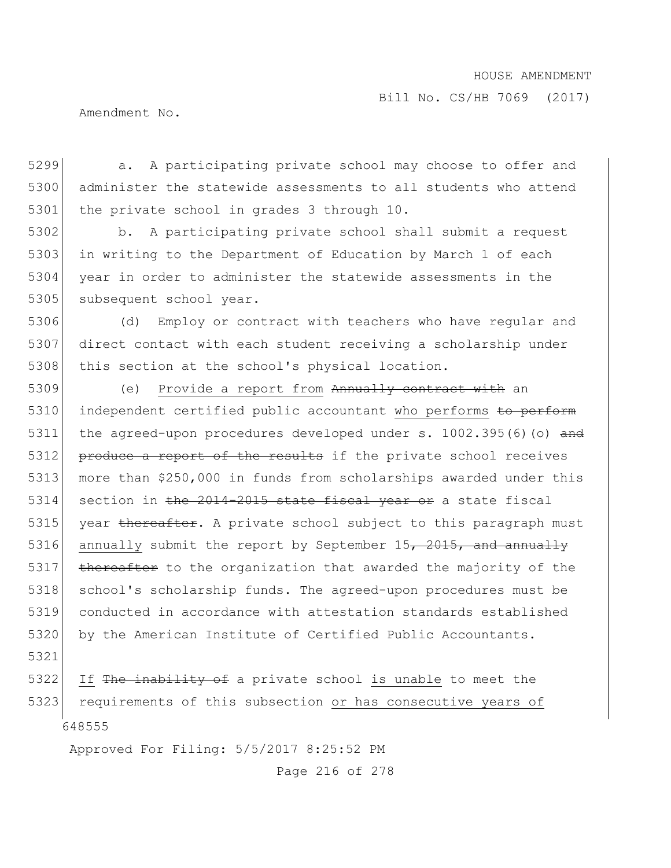Bill No. CS/HB 7069 (2017)

Amendment No.

5299 **a.** A participating private school may choose to offer and 5300 administer the statewide assessments to all students who attend 5301 the private school in grades 3 through 10.

5302 b. A participating private school shall submit a request 5303 in writing to the Department of Education by March 1 of each 5304 year in order to administer the statewide assessments in the 5305 subsequent school year.

5306 (d) Employ or contract with teachers who have regular and 5307 direct contact with each student receiving a scholarship under 5308 this section at the school's physical location.

5309 (e) Provide a report from Annually contract with an 5310 independent certified public accountant who performs to perform 5311 the agreed-upon procedures developed under  $s. 1002.395(6)(o)$  and 5312 produce a report of the results if the private school receives 5313 more than \$250,000 in funds from scholarships awarded under this 5314 section in the 2014-2015 state fiscal year or a state fiscal 5315 year thereafter. A private school subject to this paragraph must 5316 annually submit the report by September  $15$ ,  $2015$ , and annually 5317 thereafter to the organization that awarded the majority of the 5318 school's scholarship funds. The agreed-upon procedures must be 5319 conducted in accordance with attestation standards established 5320 by the American Institute of Certified Public Accountants.

5321

648555 5322 If The inability of a private school is unable to meet the 5323 requirements of this subsection or has consecutive years of

Approved For Filing: 5/5/2017 8:25:52 PM

Page 216 of 278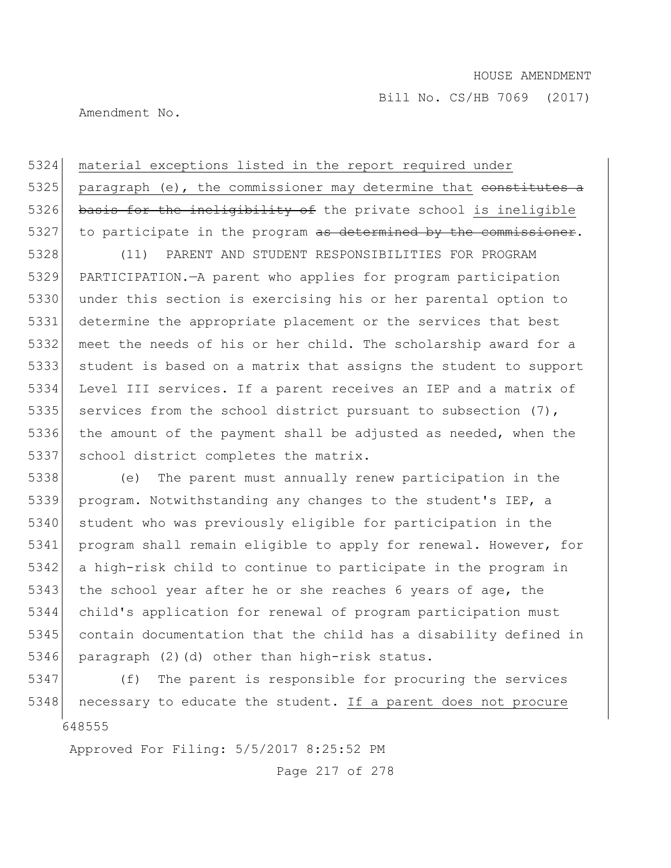Amendment No.

5324 material exceptions listed in the report required under 5325 paragraph (e), the commissioner may determine that constitutes a 5326 basis for the ineligibility of the private school is ineligible 5327 to participate in the program as determined by the commissioner.

 (11) PARENT AND STUDENT RESPONSIBILITIES FOR PROGRAM PARTICIPATION.—A parent who applies for program participation under this section is exercising his or her parental option to determine the appropriate placement or the services that best meet the needs of his or her child. The scholarship award for a student is based on a matrix that assigns the student to support Level III services. If a parent receives an IEP and a matrix of 5335 services from the school district pursuant to subsection  $(7)$ , the amount of the payment shall be adjusted as needed, when the 5337 school district completes the matrix.

5338 (e) The parent must annually renew participation in the 5339 program. Notwithstanding any changes to the student's IEP, a 5340 student who was previously eligible for participation in the 5341 program shall remain eligible to apply for renewal. However, for 5342 a high-risk child to continue to participate in the program in 5343 the school year after he or she reaches 6 years of age, the 5344 child's application for renewal of program participation must 5345 contain documentation that the child has a disability defined in 5346 paragraph (2)(d) other than high-risk status.

648555 5347 (f) The parent is responsible for procuring the services 5348 necessary to educate the student. If a parent does not procure

Approved For Filing: 5/5/2017 8:25:52 PM

Page 217 of 278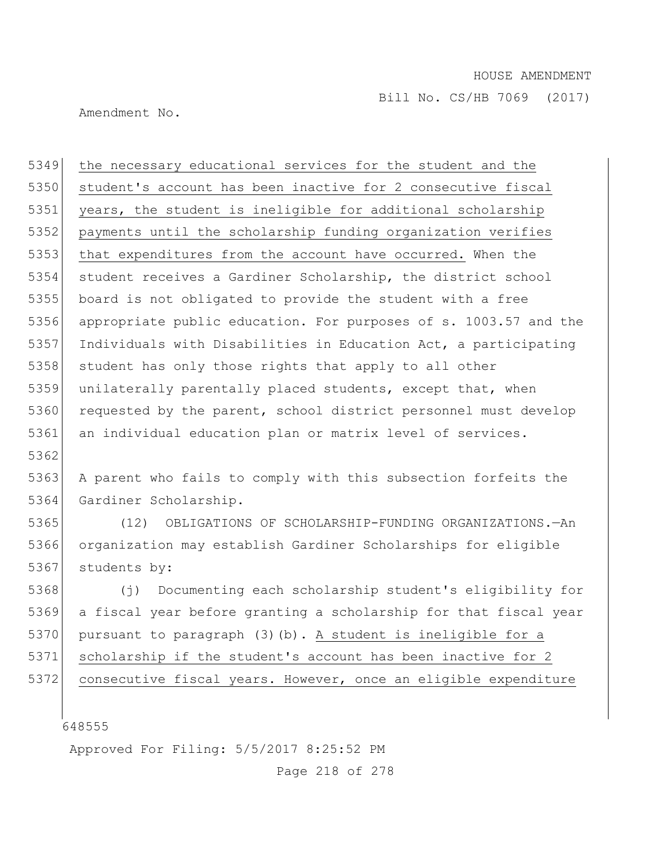Amendment No.

 the necessary educational services for the student and the 5350 student's account has been inactive for 2 consecutive fiscal 5351 years, the student is ineligible for additional scholarship payments until the scholarship funding organization verifies that expenditures from the account have occurred. When the student receives a Gardiner Scholarship, the district school board is not obligated to provide the student with a free appropriate public education. For purposes of s. 1003.57 and the Individuals with Disabilities in Education Act, a participating 5358 student has only those rights that apply to all other 5359 unilaterally parentally placed students, except that, when 5360 requested by the parent, school district personnel must develop 5361 an individual education plan or matrix level of services. 5362 5363 A parent who fails to comply with this subsection forfeits the Gardiner Scholarship. (12) OBLIGATIONS OF SCHOLARSHIP-FUNDING ORGANIZATIONS.—An organization may establish Gardiner Scholarships for eligible 5367 students by: (j) Documenting each scholarship student's eligibility for a fiscal year before granting a scholarship for that fiscal year pursuant to paragraph (3)(b). A student is ineligible for a scholarship if the student's account has been inactive for 2 consecutive fiscal years. However, once an eligible expenditure

648555

Approved For Filing: 5/5/2017 8:25:52 PM

Page 218 of 278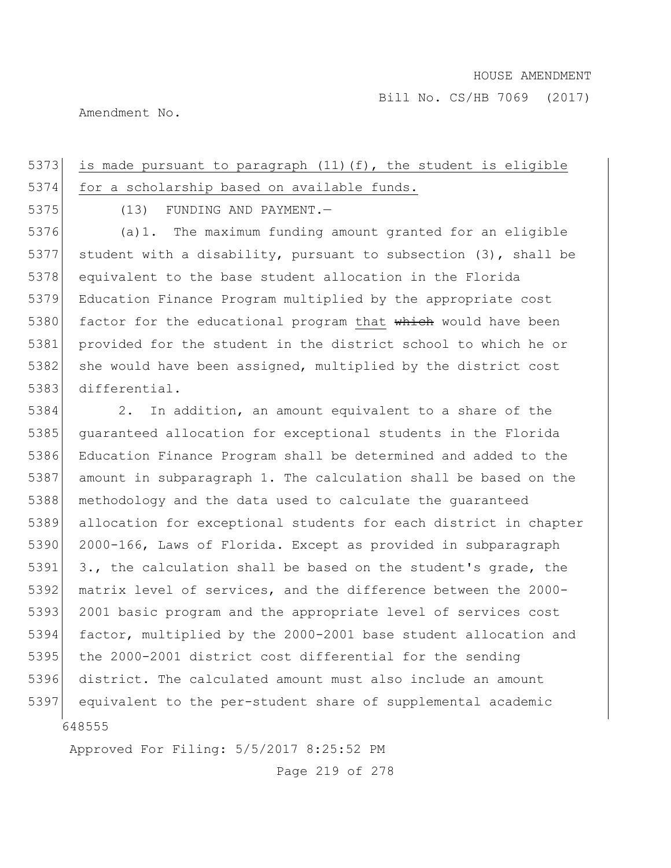Amendment No.

# 5373 is made pursuant to paragraph  $(11)$  (f), the student is eligible 5374 for a scholarship based on available funds.

5375 (13) FUNDING AND PAYMENT.—

5376 (a)1. The maximum funding amount granted for an eligible 5377 student with a disability, pursuant to subsection  $(3)$ , shall be 5378 equivalent to the base student allocation in the Florida 5379 Education Finance Program multiplied by the appropriate cost 5380 factor for the educational program that which would have been 5381 provided for the student in the district school to which he or 5382 she would have been assigned, multiplied by the district cost 5383 differential.

648555 2. In addition, an amount equivalent to a share of the guaranteed allocation for exceptional students in the Florida Education Finance Program shall be determined and added to the 5387 amount in subparagraph 1. The calculation shall be based on the methodology and the data used to calculate the guaranteed allocation for exceptional students for each district in chapter 2000-166, Laws of Florida. Except as provided in subparagraph 5391 3., the calculation shall be based on the student's grade, the matrix level of services, and the difference between the 2000- 5393 2001 basic program and the appropriate level of services cost factor, multiplied by the 2000-2001 base student allocation and 5395 the 2000-2001 district cost differential for the sending district. The calculated amount must also include an amount equivalent to the per-student share of supplemental academic

Approved For Filing: 5/5/2017 8:25:52 PM

Page 219 of 278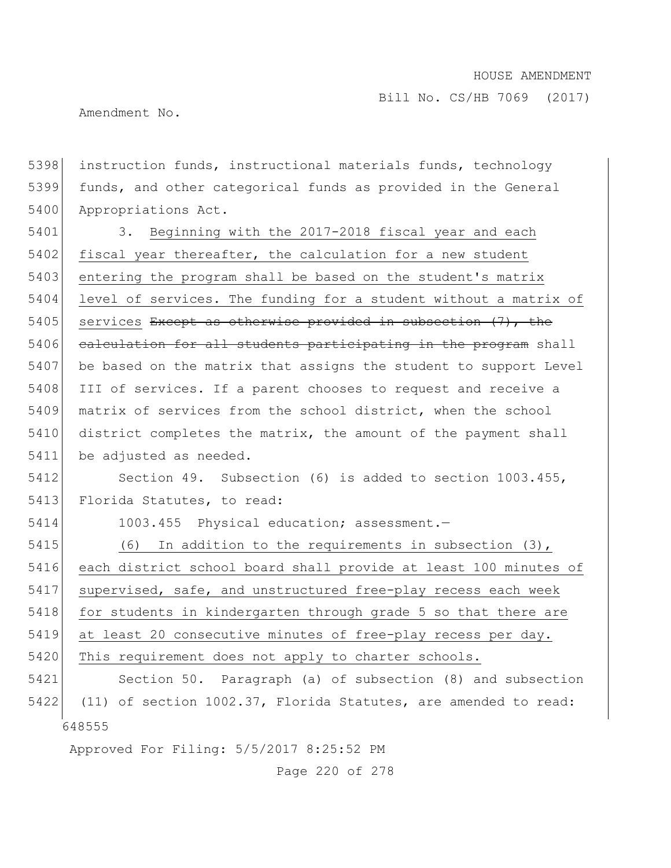Amendment No.

648555 5398 instruction funds, instructional materials funds, technology 5399 funds, and other categorical funds as provided in the General 5400 Appropriations Act. 5401 3. Beginning with the 2017-2018 fiscal year and each 5402 fiscal year thereafter, the calculation for a new student 5403 entering the program shall be based on the student's matrix 5404 level of services. The funding for a student without a matrix of 5405 services Except as otherwise provided in subsection (7), the 5406 calculation for all students participating in the program shall 5407 be based on the matrix that assigns the student to support Level 5408 III of services. If a parent chooses to request and receive a 5409 matrix of services from the school district, when the school 5410 district completes the matrix, the amount of the payment shall 5411 be adjusted as needed. 5412 Section 49. Subsection (6) is added to section 1003.455, 5413 Florida Statutes, to read: 5414 1003.455 Physical education; assessment.— 5415 (6) In addition to the requirements in subsection (3), 5416 each district school board shall provide at least 100 minutes of 5417 supervised, safe, and unstructured free-play recess each week 5418 for students in kindergarten through grade 5 so that there are 5419 at least 20 consecutive minutes of free-play recess per day. 5420 This requirement does not apply to charter schools. 5421 Section 50. Paragraph (a) of subsection (8) and subsection 5422 (11) of section 1002.37, Florida Statutes, are amended to read:

Approved For Filing: 5/5/2017 8:25:52 PM

Page 220 of 278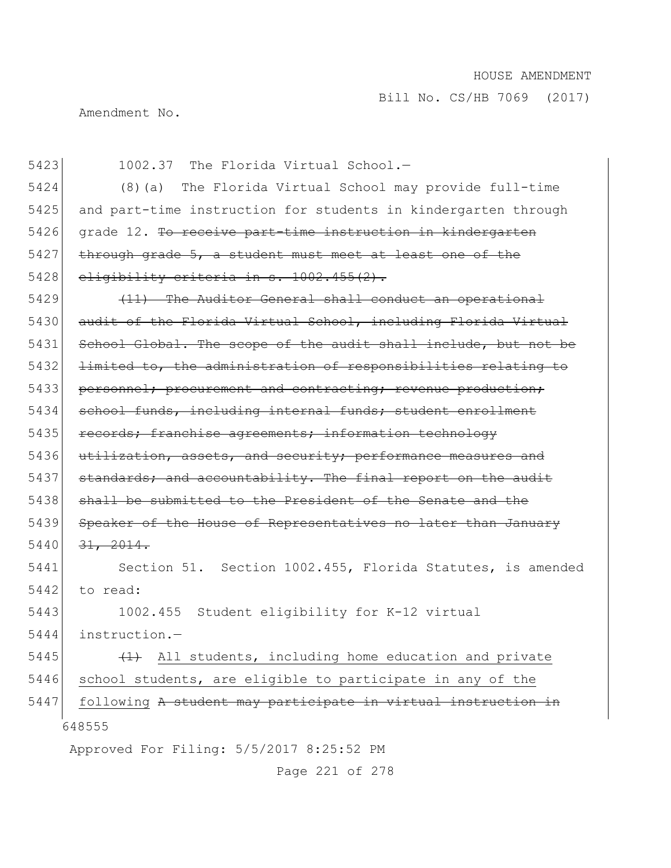Amendment No.

648555 Approved For Filing: 5/5/2017 8:25:52 PM 5423 1002.37 The Florida Virtual School.— 5424 (8)(a) The Florida Virtual School may provide full-time 5425 and part-time instruction for students in kindergarten through 5426 grade 12. To receive part-time instruction in kindergarten  $5427$  through grade  $5$ , a student must meet at least one of the 5428 eligibility criteria in  $s. 1002.455(2)$ . 5429 (11) The Auditor General shall conduct an operational 5430 audit of the Florida Virtual School, including Florida Virtual 5431 School Global. The scope of the audit shall include, but not be 5432 <del>limited to, the administration of responsibilities relating to</del> 5433 personnel; procurement and contracting; revenue production; 5434 school funds, including internal funds; student enrollment 5435 records; franchise agreements; information technology 5436 utilization, assets, and security; performance measures and 5437 standards; and accountability. The final report on the audit 5438 shall be submitted to the President of the Senate and the 5439 Speaker of the House of Representatives no later than January  $5440$   $31, 2014.$ 5441 Section 51. Section 1002.455, Florida Statutes, is amended  $5442$  to read: 5443 1002.455 Student eligibility for K-12 virtual 5444 instruction.— 5445  $(1)$  All students, including home education and private 5446 school students, are eligible to participate in any of the 5447 following A student may participate in virtual instruction in

Page 221 of 278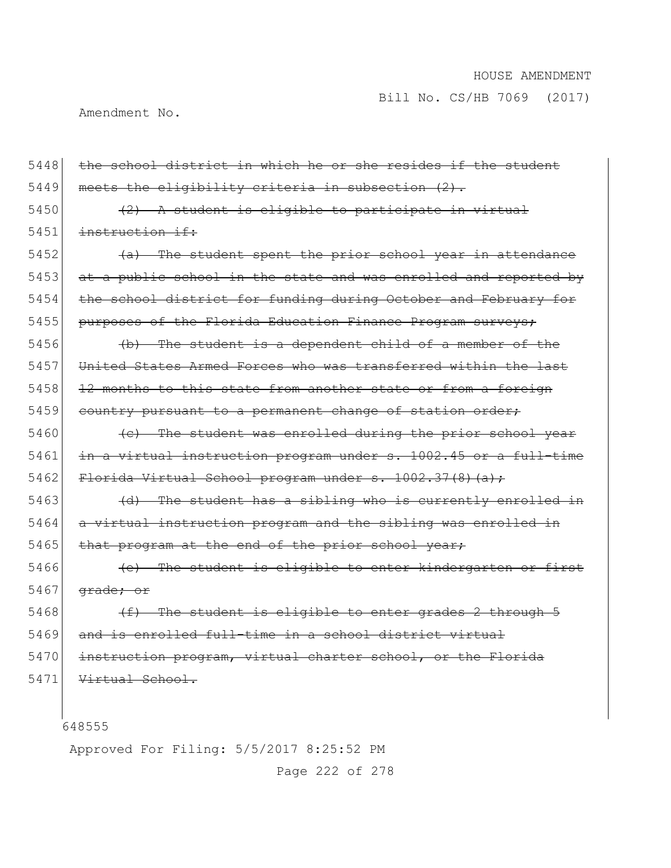Amendment No.

| 5448 | the school district in which he or she resides if the student    |
|------|------------------------------------------------------------------|
| 5449 | meets the eligibility criteria in subsection (2).                |
| 5450 | $(2)$ A student is eligible to participate in virtual            |
| 5451 | instruction if:                                                  |
| 5452 | (a) The student spent the prior school year in attendance        |
| 5453 | at a public school in the state and was enrolled and reported by |
| 5454 | the school district for funding during October and February for  |
| 5455 | purposes of the Florida Education Finance Program surveys;       |
| 5456 | (b) The student is a dependent child of a member of the          |
| 5457 | United States Armed Forces who was transferred within the last   |
| 5458 | 12 months to this state from another state or from a foreign     |
| 5459 | country pursuant to a permanent change of station order;         |
| 5460 | (e) The student was enrolled during the prior school year        |
| 5461 | in a virtual instruction program under s. 1002.45 or a full-time |
| 5462 | Florida Virtual School program under s. 1002.37(8)(a);           |
| 5463 | (d) The student has a sibling who is currently enrolled in       |
| 5464 | a virtual instruction program and the sibling was enrolled in    |
| 5465 | that program at the end of the prior school year,                |
| 5466 | (e) The student is eligible to enter kindergarten or first       |
| 5467 | <del>qrade; or</del>                                             |
| 5468 | (f) The student is eligible to enter grades 2 through 5          |
| 5469 | and is enrolled full-time in a school district virtual           |
| 5470 | instruction program, virtual charter school, or the Florida      |
| 5471 | Virtual School.                                                  |
|      |                                                                  |
|      | 648555                                                           |
|      |                                                                  |

Approved For Filing: 5/5/2017 8:25:52 PM

Page 222 of 278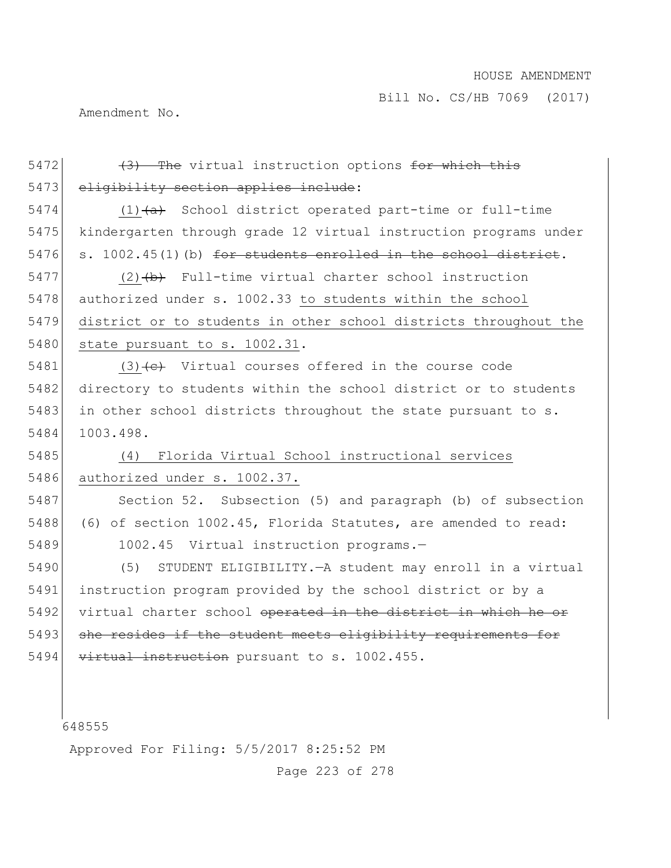Amendment No.

| 5472 | (3) The virtual instruction options for which this               |
|------|------------------------------------------------------------------|
| 5473 | eligibility section applies include:                             |
| 5474 | $(1)$ $(a)$ School district operated part-time or full-time      |
| 5475 | kindergarten through grade 12 virtual instruction programs under |
| 5476 | s. 1002.45(1)(b) for students enrolled in the school district.   |
| 5477 | $(2)$ $(b)$ Full-time virtual charter school instruction         |
| 5478 | authorized under s. 1002.33 to students within the school        |
| 5479 | district or to students in other school districts throughout the |
| 5480 | state pursuant to s. 1002.31.                                    |
| 5481 | $(3)$ $\leftarrow$ Virtual courses offered in the course code    |
| 5482 | directory to students within the school district or to students  |
| 5483 | in other school districts throughout the state pursuant to s.    |
| 5484 | 1003.498.                                                        |
|      |                                                                  |
| 5485 | Florida Virtual School instructional services<br>(4)             |
| 5486 | authorized under s. 1002.37.                                     |
| 5487 | Section 52. Subsection (5) and paragraph (b) of subsection       |
| 5488 | (6) of section 1002.45, Florida Statutes, are amended to read:   |
| 5489 | 1002.45 Virtual instruction programs.-                           |
| 5490 | (5)<br>STUDENT ELIGIBILITY. - A student may enroll in a virtual  |
| 5491 | instruction program provided by the school district or by a      |
| 5492 | virtual charter school operated in the district in which he or   |
| 5493 | she resides if the student meets eligibility requirements for    |
| 5494 | virtual instruction pursuant to s. 1002.455.                     |
|      |                                                                  |
|      |                                                                  |

Approved For Filing: 5/5/2017 8:25:52 PM

Page 223 of 278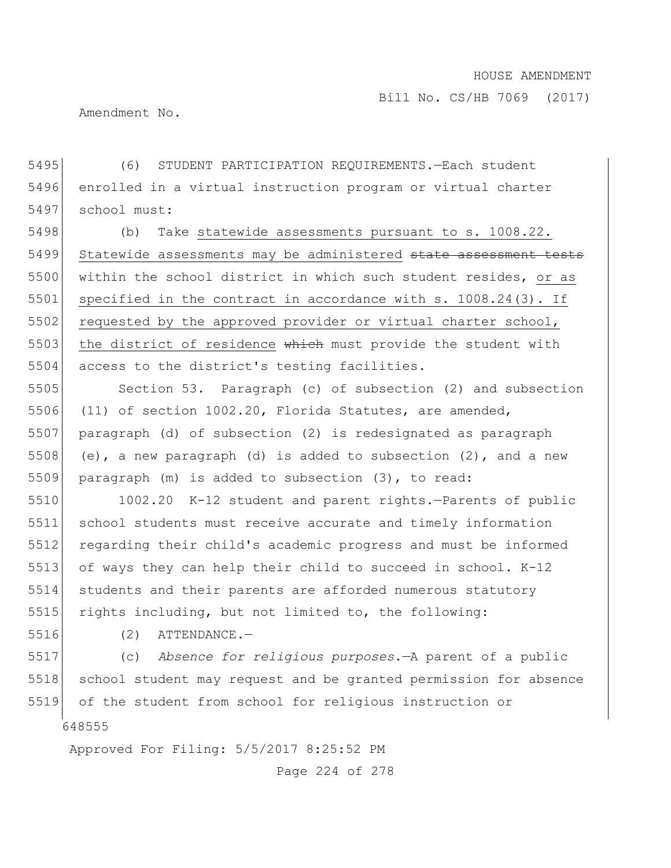Amendment No.

5495 (6) STUDENT PARTICIPATION REQUIREMENTS.—Each student 5496 enrolled in a virtual instruction program or virtual charter 5497 school must:

5498 (b) Take statewide assessments pursuant to s. 1008.22. 5499 Statewide assessments may be administered state assessment tests 5500 within the school district in which such student resides, or as 5501 specified in the contract in accordance with s. 1008.24(3). If 5502 requested by the approved provider or virtual charter school, 5503 the district of residence which must provide the student with 5504 access to the district's testing facilities.

 Section 53. Paragraph (c) of subsection (2) and subsection (11) of section 1002.20, Florida Statutes, are amended, paragraph (d) of subsection (2) is redesignated as paragraph 5508 (e), a new paragraph (d) is added to subsection  $(2)$ , and a new paragraph (m) is added to subsection (3), to read:

5510 1002.20 K-12 student and parent rights.—Parents of public 5511 school students must receive accurate and timely information 5512 regarding their child's academic progress and must be informed 5513 of ways they can help their child to succeed in school. K-12 5514 students and their parents are afforded numerous statutory 5515 rights including, but not limited to, the following:

5516 (2) ATTENDANCE.-

648555 5517 (c) *Absence for religious purposes*.—A parent of a public 5518 school student may request and be granted permission for absence 5519 of the student from school for religious instruction or

Approved For Filing: 5/5/2017 8:25:52 PM

Page 224 of 278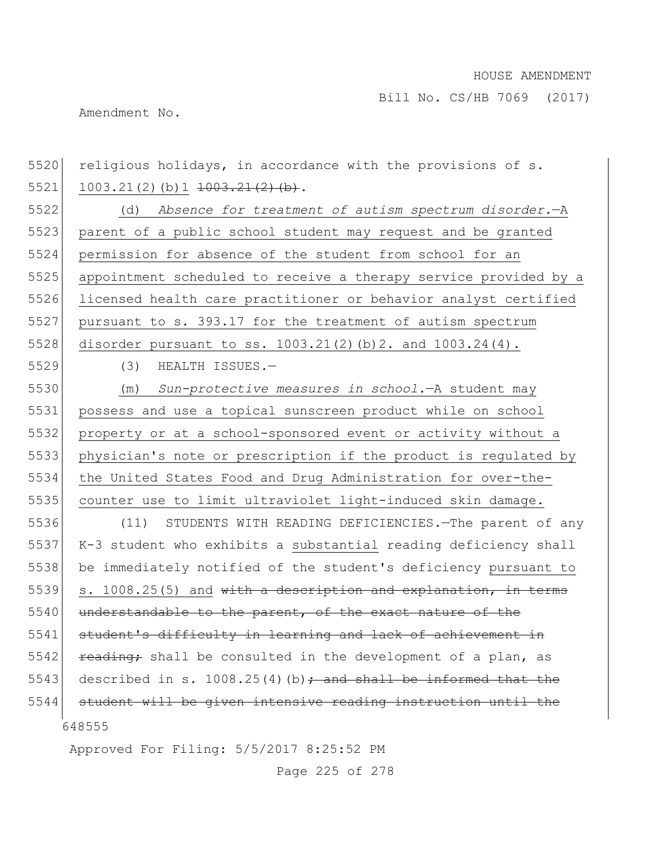Amendment No.

648555 Approved For Filing: 5/5/2017 8:25:52 PM 5520 religious holidays, in accordance with the provisions of s. 1003.21(2)(b)1 <del>1003.21(2)(b)</del>. (d) *Absence for treatment of autism spectrum disorder.*—A 5523 parent of a public school student may request and be granted permission for absence of the student from school for an appointment scheduled to receive a therapy service provided by a licensed health care practitioner or behavior analyst certified pursuant to s. 393.17 for the treatment of autism spectrum 5528 disorder pursuant to ss. 1003.21(2)(b)2. and 1003.24(4). (3) HEALTH ISSUES.— (m) *Sun-protective measures in school.*—A student may possess and use a topical sunscreen product while on school property or at a school-sponsored event or activity without a physician's note or prescription if the product is regulated by the United States Food and Drug Administration for over-the- counter use to limit ultraviolet light-induced skin damage. (11) STUDENTS WITH READING DEFICIENCIES.—The parent of any K-3 student who exhibits a substantial reading deficiency shall be immediately notified of the student's deficiency pursuant to 5539 s. 1008.25(5) and  $\text{with a description and explanation, in terms}$ 5540 understandable to the parent, of the exact nature of the 5541 student's difficulty in learning and lack of achievement in  $r$  reading; shall be consulted in the development of a plan, as 5543 described in s. 1008.25(4)(b); and shall be informed that the student will be given intensive reading instruction until the

Page 225 of 278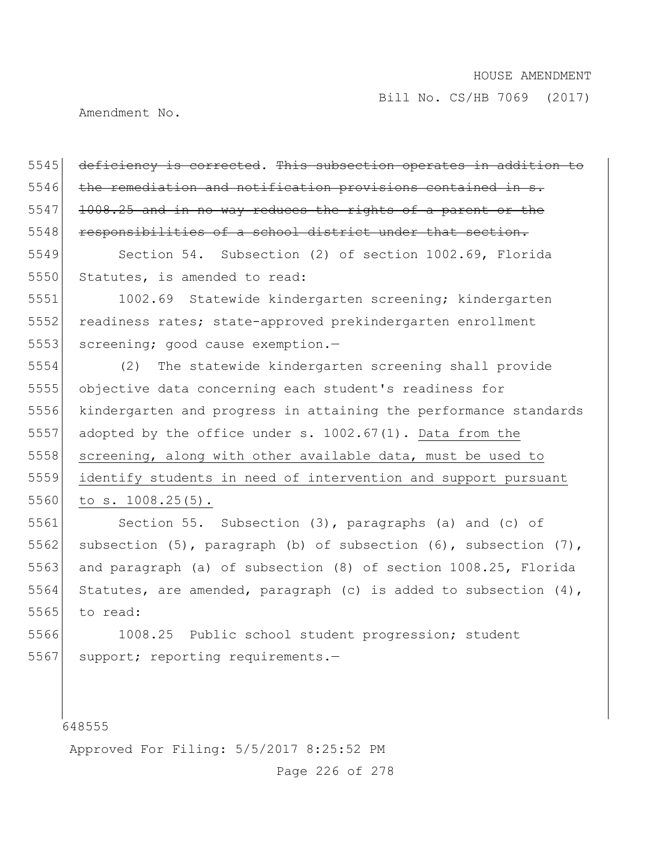Amendment No.

5545 deficiency is corrected. This subsection operates in addition to 5546 the remediation and notification provisions contained in s.  $5547$  1008.25 and in no way reduces the rights of a parent or the 5548 responsibilities of a school district under that section.

5549 Section 54. Subsection (2) of section 1002.69, Florida 5550 Statutes, is amended to read:

5551 1002.69 Statewide kindergarten screening; kindergarten 5552 readiness rates; state-approved prekindergarten enrollment 5553 screening; good cause exemption.-

 (2) The statewide kindergarten screening shall provide objective data concerning each student's readiness for kindergarten and progress in attaining the performance standards adopted by the office under s. 1002.67(1). Data from the 5558 screening, along with other available data, must be used to identify students in need of intervention and support pursuant 5560 to s. 1008.25(5).

5561 Section 55. Subsection (3), paragraphs (a) and (c) of 5562 subsection (5), paragraph (b) of subsection (6), subsection (7), 5563 and paragraph (a) of subsection (8) of section 1008.25, Florida 5564 Statutes, are amended, paragraph (c) is added to subsection  $(4)$ , 5565 to read:

5566 1008.25 Public school student progression; student 5567 support; reporting requirements.-

648555

Approved For Filing: 5/5/2017 8:25:52 PM

Page 226 of 278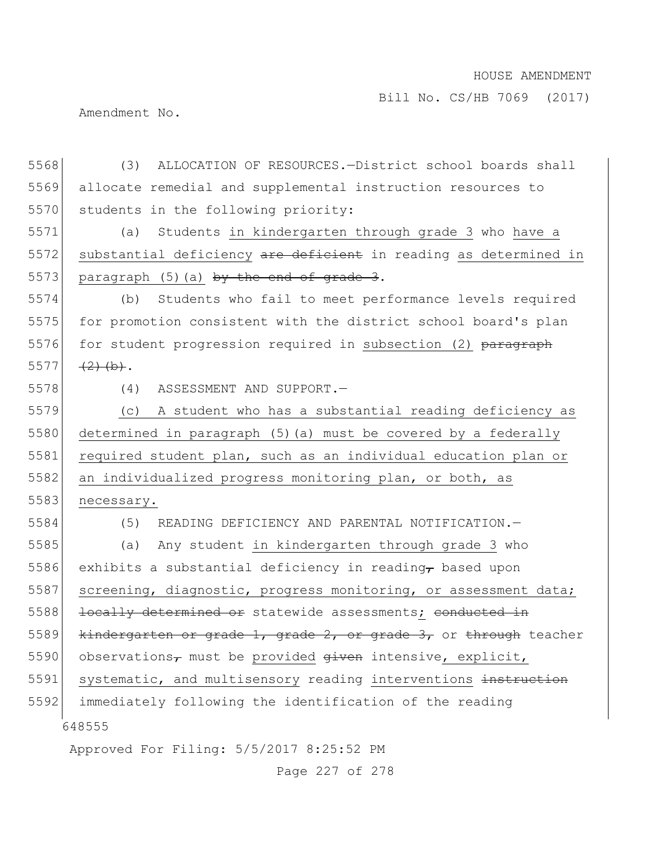Amendment No.

648555 Approved For Filing: 5/5/2017 8:25:52 PM 5568 (3) ALLOCATION OF RESOURCES.—District school boards shall 5569 allocate remedial and supplemental instruction resources to 5570 students in the following priority: 5571 (a) Students in kindergarten through grade 3 who have a 5572 substantial deficiency are deficient in reading as determined in 5573 paragraph (5) (a)  $by$  the end of grade 3. 5574 (b) Students who fail to meet performance levels required 5575 for promotion consistent with the district school board's plan 5576 for student progression required in subsection (2) paragraph 5577  $(2)(b).$ 5578 (4) ASSESSMENT AND SUPPORT.— 5579 (c) A student who has a substantial reading deficiency as 5580 determined in paragraph (5)(a) must be covered by a federally 5581 required student plan, such as an individual education plan or 5582 an individualized progress monitoring plan, or both, as 5583 necessary. 5584 (5) READING DEFICIENCY AND PARENTAL NOTIFICATION.— 5585 (a) Any student in kindergarten through grade 3 who 5586 exhibits a substantial deficiency in reading, based upon 5587 screening, diagnostic, progress monitoring, or assessment data; 5588 <del>locally determined or</del> statewide assessments; conducted in 5589 kindergarten or grade 1, grade 2, or grade 3, or through teacher 5590 observations<sub> $\tau$ </sub> must be provided  $q$ iven intensive, explicit, 5591 systematic, and multisensory reading interventions instruction 5592 immediately following the identification of the reading

Page 227 of 278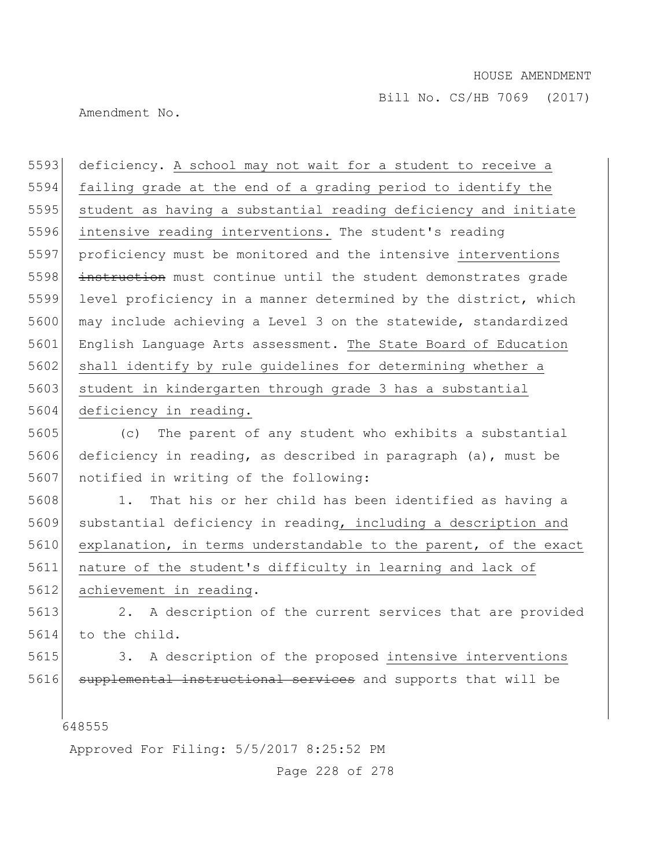Amendment No.

5593 deficiency. A school may not wait for a student to receive a 5594 failing grade at the end of a grading period to identify the 5595 student as having a substantial reading deficiency and initiate 5596 intensive reading interventions. The student's reading 5597 proficiency must be monitored and the intensive interventions 5598 instruction must continue until the student demonstrates grade 5599 level proficiency in a manner determined by the district, which 5600 may include achieving a Level 3 on the statewide, standardized 5601 English Language Arts assessment. The State Board of Education 5602 shall identify by rule guidelines for determining whether a 5603 student in kindergarten through grade 3 has a substantial 5604 deficiency in reading.

5605 (c) The parent of any student who exhibits a substantial 5606 deficiency in reading, as described in paragraph (a), must be 5607 notified in writing of the following:

 1. That his or her child has been identified as having a substantial deficiency in reading, including a description and explanation, in terms understandable to the parent, of the exact nature of the student's difficulty in learning and lack of 5612 achievement in reading.

5613 2. A description of the current services that are provided 5614 to the child.

5615 3. A description of the proposed intensive interventions 5616 supplemental instructional services and supports that will be

648555

Approved For Filing: 5/5/2017 8:25:52 PM

Page 228 of 278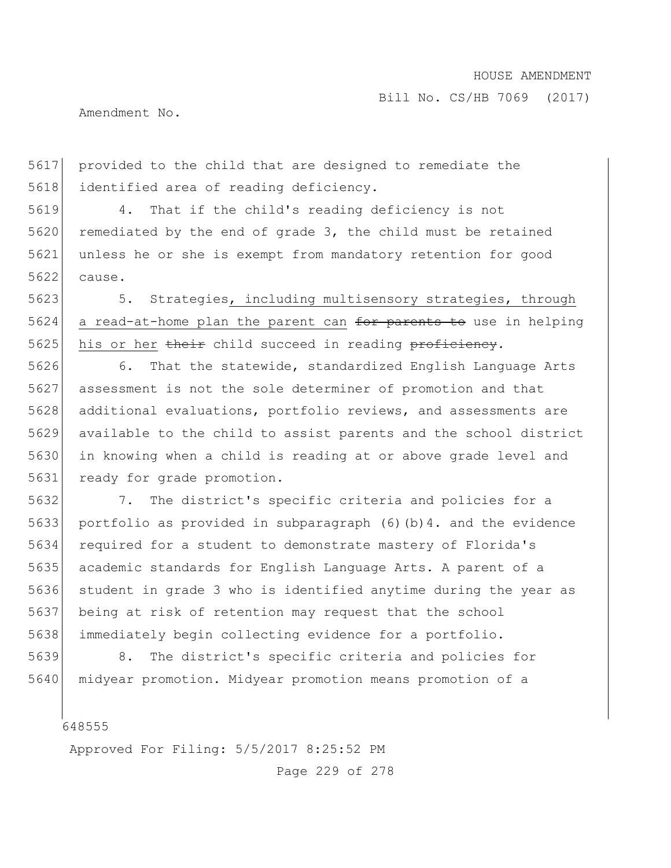Amendment No.

 provided to the child that are designed to remediate the 5618 identified area of reading deficiency.

 4. That if the child's reading deficiency is not 5620 remediated by the end of grade 3, the child must be retained unless he or she is exempt from mandatory retention for good cause.

5623 5. Strategies, including multisensory strategies, through a read-at-home plan the parent can for parents to use in helping 5625 his or her their child succeed in reading proficiency.

 6. That the statewide, standardized English Language Arts assessment is not the sole determiner of promotion and that additional evaluations, portfolio reviews, and assessments are available to the child to assist parents and the school district in knowing when a child is reading at or above grade level and ready for grade promotion.

 7. The district's specific criteria and policies for a portfolio as provided in subparagraph (6)(b)4. and the evidence required for a student to demonstrate mastery of Florida's academic standards for English Language Arts. A parent of a student in grade 3 who is identified anytime during the year as being at risk of retention may request that the school immediately begin collecting evidence for a portfolio.

 8. The district's specific criteria and policies for 5640 | midyear promotion. Midyear promotion means promotion of a

Approved For Filing: 5/5/2017 8:25:52 PM

Page 229 of 278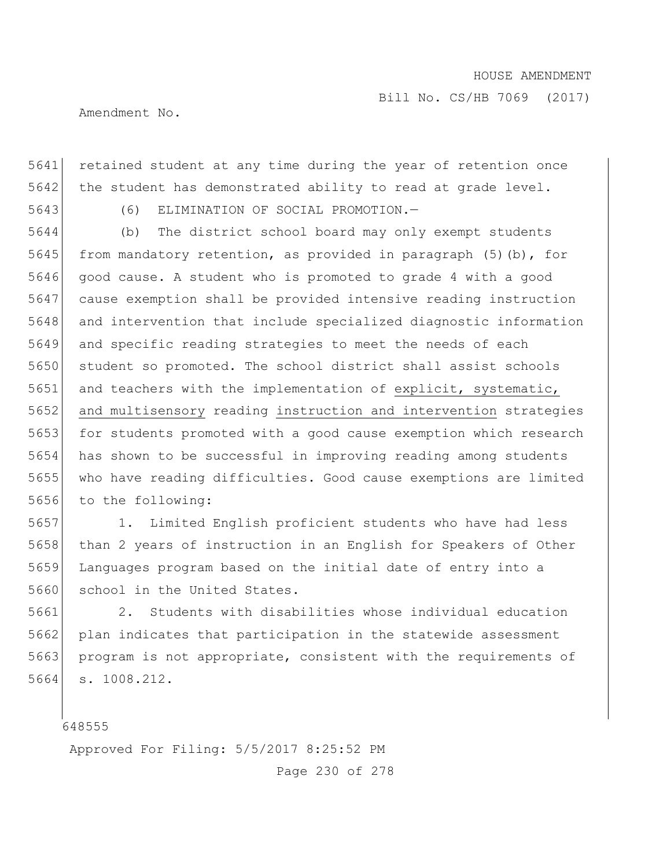Amendment No.

5641 retained student at any time during the year of retention once  $5642$  the student has demonstrated ability to read at grade level.

5643 (6) ELIMINATION OF SOCIAL PROMOTION.—

 (b) The district school board may only exempt students 5645 from mandatory retention, as provided in paragraph  $(5)$  (b), for good cause. A student who is promoted to grade 4 with a good cause exemption shall be provided intensive reading instruction and intervention that include specialized diagnostic information and specific reading strategies to meet the needs of each 5650 student so promoted. The school district shall assist schools 5651 and teachers with the implementation of explicit, systematic, and multisensory reading instruction and intervention strategies 5653 for students promoted with a good cause exemption which research has shown to be successful in improving reading among students who have reading difficulties. Good cause exemptions are limited to the following:

5657 1. Limited English proficient students who have had less 5658 than 2 years of instruction in an English for Speakers of Other 5659 Languages program based on the initial date of entry into a 5660 school in the United States.

5661 2. Students with disabilities whose individual education 5662 plan indicates that participation in the statewide assessment 5663 program is not appropriate, consistent with the requirements of 5664 s. 1008.212.

648555

Approved For Filing: 5/5/2017 8:25:52 PM

Page 230 of 278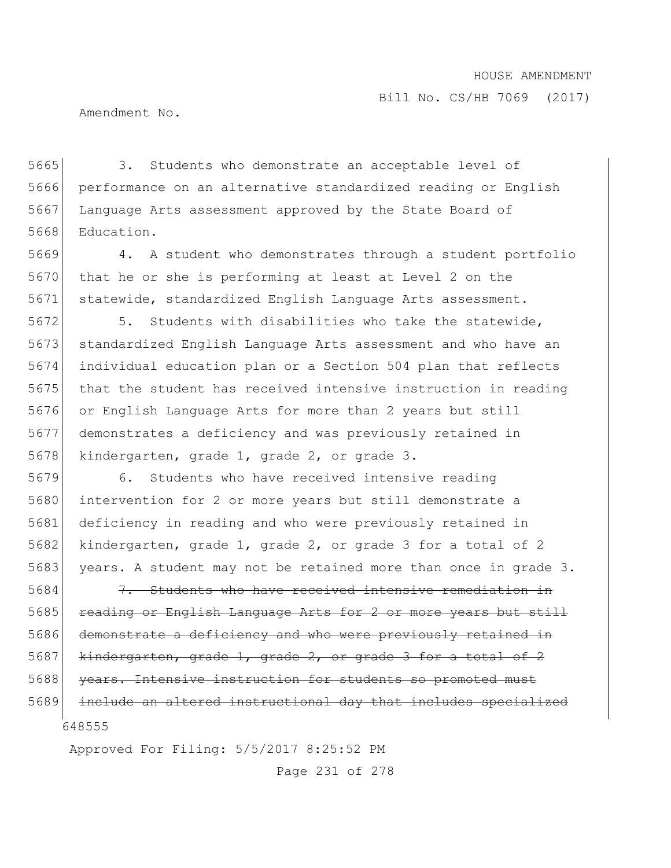Bill No. CS/HB 7069 (2017)

Amendment No.

 3. Students who demonstrate an acceptable level of performance on an alternative standardized reading or English Language Arts assessment approved by the State Board of Education.

5669 4. A student who demonstrates through a student portfolio 5670 that he or she is performing at least at Level 2 on the 5671 statewide, standardized English Language Arts assessment.

5672 5. Students with disabilities who take the statewide, 5673 standardized English Language Arts assessment and who have an 5674 individual education plan or a Section 504 plan that reflects 5675 that the student has received intensive instruction in reading 5676 or English Language Arts for more than 2 years but still 5677 demonstrates a deficiency and was previously retained in 5678 kindergarten, grade 1, grade 2, or grade 3.

5679 6. Students who have received intensive reading 5680 intervention for 2 or more years but still demonstrate a 5681 deficiency in reading and who were previously retained in 5682 kindergarten, grade 1, grade 2, or grade 3 for a total of 2 5683 years. A student may not be retained more than once in grade 3.

648555 5684 7. Students who have received intensive remediation in 5685 reading or English Language Arts for 2 or more years but still 5686 demonstrate a deficiency and who were previously retained in 5687 kindergarten, grade 1, grade 2, or grade 3 for a total of 2 5688 years. Intensive instruction for students so promoted must 5689 include an altered instructional day that includes specialized

Approved For Filing: 5/5/2017 8:25:52 PM

Page 231 of 278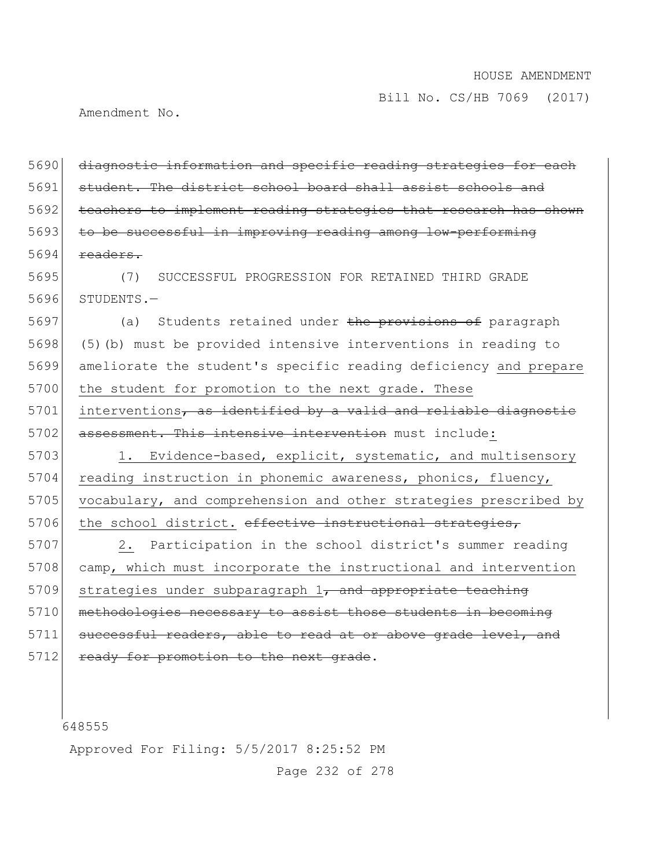Amendment No.

5690 diagnostic information and specific reading strategies for each 5691 student. The district school board shall assist schools and 5692 teachers to implement reading strategies that research has shown 5693 to be successful in improving reading among low-performing  $5694$  readers.

5695 (7) SUCCESSFUL PROGRESSION FOR RETAINED THIRD GRADE 5696 STUDENTS.—

5697 (a) Students retained under the provisions of paragraph 5698 (5)(b) must be provided intensive interventions in reading to 5699 ameliorate the student's specific reading deficiency and prepare 5700 the student for promotion to the next grade. These  $5701$  interventions, as identified by a valid and reliable diagnostic 5702 assessment. This intensive intervention must include:

5703 1. Evidence-based, explicit, systematic, and multisensory 5704 reading instruction in phonemic awareness, phonics, fluency, 5705 vocabulary, and comprehension and other strategies prescribed by 5706 the school district. effective instructional strategies,

5707 2. Participation in the school district's summer reading 5708 camp, which must incorporate the instructional and intervention  $5709$  strategies under subparagraph 1, and appropriate teaching 5710 methodologies necessary to assist those students in becoming 5711 successful readers, able to read at or above grade level, and 5712 ready for promotion to the next grade.

648555

Approved For Filing: 5/5/2017 8:25:52 PM

Page 232 of 278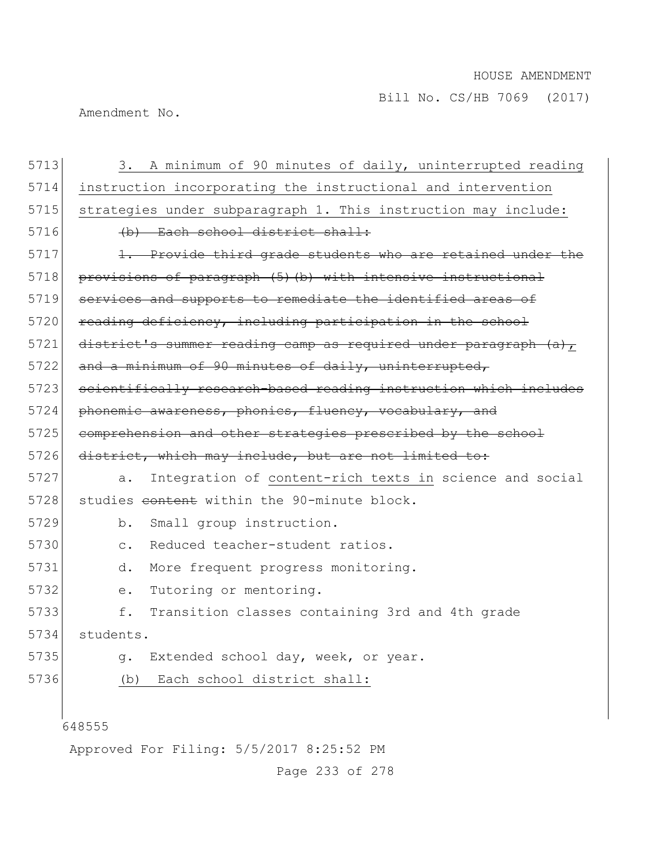Amendment No.

| 5713 | 3. A minimum of 90 minutes of daily, uninterrupted reading       |
|------|------------------------------------------------------------------|
| 5714 | instruction incorporating the instructional and intervention     |
| 5715 | strategies under subparagraph 1. This instruction may include:   |
| 5716 | (b) Each school district shall:                                  |
| 5717 | 1. Provide third grade students who are retained under the       |
| 5718 | provisions of paragraph (5) (b) with intensive instructional     |
| 5719 | services and supports to remediate the identified areas of       |
| 5720 | reading deficiency, including participation in the school        |
| 5721 | district's summer reading camp as required under paragraph (a),  |
| 5722 | and a minimum of 90 minutes of daily, uninterrupted,             |
| 5723 | scientifically research-based reading instruction which includes |
| 5724 | phonemic awareness, phonics, fluency, vocabulary, and            |
| 5725 | comprehension and other strategies prescribed by the school      |
| 5726 | district, which may include, but are not limited to:             |
| 5727 | Integration of content-rich texts in science and social<br>a.    |
| 5728 | studies content within the 90-minute block.                      |
| 5729 | b.<br>Small group instruction.                                   |
| 5730 | Reduced teacher-student ratios.<br>$\mathsf{C}$ .                |
| 5731 | More frequent progress monitoring.<br>d.                         |
| 5732 | Tutoring or mentoring.<br>е.                                     |
| 5733 | f.<br>Transition classes containing 3rd and 4th grade            |
| 5734 | students.                                                        |
| 5735 | Extended school day, week, or year.<br>q.                        |
| 5736 | Each school district shall:<br>(b)                               |
|      |                                                                  |
|      | 648555                                                           |
|      | Approved For Filing: 5/5/2017 8:25:52 PM                         |

Page 233 of 278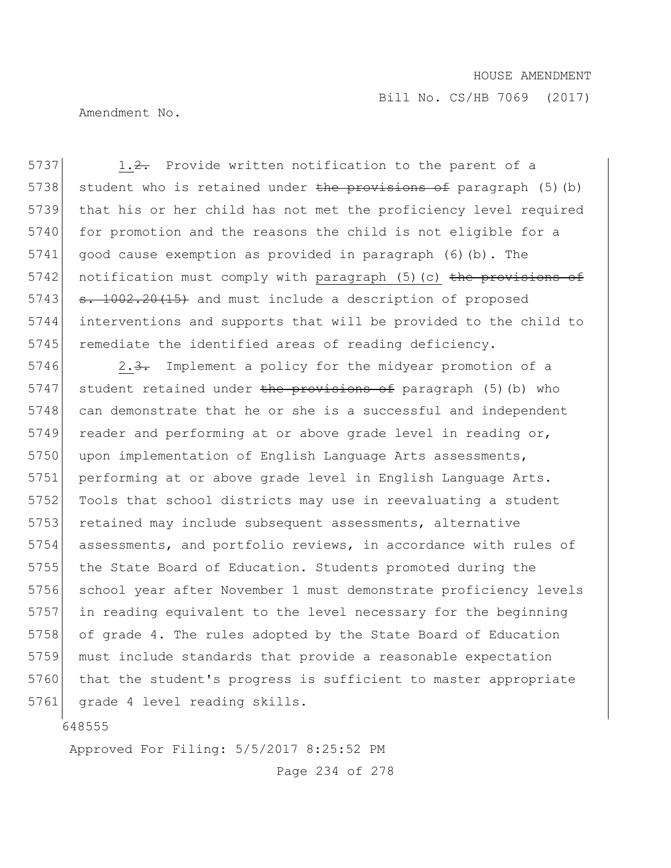Bill No. CS/HB 7069 (2017)

Amendment No.

5737 1.2. Provide written notification to the parent of a 5738 student who is retained under the provisions of paragraph (5)(b) 5739 that his or her child has not met the proficiency level required 5740 for promotion and the reasons the child is not eligible for a 5741 good cause exemption as provided in paragraph (6)(b). The 5742 notification must comply with paragraph  $(5)$  (c) the provisions of 5743  $\sigma$ . 1002.20(15) and must include a description of proposed 5744 interventions and supports that will be provided to the child to 5745 remediate the identified areas of reading deficiency.

5746 2.3. Implement a policy for the midyear promotion of a 5747 student retained under the provisions of paragraph (5)(b) who 5748 can demonstrate that he or she is a successful and independent 5749 reader and performing at or above grade level in reading  $or$ , 5750 upon implementation of English Language Arts assessments, 5751 performing at or above grade level in English Language Arts. 5752 Tools that school districts may use in reevaluating a student 5753 retained may include subsequent assessments, alternative 5754 assessments, and portfolio reviews, in accordance with rules of 5755 the State Board of Education. Students promoted during the 5756 school year after November 1 must demonstrate proficiency levels 5757 in reading equivalent to the level necessary for the beginning 5758 of grade 4. The rules adopted by the State Board of Education 5759 must include standards that provide a reasonable expectation 5760 that the student's progress is sufficient to master appropriate 5761 grade 4 level reading skills.

648555

Approved For Filing: 5/5/2017 8:25:52 PM

Page 234 of 278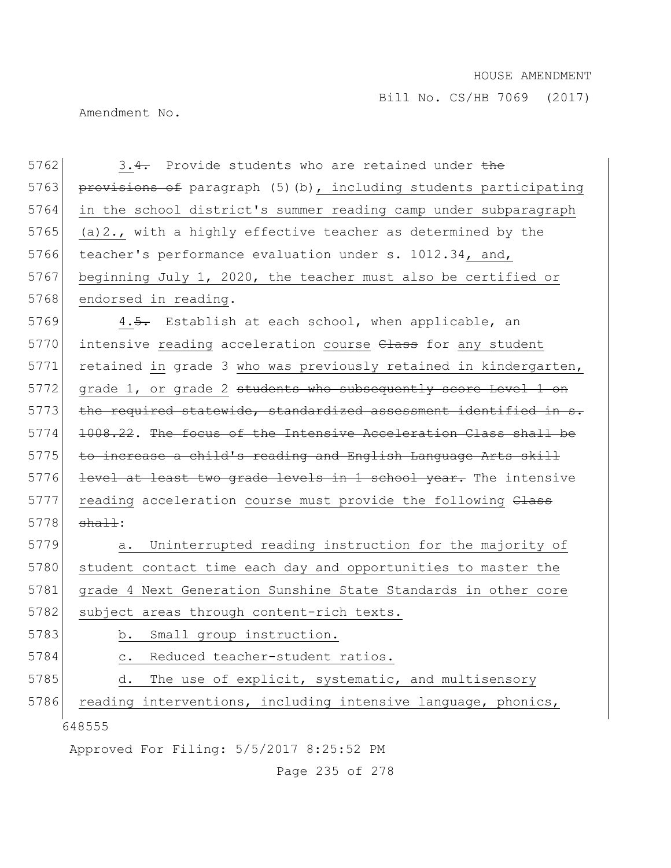Amendment No.

648555 5762 3.4. Provide students who are retained under the 5763 provisions of paragraph (5)(b), including students participating 5764 in the school district's summer reading camp under subparagraph 5765 (a)  $2.$ , with a highly effective teacher as determined by the 5766 teacher's performance evaluation under s. 1012.34, and, 5767 beginning July 1, 2020, the teacher must also be certified or 5768 endorsed in reading. 5769 4.5. Establish at each school, when applicable, an 5770 intensive reading acceleration course Class for any student 5771 retained in grade 3 who was previously retained in kindergarten, 5772 grade 1, or grade 2 students who subsequently score Level 1 on 5773 the required statewide, standardized assessment identified in s. 5774 1008.22. The focus of the Intensive Acceleration Class shall be 5775 to increase a child's reading and English Language Arts skill 5776 level at least two grade levels in 1 school year. The intensive 5777 reading acceleration course must provide the following Class  $5778$  shall: 5779 a. Uninterrupted reading instruction for the majority of 5780 student contact time each day and opportunities to master the 5781 grade 4 Next Generation Sunshine State Standards in other core 5782 subject areas through content-rich texts. 5783 b. Small group instruction. 5784 c. Reduced teacher-student ratios. 5785 d. The use of explicit, systematic, and multisensory 5786 reading interventions, including intensive language, phonics,

Approved For Filing: 5/5/2017 8:25:52 PM

Page 235 of 278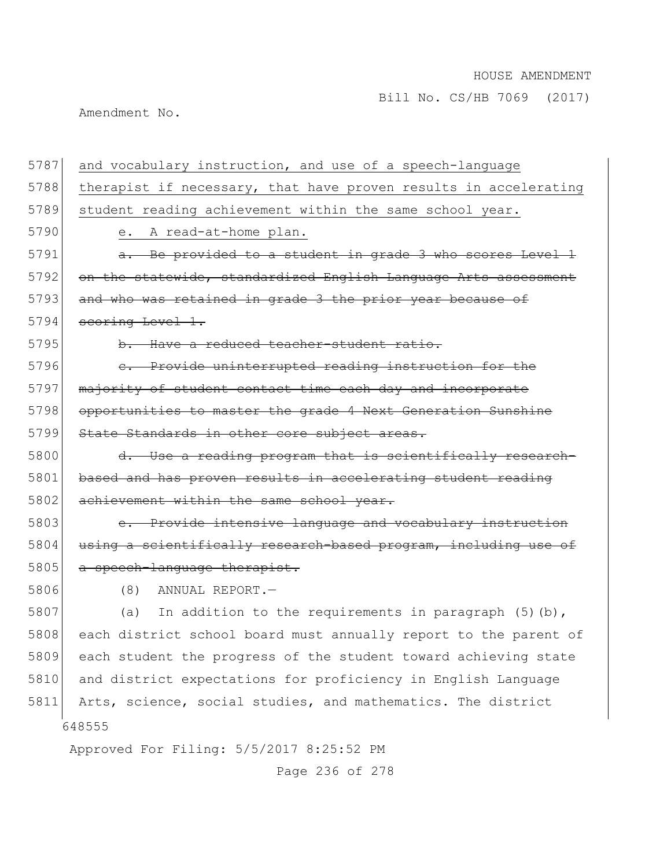Amendment No.

| 5787 | and vocabulary instruction, and use of a speech-language         |
|------|------------------------------------------------------------------|
| 5788 | therapist if necessary, that have proven results in accelerating |
| 5789 | student reading achievement within the same school year.         |
| 5790 | A read-at-home plan.<br>е.                                       |
| 5791 | a. Be provided to a student in grade 3 who scores Level 1        |
| 5792 | on the statewide, standardized English Language Arts assessment  |
| 5793 | and who was retained in grade 3 the prior year because of        |
| 5794 | scoring Level 1.                                                 |
| 5795 | b. Have a reduced teacher-student ratio.                         |
| 5796 | e. Provide uninterrupted reading instruction for the             |
| 5797 | majority of student contact time each day and incorporate        |
| 5798 | opportunities to master the grade 4 Next Generation Sunshine     |
| 5799 | State Standards in other core subject areas.                     |
| 5800 | d. Use a reading program that is scientifically research-        |
| 5801 | based and has proven results in accelerating student reading     |
| 5802 | achievement within the same school year.                         |
| 5803 | e. Provide intensive language and vocabulary instruction         |
| 5804 | using a scientifically research-based program, including use of  |
| 5805 | a speech-language therapist.                                     |
| 5806 | (8)<br>ANNUAL REPORT.-                                           |
| 5807 | In addition to the requirements in paragraph $(5)$ (b),<br>(a)   |
| 5808 | each district school board must annually report to the parent of |
| 5809 | each student the progress of the student toward achieving state  |
| 5810 | and district expectations for proficiency in English Language    |
| 5811 | Arts, science, social studies, and mathematics. The district     |
|      | 648555                                                           |
|      | Approved For Filing: 5/5/2017 8:25:52 PM                         |

Page 236 of 278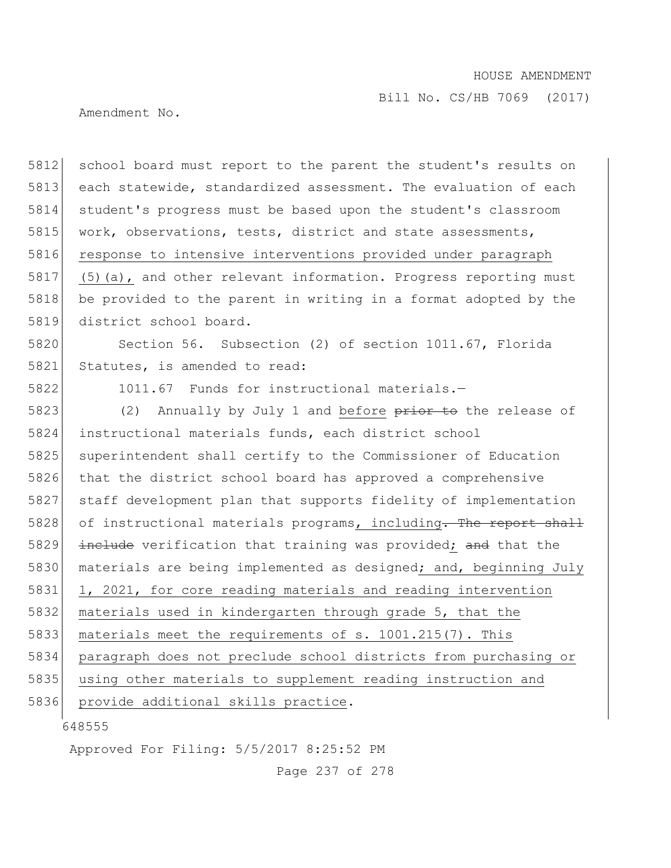Bill No. CS/HB 7069 (2017)

Amendment No.

5812 school board must report to the parent the student's results on 5813 each statewide, standardized assessment. The evaluation of each 5814 student's progress must be based upon the student's classroom 5815 work, observations, tests, district and state assessments, 5816 response to intensive interventions provided under paragraph 5817 (5)(a), and other relevant information. Progress reporting must 5818 be provided to the parent in writing in a format adopted by the 5819 district school board.

5820 Section 56. Subsection (2) of section 1011.67, Florida 5821 Statutes, is amended to read:

5822 1011.67 Funds for instructional materials.—

5823 (2) Annually by July 1 and before  $\frac{p}{p}$  and the release of 5824 instructional materials funds, each district school 5825 superintendent shall certify to the Commissioner of Education 5826 that the district school board has approved a comprehensive 5827 staff development plan that supports fidelity of implementation 5828 of instructional materials programs, including. The report shall 5829 include verification that training was provided; and that the 5830 materials are being implemented as designed; and, beginning July 5831 1, 2021, for core reading materials and reading intervention 5832 materials used in kindergarten through grade 5, that the 5833 | materials meet the requirements of s. 1001.215(7). This 5834 paragraph does not preclude school districts from purchasing or 5835 using other materials to supplement reading instruction and 5836 provide additional skills practice.

648555

Approved For Filing: 5/5/2017 8:25:52 PM

Page 237 of 278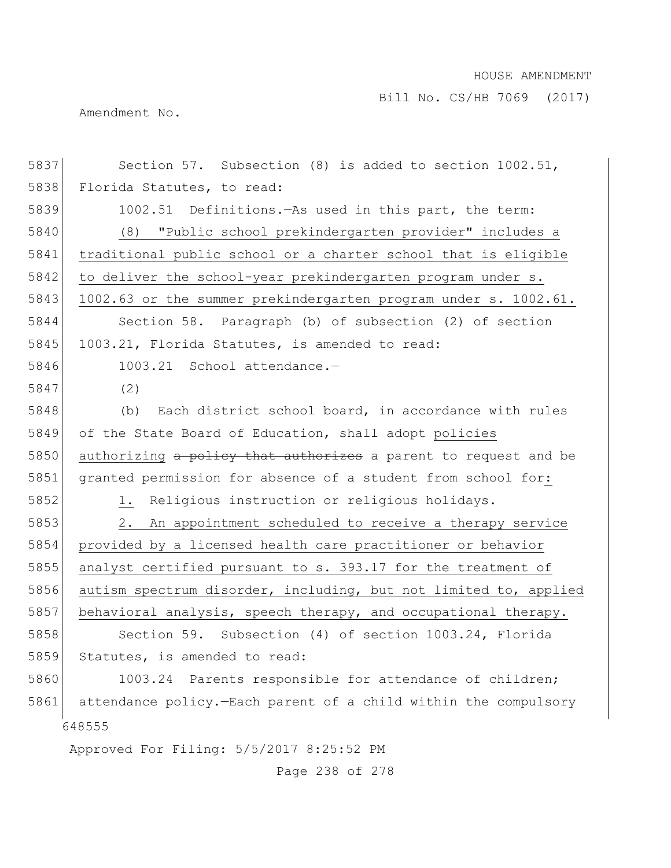Bill No. CS/HB 7069 (2017)

Amendment No.

| 5837 | Section 57. Subsection (8) is added to section 1002.51,           |
|------|-------------------------------------------------------------------|
| 5838 | Florida Statutes, to read:                                        |
| 5839 | 1002.51 Definitions. - As used in this part, the term:            |
| 5840 | (8) "Public school prekindergarten provider" includes a           |
| 5841 | traditional public school or a charter school that is eligible    |
| 5842 | to deliver the school-year prekindergarten program under s.       |
| 5843 | 1002.63 or the summer prekindergarten program under s. 1002.61.   |
| 5844 | Section 58. Paragraph (b) of subsection (2) of section            |
| 5845 | 1003.21, Florida Statutes, is amended to read:                    |
| 5846 | 1003.21 School attendance.-                                       |
| 5847 | (2)                                                               |
| 5848 | Each district school board, in accordance with rules<br>(b)       |
| 5849 | of the State Board of Education, shall adopt policies             |
| 5850 | authorizing a policy that authorizes a parent to request and be   |
| 5851 | granted permission for absence of a student from school for:      |
| 5852 | 1. Religious instruction or religious holidays.                   |
| 5853 | 2.<br>An appointment scheduled to receive a therapy service       |
| 5854 | provided by a licensed health care practitioner or behavior       |
| 5855 | analyst certified pursuant to s. 393.17 for the treatment of      |
| 5856 | autism spectrum disorder, including, but not limited to, applied  |
| 5857 | behavioral analysis, speech therapy, and occupational therapy.    |
| 5858 | Section 59. Subsection (4) of section 1003.24, Florida            |
| 5859 | Statutes, is amended to read:                                     |
| 5860 | 1003.24 Parents responsible for attendance of children;           |
| 5861 | attendance policy. - Each parent of a child within the compulsory |
|      | 648555                                                            |
|      | Approved For Filing: 5/5/2017 8:25:52 PM                          |

Page 238 of 278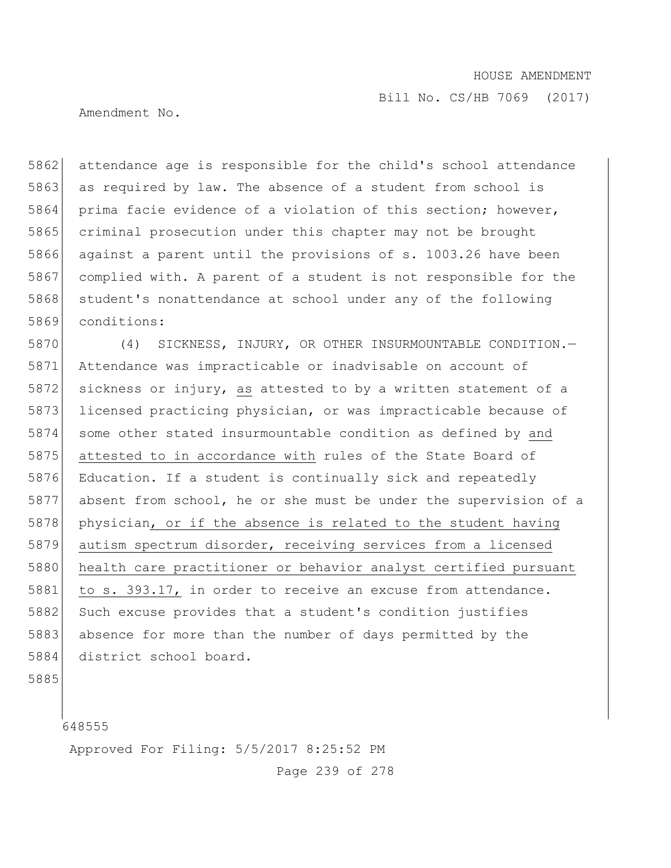Amendment No.

5862 attendance age is responsible for the child's school attendance 5863 as required by law. The absence of a student from school is 5864 prima facie evidence of a violation of this section; however, 5865 criminal prosecution under this chapter may not be brought 5866 against a parent until the provisions of s. 1003.26 have been 5867 complied with. A parent of a student is not responsible for the 5868 student's nonattendance at school under any of the following 5869 conditions:

5870 (4) SICKNESS, INJURY, OR OTHER INSURMOUNTABLE CONDITION.— 5871 Attendance was impracticable or inadvisable on account of 5872 sickness or injury, as attested to by a written statement of a 5873 licensed practicing physician, or was impracticable because of 5874 some other stated insurmountable condition as defined by and 5875 attested to in accordance with rules of the State Board of 5876 Education. If a student is continually sick and repeatedly 5877 absent from school, he or she must be under the supervision of a 5878 physician, or if the absence is related to the student having 5879 autism spectrum disorder, receiving services from a licensed 5880 health care practitioner or behavior analyst certified pursuant 5881 to s. 393.17, in order to receive an excuse from attendance. 5882 Such excuse provides that a student's condition justifies 5883 absence for more than the number of days permitted by the 5884 district school board.

5885

648555

Approved For Filing: 5/5/2017 8:25:52 PM

Page 239 of 278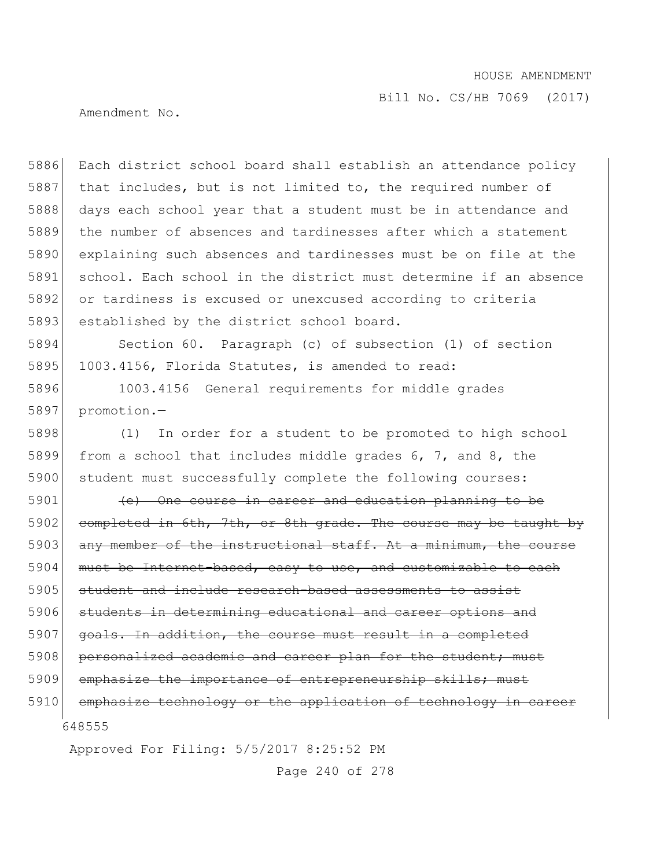Bill No. CS/HB 7069 (2017)

Amendment No.

 Each district school board shall establish an attendance policy 5887 that includes, but is not limited to, the required number of 5888 days each school year that a student must be in attendance and the number of absences and tardinesses after which a statement explaining such absences and tardinesses must be on file at the school. Each school in the district must determine if an absence or tardiness is excused or unexcused according to criteria 5893 established by the district school board.

5894 Section 60. Paragraph (c) of subsection (1) of section 5895 1003.4156, Florida Statutes, is amended to read:

5896 1003.4156 General requirements for middle grades 5897 promotion.—

5898 (1) In order for a student to be promoted to high school 5899 from a school that includes middle grades 6, 7, and 8, the 5900 student must successfully complete the following courses:

648555 5901 (e) One course in career and education planning to be 5902 completed in 6th, 7th, or 8th grade. The course may be taught by 5903 any member of the instructional staff. At a minimum, the course 5904 must be Internet-based, easy to use, and customizable to each 5905 student and include research-based assessments to assist 5906 students in determining educational and career options and 5907 goals. In addition, the course must result in a completed 5908 personalized academic and career plan for the student; must 5909 emphasize the importance of entrepreneurship skills; must 5910 emphasize technology or the application of technology in career

Approved For Filing: 5/5/2017 8:25:52 PM

Page 240 of 278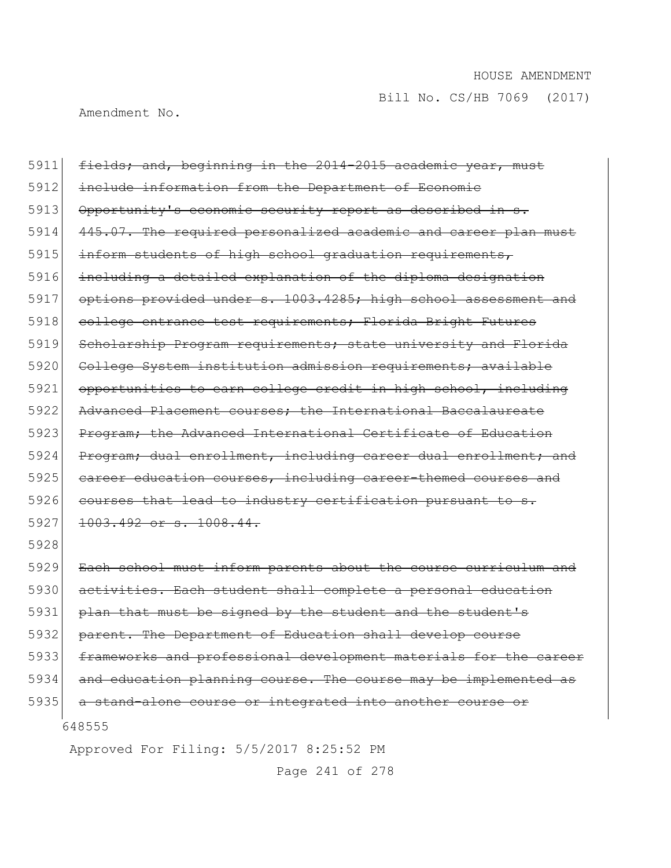Amendment No.

| 5911 | fields; and, beginning in the 2014-2015 academic year, must      |
|------|------------------------------------------------------------------|
| 5912 | include information from the Department of Economic              |
| 5913 | Opportunity's economic security report as described in s.        |
| 5914 | 445.07. The required personalized academic and career plan must  |
| 5915 | inform students of high school graduation requirements,          |
| 5916 | including a detailed explanation of the diploma designation      |
| 5917 | options provided under s. 1003.4285; high school assessment and  |
| 5918 | college entrance test requirements; Florida Bright Futures       |
| 5919 | Scholarship Program requirements; state university and Florida   |
| 5920 | College System institution admission requirements; available     |
| 5921 | opportunities to earn college credit in high school, including   |
| 5922 | Advanced Placement courses: the International Baccalaureate      |
| 5923 | Program; the Advanced International Certificate of Education     |
| 5924 | Program; dual enrollment, including career dual enrollment; and  |
| 5925 | eareer education courses, including career-themed courses and    |
| 5926 | courses that lead to industry certification pursuant to s.       |
| 5927 | 1003.492 or s. 1008.44.                                          |
| 5928 |                                                                  |
| 5929 | Each school must inform parents about the course curriculum and  |
| 5930 | activities. Each student shall complete a personal education     |
| 5931 | plan that must be signed by the student and the student's        |
| 5932 | parent. The Department of Education shall develop course         |
| 5933 | frameworks and professional development materials for the career |
| 5934 | and education planning course. The course may be implemented as  |
| 5935 | a stand-alone course or integrated into another course or        |
|      | 648555                                                           |

Approved For Filing: 5/5/2017 8:25:52 PM

Page 241 of 278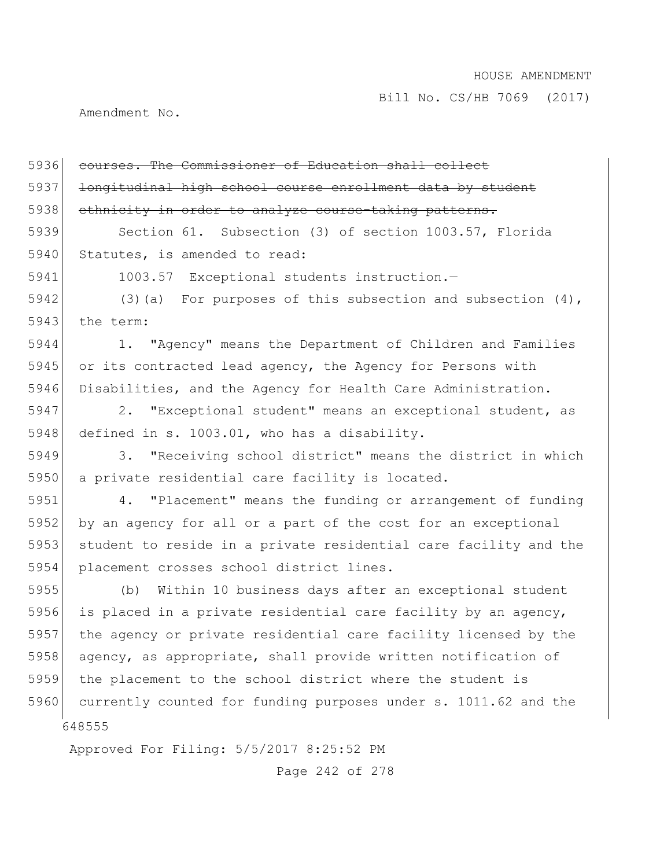Amendment No.

| 5936 | courses. The Commissioner of Education shall collect             |
|------|------------------------------------------------------------------|
| 5937 | longitudinal high school course enrollment data by student       |
| 5938 | ethnicity in order to analyze course-taking patterns.            |
| 5939 | Section 61. Subsection (3) of section 1003.57, Florida           |
| 5940 | Statutes, is amended to read:                                    |
| 5941 | 1003.57 Exceptional students instruction.-                       |
| 5942 | (3) (a) For purposes of this subsection and subsection $(4)$ ,   |
| 5943 | the term:                                                        |
| 5944 | 1. "Agency" means the Department of Children and Families        |
| 5945 | or its contracted lead agency, the Agency for Persons with       |
| 5946 | Disabilities, and the Agency for Health Care Administration.     |
| 5947 | 2. "Exceptional student" means an exceptional student, as        |
| 5948 | defined in s. 1003.01, who has a disability.                     |
| 5949 | "Receiving school district" means the district in which<br>3.    |
| 5950 | a private residential care facility is located.                  |
| 5951 | 4. "Placement" means the funding or arrangement of funding       |
| 5952 | by an agency for all or a part of the cost for an exceptional    |
| 5953 | student to reside in a private residential care facility and the |
| 5954 | placement crosses school district lines.                         |
| 5955 | (b) Within 10 business days after an exceptional student         |
| 5956 | is placed in a private residential care facility by an agency,   |
| 5957 | the agency or private residential care facility licensed by the  |
| 5958 | agency, as appropriate, shall provide written notification of    |
| 5959 | the placement to the school district where the student is        |
| 5960 | currently counted for funding purposes under s. 1011.62 and the  |
|      | 648555                                                           |

Approved For Filing: 5/5/2017 8:25:52 PM

Page 242 of 278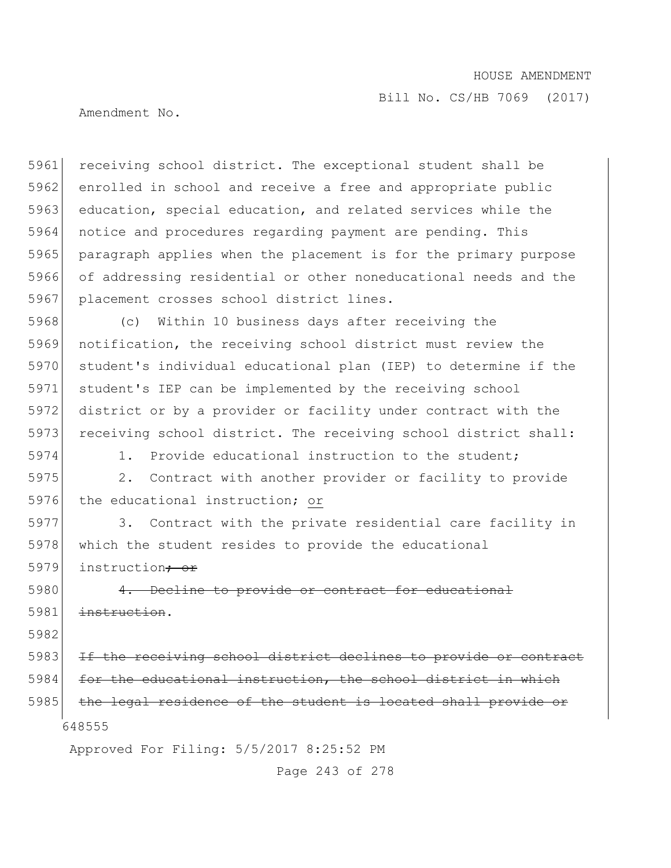Bill No. CS/HB 7069 (2017)

Amendment No.

5961 receiving school district. The exceptional student shall be 5962 enrolled in school and receive a free and appropriate public 5963 education, special education, and related services while the 5964 notice and procedures regarding payment are pending. This 5965 paragraph applies when the placement is for the primary purpose 5966 of addressing residential or other noneducational needs and the 5967 placement crosses school district lines.

 (c) Within 10 business days after receiving the notification, the receiving school district must review the student's individual educational plan (IEP) to determine if the student's IEP can be implemented by the receiving school district or by a provider or facility under contract with the 5973 receiving school district. The receiving school district shall:

5974 1. Provide educational instruction to the student;

5975 2. Contract with another provider or facility to provide 5976 the educational instruction; or

5977 3. Contract with the private residential care facility in 5978 which the student resides to provide the educational 5979 instruction<del>; or</del>

5980 4. Decline to provide or contract for educational 5981 instruction.

5982

648555 5983 If the receiving school district declines to provide or contract 5984 for the educational instruction, the school district in which 5985 the legal residence of the student is located shall provide or

Approved For Filing: 5/5/2017 8:25:52 PM

Page 243 of 278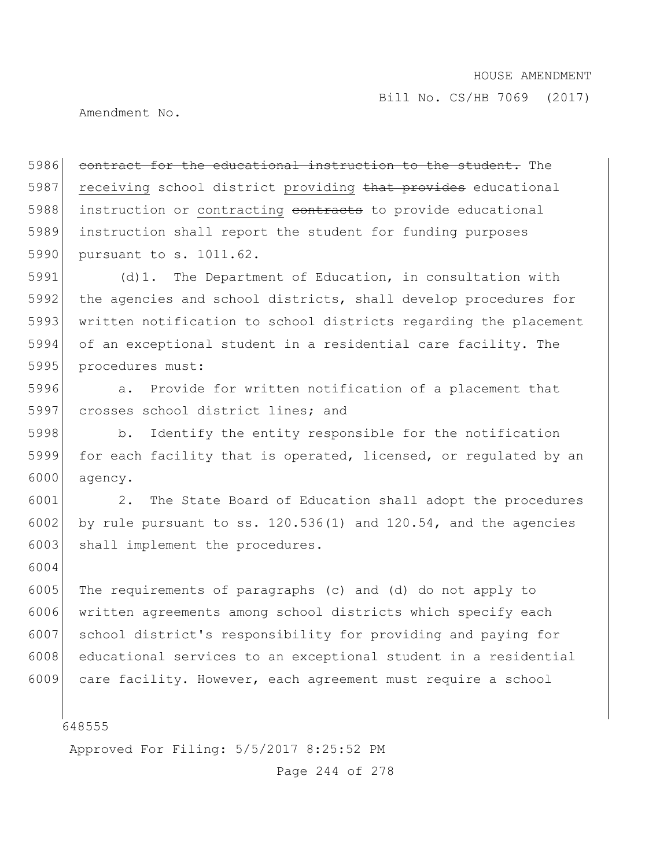Amendment No.

5986 contract for the educational instruction to the student. The 5987 receiving school district providing that provides educational 5988 instruction or contracting contracts to provide educational 5989 instruction shall report the student for funding purposes 5990 pursuant to s. 1011.62.

5991 (d)1. The Department of Education, in consultation with 5992 the agencies and school districts, shall develop procedures for 5993 written notification to school districts regarding the placement 5994 of an exceptional student in a residential care facility. The 5995 procedures must:

5996 **120 a.** Provide for written notification of a placement that 5997 crosses school district lines; and

5998 b. Identify the entity responsible for the notification 5999 for each facility that is operated, licensed, or regulated by an 6000 agency.

6001 2. The State Board of Education shall adopt the procedures 6002 by rule pursuant to ss.  $120.536(1)$  and  $120.54$ , and the agencies 6003 shall implement the procedures.

6005 The requirements of paragraphs (c) and (d) do not apply to 6006 written agreements among school districts which specify each 6007 school district's responsibility for providing and paying for 6008 educational services to an exceptional student in a residential 6009 care facility. However, each agreement must require a school

648555

6004

Approved For Filing: 5/5/2017 8:25:52 PM

Page 244 of 278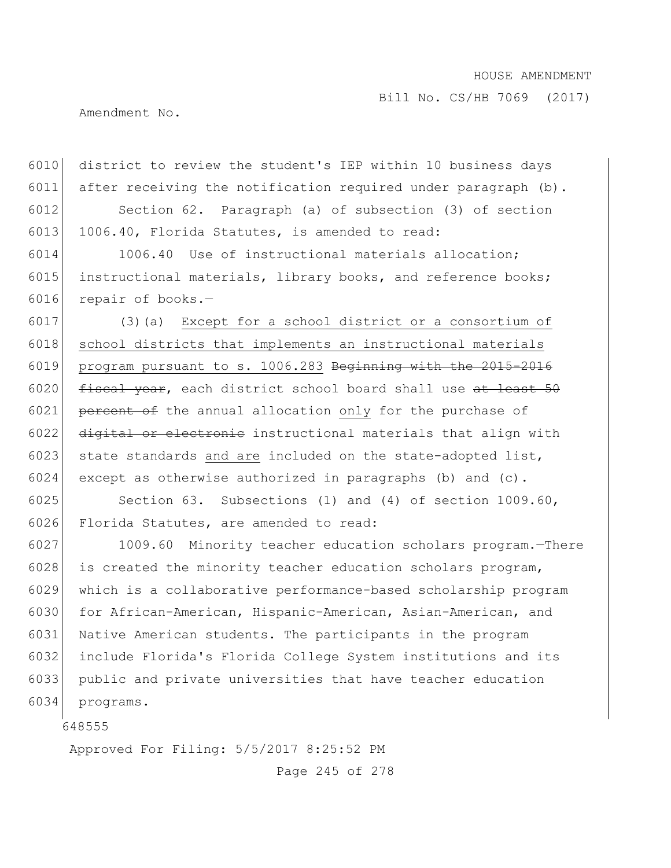Bill No. CS/HB 7069 (2017)

Amendment No.

6010 district to review the student's IEP within 10 business days 6011 after receiving the notification required under paragraph  $(b)$ . 6012 Section 62. Paragraph (a) of subsection (3) of section 6013 1006.40, Florida Statutes, is amended to read:

6014 1006.40 Use of instructional materials allocation; 6015 instructional materials, library books, and reference books; 6016 repair of books.-

6017 (3)(a) Except for a school district or a consortium of 6018 school districts that implements an instructional materials 6019 program pursuant to s. 1006.283 Beginning with the 2015-2016 6020  $f{\text{iscal year}}$ , each district school board shall use at least 50 6021 percent of the annual allocation only for the purchase of 6022 digital or electronic instructional materials that align with 6023 state standards and are included on the state-adopted list, 6024 except as otherwise authorized in paragraphs (b) and  $(c)$ .

6025 Section 63. Subsections (1) and (4) of section 1009.60, 6026 Florida Statutes, are amended to read:

 1009.60 Minority teacher education scholars program.—There 6028 is created the minority teacher education scholars program, which is a collaborative performance-based scholarship program for African-American, Hispanic-American, Asian-American, and Native American students. The participants in the program include Florida's Florida College System institutions and its public and private universities that have teacher education 6034 programs.

648555

Approved For Filing: 5/5/2017 8:25:52 PM

Page 245 of 278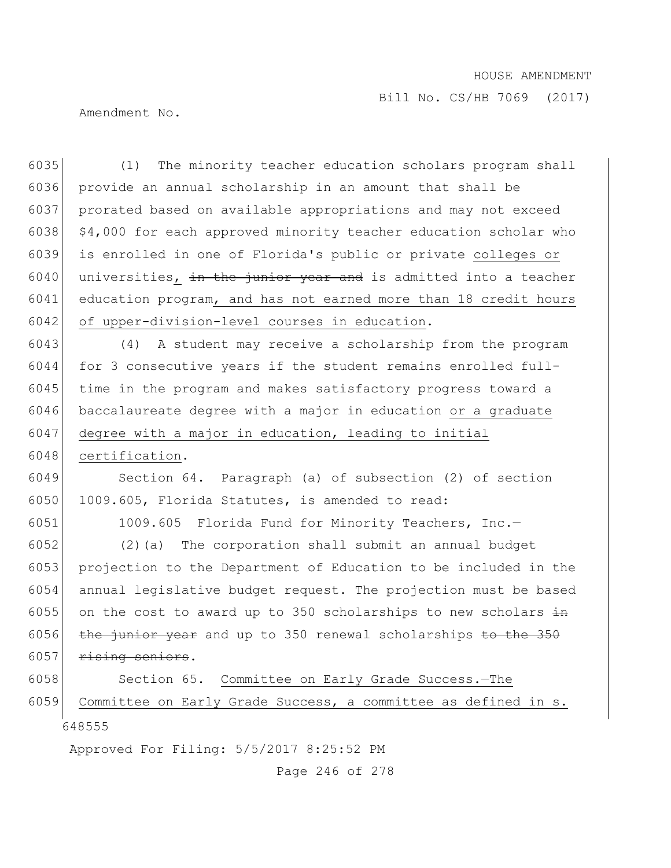Amendment No.

648555 (1) The minority teacher education scholars program shall provide an annual scholarship in an amount that shall be prorated based on available appropriations and may not exceed  $\frac{1}{4}$ ,000 for each approved minority teacher education scholar who is enrolled in one of Florida's public or private colleges or 6040 universities, in the junior year and is admitted into a teacher education program, and has not earned more than 18 credit hours 6042 of upper-division-level courses in education. (4) A student may receive a scholarship from the program for 3 consecutive years if the student remains enrolled full-6045 time in the program and makes satisfactory progress toward a baccalaureate degree with a major in education or a graduate 6047 degree with a major in education, leading to initial 6048 certification. Section 64. Paragraph (a) of subsection (2) of section 6050 1009.605, Florida Statutes, is amended to read: 1009.605 Florida Fund for Minority Teachers, Inc.— (2)(a) The corporation shall submit an annual budget projection to the Department of Education to be included in the annual legislative budget request. The projection must be based 6055 on the cost to award up to 350 scholarships to new scholars  $\frac{1}{2}$  $\frac{1}{2}$  the junior year and up to 350 renewal scholarships to the 350  $r$ ising seniors. 6058 Section 65. Committee on Early Grade Success. - The Committee on Early Grade Success, a committee as defined in s.

Approved For Filing: 5/5/2017 8:25:52 PM

Page 246 of 278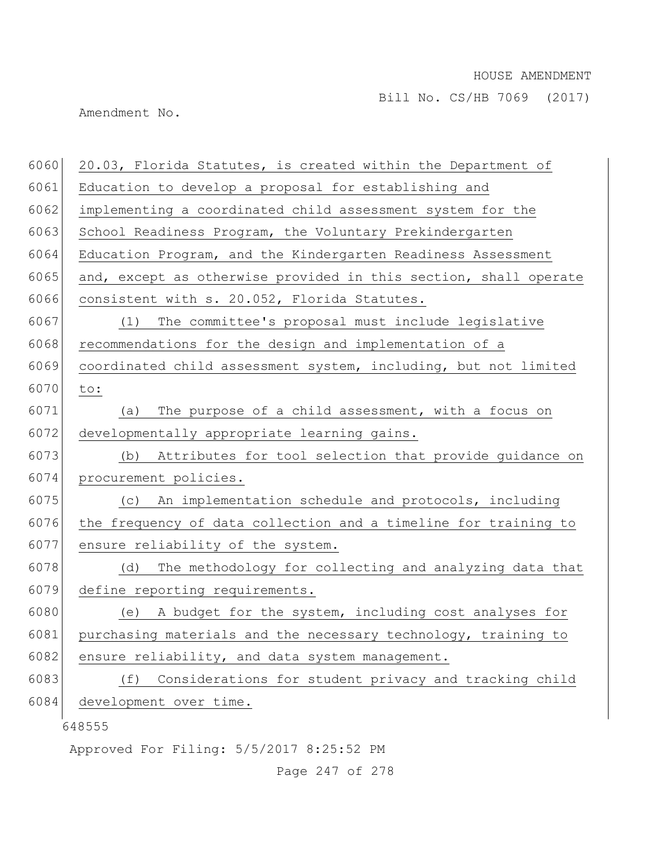Bill No. CS/HB 7069 (2017)

Amendment No.

| 6060 | 20.03, Florida Statutes, is created within the Department of     |
|------|------------------------------------------------------------------|
| 6061 | Education to develop a proposal for establishing and             |
| 6062 | implementing a coordinated child assessment system for the       |
| 6063 | School Readiness Program, the Voluntary Prekindergarten          |
| 6064 | Education Program, and the Kindergarten Readiness Assessment     |
| 6065 | and, except as otherwise provided in this section, shall operate |
| 6066 | consistent with s. 20.052, Florida Statutes.                     |
| 6067 | The committee's proposal must include legislative<br>(1)         |
| 6068 | recommendations for the design and implementation of a           |
| 6069 | coordinated child assessment system, including, but not limited  |
| 6070 | to:                                                              |
| 6071 | The purpose of a child assessment, with a focus on<br>(a)        |
| 6072 | developmentally appropriate learning gains.                      |
| 6073 | Attributes for tool selection that provide guidance on<br>(b)    |
| 6074 | procurement policies.                                            |
| 6075 | An implementation schedule and protocols, including<br>(C)       |
| 6076 | the frequency of data collection and a timeline for training to  |
| 6077 | ensure reliability of the system.                                |
| 6078 | The methodology for collecting and analyzing data that<br>(d)    |
| 6079 | define reporting requirements.                                   |
| 6080 | (e) A budget for the system, including cost analyses for         |
| 6081 | purchasing materials and the necessary technology, training to   |
| 6082 | ensure reliability, and data system management.                  |
| 6083 | Considerations for student privacy and tracking child<br>(f)     |
| 6084 | development over time.                                           |
|      | 648555                                                           |

Approved For Filing: 5/5/2017 8:25:52 PM

Page 247 of 278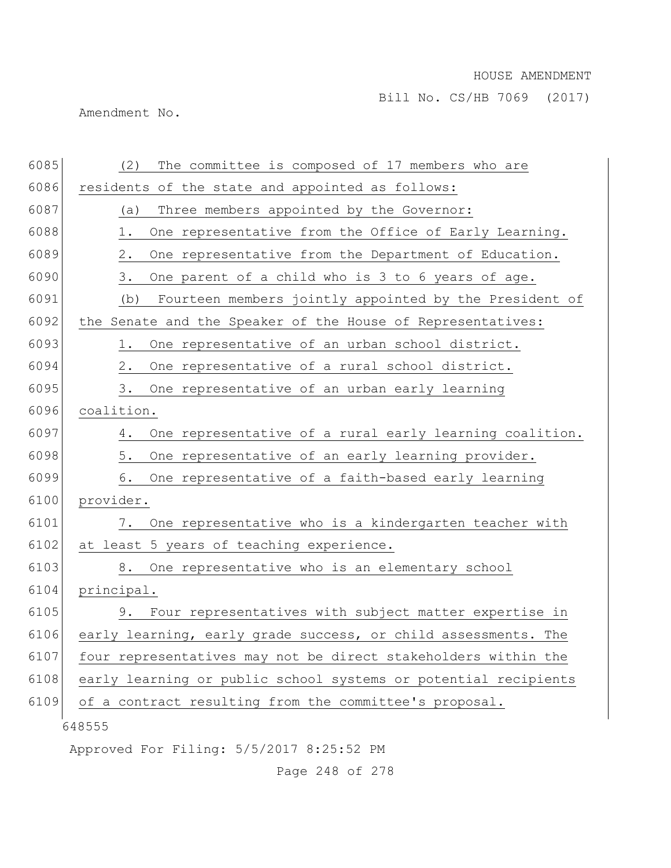Bill No. CS/HB 7069 (2017)

Amendment No.

| 6085 | The committee is composed of 17 members who are<br>(2)          |
|------|-----------------------------------------------------------------|
| 6086 | residents of the state and appointed as follows:                |
| 6087 | Three members appointed by the Governor:<br>(a)                 |
| 6088 | 1.<br>One representative from the Office of Early Learning.     |
| 6089 | One representative from the Department of Education.<br>2.      |
| 6090 | 3.<br>One parent of a child who is 3 to 6 years of age.         |
| 6091 | Fourteen members jointly appointed by the President of<br>(b)   |
| 6092 | the Senate and the Speaker of the House of Representatives:     |
| 6093 | One representative of an urban school district.<br>1.           |
| 6094 | One representative of a rural school district.<br>2.            |
| 6095 | 3.<br>One representative of an urban early learning             |
| 6096 | coalition.                                                      |
| 6097 | One representative of a rural early learning coalition.<br>4.   |
| 6098 | 5.<br>One representative of an early learning provider.         |
| 6099 | 6.<br>One representative of a faith-based early learning        |
| 6100 | provider.                                                       |
| 6101 | 7. One representative who is a kindergarten teacher with        |
| 6102 | at least 5 years of teaching experience.                        |
| 6103 | 8. One representative who is an elementary school               |
| 6104 | principal.                                                      |
| 6105 | 9. Four representatives with subject matter expertise in        |
| 6106 | early learning, early grade success, or child assessments. The  |
| 6107 | four representatives may not be direct stakeholders within the  |
| 6108 | early learning or public school systems or potential recipients |
| 6109 | of a contract resulting from the committee's proposal.          |
|      | 648555                                                          |
|      | Approved For Filing: 5/5/2017 8:25:52 PM                        |

Page 248 of 278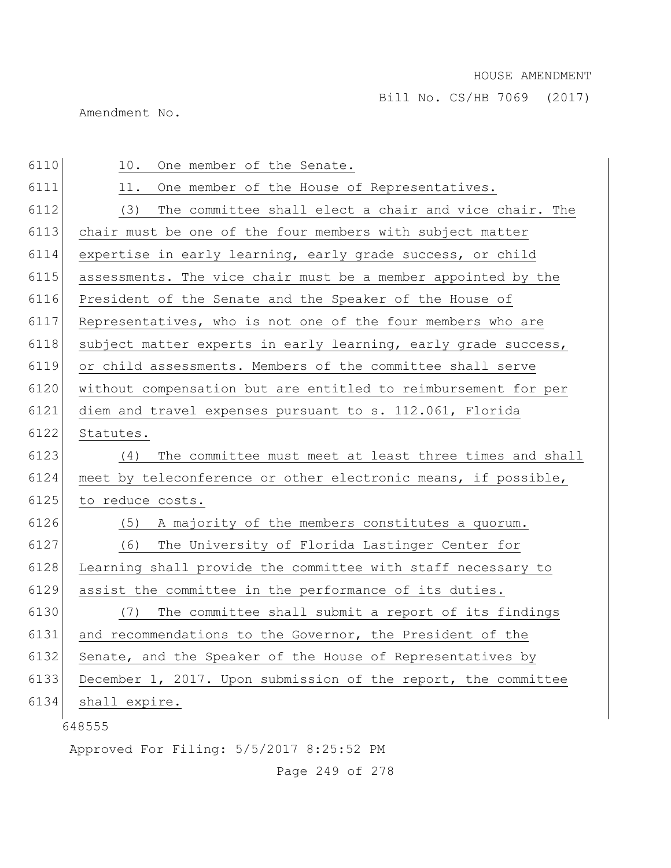Bill No. CS/HB 7069 (2017)

Amendment No.

| 6110 | 10.<br>One member of the Senate.                               |
|------|----------------------------------------------------------------|
| 6111 | One member of the House of Representatives.<br>11.             |
| 6112 | (3)<br>The committee shall elect a chair and vice chair. The   |
| 6113 | chair must be one of the four members with subject matter      |
| 6114 | expertise in early learning, early grade success, or child     |
| 6115 | assessments. The vice chair must be a member appointed by the  |
| 6116 | President of the Senate and the Speaker of the House of        |
| 6117 | Representatives, who is not one of the four members who are    |
| 6118 | subject matter experts in early learning, early grade success, |
| 6119 | or child assessments. Members of the committee shall serve     |
| 6120 | without compensation but are entitled to reimbursement for per |
| 6121 | diem and travel expenses pursuant to s. 112.061, Florida       |
| 6122 | Statutes.                                                      |
| 6123 | The committee must meet at least three times and shall<br>(4)  |
| 6124 | meet by teleconference or other electronic means, if possible, |
| 6125 | to reduce costs.                                               |
| 6126 | A majority of the members constitutes a quorum.<br>(5)         |
| 6127 | (6)<br>The University of Florida Lastinger Center for          |
| 6128 | Learning shall provide the committee with staff necessary to   |
| 6129 | assist the committee in the performance of its duties.         |
| 6130 | (7)<br>The committee shall submit a report of its findings     |
| 6131 | and recommendations to the Governor, the President of the      |
| 6132 | Senate, and the Speaker of the House of Representatives by     |
| 6133 | December 1, 2017. Upon submission of the report, the committee |
| 6134 | shall expire.                                                  |
|      | 648555                                                         |

Approved For Filing: 5/5/2017 8:25:52 PM

Page 249 of 278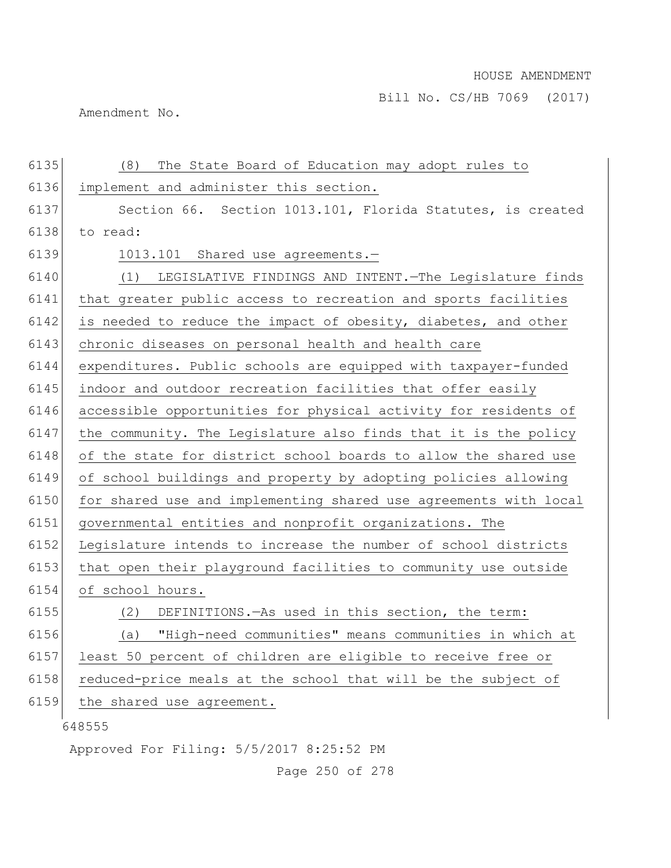Amendment No.

| 6135 | (8)<br>The State Board of Education may adopt rules to           |
|------|------------------------------------------------------------------|
| 6136 | implement and administer this section.                           |
| 6137 | Section 66. Section 1013.101, Florida Statutes, is created       |
| 6138 | to read:                                                         |
| 6139 | 1013.101 Shared use agreements.-                                 |
| 6140 | (1) LEGISLATIVE FINDINGS AND INTENT. - The Legislature finds     |
| 6141 | that greater public access to recreation and sports facilities   |
| 6142 | is needed to reduce the impact of obesity, diabetes, and other   |
| 6143 | chronic diseases on personal health and health care              |
| 6144 | expenditures. Public schools are equipped with taxpayer-funded   |
| 6145 | indoor and outdoor recreation facilities that offer easily       |
| 6146 | accessible opportunities for physical activity for residents of  |
| 6147 | the community. The Legislature also finds that it is the policy  |
| 6148 | of the state for district school boards to allow the shared use  |
| 6149 | of school buildings and property by adopting policies allowing   |
| 6150 | for shared use and implementing shared use agreements with local |
| 6151 | governmental entities and nonprofit organizations. The           |
| 6152 | Legislature intends to increase the number of school districts   |
| 6153 | that open their playground facilities to community use outside   |
| 6154 | of school hours.                                                 |
| 6155 | DEFINITIONS. - As used in this section, the term:<br>(2)         |
| 6156 | "High-need communities" means communities in which at<br>(a)     |
| 6157 | least 50 percent of children are eligible to receive free or     |
| 6158 | reduced-price meals at the school that will be the subject of    |
| 6159 | the shared use agreement.                                        |
|      | 648555                                                           |

Approved For Filing: 5/5/2017 8:25:52 PM

Page 250 of 278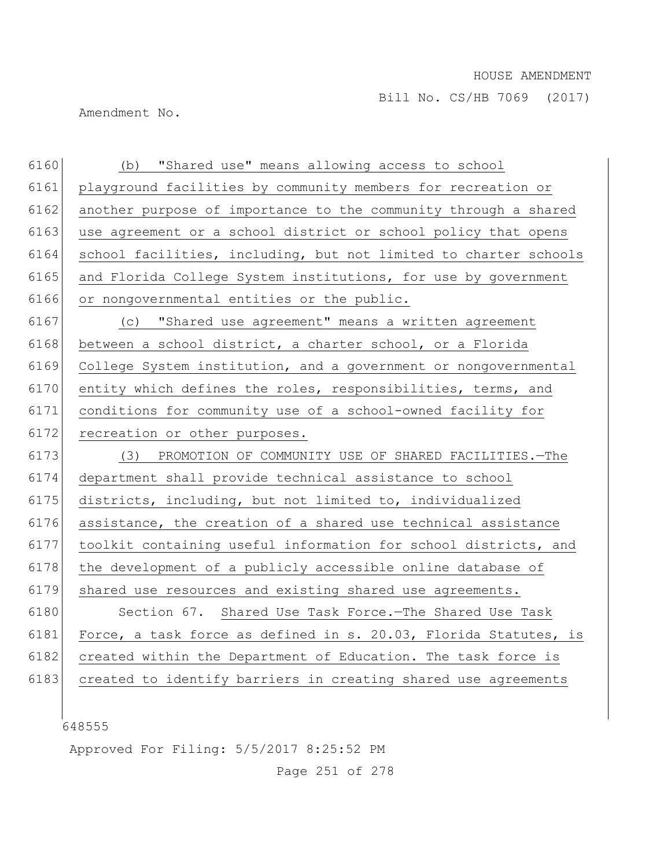Amendment No.

| 6160 | (b) "Shared use" means allowing access to school                 |
|------|------------------------------------------------------------------|
| 6161 | playground facilities by community members for recreation or     |
| 6162 | another purpose of importance to the community through a shared  |
| 6163 | use agreement or a school district or school policy that opens   |
| 6164 | school facilities, including, but not limited to charter schools |
| 6165 | and Florida College System institutions, for use by government   |
| 6166 | or nongovernmental entities or the public.                       |
| 6167 | (c) "Shared use agreement" means a written agreement             |
| 6168 | between a school district, a charter school, or a Florida        |
| 6169 | College System institution, and a government or nongovernmental  |
| 6170 | entity which defines the roles, responsibilities, terms, and     |
| 6171 | conditions for community use of a school-owned facility for      |
| 6172 | recreation or other purposes.                                    |
| 6173 | (3) PROMOTION OF COMMUNITY USE OF SHARED FACILITIES.-The         |
| 6174 | department shall provide technical assistance to school          |
| 6175 | districts, including, but not limited to, individualized         |
| 6176 | assistance, the creation of a shared use technical assistance    |
| 6177 | toolkit containing useful information for school districts, and  |
| 6178 | the development of a publicly accessible online database of      |
| 6179 | shared use resources and existing shared use agreements.         |
| 6180 | Section 67. Shared Use Task Force.-The Shared Use Task           |
| 6181 | Force, a task force as defined in s. 20.03, Florida Statutes, is |
| 6182 | created within the Department of Education. The task force is    |
| 6183 | created to identify barriers in creating shared use agreements   |
|      |                                                                  |

|<br>648555

Approved For Filing: 5/5/2017 8:25:52 PM

Page 251 of 278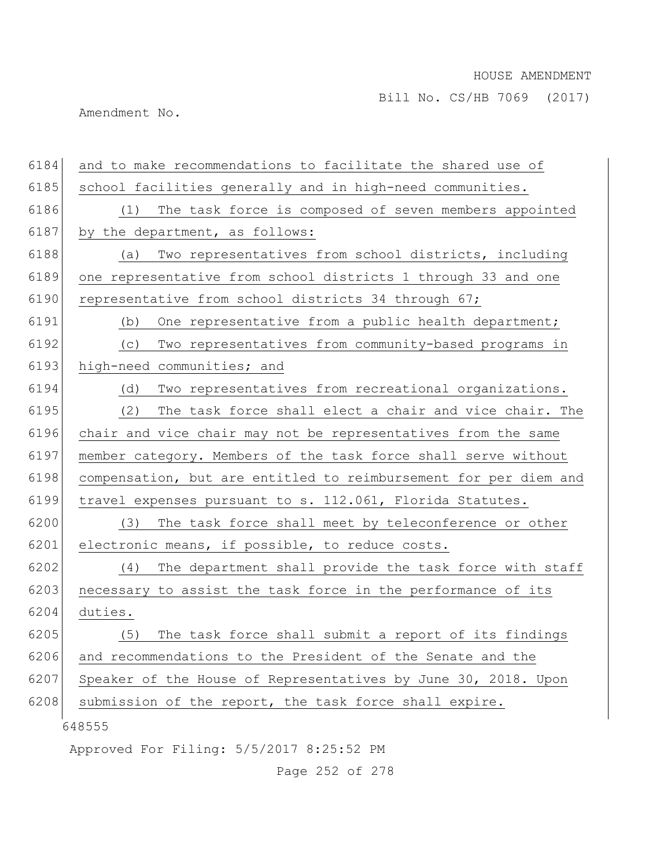Amendment No.

| 6184 | and to make recommendations to facilitate the shared use of      |
|------|------------------------------------------------------------------|
| 6185 | school facilities generally and in high-need communities.        |
| 6186 | The task force is composed of seven members appointed<br>(1)     |
| 6187 | by the department, as follows:                                   |
| 6188 | Two representatives from school districts, including<br>(a)      |
| 6189 | one representative from school districts 1 through 33 and one    |
| 6190 | representative from school districts 34 through 67;              |
| 6191 | One representative from a public health department;<br>(b)       |
| 6192 | Two representatives from community-based programs in<br>(C)      |
| 6193 | high-need communities; and                                       |
| 6194 | Two representatives from recreational organizations.<br>(d)      |
| 6195 | The task force shall elect a chair and vice chair. The<br>(2)    |
| 6196 | chair and vice chair may not be representatives from the same    |
| 6197 | member category. Members of the task force shall serve without   |
| 6198 | compensation, but are entitled to reimbursement for per diem and |
| 6199 | travel expenses pursuant to s. 112.061, Florida Statutes.        |
| 6200 | (3) The task force shall meet by teleconference or other         |
| 6201 | electronic means, if possible, to reduce costs.                  |
| 6202 | The department shall provide the task force with staff<br>(4)    |
| 6203 | necessary to assist the task force in the performance of its     |
| 6204 | duties.                                                          |
| 6205 | The task force shall submit a report of its findings<br>(5)      |
| 6206 | and recommendations to the President of the Senate and the       |
| 6207 | Speaker of the House of Representatives by June 30, 2018. Upon   |
| 6208 | submission of the report, the task force shall expire.           |
|      | 648555                                                           |
|      | Approved For Filing: 5/5/2017 8:25:52 PM                         |

Page 252 of 278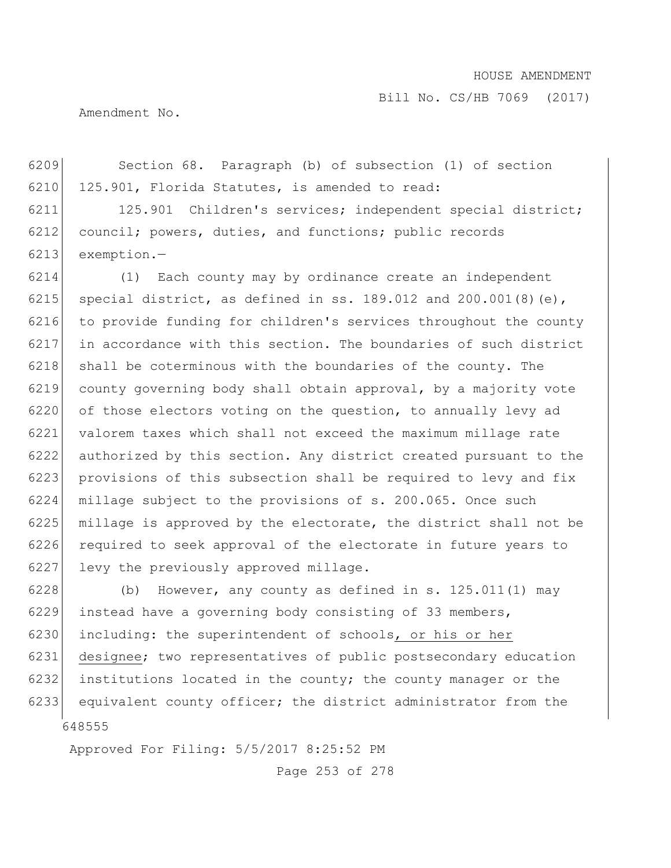Bill No. CS/HB 7069 (2017)

Amendment No.

6209 Section 68. Paragraph (b) of subsection (1) of section 6210 125.901, Florida Statutes, is amended to read:

6211 125.901 Children's services; independent special district; 6212 council; powers, duties, and functions; public records 6213 exemption.—

6214 (1) Each county may by ordinance create an independent 6215 special district, as defined in ss. 189.012 and 200.001(8)(e), 6216 to provide funding for children's services throughout the county 6217 in accordance with this section. The boundaries of such district 6218 shall be coterminous with the boundaries of the county. The 6219 county governing body shall obtain approval, by a majority vote  $6220$  of those electors voting on the question, to annually levy ad 6221 valorem taxes which shall not exceed the maximum millage rate 6222 authorized by this section. Any district created pursuant to the 6223 provisions of this subsection shall be required to levy and fix 6224 millage subject to the provisions of s. 200.065. Once such 6225 millage is approved by the electorate, the district shall not be 6226 required to seek approval of the electorate in future years to 6227 levy the previously approved millage.

648555 6228 (b) However, any county as defined in s.  $125.011(1)$  may 6229 instead have a governing body consisting of 33 members, 6230 including: the superintendent of schools, or his or her 6231 designee; two representatives of public postsecondary education 6232 institutions located in the county; the county manager or the 6233 equivalent county officer; the district administrator from the

Approved For Filing: 5/5/2017 8:25:52 PM

Page 253 of 278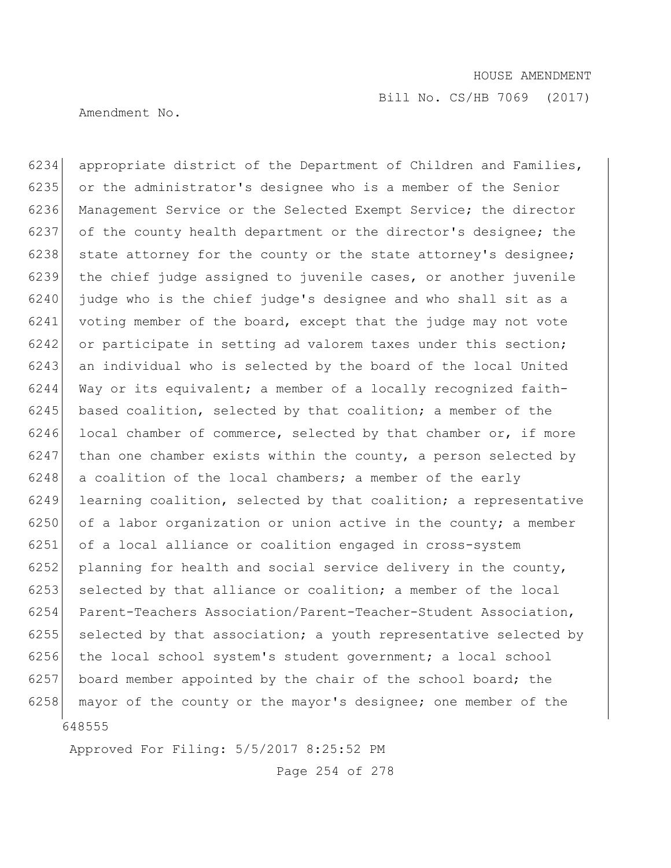Bill No. CS/HB 7069 (2017)

Amendment No.

648555 6234 appropriate district of the Department of Children and Families, 6235 or the administrator's designee who is a member of the Senior 6236 Management Service or the Selected Exempt Service; the director 6237 of the county health department or the director's designee; the 6238 state attorney for the county or the state attorney's designee; 6239 the chief judge assigned to juvenile cases, or another juvenile 6240 judge who is the chief judge's designee and who shall sit as a 6241 voting member of the board, except that the judge may not vote 6242 or participate in setting ad valorem taxes under this section; 6243 an individual who is selected by the board of the local United 6244 Way or its equivalent; a member of a locally recognized faith-6245 based coalition, selected by that coalition; a member of the  $6246$  local chamber of commerce, selected by that chamber or, if more 6247 than one chamber exists within the county, a person selected by  $6248$  a coalition of the local chambers; a member of the early 6249 learning coalition, selected by that coalition; a representative 6250 of a labor organization or union active in the county; a member 6251 of a local alliance or coalition engaged in cross-system 6252 planning for health and social service delivery in the county, 6253 selected by that alliance or coalition; a member of the local 6254 Parent-Teachers Association/Parent-Teacher-Student Association,  $6255$  selected by that association; a youth representative selected by 6256 the local school system's student government; a local school 6257 board member appointed by the chair of the school board; the 6258 mayor of the county or the mayor's designee; one member of the

Approved For Filing: 5/5/2017 8:25:52 PM

Page 254 of 278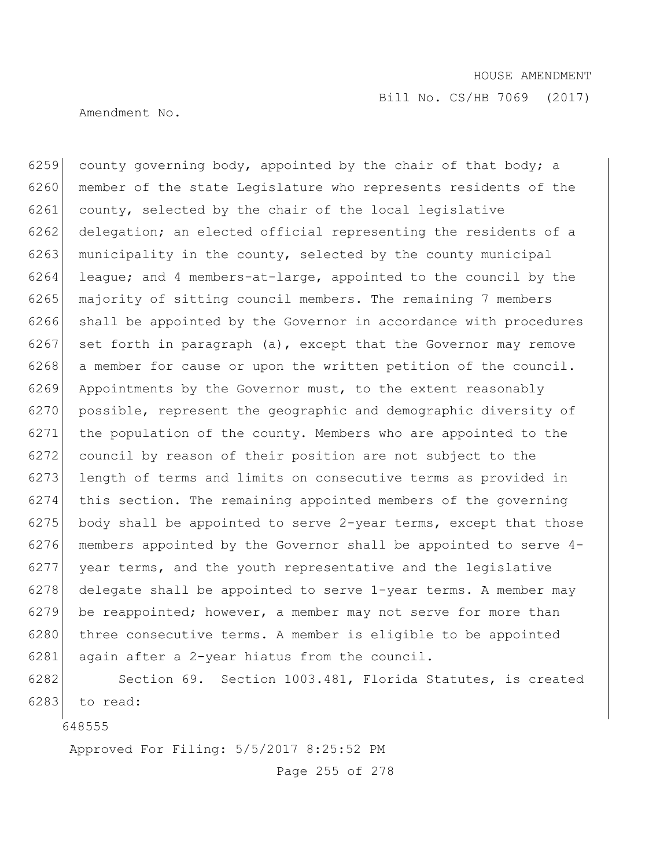Amendment No.

6259 county governing body, appointed by the chair of that body; a 6260 member of the state Legislature who represents residents of the 6261 county, selected by the chair of the local legislative 6262 delegation; an elected official representing the residents of a 6263 municipality in the county, selected by the county municipal 6264 league; and 4 members-at-large, appointed to the council by the 6265 majority of sitting council members. The remaining 7 members 6266 shall be appointed by the Governor in accordance with procedures 6267 set forth in paragraph  $(a)$ , except that the Governor may remove 6268 a member for cause or upon the written petition of the council. 6269 Appointments by the Governor must, to the extent reasonably 6270 possible, represent the geographic and demographic diversity of 6271 the population of the county. Members who are appointed to the 6272 council by reason of their position are not subject to the 6273 length of terms and limits on consecutive terms as provided in 6274 this section. The remaining appointed members of the governing  $6275$  body shall be appointed to serve 2-year terms, except that those 6276 members appointed by the Governor shall be appointed to serve  $4-$ 6277 year terms, and the youth representative and the legislative 6278 delegate shall be appointed to serve  $1$ -year terms. A member may 6279 be reappointed; however, a member may not serve for more than 6280 three consecutive terms. A member is eligible to be appointed 6281 again after a 2-year hiatus from the council.

6282 Section 69. Section 1003.481, Florida Statutes, is created 6283 to read:

648555

Approved For Filing: 5/5/2017 8:25:52 PM

Page 255 of 278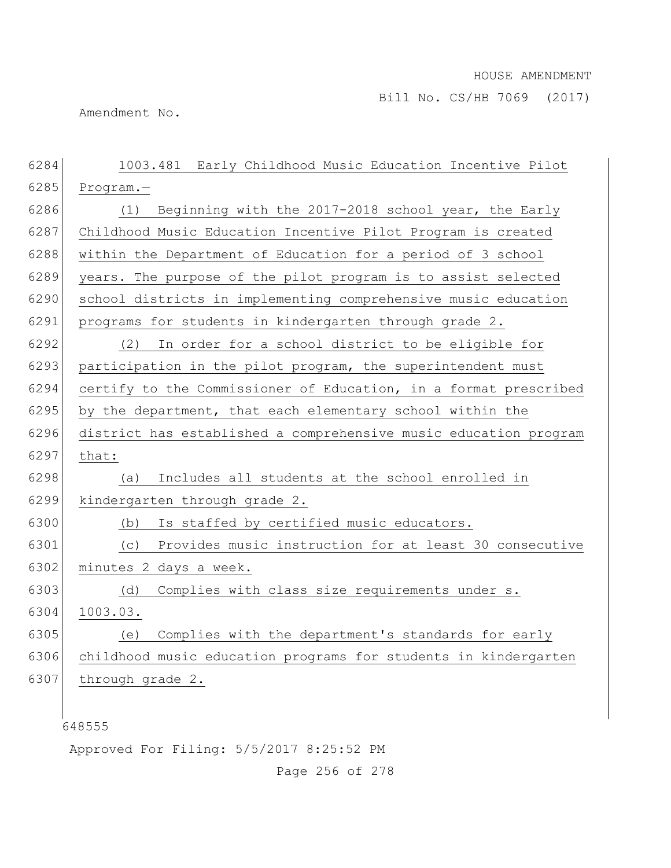Bill No. CS/HB 7069 (2017)

Amendment No.

| 6284 | 1003.481 Early Childhood Music Education Incentive Pilot         |
|------|------------------------------------------------------------------|
| 6285 | Program.-                                                        |
| 6286 | Beginning with the 2017-2018 school year, the Early<br>(1)       |
| 6287 | Childhood Music Education Incentive Pilot Program is created     |
| 6288 | within the Department of Education for a period of 3 school      |
| 6289 | years. The purpose of the pilot program is to assist selected    |
| 6290 | school districts in implementing comprehensive music education   |
| 6291 | programs for students in kindergarten through grade 2.           |
| 6292 | In order for a school district to be eligible for<br>(2)         |
| 6293 | participation in the pilot program, the superintendent must      |
| 6294 | certify to the Commissioner of Education, in a format prescribed |
| 6295 | by the department, that each elementary school within the        |
| 6296 | district has established a comprehensive music education program |
| 6297 | that:                                                            |
| 6298 | Includes all students at the school enrolled in<br>(a)           |
| 6299 | kindergarten through grade 2.                                    |
| 6300 | Is staffed by certified music educators.<br>(b)                  |
| 6301 | Provides music instruction for at least 30 consecutive<br>(C)    |
| 6302 | minutes 2 days a week.                                           |
| 6303 | Complies with class size requirements under s.<br>(d)            |
| 6304 | 1003.03.                                                         |
| 6305 | Complies with the department's standards for early<br>(e)        |
| 6306 | childhood music education programs for students in kindergarten  |
| 6307 | through grade 2.                                                 |
|      |                                                                  |
|      | 648555                                                           |
|      |                                                                  |

Approved For Filing: 5/5/2017 8:25:52 PM

Page 256 of 278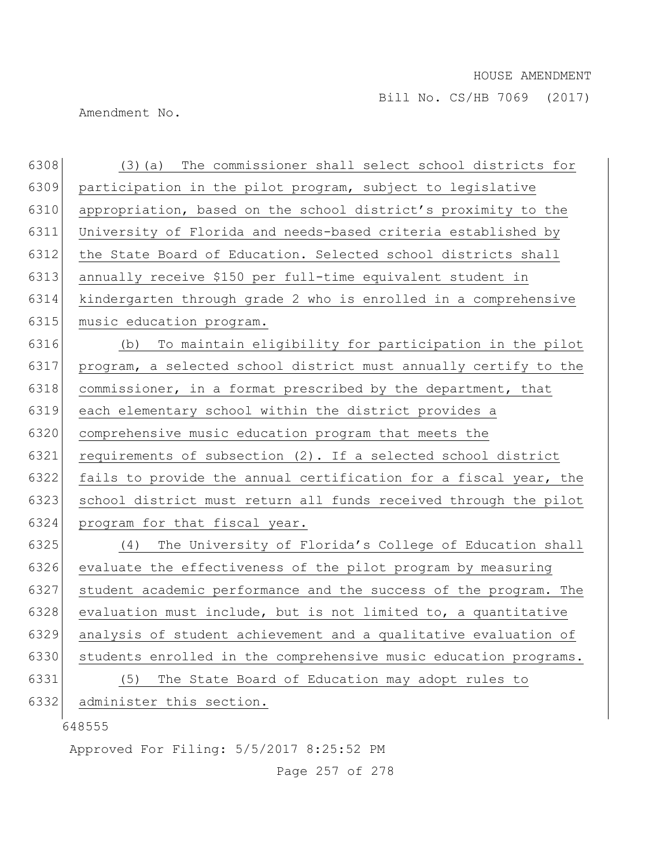Amendment No.

| 6308 | The commissioner shall select school districts for<br>$(3)$ (a)  |
|------|------------------------------------------------------------------|
| 6309 | participation in the pilot program, subject to legislative       |
| 6310 | appropriation, based on the school district's proximity to the   |
| 6311 | University of Florida and needs-based criteria established by    |
| 6312 | the State Board of Education. Selected school districts shall    |
| 6313 | annually receive \$150 per full-time equivalent student in       |
| 6314 | kindergarten through grade 2 who is enrolled in a comprehensive  |
| 6315 | music education program.                                         |
| 6316 | (b) To maintain eligibility for participation in the pilot       |
| 6317 | program, a selected school district must annually certify to the |
| 6318 | commissioner, in a format prescribed by the department, that     |
| 6319 | each elementary school within the district provides a            |
| 6320 | comprehensive music education program that meets the             |
| 6321 | requirements of subsection (2). If a selected school district    |
| 6322 | fails to provide the annual certification for a fiscal year, the |
| 6323 | school district must return all funds received through the pilot |
| 6324 | program for that fiscal year.                                    |
| 6325 | The University of Florida's College of Education shall<br>(4)    |
| 6326 | evaluate the effectiveness of the pilot program by measuring     |
| 6327 | student academic performance and the success of the program. The |
| 6328 | evaluation must include, but is not limited to, a quantitative   |
| 6329 | analysis of student achievement and a qualitative evaluation of  |
| 6330 | students enrolled in the comprehensive music education programs. |
| 6331 | The State Board of Education may adopt rules to<br>(5)           |
| 6332 | administer this section.                                         |
|      | 648555                                                           |
|      | Approved For Filing: 5/5/2017 8:25:52 PM                         |

Page 257 of 278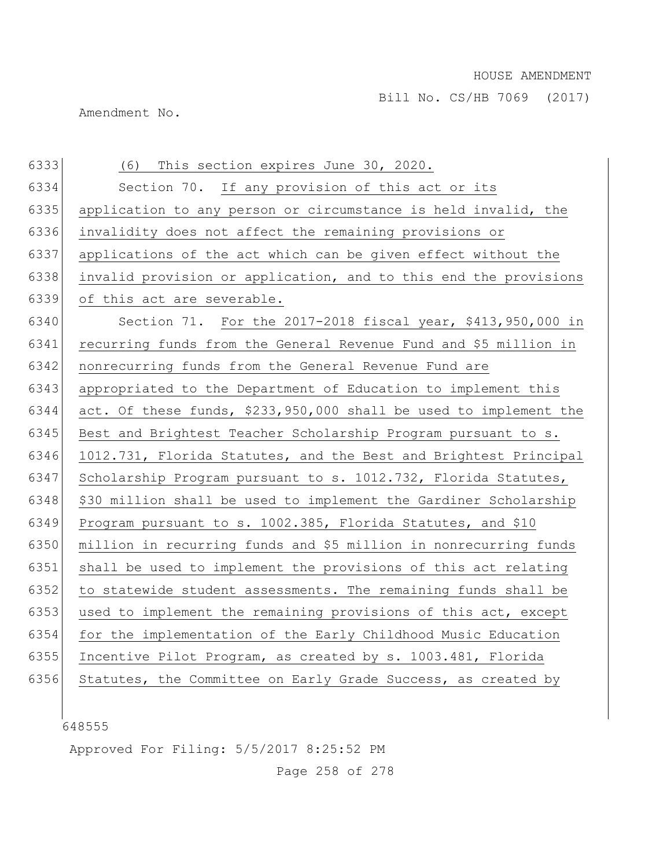Amendment No.

| application to any person or circumstance is held invalid, the<br>applications of the act which can be given effect without the<br>invalid provision or application, and to this end the provisions |
|-----------------------------------------------------------------------------------------------------------------------------------------------------------------------------------------------------|
|                                                                                                                                                                                                     |
|                                                                                                                                                                                                     |
|                                                                                                                                                                                                     |
|                                                                                                                                                                                                     |
|                                                                                                                                                                                                     |
|                                                                                                                                                                                                     |
| Section 71. For the 2017-2018 fiscal year, \$413,950,000 in                                                                                                                                         |
| recurring funds from the General Revenue Fund and \$5 million in                                                                                                                                    |
|                                                                                                                                                                                                     |
| appropriated to the Department of Education to implement this                                                                                                                                       |
| act. Of these funds, \$233,950,000 shall be used to implement the                                                                                                                                   |
| Best and Brightest Teacher Scholarship Program pursuant to s.                                                                                                                                       |
| 1012.731, Florida Statutes, and the Best and Brightest Principal                                                                                                                                    |
| Scholarship Program pursuant to s. 1012.732, Florida Statutes,                                                                                                                                      |
| \$30 million shall be used to implement the Gardiner Scholarship                                                                                                                                    |
| Program pursuant to s. 1002.385, Florida Statutes, and \$10                                                                                                                                         |
| million in recurring funds and \$5 million in nonrecurring funds                                                                                                                                    |
| shall be used to implement the provisions of this act relating                                                                                                                                      |
| to statewide student assessments. The remaining funds shall be                                                                                                                                      |
| used to implement the remaining provisions of this act, except                                                                                                                                      |
| for the implementation of the Early Childhood Music Education                                                                                                                                       |
| Incentive Pilot Program, as created by s. 1003.481, Florida                                                                                                                                         |
| Statutes, the Committee on Early Grade Success, as created by                                                                                                                                       |
|                                                                                                                                                                                                     |

Approved For Filing: 5/5/2017 8:25:52 PM

Page 258 of 278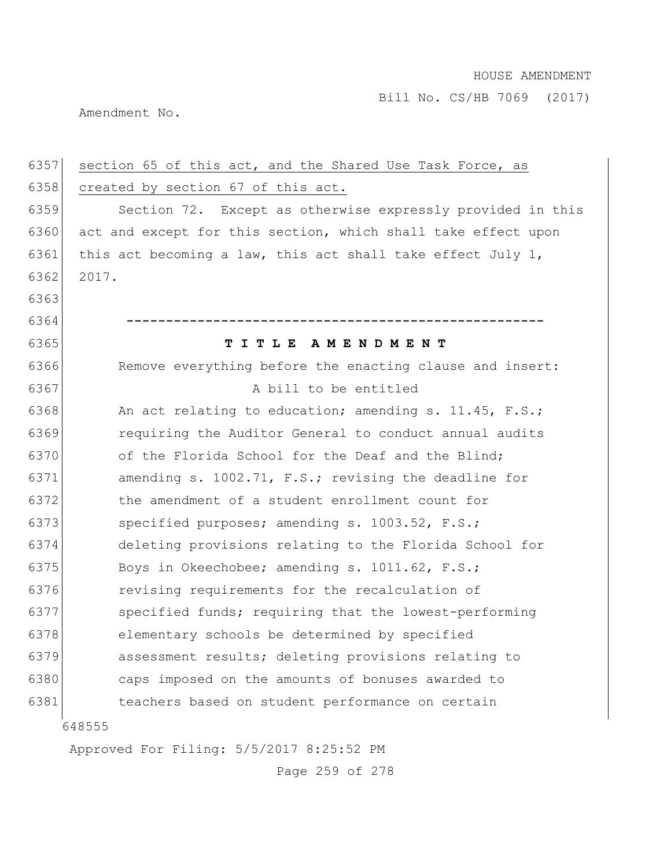Amendment No.

| 6357 | section 65 of this act, and the Shared Use Task Force, as      |
|------|----------------------------------------------------------------|
| 6358 | created by section 67 of this act.                             |
| 6359 | Section 72. Except as otherwise expressly provided in this     |
| 6360 | act and except for this section, which shall take effect upon  |
| 6361 | this act becoming a law, this act shall take effect July $1$ , |
| 6362 | 2017.                                                          |
| 6363 |                                                                |
| 6364 |                                                                |
| 6365 | TITLE AMENDMENT                                                |
| 6366 | Remove everything before the enacting clause and insert:       |
| 6367 | A bill to be entitled                                          |
| 6368 | An act relating to education; amending s. 11.45, F.S.;         |
| 6369 | requiring the Auditor General to conduct annual audits         |
| 6370 | of the Florida School for the Deaf and the Blind;              |
| 6371 | amending s. 1002.71, F.S.; revising the deadline for           |
| 6372 | the amendment of a student enrollment count for                |
| 6373 | specified purposes; amending s. 1003.52, F.S.;                 |
| 6374 | deleting provisions relating to the Florida School for         |
| 6375 | Boys in Okeechobee; amending s. 1011.62, F.S.;                 |
| 6376 | revising requirements for the recalculation of                 |
| 6377 | specified funds; requiring that the lowest-performing          |
| 6378 | elementary schools be determined by specified                  |
| 6379 | assessment results; deleting provisions relating to            |
| 6380 | caps imposed on the amounts of bonuses awarded to              |
| 6381 | teachers based on student performance on certain               |
|      | 648555                                                         |

Approved For Filing: 5/5/2017 8:25:52 PM

Page 259 of 278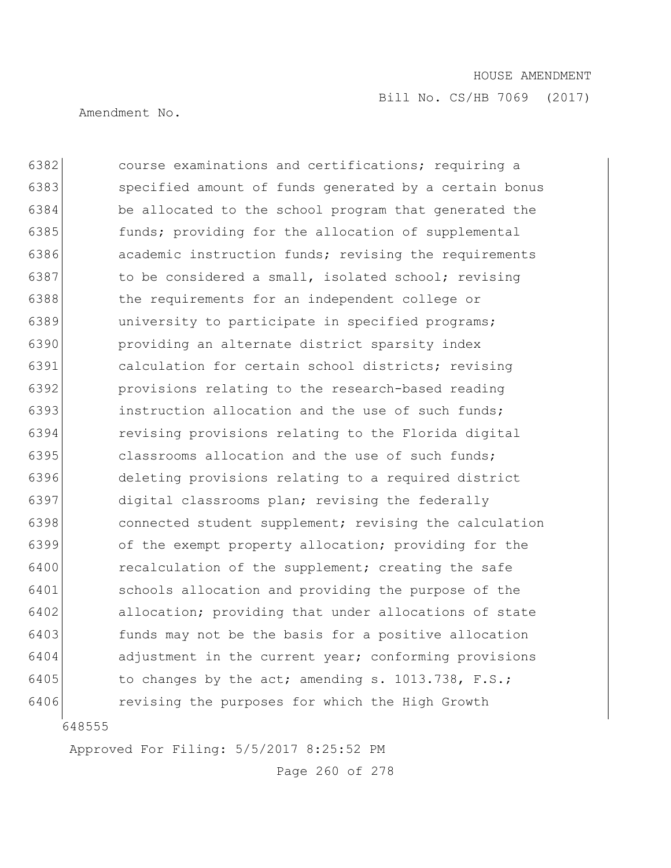Amendment No.

**course examinations and certifications;** requiring a 6383 specified amount of funds generated by a certain bonus be allocated to the school program that generated the **funds;** providing for the allocation of supplemental **academic instruction funds;** revising the requirements 6387 to be considered a small, isolated school; revising 6388 the requirements for an independent college or 6389 university to participate in specified programs; providing an alternate district sparsity index calculation for certain school districts; revising provisions relating to the research-based reading **instruction allocation and the use of such funds;**  revising provisions relating to the Florida digital 6395 classrooms allocation and the use of such funds; deleting provisions relating to a required district digital classrooms plan; revising the federally 6398 connected student supplement; revising the calculation of the exempt property allocation; providing for the 6400 recalculation of the supplement; creating the safe schools allocation and providing the purpose of the allocation; providing that under allocations of state funds may not be the basis for a positive allocation adjustment in the current year; conforming provisions 6405 to changes by the act; amending s.  $1013.738$ , F.S.; revising the purposes for which the High Growth

648555

Approved For Filing: 5/5/2017 8:25:52 PM

Page 260 of 278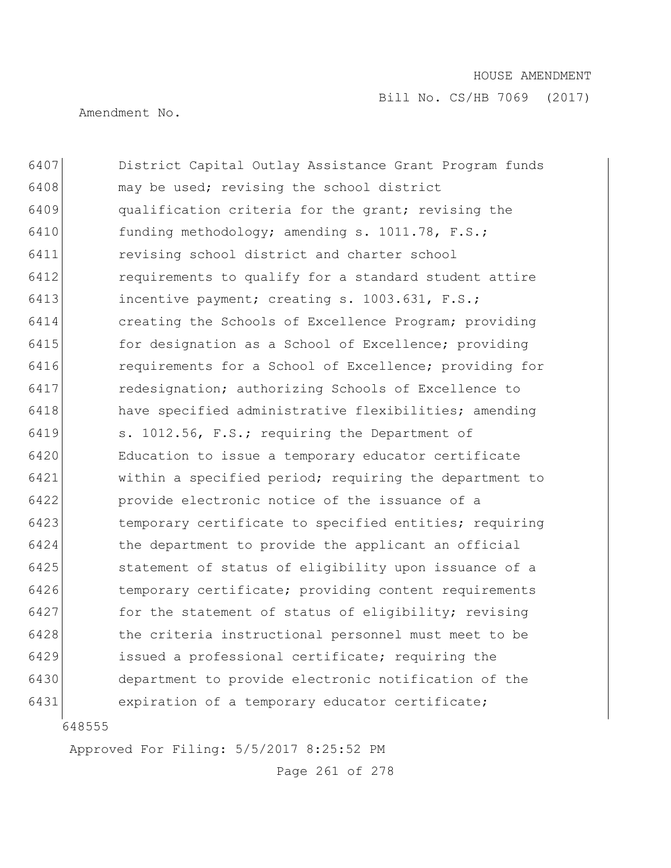Bill No. CS/HB 7069 (2017)

Amendment No.

 District Capital Outlay Assistance Grant Program funds 6408 may be used; revising the school district qualification criteria for the grant; revising the funding methodology; amending s. 1011.78, F.S.; revising school district and charter school **requirements to qualify for a standard student attire**  incentive payment; creating s. 1003.631, F.S.; creating the Schools of Excellence Program; providing **for designation as a School of Excellence;** providing requirements for a School of Excellence; providing for 6417 redesignation; authorizing Schools of Excellence to have specified administrative flexibilities; amending s. 1012.56, F.S.; requiring the Department of Education to issue a temporary educator certificate within a specified period; requiring the department to provide electronic notice of the issuance of a temporary certificate to specified entities; requiring 6424 the department to provide the applicant an official statement of status of eligibility upon issuance of a temporary certificate; providing content requirements 6427 for the statement of status of eligibility; revising the criteria instructional personnel must meet to be issued a professional certificate; requiring the department to provide electronic notification of the expiration of a temporary educator certificate;

Approved For Filing: 5/5/2017 8:25:52 PM

Page 261 of 278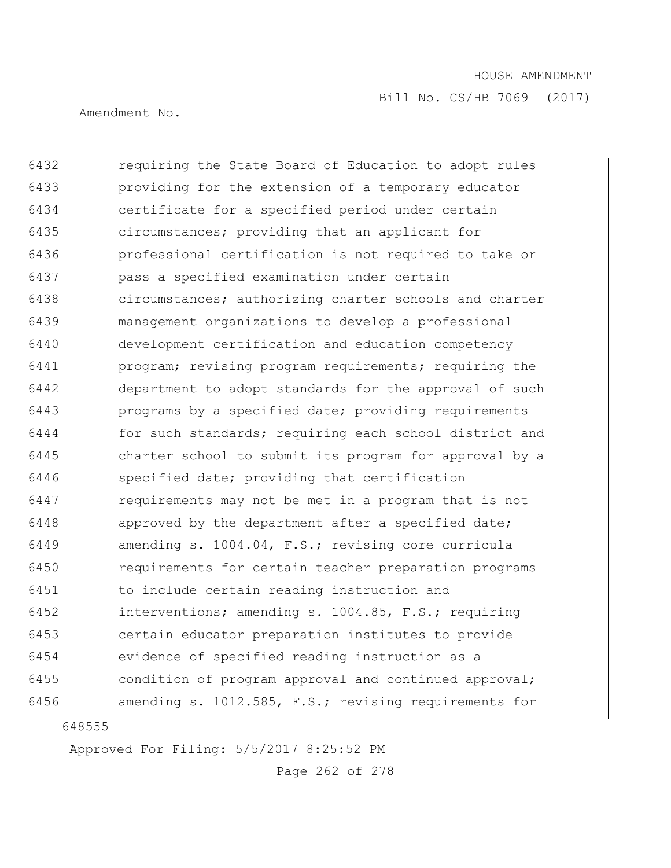Amendment No.

 requiring the State Board of Education to adopt rules providing for the extension of a temporary educator certificate for a specified period under certain circumstances; providing that an applicant for professional certification is not required to take or pass a specified examination under certain circumstances; authorizing charter schools and charter management organizations to develop a professional development certification and education competency program; revising program requirements; requiring the 6442 department to adopt standards for the approval of such **programs** by a specified date; providing requirements for such standards; requiring each school district and charter school to submit its program for approval by a specified date; providing that certification requirements may not be met in a program that is not 6448 approved by the department after a specified date; amending s. 1004.04, F.S.; revising core curricula requirements for certain teacher preparation programs to include certain reading instruction and interventions; amending s. 1004.85, F.S.; requiring certain educator preparation institutes to provide evidence of specified reading instruction as a condition of program approval and continued approval; 6456 amending s. 1012.585, F.S.; revising requirements for

Approved For Filing: 5/5/2017 8:25:52 PM

Page 262 of 278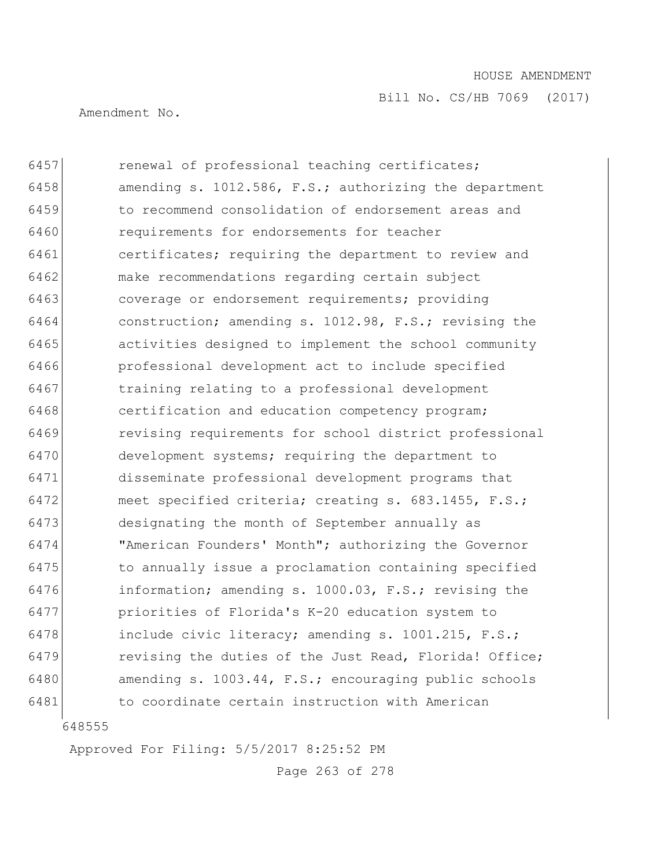Bill No. CS/HB 7069 (2017)

Amendment No.

 renewal of professional teaching certificates; **amending s. 1012.586, F.S.; authorizing the department**  to recommend consolidation of endorsement areas and requirements for endorsements for teacher certificates; requiring the department to review and make recommendations regarding certain subject coverage or endorsement requirements; providing construction; amending s. 1012.98, F.S.; revising the activities designed to implement the school community professional development act to include specified 6467 training relating to a professional development **certification** and education competency program; revising requirements for school district professional development systems; requiring the department to disseminate professional development programs that 6472 meet specified criteria; creating s. 683.1455, F.S.; designating the month of September annually as "American Founders' Month"; authorizing the Governor to annually issue a proclamation containing specified information; amending s. 1000.03, F.S.; revising the priorities of Florida's K-20 education system to include civic literacy; amending s. 1001.215, F.S.; **revising the duties of the Just Read, Florida! Office;**  amending s. 1003.44, F.S.; encouraging public schools to coordinate certain instruction with American

Approved For Filing: 5/5/2017 8:25:52 PM

Page 263 of 278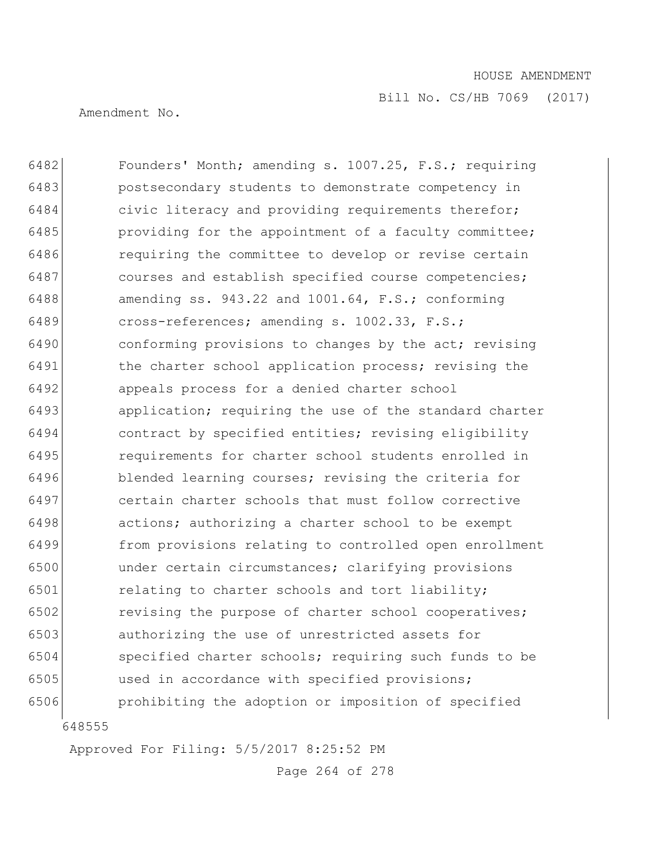Amendment No.

 Founders' Month; amending s. 1007.25, F.S.; requiring postsecondary students to demonstrate competency in civic literacy and providing requirements therefor; **providing for the appointment of a faculty committee; requiring the committee to develop or revise certain** 6487 courses and establish specified course competencies; amending ss. 943.22 and 1001.64, F.S.; conforming cross-references; amending s. 1002.33, F.S.; 6490 conforming provisions to changes by the act; revising 6491 the charter school application process; revising the appeals process for a denied charter school **application;** requiring the use of the standard charter contract by specified entities; revising eligibility requirements for charter school students enrolled in 6496 blended learning courses; revising the criteria for certain charter schools that must follow corrective actions; authorizing a charter school to be exempt from provisions relating to controlled open enrollment under certain circumstances; clarifying provisions 6501 relating to charter schools and tort liability; 6502 revising the purpose of charter school cooperatives; authorizing the use of unrestricted assets for specified charter schools; requiring such funds to be used in accordance with specified provisions; prohibiting the adoption or imposition of specified

Approved For Filing: 5/5/2017 8:25:52 PM

Page 264 of 278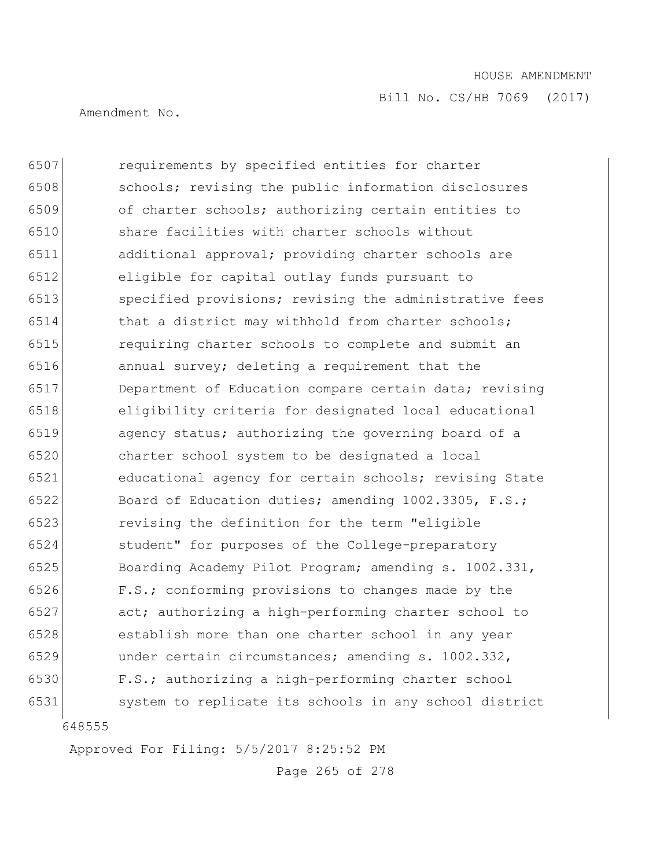Bill No. CS/HB 7069 (2017)

Amendment No.

 6507 requirements by specified entities for charter schools; revising the public information disclosures of charter schools; authorizing certain entities to share facilities with charter schools without additional approval; providing charter schools are eligible for capital outlay funds pursuant to specified provisions; revising the administrative fees 6514 that a district may withhold from charter schools; requiring charter schools to complete and submit an annual survey; deleting a requirement that the Department of Education compare certain data; revising eligibility criteria for designated local educational agency status; authorizing the governing board of a charter school system to be designated a local educational agency for certain schools; revising State 6522 Board of Education duties; amending 1002.3305, F.S.; revising the definition for the term "eligible student" for purposes of the College-preparatory Boarding Academy Pilot Program; amending s. 1002.331, F.S.; conforming provisions to changes made by the act; authorizing a high-performing charter school to establish more than one charter school in any year under certain circumstances; amending s. 1002.332, F.S.; authorizing a high-performing charter school 6531 system to replicate its schools in any school district

Approved For Filing: 5/5/2017 8:25:52 PM

Page 265 of 278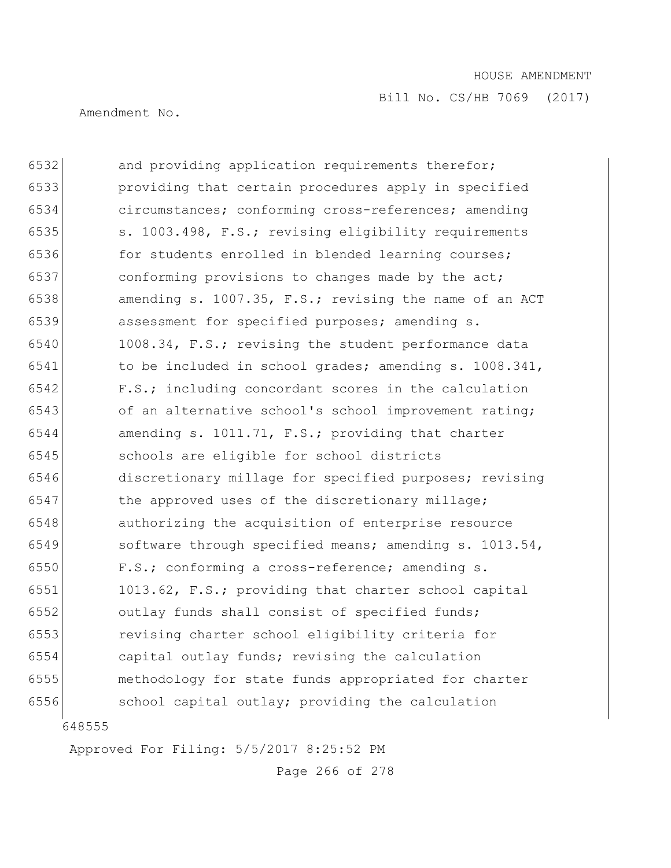Bill No. CS/HB 7069 (2017)

Amendment No.

6532 and providing application requirements therefor; providing that certain procedures apply in specified circumstances; conforming cross-references; amending 6535 s. 1003.498, F.S.; revising eligibility requirements 6536 for students enrolled in blended learning courses; conforming provisions to changes made by the act; amending s. 1007.35, F.S.; revising the name of an ACT assessment for specified purposes; amending s. 1008.34, F.S.; revising the student performance data to be included in school grades; amending s. 1008.341, F.S.; including concordant scores in the calculation 6543 of an alternative school's school improvement rating; amending s. 1011.71, F.S.; providing that charter schools are eligible for school districts discretionary millage for specified purposes; revising 6547 the approved uses of the discretionary millage; authorizing the acquisition of enterprise resource software through specified means; amending s. 1013.54, F.S.; conforming a cross-reference; amending s. 1013.62, F.S.; providing that charter school capital outlay funds shall consist of specified funds; revising charter school eligibility criteria for capital outlay funds; revising the calculation methodology for state funds appropriated for charter school capital outlay; providing the calculation

Approved For Filing: 5/5/2017 8:25:52 PM

Page 266 of 278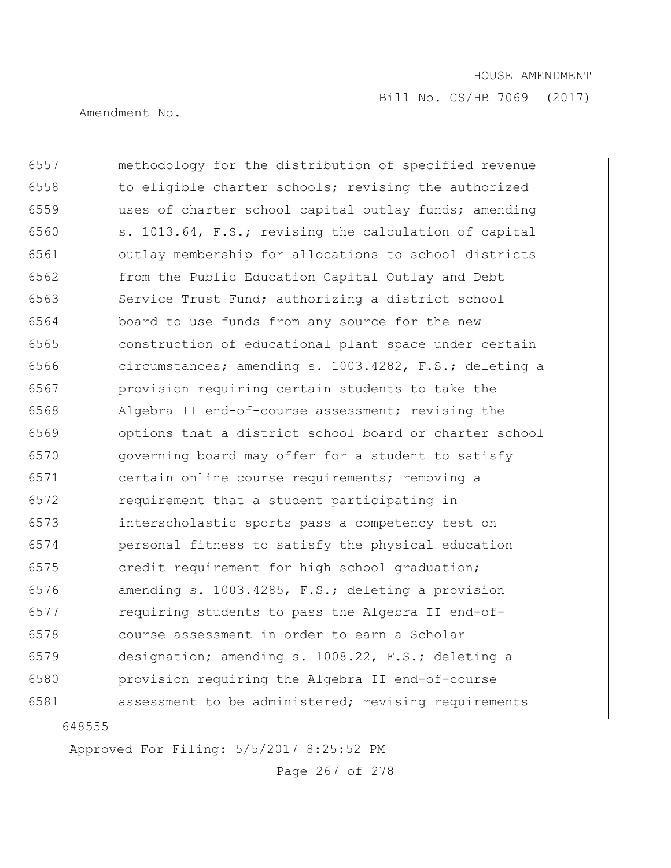Amendment No.

 methodology for the distribution of specified revenue to eligible charter schools; revising the authorized uses of charter school capital outlay funds; amending s. 1013.64, F.S.; revising the calculation of capital outlay membership for allocations to school districts from the Public Education Capital Outlay and Debt Service Trust Fund; authorizing a district school board to use funds from any source for the new construction of educational plant space under certain circumstances; amending s. 1003.4282, F.S.; deleting a provision requiring certain students to take the Algebra II end-of-course assessment; revising the options that a district school board or charter school governing board may offer for a student to satisfy certain online course requirements; removing a requirement that a student participating in interscholastic sports pass a competency test on personal fitness to satisfy the physical education **credit requirement for high school graduation;**  amending s. 1003.4285, F.S.; deleting a provision requiring students to pass the Algebra II end-of- course assessment in order to earn a Scholar designation; amending s. 1008.22, F.S.; deleting a provision requiring the Algebra II end-of-course assessment to be administered; revising requirements

Approved For Filing: 5/5/2017 8:25:52 PM

Page 267 of 278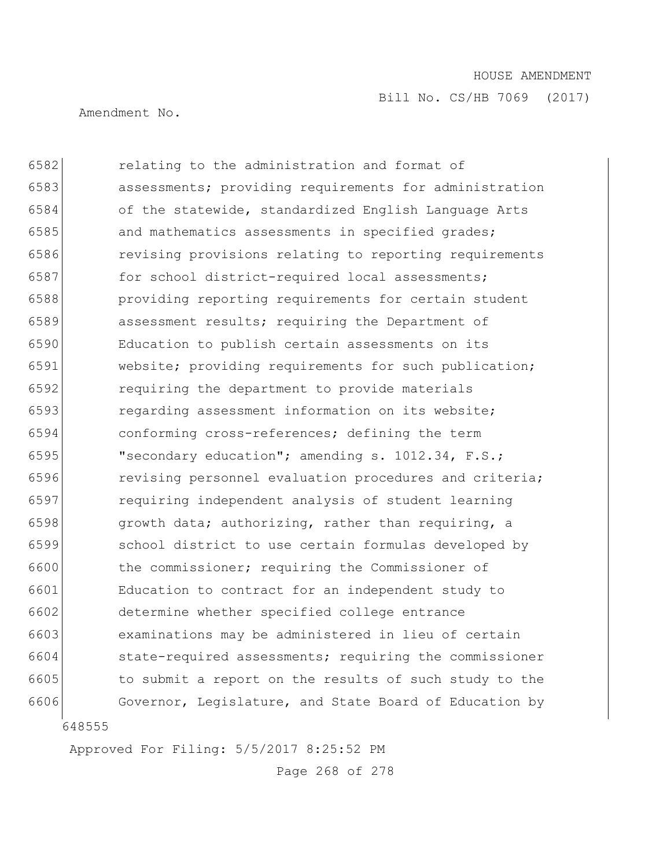Bill No. CS/HB 7069 (2017)

Amendment No.

 relating to the administration and format of assessments; providing requirements for administration of the statewide, standardized English Language Arts 6585 and mathematics assessments in specified grades; revising provisions relating to reporting requirements 6587 for school district-required local assessments; providing reporting requirements for certain student assessment results; requiring the Department of Education to publish certain assessments on its website; providing requirements for such publication; requiring the department to provide materials regarding assessment information on its website; conforming cross-references; defining the term "secondary education"; amending s. 1012.34, F.S.; **revising personnel evaluation procedures and criteria;**  requiring independent analysis of student learning **growth data; authorizing, rather than requiring, a**  school district to use certain formulas developed by the commissioner; requiring the Commissioner of Education to contract for an independent study to determine whether specified college entrance examinations may be administered in lieu of certain state-required assessments; requiring the commissioner to submit a report on the results of such study to the 6606 Governor, Legislature, and State Board of Education by

Approved For Filing: 5/5/2017 8:25:52 PM

Page 268 of 278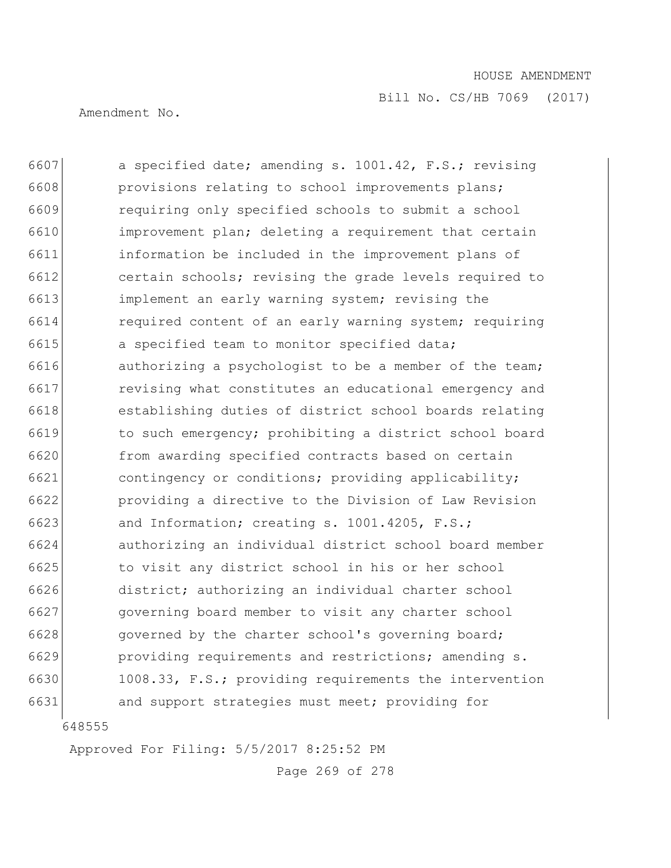Amendment No.

6607 a specified date; amending s. 1001.42, F.S.; revising **provisions relating to school improvements plans;**  requiring only specified schools to submit a school improvement plan; deleting a requirement that certain information be included in the improvement plans of certain schools; revising the grade levels required to implement an early warning system; revising the required content of an early warning system; requiring 6615 a specified team to monitor specified data; **authorizing a psychologist to be a member of the team; revising what constitutes an educational emergency and**  establishing duties of district school boards relating to such emergency; prohibiting a district school board from awarding specified contracts based on certain contingency or conditions; providing applicability; providing a directive to the Division of Law Revision and Information; creating s. 1001.4205, F.S.; authorizing an individual district school board member to visit any district school in his or her school district; authorizing an individual charter school governing board member to visit any charter school 6628 governed by the charter school's governing board; **providing requirements and restrictions; amending s.**  1008.33, F.S.; providing requirements the intervention and support strategies must meet; providing for

Approved For Filing: 5/5/2017 8:25:52 PM

Page 269 of 278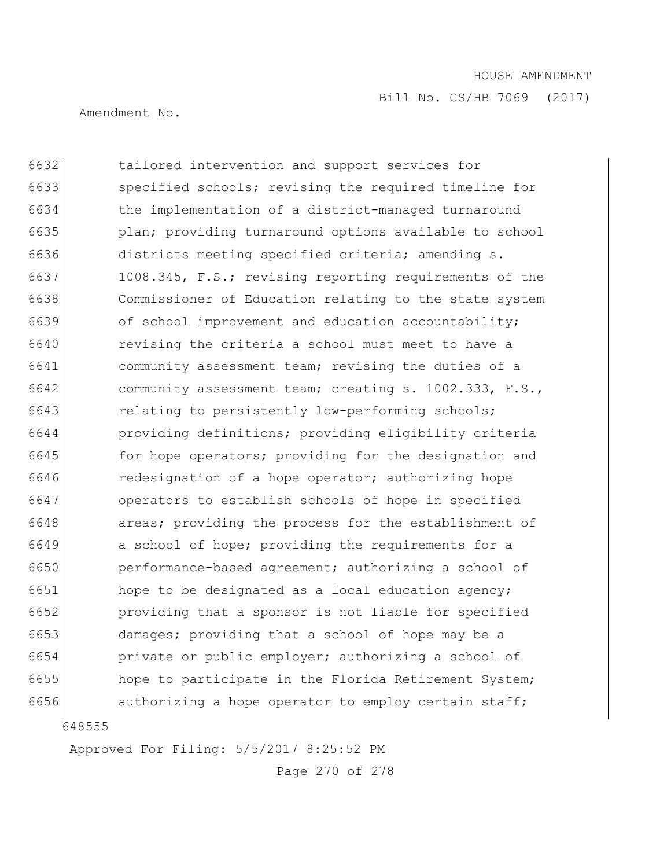Amendment No.

 tailored intervention and support services for specified schools; revising the required timeline for the implementation of a district-managed turnaround 6635 plan; providing turnaround options available to school districts meeting specified criteria; amending s. 6637 1008.345, F.S.; revising reporting requirements of the Commissioner of Education relating to the state system of school improvement and education accountability; revising the criteria a school must meet to have a community assessment team; revising the duties of a community assessment team; creating s. 1002.333, F.S., 6643 relating to persistently low-performing schools; providing definitions; providing eligibility criteria **for hope operators;** providing for the designation and redesignation of a hope operator; authorizing hope operators to establish schools of hope in specified **areas;** providing the process for the establishment of a school of hope; providing the requirements for a performance-based agreement; authorizing a school of hope to be designated as a local education agency; providing that a sponsor is not liable for specified damages; providing that a school of hope may be a private or public employer; authorizing a school of hope to participate in the Florida Retirement System; **authorizing a hope operator to employ certain staff;** 

Approved For Filing: 5/5/2017 8:25:52 PM

Page 270 of 278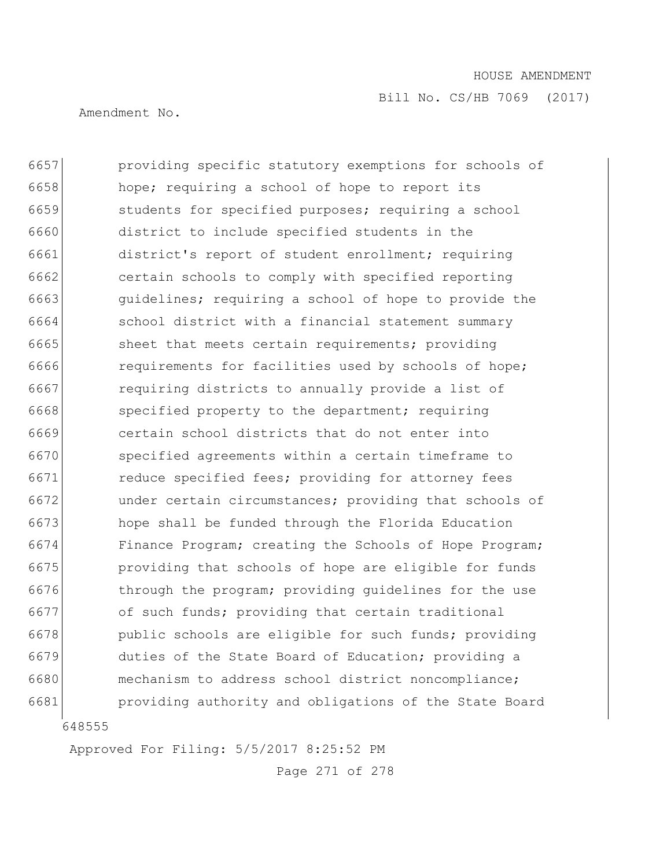Amendment No.

648555 providing specific statutory exemptions for schools of hope; requiring a school of hope to report its students for specified purposes; requiring a school district to include specified students in the district's report of student enrollment; requiring certain schools to comply with specified reporting 6663 guidelines; requiring a school of hope to provide the 6664 school district with a financial statement summary 6665 sheet that meets certain requirements; providing **requirements** for facilities used by schools of hope; 6667 requiring districts to annually provide a list of 6668 specified property to the department; requiring certain school districts that do not enter into specified agreements within a certain timeframe to 6671 reduce specified fees; providing for attorney fees under certain circumstances; providing that schools of hope shall be funded through the Florida Education 6674 Finance Program; creating the Schools of Hope Program; providing that schools of hope are eligible for funds **through the program;** providing guidelines for the use 6677 of such funds; providing that certain traditional public schools are eligible for such funds; providing duties of the State Board of Education; providing a 6680 mechanism to address school district noncompliance; providing authority and obligations of the State Board

Approved For Filing: 5/5/2017 8:25:52 PM

Page 271 of 278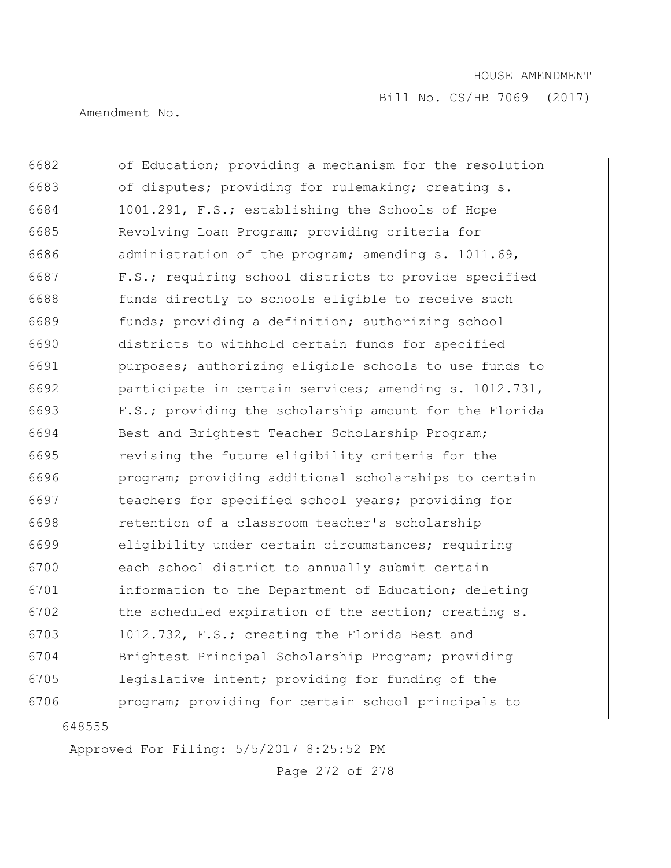Amendment No.

 of Education; providing a mechanism for the resolution 6683 of disputes; providing for rulemaking; creating s. 1001.291, F.S.; establishing the Schools of Hope Revolving Loan Program; providing criteria for administration of the program; amending s. 1011.69, 6687 F.S.; requiring school districts to provide specified funds directly to schools eligible to receive such funds; providing a definition; authorizing school districts to withhold certain funds for specified purposes; authorizing eligible schools to use funds to participate in certain services; amending s. 1012.731, F.S.; providing the scholarship amount for the Florida 6694 Best and Brightest Teacher Scholarship Program; revising the future eligibility criteria for the program; providing additional scholarships to certain 6697 teachers for specified school years; providing for retention of a classroom teacher's scholarship eligibility under certain circumstances; requiring each school district to annually submit certain information to the Department of Education; deleting 6702 the scheduled expiration of the section; creating s. 6703 1012.732, F.S.; creating the Florida Best and Brightest Principal Scholarship Program; providing legislative intent; providing for funding of the **program;** providing for certain school principals to

Approved For Filing: 5/5/2017 8:25:52 PM

Page 272 of 278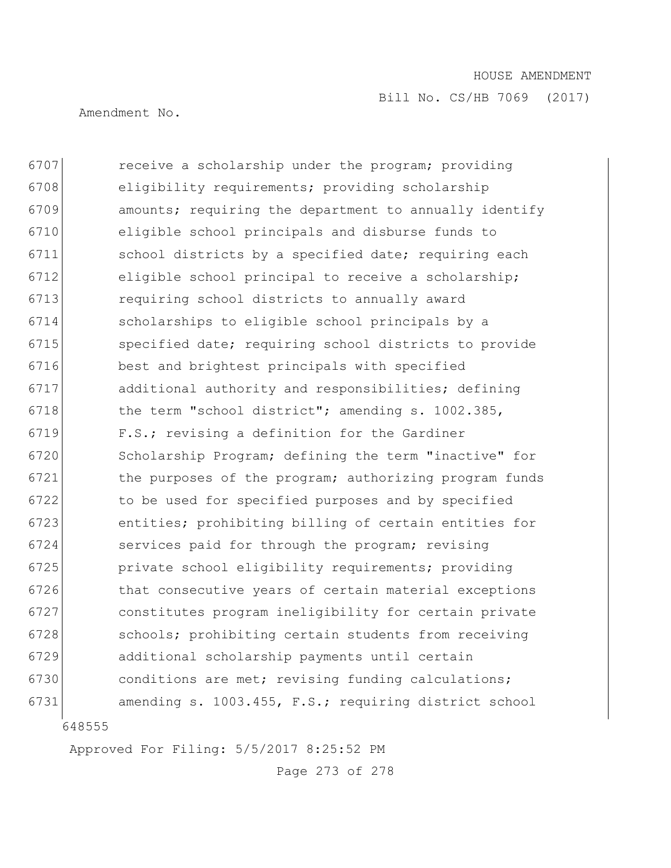Bill No. CS/HB 7069 (2017)

Amendment No.

 receive a scholarship under the program; providing eligibility requirements; providing scholarship amounts; requiring the department to annually identify eligible school principals and disburse funds to school districts by a specified date; requiring each eligible school principal to receive a scholarship; requiring school districts to annually award scholarships to eligible school principals by a specified date; requiring school districts to provide best and brightest principals with specified additional authority and responsibilities; defining 6718 the term "school district"; amending s. 1002.385, F.S.; revising a definition for the Gardiner Scholarship Program; defining the term "inactive" for 6721 the purposes of the program; authorizing program funds 6722 to be used for specified purposes and by specified entities; prohibiting billing of certain entities for services paid for through the program; revising private school eligibility requirements; providing 6726 that consecutive years of certain material exceptions constitutes program ineligibility for certain private schools; prohibiting certain students from receiving additional scholarship payments until certain 6730 conditions are met; revising funding calculations; amending s. 1003.455, F.S.; requiring district school

Approved For Filing: 5/5/2017 8:25:52 PM

Page 273 of 278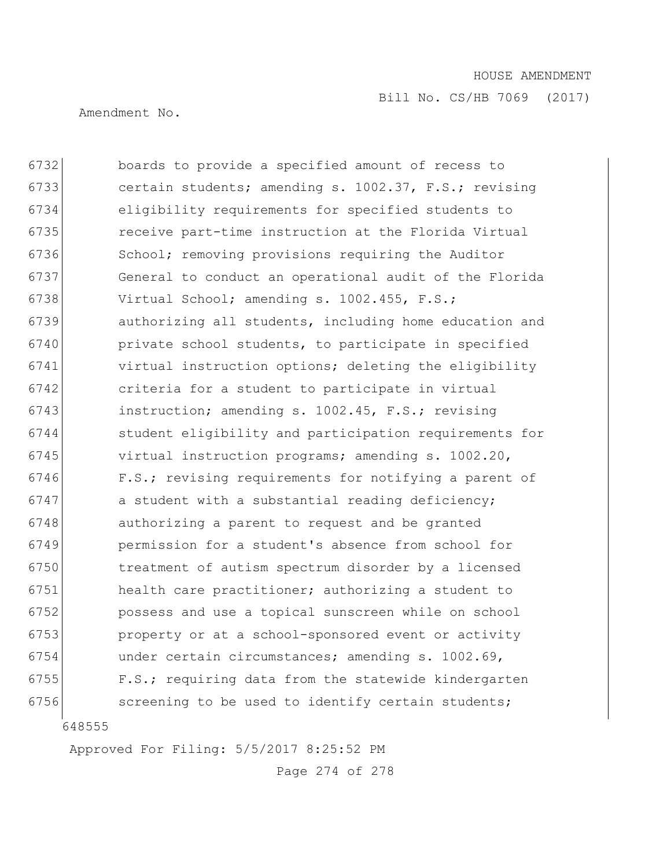Bill No. CS/HB 7069 (2017)

Amendment No.

 boards to provide a specified amount of recess to certain students; amending s. 1002.37, F.S.; revising eligibility requirements for specified students to receive part-time instruction at the Florida Virtual 6736 School; removing provisions requiring the Auditor General to conduct an operational audit of the Florida 6738 Virtual School; amending s. 1002.455, F.S.; authorizing all students, including home education and private school students, to participate in specified virtual instruction options; deleting the eligibility criteria for a student to participate in virtual instruction; amending s. 1002.45, F.S.; revising student eligibility and participation requirements for virtual instruction programs; amending s. 1002.20, 6746 F.S.; revising requirements for notifying a parent of a student with a substantial reading deficiency; **authorizing a parent to request and be granted**  permission for a student's absence from school for treatment of autism spectrum disorder by a licensed health care practitioner; authorizing a student to possess and use a topical sunscreen while on school **property or at a school-sponsored event or activity**  under certain circumstances; amending s. 1002.69, F.S.; requiring data from the statewide kindergarten 6756 screening to be used to identify certain students;

Approved For Filing: 5/5/2017 8:25:52 PM

Page 274 of 278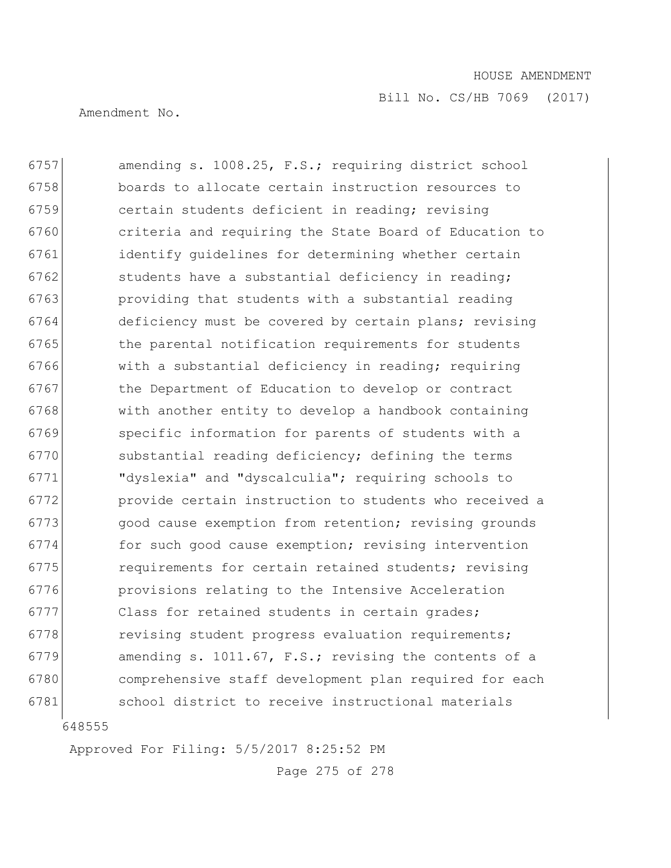Amendment No.

6757 amending s. 1008.25, F.S.; requiring district school 6758 boards to allocate certain instruction resources to 6759 certain students deficient in reading; revising 6760 criteria and requiring the State Board of Education to 6761 identify guidelines for determining whether certain 6762 students have a substantial deficiency in reading; 6763 **providing that students with a substantial reading** 6764 deficiency must be covered by certain plans; revising 6765 the parental notification requirements for students 6766 with a substantial deficiency in reading; requiring 6767 bthe Department of Education to develop or contract 6768 with another entity to develop a handbook containing 6769 specific information for parents of students with a 6770 substantial reading deficiency; defining the terms 6771 "dyslexia" and "dyscalculia"; requiring schools to 6772 provide certain instruction to students who received a 6773 qood cause exemption from retention; revising grounds 6774 for such good cause exemption; revising intervention 6775 **requirements** for certain retained students; revising 6776 provisions relating to the Intensive Acceleration 6777 Class for retained students in certain grades; 6778 revising student progress evaluation requirements; 6779 amending s. 1011.67, F.S.; revising the contents of a 6780 comprehensive staff development plan required for each 6781 school district to receive instructional materials

648555

Approved For Filing: 5/5/2017 8:25:52 PM

Page 275 of 278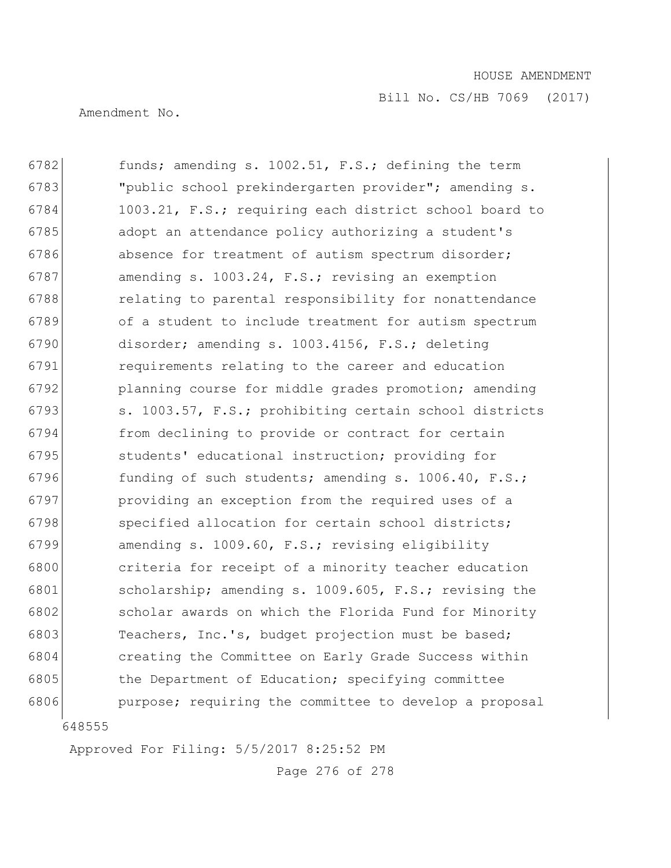Amendment No.

648555 6782 funds; amending s. 1002.51, F.S.; defining the term "public school prekindergarten provider"; amending s. 1003.21, F.S.; requiring each district school board to adopt an attendance policy authorizing a student's 6786 absence for treatment of autism spectrum disorder; amending s. 1003.24, F.S.; revising an exemption 6788 relating to parental responsibility for nonattendance of a student to include treatment for autism spectrum disorder; amending s. 1003.4156, F.S.; deleting requirements relating to the career and education 6792 planning course for middle grades promotion; amending 6793 s. 1003.57, F.S.; prohibiting certain school districts from declining to provide or contract for certain students' educational instruction; providing for 6796 funding of such students; amending s.  $1006.40$ , F.S.; providing an exception from the required uses of a 6798 specified allocation for certain school districts; amending s. 1009.60, F.S.; revising eligibility criteria for receipt of a minority teacher education scholarship; amending s. 1009.605, F.S.; revising the scholar awards on which the Florida Fund for Minority 6803 Teachers, Inc.'s, budget projection must be based; creating the Committee on Early Grade Success within 6805 the Department of Education; specifying committee **purpose;** requiring the committee to develop a proposal

Approved For Filing: 5/5/2017 8:25:52 PM

Page 276 of 278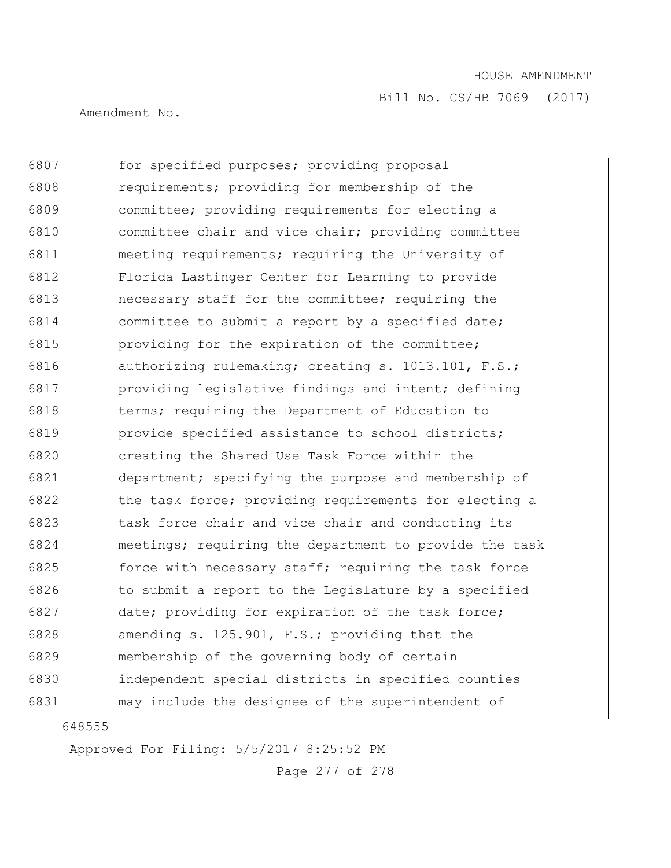Amendment No.

 6807 for specified purposes; providing proposal requirements; providing for membership of the committee; providing requirements for electing a committee chair and vice chair; providing committee meeting requirements; requiring the University of Florida Lastinger Center for Learning to provide **necessary staff for the committee; requiring the**  committee to submit a report by a specified date; **providing for the expiration of the committee;**  authorizing rulemaking; creating s. 1013.101, F.S.; providing legislative findings and intent; defining terms; requiring the Department of Education to **provide** specified assistance to school districts; creating the Shared Use Task Force within the department; specifying the purpose and membership of 6822 the task force; providing requirements for electing a 6823 task force chair and vice chair and conducting its meetings; requiring the department to provide the task **force with necessary staff; requiring the task force**  to submit a report to the Legislature by a specified 6827 date; providing for expiration of the task force; amending s. 125.901, F.S.; providing that the membership of the governing body of certain independent special districts in specified counties may include the designee of the superintendent of

Approved For Filing: 5/5/2017 8:25:52 PM

Page 277 of 278